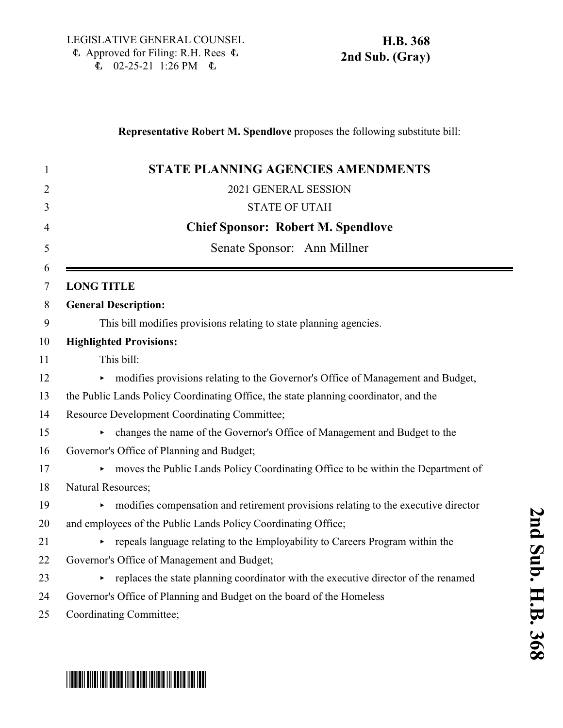### **Representative Robert M. Spendlove** proposes the following substitute bill:

| <b>STATE PLANNING AGENCIES AMENDMENTS</b>                                            |
|--------------------------------------------------------------------------------------|
| 2021 GENERAL SESSION                                                                 |
| <b>STATE OF UTAH</b>                                                                 |
| <b>Chief Sponsor: Robert M. Spendlove</b>                                            |
| Senate Sponsor: Ann Millner                                                          |
| <b>LONG TITLE</b>                                                                    |
| <b>General Description:</b>                                                          |
| This bill modifies provisions relating to state planning agencies.                   |
| <b>Highlighted Provisions:</b>                                                       |
| This bill:                                                                           |
| modifies provisions relating to the Governor's Office of Management and Budget,      |
| the Public Lands Policy Coordinating Office, the state planning coordinator, and the |
| Resource Development Coordinating Committee;                                         |
| changes the name of the Governor's Office of Management and Budget to the            |
| Governor's Office of Planning and Budget;                                            |
| moves the Public Lands Policy Coordinating Office to be within the Department of     |
| Natural Resources;                                                                   |
| modifies compensation and retirement provisions relating to the executive director   |
| and employees of the Public Lands Policy Coordinating Office;                        |
| repeals language relating to the Employability to Careers Program within the         |
| Governor's Office of Management and Budget;                                          |
| replaces the state planning coordinator with the executive director of the renamed   |
| Governor's Office of Planning and Budget on the board of the Homeless                |
| Coordinating Committee;                                                              |

# \*HB0368S02\*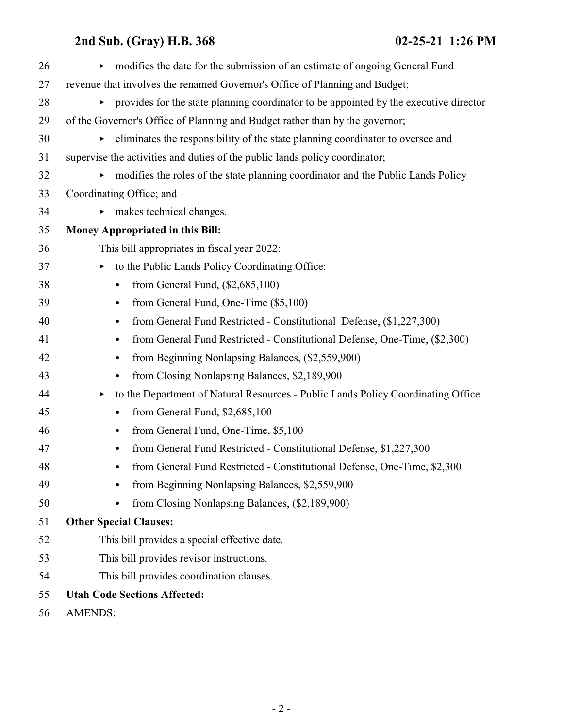| 26 | modifies the date for the submission of an estimate of ongoing General Fund                               |
|----|-----------------------------------------------------------------------------------------------------------|
| 27 | revenue that involves the renamed Governor's Office of Planning and Budget;                               |
| 28 | provides for the state planning coordinator to be appointed by the executive director                     |
| 29 | of the Governor's Office of Planning and Budget rather than by the governor;                              |
| 30 | eliminates the responsibility of the state planning coordinator to oversee and                            |
| 31 | supervise the activities and duties of the public lands policy coordinator;                               |
| 32 | modifies the roles of the state planning coordinator and the Public Lands Policy<br>$\blacktriangleright$ |
| 33 | Coordinating Office; and                                                                                  |
| 34 | makes technical changes.<br>▶                                                                             |
| 35 | Money Appropriated in this Bill:                                                                          |
| 36 | This bill appropriates in fiscal year 2022:                                                               |
| 37 | to the Public Lands Policy Coordinating Office:<br>▶                                                      |
| 38 | from General Fund, $(\$2,685,100)$<br>$\bullet$                                                           |
| 39 | from General Fund, One-Time (\$5,100)<br>$\bullet$                                                        |
| 40 | from General Fund Restricted - Constitutional Defense, (\$1,227,300)<br>$\bullet$                         |
| 41 | from General Fund Restricted - Constitutional Defense, One-Time, (\$2,300)<br>$\bullet$                   |
| 42 | from Beginning Nonlapsing Balances, (\$2,559,900)<br>$\bullet$                                            |
| 43 | from Closing Nonlapsing Balances, \$2,189,900                                                             |
| 44 | to the Department of Natural Resources - Public Lands Policy Coordinating Office<br>٠                     |
| 45 | from General Fund, \$2,685,100<br>$\bullet$                                                               |
| 46 | from General Fund, One-Time, \$5,100<br>$\bullet$                                                         |
| 47 | from General Fund Restricted - Constitutional Defense, \$1,227,300<br>$\bullet$                           |
| 48 | from General Fund Restricted - Constitutional Defense, One-Time, \$2,300<br>$\bullet$                     |
| 49 | from Beginning Nonlapsing Balances, \$2,559,900                                                           |
| 50 | from Closing Nonlapsing Balances, (\$2,189,900)                                                           |
| 51 | <b>Other Special Clauses:</b>                                                                             |
| 52 | This bill provides a special effective date.                                                              |
| 53 | This bill provides revisor instructions.                                                                  |
| 54 | This bill provides coordination clauses.                                                                  |
| 55 | <b>Utah Code Sections Affected:</b>                                                                       |
| 56 | <b>AMENDS:</b>                                                                                            |
|    |                                                                                                           |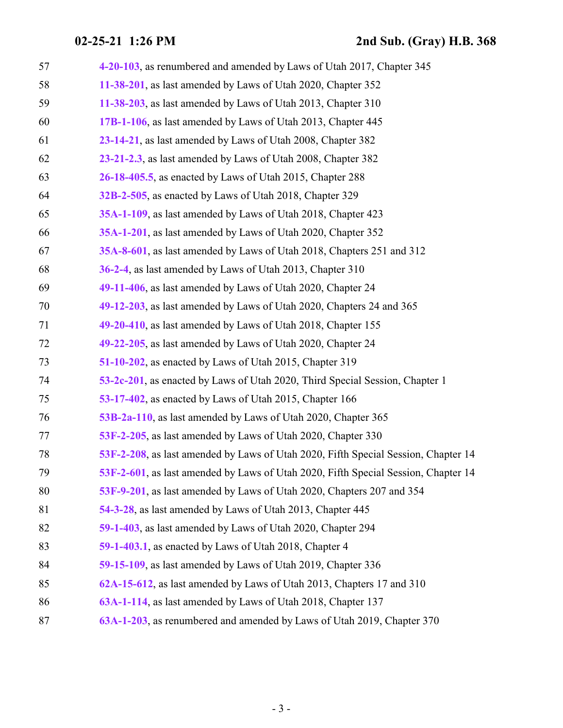| 57 | 4-20-103, as renumbered and amended by Laws of Utah 2017, Chapter 345              |
|----|------------------------------------------------------------------------------------|
| 58 | 11-38-201, as last amended by Laws of Utah 2020, Chapter 352                       |
| 59 | 11-38-203, as last amended by Laws of Utah 2013, Chapter 310                       |
| 60 | 17B-1-106, as last amended by Laws of Utah 2013, Chapter 445                       |
| 61 | 23-14-21, as last amended by Laws of Utah 2008, Chapter 382                        |
| 62 | 23-21-2.3, as last amended by Laws of Utah 2008, Chapter 382                       |
| 63 | 26-18-405.5, as enacted by Laws of Utah 2015, Chapter 288                          |
| 64 | 32B-2-505, as enacted by Laws of Utah 2018, Chapter 329                            |
| 65 | 35A-1-109, as last amended by Laws of Utah 2018, Chapter 423                       |
| 66 | 35A-1-201, as last amended by Laws of Utah 2020, Chapter 352                       |
| 67 | 35A-8-601, as last amended by Laws of Utah 2018, Chapters 251 and 312              |
| 68 | 36-2-4, as last amended by Laws of Utah 2013, Chapter 310                          |
| 69 | 49-11-406, as last amended by Laws of Utah 2020, Chapter 24                        |
| 70 | 49-12-203, as last amended by Laws of Utah 2020, Chapters 24 and 365               |
| 71 | 49-20-410, as last amended by Laws of Utah 2018, Chapter 155                       |
| 72 | 49-22-205, as last amended by Laws of Utah 2020, Chapter 24                        |
| 73 | 51-10-202, as enacted by Laws of Utah 2015, Chapter 319                            |
| 74 | 53-2c-201, as enacted by Laws of Utah 2020, Third Special Session, Chapter 1       |
| 75 | 53-17-402, as enacted by Laws of Utah 2015, Chapter 166                            |
| 76 | 53B-2a-110, as last amended by Laws of Utah 2020, Chapter 365                      |
| 77 | 53F-2-205, as last amended by Laws of Utah 2020, Chapter 330                       |
| 78 | 53F-2-208, as last amended by Laws of Utah 2020, Fifth Special Session, Chapter 14 |
| 79 | 53F-2-601, as last amended by Laws of Utah 2020, Fifth Special Session, Chapter 14 |
| 80 | 53F-9-201, as last amended by Laws of Utah 2020, Chapters 207 and 354              |
| 81 | 54-3-28, as last amended by Laws of Utah 2013, Chapter 445                         |
| 82 | 59-1-403, as last amended by Laws of Utah 2020, Chapter 294                        |
| 83 | 59-1-403.1, as enacted by Laws of Utah 2018, Chapter 4                             |
| 84 | 59-15-109, as last amended by Laws of Utah 2019, Chapter 336                       |
| 85 | 62A-15-612, as last amended by Laws of Utah 2013, Chapters 17 and 310              |
| 86 | 63A-1-114, as last amended by Laws of Utah 2018, Chapter 137                       |
| 87 | 63A-1-203, as renumbered and amended by Laws of Utah 2019, Chapter 370             |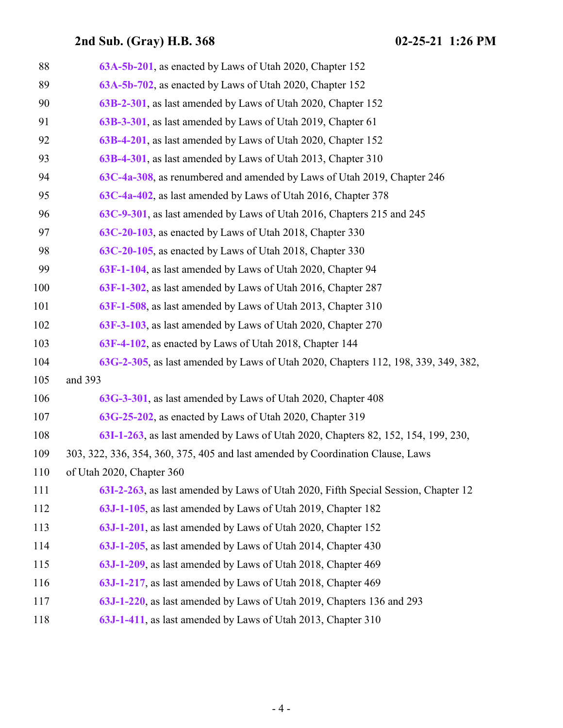| 88  | 63A-5b-201, as enacted by Laws of Utah 2020, Chapter 152                           |
|-----|------------------------------------------------------------------------------------|
| 89  | 63A-5b-702, as enacted by Laws of Utah 2020, Chapter 152                           |
| 90  | 63B-2-301, as last amended by Laws of Utah 2020, Chapter 152                       |
| 91  | 63B-3-301, as last amended by Laws of Utah 2019, Chapter 61                        |
| 92  | 63B-4-201, as last amended by Laws of Utah 2020, Chapter 152                       |
| 93  | 63B-4-301, as last amended by Laws of Utah 2013, Chapter 310                       |
| 94  | 63C-4a-308, as renumbered and amended by Laws of Utah 2019, Chapter 246            |
| 95  | 63C-4a-402, as last amended by Laws of Utah 2016, Chapter 378                      |
| 96  | 63C-9-301, as last amended by Laws of Utah 2016, Chapters 215 and 245              |
| 97  | 63C-20-103, as enacted by Laws of Utah 2018, Chapter 330                           |
| 98  | 63C-20-105, as enacted by Laws of Utah 2018, Chapter 330                           |
| 99  | 63F-1-104, as last amended by Laws of Utah 2020, Chapter 94                        |
| 100 | 63F-1-302, as last amended by Laws of Utah 2016, Chapter 287                       |
| 101 | 63F-1-508, as last amended by Laws of Utah 2013, Chapter 310                       |
| 102 | 63F-3-103, as last amended by Laws of Utah 2020, Chapter 270                       |
| 103 | 63F-4-102, as enacted by Laws of Utah 2018, Chapter 144                            |
| 104 | 63G-2-305, as last amended by Laws of Utah 2020, Chapters 112, 198, 339, 349, 382, |
| 105 | and 393                                                                            |
| 106 | 63G-3-301, as last amended by Laws of Utah 2020, Chapter 408                       |
| 107 | 63G-25-202, as enacted by Laws of Utah 2020, Chapter 319                           |
| 108 | 63I-1-263, as last amended by Laws of Utah 2020, Chapters 82, 152, 154, 199, 230,  |
| 109 | 303, 322, 336, 354, 360, 375, 405 and last amended by Coordination Clause, Laws    |
| 110 | of Utah 2020, Chapter 360                                                          |
| 111 | 63I-2-263, as last amended by Laws of Utah 2020, Fifth Special Session, Chapter 12 |
| 112 | 63J-1-105, as last amended by Laws of Utah 2019, Chapter 182                       |
| 113 | 63J-1-201, as last amended by Laws of Utah 2020, Chapter 152                       |
| 114 | 63J-1-205, as last amended by Laws of Utah 2014, Chapter 430                       |
| 115 | 63J-1-209, as last amended by Laws of Utah 2018, Chapter 469                       |
| 116 | 63J-1-217, as last amended by Laws of Utah 2018, Chapter 469                       |
| 117 | 63J-1-220, as last amended by Laws of Utah 2019, Chapters 136 and 293              |
| 118 | 63J-1-411, as last amended by Laws of Utah 2013, Chapter 310                       |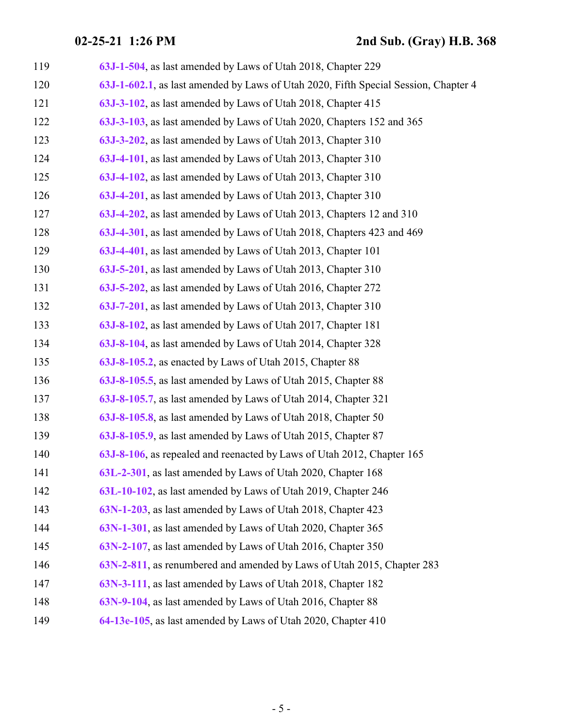| 119 | 63J-1-504, as last amended by Laws of Utah 2018, Chapter 229                        |
|-----|-------------------------------------------------------------------------------------|
| 120 | 63J-1-602.1, as last amended by Laws of Utah 2020, Fifth Special Session, Chapter 4 |
| 121 | 63J-3-102, as last amended by Laws of Utah 2018, Chapter 415                        |
| 122 | 63J-3-103, as last amended by Laws of Utah 2020, Chapters 152 and 365               |
| 123 | 63J-3-202, as last amended by Laws of Utah 2013, Chapter 310                        |
| 124 | 63J-4-101, as last amended by Laws of Utah 2013, Chapter 310                        |
| 125 | 63J-4-102, as last amended by Laws of Utah 2013, Chapter 310                        |
| 126 | 63J-4-201, as last amended by Laws of Utah 2013, Chapter 310                        |
| 127 | 63J-4-202, as last amended by Laws of Utah 2013, Chapters 12 and 310                |
| 128 | 63J-4-301, as last amended by Laws of Utah 2018, Chapters 423 and 469               |
| 129 | 63J-4-401, as last amended by Laws of Utah 2013, Chapter 101                        |
| 130 | 63J-5-201, as last amended by Laws of Utah 2013, Chapter 310                        |
| 131 | 63J-5-202, as last amended by Laws of Utah 2016, Chapter 272                        |
| 132 | 63J-7-201, as last amended by Laws of Utah 2013, Chapter 310                        |
| 133 | 63J-8-102, as last amended by Laws of Utah 2017, Chapter 181                        |
| 134 | 63J-8-104, as last amended by Laws of Utah 2014, Chapter 328                        |
| 135 | 63J-8-105.2, as enacted by Laws of Utah 2015, Chapter 88                            |
| 136 | 63J-8-105.5, as last amended by Laws of Utah 2015, Chapter 88                       |
| 137 | 63J-8-105.7, as last amended by Laws of Utah 2014, Chapter 321                      |
| 138 | 63J-8-105.8, as last amended by Laws of Utah 2018, Chapter 50                       |
| 139 | 63J-8-105.9, as last amended by Laws of Utah 2015, Chapter 87                       |
| 140 | 63J-8-106, as repealed and reenacted by Laws of Utah 2012, Chapter 165              |
| 141 | 63L-2-301, as last amended by Laws of Utah 2020, Chapter 168                        |
| 142 | 63L-10-102, as last amended by Laws of Utah 2019, Chapter 246                       |
| 143 | 63N-1-203, as last amended by Laws of Utah 2018, Chapter 423                        |
| 144 | 63N-1-301, as last amended by Laws of Utah 2020, Chapter 365                        |
| 145 | 63N-2-107, as last amended by Laws of Utah 2016, Chapter 350                        |
| 146 | 63N-2-811, as renumbered and amended by Laws of Utah 2015, Chapter 283              |
| 147 | 63N-3-111, as last amended by Laws of Utah 2018, Chapter 182                        |
| 148 | 63N-9-104, as last amended by Laws of Utah 2016, Chapter 88                         |
| 149 | 64-13e-105, as last amended by Laws of Utah 2020, Chapter 410                       |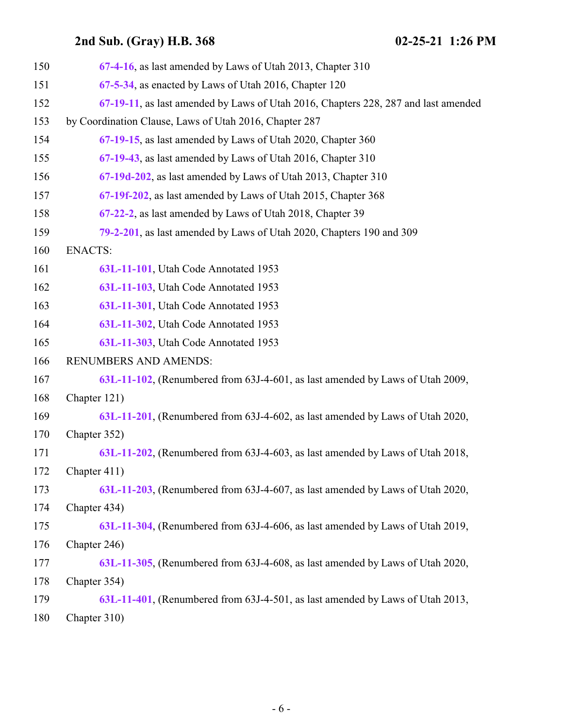| 150 | 67-4-16, as last amended by Laws of Utah 2013, Chapter 310                         |
|-----|------------------------------------------------------------------------------------|
| 151 | 67-5-34, as enacted by Laws of Utah 2016, Chapter 120                              |
| 152 | 67-19-11, as last amended by Laws of Utah 2016, Chapters 228, 287 and last amended |
| 153 | by Coordination Clause, Laws of Utah 2016, Chapter 287                             |
| 154 | 67-19-15, as last amended by Laws of Utah 2020, Chapter 360                        |
| 155 | 67-19-43, as last amended by Laws of Utah 2016, Chapter 310                        |
| 156 | 67-19d-202, as last amended by Laws of Utah 2013, Chapter 310                      |
| 157 | 67-19f-202, as last amended by Laws of Utah 2015, Chapter 368                      |
| 158 | 67-22-2, as last amended by Laws of Utah 2018, Chapter 39                          |
| 159 | 79-2-201, as last amended by Laws of Utah 2020, Chapters 190 and 309               |
| 160 | <b>ENACTS:</b>                                                                     |
| 161 | 63L-11-101, Utah Code Annotated 1953                                               |
| 162 | 63L-11-103, Utah Code Annotated 1953                                               |
| 163 | 63L-11-301, Utah Code Annotated 1953                                               |
| 164 | 63L-11-302, Utah Code Annotated 1953                                               |
| 165 | 63L-11-303, Utah Code Annotated 1953                                               |
| 166 | RENUMBERS AND AMENDS:                                                              |
| 167 | 63L-11-102, (Renumbered from 63J-4-601, as last amended by Laws of Utah 2009,      |
| 168 | Chapter 121)                                                                       |
| 169 | 63L-11-201, (Renumbered from 63J-4-602, as last amended by Laws of Utah 2020,      |
| 170 | Chapter 352)                                                                       |
| 171 | 63L-11-202, (Renumbered from 63J-4-603, as last amended by Laws of Utah 2018,      |
| 172 | Chapter 411)                                                                       |
| 173 | 63L-11-203, (Renumbered from 63J-4-607, as last amended by Laws of Utah 2020,      |
| 174 | Chapter 434)                                                                       |
| 175 | 63L-11-304, (Renumbered from 63J-4-606, as last amended by Laws of Utah 2019,      |
| 176 | Chapter 246)                                                                       |
| 177 | 63L-11-305, (Renumbered from 63J-4-608, as last amended by Laws of Utah 2020,      |
| 178 | Chapter 354)                                                                       |
| 179 | 63L-11-401, (Renumbered from 63J-4-501, as last amended by Laws of Utah 2013,      |
| 180 | Chapter 310)                                                                       |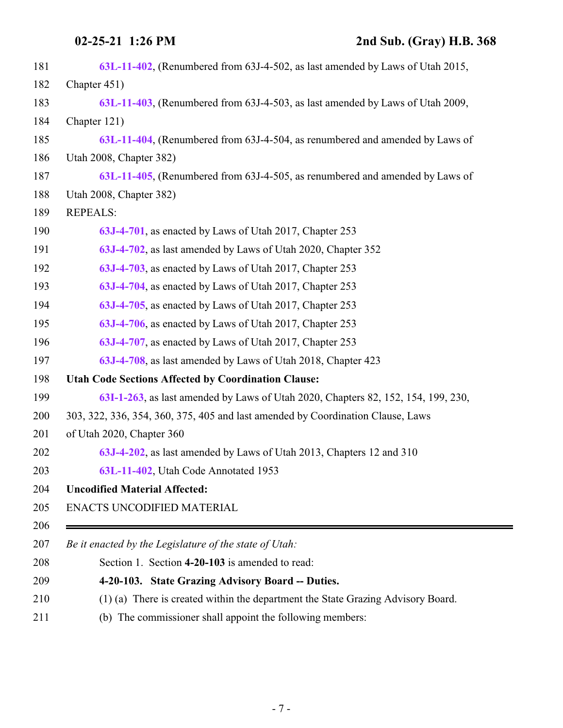<span id="page-6-0"></span>Ė.

| 181 | 63L-11-402, (Renumbered from 63J-4-502, as last amended by Laws of Utah 2015,     |
|-----|-----------------------------------------------------------------------------------|
| 182 | Chapter 451)                                                                      |
| 183 | 63L-11-403, (Renumbered from 63J-4-503, as last amended by Laws of Utah 2009,     |
| 184 | Chapter 121)                                                                      |
| 185 | 63L-11-404, (Renumbered from 63J-4-504, as renumbered and amended by Laws of      |
| 186 | Utah 2008, Chapter 382)                                                           |
| 187 | 63L-11-405, (Renumbered from 63J-4-505, as renumbered and amended by Laws of      |
| 188 | Utah 2008, Chapter 382)                                                           |
| 189 | <b>REPEALS:</b>                                                                   |
| 190 | 63J-4-701, as enacted by Laws of Utah 2017, Chapter 253                           |
| 191 | 63J-4-702, as last amended by Laws of Utah 2020, Chapter 352                      |
| 192 | 63J-4-703, as enacted by Laws of Utah 2017, Chapter 253                           |
| 193 | 63J-4-704, as enacted by Laws of Utah 2017, Chapter 253                           |
| 194 | 63J-4-705, as enacted by Laws of Utah 2017, Chapter 253                           |
| 195 | 63J-4-706, as enacted by Laws of Utah 2017, Chapter 253                           |
| 196 | 63J-4-707, as enacted by Laws of Utah 2017, Chapter 253                           |
| 197 | 63J-4-708, as last amended by Laws of Utah 2018, Chapter 423                      |
| 198 | <b>Utah Code Sections Affected by Coordination Clause:</b>                        |
| 199 | 63I-1-263, as last amended by Laws of Utah 2020, Chapters 82, 152, 154, 199, 230, |
| 200 | 303, 322, 336, 354, 360, 375, 405 and last amended by Coordination Clause, Laws   |
| 201 | of Utah 2020, Chapter 360                                                         |
| 202 | 63J-4-202, as last amended by Laws of Utah 2013, Chapters 12 and 310              |
| 203 | 63L-11-402, Utah Code Annotated 1953                                              |
| 204 | <b>Uncodified Material Affected:</b>                                              |
| 205 | ENACTS UNCODIFIED MATERIAL                                                        |
| 206 |                                                                                   |
| 207 | Be it enacted by the Legislature of the state of Utah:                            |
| 208 | Section 1. Section 4-20-103 is amended to read:                                   |
| 209 | 4-20-103. State Grazing Advisory Board -- Duties.                                 |
| 210 | (1) (a) There is created within the department the State Grazing Advisory Board.  |
| 211 | (b) The commissioner shall appoint the following members:                         |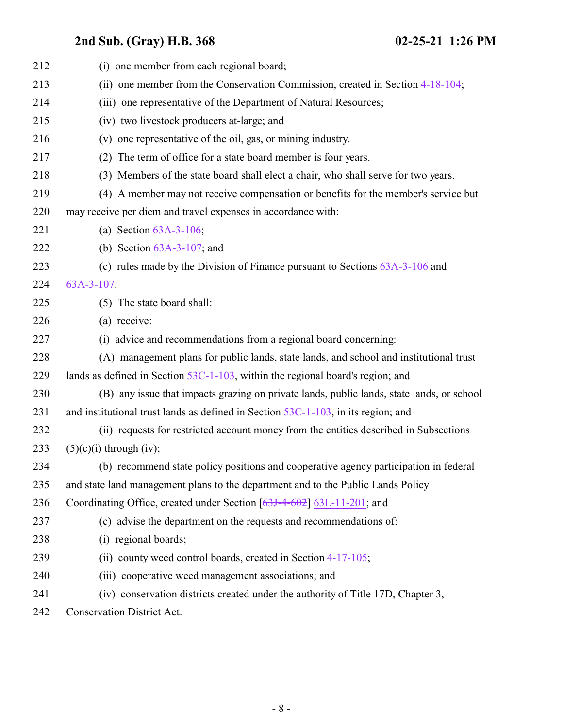| 212 | (i) one member from each regional board;                                                  |
|-----|-------------------------------------------------------------------------------------------|
| 213 | (ii) one member from the Conservation Commission, created in Section 4-18-104;            |
| 214 | (iii) one representative of the Department of Natural Resources;                          |
| 215 | (iv) two livestock producers at-large; and                                                |
| 216 | (v) one representative of the oil, gas, or mining industry.                               |
| 217 | The term of office for a state board member is four years.<br>(2)                         |
| 218 | (3) Members of the state board shall elect a chair, who shall serve for two years.        |
| 219 | (4) A member may not receive compensation or benefits for the member's service but        |
| 220 | may receive per diem and travel expenses in accordance with:                              |
| 221 | (a) Section $63A-3-106$ ;                                                                 |
| 222 | (b) Section $63A-3-107$ ; and                                                             |
| 223 | (c) rules made by the Division of Finance pursuant to Sections $63A-3-106$ and            |
| 224 | $63A-3-107$ .                                                                             |
| 225 | (5) The state board shall:                                                                |
| 226 | (a) receive:                                                                              |
| 227 | (i) advice and recommendations from a regional board concerning:                          |
| 228 | (A) management plans for public lands, state lands, and school and institutional trust    |
| 229 | lands as defined in Section $53C-1-103$ , within the regional board's region; and         |
| 230 | (B) any issue that impacts grazing on private lands, public lands, state lands, or school |
| 231 | and institutional trust lands as defined in Section $53C-1-103$ , in its region; and      |
| 232 | (ii) requests for restricted account money from the entities described in Subsections     |
| 233 | $(5)(c)(i)$ through (iv);                                                                 |
| 234 | (b) recommend state policy positions and cooperative agency participation in federal      |
| 235 | and state land management plans to the department and to the Public Lands Policy          |
| 236 | Coordinating Office, created under Section [63J-4-602] 63L-11-201; and                    |
| 237 | (c) advise the department on the requests and recommendations of:                         |
| 238 | (i) regional boards;                                                                      |
| 239 | (ii) county weed control boards, created in Section 4-17-105;                             |
| 240 | (iii) cooperative weed management associations; and                                       |
| 241 | (iv) conservation districts created under the authority of Title 17D, Chapter 3,          |
| 242 | Conservation District Act.                                                                |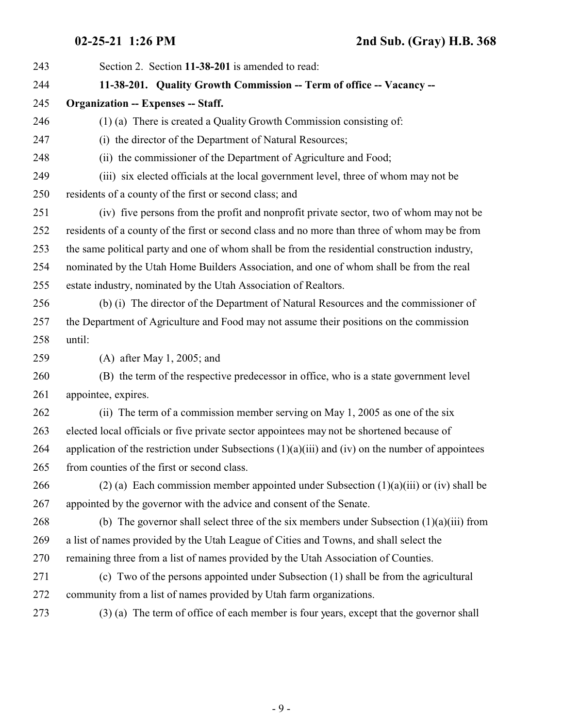<span id="page-8-0"></span>

| 243 | Section 2. Section 11-38-201 is amended to read:                                                      |
|-----|-------------------------------------------------------------------------------------------------------|
| 244 | 11-38-201. Quality Growth Commission -- Term of office -- Vacancy --                                  |
| 245 | <b>Organization -- Expenses -- Staff.</b>                                                             |
| 246 | (1) (a) There is created a Quality Growth Commission consisting of:                                   |
| 247 | (i) the director of the Department of Natural Resources;                                              |
| 248 | (ii) the commissioner of the Department of Agriculture and Food;                                      |
| 249 | (iii) six elected officials at the local government level, three of whom may not be                   |
| 250 | residents of a county of the first or second class; and                                               |
| 251 | (iv) five persons from the profit and nonprofit private sector, two of whom may not be                |
| 252 | residents of a county of the first or second class and no more than three of whom may be from         |
| 253 | the same political party and one of whom shall be from the residential construction industry,         |
| 254 | nominated by the Utah Home Builders Association, and one of whom shall be from the real               |
| 255 | estate industry, nominated by the Utah Association of Realtors.                                       |
| 256 | (b) (i) The director of the Department of Natural Resources and the commissioner of                   |
| 257 | the Department of Agriculture and Food may not assume their positions on the commission               |
| 258 | until:                                                                                                |
| 259 | $(A)$ after May 1, 2005; and                                                                          |
| 260 | (B) the term of the respective predecessor in office, who is a state government level                 |
| 261 | appointee, expires.                                                                                   |
| 262 | (ii) The term of a commission member serving on May 1, 2005 as one of the six                         |
| 263 | elected local officials or five private sector appointees may not be shortened because of             |
| 264 | application of the restriction under Subsections $(1)(a)(iii)$ and $(iv)$ on the number of appointees |
| 265 | from counties of the first or second class.                                                           |
| 266 | (2) (a) Each commission member appointed under Subsection $(1)(a)(iii)$ or (iv) shall be              |
| 267 | appointed by the governor with the advice and consent of the Senate.                                  |
| 268 | (b) The governor shall select three of the six members under Subsection $(1)(a)(iii)$ from            |
| 269 | a list of names provided by the Utah League of Cities and Towns, and shall select the                 |
| 270 | remaining three from a list of names provided by the Utah Association of Counties.                    |
| 271 | (c) Two of the persons appointed under Subsection (1) shall be from the agricultural                  |
| 272 | community from a list of names provided by Utah farm organizations.                                   |
| 273 | (3) (a) The term of office of each member is four years, except that the governor shall               |
|     |                                                                                                       |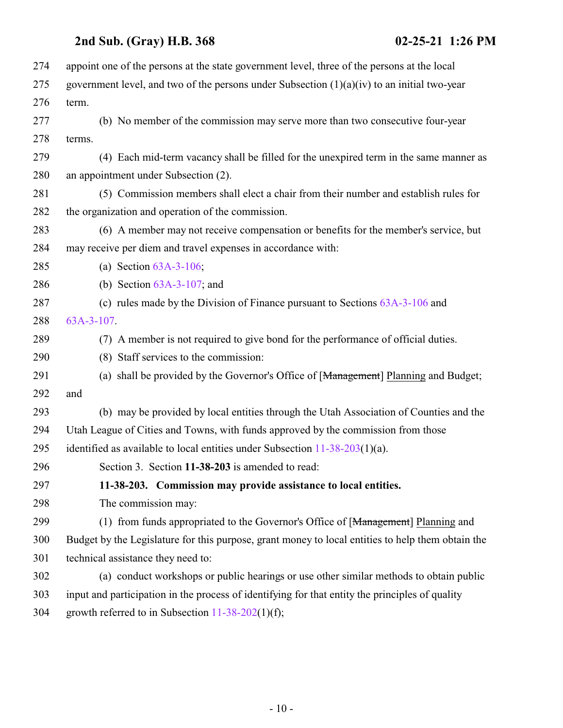<span id="page-9-0"></span>

| 274 | appoint one of the persons at the state government level, three of the persons at the local       |
|-----|---------------------------------------------------------------------------------------------------|
| 275 | government level, and two of the persons under Subsection $(1)(a)(iv)$ to an initial two-year     |
| 276 | term.                                                                                             |
| 277 | (b) No member of the commission may serve more than two consecutive four-year                     |
| 278 | terms.                                                                                            |
| 279 | (4) Each mid-term vacancy shall be filled for the unexpired term in the same manner as            |
| 280 | an appointment under Subsection (2).                                                              |
| 281 | (5) Commission members shall elect a chair from their number and establish rules for              |
| 282 | the organization and operation of the commission.                                                 |
| 283 | (6) A member may not receive compensation or benefits for the member's service, but               |
| 284 | may receive per diem and travel expenses in accordance with:                                      |
| 285 | (a) Section $63A-3-106$ ;                                                                         |
| 286 | (b) Section $63A-3-107$ ; and                                                                     |
| 287 | (c) rules made by the Division of Finance pursuant to Sections $63A-3-106$ and                    |
| 288 | $63A-3-107$ .                                                                                     |
| 289 | (7) A member is not required to give bond for the performance of official duties.                 |
| 290 | (8) Staff services to the commission:                                                             |
| 291 | (a) shall be provided by the Governor's Office of [Management] Planning and Budget;               |
| 292 | and                                                                                               |
| 293 | (b) may be provided by local entities through the Utah Association of Counties and the            |
| 294 | Utah League of Cities and Towns, with funds approved by the commission from those                 |
| 295 | identified as available to local entities under Subsection $11-38-203(1)(a)$ .                    |
| 296 | Section 3. Section 11-38-203 is amended to read:                                                  |
| 297 | 11-38-203. Commission may provide assistance to local entities.                                   |
| 298 | The commission may:                                                                               |
| 299 | (1) from funds appropriated to the Governor's Office of [Management] Planning and                 |
| 300 | Budget by the Legislature for this purpose, grant money to local entities to help them obtain the |
| 301 | technical assistance they need to:                                                                |
| 302 | (a) conduct workshops or public hearings or use other similar methods to obtain public            |
| 303 | input and participation in the process of identifying for that entity the principles of quality   |
| 304 | growth referred to in Subsection $11-38-202(1)(f)$ ;                                              |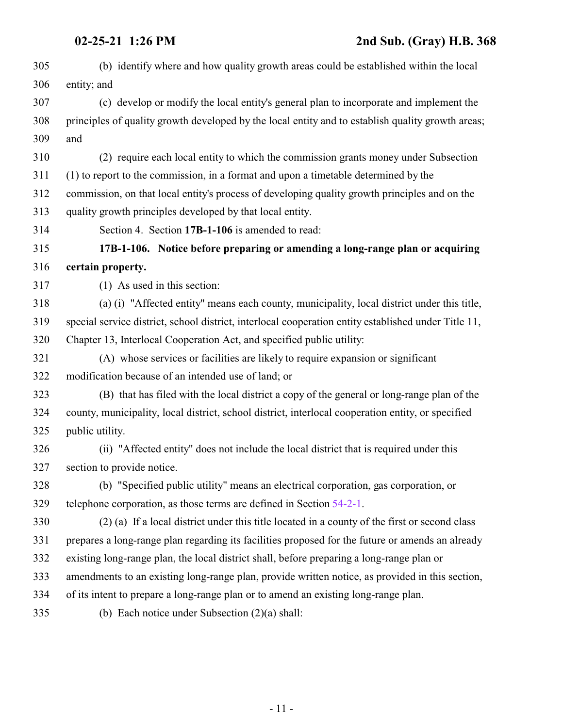<span id="page-10-0"></span>

| 305 | (b) identify where and how quality growth areas could be established within the local                |
|-----|------------------------------------------------------------------------------------------------------|
| 306 | entity; and                                                                                          |
| 307 | (c) develop or modify the local entity's general plan to incorporate and implement the               |
| 308 | principles of quality growth developed by the local entity and to establish quality growth areas;    |
| 309 | and                                                                                                  |
| 310 | (2) require each local entity to which the commission grants money under Subsection                  |
| 311 | (1) to report to the commission, in a format and upon a timetable determined by the                  |
| 312 | commission, on that local entity's process of developing quality growth principles and on the        |
| 313 | quality growth principles developed by that local entity.                                            |
| 314 | Section 4. Section 17B-1-106 is amended to read:                                                     |
| 315 | 17B-1-106. Notice before preparing or amending a long-range plan or acquiring                        |
| 316 | certain property.                                                                                    |
| 317 | $(1)$ As used in this section:                                                                       |
| 318 | (a) (i) "Affected entity" means each county, municipality, local district under this title,          |
| 319 | special service district, school district, interlocal cooperation entity established under Title 11, |
| 320 | Chapter 13, Interlocal Cooperation Act, and specified public utility:                                |
| 321 | (A) whose services or facilities are likely to require expansion or significant                      |
| 322 | modification because of an intended use of land; or                                                  |
| 323 | (B) that has filed with the local district a copy of the general or long-range plan of the           |
| 324 | county, municipality, local district, school district, interlocal cooperation entity, or specified   |
| 325 | public utility.                                                                                      |
| 326 | (ii) "Affected entity" does not include the local district that is required under this               |
| 327 | section to provide notice.                                                                           |
| 328 | (b) "Specified public utility" means an electrical corporation, gas corporation, or                  |
| 329 | telephone corporation, as those terms are defined in Section 54-2-1.                                 |
| 330 | (2) (a) If a local district under this title located in a county of the first or second class        |
| 331 | prepares a long-range plan regarding its facilities proposed for the future or amends an already     |
| 332 | existing long-range plan, the local district shall, before preparing a long-range plan or            |
| 333 | amendments to an existing long-range plan, provide written notice, as provided in this section,      |
| 334 | of its intent to prepare a long-range plan or to amend an existing long-range plan.                  |
| 335 | (b) Each notice under Subsection $(2)(a)$ shall:                                                     |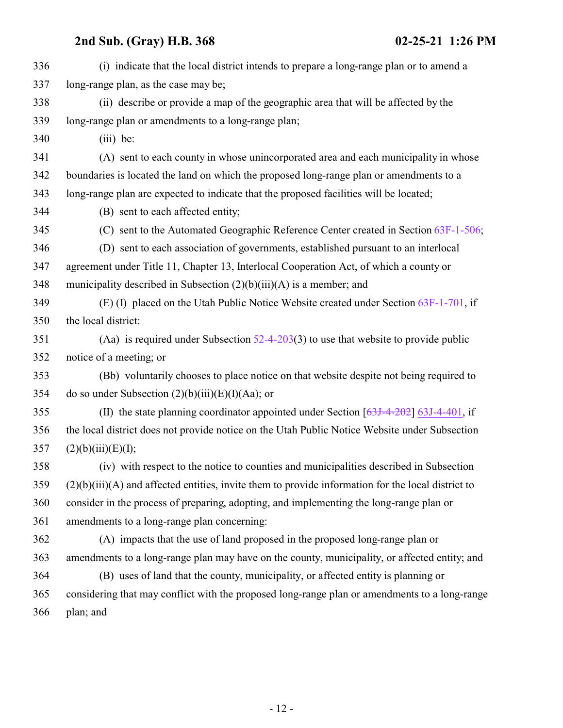| 336 | (i) indicate that the local district intends to prepare a long-range plan or to amend a              |
|-----|------------------------------------------------------------------------------------------------------|
| 337 | long-range plan, as the case may be;                                                                 |
| 338 | (ii) describe or provide a map of the geographic area that will be affected by the                   |
| 339 | long-range plan or amendments to a long-range plan;                                                  |
| 340 | $(iii)$ be:                                                                                          |
| 341 | (A) sent to each county in whose unincorporated area and each municipality in whose                  |
| 342 | boundaries is located the land on which the proposed long-range plan or amendments to a              |
| 343 | long-range plan are expected to indicate that the proposed facilities will be located;               |
| 344 | (B) sent to each affected entity;                                                                    |
| 345 | (C) sent to the Automated Geographic Reference Center created in Section 63F-1-506;                  |
| 346 | (D) sent to each association of governments, established pursuant to an interlocal                   |
| 347 | agreement under Title 11, Chapter 13, Interlocal Cooperation Act, of which a county or               |
| 348 | municipality described in Subsection $(2)(b)(iii)(A)$ is a member; and                               |
| 349 | (E) (I) placed on the Utah Public Notice Website created under Section $63F-1-701$ , if              |
| 350 | the local district:                                                                                  |
| 351 | (Aa) is required under Subsection $52-4-203(3)$ to use that website to provide public                |
| 352 | notice of a meeting; or                                                                              |
| 353 | (Bb) voluntarily chooses to place notice on that website despite not being required to               |
| 354 | do so under Subsection $(2)(b)(iii)(E)(I)(Aa)$ ; or                                                  |
| 355 | (II) the state planning coordinator appointed under Section $[63J-4-202]$ 63J-4-401, if              |
| 356 | the local district does not provide notice on the Utah Public Notice Website under Subsection        |
| 357 | (2)(b)(iii)(E)(I);                                                                                   |
| 358 | (iv) with respect to the notice to counties and municipalities described in Subsection               |
| 359 | $(2)(b)(iii)(A)$ and affected entities, invite them to provide information for the local district to |
| 360 | consider in the process of preparing, adopting, and implementing the long-range plan or              |
| 361 | amendments to a long-range plan concerning:                                                          |
| 362 | (A) impacts that the use of land proposed in the proposed long-range plan or                         |
| 363 | amendments to a long-range plan may have on the county, municipality, or affected entity; and        |
| 364 | (B) uses of land that the county, municipality, or affected entity is planning or                    |
| 365 | considering that may conflict with the proposed long-range plan or amendments to a long-range        |
| 366 | plan; and                                                                                            |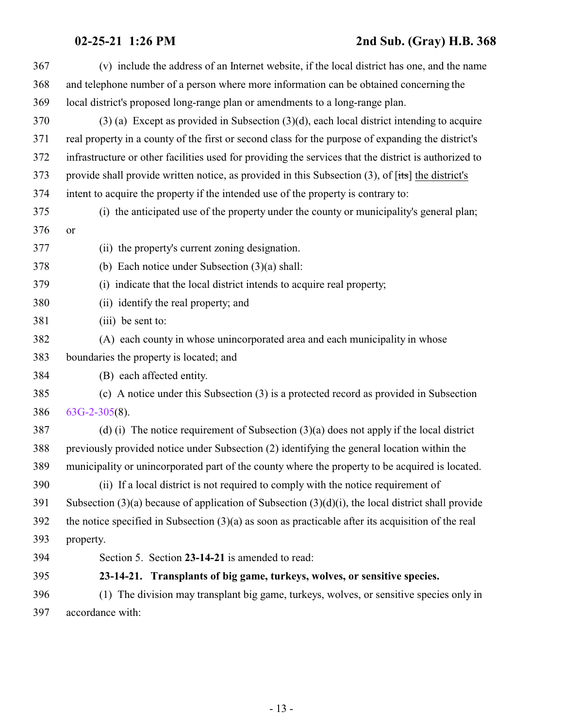### **02-25-21 1:26 PM 2nd Sub. (Gray) H.B. 368**

<span id="page-12-0"></span>

| 367 | (v) include the address of an Internet website, if the local district has one, and the name                           |
|-----|-----------------------------------------------------------------------------------------------------------------------|
| 368 | and telephone number of a person where more information can be obtained concerning the                                |
| 369 | local district's proposed long-range plan or amendments to a long-range plan.                                         |
| 370 | $(3)$ (a) Except as provided in Subsection $(3)(d)$ , each local district intending to acquire                        |
| 371 | real property in a county of the first or second class for the purpose of expanding the district's                    |
| 372 | infrastructure or other facilities used for providing the services that the district is authorized to                 |
| 373 | provide shall provide written notice, as provided in this Subsection $(3)$ , of $[t\ddot{\mathbf{s}}]$ the district's |
| 374 | intent to acquire the property if the intended use of the property is contrary to:                                    |
| 375 | (i) the anticipated use of the property under the county or municipality's general plan;                              |
| 376 | <b>or</b>                                                                                                             |
| 377 | (ii) the property's current zoning designation.                                                                       |
| 378 | (b) Each notice under Subsection $(3)(a)$ shall:                                                                      |
| 379 | (i) indicate that the local district intends to acquire real property;                                                |
| 380 | (ii) identify the real property; and                                                                                  |
| 381 | (iii) be sent to:                                                                                                     |
| 382 | (A) each county in whose unincorporated area and each municipality in whose                                           |
| 383 | boundaries the property is located; and                                                                               |
| 384 | (B) each affected entity.                                                                                             |
| 385 | (c) A notice under this Subsection (3) is a protected record as provided in Subsection                                |
| 386 | $63G-2-305(8)$ .                                                                                                      |
| 387 | (d) (i) The notice requirement of Subsection $(3)(a)$ does not apply if the local district                            |
| 388 | previously provided notice under Subsection (2) identifying the general location within the                           |
| 389 | municipality or unincorporated part of the county where the property to be acquired is located.                       |
| 390 | (ii) If a local district is not required to comply with the notice requirement of                                     |
| 391 | Subsection $(3)(a)$ because of application of Subsection $(3)(d)(i)$ , the local district shall provide               |
| 392 | the notice specified in Subsection $(3)(a)$ as soon as practicable after its acquisition of the real                  |
| 393 | property.                                                                                                             |
| 394 | Section 5. Section 23-14-21 is amended to read:                                                                       |
| 395 | 23-14-21. Transplants of big game, turkeys, wolves, or sensitive species.                                             |
| 396 | (1) The division may transplant big game, turkeys, wolves, or sensitive species only in                               |
| 397 | accordance with:                                                                                                      |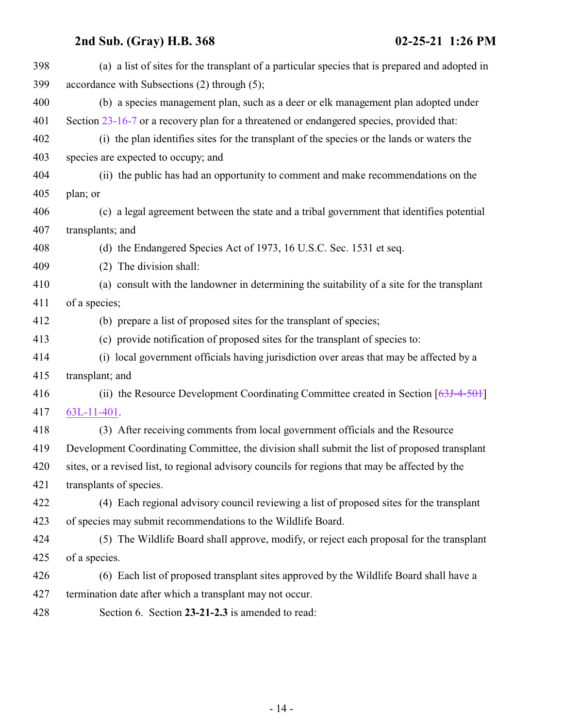<span id="page-13-0"></span>

| 398 | (a) a list of sites for the transplant of a particular species that is prepared and adopted in  |
|-----|-------------------------------------------------------------------------------------------------|
| 399 | accordance with Subsections (2) through (5);                                                    |
| 400 | (b) a species management plan, such as a deer or elk management plan adopted under              |
| 401 | Section 23-16-7 or a recovery plan for a threatened or endangered species, provided that:       |
| 402 | (i) the plan identifies sites for the transplant of the species or the lands or waters the      |
| 403 | species are expected to occupy; and                                                             |
| 404 | (ii) the public has had an opportunity to comment and make recommendations on the               |
| 405 | plan; or                                                                                        |
| 406 | (c) a legal agreement between the state and a tribal government that identifies potential       |
| 407 | transplants; and                                                                                |
| 408 | (d) the Endangered Species Act of 1973, 16 U.S.C. Sec. 1531 et seq.                             |
| 409 | (2) The division shall:                                                                         |
| 410 | (a) consult with the landowner in determining the suitability of a site for the transplant      |
| 411 | of a species;                                                                                   |
| 412 | (b) prepare a list of proposed sites for the transplant of species;                             |
| 413 | (c) provide notification of proposed sites for the transplant of species to:                    |
| 414 | (i) local government officials having jurisdiction over areas that may be affected by a         |
| 415 | transplant; and                                                                                 |
| 416 | (ii) the Resource Development Coordinating Committee created in Section $[63J-4-50+]$           |
| 417 | $63L-11-401$ .                                                                                  |
| 418 | (3) After receiving comments from local government officials and the Resource                   |
| 419 | Development Coordinating Committee, the division shall submit the list of proposed transplant   |
| 420 | sites, or a revised list, to regional advisory councils for regions that may be affected by the |
| 421 | transplants of species.                                                                         |
| 422 | (4) Each regional advisory council reviewing a list of proposed sites for the transplant        |
| 423 | of species may submit recommendations to the Wildlife Board.                                    |
| 424 | (5) The Wildlife Board shall approve, modify, or reject each proposal for the transplant        |
| 425 | of a species.                                                                                   |
| 426 | (6) Each list of proposed transplant sites approved by the Wildlife Board shall have a          |
| 427 | termination date after which a transplant may not occur.                                        |
| 428 | Section 6. Section 23-21-2.3 is amended to read:                                                |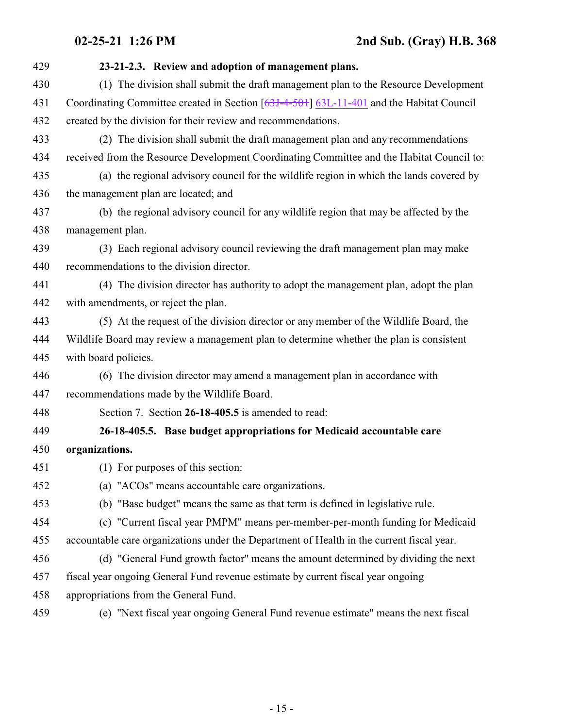<span id="page-14-0"></span>

| 429 | 23-21-2.3. Review and adoption of management plans.                                       |
|-----|-------------------------------------------------------------------------------------------|
| 430 | (1) The division shall submit the draft management plan to the Resource Development       |
| 431 | Coordinating Committee created in Section [63J-4-501] 63L-11-401 and the Habitat Council  |
| 432 | created by the division for their review and recommendations.                             |
| 433 | (2) The division shall submit the draft management plan and any recommendations           |
| 434 | received from the Resource Development Coordinating Committee and the Habitat Council to: |
| 435 | (a) the regional advisory council for the wildlife region in which the lands covered by   |
| 436 | the management plan are located; and                                                      |
| 437 | (b) the regional advisory council for any wildlife region that may be affected by the     |
| 438 | management plan.                                                                          |
| 439 | (3) Each regional advisory council reviewing the draft management plan may make           |
| 440 | recommendations to the division director.                                                 |
| 441 | (4) The division director has authority to adopt the management plan, adopt the plan      |
| 442 | with amendments, or reject the plan.                                                      |
| 443 | (5) At the request of the division director or any member of the Wildlife Board, the      |
| 444 | Wildlife Board may review a management plan to determine whether the plan is consistent   |
| 445 | with board policies.                                                                      |
| 446 | (6) The division director may amend a management plan in accordance with                  |
| 447 | recommendations made by the Wildlife Board.                                               |
| 448 | Section 7. Section 26-18-405.5 is amended to read:                                        |
| 449 | 26-18-405.5. Base budget appropriations for Medicaid accountable care                     |
| 450 | organizations.                                                                            |
| 451 | (1) For purposes of this section:                                                         |
| 452 | (a) "ACOs" means accountable care organizations.                                          |
| 453 | (b) "Base budget" means the same as that term is defined in legislative rule.             |
| 454 | (c) "Current fiscal year PMPM" means per-member-per-month funding for Medicaid            |
| 455 | accountable care organizations under the Department of Health in the current fiscal year. |
| 456 | (d) "General Fund growth factor" means the amount determined by dividing the next         |
| 457 | fiscal year ongoing General Fund revenue estimate by current fiscal year ongoing          |
| 458 | appropriations from the General Fund.                                                     |
| 459 | (e) "Next fiscal year ongoing General Fund revenue estimate" means the next fiscal        |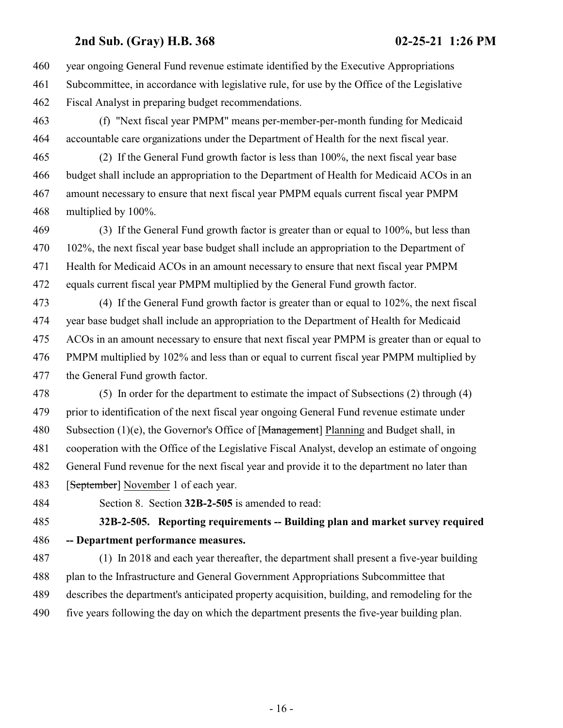year ongoing General Fund revenue estimate identified by the Executive Appropriations Subcommittee, in accordance with legislative rule, for use by the Office of the Legislative Fiscal Analyst in preparing budget recommendations.

 (f) "Next fiscal year PMPM" means per-member-per-month funding for Medicaid accountable care organizations under the Department of Health for the next fiscal year.

 (2) If the General Fund growth factor is less than 100%, the next fiscal year base budget shall include an appropriation to the Department of Health for Medicaid ACOs in an amount necessary to ensure that next fiscal year PMPM equals current fiscal year PMPM multiplied by 100%.

 (3) If the General Fund growth factor is greater than or equal to 100%, but less than 102%, the next fiscal year base budget shall include an appropriation to the Department of Health for Medicaid ACOs in an amount necessary to ensure that next fiscal year PMPM equals current fiscal year PMPM multiplied by the General Fund growth factor.

 (4) If the General Fund growth factor is greater than or equal to 102%, the next fiscal year base budget shall include an appropriation to the Department of Health for Medicaid ACOs in an amount necessary to ensure that next fiscal year PMPM is greater than or equal to PMPM multiplied by 102% and less than or equal to current fiscal year PMPM multiplied by the General Fund growth factor.

 (5) In order for the department to estimate the impact of Subsections (2) through (4) prior to identification of the next fiscal year ongoing General Fund revenue estimate under 480 Subsection (1)(e), the Governor's Office of [Management] Planning and Budget shall, in cooperation with the Office of the Legislative Fiscal Analyst, develop an estimate of ongoing General Fund revenue for the next fiscal year and provide it to the department no later than **[September]** November 1 of each year.

<span id="page-15-0"></span>

Section 8. Section **32B-2-505** is amended to read:

 **32B-2-505. Reporting requirements -- Building plan and market survey required -- Department performance measures.**

 (1) In 2018 and each year thereafter, the department shall present a five-year building plan to the Infrastructure and General Government Appropriations Subcommittee that describes the department's anticipated property acquisition, building, and remodeling for the five years following the day on which the department presents the five-year building plan.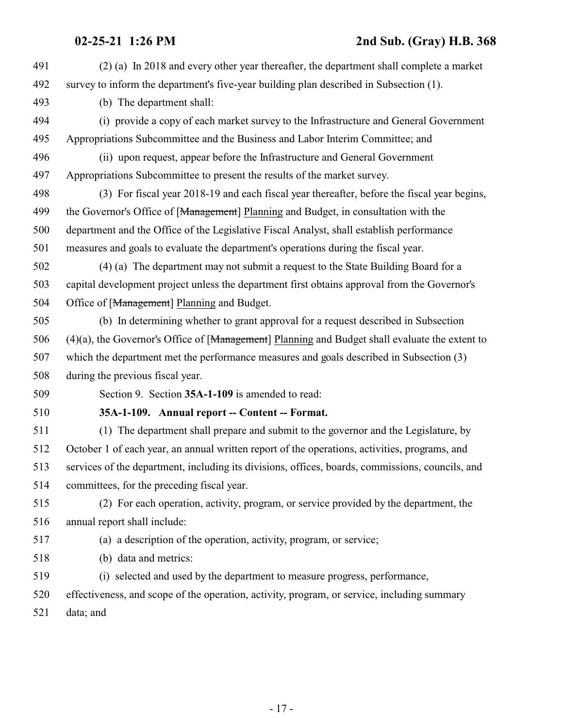<span id="page-16-0"></span>

| 491 | (2) (a) In 2018 and every other year thereafter, the department shall complete a market           |
|-----|---------------------------------------------------------------------------------------------------|
| 492 | survey to inform the department's five-year building plan described in Subsection (1).            |
| 493 | (b) The department shall:                                                                         |
| 494 | (i) provide a copy of each market survey to the Infrastructure and General Government             |
| 495 | Appropriations Subcommittee and the Business and Labor Interim Committee; and                     |
| 496 | (ii) upon request, appear before the Infrastructure and General Government                        |
| 497 | Appropriations Subcommittee to present the results of the market survey.                          |
| 498 | (3) For fiscal year 2018-19 and each fiscal year thereafter, before the fiscal year begins,       |
| 499 | the Governor's Office of [Management] Planning and Budget, in consultation with the               |
| 500 | department and the Office of the Legislative Fiscal Analyst, shall establish performance          |
| 501 | measures and goals to evaluate the department's operations during the fiscal year.                |
| 502 | (4) (a) The department may not submit a request to the State Building Board for a                 |
| 503 | capital development project unless the department first obtains approval from the Governor's      |
| 504 | Office of [Management] Planning and Budget.                                                       |
| 505 | (b) In determining whether to grant approval for a request described in Subsection                |
| 506 | $(4)(a)$ , the Governor's Office of [Management] Planning and Budget shall evaluate the extent to |
| 507 | which the department met the performance measures and goals described in Subsection (3)           |
| 508 | during the previous fiscal year.                                                                  |
| 509 | Section 9. Section 35A-1-109 is amended to read:                                                  |
| 510 | 35A-1-109. Annual report -- Content -- Format.                                                    |
| 511 | (1) The department shall prepare and submit to the governor and the Legislature, by               |
| 512 | October 1 of each year, an annual written report of the operations, activities, programs, and     |
| 513 | services of the department, including its divisions, offices, boards, commissions, councils, and  |
| 514 | committees, for the preceding fiscal year.                                                        |
| 515 | (2) For each operation, activity, program, or service provided by the department, the             |
| 516 | annual report shall include:                                                                      |
| 517 | (a) a description of the operation, activity, program, or service;                                |
| 518 | (b) data and metrics:                                                                             |
| 519 | (i) selected and used by the department to measure progress, performance,                         |
| 520 | effectiveness, and scope of the operation, activity, program, or service, including summary       |
| 521 | data; and                                                                                         |
|     |                                                                                                   |
|     |                                                                                                   |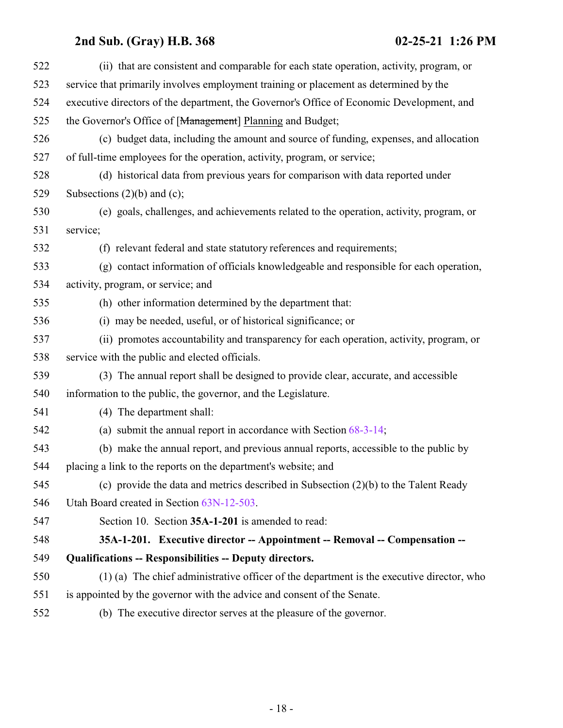<span id="page-17-0"></span>

| 522 | (ii) that are consistent and comparable for each state operation, activity, program, or   |
|-----|-------------------------------------------------------------------------------------------|
| 523 | service that primarily involves employment training or placement as determined by the     |
| 524 | executive directors of the department, the Governor's Office of Economic Development, and |
| 525 | the Governor's Office of [Management] Planning and Budget;                                |
| 526 | (c) budget data, including the amount and source of funding, expenses, and allocation     |
| 527 | of full-time employees for the operation, activity, program, or service;                  |
| 528 | (d) historical data from previous years for comparison with data reported under           |
| 529 | Subsections $(2)(b)$ and $(c)$ ;                                                          |
| 530 | (e) goals, challenges, and achievements related to the operation, activity, program, or   |
| 531 | service;                                                                                  |
| 532 | (f) relevant federal and state statutory references and requirements;                     |
| 533 | (g) contact information of officials knowledgeable and responsible for each operation,    |
| 534 | activity, program, or service; and                                                        |
| 535 | (h) other information determined by the department that:                                  |
| 536 | (i) may be needed, useful, or of historical significance; or                              |
| 537 | (ii) promotes accountability and transparency for each operation, activity, program, or   |
| 538 | service with the public and elected officials.                                            |
| 539 | (3) The annual report shall be designed to provide clear, accurate, and accessible        |
| 540 | information to the public, the governor, and the Legislature.                             |
| 541 | (4) The department shall:                                                                 |
| 542 | (a) submit the annual report in accordance with Section $68-3-14$ ;                       |
| 543 | (b) make the annual report, and previous annual reports, accessible to the public by      |
| 544 | placing a link to the reports on the department's website; and                            |
| 545 | (c) provide the data and metrics described in Subsection $(2)(b)$ to the Talent Ready     |
| 546 | Utah Board created in Section 63N-12-503.                                                 |
| 547 | Section 10. Section 35A-1-201 is amended to read:                                         |
| 548 | 35A-1-201. Executive director -- Appointment -- Removal -- Compensation --                |
| 549 | <b>Qualifications -- Responsibilities -- Deputy directors.</b>                            |
| 550 | (1) (a) The chief administrative officer of the department is the executive director, who |
| 551 | is appointed by the governor with the advice and consent of the Senate.                   |
| 552 | (b) The executive director serves at the pleasure of the governor.                        |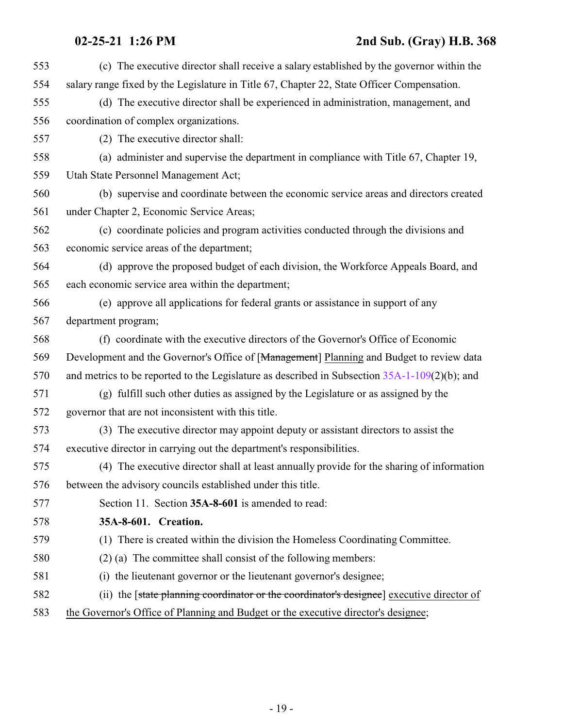### **02-25-21 1:26 PM 2nd Sub. (Gray) H.B. 368**

<span id="page-18-0"></span>

| 553 | (c) The executive director shall receive a salary established by the governor within the         |
|-----|--------------------------------------------------------------------------------------------------|
| 554 | salary range fixed by the Legislature in Title 67, Chapter 22, State Officer Compensation.       |
| 555 | (d) The executive director shall be experienced in administration, management, and               |
| 556 | coordination of complex organizations.                                                           |
| 557 | (2) The executive director shall:                                                                |
| 558 | (a) administer and supervise the department in compliance with Title 67, Chapter 19,             |
| 559 | Utah State Personnel Management Act;                                                             |
| 560 | (b) supervise and coordinate between the economic service areas and directors created            |
| 561 | under Chapter 2, Economic Service Areas;                                                         |
| 562 | (c) coordinate policies and program activities conducted through the divisions and               |
| 563 | economic service areas of the department;                                                        |
| 564 | (d) approve the proposed budget of each division, the Workforce Appeals Board, and               |
| 565 | each economic service area within the department;                                                |
| 566 | (e) approve all applications for federal grants or assistance in support of any                  |
| 567 | department program;                                                                              |
| 568 | (f) coordinate with the executive directors of the Governor's Office of Economic                 |
| 569 | Development and the Governor's Office of [Management] Planning and Budget to review data         |
| 570 | and metrics to be reported to the Legislature as described in Subsection $35A-1-109(2)(b)$ ; and |
| 571 | (g) fulfill such other duties as assigned by the Legislature or as assigned by the               |
| 572 | governor that are not inconsistent with this title.                                              |
| 573 | (3) The executive director may appoint deputy or assistant directors to assist the               |
| 574 | executive director in carrying out the department's responsibilities.                            |
| 575 | (4) The executive director shall at least annually provide for the sharing of information        |
| 576 | between the advisory councils established under this title.                                      |
| 577 | Section 11. Section 35A-8-601 is amended to read:                                                |
| 578 | 35A-8-601. Creation.                                                                             |
| 579 | (1) There is created within the division the Homeless Coordinating Committee.                    |
| 580 | $(2)$ (a) The committee shall consist of the following members:                                  |
| 581 | (i) the lieutenant governor or the lieutenant governor's designee;                               |
| 582 | (ii) the [state planning coordinator or the coordinator's designee] executive director of        |
| 583 | the Governor's Office of Planning and Budget or the executive director's designee;               |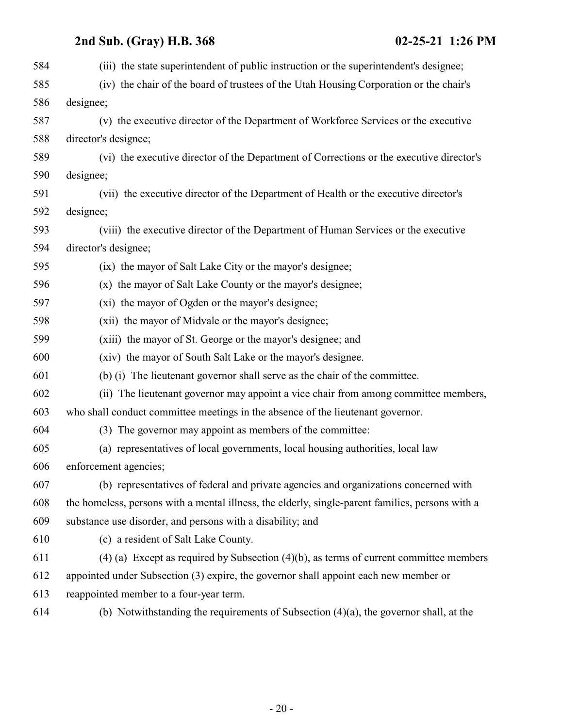| 584 | (iii) the state superintendent of public instruction or the superintendent's designee;           |
|-----|--------------------------------------------------------------------------------------------------|
| 585 | (iv) the chair of the board of trustees of the Utah Housing Corporation or the chair's           |
| 586 | designee;                                                                                        |
| 587 | (v) the executive director of the Department of Workforce Services or the executive              |
| 588 | director's designee;                                                                             |
| 589 | (vi) the executive director of the Department of Corrections or the executive director's         |
| 590 | designee;                                                                                        |
| 591 | (vii) the executive director of the Department of Health or the executive director's             |
| 592 | designee;                                                                                        |
| 593 | (viii) the executive director of the Department of Human Services or the executive               |
| 594 | director's designee;                                                                             |
| 595 | (ix) the mayor of Salt Lake City or the mayor's designee;                                        |
| 596 | (x) the mayor of Salt Lake County or the mayor's designee;                                       |
| 597 | (xi) the mayor of Ogden or the mayor's designee;                                                 |
| 598 | (xii) the mayor of Midvale or the mayor's designee;                                              |
| 599 | (xiii) the mayor of St. George or the mayor's designee; and                                      |
| 600 | (xiv) the mayor of South Salt Lake or the mayor's designee.                                      |
| 601 | (b) (i) The lieutenant governor shall serve as the chair of the committee.                       |
| 602 | (ii) The lieutenant governor may appoint a vice chair from among committee members,              |
| 603 | who shall conduct committee meetings in the absence of the lieutenant governor.                  |
| 604 | (3) The governor may appoint as members of the committee:                                        |
| 605 | (a) representatives of local governments, local housing authorities, local law                   |
| 606 | enforcement agencies;                                                                            |
| 607 | (b) representatives of federal and private agencies and organizations concerned with             |
| 608 | the homeless, persons with a mental illness, the elderly, single-parent families, persons with a |
| 609 | substance use disorder, and persons with a disability; and                                       |
| 610 | (c) a resident of Salt Lake County.                                                              |
| 611 | $(4)$ (a) Except as required by Subsection $(4)(b)$ , as terms of current committee members      |
| 612 | appointed under Subsection (3) expire, the governor shall appoint each new member or             |
| 613 | reappointed member to a four-year term.                                                          |
| 614 | (b) Notwithstanding the requirements of Subsection $(4)(a)$ , the governor shall, at the         |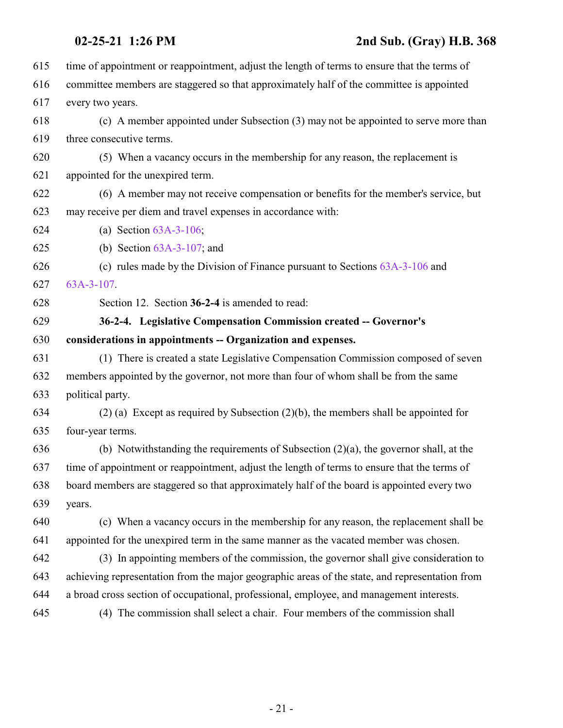<span id="page-20-0"></span>

| 615 | time of appointment or reappointment, adjust the length of terms to ensure that the terms of   |
|-----|------------------------------------------------------------------------------------------------|
| 616 | committee members are staggered so that approximately half of the committee is appointed       |
| 617 | every two years.                                                                               |
| 618 | (c) A member appointed under Subsection (3) may not be appointed to serve more than            |
| 619 | three consecutive terms.                                                                       |
| 620 | (5) When a vacancy occurs in the membership for any reason, the replacement is                 |
| 621 | appointed for the unexpired term.                                                              |
| 622 | (6) A member may not receive compensation or benefits for the member's service, but            |
| 623 | may receive per diem and travel expenses in accordance with:                                   |
| 624 | (a) Section $63A-3-106$ ;                                                                      |
| 625 | (b) Section $63A-3-107$ ; and                                                                  |
| 626 | (c) rules made by the Division of Finance pursuant to Sections $63A-3-106$ and                 |
| 627 | $63A-3-107$ .                                                                                  |
| 628 | Section 12. Section 36-2-4 is amended to read:                                                 |
| 629 | 36-2-4. Legislative Compensation Commission created -- Governor's                              |
| 630 | considerations in appointments -- Organization and expenses.                                   |
| 631 | (1) There is created a state Legislative Compensation Commission composed of seven             |
| 632 | members appointed by the governor, not more than four of whom shall be from the same           |
| 633 | political party.                                                                               |
| 634 | $(2)$ (a) Except as required by Subsection $(2)(b)$ , the members shall be appointed for       |
| 635 | four-year terms.                                                                               |
| 636 | (b) Notwithstanding the requirements of Subsection $(2)(a)$ , the governor shall, at the       |
| 637 | time of appointment or reappointment, adjust the length of terms to ensure that the terms of   |
| 638 | board members are staggered so that approximately half of the board is appointed every two     |
| 639 | years.                                                                                         |
| 640 | (c) When a vacancy occurs in the membership for any reason, the replacement shall be           |
| 641 | appointed for the unexpired term in the same manner as the vacated member was chosen.          |
| 642 | (3) In appointing members of the commission, the governor shall give consideration to          |
| 643 | achieving representation from the major geographic areas of the state, and representation from |
| 644 | a broad cross section of occupational, professional, employee, and management interests.       |
| 645 | (4) The commission shall select a chair. Four members of the commission shall                  |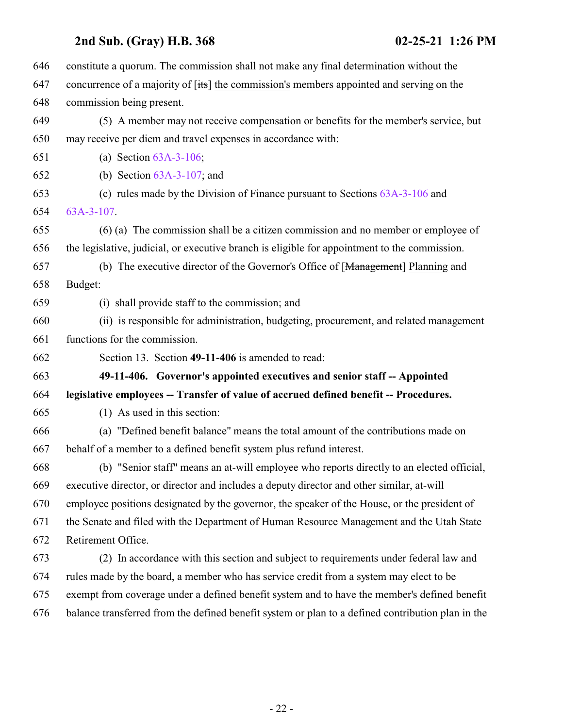<span id="page-21-0"></span> constitute a quorum. The commission shall not make any final determination without the 647 concurrence of a majority of  $[tts]$  the commission's members appointed and serving on the commission being present. (5) A member may not receive compensation or benefits for the member's service, but may receive per diem and travel expenses in accordance with: (a) Section [63A-3-106](http://le.utah.gov/UtahCode/SectionLookup.jsp?section=63a-3-106&session=2021GS); (b) Section [63A-3-107](http://le.utah.gov/UtahCode/SectionLookup.jsp?section=63a-3-107&session=2021GS); and (c) rules made by the Division of Finance pursuant to Sections [63A-3-106](http://le.utah.gov/UtahCode/SectionLookup.jsp?section=63a-3-106&session=2021GS) and [63A-3-107](http://le.utah.gov/UtahCode/SectionLookup.jsp?section=63a-3-107&session=2021GS). (6) (a) The commission shall be a citizen commission and no member or employee of the legislative, judicial, or executive branch is eligible for appointment to the commission. (b) The executive director of the Governor's Office of [Management] Planning and Budget: (i) shall provide staff to the commission; and (ii) is responsible for administration, budgeting, procurement, and related management functions for the commission. Section 13. Section **49-11-406** is amended to read: **49-11-406. Governor's appointed executives and senior staff -- Appointed legislative employees -- Transfer of value of accrued defined benefit -- Procedures.** (1) As used in this section: (a) "Defined benefit balance" means the total amount of the contributions made on behalf of a member to a defined benefit system plus refund interest. (b) "Senior staff" means an at-will employee who reports directly to an elected official, executive director, or director and includes a deputy director and other similar, at-will employee positions designated by the governor, the speaker of the House, or the president of the Senate and filed with the Department of Human Resource Management and the Utah State Retirement Office. (2) In accordance with this section and subject to requirements under federal law and rules made by the board, a member who has service credit from a system may elect to be exempt from coverage under a defined benefit system and to have the member's defined benefit balance transferred from the defined benefit system or plan to a defined contribution plan in the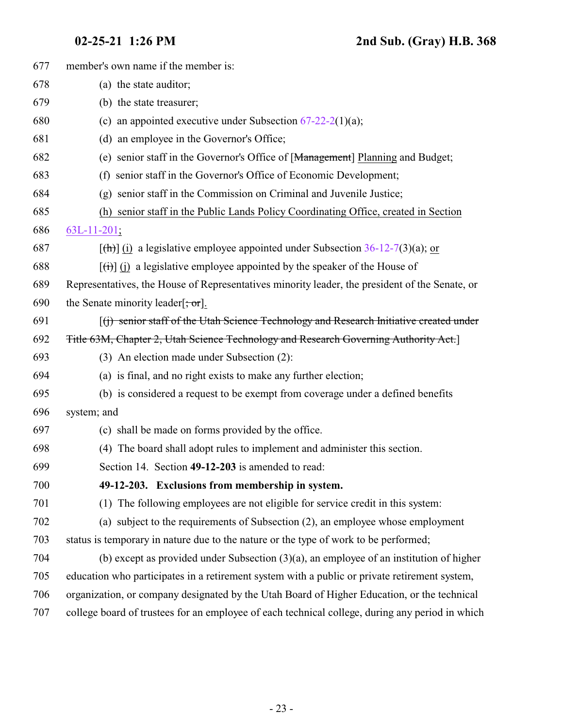<span id="page-22-0"></span>

| 677 | member's own name if the member is:                                                                         |
|-----|-------------------------------------------------------------------------------------------------------------|
| 678 | (a) the state auditor;                                                                                      |
| 679 | (b) the state treasurer;                                                                                    |
| 680 | (c) an appointed executive under Subsection $67-22-2(1)(a)$ ;                                               |
| 681 | (d) an employee in the Governor's Office;                                                                   |
| 682 | (e) senior staff in the Governor's Office of [Management] Planning and Budget;                              |
| 683 | (f) senior staff in the Governor's Office of Economic Development;                                          |
| 684 | (g) senior staff in the Commission on Criminal and Juvenile Justice;                                        |
| 685 | (h) senior staff in the Public Lands Policy Coordinating Office, created in Section                         |
| 686 | $63L-11-201;$                                                                                               |
| 687 | $[\text{th}]$ (i) a legislative employee appointed under Subsection 36-12-7(3)(a); or                       |
| 688 | $\left[\left(\frac{1}{1}\right)\right]$ (i) a legislative employee appointed by the speaker of the House of |
| 689 | Representatives, the House of Representatives minority leader, the president of the Senate, or              |
| 690 | the Senate minority leader $\left[\frac{1}{2}, \frac{1}{2}, \frac{1}{2}\right]$ .                           |
| 691 | [(j) senior staff of the Utah Science Technology and Research Initiative created under                      |
| 692 | Title 63M, Chapter 2, Utah Science Technology and Research Governing Authority Act.]                        |
| 693 | (3) An election made under Subsection (2):                                                                  |
| 694 | (a) is final, and no right exists to make any further election;                                             |
| 695 | (b) is considered a request to be exempt from coverage under a defined benefits                             |
| 696 | system; and                                                                                                 |
| 697 | (c) shall be made on forms provided by the office.                                                          |
| 698 | (4) The board shall adopt rules to implement and administer this section.                                   |
| 699 | Section 14. Section 49-12-203 is amended to read:                                                           |
| 700 | 49-12-203. Exclusions from membership in system.                                                            |
| 701 | (1) The following employees are not eligible for service credit in this system:                             |
| 702 | (a) subject to the requirements of Subsection (2), an employee whose employment                             |
| 703 | status is temporary in nature due to the nature or the type of work to be performed;                        |
| 704 | (b) except as provided under Subsection $(3)(a)$ , an employee of an institution of higher                  |
| 705 | education who participates in a retirement system with a public or private retirement system,               |
| 706 | organization, or company designated by the Utah Board of Higher Education, or the technical                 |
| 707 | college board of trustees for an employee of each technical college, during any period in which             |
|     |                                                                                                             |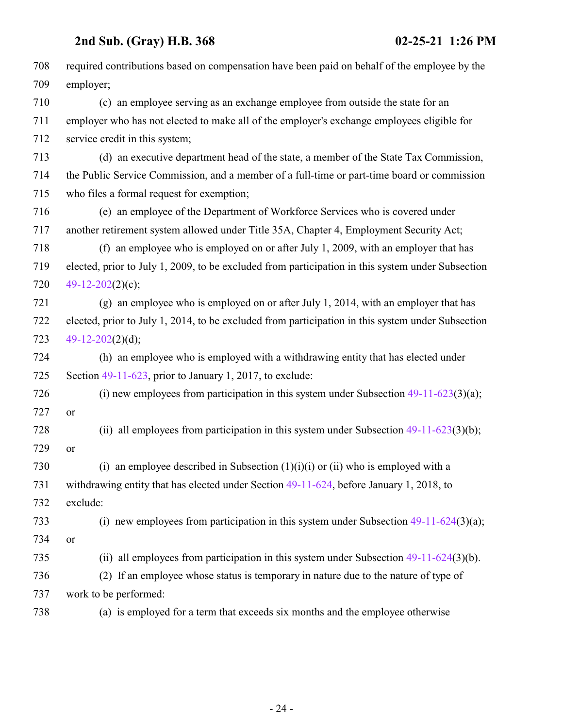| 708 | required contributions based on compensation have been paid on behalf of the employee by the      |
|-----|---------------------------------------------------------------------------------------------------|
| 709 | employer;                                                                                         |
| 710 | (c) an employee serving as an exchange employee from outside the state for an                     |
| 711 | employer who has not elected to make all of the employer's exchange employees eligible for        |
| 712 | service credit in this system;                                                                    |
| 713 | (d) an executive department head of the state, a member of the State Tax Commission,              |
| 714 | the Public Service Commission, and a member of a full-time or part-time board or commission       |
| 715 | who files a formal request for exemption;                                                         |
| 716 | (e) an employee of the Department of Workforce Services who is covered under                      |
| 717 | another retirement system allowed under Title 35A, Chapter 4, Employment Security Act;            |
| 718 | (f) an employee who is employed on or after July 1, 2009, with an employer that has               |
| 719 | elected, prior to July 1, 2009, to be excluded from participation in this system under Subsection |
| 720 | 49-12-202(2)(c);                                                                                  |
| 721 | (g) an employee who is employed on or after July 1, 2014, with an employer that has               |
| 722 | elected, prior to July 1, 2014, to be excluded from participation in this system under Subsection |
| 723 | $49-12-202(2)(d);$                                                                                |
| 724 | (h) an employee who is employed with a withdrawing entity that has elected under                  |
| 725 | Section $49-11-623$ , prior to January 1, 2017, to exclude:                                       |
| 726 | (i) new employees from participation in this system under Subsection $49-11-623(3)(a)$ ;          |
| 727 | or                                                                                                |
| 728 | (ii) all employees from participation in this system under Subsection $49-11-623(3)(b)$ ;         |
| 729 | <b>or</b>                                                                                         |
| 730 | (i) an employee described in Subsection $(1)(i)(i)$ or $(ii)$ who is employed with a              |
| 731 | withdrawing entity that has elected under Section 49-11-624, before January 1, 2018, to           |
| 732 | exclude:                                                                                          |
| 733 | (i) new employees from participation in this system under Subsection $49-11-624(3)(a)$ ;          |
| 734 | or                                                                                                |
| 735 | (ii) all employees from participation in this system under Subsection $49-11-624(3)(b)$ .         |
| 736 | (2) If an employee whose status is temporary in nature due to the nature of type of               |
| 737 | work to be performed:                                                                             |
| 738 | (a) is employed for a term that exceeds six months and the employee otherwise                     |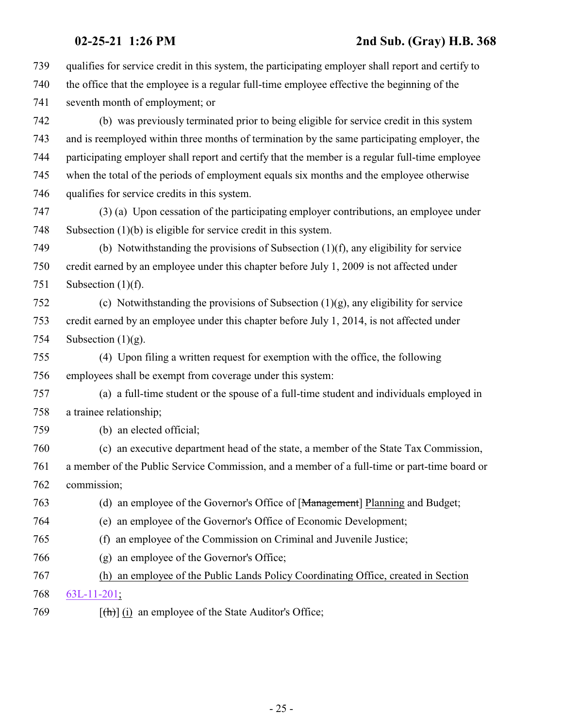| 739 | qualifies for service credit in this system, the participating employer shall report and certify to |
|-----|-----------------------------------------------------------------------------------------------------|
| 740 | the office that the employee is a regular full-time employee effective the beginning of the         |
| 741 | seventh month of employment; or                                                                     |
| 742 | (b) was previously terminated prior to being eligible for service credit in this system             |
| 743 | and is reemployed within three months of termination by the same participating employer, the        |
| 744 | participating employer shall report and certify that the member is a regular full-time employee     |
| 745 | when the total of the periods of employment equals six months and the employee otherwise            |
| 746 | qualifies for service credits in this system.                                                       |
| 747 | (3) (a) Upon cessation of the participating employer contributions, an employee under               |
| 748 | Subsection $(1)(b)$ is eligible for service credit in this system.                                  |
| 749 | (b) Notwithstanding the provisions of Subsection $(1)(f)$ , any eligibility for service             |
| 750 | credit earned by an employee under this chapter before July 1, 2009 is not affected under           |
| 751 | Subsection $(1)(f)$ .                                                                               |
| 752 | (c) Notwithstanding the provisions of Subsection $(1)(g)$ , any eligibility for service             |
| 753 | credit earned by an employee under this chapter before July 1, 2014, is not affected under          |
| 754 | Subsection $(1)(g)$ .                                                                               |
| 755 | (4) Upon filing a written request for exemption with the office, the following                      |
| 756 | employees shall be exempt from coverage under this system:                                          |
| 757 | (a) a full-time student or the spouse of a full-time student and individuals employed in            |
| 758 | a trainee relationship;                                                                             |
| 759 | (b) an elected official;                                                                            |
| 760 | (c) an executive department head of the state, a member of the State Tax Commission,                |
| 761 | a member of the Public Service Commission, and a member of a full-time or part-time board or        |
| 762 | commission;                                                                                         |
| 763 | (d) an employee of the Governor's Office of [Management] Planning and Budget;                       |
| 764 | (e) an employee of the Governor's Office of Economic Development;                                   |
| 765 | an employee of the Commission on Criminal and Juvenile Justice;<br>(f)                              |
| 766 | an employee of the Governor's Office;<br>(g)                                                        |
| 767 | (h) an employee of the Public Lands Policy Coordinating Office, created in Section                  |
| 768 | $63L-11-201$ ;                                                                                      |
| 769 | $[\frac{h}{\ln}]$ (i) an employee of the State Auditor's Office;                                    |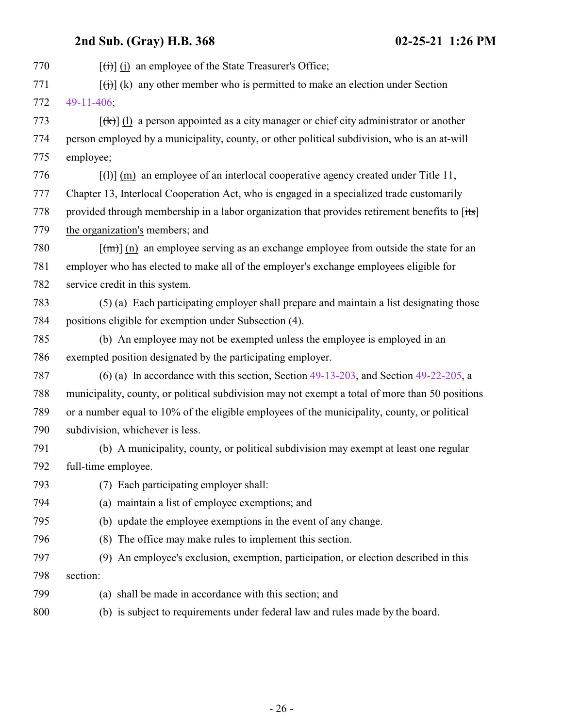**2nd Sub. (Gray) H.B. 368 02-25-21 1:26 PM**  $[(\overrightarrow{t})]$  (j) an employee of the State Treasurer's Office;  $[(\dagger)\]$  (k) any other member who is permitted to make an election under Section [49-11-406](#page-21-0);  $[(k)]$  (l) a person appointed as a city manager or chief city administrator or another person employed by a municipality, county, or other political subdivision, who is an at-will employee;  $\left[\left(\frac{H}{H}\right)\right]$  (m) an employee of an interlocal cooperative agency created under Title 11, Chapter 13, Interlocal Cooperation Act, who is engaged in a specialized trade customarily 778 provided through membership in a labor organization that provides retirement benefits to [its] the organization's members; and  $\lceil (m) \rceil$  (n) an employee serving as an exchange employee from outside the state for an employer who has elected to make all of the employer's exchange employees eligible for service credit in this system. (5) (a) Each participating employer shall prepare and maintain a list designating those positions eligible for exemption under Subsection (4). (b) An employee may not be exempted unless the employee is employed in an exempted position designated by the participating employer. (6) (a) In accordance with this section, Section [49-13-203](http://le.utah.gov/UtahCode/SectionLookup.jsp?section=49-13-203&session=2021GS), and Section [49-22-205](#page-27-0), a municipality, county, or political subdivision may not exempt a total of more than 50 positions or a number equal to 10% of the eligible employees of the municipality, county, or political subdivision, whichever is less. (b) A municipality, county, or political subdivision may exempt at least one regular full-time employee. (7) Each participating employer shall: (a) maintain a list of employee exemptions; and (b) update the employee exemptions in the event of any change. (8) The office may make rules to implement this section. (9) An employee's exclusion, exemption, participation, or election described in this section: (a) shall be made in accordance with this section; and (b) is subject to requirements under federal law and rules made by the board.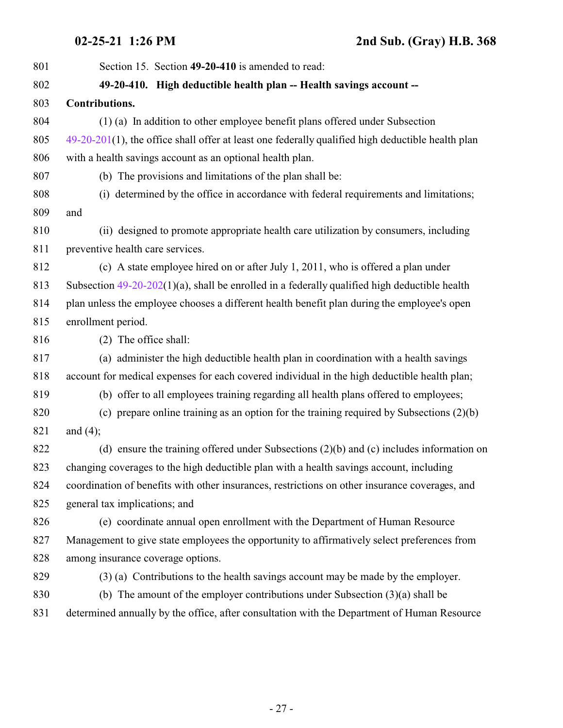<span id="page-26-0"></span>

| 801 | Section 15. Section 49-20-410 is amended to read:                                                    |
|-----|------------------------------------------------------------------------------------------------------|
| 802 | 49-20-410. High deductible health plan -- Health savings account --                                  |
| 803 | Contributions.                                                                                       |
| 804 | (1) (a) In addition to other employee benefit plans offered under Subsection                         |
| 805 | $49-20-201(1)$ , the office shall offer at least one federally qualified high deductible health plan |
| 806 | with a health savings account as an optional health plan.                                            |
| 807 | (b) The provisions and limitations of the plan shall be:                                             |
| 808 | (i) determined by the office in accordance with federal requirements and limitations;                |
| 809 | and                                                                                                  |
| 810 | (ii) designed to promote appropriate health care utilization by consumers, including                 |
| 811 | preventive health care services.                                                                     |
| 812 | (c) A state employee hired on or after July 1, 2011, who is offered a plan under                     |
| 813 | Subsection $49-20-202(1)(a)$ , shall be enrolled in a federally qualified high deductible health     |
| 814 | plan unless the employee chooses a different health benefit plan during the employee's open          |
| 815 | enrollment period.                                                                                   |
| 816 | (2) The office shall:                                                                                |
| 817 | (a) administer the high deductible health plan in coordination with a health savings                 |
| 818 | account for medical expenses for each covered individual in the high deductible health plan;         |
| 819 | (b) offer to all employees training regarding all health plans offered to employees;                 |
| 820 | (c) prepare online training as an option for the training required by Subsections $(2)(b)$           |
| 821 | and $(4)$ ;                                                                                          |
| 822 | (d) ensure the training offered under Subsections $(2)(b)$ and $(c)$ includes information on         |
| 823 | changing coverages to the high deductible plan with a health savings account, including              |
| 824 | coordination of benefits with other insurances, restrictions on other insurance coverages, and       |
| 825 | general tax implications; and                                                                        |
| 826 | (e) coordinate annual open enrollment with the Department of Human Resource                          |
| 827 | Management to give state employees the opportunity to affirmatively select preferences from          |
| 828 | among insurance coverage options.                                                                    |
| 829 | (3) (a) Contributions to the health savings account may be made by the employer.                     |
| 830 | (b) The amount of the employer contributions under Subsection $(3)(a)$ shall be                      |
| 831 | determined annually by the office, after consultation with the Department of Human Resource          |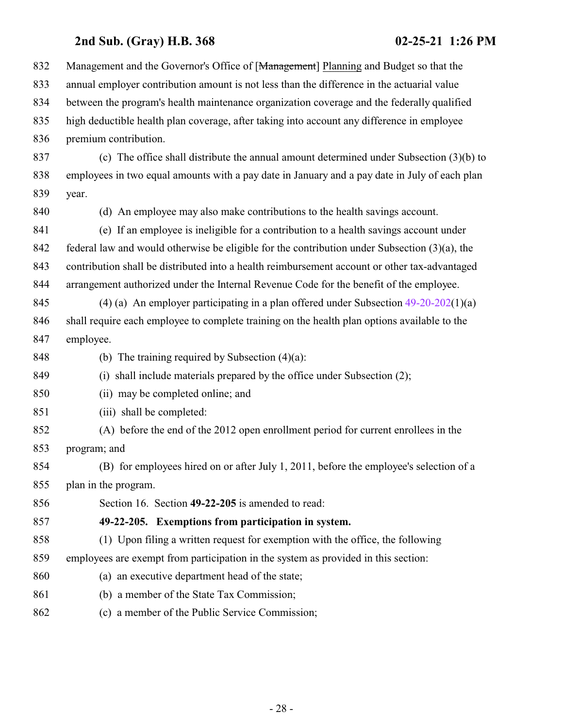<span id="page-27-0"></span>

| 832 | Management and the Governor's Office of [Management] Planning and Budget so that the             |
|-----|--------------------------------------------------------------------------------------------------|
| 833 | annual employer contribution amount is not less than the difference in the actuarial value       |
| 834 | between the program's health maintenance organization coverage and the federally qualified       |
| 835 | high deductible health plan coverage, after taking into account any difference in employee       |
| 836 | premium contribution.                                                                            |
| 837 | (c) The office shall distribute the annual amount determined under Subsection $(3)(b)$ to        |
| 838 | employees in two equal amounts with a pay date in January and a pay date in July of each plan    |
| 839 | year.                                                                                            |
| 840 | (d) An employee may also make contributions to the health savings account.                       |
| 841 | (e) If an employee is ineligible for a contribution to a health savings account under            |
| 842 | federal law and would otherwise be eligible for the contribution under Subsection $(3)(a)$ , the |
| 843 | contribution shall be distributed into a health reimbursement account or other tax-advantaged    |
| 844 | arrangement authorized under the Internal Revenue Code for the benefit of the employee.          |
| 845 | (4) (a) An employer participating in a plan offered under Subsection $49-20-202(1)(a)$           |
| 846 | shall require each employee to complete training on the health plan options available to the     |
| 847 | employee.                                                                                        |
| 848 | (b) The training required by Subsection $(4)(a)$ :                                               |
| 849 | (i) shall include materials prepared by the office under Subsection (2);                         |
| 850 | (ii) may be completed online; and                                                                |
| 851 | (iii) shall be completed:                                                                        |
| 852 | (A) before the end of the 2012 open enrollment period for current enrollees in the               |
| 853 | program; and                                                                                     |
| 854 | (B) for employees hired on or after July 1, 2011, before the employee's selection of a           |
| 855 | plan in the program.                                                                             |
| 856 | Section 16. Section 49-22-205 is amended to read:                                                |
| 857 | 49-22-205. Exemptions from participation in system.                                              |
| 858 | (1) Upon filing a written request for exemption with the office, the following                   |
| 859 | employees are exempt from participation in the system as provided in this section:               |
| 860 | (a) an executive department head of the state;                                                   |
| 861 | (b) a member of the State Tax Commission;                                                        |
| 862 | (c) a member of the Public Service Commission;                                                   |
|     |                                                                                                  |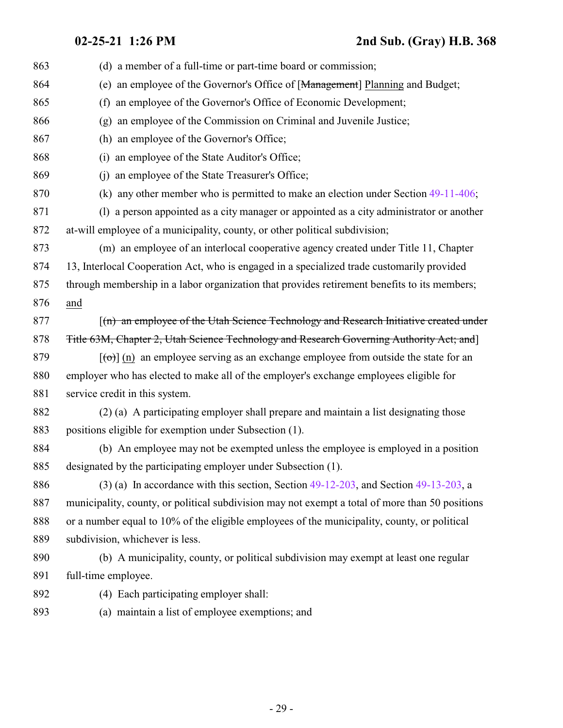**02-25-21 1:26 PM 2nd Sub. (Gray) H.B. 368**

| 863 | (d) a member of a full-time or part-time board or commission;                                                      |
|-----|--------------------------------------------------------------------------------------------------------------------|
| 864 | (e) an employee of the Governor's Office of [Management] Planning and Budget;                                      |
| 865 | an employee of the Governor's Office of Economic Development;<br>(f)                                               |
| 866 | an employee of the Commission on Criminal and Juvenile Justice;<br>(g)                                             |
| 867 | (h) an employee of the Governor's Office;                                                                          |
| 868 | (i) an employee of the State Auditor's Office;                                                                     |
| 869 | (i) an employee of the State Treasurer's Office;                                                                   |
| 870 | (k) any other member who is permitted to make an election under Section $49-11-406$ ;                              |
| 871 | (1) a person appointed as a city manager or appointed as a city administrator or another                           |
| 872 | at-will employee of a municipality, county, or other political subdivision;                                        |
| 873 | (m) an employee of an interlocal cooperative agency created under Title 11, Chapter                                |
| 874 | 13, Interlocal Cooperation Act, who is engaged in a specialized trade customarily provided                         |
| 875 | through membership in a labor organization that provides retirement benefits to its members;                       |
| 876 | and                                                                                                                |
| 877 | [(n) an employee of the Utah Science Technology and Research Initiative created under                              |
| 878 | Title 63M, Chapter 2, Utah Science Technology and Research Governing Authority Act; and                            |
| 879 | $\left[\left(\text{e}\right)\right]$ (n) an employee serving as an exchange employee from outside the state for an |
| 880 | employer who has elected to make all of the employer's exchange employees eligible for                             |
| 881 | service credit in this system.                                                                                     |
| 882 | (2) (a) A participating employer shall prepare and maintain a list designating those                               |
| 883 | positions eligible for exemption under Subsection (1).                                                             |
| 884 | (b) An employee may not be exempted unless the employee is employed in a position                                  |
| 885 | designated by the participating employer under Subsection (1).                                                     |
| 886 | $(3)$ (a) In accordance with this section, Section 49-12-203, and Section 49-13-203, a                             |
| 887 | municipality, county, or political subdivision may not exempt a total of more than 50 positions                    |
| 888 | or a number equal to 10% of the eligible employees of the municipality, county, or political                       |
| 889 | subdivision, whichever is less.                                                                                    |
| 890 | (b) A municipality, county, or political subdivision may exempt at least one regular                               |
| 891 | full-time employee.                                                                                                |
| 892 | (4) Each participating employer shall:                                                                             |
| 893 | (a) maintain a list of employee exemptions; and                                                                    |
|     |                                                                                                                    |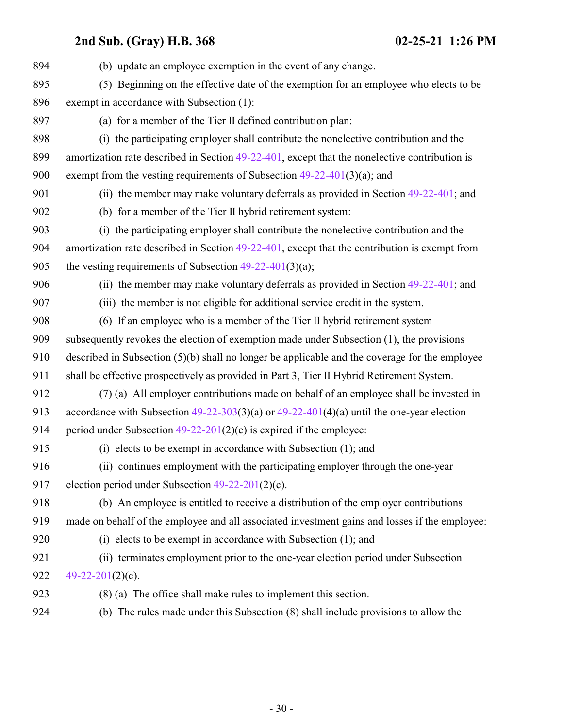| (b) update an employee exemption in the event of any change.                                     |
|--------------------------------------------------------------------------------------------------|
| (5) Beginning on the effective date of the exemption for an employee who elects to be            |
| exempt in accordance with Subsection (1):                                                        |
| (a) for a member of the Tier II defined contribution plan:                                       |
| (i) the participating employer shall contribute the nonelective contribution and the             |
| amortization rate described in Section $49-22-401$ , except that the nonelective contribution is |
| exempt from the vesting requirements of Subsection $49-22-401(3)(a)$ ; and                       |
| (ii) the member may make voluntary deferrals as provided in Section $49-22-401$ ; and            |
| (b) for a member of the Tier II hybrid retirement system:                                        |
| (i) the participating employer shall contribute the nonelective contribution and the             |
| amortization rate described in Section $49-22-401$ , except that the contribution is exempt from |
| the vesting requirements of Subsection $49-22-401(3)(a)$ ;                                       |
| (ii) the member may make voluntary deferrals as provided in Section $49-22-401$ ; and            |
| (iii) the member is not eligible for additional service credit in the system.                    |
| (6) If an employee who is a member of the Tier II hybrid retirement system                       |
| subsequently revokes the election of exemption made under Subsection (1), the provisions         |
| described in Subsection (5)(b) shall no longer be applicable and the coverage for the employee   |
| shall be effective prospectively as provided in Part 3, Tier II Hybrid Retirement System.        |
| (7) (a) All employer contributions made on behalf of an employee shall be invested in            |
| accordance with Subsection $49-22-303(3)(a)$ or $49-22-401(4)(a)$ until the one-year election    |
| period under Subsection $49-22-201(2)(c)$ is expired if the employee:                            |
| (i) elects to be exempt in accordance with Subsection $(1)$ ; and                                |
| (ii) continues employment with the participating employer through the one-year                   |
| election period under Subsection $49-22-201(2)(c)$ .                                             |
| (b) An employee is entitled to receive a distribution of the employer contributions              |
| made on behalf of the employee and all associated investment gains and losses if the employee:   |
| (i) elects to be exempt in accordance with Subsection $(1)$ ; and                                |
| (ii) terminates employment prior to the one-year election period under Subsection                |
| $49-22-201(2)(c)$ .                                                                              |
| $(8)$ (a) The office shall make rules to implement this section.                                 |
| (b) The rules made under this Subsection (8) shall include provisions to allow the               |
|                                                                                                  |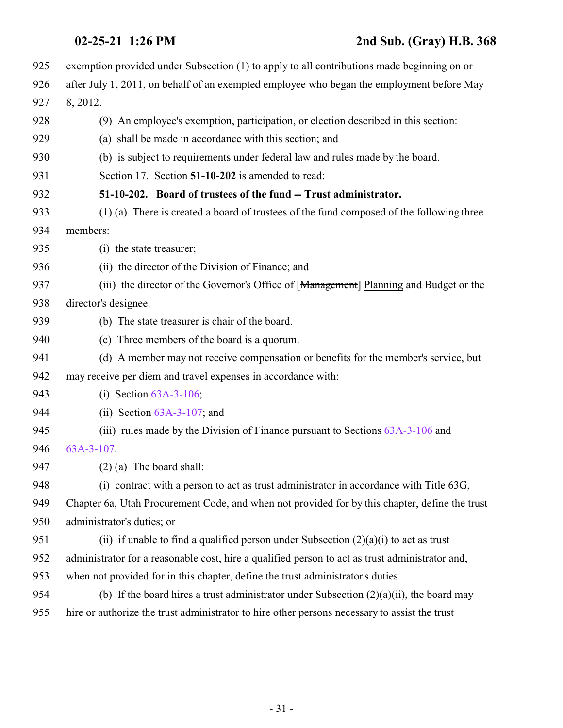<span id="page-30-0"></span>

| 925 | exemption provided under Subsection (1) to apply to all contributions made beginning on or      |
|-----|-------------------------------------------------------------------------------------------------|
| 926 | after July 1, 2011, on behalf of an exempted employee who began the employment before May       |
| 927 | 8, 2012.                                                                                        |
| 928 | (9) An employee's exemption, participation, or election described in this section:              |
| 929 | (a) shall be made in accordance with this section; and                                          |
| 930 | (b) is subject to requirements under federal law and rules made by the board.                   |
| 931 | Section 17. Section 51-10-202 is amended to read:                                               |
| 932 | 51-10-202. Board of trustees of the fund -- Trust administrator.                                |
| 933 | (1) (a) There is created a board of trustees of the fund composed of the following three        |
| 934 | members:                                                                                        |
| 935 | (i) the state treasurer;                                                                        |
| 936 | (ii) the director of the Division of Finance; and                                               |
| 937 | (iii) the director of the Governor's Office of [Management] Planning and Budget or the          |
| 938 | director's designee.                                                                            |
| 939 | (b) The state treasurer is chair of the board.                                                  |
| 940 | (c) Three members of the board is a quorum.                                                     |
| 941 | (d) A member may not receive compensation or benefits for the member's service, but             |
| 942 | may receive per diem and travel expenses in accordance with:                                    |
| 943 | (i) Section $63A-3-106$ ;                                                                       |
| 944 | (ii) Section $63A-3-107$ ; and                                                                  |
| 945 | (iii) rules made by the Division of Finance pursuant to Sections $63A-3-106$ and                |
| 946 | $63A-3-107$                                                                                     |
| 947 | $(2)$ (a) The board shall:                                                                      |
| 948 | (i) contract with a person to act as trust administrator in accordance with Title 63G,          |
| 949 | Chapter 6a, Utah Procurement Code, and when not provided for by this chapter, define the trust  |
| 950 | administrator's duties; or                                                                      |
| 951 | (ii) if unable to find a qualified person under Subsection $(2)(a)(i)$ to act as trust          |
| 952 | administrator for a reasonable cost, hire a qualified person to act as trust administrator and, |
| 953 | when not provided for in this chapter, define the trust administrator's duties.                 |
| 954 | (b) If the board hires a trust administrator under Subsection $(2)(a)(ii)$ , the board may      |
| 955 | hire or authorize the trust administrator to hire other persons necessary to assist the trust   |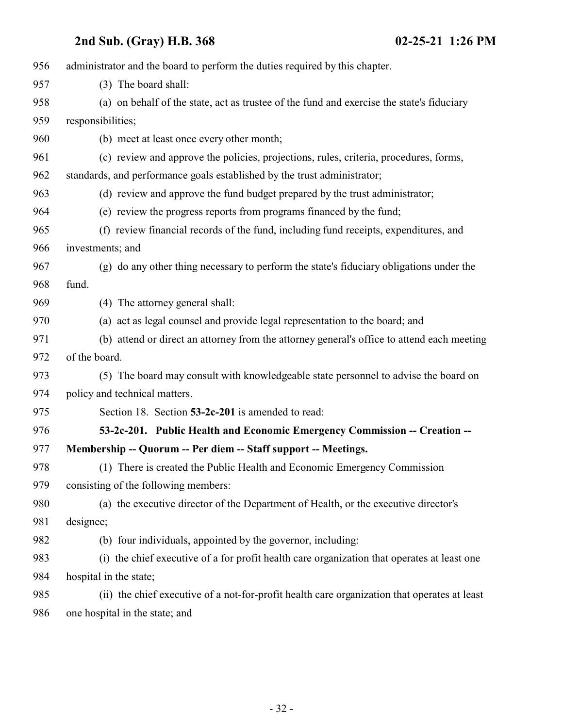<span id="page-31-0"></span>

| 956 | administrator and the board to perform the duties required by this chapter.                  |
|-----|----------------------------------------------------------------------------------------------|
| 957 | (3) The board shall:                                                                         |
| 958 | (a) on behalf of the state, act as trustee of the fund and exercise the state's fiduciary    |
| 959 | responsibilities;                                                                            |
| 960 | (b) meet at least once every other month;                                                    |
| 961 | (c) review and approve the policies, projections, rules, criteria, procedures, forms,        |
| 962 | standards, and performance goals established by the trust administrator;                     |
| 963 | (d) review and approve the fund budget prepared by the trust administrator;                  |
| 964 | (e) review the progress reports from programs financed by the fund;                          |
| 965 | (f) review financial records of the fund, including fund receipts, expenditures, and         |
| 966 | investments; and                                                                             |
| 967 | (g) do any other thing necessary to perform the state's fiduciary obligations under the      |
| 968 | fund.                                                                                        |
| 969 | (4) The attorney general shall:                                                              |
| 970 | (a) act as legal counsel and provide legal representation to the board; and                  |
| 971 | (b) attend or direct an attorney from the attorney general's office to attend each meeting   |
| 972 | of the board.                                                                                |
| 973 | (5) The board may consult with knowledgeable state personnel to advise the board on          |
| 974 | policy and technical matters.                                                                |
| 975 | Section 18. Section 53-2c-201 is amended to read:                                            |
| 976 | 53-2c-201. Public Health and Economic Emergency Commission -- Creation --                    |
| 977 | Membership -- Quorum -- Per diem -- Staff support -- Meetings.                               |
| 978 | (1) There is created the Public Health and Economic Emergency Commission                     |
| 979 | consisting of the following members:                                                         |
| 980 | (a) the executive director of the Department of Health, or the executive director's          |
| 981 | designee;                                                                                    |
| 982 | (b) four individuals, appointed by the governor, including:                                  |
| 983 | (i) the chief executive of a for profit health care organization that operates at least one  |
| 984 | hospital in the state;                                                                       |
| 985 | (ii) the chief executive of a not-for-profit health care organization that operates at least |
| 986 | one hospital in the state; and                                                               |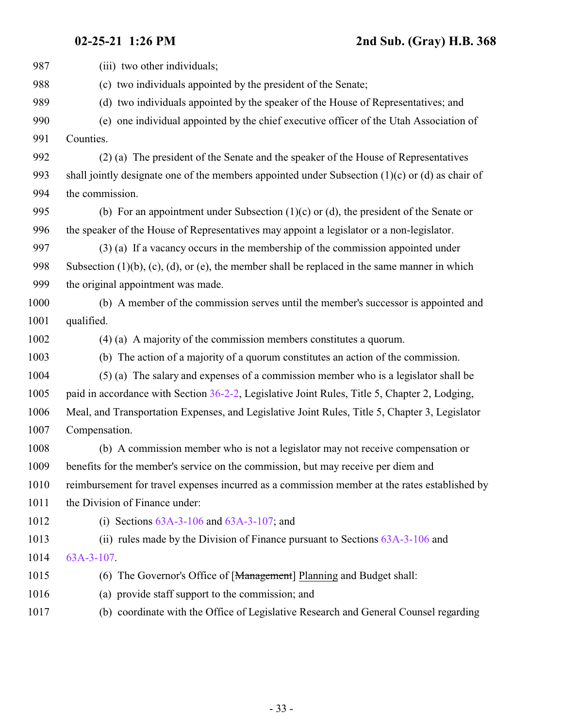**02-25-21 1:26 PM 2nd Sub. (Gray) H.B. 368**

| 987  | (iii) two other individuals;                                                                              |
|------|-----------------------------------------------------------------------------------------------------------|
| 988  | (c) two individuals appointed by the president of the Senate;                                             |
| 989  | (d) two individuals appointed by the speaker of the House of Representatives; and                         |
| 990  | one individual appointed by the chief executive officer of the Utah Association of<br>(e)                 |
| 991  | Counties.                                                                                                 |
| 992  | (2) (a) The president of the Senate and the speaker of the House of Representatives                       |
| 993  | shall jointly designate one of the members appointed under Subsection $(1)(c)$ or $(d)$ as chair of       |
| 994  | the commission.                                                                                           |
| 995  | (b) For an appointment under Subsection $(1)(c)$ or $(d)$ , the president of the Senate or                |
| 996  | the speaker of the House of Representatives may appoint a legislator or a non-legislator.                 |
| 997  | $(3)$ (a) If a vacancy occurs in the membership of the commission appointed under                         |
| 998  | Subsection $(1)(b)$ , $(c)$ , $(d)$ , or $(e)$ , the member shall be replaced in the same manner in which |
| 999  | the original appointment was made.                                                                        |
| 1000 | (b) A member of the commission serves until the member's successor is appointed and                       |
| 1001 | qualified.                                                                                                |
| 1002 | $(4)$ (a) A majority of the commission members constitutes a quorum.                                      |
| 1003 | (b) The action of a majority of a quorum constitutes an action of the commission.                         |
| 1004 | (5) (a) The salary and expenses of a commission member who is a legislator shall be                       |
| 1005 | paid in accordance with Section 36-2-2, Legislative Joint Rules, Title 5, Chapter 2, Lodging,             |
| 1006 | Meal, and Transportation Expenses, and Legislative Joint Rules, Title 5, Chapter 3, Legislator            |
| 1007 | Compensation.                                                                                             |
| 1008 | (b) A commission member who is not a legislator may not receive compensation or                           |
| 1009 | benefits for the member's service on the commission, but may receive per diem and                         |
| 1010 | reimbursement for travel expenses incurred as a commission member at the rates established by             |
| 1011 | the Division of Finance under:                                                                            |
| 1012 | (i) Sections $63A-3-106$ and $63A-3-107$ ; and                                                            |
| 1013 | (ii) rules made by the Division of Finance pursuant to Sections $63A-3-106$ and                           |
| 1014 | $63A-3-107$ .                                                                                             |
| 1015 | (6) The Governor's Office of [Management] Planning and Budget shall:                                      |
| 1016 | (a) provide staff support to the commission; and                                                          |
| 1017 | (b) coordinate with the Office of Legislative Research and General Counsel regarding                      |
|      |                                                                                                           |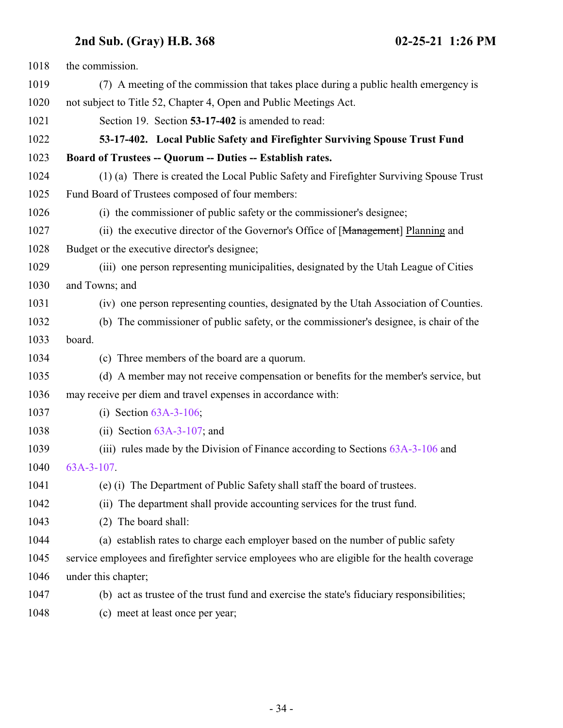<span id="page-33-0"></span>

| 1018 | the commission.                                                                              |
|------|----------------------------------------------------------------------------------------------|
| 1019 | (7) A meeting of the commission that takes place during a public health emergency is         |
| 1020 | not subject to Title 52, Chapter 4, Open and Public Meetings Act.                            |
| 1021 | Section 19. Section 53-17-402 is amended to read:                                            |
| 1022 | 53-17-402. Local Public Safety and Firefighter Surviving Spouse Trust Fund                   |
| 1023 | Board of Trustees -- Quorum -- Duties -- Establish rates.                                    |
| 1024 | (1) (a) There is created the Local Public Safety and Firefighter Surviving Spouse Trust      |
| 1025 | Fund Board of Trustees composed of four members:                                             |
| 1026 | (i) the commissioner of public safety or the commissioner's designee;                        |
| 1027 | (ii) the executive director of the Governor's Office of [Management] Planning and            |
| 1028 | Budget or the executive director's designee;                                                 |
| 1029 | (iii) one person representing municipalities, designated by the Utah League of Cities        |
| 1030 | and Towns; and                                                                               |
| 1031 | (iv) one person representing counties, designated by the Utah Association of Counties.       |
| 1032 | (b) The commissioner of public safety, or the commissioner's designee, is chair of the       |
| 1033 | board.                                                                                       |
| 1034 | (c) Three members of the board are a quorum.                                                 |
| 1035 | (d) A member may not receive compensation or benefits for the member's service, but          |
| 1036 | may receive per diem and travel expenses in accordance with:                                 |
| 1037 | (i) Section $63A-3-106$ ;                                                                    |
| 1038 | (ii) Section $63A-3-107$ ; and                                                               |
| 1039 | (iii) rules made by the Division of Finance according to Sections $63A-3-106$ and            |
| 1040 | $63A-3-107$ .                                                                                |
| 1041 | (e) (i) The Department of Public Safety shall staff the board of trustees.                   |
| 1042 | (ii) The department shall provide accounting services for the trust fund.                    |
| 1043 | The board shall:<br>(2)                                                                      |
| 1044 | (a) establish rates to charge each employer based on the number of public safety             |
| 1045 | service employees and firefighter service employees who are eligible for the health coverage |
| 1046 | under this chapter;                                                                          |
| 1047 | (b) act as trustee of the trust fund and exercise the state's fiduciary responsibilities;    |
| 1048 | (c) meet at least once per year;                                                             |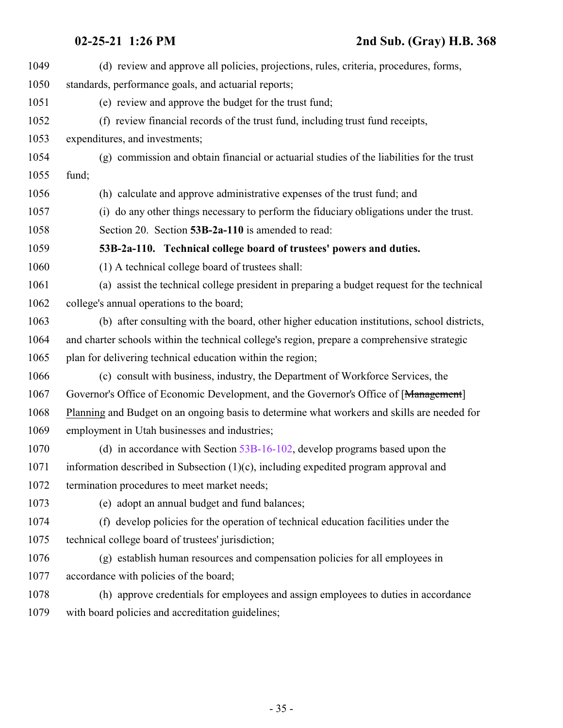<span id="page-34-0"></span>

| 1049 | (d) review and approve all policies, projections, rules, criteria, procedures, forms,        |
|------|----------------------------------------------------------------------------------------------|
| 1050 | standards, performance goals, and actuarial reports;                                         |
| 1051 | (e) review and approve the budget for the trust fund;                                        |
| 1052 | (f) review financial records of the trust fund, including trust fund receipts,               |
| 1053 | expenditures, and investments;                                                               |
| 1054 | (g) commission and obtain financial or actuarial studies of the liabilities for the trust    |
| 1055 | fund;                                                                                        |
| 1056 | (h) calculate and approve administrative expenses of the trust fund; and                     |
| 1057 | (i) do any other things necessary to perform the fiduciary obligations under the trust.      |
| 1058 | Section 20. Section 53B-2a-110 is amended to read:                                           |
| 1059 | 53B-2a-110. Technical college board of trustees' powers and duties.                          |
| 1060 | (1) A technical college board of trustees shall:                                             |
| 1061 | (a) assist the technical college president in preparing a budget request for the technical   |
| 1062 | college's annual operations to the board;                                                    |
| 1063 | (b) after consulting with the board, other higher education institutions, school districts,  |
| 1064 | and charter schools within the technical college's region, prepare a comprehensive strategic |
| 1065 | plan for delivering technical education within the region;                                   |
| 1066 | (c) consult with business, industry, the Department of Workforce Services, the               |
| 1067 | Governor's Office of Economic Development, and the Governor's Office of [Management]         |
| 1068 | Planning and Budget on an ongoing basis to determine what workers and skills are needed for  |
| 1069 | employment in Utah businesses and industries;                                                |
| 1070 | (d) in accordance with Section $53B-16-102$ , develop programs based upon the                |
| 1071 | information described in Subsection $(1)(c)$ , including expedited program approval and      |
| 1072 | termination procedures to meet market needs;                                                 |
| 1073 | (e) adopt an annual budget and fund balances;                                                |
| 1074 | (f) develop policies for the operation of technical education facilities under the           |
| 1075 | technical college board of trustees' jurisdiction;                                           |
| 1076 | (g) establish human resources and compensation policies for all employees in                 |
| 1077 | accordance with policies of the board;                                                       |
| 1078 | (h) approve credentials for employees and assign employees to duties in accordance           |
| 1079 | with board policies and accreditation guidelines;                                            |
|      |                                                                                              |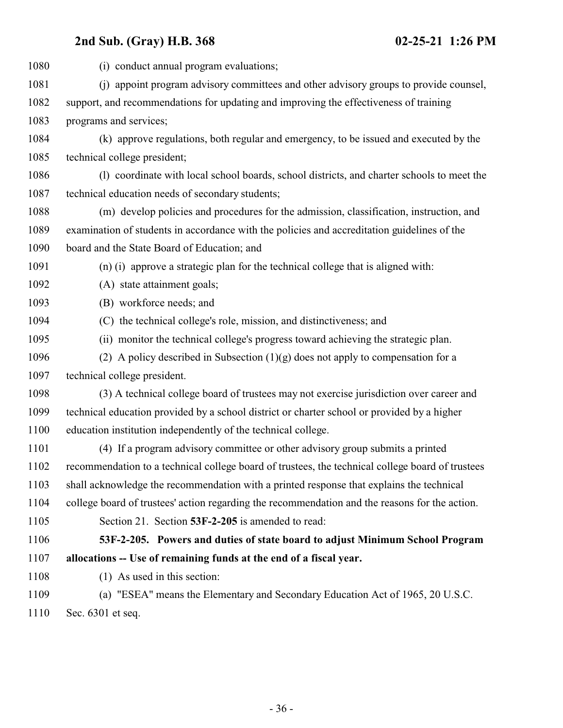<span id="page-35-0"></span>

| 1080 | (i) conduct annual program evaluations;                                                          |
|------|--------------------------------------------------------------------------------------------------|
| 1081 | (j) appoint program advisory committees and other advisory groups to provide counsel,            |
| 1082 | support, and recommendations for updating and improving the effectiveness of training            |
| 1083 | programs and services;                                                                           |
| 1084 | (k) approve regulations, both regular and emergency, to be issued and executed by the            |
| 1085 | technical college president;                                                                     |
| 1086 | (1) coordinate with local school boards, school districts, and charter schools to meet the       |
| 1087 | technical education needs of secondary students;                                                 |
| 1088 | (m) develop policies and procedures for the admission, classification, instruction, and          |
| 1089 | examination of students in accordance with the policies and accreditation guidelines of the      |
| 1090 | board and the State Board of Education; and                                                      |
| 1091 | (n) (i) approve a strategic plan for the technical college that is aligned with:                 |
| 1092 | (A) state attainment goals;                                                                      |
| 1093 | (B) workforce needs; and                                                                         |
| 1094 | (C) the technical college's role, mission, and distinctiveness; and                              |
| 1095 | (ii) monitor the technical college's progress toward achieving the strategic plan.               |
| 1096 | (2) A policy described in Subsection $(1)(g)$ does not apply to compensation for a               |
| 1097 | technical college president.                                                                     |
| 1098 | (3) A technical college board of trustees may not exercise jurisdiction over career and          |
| 1099 | technical education provided by a school district or charter school or provided by a higher      |
| 1100 | education institution independently of the technical college.                                    |
| 1101 | (4) If a program advisory committee or other advisory group submits a printed                    |
| 1102 | recommendation to a technical college board of trustees, the technical college board of trustees |
| 1103 | shall acknowledge the recommendation with a printed response that explains the technical         |
| 1104 | college board of trustees' action regarding the recommendation and the reasons for the action.   |
| 1105 | Section 21. Section 53F-2-205 is amended to read:                                                |
| 1106 | 53F-2-205. Powers and duties of state board to adjust Minimum School Program                     |
| 1107 | allocations -- Use of remaining funds at the end of a fiscal year.                               |
| 1108 | (1) As used in this section:                                                                     |
| 1109 | (a) "ESEA" means the Elementary and Secondary Education Act of 1965, 20 U.S.C.                   |
| 1110 | Sec. 6301 et seq.                                                                                |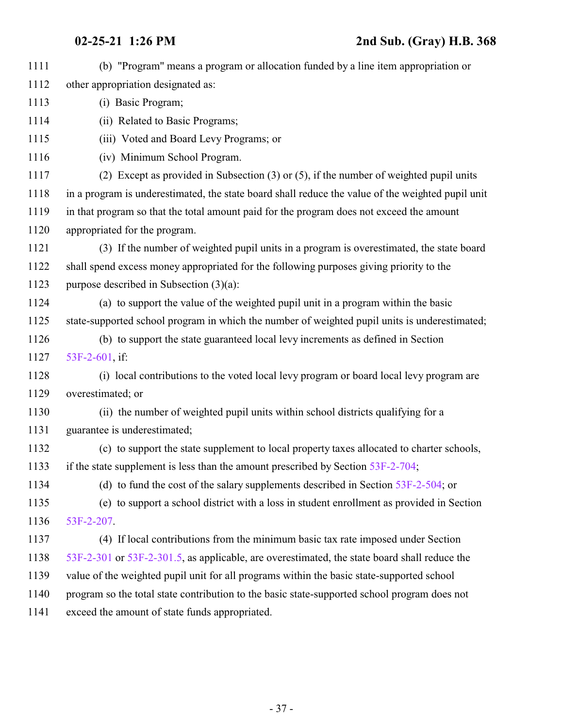| 1111 | (b) "Program" means a program or allocation funded by a line item appropriation or                |
|------|---------------------------------------------------------------------------------------------------|
| 1112 | other appropriation designated as:                                                                |
| 1113 | (i) Basic Program;                                                                                |
| 1114 | (ii) Related to Basic Programs;                                                                   |
| 1115 | (iii) Voted and Board Levy Programs; or                                                           |
| 1116 | (iv) Minimum School Program.                                                                      |
| 1117 | (2) Except as provided in Subsection $(3)$ or $(5)$ , if the number of weighted pupil units       |
| 1118 | in a program is underestimated, the state board shall reduce the value of the weighted pupil unit |
| 1119 | in that program so that the total amount paid for the program does not exceed the amount          |
| 1120 | appropriated for the program.                                                                     |
| 1121 | (3) If the number of weighted pupil units in a program is overestimated, the state board          |
| 1122 | shall spend excess money appropriated for the following purposes giving priority to the           |
| 1123 | purpose described in Subsection $(3)(a)$ :                                                        |
| 1124 | (a) to support the value of the weighted pupil unit in a program within the basic                 |
| 1125 | state-supported school program in which the number of weighted pupil units is underestimated;     |
| 1126 | (b) to support the state guaranteed local levy increments as defined in Section                   |
| 1127 | 53F-2-601, if:                                                                                    |
| 1128 | (i) local contributions to the voted local levy program or board local levy program are           |
| 1129 | overestimated; or                                                                                 |
| 1130 | (ii) the number of weighted pupil units within school districts qualifying for a                  |
| 1131 | guarantee is underestimated;                                                                      |
| 1132 | (c) to support the state supplement to local property taxes allocated to charter schools,         |
| 1133 | if the state supplement is less than the amount prescribed by Section 53F-2-704;                  |
| 1134 | (d) to fund the cost of the salary supplements described in Section $53F-2-504$ ; or              |
| 1135 | (e) to support a school district with a loss in student enrollment as provided in Section         |
| 1136 | 53F-2-207                                                                                         |
| 1137 | (4) If local contributions from the minimum basic tax rate imposed under Section                  |
| 1138 | 53F-2-301 or 53F-2-301.5, as applicable, are overestimated, the state board shall reduce the      |
| 1139 | value of the weighted pupil unit for all programs within the basic state-supported school         |
| 1140 | program so the total state contribution to the basic state-supported school program does not      |
| 1141 | exceed the amount of state funds appropriated.                                                    |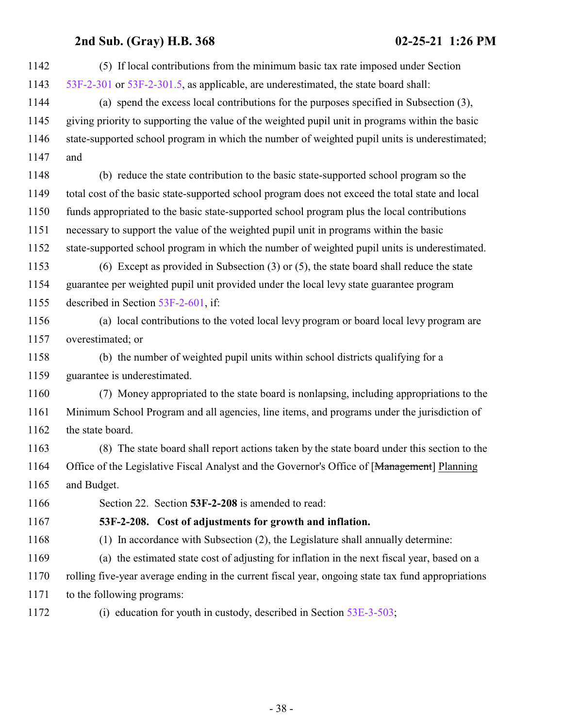| (5) If local contributions from the minimum basic tax rate imposed under Section                   |
|----------------------------------------------------------------------------------------------------|
| 53F-2-301 or 53F-2-301.5, as applicable, are underestimated, the state board shall:                |
| (a) spend the excess local contributions for the purposes specified in Subsection (3),             |
| giving priority to supporting the value of the weighted pupil unit in programs within the basic    |
| state-supported school program in which the number of weighted pupil units is underestimated;      |
| and                                                                                                |
| (b) reduce the state contribution to the basic state-supported school program so the               |
| total cost of the basic state-supported school program does not exceed the total state and local   |
| funds appropriated to the basic state-supported school program plus the local contributions        |
| necessary to support the value of the weighted pupil unit in programs within the basic             |
| state-supported school program in which the number of weighted pupil units is underestimated.      |
| (6) Except as provided in Subsection $(3)$ or $(5)$ , the state board shall reduce the state       |
| guarantee per weighted pupil unit provided under the local levy state guarantee program            |
| described in Section 53F-2-601, if:                                                                |
| (a) local contributions to the voted local levy program or board local levy program are            |
| overestimated; or                                                                                  |
| (b) the number of weighted pupil units within school districts qualifying for a                    |
| guarantee is underestimated.                                                                       |
| (7) Money appropriated to the state board is nonlapsing, including appropriations to the           |
| Minimum School Program and all agencies, line items, and programs under the jurisdiction of        |
| the state board.                                                                                   |
| (8) The state board shall report actions taken by the state board under this section to the        |
| Office of the Legislative Fiscal Analyst and the Governor's Office of [Management] Planning        |
| and Budget.                                                                                        |
| Section 22. Section 53F-2-208 is amended to read:                                                  |
| 53F-2-208. Cost of adjustments for growth and inflation.                                           |
| (1) In accordance with Subsection (2), the Legislature shall annually determine:                   |
| (a) the estimated state cost of adjusting for inflation in the next fiscal year, based on a        |
| rolling five-year average ending in the current fiscal year, ongoing state tax fund appropriations |
| to the following programs:                                                                         |
| (i) education for youth in custody, described in Section $53E-3-503$ ;                             |
|                                                                                                    |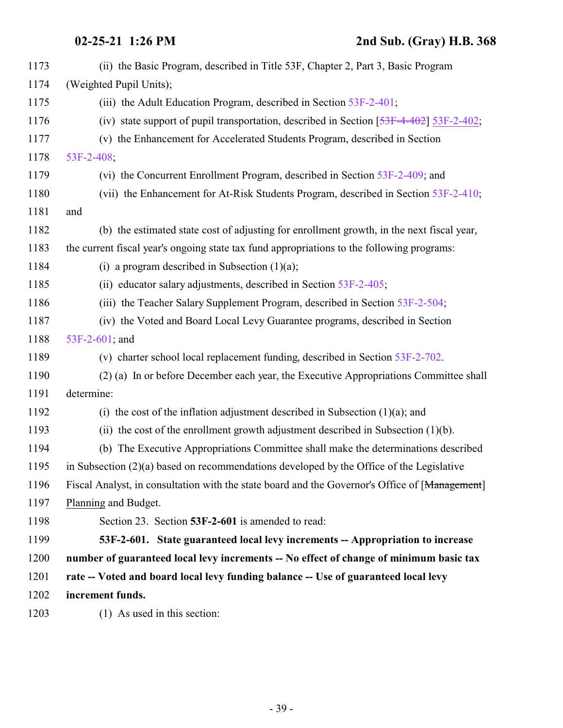<span id="page-38-0"></span>

| 1173 | (ii) the Basic Program, described in Title 53F, Chapter 2, Part 3, Basic Program               |
|------|------------------------------------------------------------------------------------------------|
| 1174 | (Weighted Pupil Units);                                                                        |
| 1175 | (iii) the Adult Education Program, described in Section 53F-2-401;                             |
| 1176 | (iv) state support of pupil transportation, described in Section $[53F-4-402]$ 53F-2-402;      |
| 1177 | (v) the Enhancement for Accelerated Students Program, described in Section                     |
| 1178 | 53F-2-408;                                                                                     |
| 1179 | (vi) the Concurrent Enrollment Program, described in Section 53F-2-409; and                    |
| 1180 | (vii) the Enhancement for At-Risk Students Program, described in Section 53F-2-410;            |
| 1181 | and                                                                                            |
| 1182 | (b) the estimated state cost of adjusting for enrollment growth, in the next fiscal year,      |
| 1183 | the current fiscal year's ongoing state tax fund appropriations to the following programs:     |
| 1184 | (i) a program described in Subsection $(1)(a)$ ;                                               |
| 1185 | (ii) educator salary adjustments, described in Section 53F-2-405;                              |
| 1186 | (iii) the Teacher Salary Supplement Program, described in Section 53F-2-504;                   |
| 1187 | (iv) the Voted and Board Local Levy Guarantee programs, described in Section                   |
| 1188 | 53F-2-601; and                                                                                 |
| 1189 | (v) charter school local replacement funding, described in Section 53F-2-702.                  |
| 1190 | (2) (a) In or before December each year, the Executive Appropriations Committee shall          |
| 1191 | determine:                                                                                     |
| 1192 | (i) the cost of the inflation adjustment described in Subsection $(1)(a)$ ; and                |
| 1193 | (ii) the cost of the enrollment growth adjustment described in Subsection $(1)(b)$ .           |
| 1194 | (b) The Executive Appropriations Committee shall make the determinations described             |
| 1195 | in Subsection $(2)(a)$ based on recommendations developed by the Office of the Legislative     |
| 1196 | Fiscal Analyst, in consultation with the state board and the Governor's Office of [Management] |
| 1197 | Planning and Budget.                                                                           |
| 1198 | Section 23. Section 53F-2-601 is amended to read:                                              |
| 1199 | 53F-2-601. State guaranteed local levy increments -- Appropriation to increase                 |
| 1200 | number of guaranteed local levy increments -- No effect of change of minimum basic tax         |
| 1201 | rate -- Voted and board local levy funding balance -- Use of guaranteed local levy             |
| 1202 | increment funds.                                                                               |
| 1203 | (1) As used in this section:                                                                   |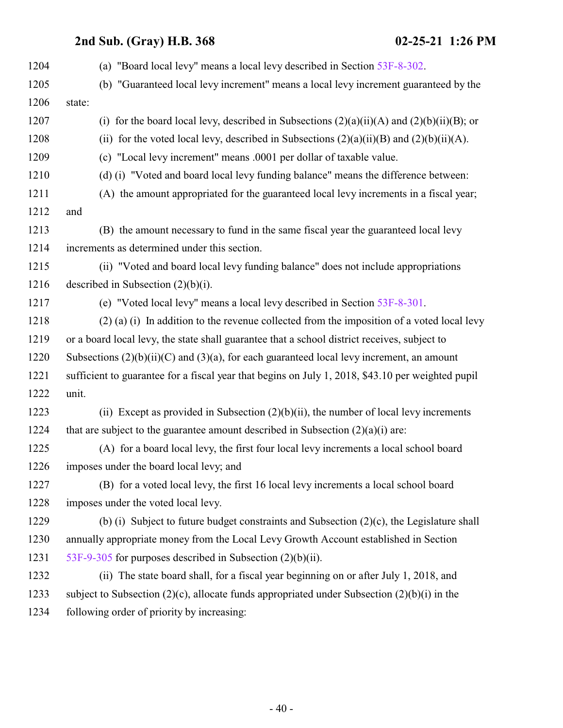| (b) "Guaranteed local levy increment" means a local levy increment guaranteed by the              |
|---------------------------------------------------------------------------------------------------|
|                                                                                                   |
| state:                                                                                            |
| (i) for the board local levy, described in Subsections $(2)(a)(ii)(A)$ and $(2)(b)(ii)(B)$ ; or   |
| (ii) for the voted local levy, described in Subsections $(2)(a)(ii)(B)$ and $(2)(b)(ii)(A)$ .     |
| (c) "Local levy increment" means .0001 per dollar of taxable value.                               |
| (d) (i) "Voted and board local levy funding balance" means the difference between:                |
| (A) the amount appropriated for the guaranteed local levy increments in a fiscal year;            |
| and                                                                                               |
| (B) the amount necessary to fund in the same fiscal year the guaranteed local levy                |
| increments as determined under this section.                                                      |
| (ii) "Voted and board local levy funding balance" does not include appropriations                 |
| described in Subsection $(2)(b)(i)$ .                                                             |
| (e) "Voted local levy" means a local levy described in Section 53F-8-301.                         |
| $(2)$ (a) (i) In addition to the revenue collected from the imposition of a voted local levy      |
| or a board local levy, the state shall guarantee that a school district receives, subject to      |
| Subsections $(2)(b)(ii)(C)$ and $(3)(a)$ , for each guaranteed local levy increment, an amount    |
| sufficient to guarantee for a fiscal year that begins on July 1, 2018, \$43.10 per weighted pupil |
| unit.                                                                                             |
| (ii) Except as provided in Subsection $(2)(b)(ii)$ , the number of local levy increments          |
| that are subject to the guarantee amount described in Subsection $(2)(a)(i)$ are:                 |
| (A) for a board local levy, the first four local levy increments a local school board             |
| imposes under the board local levy; and                                                           |
| (B) for a voted local levy, the first 16 local levy increments a local school board               |
| imposes under the voted local levy.                                                               |
| (b) (i) Subject to future budget constraints and Subsection $(2)(c)$ , the Legislature shall      |
| annually appropriate money from the Local Levy Growth Account established in Section              |
| 53F-9-305 for purposes described in Subsection $(2)(b)(ii)$ .                                     |
| (ii) The state board shall, for a fiscal year beginning on or after July 1, 2018, and             |
| subject to Subsection (2)(c), allocate funds appropriated under Subsection (2)(b)(i) in the       |
| following order of priority by increasing:                                                        |
|                                                                                                   |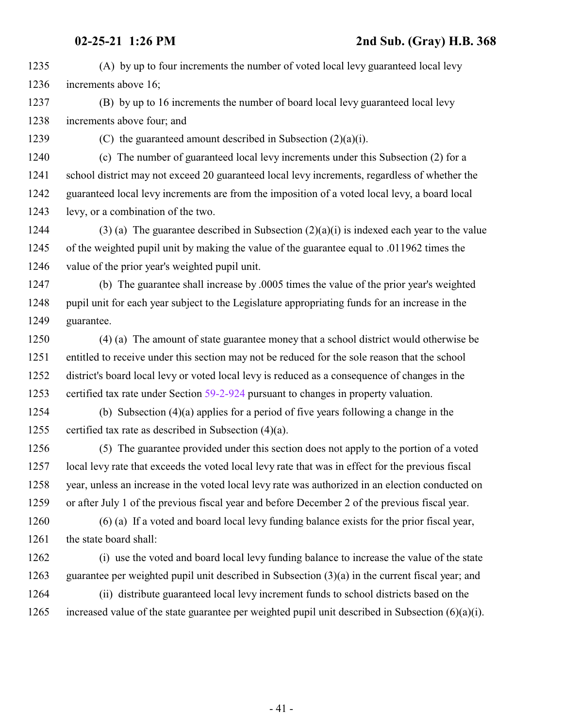(A) by up to four increments the number of voted local levy guaranteed local levy increments above 16;

- (B) by up to 16 increments the number of board local levy guaranteed local levy increments above four; and
- 

(C) the guaranteed amount described in Subsection (2)(a)(i).

 (c) The number of guaranteed local levy increments under this Subsection (2) for a school district may not exceed 20 guaranteed local levy increments, regardless of whether the guaranteed local levy increments are from the imposition of a voted local levy, a board local levy, or a combination of the two.

1244 (3) (a) The guarantee described in Subsection  $(2)(a)(i)$  is indexed each year to the value of the weighted pupil unit by making the value of the guarantee equal to .011962 times the value of the prior year's weighted pupil unit.

 (b) The guarantee shall increase by .0005 times the value of the prior year's weighted pupil unit for each year subject to the Legislature appropriating funds for an increase in the guarantee.

 (4) (a) The amount of state guarantee money that a school district would otherwise be entitled to receive under this section may not be reduced for the sole reason that the school district's board local levy or voted local levy is reduced as a consequence of changes in the certified tax rate under Section [59-2-924](http://le.utah.gov/UtahCode/SectionLookup.jsp?section=59-2-924&session=2021GS) pursuant to changes in property valuation.

 (b) Subsection (4)(a) applies for a period of five years following a change in the certified tax rate as described in Subsection (4)(a).

 (5) The guarantee provided under this section does not apply to the portion of a voted local levy rate that exceeds the voted local levy rate that was in effect for the previous fiscal year, unless an increase in the voted local levy rate was authorized in an election conducted on or after July 1 of the previous fiscal year and before December 2 of the previous fiscal year.

 (6) (a) If a voted and board local levy funding balance exists for the prior fiscal year, the state board shall:

 (i) use the voted and board local levy funding balance to increase the value of the state guarantee per weighted pupil unit described in Subsection (3)(a) in the current fiscal year; and

 (ii) distribute guaranteed local levy increment funds to school districts based on the increased value of the state guarantee per weighted pupil unit described in Subsection (6)(a)(i).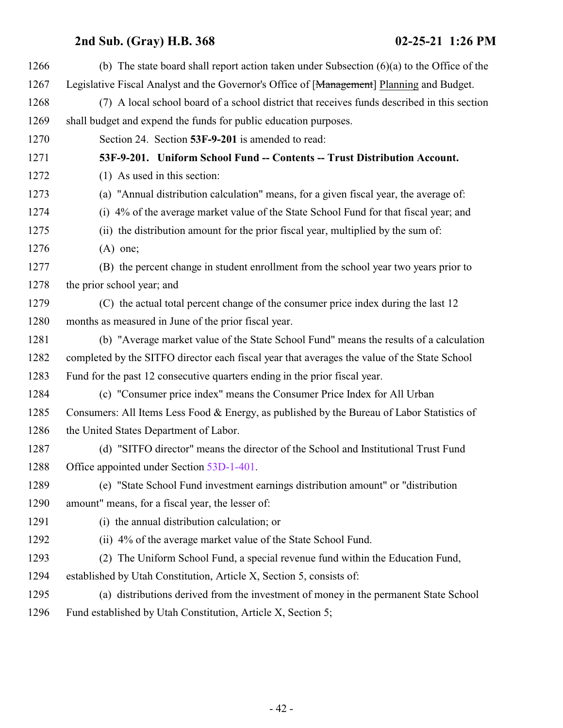| 1266 | (b) The state board shall report action taken under Subsection $(6)(a)$ to the Office of the |
|------|----------------------------------------------------------------------------------------------|
| 1267 | Legislative Fiscal Analyst and the Governor's Office of [Management] Planning and Budget.    |
| 1268 | (7) A local school board of a school district that receives funds described in this section  |
| 1269 | shall budget and expend the funds for public education purposes.                             |
| 1270 | Section 24. Section 53F-9-201 is amended to read:                                            |
| 1271 | 53F-9-201. Uniform School Fund -- Contents -- Trust Distribution Account.                    |
| 1272 | (1) As used in this section:                                                                 |
| 1273 | (a) "Annual distribution calculation" means, for a given fiscal year, the average of:        |
| 1274 | (i) 4% of the average market value of the State School Fund for that fiscal year; and        |
| 1275 | (ii) the distribution amount for the prior fiscal year, multiplied by the sum of:            |
| 1276 | $(A)$ one;                                                                                   |
| 1277 | (B) the percent change in student enrollment from the school year two years prior to         |
| 1278 | the prior school year; and                                                                   |
| 1279 | (C) the actual total percent change of the consumer price index during the last 12           |
| 1280 | months as measured in June of the prior fiscal year.                                         |
| 1281 | (b) "Average market value of the State School Fund" means the results of a calculation       |
| 1282 | completed by the SITFO director each fiscal year that averages the value of the State School |
| 1283 | Fund for the past 12 consecutive quarters ending in the prior fiscal year.                   |
| 1284 | (c) "Consumer price index" means the Consumer Price Index for All Urban                      |
| 1285 | Consumers: All Items Less Food & Energy, as published by the Bureau of Labor Statistics of   |
| 1286 | the United States Department of Labor.                                                       |
| 1287 | (d) "SITFO director" means the director of the School and Institutional Trust Fund           |
| 1288 | Office appointed under Section 53D-1-401.                                                    |
| 1289 | (e) "State School Fund investment earnings distribution amount" or "distribution"            |
| 1290 | amount" means, for a fiscal year, the lesser of:                                             |
| 1291 | (i) the annual distribution calculation; or                                                  |
| 1292 | (ii) 4% of the average market value of the State School Fund.                                |
| 1293 | (2) The Uniform School Fund, a special revenue fund within the Education Fund,               |
| 1294 | established by Utah Constitution, Article X, Section 5, consists of:                         |
| 1295 | (a) distributions derived from the investment of money in the permanent State School         |
| 1296 | Fund established by Utah Constitution, Article X, Section 5;                                 |
|      |                                                                                              |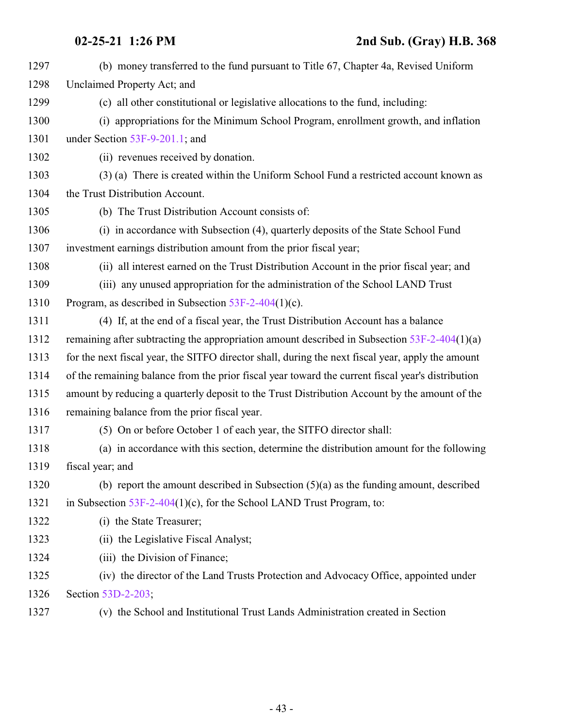| 1297 | (b) money transferred to the fund pursuant to Title 67, Chapter 4a, Revised Uniform               |
|------|---------------------------------------------------------------------------------------------------|
| 1298 | Unclaimed Property Act; and                                                                       |
| 1299 | (c) all other constitutional or legislative allocations to the fund, including:                   |
| 1300 | (i) appropriations for the Minimum School Program, enrollment growth, and inflation               |
| 1301 | under Section 53F-9-201.1; and                                                                    |
| 1302 | (ii) revenues received by donation.                                                               |
| 1303 | (3) (a) There is created within the Uniform School Fund a restricted account known as             |
| 1304 | the Trust Distribution Account.                                                                   |
| 1305 | (b) The Trust Distribution Account consists of:                                                   |
| 1306 | (i) in accordance with Subsection (4), quarterly deposits of the State School Fund                |
| 1307 | investment earnings distribution amount from the prior fiscal year;                               |
| 1308 | (ii) all interest earned on the Trust Distribution Account in the prior fiscal year; and          |
| 1309 | (iii) any unused appropriation for the administration of the School LAND Trust                    |
| 1310 | Program, as described in Subsection $53F-2-404(1)(c)$ .                                           |
| 1311 | (4) If, at the end of a fiscal year, the Trust Distribution Account has a balance                 |
| 1312 | remaining after subtracting the appropriation amount described in Subsection $53F-2-404(1)(a)$    |
| 1313 | for the next fiscal year, the SITFO director shall, during the next fiscal year, apply the amount |
| 1314 | of the remaining balance from the prior fiscal year toward the current fiscal year's distribution |
| 1315 | amount by reducing a quarterly deposit to the Trust Distribution Account by the amount of the     |
| 1316 | remaining balance from the prior fiscal year.                                                     |
| 1317 | (5) On or before October 1 of each year, the SITFO director shall:                                |
| 1318 | (a) in accordance with this section, determine the distribution amount for the following          |
| 1319 | fiscal year; and                                                                                  |
| 1320 | (b) report the amount described in Subsection $(5)(a)$ as the funding amount, described           |
| 1321 | in Subsection $53F-2-404(1)(c)$ , for the School LAND Trust Program, to:                          |
| 1322 | (i) the State Treasurer;                                                                          |
| 1323 | (ii) the Legislative Fiscal Analyst;                                                              |
| 1324 | (iii) the Division of Finance;                                                                    |
| 1325 | (iv) the director of the Land Trusts Protection and Advocacy Office, appointed under              |
| 1326 | Section 53D-2-203;                                                                                |
| 1327 | (v) the School and Institutional Trust Lands Administration created in Section                    |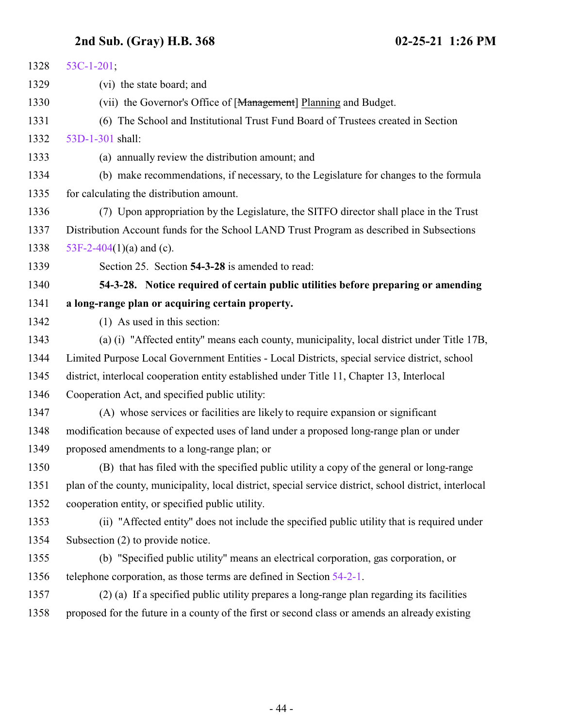| 1328 | $53C-1-201$ ;                                                                                           |
|------|---------------------------------------------------------------------------------------------------------|
| 1329 | (vi) the state board; and                                                                               |
| 1330 | (vii) the Governor's Office of [Management] Planning and Budget.                                        |
| 1331 | (6) The School and Institutional Trust Fund Board of Trustees created in Section                        |
| 1332 | 53D-1-301 shall:                                                                                        |
| 1333 | (a) annually review the distribution amount; and                                                        |
| 1334 | (b) make recommendations, if necessary, to the Legislature for changes to the formula                   |
| 1335 | for calculating the distribution amount.                                                                |
| 1336 | (7) Upon appropriation by the Legislature, the SITFO director shall place in the Trust                  |
| 1337 | Distribution Account funds for the School LAND Trust Program as described in Subsections                |
| 1338 | 53F-2-404(1)(a) and (c).                                                                                |
| 1339 | Section 25. Section 54-3-28 is amended to read:                                                         |
| 1340 | 54-3-28. Notice required of certain public utilities before preparing or amending                       |
| 1341 | a long-range plan or acquiring certain property.                                                        |
| 1342 | (1) As used in this section:                                                                            |
| 1343 | (a) (i) "Affected entity" means each county, municipality, local district under Title 17B,              |
| 1344 | Limited Purpose Local Government Entities - Local Districts, special service district, school           |
| 1345 | district, interlocal cooperation entity established under Title 11, Chapter 13, Interlocal              |
| 1346 | Cooperation Act, and specified public utility:                                                          |
| 1347 | (A) whose services or facilities are likely to require expansion or significant                         |
| 1348 | modification because of expected uses of land under a proposed long-range plan or under                 |
| 1349 | proposed amendments to a long-range plan; or                                                            |
| 1350 | (B) that has filed with the specified public utility a copy of the general or long-range                |
| 1351 | plan of the county, municipality, local district, special service district, school district, interlocal |
| 1352 | cooperation entity, or specified public utility.                                                        |
| 1353 | (ii) "Affected entity" does not include the specified public utility that is required under             |
| 1354 | Subsection (2) to provide notice.                                                                       |
| 1355 | (b) "Specified public utility" means an electrical corporation, gas corporation, or                     |
| 1356 | telephone corporation, as those terms are defined in Section 54-2-1.                                    |
| 1357 | (2) (a) If a specified public utility prepares a long-range plan regarding its facilities               |
| 1358 | proposed for the future in a county of the first or second class or amends an already existing          |
|      |                                                                                                         |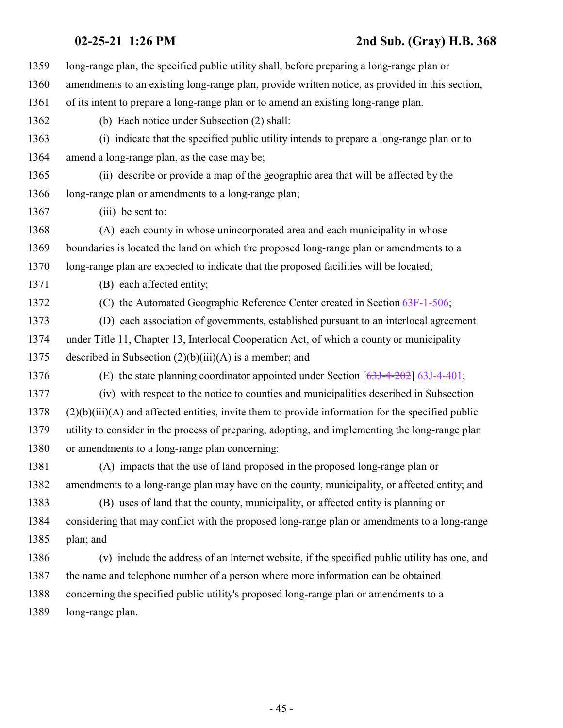| 1359 | long-range plan, the specified public utility shall, before preparing a long-range plan or          |
|------|-----------------------------------------------------------------------------------------------------|
| 1360 | amendments to an existing long-range plan, provide written notice, as provided in this section,     |
| 1361 | of its intent to prepare a long-range plan or to amend an existing long-range plan.                 |
| 1362 | (b) Each notice under Subsection (2) shall:                                                         |
| 1363 | (i) indicate that the specified public utility intends to prepare a long-range plan or to           |
| 1364 | amend a long-range plan, as the case may be;                                                        |
| 1365 | (ii) describe or provide a map of the geographic area that will be affected by the                  |
| 1366 | long-range plan or amendments to a long-range plan;                                                 |
| 1367 | (iii) be sent to:                                                                                   |
| 1368 | (A) each county in whose unincorporated area and each municipality in whose                         |
| 1369 | boundaries is located the land on which the proposed long-range plan or amendments to a             |
| 1370 | long-range plan are expected to indicate that the proposed facilities will be located;              |
| 1371 | (B) each affected entity;                                                                           |
| 1372 | (C) the Automated Geographic Reference Center created in Section 63F-1-506;                         |
| 1373 | (D) each association of governments, established pursuant to an interlocal agreement                |
| 1374 | under Title 11, Chapter 13, Interlocal Cooperation Act, of which a county or municipality           |
| 1375 | described in Subsection $(2)(b)(iii)(A)$ is a member; and                                           |
| 1376 | (E) the state planning coordinator appointed under Section $[63J-4-202]$ 63J-4-401;                 |
| 1377 | (iv) with respect to the notice to counties and municipalities described in Subsection              |
| 1378 | $(2)(b)(iii)(A)$ and affected entities, invite them to provide information for the specified public |
| 1379 | utility to consider in the process of preparing, adopting, and implementing the long-range plan     |
| 1380 | or amendments to a long-range plan concerning:                                                      |
| 1381 | (A) impacts that the use of land proposed in the proposed long-range plan or                        |
| 1382 | amendments to a long-range plan may have on the county, municipality, or affected entity; and       |
| 1383 | (B) uses of land that the county, municipality, or affected entity is planning or                   |
| 1384 | considering that may conflict with the proposed long-range plan or amendments to a long-range       |
| 1385 | plan; and                                                                                           |
| 1386 | (v) include the address of an Internet website, if the specified public utility has one, and        |
| 1387 | the name and telephone number of a person where more information can be obtained                    |
| 1388 | concerning the specified public utility's proposed long-range plan or amendments to a               |
| 1389 | long-range plan.                                                                                    |
|      |                                                                                                     |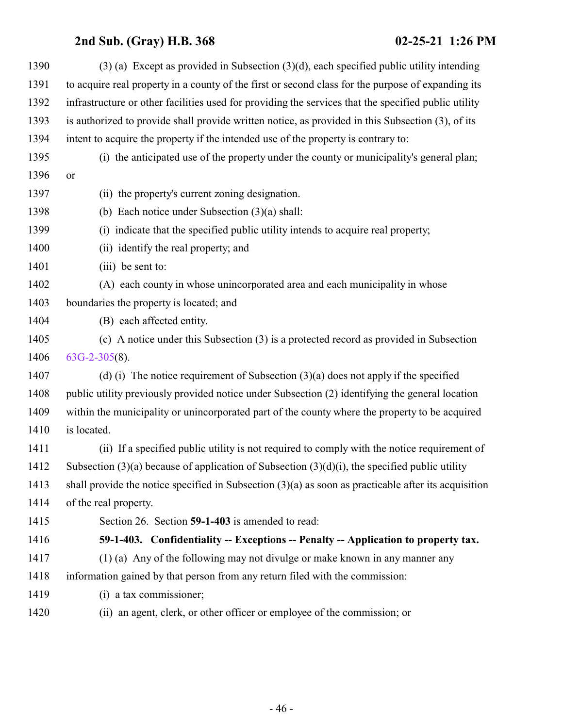<span id="page-45-0"></span>

| 1390 | $(3)$ (a) Except as provided in Subsection $(3)(d)$ , each specified public utility intending          |
|------|--------------------------------------------------------------------------------------------------------|
| 1391 | to acquire real property in a county of the first or second class for the purpose of expanding its     |
| 1392 | infrastructure or other facilities used for providing the services that the specified public utility   |
| 1393 | is authorized to provide shall provide written notice, as provided in this Subsection (3), of its      |
| 1394 | intent to acquire the property if the intended use of the property is contrary to:                     |
| 1395 | (i) the anticipated use of the property under the county or municipality's general plan;               |
| 1396 | or                                                                                                     |
| 1397 | (ii) the property's current zoning designation.                                                        |
| 1398 | (b) Each notice under Subsection $(3)(a)$ shall:                                                       |
| 1399 | (i) indicate that the specified public utility intends to acquire real property;                       |
| 1400 | (ii) identify the real property; and                                                                   |
| 1401 | (iii) be sent to:                                                                                      |
| 1402 | (A) each county in whose unincorporated area and each municipality in whose                            |
| 1403 | boundaries the property is located; and                                                                |
| 1404 | (B) each affected entity.                                                                              |
| 1405 | (c) A notice under this Subsection (3) is a protected record as provided in Subsection                 |
| 1406 | $63G-2-305(8)$ .                                                                                       |
| 1407 | (d) (i) The notice requirement of Subsection $(3)(a)$ does not apply if the specified                  |
| 1408 | public utility previously provided notice under Subsection (2) identifying the general location        |
| 1409 | within the municipality or unincorporated part of the county where the property to be acquired         |
| 1410 | is located.                                                                                            |
| 1411 | (ii) If a specified public utility is not required to comply with the notice requirement of            |
| 1412 | Subsection $(3)(a)$ because of application of Subsection $(3)(d)(i)$ , the specified public utility    |
| 1413 | shall provide the notice specified in Subsection $(3)(a)$ as soon as practicable after its acquisition |
| 1414 | of the real property.                                                                                  |
| 1415 | Section 26. Section 59-1-403 is amended to read:                                                       |
| 1416 | 59-1-403. Confidentiality -- Exceptions -- Penalty -- Application to property tax.                     |
| 1417 | (1) (a) Any of the following may not divulge or make known in any manner any                           |
| 1418 | information gained by that person from any return filed with the commission:                           |
| 1419 | (i) a tax commissioner;                                                                                |
| 1420 | (ii) an agent, clerk, or other officer or employee of the commission; or                               |
|      |                                                                                                        |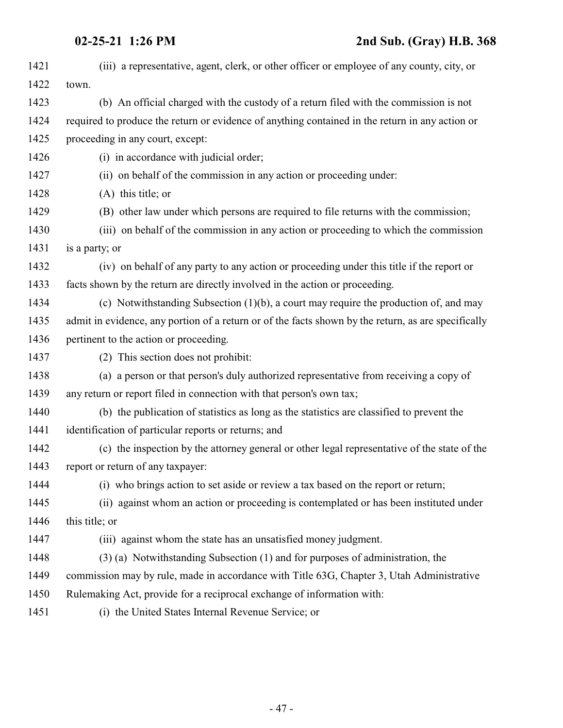| 1421 | (iii) a representative, agent, clerk, or other officer or employee of any county, city, or          |
|------|-----------------------------------------------------------------------------------------------------|
| 1422 | town.                                                                                               |
| 1423 | (b) An official charged with the custody of a return filed with the commission is not               |
| 1424 | required to produce the return or evidence of anything contained in the return in any action or     |
| 1425 | proceeding in any court, except:                                                                    |
| 1426 | (i) in accordance with judicial order;                                                              |
| 1427 | (ii) on behalf of the commission in any action or proceeding under:                                 |
| 1428 | $(A)$ this title; or                                                                                |
| 1429 | (B) other law under which persons are required to file returns with the commission;                 |
| 1430 | (iii) on behalf of the commission in any action or proceeding to which the commission               |
| 1431 | is a party; or                                                                                      |
| 1432 | (iv) on behalf of any party to any action or proceeding under this title if the report or           |
| 1433 | facts shown by the return are directly involved in the action or proceeding.                        |
| 1434 | (c) Notwithstanding Subsection $(1)(b)$ , a court may require the production of, and may            |
| 1435 | admit in evidence, any portion of a return or of the facts shown by the return, as are specifically |
| 1436 | pertinent to the action or proceeding.                                                              |
| 1437 | (2) This section does not prohibit:                                                                 |
| 1438 | (a) a person or that person's duly authorized representative from receiving a copy of               |
| 1439 | any return or report filed in connection with that person's own tax;                                |
| 1440 | (b) the publication of statistics as long as the statistics are classified to prevent the           |
| 1441 | identification of particular reports or returns; and                                                |
| 1442 | (c) the inspection by the attorney general or other legal representative of the state of the        |
| 1443 | report or return of any taxpayer:                                                                   |
| 1444 | (i) who brings action to set aside or review a tax based on the report or return;                   |
| 1445 | (ii) against whom an action or proceeding is contemplated or has been instituted under              |
| 1446 | this title; or                                                                                      |
| 1447 | (iii) against whom the state has an unsatisfied money judgment.                                     |
| 1448 | (3) (a) Notwithstanding Subsection (1) and for purposes of administration, the                      |
| 1449 | commission may by rule, made in accordance with Title 63G, Chapter 3, Utah Administrative           |
| 1450 | Rulemaking Act, provide for a reciprocal exchange of information with:                              |
| 1451 | (i) the United States Internal Revenue Service; or                                                  |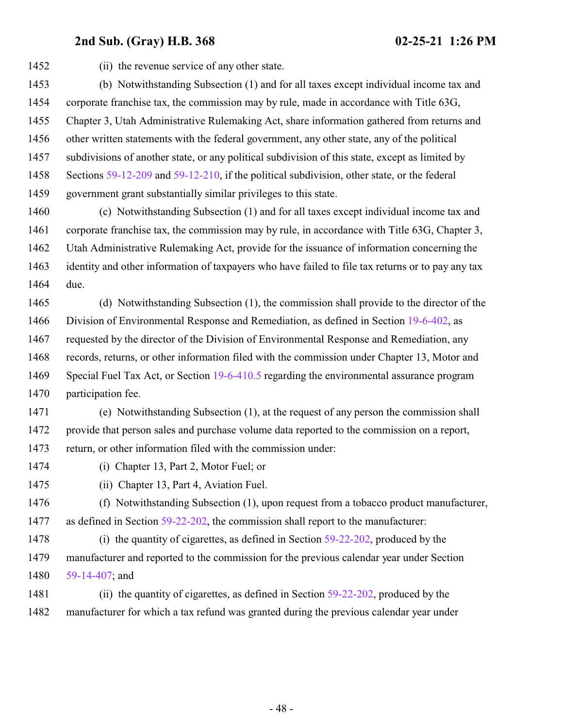(ii) the revenue service of any other state. (b) Notwithstanding Subsection (1) and for all taxes except individual income tax and corporate franchise tax, the commission may by rule, made in accordance with Title 63G, Chapter 3, Utah Administrative Rulemaking Act, share information gathered from returns and other written statements with the federal government, any other state, any of the political subdivisions of another state, or any political subdivision of this state, except as limited by Sections [59-12-209](http://le.utah.gov/UtahCode/SectionLookup.jsp?section=59-12-209&session=2021GS) and [59-12-210](http://le.utah.gov/UtahCode/SectionLookup.jsp?section=59-12-210&session=2021GS), if the political subdivision, other state, or the federal government grant substantially similar privileges to this state. (c) Notwithstanding Subsection (1) and for all taxes except individual income tax and corporate franchise tax, the commission may by rule, in accordance with Title 63G, Chapter 3, Utah Administrative Rulemaking Act, provide for the issuance of information concerning the identity and other information of taxpayers who have failed to file tax returns or to pay any tax due. (d) Notwithstanding Subsection (1), the commission shall provide to the director of the Division of Environmental Response and Remediation, as defined in Section [19-6-402](http://le.utah.gov/UtahCode/SectionLookup.jsp?section=19-6-402&session=2021GS), as requested by the director of the Division of Environmental Response and Remediation, any records, returns, or other information filed with the commission under Chapter 13, Motor and Special Fuel Tax Act, or Section [19-6-410.5](http://le.utah.gov/UtahCode/SectionLookup.jsp?section=19-6-410.5&session=2021GS) regarding the environmental assurance program participation fee. (e) Notwithstanding Subsection (1), at the request of any person the commission shall provide that person sales and purchase volume data reported to the commission on a report, return, or other information filed with the commission under: (i) Chapter 13, Part 2, Motor Fuel; or (ii) Chapter 13, Part 4, Aviation Fuel. (f) Notwithstanding Subsection (1), upon request from a tobacco product manufacturer, 1477 as defined in Section [59-22-202](http://le.utah.gov/UtahCode/SectionLookup.jsp?section=59-22-202&session=2021GS), the commission shall report to the manufacturer: (i) the quantity of cigarettes, as defined in Section [59-22-202](http://le.utah.gov/UtahCode/SectionLookup.jsp?section=59-22-202&session=2021GS), produced by the

 manufacturer and reported to the commission for the previous calendar year under Section [59-14-407](http://le.utah.gov/UtahCode/SectionLookup.jsp?section=59-14-407&session=2021GS); and

 (ii) the quantity of cigarettes, as defined in Section [59-22-202](http://le.utah.gov/UtahCode/SectionLookup.jsp?section=59-22-202&session=2021GS), produced by the manufacturer for which a tax refund was granted during the previous calendar year under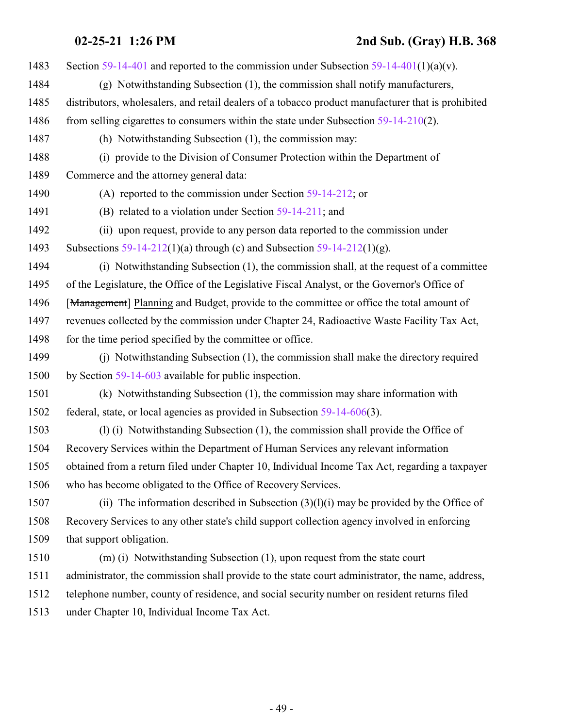Section [59-14-401](http://le.utah.gov/UtahCode/SectionLookup.jsp?section=59-14-401&session=2021GS) and reported to the commission under Subsection [59-14-401](http://le.utah.gov/UtahCode/SectionLookup.jsp?section=59-14-401&session=2021GS)(1)(a)(v). (g) Notwithstanding Subsection (1), the commission shall notify manufacturers, distributors, wholesalers, and retail dealers of a tobacco product manufacturer that is prohibited 1486 from selling cigarettes to consumers within the state under Subsection [59-14-210](http://le.utah.gov/UtahCode/SectionLookup.jsp?section=59-14-210&session=2021GS)(2). (h) Notwithstanding Subsection (1), the commission may: (i) provide to the Division of Consumer Protection within the Department of Commerce and the attorney general data: (A) reported to the commission under Section [59-14-212](http://le.utah.gov/UtahCode/SectionLookup.jsp?section=59-14-212&session=2021GS); or (B) related to a violation under Section [59-14-211](http://le.utah.gov/UtahCode/SectionLookup.jsp?section=59-14-211&session=2021GS); and (ii) upon request, provide to any person data reported to the commission under Subsections [59-14-212](http://le.utah.gov/UtahCode/SectionLookup.jsp?section=59-14-212&session=2021GS)(1)(a) through (c) and Subsection [59-14-212](http://le.utah.gov/UtahCode/SectionLookup.jsp?section=59-14-212&session=2021GS)(1)(g). (i) Notwithstanding Subsection (1), the commission shall, at the request of a committee of the Legislature, the Office of the Legislative Fiscal Analyst, or the Governor's Office of 1496 [Management] Planning and Budget, provide to the committee or office the total amount of revenues collected by the commission under Chapter 24, Radioactive Waste Facility Tax Act, 1498 for the time period specified by the committee or office. (j) Notwithstanding Subsection (1), the commission shall make the directory required by Section [59-14-603](http://le.utah.gov/UtahCode/SectionLookup.jsp?section=59-14-603&session=2021GS) available for public inspection. (k) Notwithstanding Subsection (1), the commission may share information with federal, state, or local agencies as provided in Subsection [59-14-606](http://le.utah.gov/UtahCode/SectionLookup.jsp?section=59-14-606&session=2021GS)(3). (l) (i) Notwithstanding Subsection (1), the commission shall provide the Office of Recovery Services within the Department of Human Services any relevant information obtained from a return filed under Chapter 10, Individual Income Tax Act, regarding a taxpayer who has become obligated to the Office of Recovery Services. 1507 (ii) The information described in Subsection  $(3)(1)(i)$  may be provided by the Office of Recovery Services to any other state's child support collection agency involved in enforcing that support obligation. (m) (i) Notwithstanding Subsection (1), upon request from the state court administrator, the commission shall provide to the state court administrator, the name, address, telephone number, county of residence, and social security number on resident returns filed under Chapter 10, Individual Income Tax Act.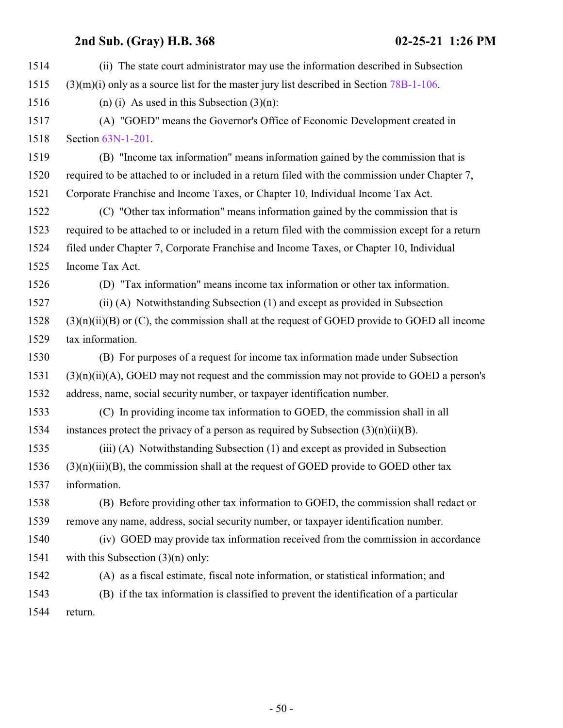| 1514 | (ii) The state court administrator may use the information described in Subsection                |
|------|---------------------------------------------------------------------------------------------------|
| 1515 | $(3)(m)(i)$ only as a source list for the master jury list described in Section 78B-1-106.        |
| 1516 | (n) (i) As used in this Subsection $(3)(n)$ :                                                     |
| 1517 | (A) "GOED" means the Governor's Office of Economic Development created in                         |
| 1518 | Section 63N-1-201.                                                                                |
| 1519 | (B) "Income tax information" means information gained by the commission that is                   |
| 1520 | required to be attached to or included in a return filed with the commission under Chapter 7,     |
| 1521 | Corporate Franchise and Income Taxes, or Chapter 10, Individual Income Tax Act.                   |
| 1522 | (C) "Other tax information" means information gained by the commission that is                    |
| 1523 | required to be attached to or included in a return filed with the commission except for a return  |
| 1524 | filed under Chapter 7, Corporate Franchise and Income Taxes, or Chapter 10, Individual            |
| 1525 | Income Tax Act.                                                                                   |
| 1526 | (D) "Tax information" means income tax information or other tax information.                      |
| 1527 | (ii) (A) Notwithstanding Subsection (1) and except as provided in Subsection                      |
| 1528 | $(3)(n)(ii)(B)$ or $(C)$ , the commission shall at the request of GOED provide to GOED all income |
| 1529 | tax information.                                                                                  |
| 1530 | (B) For purposes of a request for income tax information made under Subsection                    |
| 1531 | $(3)(n)(ii)(A)$ , GOED may not request and the commission may not provide to GOED a person's      |
| 1532 | address, name, social security number, or taxpayer identification number.                         |
| 1533 | (C) In providing income tax information to GOED, the commission shall in all                      |
| 1534 | instances protect the privacy of a person as required by Subsection $(3)(n)(ii)(B)$ .             |
| 1535 | (iii) (A) Notwithstanding Subsection (1) and except as provided in Subsection                     |
| 1536 | $(3)(n)(iii)(B)$ , the commission shall at the request of GOED provide to GOED other tax          |
| 1537 | information.                                                                                      |
| 1538 | (B) Before providing other tax information to GOED, the commission shall redact or                |
| 1539 | remove any name, address, social security number, or taxpayer identification number.              |
| 1540 | (iv) GOED may provide tax information received from the commission in accordance                  |
| 1541 | with this Subsection $(3)(n)$ only:                                                               |
| 1542 | (A) as a fiscal estimate, fiscal note information, or statistical information; and                |
| 1543 | (B) if the tax information is classified to prevent the identification of a particular            |
| 1544 | return.                                                                                           |
|      |                                                                                                   |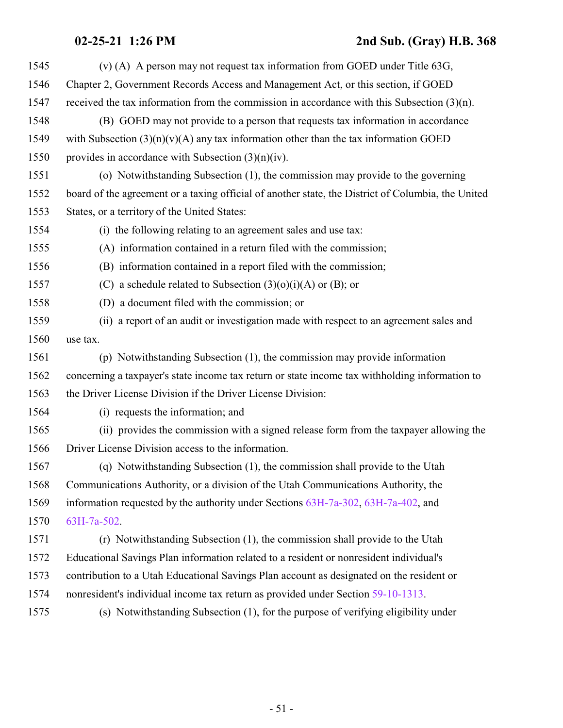| 1545 | (v) (A) A person may not request tax information from GOED under Title $63G$ ,                     |
|------|----------------------------------------------------------------------------------------------------|
| 1546 | Chapter 2, Government Records Access and Management Act, or this section, if GOED                  |
| 1547 | received the tax information from the commission in accordance with this Subsection $(3)(n)$ .     |
| 1548 | (B) GOED may not provide to a person that requests tax information in accordance                   |
| 1549 | with Subsection $(3)(n)(v)(A)$ any tax information other than the tax information GOED             |
| 1550 | provides in accordance with Subsection $(3)(n)(iv)$ .                                              |
| 1551 | (o) Notwithstanding Subsection (1), the commission may provide to the governing                    |
| 1552 | board of the agreement or a taxing official of another state, the District of Columbia, the United |
| 1553 | States, or a territory of the United States:                                                       |
| 1554 | (i) the following relating to an agreement sales and use tax:                                      |
| 1555 | (A) information contained in a return filed with the commission;                                   |
| 1556 | (B) information contained in a report filed with the commission;                                   |
| 1557 | (C) a schedule related to Subsection $(3)(0)(i)(A)$ or (B); or                                     |
| 1558 | (D) a document filed with the commission; or                                                       |
| 1559 | (ii) a report of an audit or investigation made with respect to an agreement sales and             |
| 1560 | use tax.                                                                                           |
| 1561 | (p) Notwithstanding Subsection (1), the commission may provide information                         |
| 1562 | concerning a taxpayer's state income tax return or state income tax withholding information to     |
| 1563 | the Driver License Division if the Driver License Division:                                        |
| 1564 | (i) requests the information; and                                                                  |
| 1565 | (ii) provides the commission with a signed release form from the taxpayer allowing the             |
| 1566 | Driver License Division access to the information.                                                 |
| 1567 | (q) Notwithstanding Subsection (1), the commission shall provide to the Utah                       |
| 1568 | Communications Authority, or a division of the Utah Communications Authority, the                  |
| 1569 | information requested by the authority under Sections 63H-7a-302, 63H-7a-402, and                  |
| 1570 | 63H-7a-502.                                                                                        |
| 1571 | (r) Notwithstanding Subsection (1), the commission shall provide to the Utah                       |
| 1572 | Educational Savings Plan information related to a resident or nonresident individual's             |
| 1573 | contribution to a Utah Educational Savings Plan account as designated on the resident or           |
| 1574 | nonresident's individual income tax return as provided under Section 59-10-1313.                   |
| 1575 | (s) Notwithstanding Subsection (1), for the purpose of verifying eligibility under                 |
|      |                                                                                                    |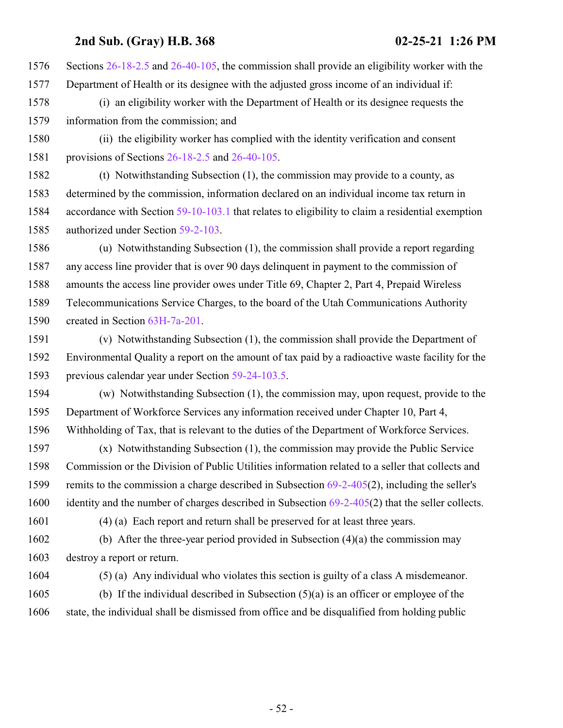Sections [26-18-2.5](http://le.utah.gov/UtahCode/SectionLookup.jsp?section=26-18-2.5&session=2021GS) and [26-40-105](http://le.utah.gov/UtahCode/SectionLookup.jsp?section=26-40-105&session=2021GS), the commission shall provide an eligibility worker with the Department of Health or its designee with the adjusted gross income of an individual if:

- (i) an eligibility worker with the Department of Health or its designee requests the information from the commission; and
- (ii) the eligibility worker has complied with the identity verification and consent provisions of Sections [26-18-2.5](http://le.utah.gov/UtahCode/SectionLookup.jsp?section=26-18-2.5&session=2021GS) and [26-40-105](http://le.utah.gov/UtahCode/SectionLookup.jsp?section=26-40-105&session=2021GS).

 (t) Notwithstanding Subsection (1), the commission may provide to a county, as determined by the commission, information declared on an individual income tax return in accordance with Section [59-10-103.1](http://le.utah.gov/UtahCode/SectionLookup.jsp?section=59-10-103.1&session=2021GS) that relates to eligibility to claim a residential exemption authorized under Section [59-2-103](http://le.utah.gov/UtahCode/SectionLookup.jsp?section=59-2-103&session=2021GS).

 (u) Notwithstanding Subsection (1), the commission shall provide a report regarding any access line provider that is over 90 days delinquent in payment to the commission of amounts the access line provider owes under Title 69, Chapter 2, Part 4, Prepaid Wireless Telecommunications Service Charges, to the board of the Utah Communications Authority created in Section [63H-7a-201](http://le.utah.gov/UtahCode/SectionLookup.jsp?section=63h-7a-201&session=2021GS).

 (v) Notwithstanding Subsection (1), the commission shall provide the Department of Environmental Quality a report on the amount of tax paid by a radioactive waste facility for the previous calendar year under Section [59-24-103.5](http://le.utah.gov/UtahCode/SectionLookup.jsp?section=59-24-103.5&session=2021GS).

 (w) Notwithstanding Subsection (1), the commission may, upon request, provide to the Department of Workforce Services any information received under Chapter 10, Part 4, Withholding of Tax, that is relevant to the duties of the Department of Workforce Services.

 (x) Notwithstanding Subsection (1), the commission may provide the Public Service Commission or the Division of Public Utilities information related to a seller that collects and 1599 remits to the commission a charge described in Subsection [69-2-405](http://le.utah.gov/UtahCode/SectionLookup.jsp?section=69-2-405&session=2021GS)(2), including the seller's identity and the number of charges described in Subsection [69-2-405](http://le.utah.gov/UtahCode/SectionLookup.jsp?section=69-2-405&session=2021GS)(2) that the seller collects.

(4) (a) Each report and return shall be preserved for at least three years.

 (b) After the three-year period provided in Subsection (4)(a) the commission may destroy a report or return.

- (5) (a) Any individual who violates this section is guilty of a class A misdemeanor.
- (b) If the individual described in Subsection (5)(a) is an officer or employee of the state, the individual shall be dismissed from office and be disqualified from holding public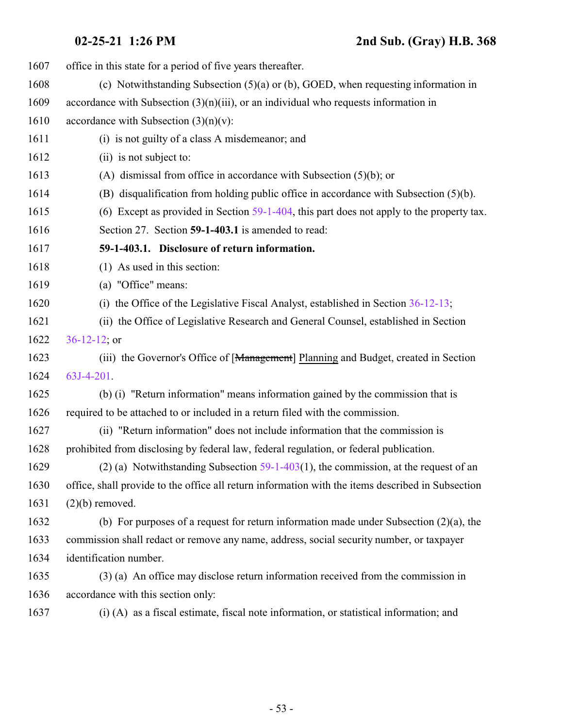| 1607 | office in this state for a period of five years thereafter.                                       |
|------|---------------------------------------------------------------------------------------------------|
| 1608 | (c) Notwithstanding Subsection $(5)(a)$ or (b), GOED, when requesting information in              |
| 1609 | accordance with Subsection $(3)(n)(iii)$ , or an individual who requests information in           |
| 1610 | accordance with Subsection $(3)(n)(v)$ :                                                          |
| 1611 | (i) is not guilty of a class A misdemeanor; and                                                   |
| 1612 | (ii) is not subject to:                                                                           |
| 1613 | (A) dismissal from office in accordance with Subsection $(5)(b)$ ; or                             |
| 1614 | $(B)$ disqualification from holding public office in accordance with Subsection $(5)(b)$ .        |
| 1615 | (6) Except as provided in Section $59-1-404$ , this part does not apply to the property tax.      |
| 1616 | Section 27. Section 59-1-403.1 is amended to read:                                                |
| 1617 | 59-1-403.1. Disclosure of return information.                                                     |
| 1618 | $(1)$ As used in this section:                                                                    |
| 1619 | (a) "Office" means:                                                                               |
| 1620 | (i) the Office of the Legislative Fiscal Analyst, established in Section 36-12-13;                |
| 1621 | (ii) the Office of Legislative Research and General Counsel, established in Section               |
| 1622 | $36-12-12$ ; or                                                                                   |
| 1623 | (iii) the Governor's Office of [Management] Planning and Budget, created in Section               |
| 1624 | 63J-4-201.                                                                                        |
| 1625 | (b) (i) "Return information" means information gained by the commission that is                   |
| 1626 | required to be attached to or included in a return filed with the commission.                     |
| 1627 | (ii) "Return information" does not include information that the commission is                     |
| 1628 | prohibited from disclosing by federal law, federal regulation, or federal publication.            |
| 1629 | (2) (a) Notwithstanding Subsection $59-1-403(1)$ , the commission, at the request of an           |
| 1630 | office, shall provide to the office all return information with the items described in Subsection |
| 1631 | $(2)(b)$ removed.                                                                                 |
| 1632 | (b) For purposes of a request for return information made under Subsection $(2)(a)$ , the         |
| 1633 | commission shall redact or remove any name, address, social security number, or taxpayer          |
| 1634 | identification number.                                                                            |
| 1635 | (3) (a) An office may disclose return information received from the commission in                 |
| 1636 | accordance with this section only:                                                                |
| 1637 | (i) (A) as a fiscal estimate, fiscal note information, or statistical information; and            |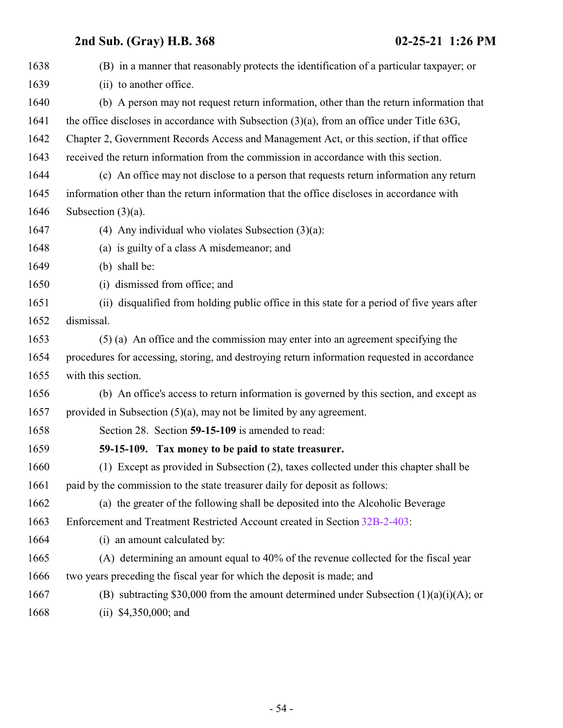| 1638 | (B) in a manner that reasonably protects the identification of a particular taxpayer; or      |
|------|-----------------------------------------------------------------------------------------------|
| 1639 | (ii) to another office.                                                                       |
| 1640 | (b) A person may not request return information, other than the return information that       |
| 1641 | the office discloses in accordance with Subsection $(3)(a)$ , from an office under Title 63G, |
| 1642 | Chapter 2, Government Records Access and Management Act, or this section, if that office      |
| 1643 | received the return information from the commission in accordance with this section.          |
| 1644 | (c) An office may not disclose to a person that requests return information any return        |
| 1645 | information other than the return information that the office discloses in accordance with    |
| 1646 | Subsection $(3)(a)$ .                                                                         |
| 1647 | (4) Any individual who violates Subsection $(3)(a)$ :                                         |
| 1648 | (a) is guilty of a class A misdemeanor; and                                                   |
| 1649 | (b) shall be:                                                                                 |
| 1650 | (i) dismissed from office; and                                                                |
| 1651 | (ii) disqualified from holding public office in this state for a period of five years after   |
| 1652 | dismissal.                                                                                    |
| 1653 | (5) (a) An office and the commission may enter into an agreement specifying the               |
| 1654 | procedures for accessing, storing, and destroying return information requested in accordance  |
| 1655 | with this section.                                                                            |
| 1656 | (b) An office's access to return information is governed by this section, and except as       |
| 1657 | provided in Subsection $(5)(a)$ , may not be limited by any agreement.                        |
| 1658 | Section 28. Section 59-15-109 is amended to read:                                             |
| 1659 | 59-15-109. Tax money to be paid to state treasurer.                                           |
| 1660 | (1) Except as provided in Subsection (2), taxes collected under this chapter shall be         |
| 1661 | paid by the commission to the state treasurer daily for deposit as follows:                   |
| 1662 | (a) the greater of the following shall be deposited into the Alcoholic Beverage               |
| 1663 | Enforcement and Treatment Restricted Account created in Section 32B-2-403:                    |
| 1664 | (i) an amount calculated by:                                                                  |
| 1665 | (A) determining an amount equal to 40% of the revenue collected for the fiscal year           |
| 1666 | two years preceding the fiscal year for which the deposit is made; and                        |
| 1667 | (B) subtracting \$30,000 from the amount determined under Subsection $(1)(a)(i)(A)$ ; or      |
| 1668 | (ii) $$4,350,000$ ; and                                                                       |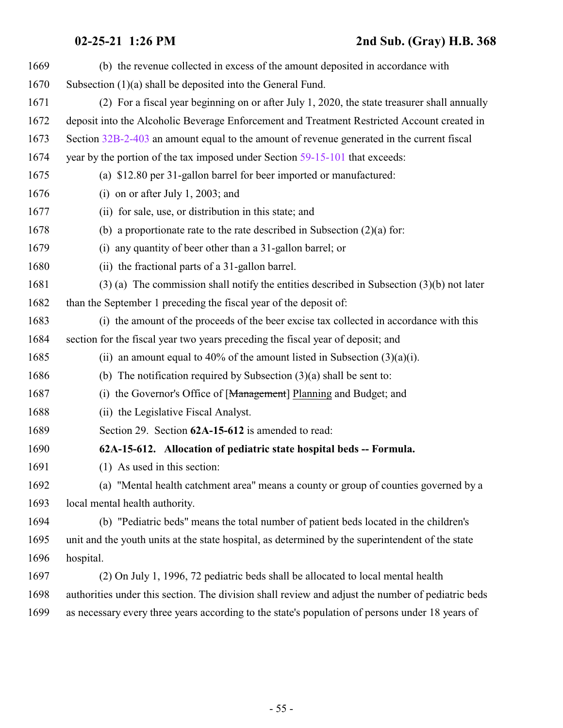| 1669 | (b) the revenue collected in excess of the amount deposited in accordance with                    |
|------|---------------------------------------------------------------------------------------------------|
| 1670 | Subsection (1)(a) shall be deposited into the General Fund.                                       |
| 1671 | (2) For a fiscal year beginning on or after July 1, 2020, the state treasurer shall annually      |
| 1672 | deposit into the Alcoholic Beverage Enforcement and Treatment Restricted Account created in       |
| 1673 | Section 32B-2-403 an amount equal to the amount of revenue generated in the current fiscal        |
| 1674 | year by the portion of the tax imposed under Section 59-15-101 that exceeds:                      |
| 1675 | (a) \$12.80 per 31-gallon barrel for beer imported or manufactured:                               |
| 1676 | (i) on or after July 1, 2003; and                                                                 |
| 1677 | (ii) for sale, use, or distribution in this state; and                                            |
| 1678 | (b) a proportionate rate to the rate described in Subsection $(2)(a)$ for:                        |
| 1679 | (i) any quantity of beer other than a 31-gallon barrel; or                                        |
| 1680 | (ii) the fractional parts of a 31-gallon barrel.                                                  |
| 1681 | $(3)$ (a) The commission shall notify the entities described in Subsection $(3)(b)$ not later     |
| 1682 | than the September 1 preceding the fiscal year of the deposit of:                                 |
| 1683 | (i) the amount of the proceeds of the beer excise tax collected in accordance with this           |
| 1684 | section for the fiscal year two years preceding the fiscal year of deposit; and                   |
| 1685 | (ii) an amount equal to 40% of the amount listed in Subsection $(3)(a)(i)$ .                      |
| 1686 | (b) The notification required by Subsection $(3)(a)$ shall be sent to:                            |
| 1687 | (i) the Governor's Office of [Management] Planning and Budget; and                                |
| 1688 | (ii) the Legislative Fiscal Analyst.                                                              |
| 1689 | Section 29. Section 62A-15-612 is amended to read:                                                |
| 1690 | 62A-15-612. Allocation of pediatric state hospital beds -- Formula.                               |
| 1691 | (1) As used in this section:                                                                      |
| 1692 | (a) "Mental health catchment area" means a county or group of counties governed by a              |
| 1693 | local mental health authority.                                                                    |
| 1694 | (b) "Pediatric beds" means the total number of patient beds located in the children's             |
| 1695 | unit and the youth units at the state hospital, as determined by the superintendent of the state  |
| 1696 | hospital.                                                                                         |
| 1697 | (2) On July 1, 1996, 72 pediatric beds shall be allocated to local mental health                  |
| 1698 | authorities under this section. The division shall review and adjust the number of pediatric beds |
| 1699 | as necessary every three years according to the state's population of persons under 18 years of   |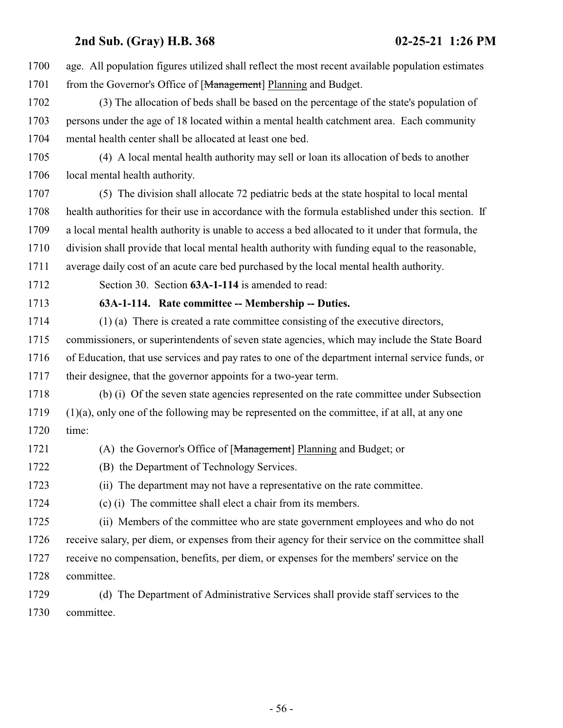age. All population figures utilized shall reflect the most recent available population estimates 1701 from the Governor's Office of [Management] Planning and Budget. (3) The allocation of beds shall be based on the percentage of the state's population of persons under the age of 18 located within a mental health catchment area. Each community mental health center shall be allocated at least one bed. (4) A local mental health authority may sell or loan its allocation of beds to another local mental health authority. (5) The division shall allocate 72 pediatric beds at the state hospital to local mental health authorities for their use in accordance with the formula established under this section. If a local mental health authority is unable to access a bed allocated to it under that formula, the division shall provide that local mental health authority with funding equal to the reasonable, average daily cost of an acute care bed purchased by the local mental health authority. Section 30. Section **63A-1-114** is amended to read: **63A-1-114. Rate committee -- Membership -- Duties.** (1) (a) There is created a rate committee consisting of the executive directors, commissioners, or superintendents of seven state agencies, which may include the State Board of Education, that use services and pay rates to one of the department internal service funds, or their designee, that the governor appoints for a two-year term. (b) (i) Of the seven state agencies represented on the rate committee under Subsection (1)(a), only one of the following may be represented on the committee, if at all, at any one time: 1721 (A) the Governor's Office of [Management] Planning and Budget; or (B) the Department of Technology Services. (ii) The department may not have a representative on the rate committee. (c) (i) The committee shall elect a chair from its members. (ii) Members of the committee who are state government employees and who do not receive salary, per diem, or expenses from their agency for their service on the committee shall receive no compensation, benefits, per diem, or expenses for the members' service on the committee. (d) The Department of Administrative Services shall provide staff services to the committee.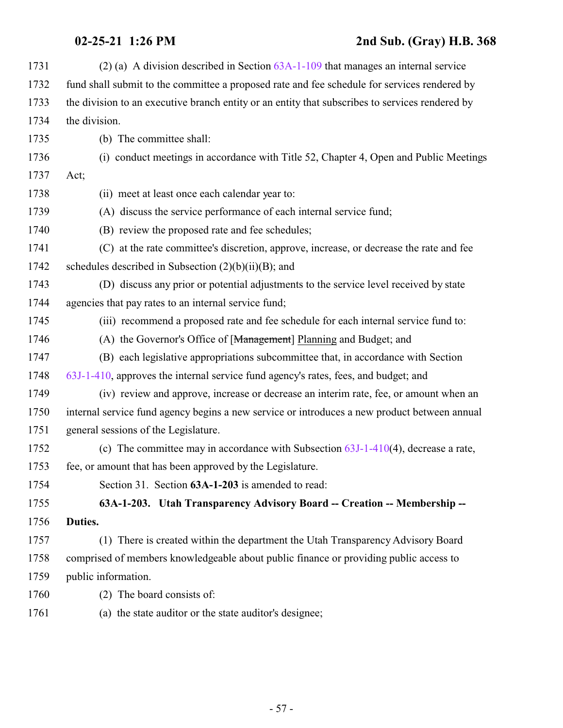| 1731 | (2) (a) A division described in Section $63A-1-109$ that manages an internal service            |
|------|-------------------------------------------------------------------------------------------------|
| 1732 | fund shall submit to the committee a proposed rate and fee schedule for services rendered by    |
| 1733 | the division to an executive branch entity or an entity that subscribes to services rendered by |
| 1734 | the division.                                                                                   |
| 1735 | (b) The committee shall:                                                                        |
| 1736 | (i) conduct meetings in accordance with Title 52, Chapter 4, Open and Public Meetings           |
| 1737 | Act;                                                                                            |
| 1738 | (ii) meet at least once each calendar year to:                                                  |
| 1739 | (A) discuss the service performance of each internal service fund;                              |
| 1740 | (B) review the proposed rate and fee schedules;                                                 |
| 1741 | (C) at the rate committee's discretion, approve, increase, or decrease the rate and fee         |
| 1742 | schedules described in Subsection $(2)(b)(ii)(B)$ ; and                                         |
| 1743 | (D) discuss any prior or potential adjustments to the service level received by state           |
| 1744 | agencies that pay rates to an internal service fund;                                            |
| 1745 | (iii) recommend a proposed rate and fee schedule for each internal service fund to:             |
| 1746 | (A) the Governor's Office of [Management] Planning and Budget; and                              |
| 1747 | (B) each legislative appropriations subcommittee that, in accordance with Section               |
| 1748 | 63J-1-410, approves the internal service fund agency's rates, fees, and budget; and             |
| 1749 | (iv) review and approve, increase or decrease an interim rate, fee, or amount when an           |
| 1750 | internal service fund agency begins a new service or introduces a new product between annual    |
| 1751 | general sessions of the Legislature.                                                            |
| 1752 | (c) The committee may in accordance with Subsection $63J-1-410(4)$ , decrease a rate,           |
| 1753 | fee, or amount that has been approved by the Legislature.                                       |
| 1754 | Section 31. Section 63A-1-203 is amended to read:                                               |
| 1755 | 63A-1-203. Utah Transparency Advisory Board -- Creation -- Membership --                        |
| 1756 | Duties.                                                                                         |
| 1757 | (1) There is created within the department the Utah Transparency Advisory Board                 |
| 1758 | comprised of members knowledgeable about public finance or providing public access to           |
| 1759 | public information.                                                                             |
| 1760 | (2) The board consists of:                                                                      |
| 1761 | (a) the state auditor or the state auditor's designee;                                          |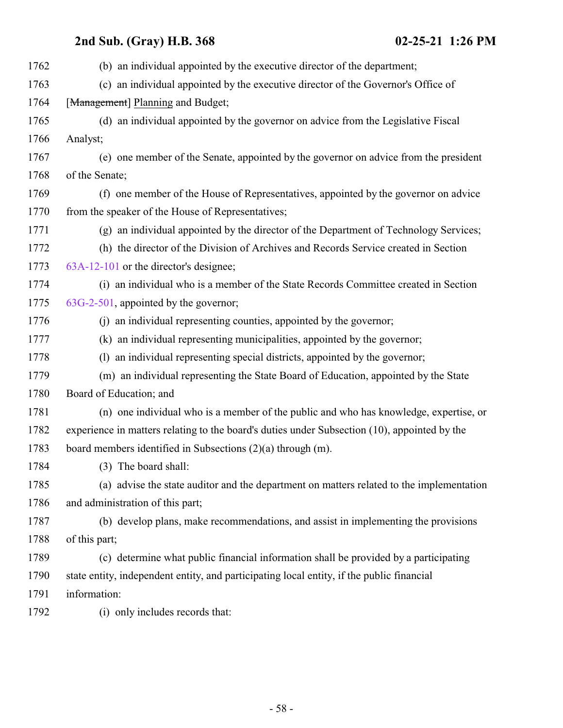| 1762 | (b) an individual appointed by the executive director of the department;                     |
|------|----------------------------------------------------------------------------------------------|
| 1763 | (c) an individual appointed by the executive director of the Governor's Office of            |
| 1764 | [Management] Planning and Budget;                                                            |
| 1765 | (d) an individual appointed by the governor on advice from the Legislative Fiscal            |
| 1766 | Analyst;                                                                                     |
| 1767 | (e) one member of the Senate, appointed by the governor on advice from the president         |
| 1768 | of the Senate;                                                                               |
| 1769 | (f) one member of the House of Representatives, appointed by the governor on advice          |
| 1770 | from the speaker of the House of Representatives;                                            |
| 1771 | (g) an individual appointed by the director of the Department of Technology Services;        |
| 1772 | (h) the director of the Division of Archives and Records Service created in Section          |
| 1773 | 63A-12-101 or the director's designee;                                                       |
| 1774 | (i) an individual who is a member of the State Records Committee created in Section          |
| 1775 | 63G-2-501, appointed by the governor;                                                        |
| 1776 | (j) an individual representing counties, appointed by the governor;                          |
| 1777 | (k) an individual representing municipalities, appointed by the governor;                    |
| 1778 | (1) an individual representing special districts, appointed by the governor;                 |
| 1779 | (m) an individual representing the State Board of Education, appointed by the State          |
| 1780 | Board of Education; and                                                                      |
| 1781 | (n) one individual who is a member of the public and who has knowledge, expertise, or        |
| 1782 | experience in matters relating to the board's duties under Subsection (10), appointed by the |
| 1783 | board members identified in Subsections $(2)(a)$ through $(m)$ .                             |
| 1784 | (3) The board shall:                                                                         |
| 1785 | (a) advise the state auditor and the department on matters related to the implementation     |
| 1786 | and administration of this part;                                                             |
| 1787 | (b) develop plans, make recommendations, and assist in implementing the provisions           |
| 1788 | of this part;                                                                                |
| 1789 | (c) determine what public financial information shall be provided by a participating         |
| 1790 | state entity, independent entity, and participating local entity, if the public financial    |
| 1791 | information:                                                                                 |
| 1792 | (i) only includes records that:                                                              |
|      |                                                                                              |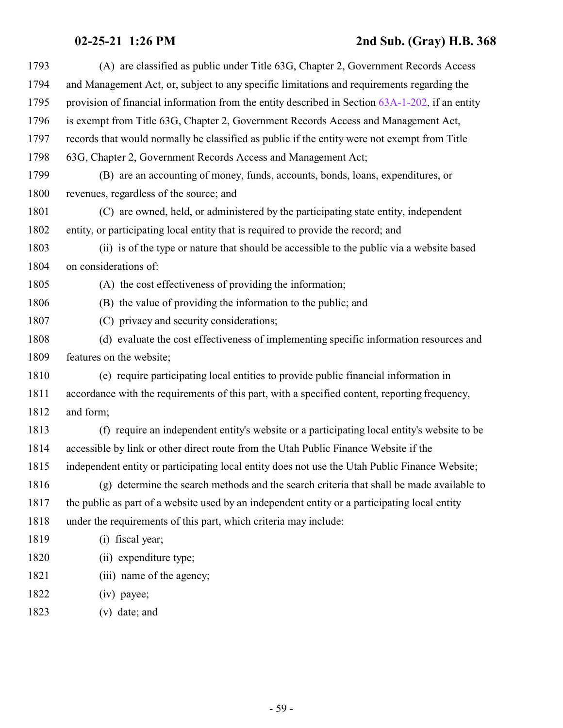| 1793 | (A) are classified as public under Title 63G, Chapter 2, Government Records Access              |
|------|-------------------------------------------------------------------------------------------------|
| 1794 | and Management Act, or, subject to any specific limitations and requirements regarding the      |
| 1795 | provision of financial information from the entity described in Section 63A-1-202, if an entity |
| 1796 | is exempt from Title 63G, Chapter 2, Government Records Access and Management Act,              |
| 1797 | records that would normally be classified as public if the entity were not exempt from Title    |
| 1798 | 63G, Chapter 2, Government Records Access and Management Act;                                   |
| 1799 | (B) are an accounting of money, funds, accounts, bonds, loans, expenditures, or                 |
| 1800 | revenues, regardless of the source; and                                                         |
| 1801 | (C) are owned, held, or administered by the participating state entity, independent             |
| 1802 | entity, or participating local entity that is required to provide the record; and               |
| 1803 | (ii) is of the type or nature that should be accessible to the public via a website based       |
| 1804 | on considerations of:                                                                           |
| 1805 | (A) the cost effectiveness of providing the information;                                        |
| 1806 | (B) the value of providing the information to the public; and                                   |
| 1807 | (C) privacy and security considerations;                                                        |
| 1808 | (d) evaluate the cost effectiveness of implementing specific information resources and          |
| 1809 | features on the website;                                                                        |
| 1810 | (e) require participating local entities to provide public financial information in             |
| 1811 | accordance with the requirements of this part, with a specified content, reporting frequency,   |
| 1812 | and form;                                                                                       |
| 1813 | (f) require an independent entity's website or a participating local entity's website to be     |
| 1814 | accessible by link or other direct route from the Utah Public Finance Website if the            |
| 1815 | independent entity or participating local entity does not use the Utah Public Finance Website;  |
| 1816 | (g) determine the search methods and the search criteria that shall be made available to        |
| 1817 | the public as part of a website used by an independent entity or a participating local entity   |
| 1818 | under the requirements of this part, which criteria may include:                                |
| 1819 | (i) fiscal year;                                                                                |
| 1820 | (ii) expenditure type;                                                                          |
| 1821 | (iii) name of the agency;                                                                       |
| 1822 | (iv) payee;                                                                                     |
| 1823 | (v) date; and                                                                                   |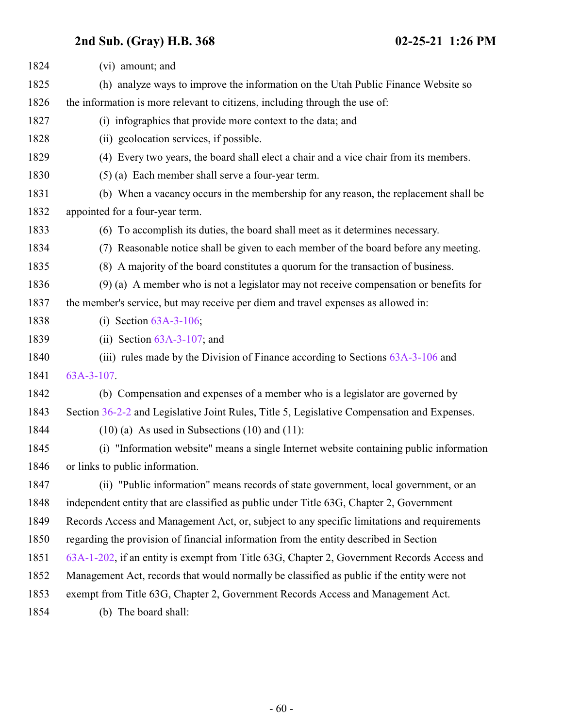| 1824 | (vi) amount; and                                                                            |
|------|---------------------------------------------------------------------------------------------|
| 1825 | (h) analyze ways to improve the information on the Utah Public Finance Website so           |
| 1826 | the information is more relevant to citizens, including through the use of:                 |
| 1827 | (i) infographics that provide more context to the data; and                                 |
| 1828 | (ii) geolocation services, if possible.                                                     |
| 1829 | (4) Every two years, the board shall elect a chair and a vice chair from its members.       |
| 1830 | (5) (a) Each member shall serve a four-year term.                                           |
| 1831 | (b) When a vacancy occurs in the membership for any reason, the replacement shall be        |
| 1832 | appointed for a four-year term.                                                             |
| 1833 | (6) To accomplish its duties, the board shall meet as it determines necessary.              |
| 1834 | (7) Reasonable notice shall be given to each member of the board before any meeting.        |
| 1835 | (8) A majority of the board constitutes a quorum for the transaction of business.           |
| 1836 | $(9)$ (a) A member who is not a legislator may not receive compensation or benefits for     |
| 1837 | the member's service, but may receive per diem and travel expenses as allowed in:           |
| 1838 | (i) Section $63A-3-106$ ;                                                                   |
| 1839 | (ii) Section $63A-3-107$ ; and                                                              |
| 1840 | (iii) rules made by the Division of Finance according to Sections 63A-3-106 and             |
| 1841 | $63A-3-107$ .                                                                               |
| 1842 | (b) Compensation and expenses of a member who is a legislator are governed by               |
| 1843 | Section 36-2-2 and Legislative Joint Rules, Title 5, Legislative Compensation and Expenses. |
| 1844 | $(10)$ (a) As used in Subsections $(10)$ and $(11)$ :                                       |
| 1845 | (i) "Information website" means a single Internet website containing public information     |
| 1846 | or links to public information.                                                             |
| 1847 | (ii) "Public information" means records of state government, local government, or an        |
| 1848 | independent entity that are classified as public under Title 63G, Chapter 2, Government     |
| 1849 | Records Access and Management Act, or, subject to any specific limitations and requirements |
| 1850 | regarding the provision of financial information from the entity described in Section       |
| 1851 | 63A-1-202, if an entity is exempt from Title 63G, Chapter 2, Government Records Access and  |
| 1852 | Management Act, records that would normally be classified as public if the entity were not  |
| 1853 | exempt from Title 63G, Chapter 2, Government Records Access and Management Act.             |
| 1854 | (b) The board shall:                                                                        |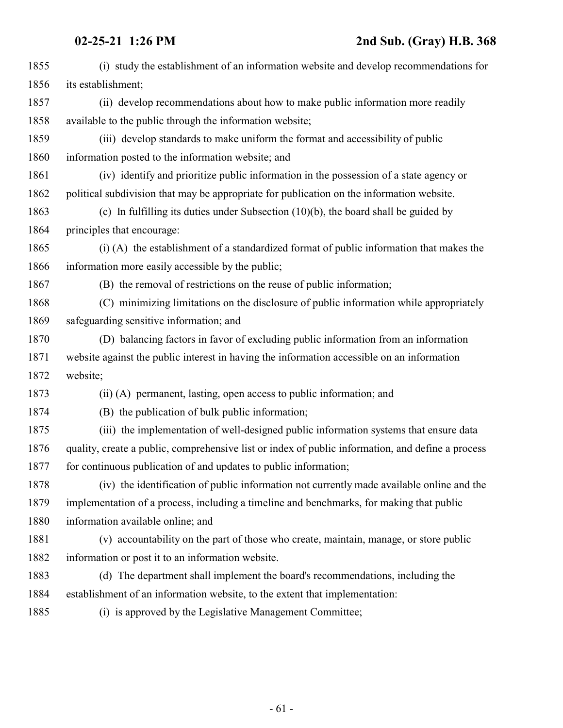| 1855 | (i) study the establishment of an information website and develop recommendations for             |
|------|---------------------------------------------------------------------------------------------------|
| 1856 | its establishment;                                                                                |
| 1857 | (ii) develop recommendations about how to make public information more readily                    |
| 1858 | available to the public through the information website;                                          |
| 1859 | (iii) develop standards to make uniform the format and accessibility of public                    |
| 1860 | information posted to the information website; and                                                |
| 1861 | (iv) identify and prioritize public information in the possession of a state agency or            |
| 1862 | political subdivision that may be appropriate for publication on the information website.         |
| 1863 | (c) In fulfilling its duties under Subsection $(10)(b)$ , the board shall be guided by            |
| 1864 | principles that encourage:                                                                        |
| 1865 | (i) (A) the establishment of a standardized format of public information that makes the           |
| 1866 | information more easily accessible by the public;                                                 |
| 1867 | (B) the removal of restrictions on the reuse of public information;                               |
| 1868 | (C) minimizing limitations on the disclosure of public information while appropriately            |
| 1869 | safeguarding sensitive information; and                                                           |
| 1870 | (D) balancing factors in favor of excluding public information from an information                |
| 1871 | website against the public interest in having the information accessible on an information        |
| 1872 | website;                                                                                          |
| 1873 | (ii) (A) permanent, lasting, open access to public information; and                               |
| 1874 | (B) the publication of bulk public information;                                                   |
| 1875 | (iii) the implementation of well-designed public information systems that ensure data             |
| 1876 | quality, create a public, comprehensive list or index of public information, and define a process |
| 1877 | for continuous publication of and updates to public information;                                  |
| 1878 | (iv) the identification of public information not currently made available online and the         |
| 1879 | implementation of a process, including a timeline and benchmarks, for making that public          |
| 1880 | information available online; and                                                                 |
| 1881 | (v) accountability on the part of those who create, maintain, manage, or store public             |
| 1882 | information or post it to an information website.                                                 |
| 1883 | (d) The department shall implement the board's recommendations, including the                     |
| 1884 | establishment of an information website, to the extent that implementation:                       |
| 1885 | (i) is approved by the Legislative Management Committee;                                          |
|      |                                                                                                   |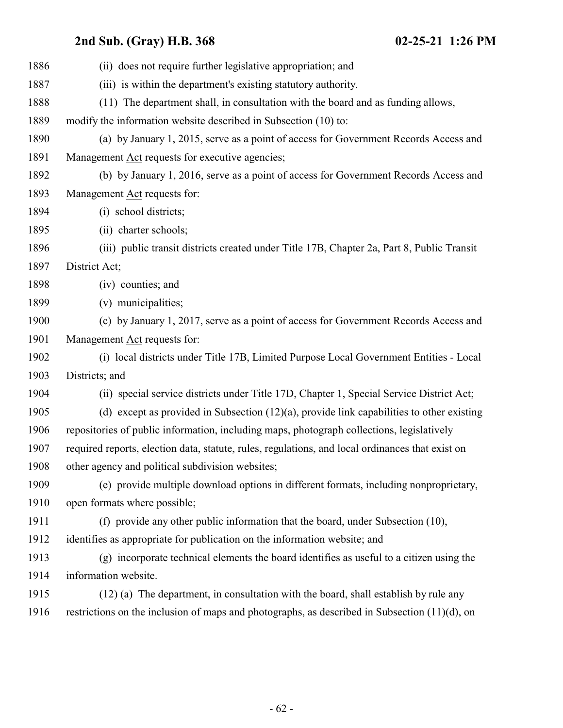| 1886 | (ii) does not require further legislative appropriation; and                                     |
|------|--------------------------------------------------------------------------------------------------|
| 1887 | (iii) is within the department's existing statutory authority.                                   |
| 1888 | (11) The department shall, in consultation with the board and as funding allows,                 |
| 1889 | modify the information website described in Subsection (10) to:                                  |
| 1890 | (a) by January 1, 2015, serve as a point of access for Government Records Access and             |
| 1891 | Management Act requests for executive agencies;                                                  |
| 1892 | (b) by January 1, 2016, serve as a point of access for Government Records Access and             |
| 1893 | Management Act requests for:                                                                     |
| 1894 | (i) school districts;                                                                            |
| 1895 | (ii) charter schools;                                                                            |
| 1896 | (iii) public transit districts created under Title 17B, Chapter 2a, Part 8, Public Transit       |
| 1897 | District Act;                                                                                    |
| 1898 | (iv) counties; and                                                                               |
| 1899 | (v) municipalities;                                                                              |
| 1900 | (c) by January 1, 2017, serve as a point of access for Government Records Access and             |
| 1901 | Management Act requests for:                                                                     |
| 1902 | (i) local districts under Title 17B, Limited Purpose Local Government Entities - Local           |
| 1903 | Districts; and                                                                                   |
| 1904 | (ii) special service districts under Title 17D, Chapter 1, Special Service District Act;         |
| 1905 | (d) except as provided in Subsection $(12)(a)$ , provide link capabilities to other existing     |
| 1906 | repositories of public information, including maps, photograph collections, legislatively        |
| 1907 | required reports, election data, statute, rules, regulations, and local ordinances that exist on |
| 1908 | other agency and political subdivision websites;                                                 |
| 1909 | (e) provide multiple download options in different formats, including nonproprietary,            |
| 1910 | open formats where possible;                                                                     |
| 1911 | (f) provide any other public information that the board, under Subsection (10),                  |
| 1912 | identifies as appropriate for publication on the information website; and                        |
| 1913 | (g) incorporate technical elements the board identifies as useful to a citizen using the         |
| 1914 | information website.                                                                             |
| 1915 | (12) (a) The department, in consultation with the board, shall establish by rule any             |
| 1916 | restrictions on the inclusion of maps and photographs, as described in Subsection $(11)(d)$ , on |
|      |                                                                                                  |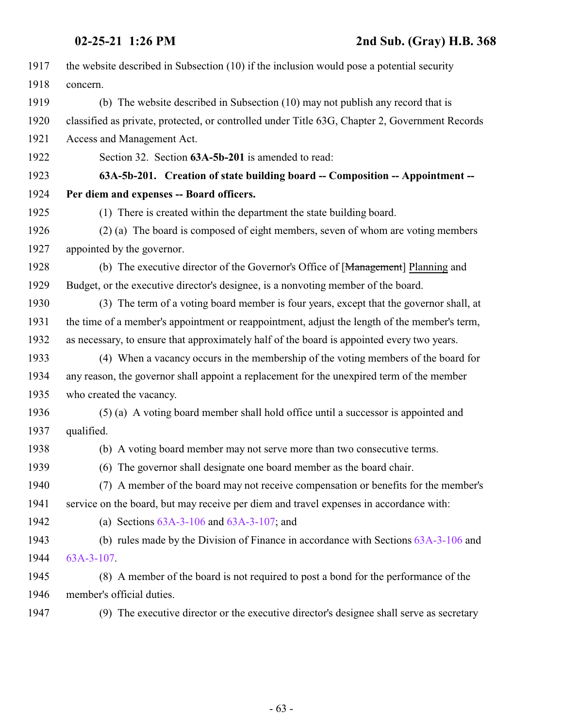| 1917 | the website described in Subsection (10) if the inclusion would pose a potential security      |
|------|------------------------------------------------------------------------------------------------|
| 1918 | concern.                                                                                       |
| 1919 | (b) The website described in Subsection (10) may not publish any record that is                |
| 1920 | classified as private, protected, or controlled under Title 63G, Chapter 2, Government Records |
| 1921 | Access and Management Act.                                                                     |
| 1922 | Section 32. Section 63A-5b-201 is amended to read:                                             |
| 1923 | 63A-5b-201. Creation of state building board -- Composition -- Appointment --                  |
| 1924 | Per diem and expenses -- Board officers.                                                       |
| 1925 | (1) There is created within the department the state building board.                           |
| 1926 | (2) (a) The board is composed of eight members, seven of whom are voting members               |
| 1927 | appointed by the governor.                                                                     |
| 1928 | (b) The executive director of the Governor's Office of [Management] Planning and               |
| 1929 | Budget, or the executive director's designee, is a nonvoting member of the board.              |
| 1930 | (3) The term of a voting board member is four years, except that the governor shall, at        |
| 1931 | the time of a member's appointment or reappointment, adjust the length of the member's term,   |
| 1932 | as necessary, to ensure that approximately half of the board is appointed every two years.     |
| 1933 | (4) When a vacancy occurs in the membership of the voting members of the board for             |
| 1934 | any reason, the governor shall appoint a replacement for the unexpired term of the member      |
| 1935 | who created the vacancy.                                                                       |
| 1936 | (5) (a) A voting board member shall hold office until a successor is appointed and             |
| 1937 | qualified.                                                                                     |
| 1938 | (b) A voting board member may not serve more than two consecutive terms.                       |
| 1939 | (6) The governor shall designate one board member as the board chair.                          |
| 1940 | (7) A member of the board may not receive compensation or benefits for the member's            |
| 1941 | service on the board, but may receive per diem and travel expenses in accordance with:         |
| 1942 | (a) Sections $63A-3-106$ and $63A-3-107$ ; and                                                 |
| 1943 | (b) rules made by the Division of Finance in accordance with Sections $63A-3-106$ and          |
| 1944 | $63A-3-107$ .                                                                                  |
| 1945 | (8) A member of the board is not required to post a bond for the performance of the            |
| 1946 | member's official duties.                                                                      |
| 1947 | (9) The executive director or the executive director's designee shall serve as secretary       |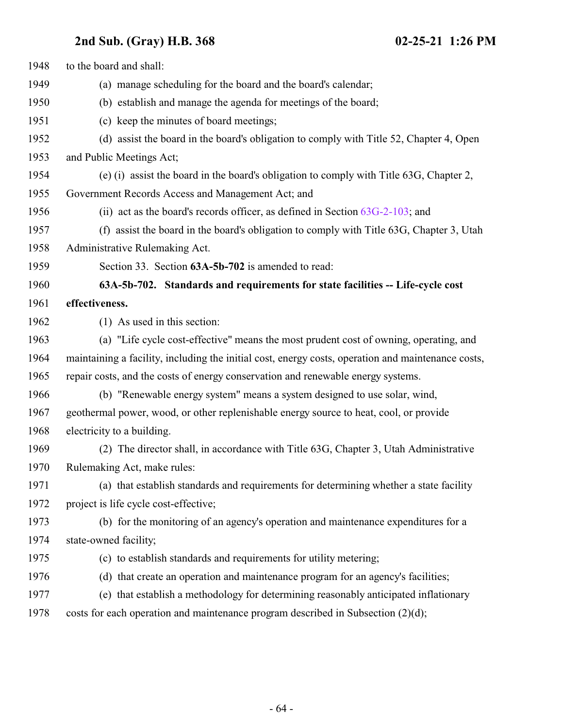| 1948 | to the board and shall:                                                                            |
|------|----------------------------------------------------------------------------------------------------|
| 1949 | (a) manage scheduling for the board and the board's calendar;                                      |
| 1950 | (b) establish and manage the agenda for meetings of the board;                                     |
| 1951 | (c) keep the minutes of board meetings;                                                            |
| 1952 | (d) assist the board in the board's obligation to comply with Title 52, Chapter 4, Open            |
| 1953 | and Public Meetings Act;                                                                           |
| 1954 | (e) (i) assist the board in the board's obligation to comply with Title 63G, Chapter 2,            |
| 1955 | Government Records Access and Management Act; and                                                  |
| 1956 | (ii) act as the board's records officer, as defined in Section $63G-2-103$ ; and                   |
| 1957 | (f) assist the board in the board's obligation to comply with Title 63G, Chapter 3, Utah           |
| 1958 | Administrative Rulemaking Act.                                                                     |
| 1959 | Section 33. Section 63A-5b-702 is amended to read:                                                 |
| 1960 | 63A-5b-702. Standards and requirements for state facilities -- Life-cycle cost                     |
| 1961 | effectiveness.                                                                                     |
| 1962 | (1) As used in this section:                                                                       |
| 1963 | (a) "Life cycle cost-effective" means the most prudent cost of owning, operating, and              |
| 1964 | maintaining a facility, including the initial cost, energy costs, operation and maintenance costs, |
| 1965 | repair costs, and the costs of energy conservation and renewable energy systems.                   |
| 1966 | (b) "Renewable energy system" means a system designed to use solar, wind,                          |
| 1967 | geothermal power, wood, or other replenishable energy source to heat, cool, or provide             |
| 1968 | electricity to a building.                                                                         |
| 1969 | (2) The director shall, in accordance with Title 63G, Chapter 3, Utah Administrative               |
| 1970 | Rulemaking Act, make rules:                                                                        |
| 1971 | (a) that establish standards and requirements for determining whether a state facility             |
| 1972 | project is life cycle cost-effective;                                                              |
| 1973 | (b) for the monitoring of an agency's operation and maintenance expenditures for a                 |
| 1974 | state-owned facility;                                                                              |
| 1975 | (c) to establish standards and requirements for utility metering;                                  |
| 1976 | (d) that create an operation and maintenance program for an agency's facilities;                   |
| 1977 | (e) that establish a methodology for determining reasonably anticipated inflationary               |
| 1978 | costs for each operation and maintenance program described in Subsection $(2)(d)$ ;                |
|      |                                                                                                    |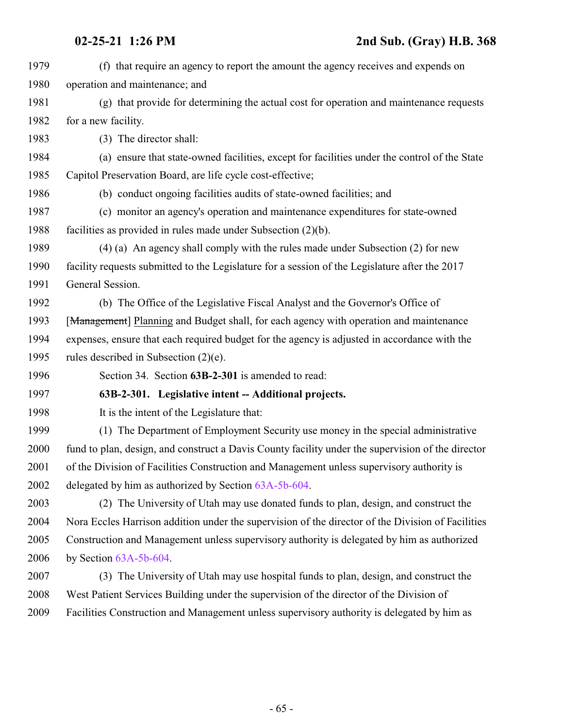| 1979 | (f) that require an agency to report the amount the agency receives and expends on                |
|------|---------------------------------------------------------------------------------------------------|
| 1980 | operation and maintenance; and                                                                    |
| 1981 | (g) that provide for determining the actual cost for operation and maintenance requests           |
| 1982 | for a new facility.                                                                               |
| 1983 | (3) The director shall:                                                                           |
| 1984 | (a) ensure that state-owned facilities, except for facilities under the control of the State      |
| 1985 | Capitol Preservation Board, are life cycle cost-effective;                                        |
| 1986 | (b) conduct ongoing facilities audits of state-owned facilities; and                              |
| 1987 | (c) monitor an agency's operation and maintenance expenditures for state-owned                    |
| 1988 | facilities as provided in rules made under Subsection $(2)(b)$ .                                  |
| 1989 | (4) (a) An agency shall comply with the rules made under Subsection (2) for new                   |
| 1990 | facility requests submitted to the Legislature for a session of the Legislature after the 2017    |
| 1991 | General Session.                                                                                  |
| 1992 | (b) The Office of the Legislative Fiscal Analyst and the Governor's Office of                     |
| 1993 | [Management] Planning and Budget shall, for each agency with operation and maintenance            |
| 1994 | expenses, ensure that each required budget for the agency is adjusted in accordance with the      |
| 1995 | rules described in Subsection $(2)(e)$ .                                                          |
| 1996 | Section 34. Section 63B-2-301 is amended to read:                                                 |
| 1997 | 63B-2-301. Legislative intent -- Additional projects.                                             |
| 1998 | It is the intent of the Legislature that:                                                         |
| 1999 | (1) The Department of Employment Security use money in the special administrative                 |
| 2000 | fund to plan, design, and construct a Davis County facility under the supervision of the director |
| 2001 | of the Division of Facilities Construction and Management unless supervisory authority is         |
| 2002 | delegated by him as authorized by Section 63A-5b-604.                                             |
| 2003 | (2) The University of Utah may use donated funds to plan, design, and construct the               |
| 2004 | Nora Eccles Harrison addition under the supervision of the director of the Division of Facilities |
| 2005 | Construction and Management unless supervisory authority is delegated by him as authorized        |
| 2006 | by Section $63A-5b-604$ .                                                                         |
| 2007 | (3) The University of Utah may use hospital funds to plan, design, and construct the              |
| 2008 | West Patient Services Building under the supervision of the director of the Division of           |
| 2009 | Facilities Construction and Management unless supervisory authority is delegated by him as        |
|      |                                                                                                   |
|      |                                                                                                   |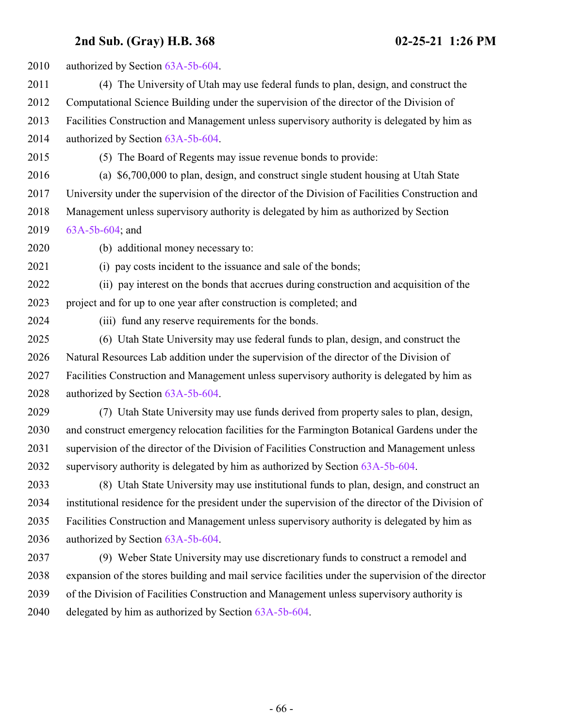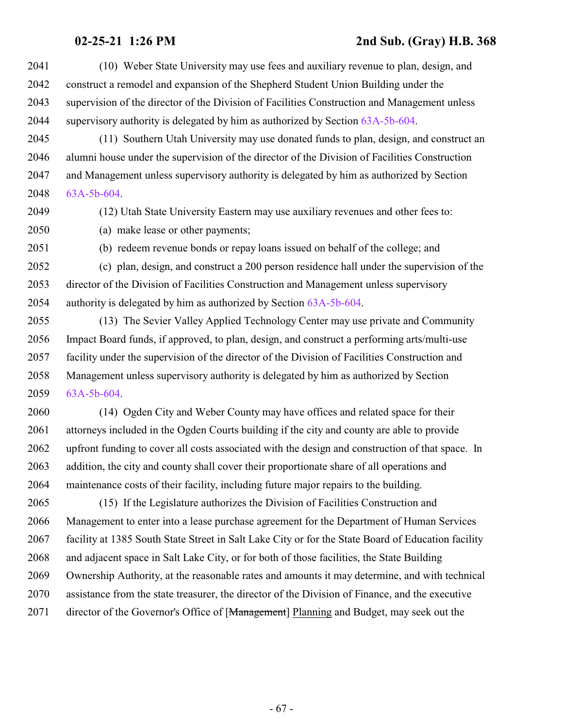- (10) Weber State University may use fees and auxiliary revenue to plan, design, and construct a remodel and expansion of the Shepherd Student Union Building under the supervision of the director of the Division of Facilities Construction and Management unless supervisory authority is delegated by him as authorized by Section [63A-5b-604](http://le.utah.gov/UtahCode/SectionLookup.jsp?section=63a-5b-604&session=2021GS).
- (11) Southern Utah University may use donated funds to plan, design, and construct an alumni house under the supervision of the director of the Division of Facilities Construction and Management unless supervisory authority is delegated by him as authorized by Section [63A-5b-604](http://le.utah.gov/UtahCode/SectionLookup.jsp?section=63a-5b-604&session=2021GS).
- 

(12) Utah State University Eastern may use auxiliary revenues and other fees to:

- (a) make lease or other payments;
- 

(b) redeem revenue bonds or repay loans issued on behalf of the college; and

 (c) plan, design, and construct a 200 person residence hall under the supervision of the director of the Division of Facilities Construction and Management unless supervisory authority is delegated by him as authorized by Section [63A-5b-604](http://le.utah.gov/UtahCode/SectionLookup.jsp?section=63a-5b-604&session=2021GS).

 (13) The Sevier Valley Applied Technology Center may use private and Community Impact Board funds, if approved, to plan, design, and construct a performing arts/multi-use facility under the supervision of the director of the Division of Facilities Construction and Management unless supervisory authority is delegated by him as authorized by Section [63A-5b-604](http://le.utah.gov/UtahCode/SectionLookup.jsp?section=63a-5b-604&session=2021GS).

 (14) Ogden City and Weber County may have offices and related space for their attorneys included in the Ogden Courts building if the city and county are able to provide upfront funding to cover all costs associated with the design and construction of that space. In addition, the city and county shall cover their proportionate share of all operations and maintenance costs of their facility, including future major repairs to the building.

 (15) If the Legislature authorizes the Division of Facilities Construction and Management to enter into a lease purchase agreement for the Department of Human Services facility at 1385 South State Street in Salt Lake City or for the State Board of Education facility and adjacent space in Salt Lake City, or for both of those facilities, the State Building Ownership Authority, at the reasonable rates and amounts it may determine, and with technical assistance from the state treasurer, the director of the Division of Finance, and the executive 2071 director of the Governor's Office of [Management] Planning and Budget, may seek out the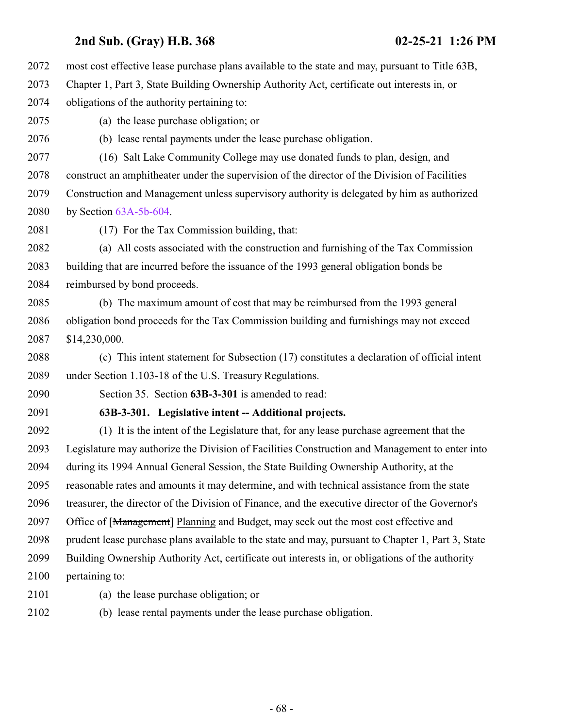- most cost effective lease purchase plans available to the state and may, pursuant to Title 63B, Chapter 1, Part 3, State Building Ownership Authority Act, certificate out interests in, or obligations of the authority pertaining to: (a) the lease purchase obligation; or (b) lease rental payments under the lease purchase obligation. (16) Salt Lake Community College may use donated funds to plan, design, and construct an amphitheater under the supervision of the director of the Division of Facilities Construction and Management unless supervisory authority is delegated by him as authorized by Section [63A-5b-604](http://le.utah.gov/UtahCode/SectionLookup.jsp?section=63a-5b-604&session=2021GS). (17) For the Tax Commission building, that: (a) All costs associated with the construction and furnishing of the Tax Commission building that are incurred before the issuance of the 1993 general obligation bonds be reimbursed by bond proceeds. (b) The maximum amount of cost that may be reimbursed from the 1993 general obligation bond proceeds for the Tax Commission building and furnishings may not exceed \$14,230,000. (c) This intent statement for Subsection (17) constitutes a declaration of official intent under Section 1.103-18 of the U.S. Treasury Regulations. Section 35. Section **63B-3-301** is amended to read: **63B-3-301. Legislative intent -- Additional projects.** (1) It is the intent of the Legislature that, for any lease purchase agreement that the Legislature may authorize the Division of Facilities Construction and Management to enter into during its 1994 Annual General Session, the State Building Ownership Authority, at the reasonable rates and amounts it may determine, and with technical assistance from the state treasurer, the director of the Division of Finance, and the executive director of the Governor's 2097 Office of [Management] Planning and Budget, may seek out the most cost effective and prudent lease purchase plans available to the state and may, pursuant to Chapter 1, Part 3, State Building Ownership Authority Act, certificate out interests in, or obligations of the authority pertaining to:
- 
- (a) the lease purchase obligation; or
- (b) lease rental payments under the lease purchase obligation.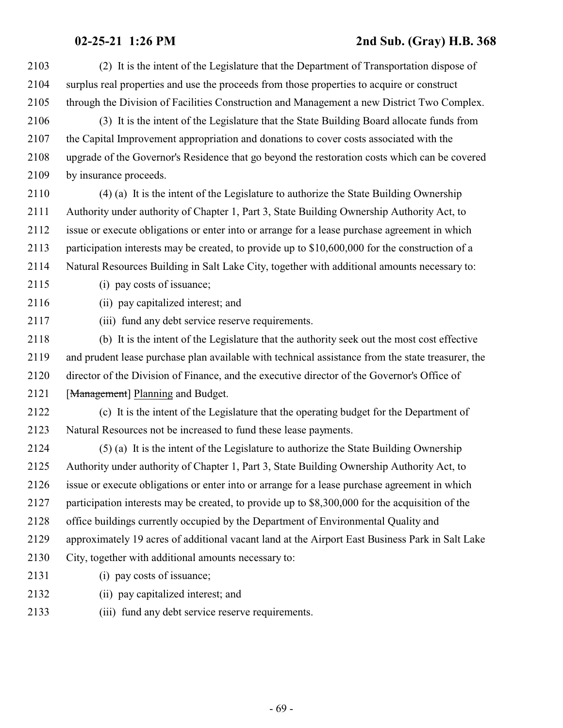(2) It is the intent of the Legislature that the Department of Transportation dispose of surplus real properties and use the proceeds from those properties to acquire or construct through the Division of Facilities Construction and Management a new District Two Complex. (3) It is the intent of the Legislature that the State Building Board allocate funds from the Capital Improvement appropriation and donations to cover costs associated with the upgrade of the Governor's Residence that go beyond the restoration costs which can be covered by insurance proceeds. (4) (a) It is the intent of the Legislature to authorize the State Building Ownership Authority under authority of Chapter 1, Part 3, State Building Ownership Authority Act, to issue or execute obligations or enter into or arrange for a lease purchase agreement in which participation interests may be created, to provide up to \$10,600,000 for the construction of a Natural Resources Building in Salt Lake City, together with additional amounts necessary to: (i) pay costs of issuance; (ii) pay capitalized interest; and (iii) fund any debt service reserve requirements. (b) It is the intent of the Legislature that the authority seek out the most cost effective and prudent lease purchase plan available with technical assistance from the state treasurer, the director of the Division of Finance, and the executive director of the Governor's Office of 2121 [Management] Planning and Budget. (c) It is the intent of the Legislature that the operating budget for the Department of Natural Resources not be increased to fund these lease payments. (5) (a) It is the intent of the Legislature to authorize the State Building Ownership Authority under authority of Chapter 1, Part 3, State Building Ownership Authority Act, to issue or execute obligations or enter into or arrange for a lease purchase agreement in which participation interests may be created, to provide up to \$8,300,000 for the acquisition of the office buildings currently occupied by the Department of Environmental Quality and approximately 19 acres of additional vacant land at the Airport East Business Park in Salt Lake City, together with additional amounts necessary to: (i) pay costs of issuance; (ii) pay capitalized interest; and (iii) fund any debt service reserve requirements.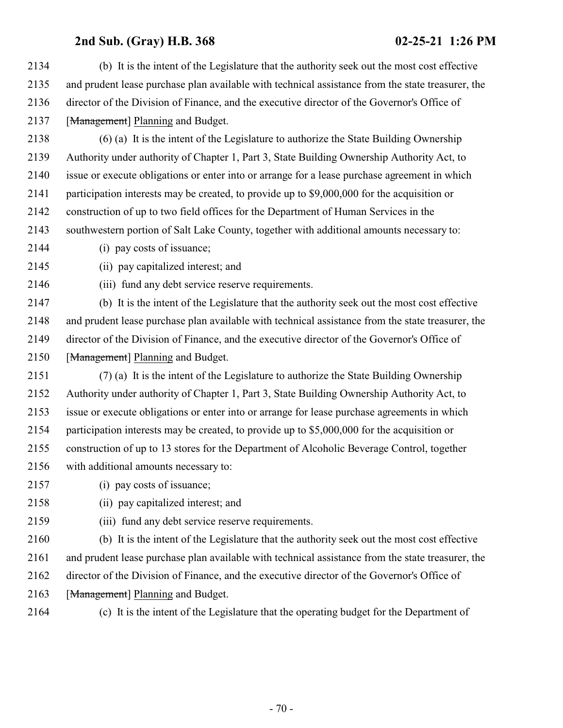(b) It is the intent of the Legislature that the authority seek out the most cost effective and prudent lease purchase plan available with technical assistance from the state treasurer, the director of the Division of Finance, and the executive director of the Governor's Office of 2137 [Management] Planning and Budget.

 (6) (a) It is the intent of the Legislature to authorize the State Building Ownership Authority under authority of Chapter 1, Part 3, State Building Ownership Authority Act, to issue or execute obligations or enter into or arrange for a lease purchase agreement in which participation interests may be created, to provide up to \$9,000,000 for the acquisition or construction of up to two field offices for the Department of Human Services in the southwestern portion of Salt Lake County, together with additional amounts necessary to:

- (i) pay costs of issuance;
- (ii) pay capitalized interest; and

(iii) fund any debt service reserve requirements.

 (b) It is the intent of the Legislature that the authority seek out the most cost effective and prudent lease purchase plan available with technical assistance from the state treasurer, the director of the Division of Finance, and the executive director of the Governor's Office of 2150 [Management] Planning and Budget.

 (7) (a) It is the intent of the Legislature to authorize the State Building Ownership Authority under authority of Chapter 1, Part 3, State Building Ownership Authority Act, to issue or execute obligations or enter into or arrange for lease purchase agreements in which participation interests may be created, to provide up to \$5,000,000 for the acquisition or construction of up to 13 stores for the Department of Alcoholic Beverage Control, together with additional amounts necessary to:

- (i) pay costs of issuance;
- (ii) pay capitalized interest; and
- (iii) fund any debt service reserve requirements.

 (b) It is the intent of the Legislature that the authority seek out the most cost effective and prudent lease purchase plan available with technical assistance from the state treasurer, the director of the Division of Finance, and the executive director of the Governor's Office of

- 2163 [Management] Planning and Budget.
- 

(c) It is the intent of the Legislature that the operating budget for the Department of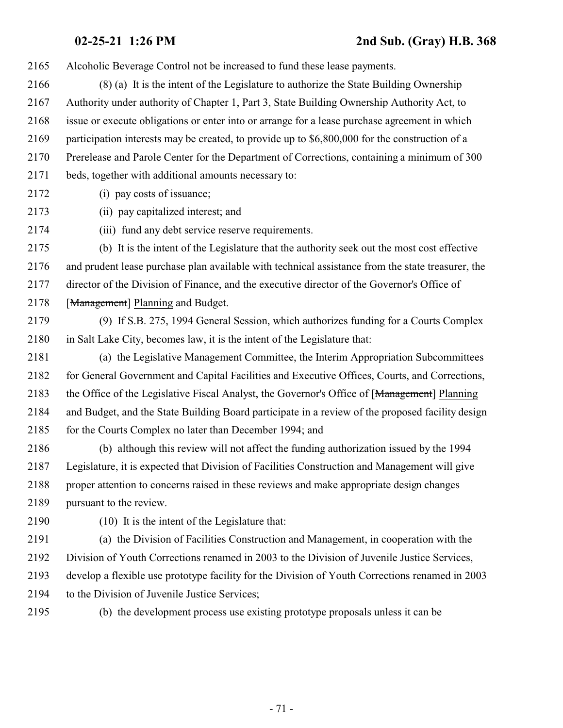Alcoholic Beverage Control not be increased to fund these lease payments.

- (8) (a) It is the intent of the Legislature to authorize the State Building Ownership Authority under authority of Chapter 1, Part 3, State Building Ownership Authority Act, to issue or execute obligations or enter into or arrange for a lease purchase agreement in which participation interests may be created, to provide up to \$6,800,000 for the construction of a Prerelease and Parole Center for the Department of Corrections, containing a minimum of 300 beds, together with additional amounts necessary to:
- 
- (i) pay costs of issuance;

(ii) pay capitalized interest; and

(iii) fund any debt service reserve requirements.

 (b) It is the intent of the Legislature that the authority seek out the most cost effective and prudent lease purchase plan available with technical assistance from the state treasurer, the director of the Division of Finance, and the executive director of the Governor's Office of 2178 [Management] Planning and Budget.

- (9) If S.B. 275, 1994 General Session, which authorizes funding for a Courts Complex in Salt Lake City, becomes law, it is the intent of the Legislature that:
- (a) the Legislative Management Committee, the Interim Appropriation Subcommittees for General Government and Capital Facilities and Executive Offices, Courts, and Corrections, 2183 the Office of the Legislative Fiscal Analyst, the Governor's Office of [Management] Planning and Budget, and the State Building Board participate in a review of the proposed facility design 2185 for the Courts Complex no later than December 1994; and

 (b) although this review will not affect the funding authorization issued by the 1994 Legislature, it is expected that Division of Facilities Construction and Management will give proper attention to concerns raised in these reviews and make appropriate design changes pursuant to the review.

(10) It is the intent of the Legislature that:

 (a) the Division of Facilities Construction and Management, in cooperation with the Division of Youth Corrections renamed in 2003 to the Division of Juvenile Justice Services, develop a flexible use prototype facility for the Division of Youth Corrections renamed in 2003 to the Division of Juvenile Justice Services;

(b) the development process use existing prototype proposals unless it can be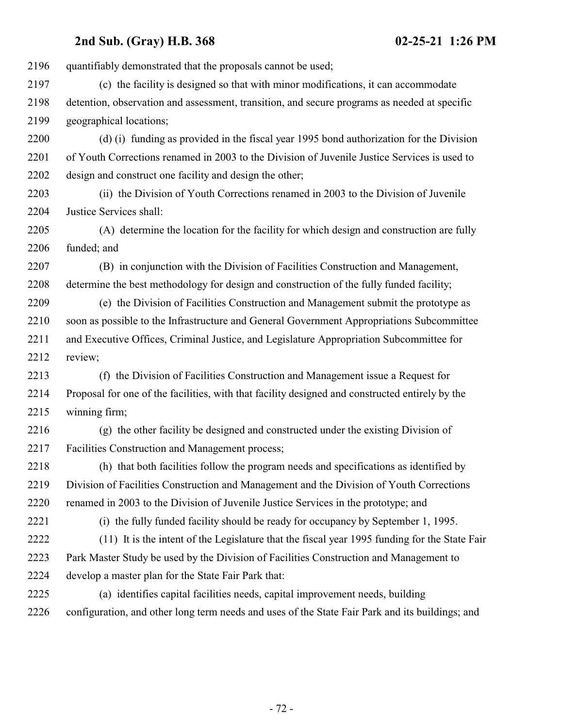quantifiably demonstrated that the proposals cannot be used; (c) the facility is designed so that with minor modifications, it can accommodate detention, observation and assessment, transition, and secure programs as needed at specific geographical locations; (d) (i) funding as provided in the fiscal year 1995 bond authorization for the Division of Youth Corrections renamed in 2003 to the Division of Juvenile Justice Services is used to design and construct one facility and design the other; (ii) the Division of Youth Corrections renamed in 2003 to the Division of Juvenile Justice Services shall: (A) determine the location for the facility for which design and construction are fully funded; and (B) in conjunction with the Division of Facilities Construction and Management, determine the best methodology for design and construction of the fully funded facility; (e) the Division of Facilities Construction and Management submit the prototype as soon as possible to the Infrastructure and General Government Appropriations Subcommittee and Executive Offices, Criminal Justice, and Legislature Appropriation Subcommittee for review; (f) the Division of Facilities Construction and Management issue a Request for Proposal for one of the facilities, with that facility designed and constructed entirely by the winning firm; (g) the other facility be designed and constructed under the existing Division of Facilities Construction and Management process; (h) that both facilities follow the program needs and specifications as identified by Division of Facilities Construction and Management and the Division of Youth Corrections renamed in 2003 to the Division of Juvenile Justice Services in the prototype; and (i) the fully funded facility should be ready for occupancy by September 1, 1995. (11) It is the intent of the Legislature that the fiscal year 1995 funding for the State Fair Park Master Study be used by the Division of Facilities Construction and Management to develop a master plan for the State Fair Park that: (a) identifies capital facilities needs, capital improvement needs, building configuration, and other long term needs and uses of the State Fair Park and its buildings; and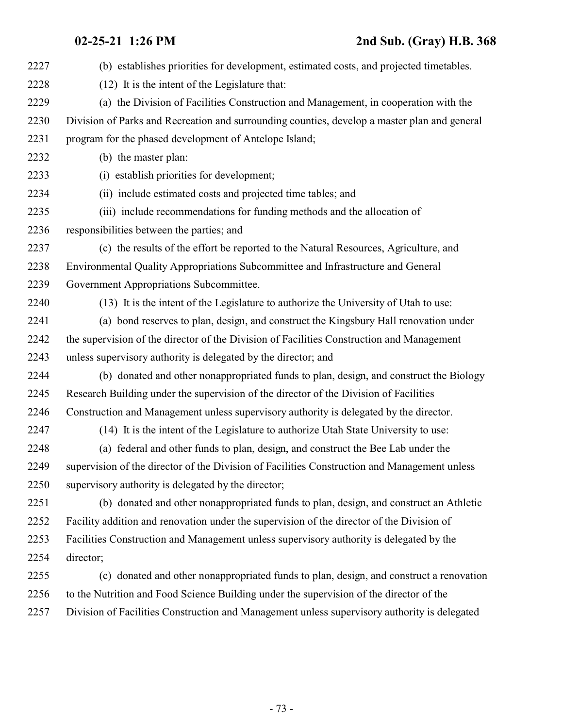| 2227 | (b) establishes priorities for development, estimated costs, and projected timetables.       |
|------|----------------------------------------------------------------------------------------------|
| 2228 | (12) It is the intent of the Legislature that:                                               |
| 2229 | (a) the Division of Facilities Construction and Management, in cooperation with the          |
| 2230 | Division of Parks and Recreation and surrounding counties, develop a master plan and general |
| 2231 | program for the phased development of Antelope Island;                                       |
| 2232 | (b) the master plan:                                                                         |
| 2233 | (i) establish priorities for development;                                                    |
| 2234 | (ii) include estimated costs and projected time tables; and                                  |
| 2235 | (iii) include recommendations for funding methods and the allocation of                      |
| 2236 | responsibilities between the parties; and                                                    |
| 2237 | (c) the results of the effort be reported to the Natural Resources, Agriculture, and         |
| 2238 | Environmental Quality Appropriations Subcommittee and Infrastructure and General             |
| 2239 | Government Appropriations Subcommittee.                                                      |
| 2240 | (13) It is the intent of the Legislature to authorize the University of Utah to use:         |
| 2241 | (a) bond reserves to plan, design, and construct the Kingsbury Hall renovation under         |
| 2242 | the supervision of the director of the Division of Facilities Construction and Management    |
| 2243 | unless supervisory authority is delegated by the director; and                               |
| 2244 | (b) donated and other nonappropriated funds to plan, design, and construct the Biology       |
| 2245 | Research Building under the supervision of the director of the Division of Facilities        |
| 2246 | Construction and Management unless supervisory authority is delegated by the director.       |
| 2247 | (14) It is the intent of the Legislature to authorize Utah State University to use:          |
| 2248 | (a) federal and other funds to plan, design, and construct the Bee Lab under the             |
| 2249 | supervision of the director of the Division of Facilities Construction and Management unless |
| 2250 | supervisory authority is delegated by the director;                                          |
| 2251 | (b) donated and other nonappropriated funds to plan, design, and construct an Athletic       |
| 2252 | Facility addition and renovation under the supervision of the director of the Division of    |
| 2253 | Facilities Construction and Management unless supervisory authority is delegated by the      |
| 2254 | director;                                                                                    |
| 2255 | (c) donated and other nonappropriated funds to plan, design, and construct a renovation      |
| 2256 | to the Nutrition and Food Science Building under the supervision of the director of the      |
| 2257 | Division of Facilities Construction and Management unless supervisory authority is delegated |
|      |                                                                                              |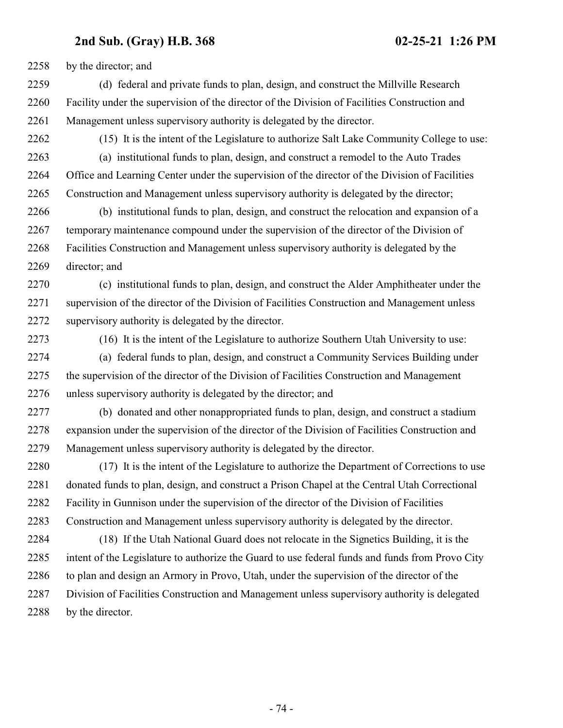by the director; and

 (d) federal and private funds to plan, design, and construct the Millville Research Facility under the supervision of the director of the Division of Facilities Construction and Management unless supervisory authority is delegated by the director.

(15) It is the intent of the Legislature to authorize Salt Lake Community College to use:

 (a) institutional funds to plan, design, and construct a remodel to the Auto Trades Office and Learning Center under the supervision of the director of the Division of Facilities Construction and Management unless supervisory authority is delegated by the director;

 (b) institutional funds to plan, design, and construct the relocation and expansion of a temporary maintenance compound under the supervision of the director of the Division of Facilities Construction and Management unless supervisory authority is delegated by the director; and

 (c) institutional funds to plan, design, and construct the Alder Amphitheater under the supervision of the director of the Division of Facilities Construction and Management unless supervisory authority is delegated by the director.

(16) It is the intent of the Legislature to authorize Southern Utah University to use:

 (a) federal funds to plan, design, and construct a Community Services Building under the supervision of the director of the Division of Facilities Construction and Management unless supervisory authority is delegated by the director; and

 (b) donated and other nonappropriated funds to plan, design, and construct a stadium expansion under the supervision of the director of the Division of Facilities Construction and Management unless supervisory authority is delegated by the director.

 (17) It is the intent of the Legislature to authorize the Department of Corrections to use donated funds to plan, design, and construct a Prison Chapel at the Central Utah Correctional Facility in Gunnison under the supervision of the director of the Division of Facilities Construction and Management unless supervisory authority is delegated by the director.

 (18) If the Utah National Guard does not relocate in the Signetics Building, it is the intent of the Legislature to authorize the Guard to use federal funds and funds from Provo City to plan and design an Armory in Provo, Utah, under the supervision of the director of the Division of Facilities Construction and Management unless supervisory authority is delegated by the director.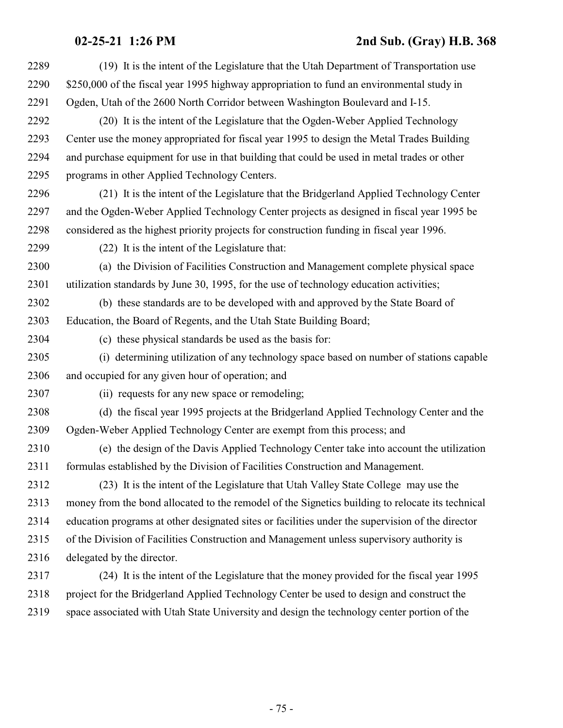| 2289 | (19) It is the intent of the Legislature that the Utah Department of Transportation use          |
|------|--------------------------------------------------------------------------------------------------|
| 2290 | \$250,000 of the fiscal year 1995 highway appropriation to fund an environmental study in        |
| 2291 | Ogden, Utah of the 2600 North Corridor between Washington Boulevard and I-15.                    |
| 2292 | (20) It is the intent of the Legislature that the Ogden-Weber Applied Technology                 |
| 2293 | Center use the money appropriated for fiscal year 1995 to design the Metal Trades Building       |
| 2294 | and purchase equipment for use in that building that could be used in metal trades or other      |
| 2295 | programs in other Applied Technology Centers.                                                    |
| 2296 | (21) It is the intent of the Legislature that the Bridgerland Applied Technology Center          |
| 2297 | and the Ogden-Weber Applied Technology Center projects as designed in fiscal year 1995 be        |
| 2298 | considered as the highest priority projects for construction funding in fiscal year 1996.        |
| 2299 | (22) It is the intent of the Legislature that:                                                   |
| 2300 | (a) the Division of Facilities Construction and Management complete physical space               |
| 2301 | utilization standards by June 30, 1995, for the use of technology education activities;          |
| 2302 | (b) these standards are to be developed with and approved by the State Board of                  |
| 2303 | Education, the Board of Regents, and the Utah State Building Board;                              |
| 2304 | (c) these physical standards be used as the basis for:                                           |
| 2305 | (i) determining utilization of any technology space based on number of stations capable          |
| 2306 | and occupied for any given hour of operation; and                                                |
| 2307 | (ii) requests for any new space or remodeling;                                                   |
| 2308 | (d) the fiscal year 1995 projects at the Bridgerland Applied Technology Center and the           |
| 2309 | Ogden-Weber Applied Technology Center are exempt from this process; and                          |
| 2310 | (e) the design of the Davis Applied Technology Center take into account the utilization          |
| 2311 | formulas established by the Division of Facilities Construction and Management.                  |
| 2312 | (23) It is the intent of the Legislature that Utah Valley State College may use the              |
| 2313 | money from the bond allocated to the remodel of the Signetics building to relocate its technical |
| 2314 | education programs at other designated sites or facilities under the supervision of the director |
| 2315 | of the Division of Facilities Construction and Management unless supervisory authority is        |
| 2316 | delegated by the director.                                                                       |
| 2317 | (24) It is the intent of the Legislature that the money provided for the fiscal year 1995        |
| 2318 | project for the Bridgerland Applied Technology Center be used to design and construct the        |
| 2319 | space associated with Utah State University and design the technology center portion of the      |
|      |                                                                                                  |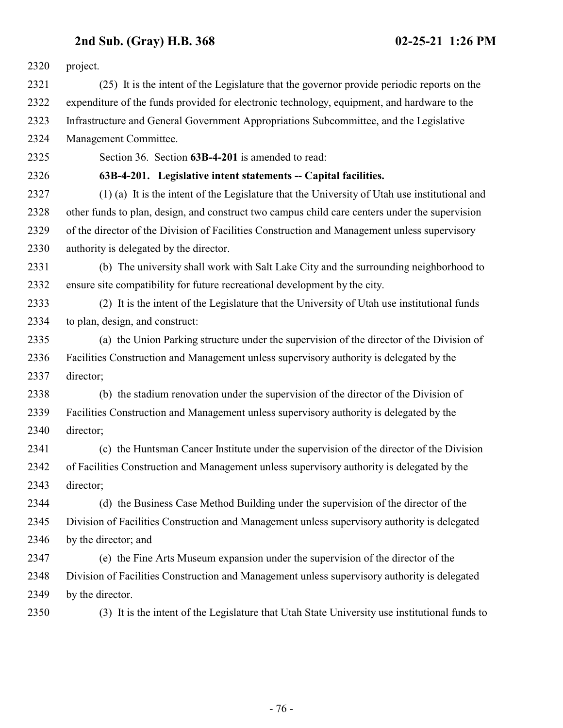| 2320 | project.                                                                                       |
|------|------------------------------------------------------------------------------------------------|
| 2321 | (25) It is the intent of the Legislature that the governor provide periodic reports on the     |
| 2322 | expenditure of the funds provided for electronic technology, equipment, and hardware to the    |
| 2323 | Infrastructure and General Government Appropriations Subcommittee, and the Legislative         |
| 2324 | Management Committee.                                                                          |
| 2325 | Section 36. Section 63B-4-201 is amended to read:                                              |
| 2326 | 63B-4-201. Legislative intent statements -- Capital facilities.                                |
| 2327 | (1) (a) It is the intent of the Legislature that the University of Utah use institutional and  |
| 2328 | other funds to plan, design, and construct two campus child care centers under the supervision |
| 2329 | of the director of the Division of Facilities Construction and Management unless supervisory   |
| 2330 | authority is delegated by the director.                                                        |
| 2331 | (b) The university shall work with Salt Lake City and the surrounding neighborhood to          |
| 2332 | ensure site compatibility for future recreational development by the city.                     |
| 2333 | (2) It is the intent of the Legislature that the University of Utah use institutional funds    |
| 2334 | to plan, design, and construct:                                                                |
| 2335 | (a) the Union Parking structure under the supervision of the director of the Division of       |
| 2336 | Facilities Construction and Management unless supervisory authority is delegated by the        |
| 2337 | director;                                                                                      |
| 2338 | (b) the stadium renovation under the supervision of the director of the Division of            |
| 2339 | Facilities Construction and Management unless supervisory authority is delegated by the        |
| 2340 | director;                                                                                      |
| 2341 | (c) the Huntsman Cancer Institute under the supervision of the director of the Division        |
| 2342 | of Facilities Construction and Management unless supervisory authority is delegated by the     |
| 2343 | director;                                                                                      |
| 2344 | (d) the Business Case Method Building under the supervision of the director of the             |
| 2345 | Division of Facilities Construction and Management unless supervisory authority is delegated   |
| 2346 | by the director; and                                                                           |
| 2347 | (e) the Fine Arts Museum expansion under the supervision of the director of the                |
| 2348 | Division of Facilities Construction and Management unless supervisory authority is delegated   |
| 2349 | by the director.                                                                               |
| 2350 | (3) It is the intent of the Legislature that Utah State University use institutional funds to  |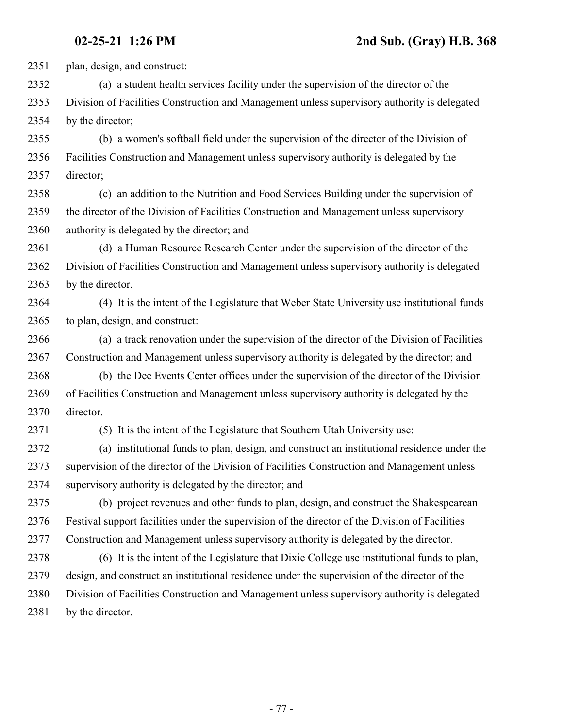plan, design, and construct:

 (a) a student health services facility under the supervision of the director of the Division of Facilities Construction and Management unless supervisory authority is delegated by the director;

 (b) a women's softball field under the supervision of the director of the Division of Facilities Construction and Management unless supervisory authority is delegated by the director;

 (c) an addition to the Nutrition and Food Services Building under the supervision of the director of the Division of Facilities Construction and Management unless supervisory authority is delegated by the director; and

 (d) a Human Resource Research Center under the supervision of the director of the Division of Facilities Construction and Management unless supervisory authority is delegated by the director.

 (4) It is the intent of the Legislature that Weber State University use institutional funds to plan, design, and construct:

 (a) a track renovation under the supervision of the director of the Division of Facilities Construction and Management unless supervisory authority is delegated by the director; and

 (b) the Dee Events Center offices under the supervision of the director of the Division of Facilities Construction and Management unless supervisory authority is delegated by the director.

(5) It is the intent of the Legislature that Southern Utah University use:

 (a) institutional funds to plan, design, and construct an institutional residence under the supervision of the director of the Division of Facilities Construction and Management unless supervisory authority is delegated by the director; and

 (b) project revenues and other funds to plan, design, and construct the Shakespearean Festival support facilities under the supervision of the director of the Division of Facilities Construction and Management unless supervisory authority is delegated by the director.

 (6) It is the intent of the Legislature that Dixie College use institutional funds to plan, design, and construct an institutional residence under the supervision of the director of the Division of Facilities Construction and Management unless supervisory authority is delegated 2381 by the director.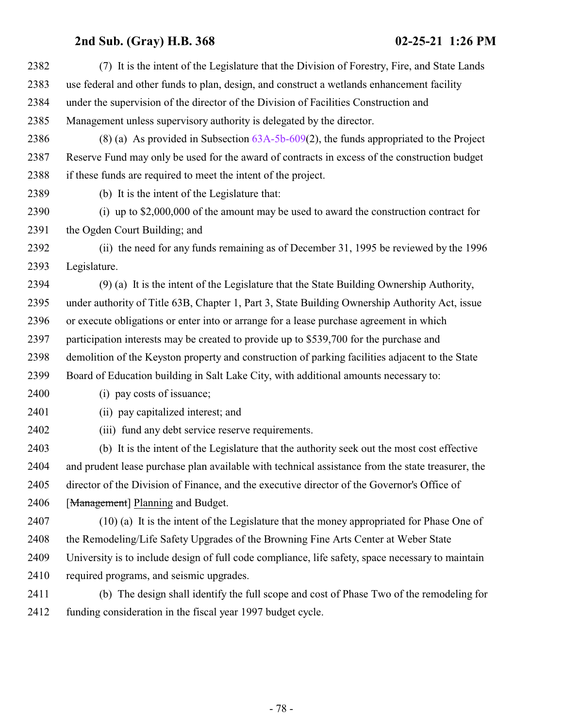| 2382 | (7) It is the intent of the Legislature that the Division of Forestry, Fire, and State Lands      |
|------|---------------------------------------------------------------------------------------------------|
| 2383 | use federal and other funds to plan, design, and construct a wetlands enhancement facility        |
| 2384 | under the supervision of the director of the Division of Facilities Construction and              |
| 2385 | Management unless supervisory authority is delegated by the director.                             |
| 2386 | $(8)$ (a) As provided in Subsection 63A-5b-609(2), the funds appropriated to the Project          |
| 2387 | Reserve Fund may only be used for the award of contracts in excess of the construction budget     |
| 2388 | if these funds are required to meet the intent of the project.                                    |
| 2389 | (b) It is the intent of the Legislature that:                                                     |
| 2390 | (i) up to $$2,000,000$ of the amount may be used to award the construction contract for           |
| 2391 | the Ogden Court Building; and                                                                     |
| 2392 | (ii) the need for any funds remaining as of December 31, 1995 be reviewed by the 1996             |
| 2393 | Legislature.                                                                                      |
| 2394 | (9) (a) It is the intent of the Legislature that the State Building Ownership Authority,          |
| 2395 | under authority of Title 63B, Chapter 1, Part 3, State Building Ownership Authority Act, issue    |
| 2396 | or execute obligations or enter into or arrange for a lease purchase agreement in which           |
| 2397 | participation interests may be created to provide up to \$539,700 for the purchase and            |
| 2398 | demolition of the Keyston property and construction of parking facilities adjacent to the State   |
| 2399 | Board of Education building in Salt Lake City, with additional amounts necessary to:              |
| 2400 | (i) pay costs of issuance;                                                                        |
| 2401 | (ii) pay capitalized interest; and                                                                |
| 2402 | (iii) fund any debt service reserve requirements.                                                 |
| 2403 | (b) It is the intent of the Legislature that the authority seek out the most cost effective       |
| 2404 | and prudent lease purchase plan available with technical assistance from the state treasurer, the |
| 2405 | director of the Division of Finance, and the executive director of the Governor's Office of       |
| 2406 | [Management] Planning and Budget.                                                                 |
| 2407 | (10) (a) It is the intent of the Legislature that the money appropriated for Phase One of         |
| 2408 | the Remodeling/Life Safety Upgrades of the Browning Fine Arts Center at Weber State               |
| 2409 | University is to include design of full code compliance, life safety, space necessary to maintain |
| 2410 | required programs, and seismic upgrades.                                                          |
| 2411 | (b) The design shall identify the full scope and cost of Phase Two of the remodeling for          |
| 2412 | funding consideration in the fiscal year 1997 budget cycle.                                       |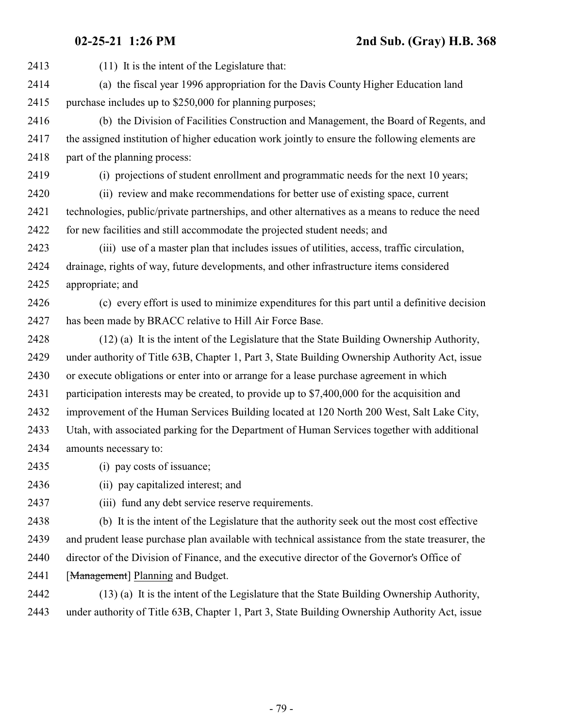(11) It is the intent of the Legislature that: (a) the fiscal year 1996 appropriation for the Davis County Higher Education land purchase includes up to \$250,000 for planning purposes; (b) the Division of Facilities Construction and Management, the Board of Regents, and the assigned institution of higher education work jointly to ensure the following elements are 2418 part of the planning process: (i) projections of student enrollment and programmatic needs for the next 10 years; (ii) review and make recommendations for better use of existing space, current technologies, public/private partnerships, and other alternatives as a means to reduce the need for new facilities and still accommodate the projected student needs; and (iii) use of a master plan that includes issues of utilities, access, traffic circulation, drainage, rights of way, future developments, and other infrastructure items considered appropriate; and (c) every effort is used to minimize expenditures for this part until a definitive decision has been made by BRACC relative to Hill Air Force Base. (12) (a) It is the intent of the Legislature that the State Building Ownership Authority, under authority of Title 63B, Chapter 1, Part 3, State Building Ownership Authority Act, issue or execute obligations or enter into or arrange for a lease purchase agreement in which participation interests may be created, to provide up to \$7,400,000 for the acquisition and improvement of the Human Services Building located at 120 North 200 West, Salt Lake City, Utah, with associated parking for the Department of Human Services together with additional amounts necessary to: (i) pay costs of issuance; (ii) pay capitalized interest; and (iii) fund any debt service reserve requirements.

 (b) It is the intent of the Legislature that the authority seek out the most cost effective and prudent lease purchase plan available with technical assistance from the state treasurer, the director of the Division of Finance, and the executive director of the Governor's Office of 2441 [Management] Planning and Budget.

 (13) (a) It is the intent of the Legislature that the State Building Ownership Authority, under authority of Title 63B, Chapter 1, Part 3, State Building Ownership Authority Act, issue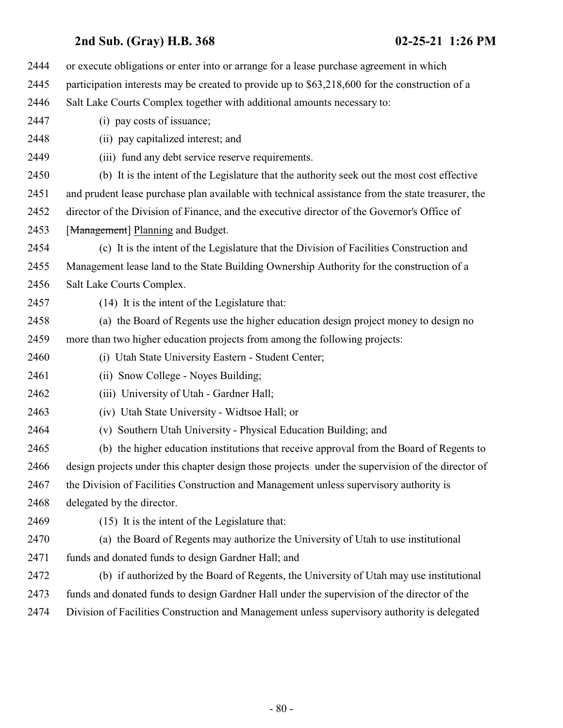| 2444 | or execute obligations or enter into or arrange for a lease purchase agreement in which           |
|------|---------------------------------------------------------------------------------------------------|
| 2445 | participation interests may be created to provide up to \$63,218,600 for the construction of a    |
| 2446 | Salt Lake Courts Complex together with additional amounts necessary to:                           |
| 2447 | (i) pay costs of issuance;                                                                        |
| 2448 | (ii) pay capitalized interest; and                                                                |
| 2449 | (iii) fund any debt service reserve requirements.                                                 |
| 2450 | (b) It is the intent of the Legislature that the authority seek out the most cost effective       |
| 2451 | and prudent lease purchase plan available with technical assistance from the state treasurer, the |
| 2452 | director of the Division of Finance, and the executive director of the Governor's Office of       |
| 2453 | [Management] Planning and Budget.                                                                 |
| 2454 | (c) It is the intent of the Legislature that the Division of Facilities Construction and          |
| 2455 | Management lease land to the State Building Ownership Authority for the construction of a         |
| 2456 | Salt Lake Courts Complex.                                                                         |
| 2457 | (14) It is the intent of the Legislature that:                                                    |
| 2458 | (a) the Board of Regents use the higher education design project money to design no               |
| 2459 | more than two higher education projects from among the following projects:                        |
| 2460 | (i) Utah State University Eastern - Student Center;                                               |
| 2461 | (ii) Snow College - Noyes Building;                                                               |
| 2462 | (iii) University of Utah - Gardner Hall;                                                          |
| 2463 | (iv) Utah State University - Widtsoe Hall; or                                                     |
| 2464 | Southern Utah University - Physical Education Building; and<br>(v)                                |
| 2465 | (b) the higher education institutions that receive approval from the Board of Regents to          |
| 2466 | design projects under this chapter design those projects under the supervision of the director of |
| 2467 | the Division of Facilities Construction and Management unless supervisory authority is            |
| 2468 | delegated by the director.                                                                        |
| 2469 | (15) It is the intent of the Legislature that:                                                    |
| 2470 | (a) the Board of Regents may authorize the University of Utah to use institutional                |
| 2471 | funds and donated funds to design Gardner Hall; and                                               |
| 2472 | (b) if authorized by the Board of Regents, the University of Utah may use institutional           |
| 2473 | funds and donated funds to design Gardner Hall under the supervision of the director of the       |
| 2474 | Division of Facilities Construction and Management unless supervisory authority is delegated      |
|      |                                                                                                   |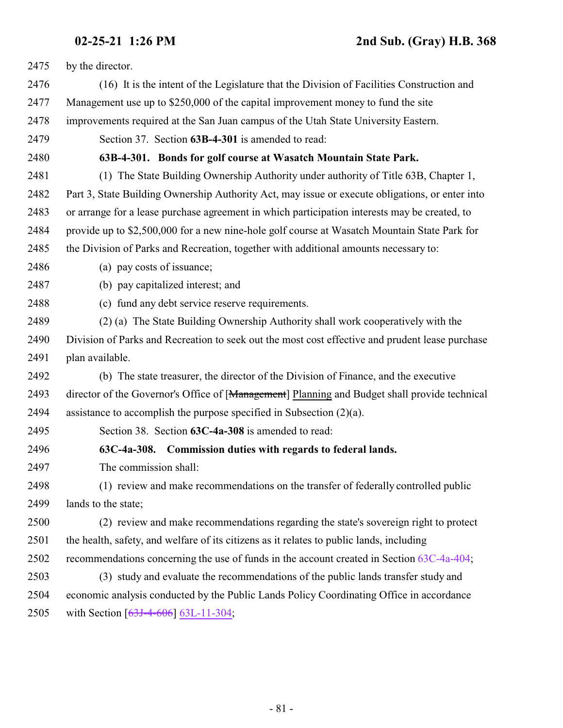| 2475 | by the director.                                                                                |
|------|-------------------------------------------------------------------------------------------------|
| 2476 | (16) It is the intent of the Legislature that the Division of Facilities Construction and       |
| 2477 | Management use up to \$250,000 of the capital improvement money to fund the site                |
| 2478 | improvements required at the San Juan campus of the Utah State University Eastern.              |
| 2479 | Section 37. Section 63B-4-301 is amended to read:                                               |
| 2480 | 63B-4-301. Bonds for golf course at Wasatch Mountain State Park.                                |
| 2481 | (1) The State Building Ownership Authority under authority of Title 63B, Chapter 1,             |
| 2482 | Part 3, State Building Ownership Authority Act, may issue or execute obligations, or enter into |
| 2483 | or arrange for a lease purchase agreement in which participation interests may be created, to   |
| 2484 | provide up to \$2,500,000 for a new nine-hole golf course at Wasatch Mountain State Park for    |
| 2485 | the Division of Parks and Recreation, together with additional amounts necessary to:            |
| 2486 | (a) pay costs of issuance;                                                                      |
| 2487 | (b) pay capitalized interest; and                                                               |
| 2488 | (c) fund any debt service reserve requirements.                                                 |
| 2489 | (2) (a) The State Building Ownership Authority shall work cooperatively with the                |
| 2490 | Division of Parks and Recreation to seek out the most cost effective and prudent lease purchase |
| 2491 | plan available.                                                                                 |
| 2492 | (b) The state treasurer, the director of the Division of Finance, and the executive             |
| 2493 | director of the Governor's Office of [Management] Planning and Budget shall provide technical   |
| 2494 | assistance to accomplish the purpose specified in Subsection $(2)(a)$ .                         |
| 2495 | Section 38. Section 63C-4a-308 is amended to read:                                              |
| 2496 | 63C-4a-308. Commission duties with regards to federal lands.                                    |
| 2497 | The commission shall:                                                                           |
| 2498 | (1) review and make recommendations on the transfer of federally controlled public              |
| 2499 | lands to the state;                                                                             |
| 2500 | (2) review and make recommendations regarding the state's sovereign right to protect            |
| 2501 | the health, safety, and welfare of its citizens as it relates to public lands, including        |
| 2502 | recommendations concerning the use of funds in the account created in Section 63C-4a-404;       |
| 2503 | (3) study and evaluate the recommendations of the public lands transfer study and               |
| 2504 | economic analysis conducted by the Public Lands Policy Coordinating Office in accordance        |
| 2505 | with Section $[63J-4-606]$ 63L-11-304;                                                          |
|      |                                                                                                 |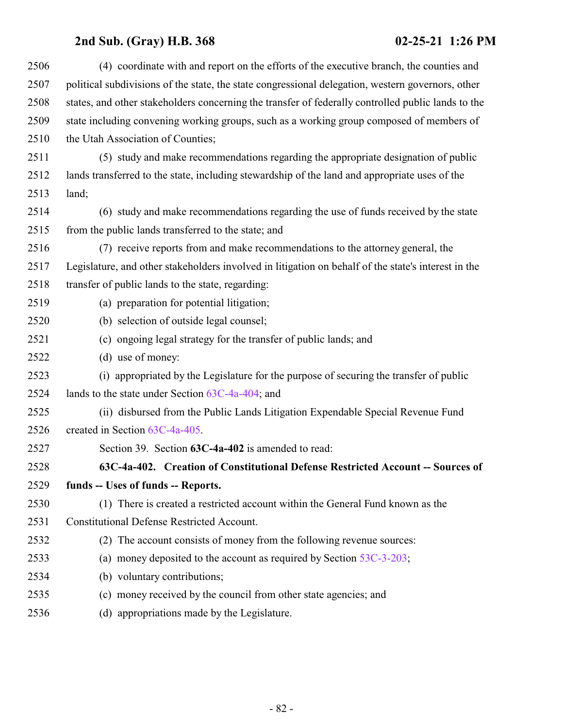| 2506 | (4) coordinate with and report on the efforts of the executive branch, the counties and             |
|------|-----------------------------------------------------------------------------------------------------|
| 2507 | political subdivisions of the state, the state congressional delegation, western governors, other   |
| 2508 | states, and other stakeholders concerning the transfer of federally controlled public lands to the  |
| 2509 | state including convening working groups, such as a working group composed of members of            |
| 2510 | the Utah Association of Counties;                                                                   |
| 2511 | (5) study and make recommendations regarding the appropriate designation of public                  |
| 2512 | lands transferred to the state, including stewardship of the land and appropriate uses of the       |
| 2513 | land;                                                                                               |
| 2514 | (6) study and make recommendations regarding the use of funds received by the state                 |
| 2515 | from the public lands transferred to the state; and                                                 |
| 2516 | (7) receive reports from and make recommendations to the attorney general, the                      |
| 2517 | Legislature, and other stakeholders involved in litigation on behalf of the state's interest in the |
| 2518 | transfer of public lands to the state, regarding:                                                   |
| 2519 | (a) preparation for potential litigation;                                                           |
| 2520 | (b) selection of outside legal counsel;                                                             |
| 2521 | (c) ongoing legal strategy for the transfer of public lands; and                                    |
| 2522 | (d) use of money:                                                                                   |
| 2523 | (i) appropriated by the Legislature for the purpose of securing the transfer of public              |
| 2524 | lands to the state under Section $63C-4a-404$ ; and                                                 |
| 2525 | (ii) disbursed from the Public Lands Litigation Expendable Special Revenue Fund                     |
| 2526 | created in Section 63C-4a-405.                                                                      |
| 2527 | Section 39. Section 63C-4a-402 is amended to read:                                                  |
| 2528 | 63C-4a-402. Creation of Constitutional Defense Restricted Account -- Sources of                     |
| 2529 | funds -- Uses of funds -- Reports.                                                                  |
| 2530 | (1) There is created a restricted account within the General Fund known as the                      |
| 2531 | <b>Constitutional Defense Restricted Account.</b>                                                   |
| 2532 | (2) The account consists of money from the following revenue sources:                               |
| 2533 | (a) money deposited to the account as required by Section $53C-3-203$ ;                             |
| 2534 | (b) voluntary contributions;                                                                        |
| 2535 | (c) money received by the council from other state agencies; and                                    |
| 2536 | (d) appropriations made by the Legislature.                                                         |
|      |                                                                                                     |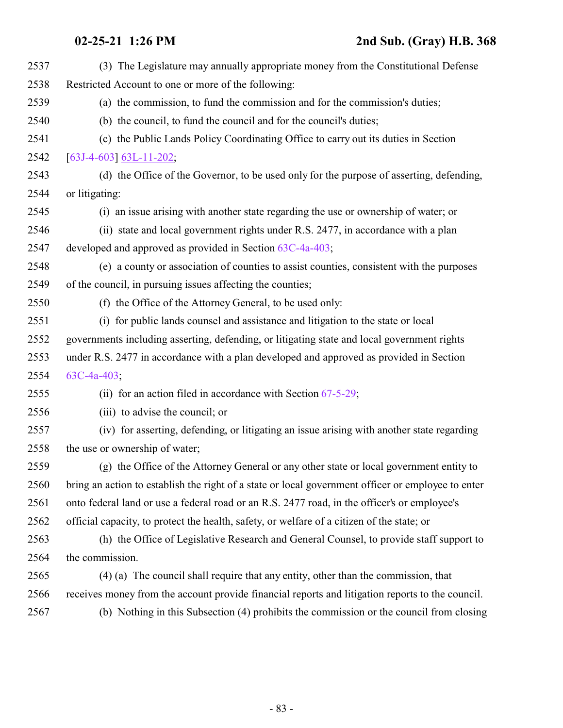| 2537 | (3) The Legislature may annually appropriate money from the Constitutional Defense                 |
|------|----------------------------------------------------------------------------------------------------|
| 2538 | Restricted Account to one or more of the following:                                                |
| 2539 | (a) the commission, to fund the commission and for the commission's duties;                        |
| 2540 | (b) the council, to fund the council and for the council's duties;                                 |
| 2541 | (c) the Public Lands Policy Coordinating Office to carry out its duties in Section                 |
| 2542 | $[63J-4-603]$ 63L-11-202;                                                                          |
| 2543 | (d) the Office of the Governor, to be used only for the purpose of asserting, defending,           |
| 2544 | or litigating:                                                                                     |
| 2545 | (i) an issue arising with another state regarding the use or ownership of water; or                |
| 2546 | (ii) state and local government rights under R.S. 2477, in accordance with a plan                  |
| 2547 | developed and approved as provided in Section 63C-4a-403;                                          |
| 2548 | (e) a county or association of counties to assist counties, consistent with the purposes           |
| 2549 | of the council, in pursuing issues affecting the counties;                                         |
| 2550 | (f) the Office of the Attorney General, to be used only:                                           |
| 2551 | (i) for public lands counsel and assistance and litigation to the state or local                   |
| 2552 | governments including asserting, defending, or litigating state and local government rights        |
| 2553 | under R.S. 2477 in accordance with a plan developed and approved as provided in Section            |
| 2554 | $63C-4a-403$ ;                                                                                     |
| 2555 | (ii) for an action filed in accordance with Section $67-5-29$ ;                                    |
| 2556 | (iii) to advise the council; or                                                                    |
| 2557 | (iv) for asserting, defending, or litigating an issue arising with another state regarding         |
| 2558 | the use or ownership of water;                                                                     |
| 2559 | (g) the Office of the Attorney General or any other state or local government entity to            |
| 2560 | bring an action to establish the right of a state or local government officer or employee to enter |
| 2561 | onto federal land or use a federal road or an R.S. 2477 road, in the officer's or employee's       |
| 2562 | official capacity, to protect the health, safety, or welfare of a citizen of the state; or         |
| 2563 | (h) the Office of Legislative Research and General Counsel, to provide staff support to            |
| 2564 | the commission.                                                                                    |
| 2565 | (4) (a) The council shall require that any entity, other than the commission, that                 |
| 2566 | receives money from the account provide financial reports and litigation reports to the council.   |
| 2567 | (b) Nothing in this Subsection (4) prohibits the commission or the council from closing            |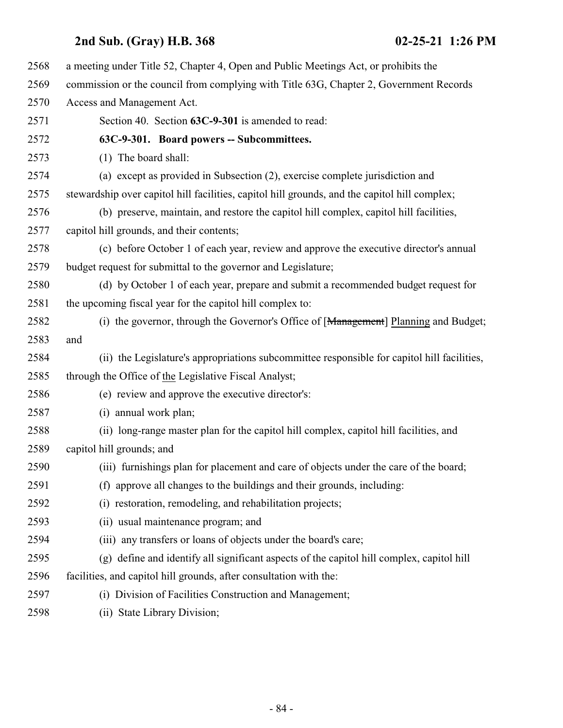a meeting under Title 52, Chapter 4, Open and Public Meetings Act, or prohibits the commission or the council from complying with Title 63G, Chapter 2, Government Records Access and Management Act. Section 40. Section **63C-9-301** is amended to read: **63C-9-301. Board powers -- Subcommittees.** (1) The board shall: (a) except as provided in Subsection (2), exercise complete jurisdiction and stewardship over capitol hill facilities, capitol hill grounds, and the capitol hill complex; (b) preserve, maintain, and restore the capitol hill complex, capitol hill facilities, capitol hill grounds, and their contents; (c) before October 1 of each year, review and approve the executive director's annual budget request for submittal to the governor and Legislature; (d) by October 1 of each year, prepare and submit a recommended budget request for 2581 the upcoming fiscal year for the capitol hill complex to: 2582 (i) the governor, through the Governor's Office of [Management] Planning and Budget; and (ii) the Legislature's appropriations subcommittee responsible for capitol hill facilities, through the Office of the Legislative Fiscal Analyst; (e) review and approve the executive director's: (i) annual work plan; (ii) long-range master plan for the capitol hill complex, capitol hill facilities, and capitol hill grounds; and (iii) furnishings plan for placement and care of objects under the care of the board; (f) approve all changes to the buildings and their grounds, including: (i) restoration, remodeling, and rehabilitation projects; (ii) usual maintenance program; and (iii) any transfers or loans of objects under the board's care; (g) define and identify all significant aspects of the capitol hill complex, capitol hill facilities, and capitol hill grounds, after consultation with the: (i) Division of Facilities Construction and Management; (ii) State Library Division;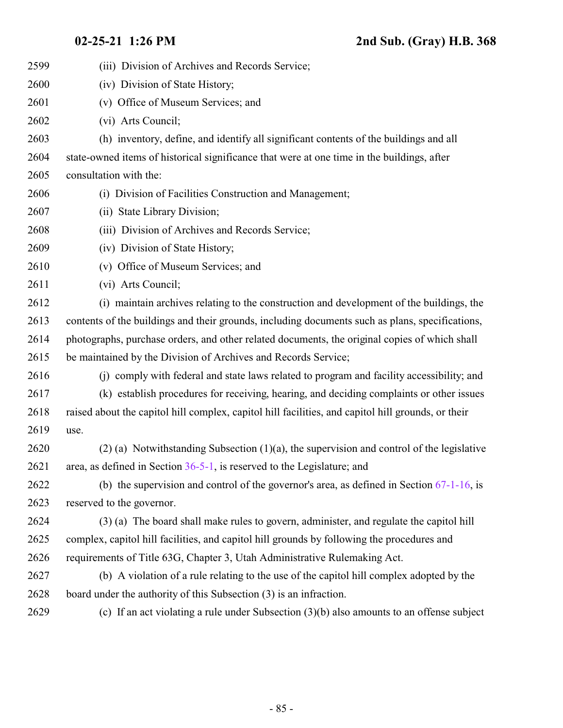| 2599 | (iii) Division of Archives and Records Service;                                                    |
|------|----------------------------------------------------------------------------------------------------|
| 2600 | (iv) Division of State History;                                                                    |
| 2601 | (v) Office of Museum Services; and                                                                 |
| 2602 | (vi) Arts Council;                                                                                 |
| 2603 | (h) inventory, define, and identify all significant contents of the buildings and all              |
| 2604 | state-owned items of historical significance that were at one time in the buildings, after         |
| 2605 | consultation with the:                                                                             |
| 2606 | (i) Division of Facilities Construction and Management;                                            |
| 2607 | (ii) State Library Division;                                                                       |
| 2608 | (iii) Division of Archives and Records Service;                                                    |
| 2609 | (iv) Division of State History;                                                                    |
| 2610 | (v) Office of Museum Services; and                                                                 |
| 2611 | (vi) Arts Council;                                                                                 |
| 2612 | (i) maintain archives relating to the construction and development of the buildings, the           |
| 2613 | contents of the buildings and their grounds, including documents such as plans, specifications,    |
| 2614 | photographs, purchase orders, and other related documents, the original copies of which shall      |
| 2615 | be maintained by the Division of Archives and Records Service;                                     |
| 2616 | (i) comply with federal and state laws related to program and facility accessibility; and          |
| 2617 | (k) establish procedures for receiving, hearing, and deciding complaints or other issues           |
| 2618 | raised about the capitol hill complex, capitol hill facilities, and capitol hill grounds, or their |
| 2619 | use.                                                                                               |
| 2620 | $(2)$ (a) Notwithstanding Subsection (1)(a), the supervision and control of the legislative        |
| 2621 | area, as defined in Section $36-5-1$ , is reserved to the Legislature; and                         |
| 2622 | (b) the supervision and control of the governor's area, as defined in Section $67-1-16$ , is       |
| 2623 | reserved to the governor.                                                                          |
| 2624 | (3) (a) The board shall make rules to govern, administer, and regulate the capitol hill            |
| 2625 | complex, capitol hill facilities, and capitol hill grounds by following the procedures and         |
| 2626 | requirements of Title 63G, Chapter 3, Utah Administrative Rulemaking Act.                          |
| 2627 | (b) A violation of a rule relating to the use of the capitol hill complex adopted by the           |
| 2628 | board under the authority of this Subsection (3) is an infraction.                                 |
| 2629 | (c) If an act violating a rule under Subsection $(3)(b)$ also amounts to an offense subject        |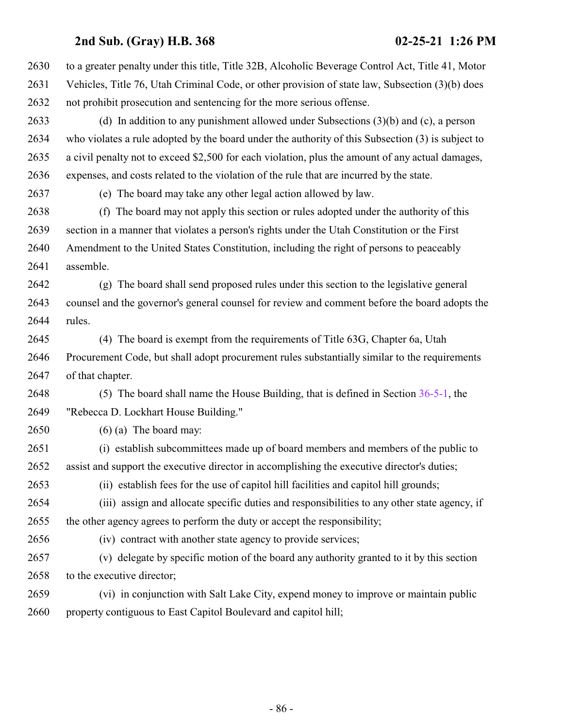| 2630 | to a greater penalty under this title, Title 32B, Alcoholic Beverage Control Act, Title 41, Motor |
|------|---------------------------------------------------------------------------------------------------|
| 2631 | Vehicles, Title 76, Utah Criminal Code, or other provision of state law, Subsection (3)(b) does   |
| 2632 | not prohibit prosecution and sentencing for the more serious offense.                             |
| 2633 | (d) In addition to any punishment allowed under Subsections $(3)(b)$ and $(c)$ , a person         |
| 2634 | who violates a rule adopted by the board under the authority of this Subsection (3) is subject to |
| 2635 | a civil penalty not to exceed \$2,500 for each violation, plus the amount of any actual damages,  |
| 2636 | expenses, and costs related to the violation of the rule that are incurred by the state.          |
| 2637 | (e) The board may take any other legal action allowed by law.                                     |
| 2638 | The board may not apply this section or rules adopted under the authority of this<br>(f)          |
| 2639 | section in a manner that violates a person's rights under the Utah Constitution or the First      |
| 2640 | Amendment to the United States Constitution, including the right of persons to peaceably          |
| 2641 | assemble.                                                                                         |
| 2642 | (g) The board shall send proposed rules under this section to the legislative general             |
| 2643 | counsel and the governor's general counsel for review and comment before the board adopts the     |
| 2644 | rules.                                                                                            |
| 2645 | (4) The board is exempt from the requirements of Title 63G, Chapter 6a, Utah                      |
| 2646 | Procurement Code, but shall adopt procurement rules substantially similar to the requirements     |
| 2647 | of that chapter.                                                                                  |
| 2648 | (5) The board shall name the House Building, that is defined in Section $36-5-1$ , the            |
| 2649 | "Rebecca D. Lockhart House Building."                                                             |
| 2650 | $(6)$ (a) The board may:                                                                          |
| 2651 | (i) establish subcommittees made up of board members and members of the public to                 |
| 2652 | assist and support the executive director in accomplishing the executive director's duties;       |
| 2653 | (ii) establish fees for the use of capitol hill facilities and capitol hill grounds;              |
| 2654 | (iii) assign and allocate specific duties and responsibilities to any other state agency, if      |
| 2655 | the other agency agrees to perform the duty or accept the responsibility;                         |
| 2656 | (iv) contract with another state agency to provide services;                                      |
| 2657 | (v) delegate by specific motion of the board any authority granted to it by this section          |
| 2658 | to the executive director;                                                                        |
| 2659 | (vi) in conjunction with Salt Lake City, expend money to improve or maintain public               |
| 2660 | property contiguous to East Capitol Boulevard and capitol hill;                                   |
|      |                                                                                                   |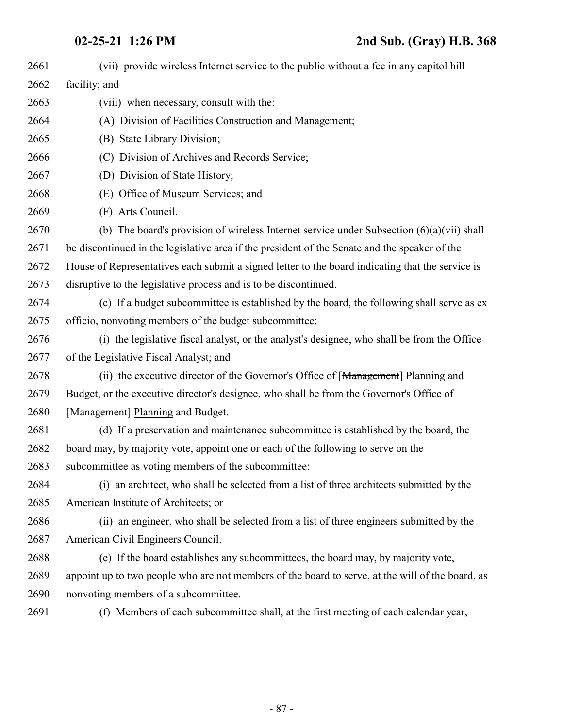| 2661 | (vii) provide wireless Internet service to the public without a fee in any capitol hill          |
|------|--------------------------------------------------------------------------------------------------|
| 2662 | facility; and                                                                                    |
| 2663 | (viii) when necessary, consult with the:                                                         |
| 2664 | (A) Division of Facilities Construction and Management;                                          |
| 2665 | (B) State Library Division;                                                                      |
| 2666 | (C) Division of Archives and Records Service;                                                    |
| 2667 | (D) Division of State History;                                                                   |
| 2668 | (E) Office of Museum Services; and                                                               |
| 2669 | (F) Arts Council.                                                                                |
| 2670 | (b) The board's provision of wireless Internet service under Subsection $(6)(a)(vii)$ shall      |
| 2671 | be discontinued in the legislative area if the president of the Senate and the speaker of the    |
| 2672 | House of Representatives each submit a signed letter to the board indicating that the service is |
| 2673 | disruptive to the legislative process and is to be discontinued.                                 |
| 2674 | (c) If a budget subcommittee is established by the board, the following shall serve as ex        |
| 2675 | officio, nonvoting members of the budget subcommittee:                                           |
| 2676 | (i) the legislative fiscal analyst, or the analyst's designee, who shall be from the Office      |
| 2677 | of the Legislative Fiscal Analyst; and                                                           |
| 2678 | (ii) the executive director of the Governor's Office of [Management] Planning and                |
| 2679 | Budget, or the executive director's designee, who shall be from the Governor's Office of         |
| 2680 | [Management] Planning and Budget.                                                                |
| 2681 | (d) If a preservation and maintenance subcommittee is established by the board, the              |
| 2682 | board may, by majority vote, appoint one or each of the following to serve on the                |
| 2683 | subcommittee as voting members of the subcommittee:                                              |
| 2684 | (i) an architect, who shall be selected from a list of three architects submitted by the         |
| 2685 | American Institute of Architects; or                                                             |
| 2686 | (ii) an engineer, who shall be selected from a list of three engineers submitted by the          |
| 2687 | American Civil Engineers Council.                                                                |
| 2688 | (e) If the board establishes any subcommittees, the board may, by majority vote,                 |
| 2689 | appoint up to two people who are not members of the board to serve, at the will of the board, as |
| 2690 | nonvoting members of a subcommittee.                                                             |
| 2691 | (f) Members of each subcommittee shall, at the first meeting of each calendar year,              |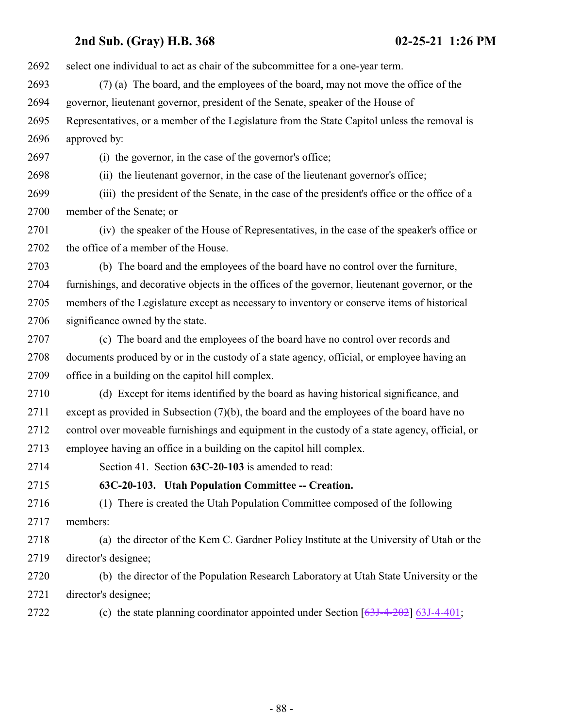select one individual to act as chair of the subcommittee for a one-year term. (7) (a) The board, and the employees of the board, may not move the office of the governor, lieutenant governor, president of the Senate, speaker of the House of Representatives, or a member of the Legislature from the State Capitol unless the removal is approved by: (i) the governor, in the case of the governor's office; (ii) the lieutenant governor, in the case of the lieutenant governor's office; (iii) the president of the Senate, in the case of the president's office or the office of a member of the Senate; or (iv) the speaker of the House of Representatives, in the case of the speaker's office or the office of a member of the House. (b) The board and the employees of the board have no control over the furniture, furnishings, and decorative objects in the offices of the governor, lieutenant governor, or the members of the Legislature except as necessary to inventory or conserve items of historical 2706 significance owned by the state. (c) The board and the employees of the board have no control over records and documents produced by or in the custody of a state agency, official, or employee having an office in a building on the capitol hill complex. (d) Except for items identified by the board as having historical significance, and except as provided in Subsection (7)(b), the board and the employees of the board have no control over moveable furnishings and equipment in the custody of a state agency, official, or employee having an office in a building on the capitol hill complex. Section 41. Section **63C-20-103** is amended to read: **63C-20-103. Utah Population Committee -- Creation.** (1) There is created the Utah Population Committee composed of the following members: (a) the director of the Kem C. Gardner Policy Institute at the University of Utah or the director's designee; (b) the director of the Population Research Laboratory at Utah State University or the director's designee; (c) the state planning coordinator appointed under Section [\[63J-4-202](#page-140-0)] [63J-4-401](#page-142-0);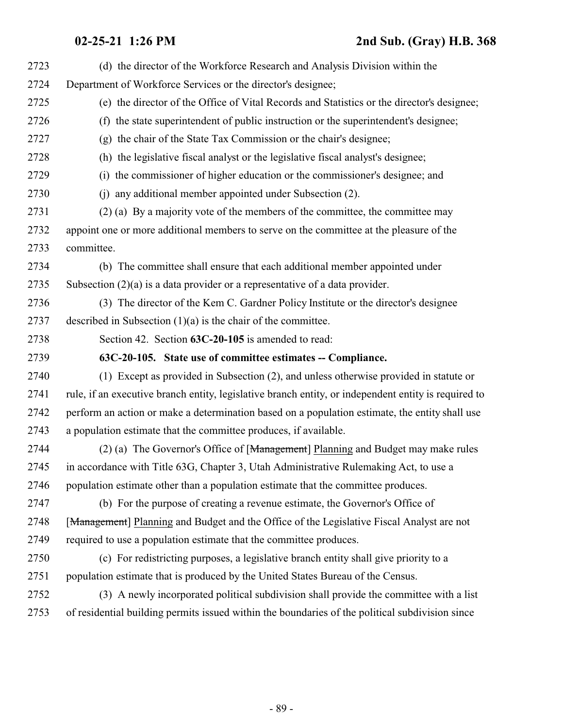| 2723 | (d) the director of the Workforce Research and Analysis Division within the                          |
|------|------------------------------------------------------------------------------------------------------|
| 2724 | Department of Workforce Services or the director's designee;                                         |
| 2725 | (e) the director of the Office of Vital Records and Statistics or the director's designee;           |
| 2726 | (f) the state superintendent of public instruction or the superintendent's designee;                 |
| 2727 | (g) the chair of the State Tax Commission or the chair's designee;                                   |
| 2728 | (h) the legislative fiscal analyst or the legislative fiscal analyst's designee;                     |
| 2729 | the commissioner of higher education or the commissioner's designee; and<br>(i)                      |
| 2730 | any additional member appointed under Subsection (2).<br>(i)                                         |
| 2731 | (2) (a) By a majority vote of the members of the committee, the committee may                        |
| 2732 | appoint one or more additional members to serve on the committee at the pleasure of the              |
| 2733 | committee.                                                                                           |
| 2734 | (b) The committee shall ensure that each additional member appointed under                           |
| 2735 | Subsection $(2)(a)$ is a data provider or a representative of a data provider.                       |
| 2736 | (3) The director of the Kem C. Gardner Policy Institute or the director's designee                   |
| 2737 | described in Subsection $(1)(a)$ is the chair of the committee.                                      |
| 2738 | Section 42. Section 63C-20-105 is amended to read:                                                   |
| 2739 | 63C-20-105. State use of committee estimates -- Compliance.                                          |
| 2740 | (1) Except as provided in Subsection (2), and unless otherwise provided in statute or                |
| 2741 | rule, if an executive branch entity, legislative branch entity, or independent entity is required to |
| 2742 | perform an action or make a determination based on a population estimate, the entity shall use       |
| 2743 | a population estimate that the committee produces, if available.                                     |
| 2744 | (2) (a) The Governor's Office of [Management] Planning and Budget may make rules                     |
| 2745 | in accordance with Title 63G, Chapter 3, Utah Administrative Rulemaking Act, to use a                |
| 2746 | population estimate other than a population estimate that the committee produces.                    |
| 2747 | (b) For the purpose of creating a revenue estimate, the Governor's Office of                         |
| 2748 | [Management] Planning and Budget and the Office of the Legislative Fiscal Analyst are not            |
| 2749 | required to use a population estimate that the committee produces.                                   |
| 2750 | (c) For redistricting purposes, a legislative branch entity shall give priority to a                 |
| 2751 | population estimate that is produced by the United States Bureau of the Census.                      |
| 2752 | (3) A newly incorporated political subdivision shall provide the committee with a list               |
| 2753 | of residential building permits issued within the boundaries of the political subdivision since      |
|      |                                                                                                      |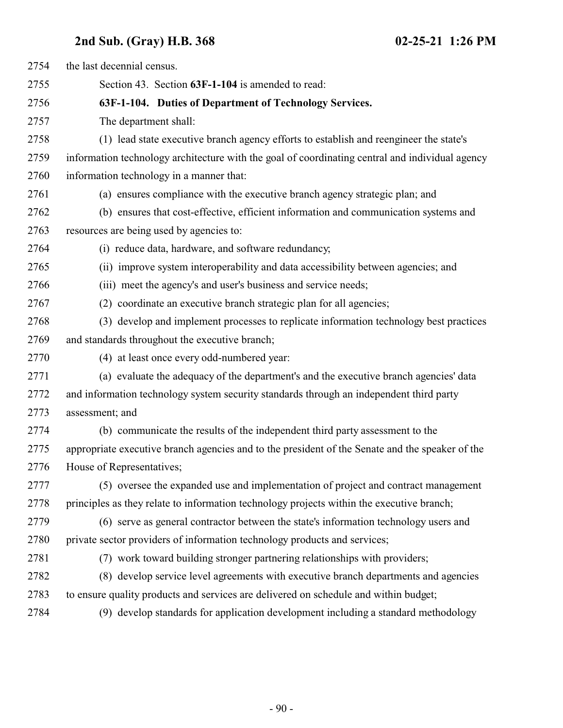| 2754 | the last decennial census.                                                                      |
|------|-------------------------------------------------------------------------------------------------|
| 2755 | Section 43. Section 63F-1-104 is amended to read:                                               |
| 2756 | 63F-1-104. Duties of Department of Technology Services.                                         |
| 2757 | The department shall:                                                                           |
| 2758 | (1) lead state executive branch agency efforts to establish and reengineer the state's          |
| 2759 | information technology architecture with the goal of coordinating central and individual agency |
| 2760 | information technology in a manner that:                                                        |
| 2761 | (a) ensures compliance with the executive branch agency strategic plan; and                     |
| 2762 | (b) ensures that cost-effective, efficient information and communication systems and            |
| 2763 | resources are being used by agencies to:                                                        |
| 2764 | (i) reduce data, hardware, and software redundancy;                                             |
| 2765 | (ii) improve system interoperability and data accessibility between agencies; and               |
| 2766 | (iii) meet the agency's and user's business and service needs;                                  |
| 2767 | (2) coordinate an executive branch strategic plan for all agencies;                             |
| 2768 | (3) develop and implement processes to replicate information technology best practices          |
| 2769 | and standards throughout the executive branch;                                                  |
| 2770 | (4) at least once every odd-numbered year:                                                      |
| 2771 | (a) evaluate the adequacy of the department's and the executive branch agencies' data           |
| 2772 | and information technology system security standards through an independent third party         |
| 2773 | assessment; and                                                                                 |
| 2774 | (b) communicate the results of the independent third party assessment to the                    |
| 2775 | appropriate executive branch agencies and to the president of the Senate and the speaker of the |
| 2776 | House of Representatives;                                                                       |
| 2777 | (5) oversee the expanded use and implementation of project and contract management              |
| 2778 | principles as they relate to information technology projects within the executive branch;       |
| 2779 | (6) serve as general contractor between the state's information technology users and            |
| 2780 | private sector providers of information technology products and services;                       |
| 2781 | (7) work toward building stronger partnering relationships with providers;                      |
| 2782 | (8) develop service level agreements with executive branch departments and agencies             |
| 2783 | to ensure quality products and services are delivered on schedule and within budget;            |
| 2784 | (9) develop standards for application development including a standard methodology              |
|      |                                                                                                 |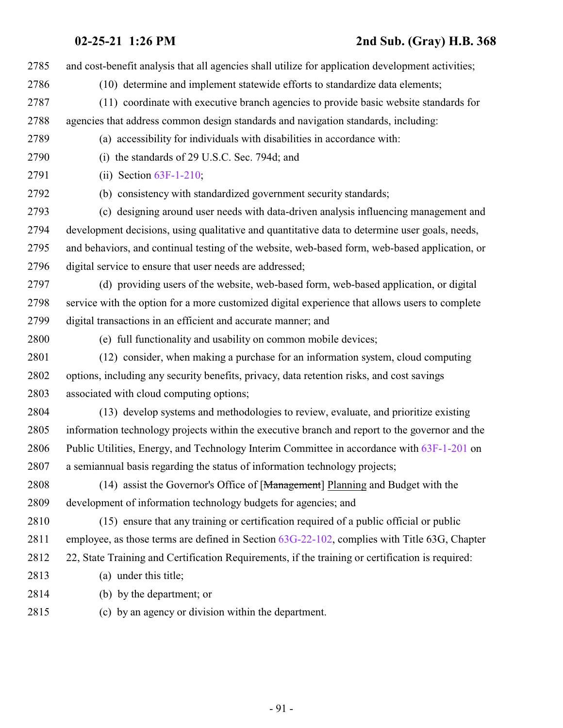and cost-benefit analysis that all agencies shall utilize for application development activities; (10) determine and implement statewide efforts to standardize data elements; (11) coordinate with executive branch agencies to provide basic website standards for agencies that address common design standards and navigation standards, including: (a) accessibility for individuals with disabilities in accordance with: (i) the standards of 29 U.S.C. Sec. 794d; and (ii) Section [63F-1-210](http://le.utah.gov/UtahCode/SectionLookup.jsp?section=63f-1-210&session=2021GS); (b) consistency with standardized government security standards; (c) designing around user needs with data-driven analysis influencing management and development decisions, using qualitative and quantitative data to determine user goals, needs, and behaviors, and continual testing of the website, web-based form, web-based application, or digital service to ensure that user needs are addressed; (d) providing users of the website, web-based form, web-based application, or digital service with the option for a more customized digital experience that allows users to complete digital transactions in an efficient and accurate manner; and (e) full functionality and usability on common mobile devices; (12) consider, when making a purchase for an information system, cloud computing options, including any security benefits, privacy, data retention risks, and cost savings associated with cloud computing options; (13) develop systems and methodologies to review, evaluate, and prioritize existing information technology projects within the executive branch and report to the governor and the Public Utilities, Energy, and Technology Interim Committee in accordance with [63F-1-201](http://le.utah.gov/UtahCode/SectionLookup.jsp?section=63f-1-201&session=2021GS) on a semiannual basis regarding the status of information technology projects; 2808 (14) assist the Governor's Office of [Management] Planning and Budget with the development of information technology budgets for agencies; and (15) ensure that any training or certification required of a public official or public employee, as those terms are defined in Section [63G-22-102](http://le.utah.gov/UtahCode/SectionLookup.jsp?section=63g-22-102&session=2021GS), complies with Title 63G, Chapter 22, State Training and Certification Requirements, if the training or certification is required: (a) under this title; (b) by the department; or (c) by an agency or division within the department.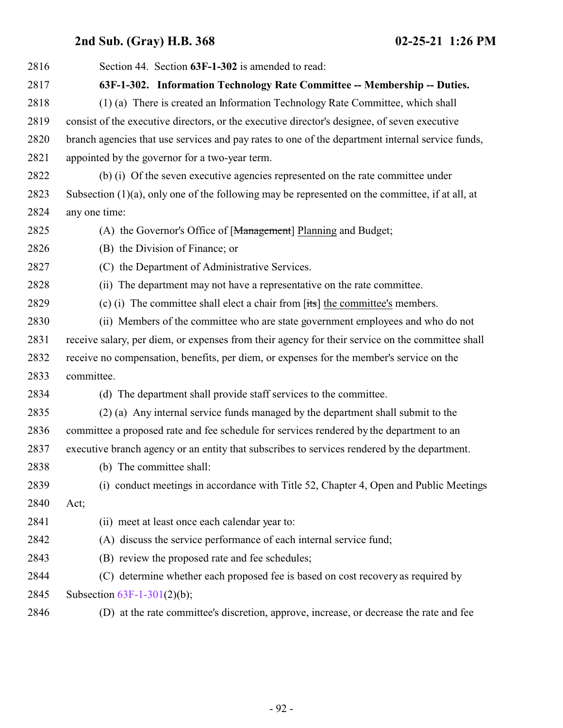| 2816 | Section 44. Section 63F-1-302 is amended to read:                                                  |
|------|----------------------------------------------------------------------------------------------------|
| 2817 | 63F-1-302. Information Technology Rate Committee -- Membership -- Duties.                          |
| 2818 | (1) (a) There is created an Information Technology Rate Committee, which shall                     |
| 2819 | consist of the executive directors, or the executive director's designee, of seven executive       |
| 2820 | branch agencies that use services and pay rates to one of the department internal service funds,   |
| 2821 | appointed by the governor for a two-year term.                                                     |
| 2822 | (b) (i) Of the seven executive agencies represented on the rate committee under                    |
| 2823 | Subsection $(1)(a)$ , only one of the following may be represented on the committee, if at all, at |
| 2824 | any one time:                                                                                      |
| 2825 | (A) the Governor's Office of [Management] Planning and Budget;                                     |
| 2826 | (B) the Division of Finance; or                                                                    |
| 2827 | (C) the Department of Administrative Services.                                                     |
| 2828 | The department may not have a representative on the rate committee.<br>(ii)                        |
| 2829 | (c) (i) The committee shall elect a chair from $[its]$ the committee's members.                    |
| 2830 | (ii) Members of the committee who are state government employees and who do not                    |
| 2831 | receive salary, per diem, or expenses from their agency for their service on the committee shall   |
| 2832 | receive no compensation, benefits, per diem, or expenses for the member's service on the           |
| 2833 | committee.                                                                                         |
| 2834 | (d) The department shall provide staff services to the committee.                                  |
| 2835 | (2) (a) Any internal service funds managed by the department shall submit to the                   |
| 2836 | committee a proposed rate and fee schedule for services rendered by the department to an           |
| 2837 | executive branch agency or an entity that subscribes to services rendered by the department.       |
| 2838 | (b) The committee shall:                                                                           |
| 2839 | (i) conduct meetings in accordance with Title 52, Chapter 4, Open and Public Meetings              |
| 2840 | Act;                                                                                               |
| 2841 | (ii) meet at least once each calendar year to:                                                     |
| 2842 | (A) discuss the service performance of each internal service fund;                                 |
| 2843 | (B) review the proposed rate and fee schedules;                                                    |
| 2844 | (C) determine whether each proposed fee is based on cost recovery as required by                   |
| 2845 | Subsection $63F-1-301(2)(b)$ ;                                                                     |
| 2846 | (D) at the rate committee's discretion, approve, increase, or decrease the rate and fee            |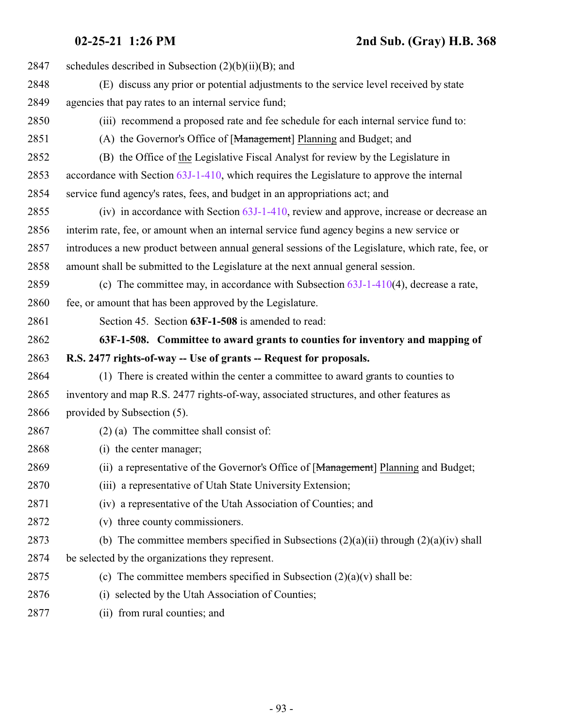| 2847 | schedules described in Subsection $(2)(b)(ii)(B)$ ; and                                          |
|------|--------------------------------------------------------------------------------------------------|
| 2848 | (E) discuss any prior or potential adjustments to the service level received by state            |
| 2849 | agencies that pay rates to an internal service fund;                                             |
| 2850 | (iii) recommend a proposed rate and fee schedule for each internal service fund to:              |
| 2851 | (A) the Governor's Office of [Management] Planning and Budget; and                               |
| 2852 | (B) the Office of the Legislative Fiscal Analyst for review by the Legislature in                |
| 2853 | accordance with Section 63J-1-410, which requires the Legislature to approve the internal        |
| 2854 | service fund agency's rates, fees, and budget in an appropriations act; and                      |
| 2855 | (iv) in accordance with Section $63J-1-410$ , review and approve, increase or decrease an        |
| 2856 | interim rate, fee, or amount when an internal service fund agency begins a new service or        |
| 2857 | introduces a new product between annual general sessions of the Legislature, which rate, fee, or |
| 2858 | amount shall be submitted to the Legislature at the next annual general session.                 |
| 2859 | (c) The committee may, in accordance with Subsection $63J-1-410(4)$ , decrease a rate,           |
| 2860 | fee, or amount that has been approved by the Legislature.                                        |
| 2861 | Section 45. Section 63F-1-508 is amended to read:                                                |
| 2862 | 63F-1-508. Committee to award grants to counties for inventory and mapping of                    |
| 2863 | R.S. 2477 rights-of-way -- Use of grants -- Request for proposals.                               |
| 2864 | (1) There is created within the center a committee to award grants to counties to                |
| 2865 | inventory and map R.S. 2477 rights-of-way, associated structures, and other features as          |
| 2866 | provided by Subsection (5).                                                                      |
| 2867 | $(2)$ (a) The committee shall consist of:                                                        |
| 2868 | (i) the center manager;                                                                          |
| 2869 | (ii) a representative of the Governor's Office of [Management] Planning and Budget;              |
| 2870 | (iii) a representative of Utah State University Extension;                                       |
| 2871 | (iv) a representative of the Utah Association of Counties; and                                   |
| 2872 | (v) three county commissioners.                                                                  |
| 2873 | (b) The committee members specified in Subsections $(2)(a)(ii)$ through $(2)(a)(iv)$ shall       |
|      |                                                                                                  |
| 2874 | be selected by the organizations they represent.                                                 |
| 2875 | (c) The committee members specified in Subsection $(2)(a)(v)$ shall be:                          |
| 2876 | selected by the Utah Association of Counties;<br>(i)                                             |

(ii) from rural counties; and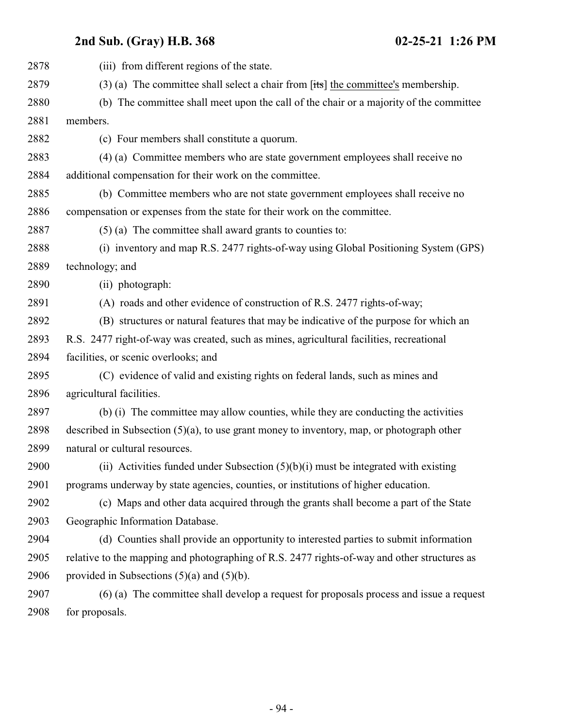| 2878 | (iii) from different regions of the state.                                                         |
|------|----------------------------------------------------------------------------------------------------|
| 2879 | (3) (a) The committee shall select a chair from $[t\ddot{\mathbf{x}}]$ the committee's membership. |
| 2880 | (b) The committee shall meet upon the call of the chair or a majority of the committee             |
| 2881 | members.                                                                                           |
| 2882 | (c) Four members shall constitute a quorum.                                                        |
| 2883 | (4) (a) Committee members who are state government employees shall receive no                      |
| 2884 | additional compensation for their work on the committee.                                           |
| 2885 | (b) Committee members who are not state government employees shall receive no                      |
| 2886 | compensation or expenses from the state for their work on the committee.                           |
| 2887 | $(5)$ (a) The committee shall award grants to counties to:                                         |
| 2888 | (i) inventory and map R.S. 2477 rights-of-way using Global Positioning System (GPS)                |
| 2889 | technology; and                                                                                    |
| 2890 | (ii) photograph:                                                                                   |
| 2891 | (A) roads and other evidence of construction of R.S. 2477 rights-of-way;                           |
| 2892 | (B) structures or natural features that may be indicative of the purpose for which an              |
| 2893 | R.S. 2477 right-of-way was created, such as mines, agricultural facilities, recreational           |
| 2894 | facilities, or scenic overlooks; and                                                               |
| 2895 | (C) evidence of valid and existing rights on federal lands, such as mines and                      |
| 2896 | agricultural facilities.                                                                           |
| 2897 | (b) (i) The committee may allow counties, while they are conducting the activities                 |
| 2898 | described in Subsection $(5)(a)$ , to use grant money to inventory, map, or photograph other       |
| 2899 | natural or cultural resources.                                                                     |
| 2900 | (ii) Activities funded under Subsection $(5)(b)(i)$ must be integrated with existing               |
| 2901 | programs underway by state agencies, counties, or institutions of higher education.                |
| 2902 | (c) Maps and other data acquired through the grants shall become a part of the State               |
| 2903 | Geographic Information Database.                                                                   |
| 2904 | (d) Counties shall provide an opportunity to interested parties to submit information              |
| 2905 | relative to the mapping and photographing of R.S. 2477 rights-of-way and other structures as       |
| 2906 | provided in Subsections $(5)(a)$ and $(5)(b)$ .                                                    |
| 2907 | (6) (a) The committee shall develop a request for proposals process and issue a request            |
| 2908 | for proposals.                                                                                     |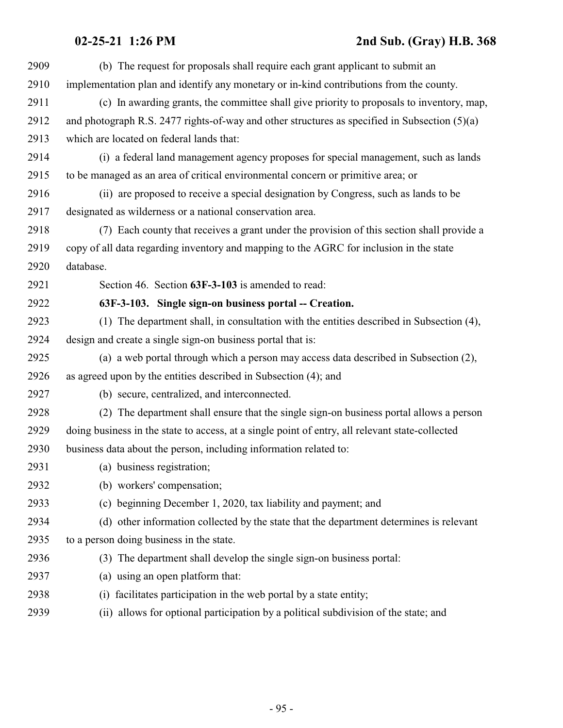| 2909 | (b) The request for proposals shall require each grant applicant to submit an                   |
|------|-------------------------------------------------------------------------------------------------|
| 2910 | implementation plan and identify any monetary or in-kind contributions from the county.         |
| 2911 | (c) In awarding grants, the committee shall give priority to proposals to inventory, map,       |
| 2912 | and photograph R.S. 2477 rights-of-way and other structures as specified in Subsection $(5)(a)$ |
| 2913 | which are located on federal lands that:                                                        |
| 2914 | (i) a federal land management agency proposes for special management, such as lands             |
| 2915 | to be managed as an area of critical environmental concern or primitive area; or                |
| 2916 | (ii) are proposed to receive a special designation by Congress, such as lands to be             |
| 2917 | designated as wilderness or a national conservation area.                                       |
| 2918 | (7) Each county that receives a grant under the provision of this section shall provide a       |
| 2919 | copy of all data regarding inventory and mapping to the AGRC for inclusion in the state         |
| 2920 | database.                                                                                       |
| 2921 | Section 46. Section 63F-3-103 is amended to read:                                               |
| 2922 | 63F-3-103. Single sign-on business portal -- Creation.                                          |
| 2923 | (1) The department shall, in consultation with the entities described in Subsection (4),        |
| 2924 | design and create a single sign-on business portal that is:                                     |
| 2925 | (a) a web portal through which a person may access data described in Subsection (2),            |
| 2926 | as agreed upon by the entities described in Subsection (4); and                                 |
| 2927 | (b) secure, centralized, and interconnected.                                                    |
| 2928 | (2) The department shall ensure that the single sign-on business portal allows a person         |
| 2929 | doing business in the state to access, at a single point of entry, all relevant state-collected |
| 2930 | business data about the person, including information related to:                               |
| 2931 | (a) business registration;                                                                      |
| 2932 | (b) workers' compensation;                                                                      |
| 2933 | (c) beginning December 1, 2020, tax liability and payment; and                                  |
| 2934 | (d) other information collected by the state that the department determines is relevant         |
| 2935 | to a person doing business in the state.                                                        |
| 2936 | (3) The department shall develop the single sign-on business portal:                            |
| 2937 | (a) using an open platform that:                                                                |
| 2938 | facilitates participation in the web portal by a state entity;<br>(i)                           |
| 2939 | allows for optional participation by a political subdivision of the state; and<br>(ii)          |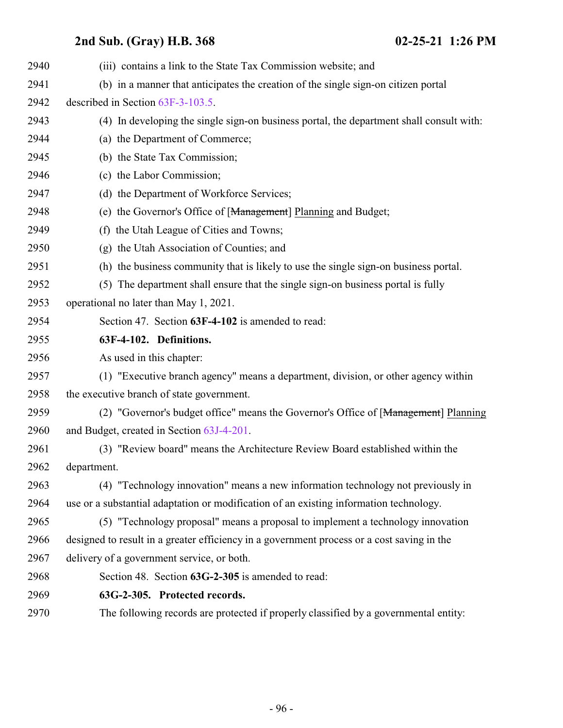| 2940 | (iii) contains a link to the State Tax Commission website; and                             |
|------|--------------------------------------------------------------------------------------------|
| 2941 | (b) in a manner that anticipates the creation of the single sign-on citizen portal         |
| 2942 | described in Section 63F-3-103.5.                                                          |
| 2943 | (4) In developing the single sign-on business portal, the department shall consult with:   |
| 2944 | (a) the Department of Commerce;                                                            |
| 2945 | (b) the State Tax Commission;                                                              |
| 2946 | (c) the Labor Commission;                                                                  |
| 2947 | (d) the Department of Workforce Services;                                                  |
| 2948 | (e) the Governor's Office of [Management] Planning and Budget;                             |
| 2949 | (f) the Utah League of Cities and Towns;                                                   |
| 2950 | (g) the Utah Association of Counties; and                                                  |
| 2951 | (h) the business community that is likely to use the single sign-on business portal.       |
| 2952 | The department shall ensure that the single sign-on business portal is fully<br>(5)        |
| 2953 | operational no later than May 1, 2021.                                                     |
| 2954 | Section 47. Section 63F-4-102 is amended to read:                                          |
| 2955 | 63F-4-102. Definitions.                                                                    |
| 2956 | As used in this chapter:                                                                   |
| 2957 | (1) "Executive branch agency" means a department, division, or other agency within         |
| 2958 | the executive branch of state government.                                                  |
| 2959 | (2) "Governor's budget office" means the Governor's Office of [Management] Planning        |
| 2960 | and Budget, created in Section 63J-4-201.                                                  |
| 2961 | (3) "Review board" means the Architecture Review Board established within the              |
| 2962 | department.                                                                                |
| 2963 | (4) "Technology innovation" means a new information technology not previously in           |
| 2964 | use or a substantial adaptation or modification of an existing information technology.     |
| 2965 | (5) "Technology proposal" means a proposal to implement a technology innovation            |
| 2966 | designed to result in a greater efficiency in a government process or a cost saving in the |
| 2967 | delivery of a government service, or both.                                                 |
| 2968 | Section 48. Section 63G-2-305 is amended to read:                                          |
| 2969 | 63G-2-305. Protected records.                                                              |
| 2970 | The following records are protected if properly classified by a governmental entity:       |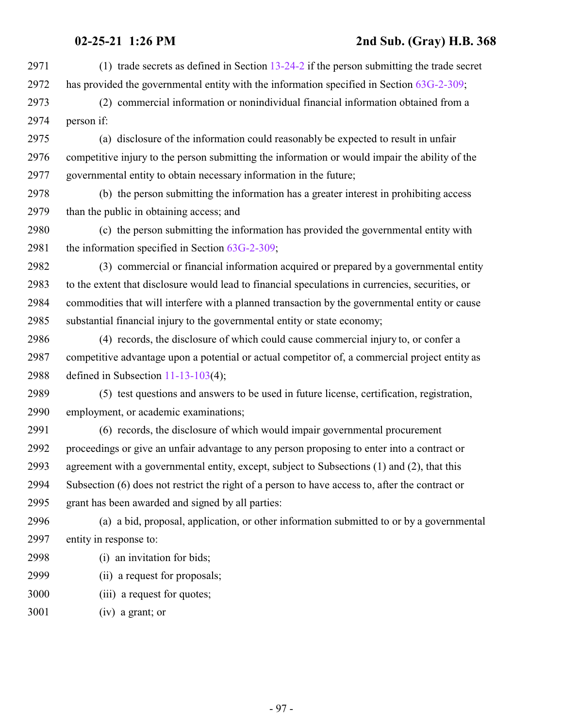**02-25-21 1:26 PM 2nd Sub. (Gray) H.B. 368** (1) trade secrets as defined in Section [13-24-2](http://le.utah.gov/UtahCode/SectionLookup.jsp?section=13-24-2&session=2021GS) if the person submitting the trade secret has provided the governmental entity with the information specified in Section [63G-2-309](http://le.utah.gov/UtahCode/SectionLookup.jsp?section=63g-2-309&session=2021GS); (2) commercial information or nonindividual financial information obtained from a person if: (a) disclosure of the information could reasonably be expected to result in unfair competitive injury to the person submitting the information or would impair the ability of the governmental entity to obtain necessary information in the future; (b) the person submitting the information has a greater interest in prohibiting access than the public in obtaining access; and (c) the person submitting the information has provided the governmental entity with the information specified in Section [63G-2-309](http://le.utah.gov/UtahCode/SectionLookup.jsp?section=63g-2-309&session=2021GS); (3) commercial or financial information acquired or prepared by a governmental entity to the extent that disclosure would lead to financial speculations in currencies, securities, or commodities that will interfere with a planned transaction by the governmental entity or cause substantial financial injury to the governmental entity or state economy; (4) records, the disclosure of which could cause commercial injury to, or confer a competitive advantage upon a potential or actual competitor of, a commercial project entity as defined in Subsection [11-13-103](http://le.utah.gov/UtahCode/SectionLookup.jsp?section=11-13-103&session=2021GS)(4); (5) test questions and answers to be used in future license, certification, registration, employment, or academic examinations; (6) records, the disclosure of which would impair governmental procurement proceedings or give an unfair advantage to any person proposing to enter into a contract or agreement with a governmental entity, except, subject to Subsections (1) and (2), that this Subsection (6) does not restrict the right of a person to have access to, after the contract or grant has been awarded and signed by all parties: (a) a bid, proposal, application, or other information submitted to or by a governmental

entity in response to:

- (i) an invitation for bids;
- (ii) a request for proposals;
- (iii) a request for quotes;
- (iv) a grant; or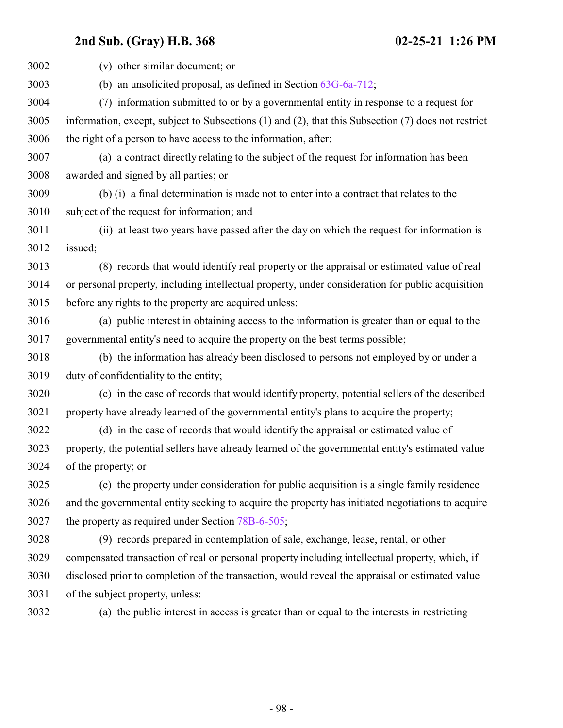| 3002 | (v) other similar document; or                                                                             |
|------|------------------------------------------------------------------------------------------------------------|
| 3003 | (b) an unsolicited proposal, as defined in Section $63G-6a-712$ ;                                          |
| 3004 | (7) information submitted to or by a governmental entity in response to a request for                      |
| 3005 | information, except, subject to Subsections $(1)$ and $(2)$ , that this Subsection $(7)$ does not restrict |
| 3006 | the right of a person to have access to the information, after:                                            |
| 3007 | (a) a contract directly relating to the subject of the request for information has been                    |
| 3008 | awarded and signed by all parties; or                                                                      |
| 3009 | (b) (i) a final determination is made not to enter into a contract that relates to the                     |
| 3010 | subject of the request for information; and                                                                |
| 3011 | (ii) at least two years have passed after the day on which the request for information is                  |
| 3012 | issued;                                                                                                    |
| 3013 | (8) records that would identify real property or the appraisal or estimated value of real                  |
| 3014 | or personal property, including intellectual property, under consideration for public acquisition          |
| 3015 | before any rights to the property are acquired unless:                                                     |
| 3016 | (a) public interest in obtaining access to the information is greater than or equal to the                 |
| 3017 | governmental entity's need to acquire the property on the best terms possible;                             |
| 3018 | (b) the information has already been disclosed to persons not employed by or under a                       |
| 3019 | duty of confidentiality to the entity;                                                                     |
| 3020 | (c) in the case of records that would identify property, potential sellers of the described                |
| 3021 | property have already learned of the governmental entity's plans to acquire the property;                  |
| 3022 | (d) in the case of records that would identify the appraisal or estimated value of                         |
| 3023 | property, the potential sellers have already learned of the governmental entity's estimated value          |
| 3024 | of the property; or                                                                                        |
| 3025 | (e) the property under consideration for public acquisition is a single family residence                   |
| 3026 | and the governmental entity seeking to acquire the property has initiated negotiations to acquire          |
| 3027 | the property as required under Section 78B-6-505;                                                          |
| 3028 | (9) records prepared in contemplation of sale, exchange, lease, rental, or other                           |
| 3029 | compensated transaction of real or personal property including intellectual property, which, if            |
| 3030 | disclosed prior to completion of the transaction, would reveal the appraisal or estimated value            |
| 3031 | of the subject property, unless:                                                                           |
| 3032 | (a) the public interest in access is greater than or equal to the interests in restricting                 |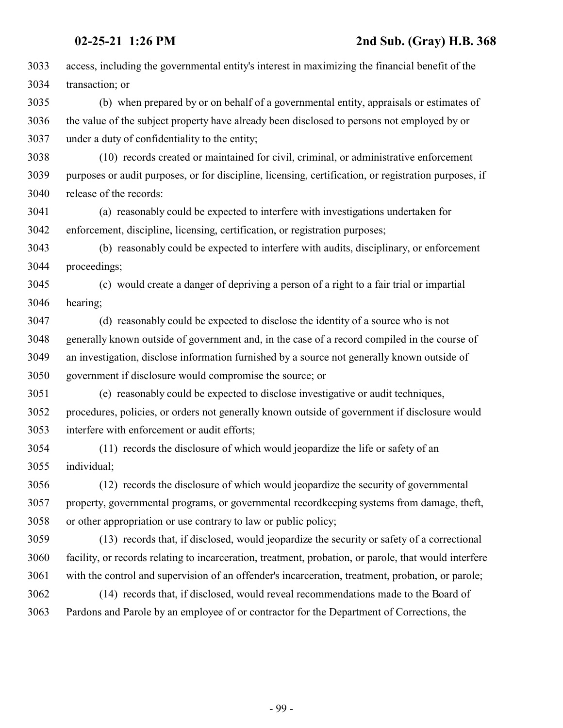| 3033 | access, including the governmental entity's interest in maximizing the financial benefit of the       |
|------|-------------------------------------------------------------------------------------------------------|
| 3034 | transaction; or                                                                                       |
| 3035 | (b) when prepared by or on behalf of a governmental entity, appraisals or estimates of                |
| 3036 | the value of the subject property have already been disclosed to persons not employed by or           |
| 3037 | under a duty of confidentiality to the entity;                                                        |
| 3038 | (10) records created or maintained for civil, criminal, or administrative enforcement                 |
| 3039 | purposes or audit purposes, or for discipline, licensing, certification, or registration purposes, if |
| 3040 | release of the records:                                                                               |
| 3041 | (a) reasonably could be expected to interfere with investigations undertaken for                      |
| 3042 | enforcement, discipline, licensing, certification, or registration purposes;                          |
| 3043 | (b) reasonably could be expected to interfere with audits, disciplinary, or enforcement               |
| 3044 | proceedings;                                                                                          |
| 3045 | (c) would create a danger of depriving a person of a right to a fair trial or impartial               |
| 3046 | hearing;                                                                                              |
| 3047 | (d) reasonably could be expected to disclose the identity of a source who is not                      |
| 3048 | generally known outside of government and, in the case of a record compiled in the course of          |
| 3049 | an investigation, disclose information furnished by a source not generally known outside of           |
| 3050 | government if disclosure would compromise the source; or                                              |
| 3051 | (e) reasonably could be expected to disclose investigative or audit techniques,                       |
| 3052 | procedures, policies, or orders not generally known outside of government if disclosure would         |
| 3053 | interfere with enforcement or audit efforts;                                                          |
| 3054 | (11) records the disclosure of which would jeopardize the life or safety of an                        |
| 3055 | individual;                                                                                           |
| 3056 | (12) records the disclosure of which would jeopardize the security of governmental                    |
| 3057 | property, governmental programs, or governmental recordkeeping systems from damage, theft,            |
| 3058 | or other appropriation or use contrary to law or public policy;                                       |
| 3059 | (13) records that, if disclosed, would jeopardize the security or safety of a correctional            |
| 3060 | facility, or records relating to incarceration, treatment, probation, or parole, that would interfere |
| 3061 | with the control and supervision of an offender's incarceration, treatment, probation, or parole;     |
| 3062 | (14) records that, if disclosed, would reveal recommendations made to the Board of                    |
| 3063 | Pardons and Parole by an employee of or contractor for the Department of Corrections, the             |
|      |                                                                                                       |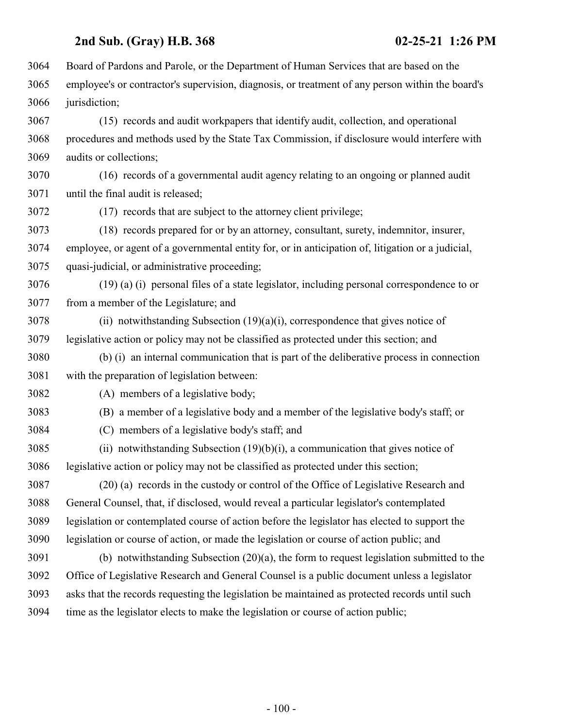Board of Pardons and Parole, or the Department of Human Services that are based on the employee's or contractor's supervision, diagnosis, or treatment of any person within the board's jurisdiction; (15) records and audit workpapers that identify audit, collection, and operational

 procedures and methods used by the State Tax Commission, if disclosure would interfere with audits or collections;

 (16) records of a governmental audit agency relating to an ongoing or planned audit until the final audit is released;

(17) records that are subject to the attorney client privilege;

 (18) records prepared for or by an attorney, consultant, surety, indemnitor, insurer, employee, or agent of a governmental entity for, or in anticipation of, litigation or a judicial, quasi-judicial, or administrative proceeding;

 (19) (a) (i) personal files of a state legislator, including personal correspondence to or from a member of the Legislature; and

 (ii) notwithstanding Subsection (19)(a)(i), correspondence that gives notice of legislative action or policy may not be classified as protected under this section; and

 (b) (i) an internal communication that is part of the deliberative process in connection with the preparation of legislation between:

(A) members of a legislative body;

(B) a member of a legislative body and a member of the legislative body's staff; or

(C) members of a legislative body's staff; and

 (ii) notwithstanding Subsection (19)(b)(i), a communication that gives notice of legislative action or policy may not be classified as protected under this section;

 (20) (a) records in the custody or control of the Office of Legislative Research and General Counsel, that, if disclosed, would reveal a particular legislator's contemplated legislation or contemplated course of action before the legislator has elected to support the legislation or course of action, or made the legislation or course of action public; and

 (b) notwithstanding Subsection (20)(a), the form to request legislation submitted to the Office of Legislative Research and General Counsel is a public document unless a legislator asks that the records requesting the legislation be maintained as protected records until such time as the legislator elects to make the legislation or course of action public;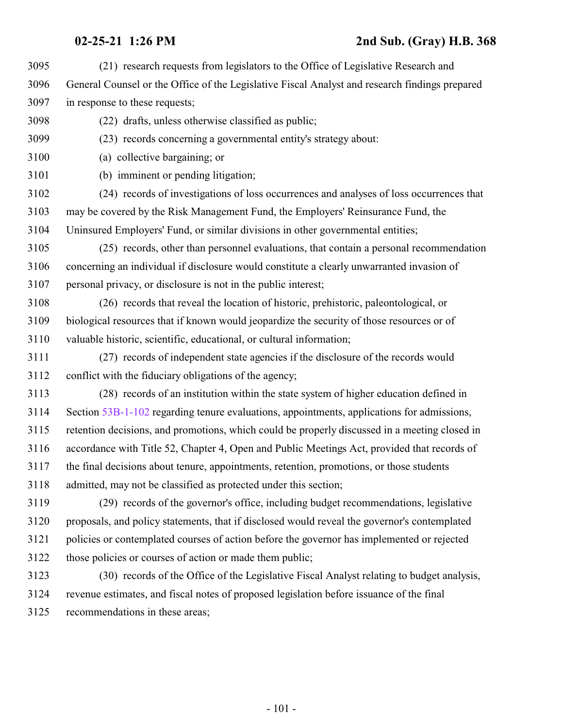- (21) research requests from legislators to the Office of Legislative Research and General Counsel or the Office of the Legislative Fiscal Analyst and research findings prepared in response to these requests;
- (22) drafts, unless otherwise classified as public;
- (23) records concerning a governmental entity's strategy about:
- (a) collective bargaining; or
- (b) imminent or pending litigation;
- (24) records of investigations of loss occurrences and analyses of loss occurrences that may be covered by the Risk Management Fund, the Employers' Reinsurance Fund, the Uninsured Employers' Fund, or similar divisions in other governmental entities;
- (25) records, other than personnel evaluations, that contain a personal recommendation concerning an individual if disclosure would constitute a clearly unwarranted invasion of personal privacy, or disclosure is not in the public interest;
- (26) records that reveal the location of historic, prehistoric, paleontological, or biological resources that if known would jeopardize the security of those resources or of valuable historic, scientific, educational, or cultural information;
- (27) records of independent state agencies if the disclosure of the records would conflict with the fiduciary obligations of the agency;
- (28) records of an institution within the state system of higher education defined in Section [53B-1-102](http://le.utah.gov/UtahCode/SectionLookup.jsp?section=53b-1-102&session=2021GS) regarding tenure evaluations, appointments, applications for admissions, retention decisions, and promotions, which could be properly discussed in a meeting closed in accordance with Title 52, Chapter 4, Open and Public Meetings Act, provided that records of the final decisions about tenure, appointments, retention, promotions, or those students admitted, may not be classified as protected under this section;
- (29) records of the governor's office, including budget recommendations, legislative proposals, and policy statements, that if disclosed would reveal the governor's contemplated policies or contemplated courses of action before the governor has implemented or rejected those policies or courses of action or made them public;
- (30) records of the Office of the Legislative Fiscal Analyst relating to budget analysis, revenue estimates, and fiscal notes of proposed legislation before issuance of the final recommendations in these areas;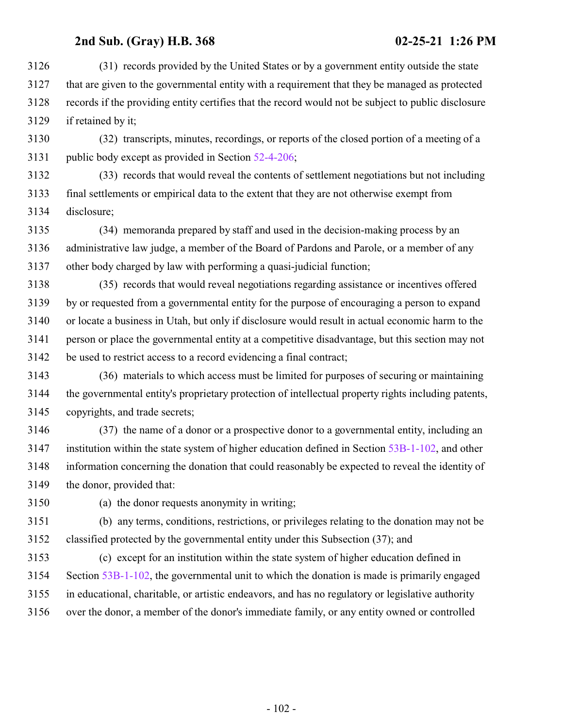(31) records provided by the United States or by a government entity outside the state that are given to the governmental entity with a requirement that they be managed as protected records if the providing entity certifies that the record would not be subject to public disclosure if retained by it;

 (32) transcripts, minutes, recordings, or reports of the closed portion of a meeting of a public body except as provided in Section [52-4-206](http://le.utah.gov/UtahCode/SectionLookup.jsp?section=52-4-206&session=2021GS);

 (33) records that would reveal the contents of settlement negotiations but not including final settlements or empirical data to the extent that they are not otherwise exempt from disclosure;

 (34) memoranda prepared by staff and used in the decision-making process by an administrative law judge, a member of the Board of Pardons and Parole, or a member of any other body charged by law with performing a quasi-judicial function;

 (35) records that would reveal negotiations regarding assistance or incentives offered by or requested from a governmental entity for the purpose of encouraging a person to expand or locate a business in Utah, but only if disclosure would result in actual economic harm to the person or place the governmental entity at a competitive disadvantage, but this section may not be used to restrict access to a record evidencing a final contract;

 (36) materials to which access must be limited for purposes of securing or maintaining the governmental entity's proprietary protection of intellectual property rights including patents, copyrights, and trade secrets;

 (37) the name of a donor or a prospective donor to a governmental entity, including an institution within the state system of higher education defined in Section [53B-1-102](http://le.utah.gov/UtahCode/SectionLookup.jsp?section=53b-1-102&session=2021GS), and other information concerning the donation that could reasonably be expected to reveal the identity of the donor, provided that:

(a) the donor requests anonymity in writing;

 (b) any terms, conditions, restrictions, or privileges relating to the donation may not be classified protected by the governmental entity under this Subsection (37); and

 (c) except for an institution within the state system of higher education defined in Section [53B-1-102](http://le.utah.gov/UtahCode/SectionLookup.jsp?section=53b-1-102&session=2021GS), the governmental unit to which the donation is made is primarily engaged in educational, charitable, or artistic endeavors, and has no regulatory or legislative authority over the donor, a member of the donor's immediate family, or any entity owned or controlled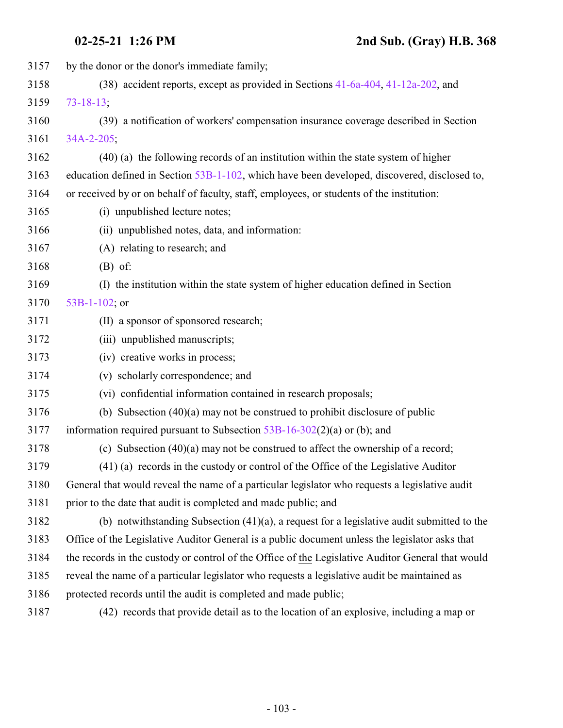| 3157 | by the donor or the donor's immediate family;                                                     |
|------|---------------------------------------------------------------------------------------------------|
| 3158 | (38) accident reports, except as provided in Sections 41-6a-404, 41-12a-202, and                  |
| 3159 | $73 - 18 - 13$ ;                                                                                  |
| 3160 | (39) a notification of workers' compensation insurance coverage described in Section              |
| 3161 | 34A-2-205;                                                                                        |
| 3162 | (40) (a) the following records of an institution within the state system of higher                |
| 3163 | education defined in Section 53B-1-102, which have been developed, discovered, disclosed to,      |
| 3164 | or received by or on behalf of faculty, staff, employees, or students of the institution:         |
| 3165 | (i) unpublished lecture notes;                                                                    |
| 3166 | (ii) unpublished notes, data, and information:                                                    |
| 3167 | (A) relating to research; and                                                                     |
| 3168 | $(B)$ of:                                                                                         |
| 3169 | (I) the institution within the state system of higher education defined in Section                |
| 3170 | 53B-1-102; or                                                                                     |
| 3171 | (II) a sponsor of sponsored research;                                                             |
| 3172 | (iii) unpublished manuscripts;                                                                    |
| 3173 | (iv) creative works in process;                                                                   |
| 3174 | (v) scholarly correspondence; and                                                                 |
| 3175 | (vi) confidential information contained in research proposals;                                    |
| 3176 | (b) Subsection $(40)(a)$ may not be construed to prohibit disclosure of public                    |
| 3177 | information required pursuant to Subsection $53B-16-302(2)(a)$ or (b); and                        |
| 3178 | (c) Subsection $(40)(a)$ may not be construed to affect the ownership of a record;                |
| 3179 | $(41)$ (a) records in the custody or control of the Office of the Legislative Auditor             |
| 3180 | General that would reveal the name of a particular legislator who requests a legislative audit    |
| 3181 | prior to the date that audit is completed and made public; and                                    |
| 3182 | (b) notwithstanding Subsection $(41)(a)$ , a request for a legislative audit submitted to the     |
| 3183 | Office of the Legislative Auditor General is a public document unless the legislator asks that    |
| 3184 | the records in the custody or control of the Office of the Legislative Auditor General that would |
| 3185 | reveal the name of a particular legislator who requests a legislative audit be maintained as      |
| 3186 | protected records until the audit is completed and made public;                                   |
| 3187 | (42) records that provide detail as to the location of an explosive, including a map or           |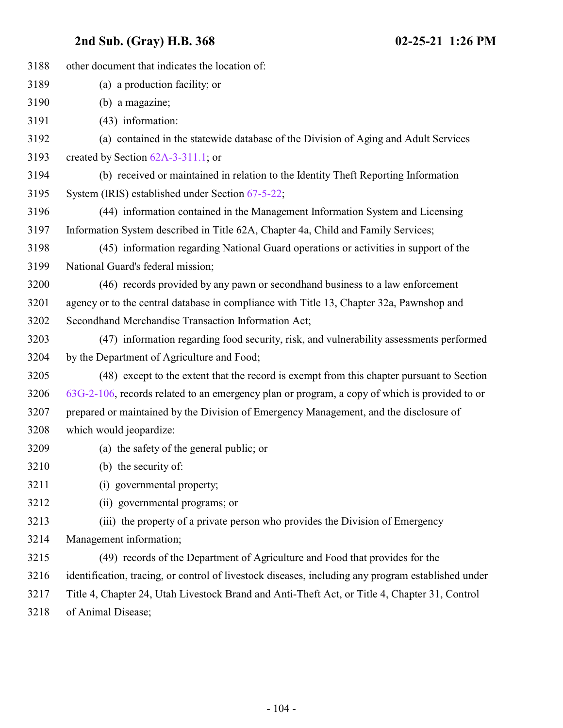| 3188 | other document that indicates the location of:                                                     |
|------|----------------------------------------------------------------------------------------------------|
| 3189 | (a) a production facility; or                                                                      |
| 3190 | (b) a magazine;                                                                                    |
| 3191 | $(43)$ information:                                                                                |
| 3192 | (a) contained in the statewide database of the Division of Aging and Adult Services                |
| 3193 | created by Section $62A-3-311.1$ ; or                                                              |
| 3194 | (b) received or maintained in relation to the Identity Theft Reporting Information                 |
| 3195 | System (IRIS) established under Section 67-5-22;                                                   |
| 3196 | (44) information contained in the Management Information System and Licensing                      |
| 3197 | Information System described in Title 62A, Chapter 4a, Child and Family Services;                  |
| 3198 | (45) information regarding National Guard operations or activities in support of the               |
| 3199 | National Guard's federal mission;                                                                  |
| 3200 | (46) records provided by any pawn or second hand business to a law enforcement                     |
| 3201 | agency or to the central database in compliance with Title 13, Chapter 32a, Pawnshop and           |
| 3202 | Secondhand Merchandise Transaction Information Act;                                                |
| 3203 | (47) information regarding food security, risk, and vulnerability assessments performed            |
| 3204 | by the Department of Agriculture and Food;                                                         |
| 3205 | (48) except to the extent that the record is exempt from this chapter pursuant to Section          |
| 3206 | $63G-2-106$ , records related to an emergency plan or program, a copy of which is provided to or   |
| 3207 | prepared or maintained by the Division of Emergency Management, and the disclosure of              |
| 3208 | which would jeopardize:                                                                            |
| 3209 | (a) the safety of the general public; or                                                           |
| 3210 | (b) the security of:                                                                               |
| 3211 | (i) governmental property;                                                                         |
| 3212 | (ii) governmental programs; or                                                                     |
| 3213 | (iii) the property of a private person who provides the Division of Emergency                      |
| 3214 | Management information;                                                                            |
| 3215 | (49) records of the Department of Agriculture and Food that provides for the                       |
| 3216 | identification, tracing, or control of livestock diseases, including any program established under |
| 3217 | Title 4, Chapter 24, Utah Livestock Brand and Anti-Theft Act, or Title 4, Chapter 31, Control      |
| 3218 | of Animal Disease;                                                                                 |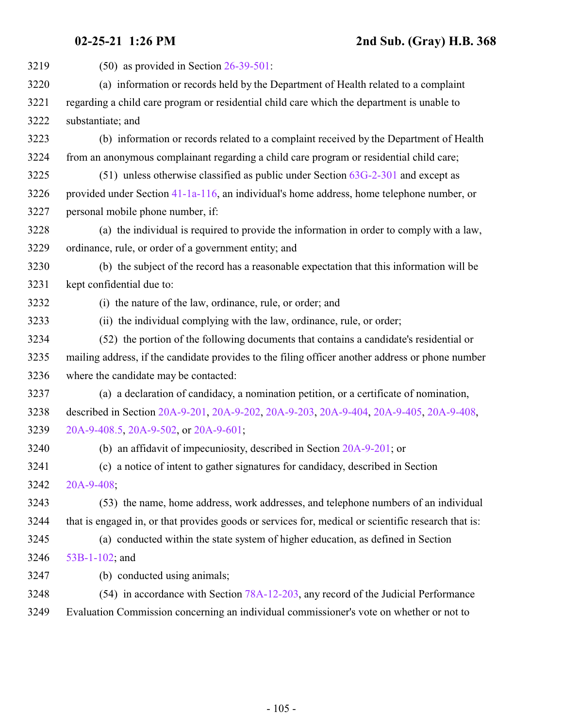(50) as provided in Section [26-39-501](http://le.utah.gov/UtahCode/SectionLookup.jsp?section=26-39-501&session=2021GS): (a) information or records held by the Department of Health related to a complaint regarding a child care program or residential child care which the department is unable to substantiate; and (b) information or records related to a complaint received by the Department of Health from an anonymous complainant regarding a child care program or residential child care; (51) unless otherwise classified as public under Section [63G-2-301](http://le.utah.gov/UtahCode/SectionLookup.jsp?section=63g-2-301&session=2021GS) and except as provided under Section [41-1a-116](http://le.utah.gov/UtahCode/SectionLookup.jsp?section=41-1a-116&session=2021GS), an individual's home address, home telephone number, or personal mobile phone number, if: (a) the individual is required to provide the information in order to comply with a law, ordinance, rule, or order of a government entity; and (b) the subject of the record has a reasonable expectation that this information will be kept confidential due to: (i) the nature of the law, ordinance, rule, or order; and (ii) the individual complying with the law, ordinance, rule, or order; (52) the portion of the following documents that contains a candidate's residential or mailing address, if the candidate provides to the filing officer another address or phone number where the candidate may be contacted: (a) a declaration of candidacy, a nomination petition, or a certificate of nomination, described in Section [20A-9-201](http://le.utah.gov/UtahCode/SectionLookup.jsp?section=20a-9-201&session=2021GS), [20A-9-202](http://le.utah.gov/UtahCode/SectionLookup.jsp?section=20a-9-202&session=2021GS), [20A-9-203](http://le.utah.gov/UtahCode/SectionLookup.jsp?section=20a-9-203&session=2021GS), [20A-9-404](http://le.utah.gov/UtahCode/SectionLookup.jsp?section=20a-9-404&session=2021GS), [20A-9-405](http://le.utah.gov/UtahCode/SectionLookup.jsp?section=20a-9-405&session=2021GS), [20A-9-408](http://le.utah.gov/UtahCode/SectionLookup.jsp?section=20a-9-408&session=2021GS), [20A-9-408.5](http://le.utah.gov/UtahCode/SectionLookup.jsp?section=20a-9-408.5&session=2021GS), [20A-9-502](http://le.utah.gov/UtahCode/SectionLookup.jsp?section=20a-9-502&session=2021GS), or [20A-9-601](http://le.utah.gov/UtahCode/SectionLookup.jsp?section=20a-9-601&session=2021GS); (b) an affidavit of impecuniosity, described in Section [20A-9-201](http://le.utah.gov/UtahCode/SectionLookup.jsp?section=20a-9-201&session=2021GS); or (c) a notice of intent to gather signatures for candidacy, described in Section [20A-9-408](http://le.utah.gov/UtahCode/SectionLookup.jsp?section=20a-9-408&session=2021GS); (53) the name, home address, work addresses, and telephone numbers of an individual that is engaged in, or that provides goods or services for, medical or scientific research that is: (a) conducted within the state system of higher education, as defined in Section [53B-1-102](http://le.utah.gov/UtahCode/SectionLookup.jsp?section=53b-1-102&session=2021GS); and (b) conducted using animals; (54) in accordance with Section [78A-12-203](http://le.utah.gov/UtahCode/SectionLookup.jsp?section=78a-12-203&session=2021GS), any record of the Judicial Performance Evaluation Commission concerning an individual commissioner's vote on whether or not to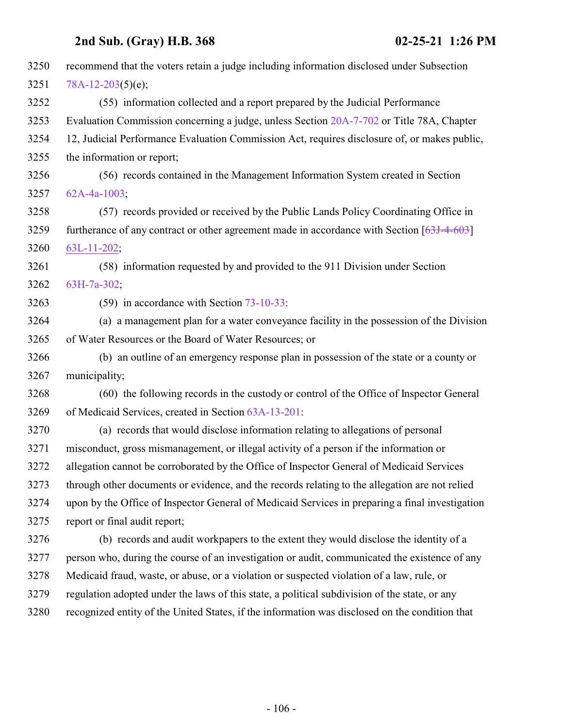| 3250 | recommend that the voters retain a judge including information disclosed under Subsection       |
|------|-------------------------------------------------------------------------------------------------|
| 3251 | $78A-12-203(5)(e);$                                                                             |
| 3252 | (55) information collected and a report prepared by the Judicial Performance                    |
| 3253 | Evaluation Commission concerning a judge, unless Section 20A-7-702 or Title 78A, Chapter        |
| 3254 | 12, Judicial Performance Evaluation Commission Act, requires disclosure of, or makes public,    |
| 3255 | the information or report;                                                                      |
| 3256 | (56) records contained in the Management Information System created in Section                  |
| 3257 | 62A-4a-1003:                                                                                    |
| 3258 | (57) records provided or received by the Public Lands Policy Coordinating Office in             |
| 3259 | furtherance of any contract or other agreement made in accordance with Section $[63J-4-603]$    |
| 3260 | $63L-11-202$ ;                                                                                  |
| 3261 | (58) information requested by and provided to the 911 Division under Section                    |
| 3262 | 63H-7a-302;                                                                                     |
| 3263 | $(59)$ in accordance with Section $73-10-33$ :                                                  |
| 3264 | (a) a management plan for a water conveyance facility in the possession of the Division         |
| 3265 | of Water Resources or the Board of Water Resources; or                                          |
| 3266 | (b) an outline of an emergency response plan in possession of the state or a county or          |
| 3267 | municipality;                                                                                   |
| 3268 | (60) the following records in the custody or control of the Office of Inspector General         |
| 3269 | of Medicaid Services, created in Section 63A-13-201:                                            |
| 3270 | (a) records that would disclose information relating to allegations of personal                 |
| 3271 | misconduct, gross mismanagement, or illegal activity of a person if the information or          |
| 3272 | allegation cannot be corroborated by the Office of Inspector General of Medicaid Services       |
| 3273 | through other documents or evidence, and the records relating to the allegation are not relied  |
| 3274 | upon by the Office of Inspector General of Medicaid Services in preparing a final investigation |
| 3275 | report or final audit report;                                                                   |
| 3276 | (b) records and audit workpapers to the extent they would disclose the identity of a            |
| 3277 | person who, during the course of an investigation or audit, communicated the existence of any   |
| 3278 | Medicaid fraud, waste, or abuse, or a violation or suspected violation of a law, rule, or       |
| 3279 | regulation adopted under the laws of this state, a political subdivision of the state, or any   |
| 3280 | recognized entity of the United States, if the information was disclosed on the condition that  |
|      |                                                                                                 |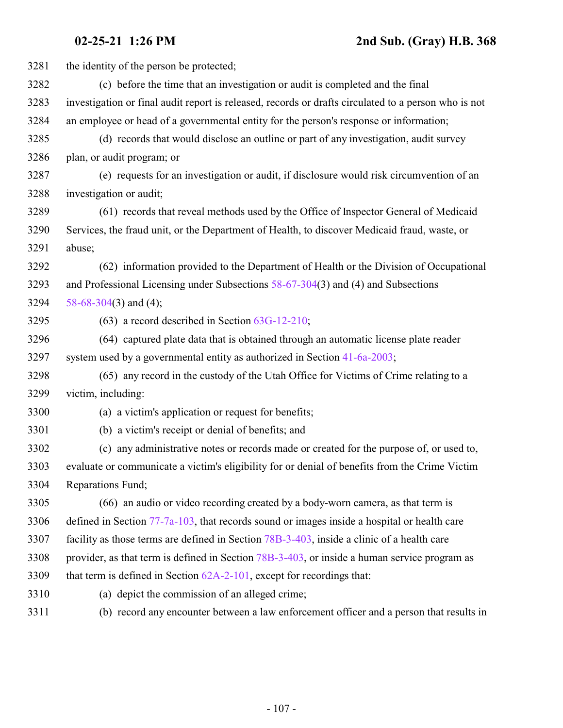| 3281 | the identity of the person be protected;                                                             |
|------|------------------------------------------------------------------------------------------------------|
| 3282 | (c) before the time that an investigation or audit is completed and the final                        |
| 3283 | investigation or final audit report is released, records or drafts circulated to a person who is not |
| 3284 | an employee or head of a governmental entity for the person's response or information;               |
| 3285 | (d) records that would disclose an outline or part of any investigation, audit survey                |
| 3286 | plan, or audit program; or                                                                           |
| 3287 | (e) requests for an investigation or audit, if disclosure would risk circumvention of an             |
| 3288 | investigation or audit;                                                                              |
| 3289 | (61) records that reveal methods used by the Office of Inspector General of Medicaid                 |
| 3290 | Services, the fraud unit, or the Department of Health, to discover Medicaid fraud, waste, or         |
| 3291 | abuse;                                                                                               |
| 3292 | (62) information provided to the Department of Health or the Division of Occupational                |
| 3293 | and Professional Licensing under Subsections $58-67-304(3)$ and (4) and Subsections                  |
| 3294 | 58-68-304(3) and (4);                                                                                |
| 3295 | $(63)$ a record described in Section $63G-12-210$ ;                                                  |
| 3296 | (64) captured plate data that is obtained through an automatic license plate reader                  |
| 3297 | system used by a governmental entity as authorized in Section 41-6a-2003;                            |
| 3298 | (65) any record in the custody of the Utah Office for Victims of Crime relating to a                 |
| 3299 | victim, including:                                                                                   |
| 3300 | (a) a victim's application or request for benefits;                                                  |
| 3301 | (b) a victim's receipt or denial of benefits; and                                                    |
| 3302 | (c) any administrative notes or records made or created for the purpose of, or used to,              |
| 3303 | evaluate or communicate a victim's eligibility for or denial of benefits from the Crime Victim       |
| 3304 | Reparations Fund;                                                                                    |
| 3305 | (66) an audio or video recording created by a body-worn camera, as that term is                      |
| 3306 | defined in Section $77-7a-103$ , that records sound or images inside a hospital or health care       |
| 3307 | facility as those terms are defined in Section 78B-3-403, inside a clinic of a health care           |
| 3308 | provider, as that term is defined in Section 78B-3-403, or inside a human service program as         |
| 3309 | that term is defined in Section $62A-2-101$ , except for recordings that:                            |
| 3310 | (a) depict the commission of an alleged crime;                                                       |
| 3311 | (b) record any encounter between a law enforcement officer and a person that results in              |
|      |                                                                                                      |
|      |                                                                                                      |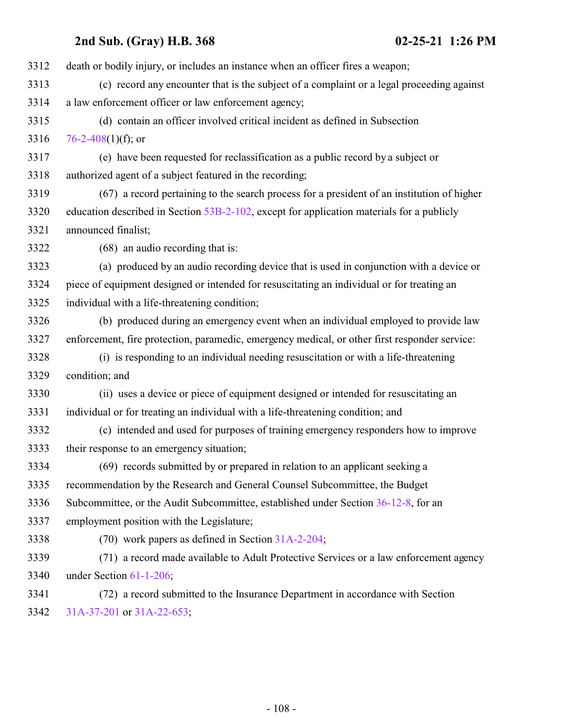death or bodily injury, or includes an instance when an officer fires a weapon; (c) record any encounter that is the subject of a complaint or a legal proceeding against a law enforcement officer or law enforcement agency; (d) contain an officer involved critical incident as defined in Subsection  $76-2-408(1)(f)$  $76-2-408(1)(f)$ ; or (e) have been requested for reclassification as a public record by a subject or authorized agent of a subject featured in the recording; (67) a record pertaining to the search process for a president of an institution of higher education described in Section [53B-2-102](http://le.utah.gov/UtahCode/SectionLookup.jsp?section=53b-2-102&session=2021GS), except for application materials for a publicly announced finalist; (68) an audio recording that is: (a) produced by an audio recording device that is used in conjunction with a device or piece of equipment designed or intended for resuscitating an individual or for treating an individual with a life-threatening condition; (b) produced during an emergency event when an individual employed to provide law enforcement, fire protection, paramedic, emergency medical, or other first responder service: (i) is responding to an individual needing resuscitation or with a life-threatening condition; and (ii) uses a device or piece of equipment designed or intended for resuscitating an individual or for treating an individual with a life-threatening condition; and (c) intended and used for purposes of training emergency responders how to improve their response to an emergency situation; (69) records submitted by or prepared in relation to an applicant seeking a recommendation by the Research and General Counsel Subcommittee, the Budget Subcommittee, or the Audit Subcommittee, established under Section [36-12-8](http://le.utah.gov/UtahCode/SectionLookup.jsp?section=36-12-8&session=2021GS), for an employment position with the Legislature; (70) work papers as defined in Section [31A-2-204](http://le.utah.gov/UtahCode/SectionLookup.jsp?section=31a-2-204&session=2021GS); (71) a record made available to Adult Protective Services or a law enforcement agency under Section [61-1-206](http://le.utah.gov/UtahCode/SectionLookup.jsp?section=61-1-206&session=2021GS); (72) a record submitted to the Insurance Department in accordance with Section [31A-37-201](http://le.utah.gov/UtahCode/SectionLookup.jsp?section=31a-37-201&session=2021GS) or [31A-22-653](http://le.utah.gov/UtahCode/SectionLookup.jsp?section=31a-22-653&session=2021GS);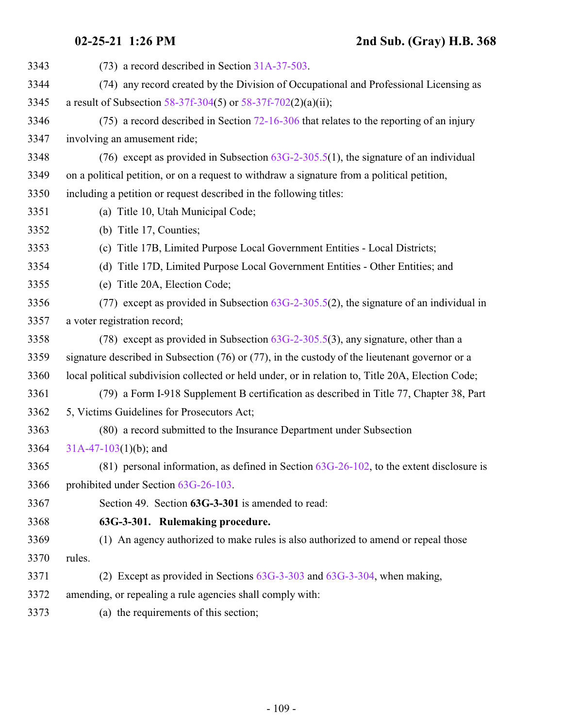| 3343 | (73) a record described in Section 31A-37-503.                                                      |
|------|-----------------------------------------------------------------------------------------------------|
| 3344 | (74) any record created by the Division of Occupational and Professional Licensing as               |
| 3345 | a result of Subsection 58-37f-304(5) or 58-37f-702(2)(a)(ii);                                       |
| 3346 | $(75)$ a record described in Section 72-16-306 that relates to the reporting of an injury           |
| 3347 | involving an amusement ride;                                                                        |
| 3348 | (76) except as provided in Subsection $63G-2-305.5(1)$ , the signature of an individual             |
| 3349 | on a political petition, or on a request to withdraw a signature from a political petition,         |
| 3350 | including a petition or request described in the following titles:                                  |
| 3351 | (a) Title 10, Utah Municipal Code;                                                                  |
| 3352 | (b) Title 17, Counties;                                                                             |
| 3353 | (c) Title 17B, Limited Purpose Local Government Entities - Local Districts;                         |
| 3354 | (d) Title 17D, Limited Purpose Local Government Entities - Other Entities; and                      |
| 3355 | (e) Title 20A, Election Code;                                                                       |
| 3356 | (77) except as provided in Subsection $63G-2-305.5(2)$ , the signature of an individual in          |
| 3357 | a voter registration record;                                                                        |
| 3358 | (78) except as provided in Subsection $63G-2-305.5(3)$ , any signature, other than a                |
| 3359 | signature described in Subsection $(76)$ or $(77)$ , in the custody of the lieutenant governor or a |
| 3360 | local political subdivision collected or held under, or in relation to, Title 20A, Election Code;   |
| 3361 | (79) a Form I-918 Supplement B certification as described in Title 77, Chapter 38, Part             |
| 3362 | 5, Victims Guidelines for Prosecutors Act;                                                          |
| 3363 | (80) a record submitted to the Insurance Department under Subsection                                |
| 3364 | $31A-47-103(1)(b)$ ; and                                                                            |
| 3365 | $(81)$ personal information, as defined in Section $63G-26-102$ , to the extent disclosure is       |
| 3366 | prohibited under Section 63G-26-103.                                                                |
| 3367 | Section 49. Section 63G-3-301 is amended to read:                                                   |
| 3368 | 63G-3-301. Rulemaking procedure.                                                                    |
| 3369 | (1) An agency authorized to make rules is also authorized to amend or repeal those                  |
| 3370 | rules.                                                                                              |
| 3371 | (2) Except as provided in Sections $63G-3-303$ and $63G-3-304$ , when making,                       |
| 3372 | amending, or repealing a rule agencies shall comply with:                                           |
| 3373 | (a) the requirements of this section;                                                               |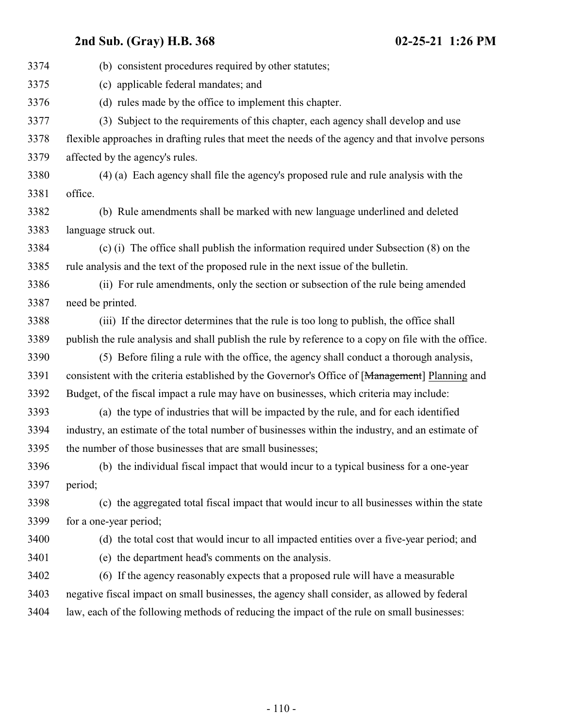| 3375<br>(c) applicable federal mandates; and<br>3376<br>(d) rules made by the office to implement this chapter. |  |
|-----------------------------------------------------------------------------------------------------------------|--|
|                                                                                                                 |  |
|                                                                                                                 |  |
| 3377<br>Subject to the requirements of this chapter, each agency shall develop and use<br>(3)                   |  |
| 3378<br>flexible approaches in drafting rules that meet the needs of the agency and that involve persons        |  |
| 3379<br>affected by the agency's rules.                                                                         |  |
| 3380<br>(4) (a) Each agency shall file the agency's proposed rule and rule analysis with the                    |  |
| 3381<br>office.                                                                                                 |  |
| 3382<br>(b) Rule amendments shall be marked with new language underlined and deleted                            |  |
| 3383<br>language struck out.                                                                                    |  |
| 3384<br>(c) (i) The office shall publish the information required under Subsection (8) on the                   |  |
| 3385<br>rule analysis and the text of the proposed rule in the next issue of the bulletin.                      |  |
| 3386<br>(ii) For rule amendments, only the section or subsection of the rule being amended                      |  |
| 3387<br>need be printed.                                                                                        |  |
| 3388<br>(iii) If the director determines that the rule is too long to publish, the office shall                 |  |
| 3389<br>publish the rule analysis and shall publish the rule by reference to a copy on file with the office.    |  |
| 3390<br>(5) Before filing a rule with the office, the agency shall conduct a thorough analysis,                 |  |
| 3391<br>consistent with the criteria established by the Governor's Office of [Management] Planning and          |  |
| 3392<br>Budget, of the fiscal impact a rule may have on businesses, which criteria may include:                 |  |
| 3393<br>(a) the type of industries that will be impacted by the rule, and for each identified                   |  |
| 3394<br>industry, an estimate of the total number of businesses within the industry, and an estimate of         |  |
| 3395<br>the number of those businesses that are small businesses;                                               |  |
| 3396<br>(b) the individual fiscal impact that would incur to a typical business for a one-year                  |  |
| 3397<br>period;                                                                                                 |  |
| 3398<br>(c) the aggregated total fiscal impact that would incur to all businesses within the state              |  |
| 3399<br>for a one-year period;                                                                                  |  |
| 3400<br>(d) the total cost that would incur to all impacted entities over a five-year period; and               |  |
| 3401<br>(e) the department head's comments on the analysis.                                                     |  |
| 3402<br>(6) If the agency reasonably expects that a proposed rule will have a measurable                        |  |
| 3403<br>negative fiscal impact on small businesses, the agency shall consider, as allowed by federal            |  |
| 3404<br>law, each of the following methods of reducing the impact of the rule on small businesses:              |  |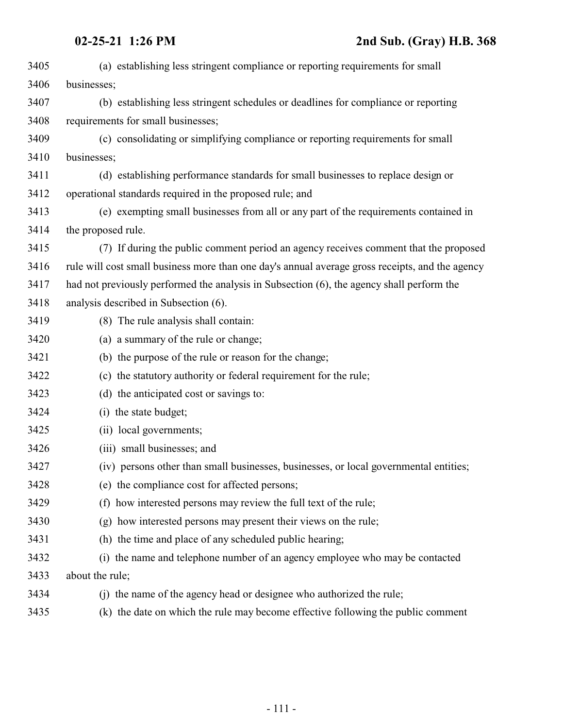| 3405 | (a) establishing less stringent compliance or reporting requirements for small                  |
|------|-------------------------------------------------------------------------------------------------|
| 3406 | businesses;                                                                                     |
| 3407 | (b) establishing less stringent schedules or deadlines for compliance or reporting              |
| 3408 | requirements for small businesses;                                                              |
| 3409 | (c) consolidating or simplifying compliance or reporting requirements for small                 |
| 3410 | businesses;                                                                                     |
| 3411 | (d) establishing performance standards for small businesses to replace design or                |
| 3412 | operational standards required in the proposed rule; and                                        |
| 3413 | (e) exempting small businesses from all or any part of the requirements contained in            |
| 3414 | the proposed rule.                                                                              |
| 3415 | (7) If during the public comment period an agency receives comment that the proposed            |
| 3416 | rule will cost small business more than one day's annual average gross receipts, and the agency |
| 3417 | had not previously performed the analysis in Subsection (6), the agency shall perform the       |
| 3418 | analysis described in Subsection (6).                                                           |
| 3419 | (8) The rule analysis shall contain:                                                            |
| 3420 | (a) a summary of the rule or change;                                                            |
| 3421 | (b) the purpose of the rule or reason for the change;                                           |
| 3422 | (c) the statutory authority or federal requirement for the rule;                                |
| 3423 | (d) the anticipated cost or savings to:                                                         |
| 3424 | (i) the state budget;                                                                           |
| 3425 | (ii) local governments;                                                                         |
| 3426 | (iii) small businesses; and                                                                     |
| 3427 | (iv) persons other than small businesses, businesses, or local governmental entities;           |
| 3428 | (e) the compliance cost for affected persons;                                                   |
| 3429 | (f) how interested persons may review the full text of the rule;                                |
| 3430 | (g) how interested persons may present their views on the rule;                                 |
| 3431 | (h) the time and place of any scheduled public hearing;                                         |
| 3432 | (i) the name and telephone number of an agency employee who may be contacted                    |
| 3433 | about the rule;                                                                                 |
| 3434 | (i) the name of the agency head or designee who authorized the rule;                            |
| 3435 | the date on which the rule may become effective following the public comment<br>(k)             |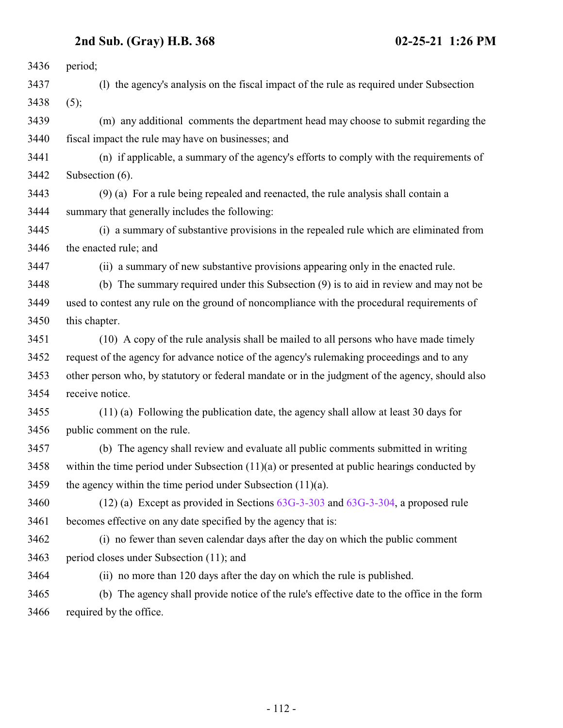| 3436 | period;                                                                                         |
|------|-------------------------------------------------------------------------------------------------|
| 3437 | (1) the agency's analysis on the fiscal impact of the rule as required under Subsection         |
| 3438 | (5);                                                                                            |
| 3439 | (m) any additional comments the department head may choose to submit regarding the              |
| 3440 | fiscal impact the rule may have on businesses; and                                              |
| 3441 | (n) if applicable, a summary of the agency's efforts to comply with the requirements of         |
| 3442 | Subsection (6).                                                                                 |
| 3443 | (9) (a) For a rule being repealed and reenacted, the rule analysis shall contain a              |
| 3444 | summary that generally includes the following:                                                  |
| 3445 | (i) a summary of substantive provisions in the repealed rule which are eliminated from          |
| 3446 | the enacted rule; and                                                                           |
| 3447 | (ii) a summary of new substantive provisions appearing only in the enacted rule.                |
| 3448 | (b) The summary required under this Subsection (9) is to aid in review and may not be           |
| 3449 | used to contest any rule on the ground of noncompliance with the procedural requirements of     |
| 3450 | this chapter.                                                                                   |
| 3451 | (10) A copy of the rule analysis shall be mailed to all persons who have made timely            |
| 3452 | request of the agency for advance notice of the agency's rulemaking proceedings and to any      |
| 3453 | other person who, by statutory or federal mandate or in the judgment of the agency, should also |
| 3454 | receive notice.                                                                                 |
| 3455 | $(11)$ (a) Following the publication date, the agency shall allow at least 30 days for          |
| 3456 | public comment on the rule.                                                                     |
| 3457 | (b) The agency shall review and evaluate all public comments submitted in writing               |
| 3458 | within the time period under Subsection $(11)(a)$ or presented at public hearings conducted by  |
| 3459 | the agency within the time period under Subsection $(11)(a)$ .                                  |
| 3460 | $(12)$ (a) Except as provided in Sections $63G-3-303$ and $63G-3-304$ , a proposed rule         |
| 3461 | becomes effective on any date specified by the agency that is:                                  |
| 3462 | (i) no fewer than seven calendar days after the day on which the public comment                 |
| 3463 | period closes under Subsection (11); and                                                        |
| 3464 | (ii) no more than 120 days after the day on which the rule is published.                        |
| 3465 | (b) The agency shall provide notice of the rule's effective date to the office in the form      |
| 3466 | required by the office.                                                                         |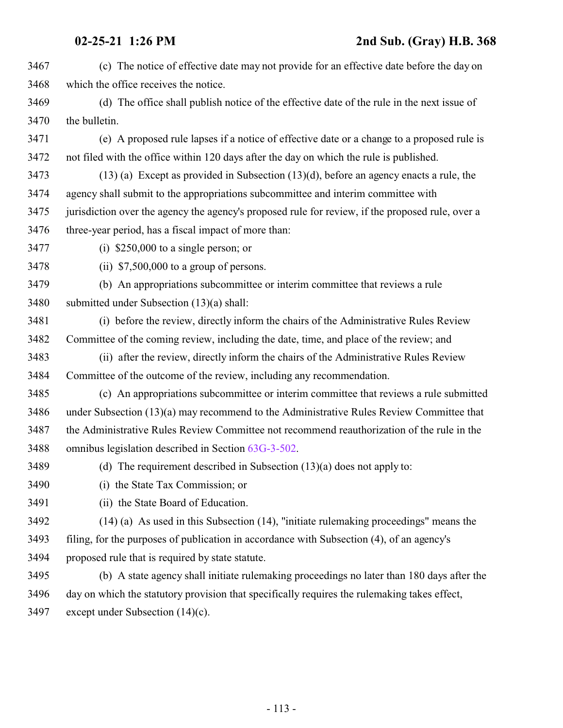| 3467 | (c) The notice of effective date may not provide for an effective date before the day on         |
|------|--------------------------------------------------------------------------------------------------|
| 3468 | which the office receives the notice.                                                            |
| 3469 | (d) The office shall publish notice of the effective date of the rule in the next issue of       |
| 3470 | the bulletin.                                                                                    |
| 3471 | (e) A proposed rule lapses if a notice of effective date or a change to a proposed rule is       |
| 3472 | not filed with the office within 120 days after the day on which the rule is published.          |
| 3473 | $(13)$ (a) Except as provided in Subsection $(13)(d)$ , before an agency enacts a rule, the      |
| 3474 | agency shall submit to the appropriations subcommittee and interim committee with                |
| 3475 | jurisdiction over the agency the agency's proposed rule for review, if the proposed rule, over a |
| 3476 | three-year period, has a fiscal impact of more than:                                             |
| 3477 | (i) $$250,000$ to a single person; or                                                            |
| 3478 | (ii) $$7,500,000$ to a group of persons.                                                         |
| 3479 | (b) An appropriations subcommittee or interim committee that reviews a rule                      |
| 3480 | submitted under Subsection (13)(a) shall:                                                        |
| 3481 | (i) before the review, directly inform the chairs of the Administrative Rules Review             |
| 3482 | Committee of the coming review, including the date, time, and place of the review; and           |
| 3483 | (ii) after the review, directly inform the chairs of the Administrative Rules Review             |
| 3484 | Committee of the outcome of the review, including any recommendation.                            |
| 3485 | (c) An appropriations subcommittee or interim committee that reviews a rule submitted            |
| 3486 | under Subsection (13)(a) may recommend to the Administrative Rules Review Committee that         |
| 3487 | the Administrative Rules Review Committee not recommend reauthorization of the rule in the       |
| 3488 | omnibus legislation described in Section 63G-3-502.                                              |
| 3489 | (d) The requirement described in Subsection $(13)(a)$ does not apply to:                         |
| 3490 | (i) the State Tax Commission; or                                                                 |
| 3491 | (ii) the State Board of Education.                                                               |
| 3492 | $(14)$ (a) As used in this Subsection (14), "initiate rule making proceedings" means the         |
| 3493 | filing, for the purposes of publication in accordance with Subsection (4), of an agency's        |
| 3494 | proposed rule that is required by state statute.                                                 |
| 3495 | (b) A state agency shall initiate rulemaking proceedings no later than 180 days after the        |
| 3496 | day on which the statutory provision that specifically requires the rulemaking takes effect,     |
| 3497 | except under Subsection $(14)(c)$ .                                                              |
|      |                                                                                                  |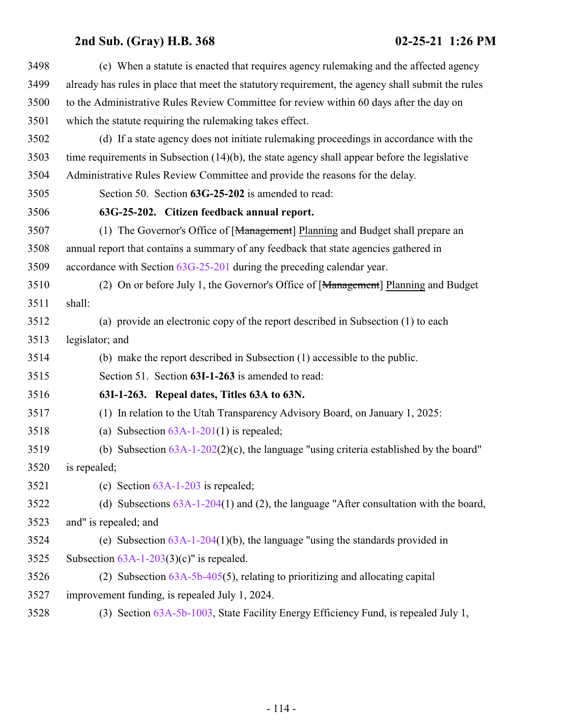| 3498 | (c) When a statute is enacted that requires agency rulemaking and the affected agency             |
|------|---------------------------------------------------------------------------------------------------|
| 3499 | already has rules in place that meet the statutory requirement, the agency shall submit the rules |
| 3500 | to the Administrative Rules Review Committee for review within 60 days after the day on           |
| 3501 | which the statute requiring the rulemaking takes effect.                                          |
| 3502 | (d) If a state agency does not initiate rulemaking proceedings in accordance with the             |
| 3503 | time requirements in Subsection (14)(b), the state agency shall appear before the legislative     |
| 3504 | Administrative Rules Review Committee and provide the reasons for the delay.                      |
| 3505 | Section 50. Section 63G-25-202 is amended to read:                                                |
| 3506 | 63G-25-202. Citizen feedback annual report.                                                       |
| 3507 | (1) The Governor's Office of [Management] Planning and Budget shall prepare an                    |
| 3508 | annual report that contains a summary of any feedback that state agencies gathered in             |
| 3509 | accordance with Section $63G-25-201$ during the preceding calendar year.                          |
| 3510 | (2) On or before July 1, the Governor's Office of [Management] Planning and Budget                |
| 3511 | shall:                                                                                            |
| 3512 | (a) provide an electronic copy of the report described in Subsection (1) to each                  |
| 3513 | legislator; and                                                                                   |
| 3514 | (b) make the report described in Subsection (1) accessible to the public.                         |
| 3515 | Section 51. Section 63I-1-263 is amended to read:                                                 |
| 3516 | 63I-1-263. Repeal dates, Titles 63A to 63N.                                                       |
| 3517 | (1) In relation to the Utah Transparency Advisory Board, on January 1, 2025:                      |
| 3518 | (a) Subsection $63A-1-201(1)$ is repealed;                                                        |
| 3519 | (b) Subsection $63A-1-202(2)(c)$ , the language "using criteria established by the board"         |
| 3520 | is repealed;                                                                                      |
| 3521 | (c) Section $63A-1-203$ is repealed;                                                              |
| 3522 | (d) Subsections $63A-1-204(1)$ and (2), the language "After consultation with the board,          |
| 3523 | and" is repealed; and                                                                             |
| 3524 | (e) Subsection $63A-1-204(1)(b)$ , the language "using the standards provided in                  |
| 3525 | Subsection $63A-1-203(3)(c)$ " is repealed.                                                       |
| 3526 | (2) Subsection $63A-5b-405(5)$ , relating to prioritizing and allocating capital                  |
| 3527 | improvement funding, is repealed July 1, 2024.                                                    |
| 3528 | (3) Section 63A-5b-1003, State Facility Energy Efficiency Fund, is repealed July 1,               |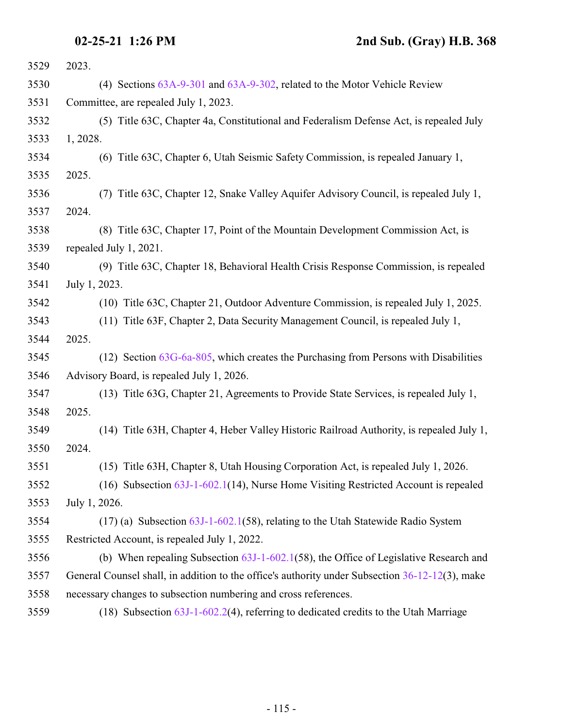| 3529 | 2023.                                                                                           |
|------|-------------------------------------------------------------------------------------------------|
| 3530 | (4) Sections 63A-9-301 and 63A-9-302, related to the Motor Vehicle Review                       |
| 3531 | Committee, are repealed July 1, 2023.                                                           |
| 3532 | (5) Title 63C, Chapter 4a, Constitutional and Federalism Defense Act, is repealed July          |
| 3533 | 1, 2028.                                                                                        |
| 3534 | (6) Title 63C, Chapter 6, Utah Seismic Safety Commission, is repealed January 1,                |
| 3535 | 2025.                                                                                           |
| 3536 | Title 63C, Chapter 12, Snake Valley Aquifer Advisory Council, is repealed July 1,<br>(7)        |
| 3537 | 2024.                                                                                           |
| 3538 | (8) Title 63C, Chapter 17, Point of the Mountain Development Commission Act, is                 |
| 3539 | repealed July 1, 2021.                                                                          |
| 3540 | (9) Title 63C, Chapter 18, Behavioral Health Crisis Response Commission, is repealed            |
| 3541 | July 1, 2023.                                                                                   |
| 3542 | (10) Title 63C, Chapter 21, Outdoor Adventure Commission, is repealed July 1, 2025.             |
| 3543 | (11) Title 63F, Chapter 2, Data Security Management Council, is repealed July 1,                |
| 3544 | 2025.                                                                                           |
| 3545 | $(12)$ Section $63G-6a-805$ , which creates the Purchasing from Persons with Disabilities       |
| 3546 | Advisory Board, is repealed July 1, 2026.                                                       |
| 3547 | (13) Title 63G, Chapter 21, Agreements to Provide State Services, is repealed July 1,           |
| 3548 | 2025.                                                                                           |
| 3549 | (14) Title 63H, Chapter 4, Heber Valley Historic Railroad Authority, is repealed July 1,        |
| 3550 | 2024.                                                                                           |
| 3551 | (15) Title 63H, Chapter 8, Utah Housing Corporation Act, is repealed July 1, 2026.              |
| 3552 | $(16)$ Subsection $63J-1-602.1(14)$ , Nurse Home Visiting Restricted Account is repealed        |
| 3553 | July 1, 2026.                                                                                   |
| 3554 | $(17)$ (a) Subsection $63J-1-602.1(58)$ , relating to the Utah Statewide Radio System           |
| 3555 | Restricted Account, is repealed July 1, 2022.                                                   |
| 3556 | (b) When repealing Subsection $63J-1-602.1(58)$ , the Office of Legislative Research and        |
| 3557 | General Counsel shall, in addition to the office's authority under Subsection 36-12-12(3), make |
| 3558 | necessary changes to subsection numbering and cross references.                                 |
| 3559 | (18) Subsection $63J-1-602.2(4)$ , referring to dedicated credits to the Utah Marriage          |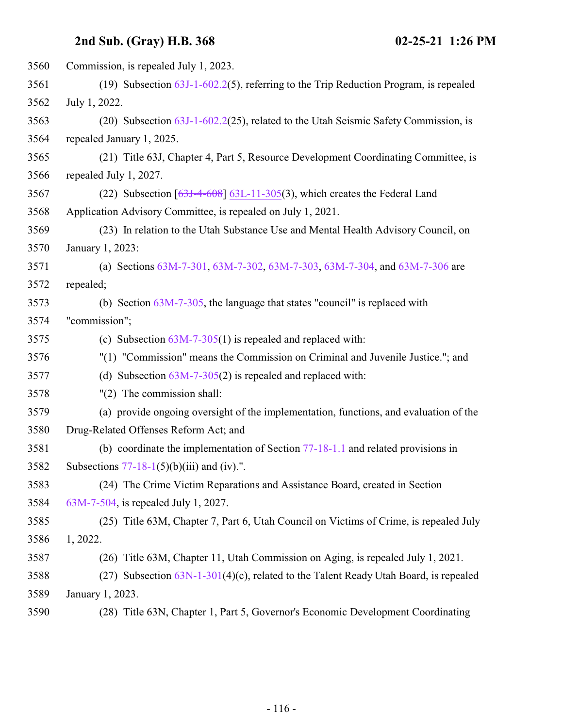| 3560 | Commission, is repealed July 1, 2023.                                                   |
|------|-----------------------------------------------------------------------------------------|
| 3561 | (19) Subsection $63J-1-602.2(5)$ , referring to the Trip Reduction Program, is repealed |
| 3562 | July 1, 2022.                                                                           |
| 3563 | (20) Subsection 63J-1-602.2(25), related to the Utah Seismic Safety Commission, is      |
| 3564 | repealed January 1, 2025.                                                               |
| 3565 | (21) Title 63J, Chapter 4, Part 5, Resource Development Coordinating Committee, is      |
| 3566 | repealed July 1, 2027.                                                                  |
| 3567 | (22) Subsection $[63J-4-608]$ 63L-11-305(3), which creates the Federal Land             |
| 3568 | Application Advisory Committee, is repealed on July 1, 2021.                            |
| 3569 | (23) In relation to the Utah Substance Use and Mental Health Advisory Council, on       |
| 3570 | January 1, 2023:                                                                        |
| 3571 | (a) Sections 63M-7-301, 63M-7-302, 63M-7-303, 63M-7-304, and 63M-7-306 are              |
| 3572 | repealed;                                                                               |
| 3573 | (b) Section $63M-7-305$ , the language that states "council" is replaced with           |
| 3574 | "commission";                                                                           |
| 3575 | (c) Subsection $63M-7-305(1)$ is repealed and replaced with:                            |
| 3576 | "(1) "Commission" means the Commission on Criminal and Juvenile Justice."; and          |
| 3577 | (d) Subsection $63M-7-305(2)$ is repealed and replaced with:                            |
| 3578 | $"(2)$ The commission shall:                                                            |
| 3579 | (a) provide ongoing oversight of the implementation, functions, and evaluation of the   |
| 3580 | Drug-Related Offenses Reform Act; and                                                   |
| 3581 | (b) coordinate the implementation of Section $77-18-1.1$ and related provisions in      |
| 3582 | Subsections $77-18-1(5)(b)(iii)$ and (iv).".                                            |
| 3583 | (24) The Crime Victim Reparations and Assistance Board, created in Section              |
| 3584 | 63M-7-504, is repealed July 1, 2027.                                                    |
| 3585 | (25) Title 63M, Chapter 7, Part 6, Utah Council on Victims of Crime, is repealed July   |
| 3586 | 1, 2022.                                                                                |
| 3587 | (26) Title 63M, Chapter 11, Utah Commission on Aging, is repealed July 1, 2021.         |
| 3588 | (27) Subsection $63N-1-301(4)(c)$ , related to the Talent Ready Utah Board, is repealed |
| 3589 | January 1, 2023.                                                                        |
| 3590 | (28) Title 63N, Chapter 1, Part 5, Governor's Economic Development Coordinating         |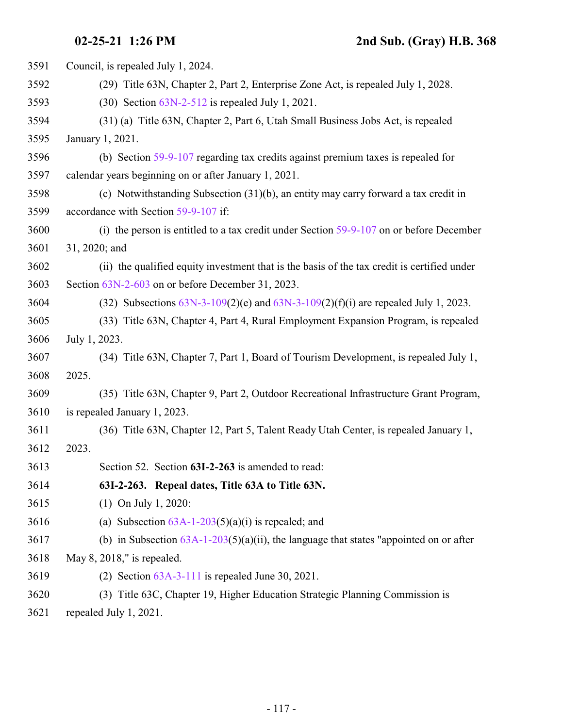| 3591 | Council, is repealed July 1, 2024.                                                          |
|------|---------------------------------------------------------------------------------------------|
| 3592 | (29) Title 63N, Chapter 2, Part 2, Enterprise Zone Act, is repealed July 1, 2028.           |
| 3593 | $(30)$ Section $63N-2-512$ is repealed July 1, 2021.                                        |
| 3594 | (31) (a) Title 63N, Chapter 2, Part 6, Utah Small Business Jobs Act, is repealed            |
| 3595 | January 1, 2021.                                                                            |
| 3596 | (b) Section 59-9-107 regarding tax credits against premium taxes is repealed for            |
| 3597 | calendar years beginning on or after January 1, 2021.                                       |
| 3598 | (c) Notwithstanding Subsection (31)(b), an entity may carry forward a tax credit in         |
| 3599 | accordance with Section 59-9-107 if:                                                        |
| 3600 | (i) the person is entitled to a tax credit under Section $59-9-107$ on or before December   |
| 3601 | 31, 2020; and                                                                               |
| 3602 | (ii) the qualified equity investment that is the basis of the tax credit is certified under |
| 3603 | Section 63N-2-603 on or before December 31, 2023.                                           |
| 3604 | (32) Subsections $63N-3-109(2)$ (e) and $63N-3-109(2)$ (f)(i) are repealed July 1, 2023.    |
| 3605 | (33) Title 63N, Chapter 4, Part 4, Rural Employment Expansion Program, is repealed          |
| 3606 | July 1, 2023.                                                                               |
| 3607 | (34) Title 63N, Chapter 7, Part 1, Board of Tourism Development, is repealed July 1,        |
| 3608 | 2025.                                                                                       |
| 3609 | (35) Title 63N, Chapter 9, Part 2, Outdoor Recreational Infrastructure Grant Program,       |
| 3610 | is repealed January 1, 2023.                                                                |
| 3611 | (36) Title 63N, Chapter 12, Part 5, Talent Ready Utah Center, is repealed January 1,        |
| 3612 | 2023.                                                                                       |
| 3613 | Section 52. Section 63I-2-263 is amended to read:                                           |
| 3614 | 63I-2-263. Repeal dates, Title 63A to Title 63N.                                            |
| 3615 | $(1)$ On July 1, 2020:                                                                      |
| 3616 | (a) Subsection $63A-1-203(5)(a)(i)$ is repealed; and                                        |
| 3617 | (b) in Subsection $63A-1-203(5)(a)(ii)$ , the language that states "appointed on or after   |
| 3618 | May 8, 2018," is repealed.                                                                  |
| 3619 | (2) Section $63A-3-111$ is repealed June 30, 2021.                                          |
| 3620 | (3) Title 63C, Chapter 19, Higher Education Strategic Planning Commission is                |

repealed July 1, 2021.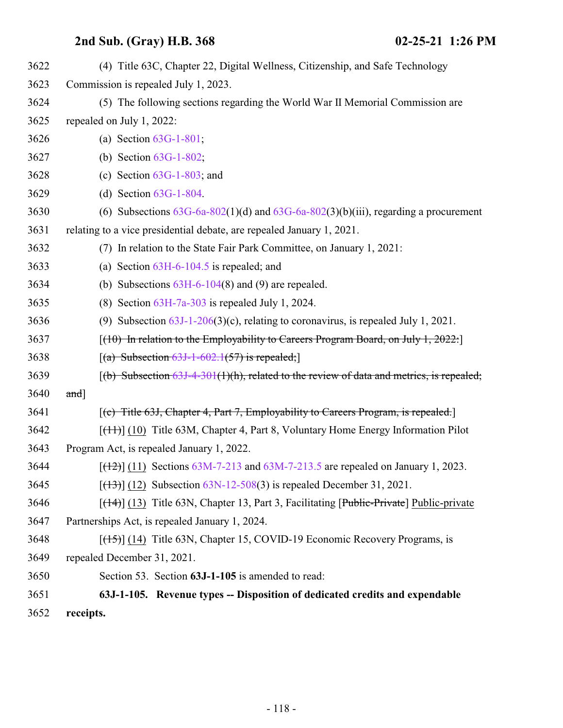| 3622 | (4) Title 63C, Chapter 22, Digital Wellness, Citizenship, and Safe Technology                             |
|------|-----------------------------------------------------------------------------------------------------------|
| 3623 | Commission is repealed July 1, 2023.                                                                      |
| 3624 | (5) The following sections regarding the World War II Memorial Commission are                             |
| 3625 | repealed on July 1, 2022:                                                                                 |
| 3626 | (a) Section $63G-1-801$ ;                                                                                 |
| 3627 | (b) Section $63G-1-802$ ;                                                                                 |
| 3628 | (c) Section $63G-1-803$ ; and                                                                             |
| 3629 | (d) Section $63G-1-804$ .                                                                                 |
| 3630 | (6) Subsections $63G-6a-802(1)(d)$ and $63G-6a-802(3)(b)(iii)$ , regarding a procurement                  |
| 3631 | relating to a vice presidential debate, are repealed January 1, 2021.                                     |
| 3632 | (7) In relation to the State Fair Park Committee, on January 1, 2021:                                     |
| 3633 | (a) Section $63H-6-104.5$ is repealed; and                                                                |
| 3634 | (b) Subsections $63H-6-104(8)$ and (9) are repealed.                                                      |
| 3635 | (8) Section $63H-7a-303$ is repealed July 1, 2024.                                                        |
| 3636 | (9) Subsection $63J-1-206(3)(c)$ , relating to coronavirus, is repealed July 1, 2021.                     |
| 3637 | $(10)$ In relation to the Employability to Careers Program Board, on July 1, 2022:                        |
| 3638 | $[(a)$ Subsection 63J-1-602.1(57) is repealed;                                                            |
| 3639 | $(6)$ Subsection 63J-4-301(1)(h), related to the review of data and metrics, is repealed;                 |
| 3640 | and]                                                                                                      |
| 3641 | $[$ (c) Title 63J, Chapter 4, Part 7, Employability to Careers Program, is repealed.                      |
| 3642 | $[$ ( $[$ ++ $]$ ) $[$ $(10)$ Title 63M, Chapter 4, Part 8, Voluntary Home Energy Information Pilot       |
| 3643 | Program Act, is repealed January 1, 2022.                                                                 |
| 3644 | $[$ ( $\frac{12}{2}$ ) $\frac{11}{2}$ Sections 63M-7-213 and 63M-7-213.5 are repealed on January 1, 2023. |
| 3645 | $[ (13) ]$ (12) Subsection 63N-12-508(3) is repealed December 31, 2021.                                   |
| 3646 | $[$ (14+)] (13) Title 63N, Chapter 13, Part 3, Facilitating [Public-Private] Public-private               |
| 3647 | Partnerships Act, is repealed January 1, 2024.                                                            |
| 3648 | $[({+}5)$ ] (14) Title 63N, Chapter 15, COVID-19 Economic Recovery Programs, is                           |
| 3649 | repealed December 31, 2021.                                                                               |
| 3650 | Section 53. Section 63J-1-105 is amended to read:                                                         |
| 3651 | 63J-1-105. Revenue types -- Disposition of dedicated credits and expendable                               |
| 3652 | receipts.                                                                                                 |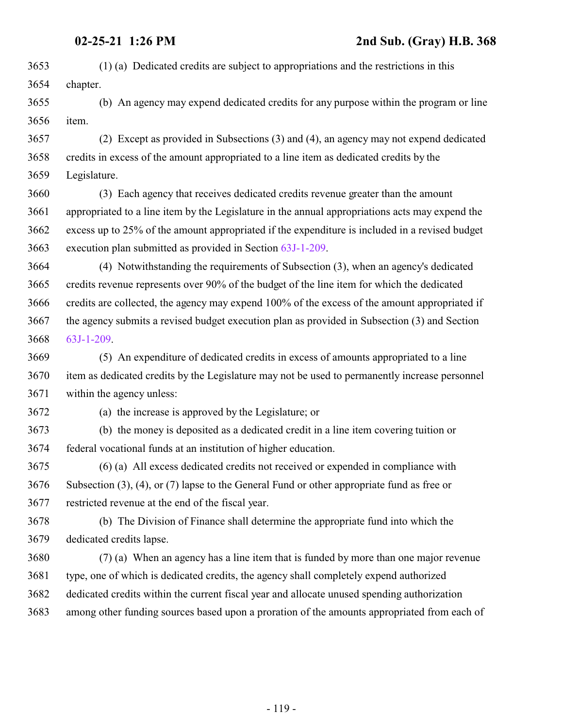- (1) (a) Dedicated credits are subject to appropriations and the restrictions in this chapter.
- (b) An agency may expend dedicated credits for any purpose within the program or line item.
- (2) Except as provided in Subsections (3) and (4), an agency may not expend dedicated credits in excess of the amount appropriated to a line item as dedicated credits by the Legislature.
- (3) Each agency that receives dedicated credits revenue greater than the amount appropriated to a line item by the Legislature in the annual appropriations acts may expend the excess up to 25% of the amount appropriated if the expenditure is included in a revised budget execution plan submitted as provided in Section [63J-1-209](#page-124-0).
- (4) Notwithstanding the requirements of Subsection (3), when an agency's dedicated credits revenue represents over 90% of the budget of the line item for which the dedicated credits are collected, the agency may expend 100% of the excess of the amount appropriated if the agency submits a revised budget execution plan as provided in Subsection (3) and Section [63J-1-209](#page-124-0).
- (5) An expenditure of dedicated credits in excess of amounts appropriated to a line item as dedicated credits by the Legislature may not be used to permanently increase personnel within the agency unless:
- 

(a) the increase is approved by the Legislature; or

- (b) the money is deposited as a dedicated credit in a line item covering tuition or federal vocational funds at an institution of higher education.
- (6) (a) All excess dedicated credits not received or expended in compliance with Subsection (3), (4), or (7) lapse to the General Fund or other appropriate fund as free or restricted revenue at the end of the fiscal year.
- (b) The Division of Finance shall determine the appropriate fund into which the dedicated credits lapse.
- (7) (a) When an agency has a line item that is funded by more than one major revenue type, one of which is dedicated credits, the agency shall completely expend authorized dedicated credits within the current fiscal year and allocate unused spending authorization among other funding sources based upon a proration of the amounts appropriated from each of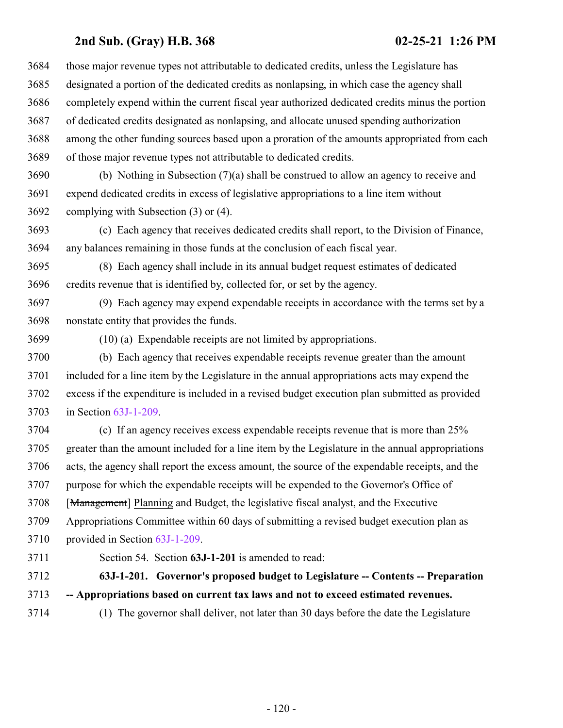| 3684 | those major revenue types not attributable to dedicated credits, unless the Legislature has     |
|------|-------------------------------------------------------------------------------------------------|
| 3685 | designated a portion of the dedicated credits as nonlapsing, in which case the agency shall     |
| 3686 | completely expend within the current fiscal year authorized dedicated credits minus the portion |
| 3687 | of dedicated credits designated as nonlapsing, and allocate unused spending authorization       |
| 3688 | among the other funding sources based upon a proration of the amounts appropriated from each    |
| 3689 | of those major revenue types not attributable to dedicated credits.                             |
| 3690 | (b) Nothing in Subsection (7)(a) shall be construed to allow an agency to receive and           |
| 3691 | expend dedicated credits in excess of legislative appropriations to a line item without         |
| 3692 | complying with Subsection (3) or (4).                                                           |
| 3693 | (c) Each agency that receives dedicated credits shall report, to the Division of Finance,       |
| 3694 | any balances remaining in those funds at the conclusion of each fiscal year.                    |
| 3695 | (8) Each agency shall include in its annual budget request estimates of dedicated               |
| 3696 | credits revenue that is identified by, collected for, or set by the agency.                     |
| 3697 | (9) Each agency may expend expendable receipts in accordance with the terms set by a            |
| 3698 | nonstate entity that provides the funds.                                                        |
| 3699 | (10) (a) Expendable receipts are not limited by appropriations.                                 |
| 3700 | (b) Each agency that receives expendable receipts revenue greater than the amount               |
| 3701 | included for a line item by the Legislature in the annual appropriations acts may expend the    |
| 3702 | excess if the expenditure is included in a revised budget execution plan submitted as provided  |
| 3703 | in Section $63J-1-209$ .                                                                        |

 (c) If an agency receives excess expendable receipts revenue that is more than 25% greater than the amount included for a line item by the Legislature in the annual appropriations acts, the agency shall report the excess amount, the source of the expendable receipts, and the purpose for which the expendable receipts will be expended to the Governor's Office of 3708 [Management] Planning and Budget, the legislative fiscal analyst, and the Executive Appropriations Committee within 60 days of submitting a revised budget execution plan as provided in Section [63J-1-209](#page-124-0).

<span id="page-119-0"></span>

Section 54. Section **63J-1-201** is amended to read:

 **63J-1-201. Governor's proposed budget to Legislature -- Contents -- Preparation -- Appropriations based on current tax laws and not to exceed estimated revenues.**

(1) The governor shall deliver, not later than 30 days before the date the Legislature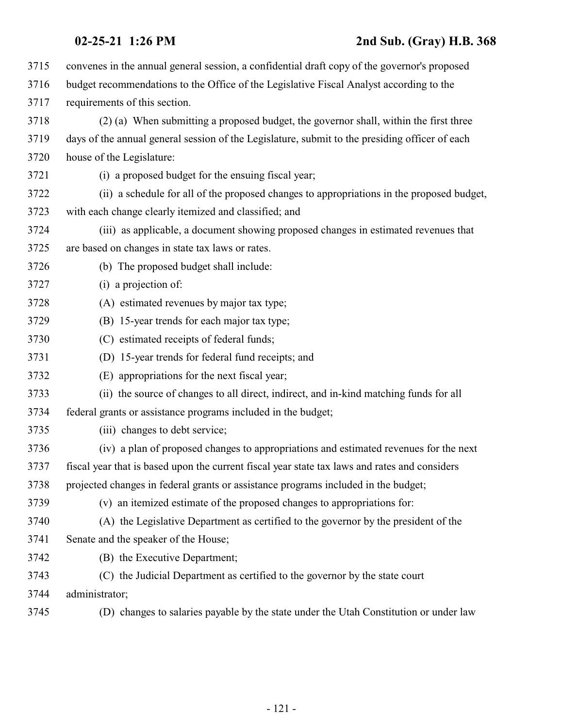| 3715 | convenes in the annual general session, a confidential draft copy of the governor's proposed   |
|------|------------------------------------------------------------------------------------------------|
| 3716 | budget recommendations to the Office of the Legislative Fiscal Analyst according to the        |
| 3717 | requirements of this section.                                                                  |
| 3718 | (2) (a) When submitting a proposed budget, the governor shall, within the first three          |
| 3719 | days of the annual general session of the Legislature, submit to the presiding officer of each |
| 3720 | house of the Legislature:                                                                      |
| 3721 | (i) a proposed budget for the ensuing fiscal year;                                             |
| 3722 | (ii) a schedule for all of the proposed changes to appropriations in the proposed budget,      |
| 3723 | with each change clearly itemized and classified; and                                          |
| 3724 | (iii) as applicable, a document showing proposed changes in estimated revenues that            |
| 3725 | are based on changes in state tax laws or rates.                                               |
| 3726 | (b) The proposed budget shall include:                                                         |
| 3727 | (i) a projection of:                                                                           |
| 3728 | (A) estimated revenues by major tax type;                                                      |
| 3729 | (B) 15-year trends for each major tax type;                                                    |
| 3730 | (C) estimated receipts of federal funds;                                                       |
| 3731 | (D) 15-year trends for federal fund receipts; and                                              |
| 3732 | (E) appropriations for the next fiscal year;                                                   |
| 3733 | (ii) the source of changes to all direct, indirect, and in-kind matching funds for all         |
| 3734 | federal grants or assistance programs included in the budget;                                  |
| 3735 | (iii) changes to debt service;                                                                 |
| 3736 | (iv) a plan of proposed changes to appropriations and estimated revenues for the next          |
| 3737 | fiscal year that is based upon the current fiscal year state tax laws and rates and considers  |
| 3738 | projected changes in federal grants or assistance programs included in the budget;             |
| 3739 | (v) an itemized estimate of the proposed changes to appropriations for:                        |
| 3740 | (A) the Legislative Department as certified to the governor by the president of the            |
| 3741 | Senate and the speaker of the House;                                                           |
| 3742 | (B) the Executive Department;                                                                  |
| 3743 | (C) the Judicial Department as certified to the governor by the state court                    |
| 3744 | administrator;                                                                                 |
| 3745 | (D) changes to salaries payable by the state under the Utah Constitution or under law          |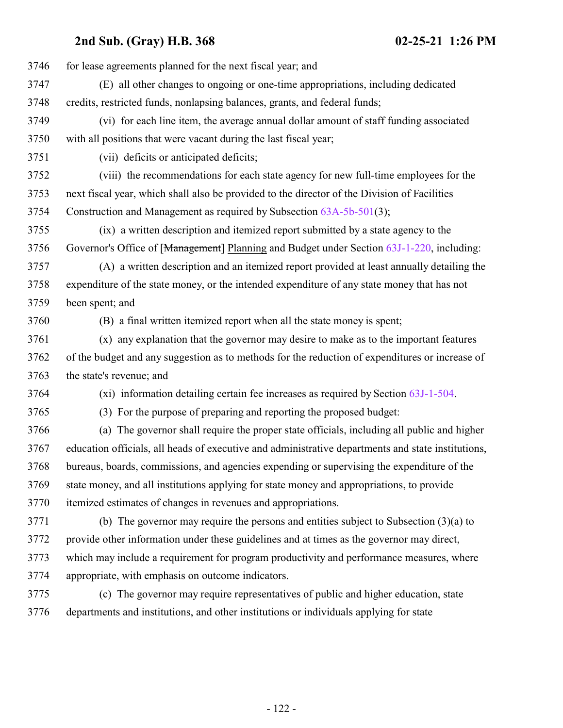| 3746 | for lease agreements planned for the next fiscal year; and                                         |
|------|----------------------------------------------------------------------------------------------------|
| 3747 | (E) all other changes to ongoing or one-time appropriations, including dedicated                   |
| 3748 | credits, restricted funds, nonlapsing balances, grants, and federal funds;                         |
| 3749 | (vi) for each line item, the average annual dollar amount of staff funding associated              |
| 3750 | with all positions that were vacant during the last fiscal year;                                   |
| 3751 | (vii) deficits or anticipated deficits;                                                            |
| 3752 | (viii) the recommendations for each state agency for new full-time employees for the               |
| 3753 | next fiscal year, which shall also be provided to the director of the Division of Facilities       |
| 3754 | Construction and Management as required by Subsection 63A-5b-501(3);                               |
| 3755 | (ix) a written description and itemized report submitted by a state agency to the                  |
| 3756 | Governor's Office of [Management] Planning and Budget under Section 63J-1-220, including:          |
| 3757 | (A) a written description and an itemized report provided at least annually detailing the          |
| 3758 | expenditure of the state money, or the intended expenditure of any state money that has not        |
| 3759 | been spent; and                                                                                    |
| 3760 | (B) a final written itemized report when all the state money is spent;                             |
| 3761 | (x) any explanation that the governor may desire to make as to the important features              |
| 3762 | of the budget and any suggestion as to methods for the reduction of expenditures or increase of    |
| 3763 | the state's revenue; and                                                                           |
| 3764 | (xi) information detailing certain fee increases as required by Section 63J-1-504.                 |
| 3765 | (3) For the purpose of preparing and reporting the proposed budget:                                |
| 3766 | (a) The governor shall require the proper state officials, including all public and higher         |
| 3767 | education officials, all heads of executive and administrative departments and state institutions, |
| 3768 | bureaus, boards, commissions, and agencies expending or supervising the expenditure of the         |
| 3769 | state money, and all institutions applying for state money and appropriations, to provide          |
| 3770 | itemized estimates of changes in revenues and appropriations.                                      |
| 3771 | (b) The governor may require the persons and entities subject to Subsection $(3)(a)$ to            |
| 3772 | provide other information under these guidelines and at times as the governor may direct,          |
| 3773 | which may include a requirement for program productivity and performance measures, where           |
| 3774 | appropriate, with emphasis on outcome indicators.                                                  |
| 3775 | (c) The governor may require representatives of public and higher education, state                 |
| 3776 | departments and institutions, and other institutions or individuals applying for state             |
|      |                                                                                                    |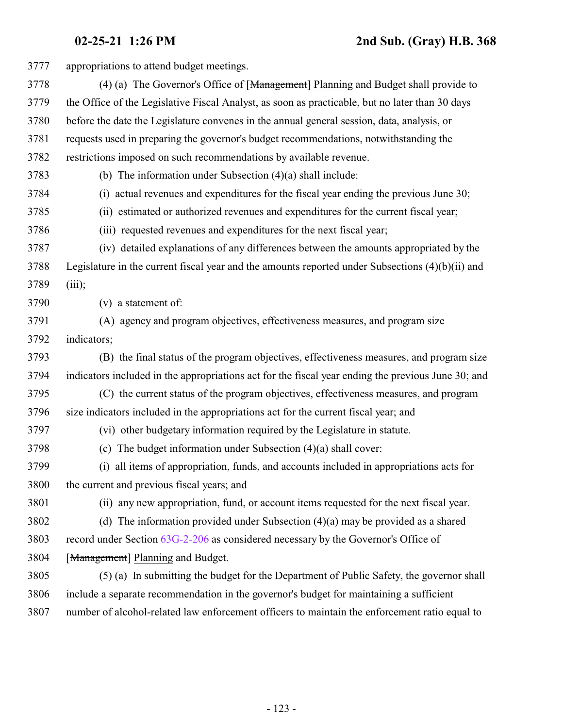appropriations to attend budget meetings. 3778 (4) (a) The Governor's Office of [<del>Management</del>] Planning and Budget shall provide to the Office of the Legislative Fiscal Analyst, as soon as practicable, but no later than 30 days before the date the Legislature convenes in the annual general session, data, analysis, or requests used in preparing the governor's budget recommendations, notwithstanding the restrictions imposed on such recommendations by available revenue. (b) The information under Subsection (4)(a) shall include: (i) actual revenues and expenditures for the fiscal year ending the previous June 30; (ii) estimated or authorized revenues and expenditures for the current fiscal year; (iii) requested revenues and expenditures for the next fiscal year; (iv) detailed explanations of any differences between the amounts appropriated by the Legislature in the current fiscal year and the amounts reported under Subsections (4)(b)(ii) and (iii); (v) a statement of: (A) agency and program objectives, effectiveness measures, and program size indicators; (B) the final status of the program objectives, effectiveness measures, and program size indicators included in the appropriations act for the fiscal year ending the previous June 30; and (C) the current status of the program objectives, effectiveness measures, and program size indicators included in the appropriations act for the current fiscal year; and (vi) other budgetary information required by the Legislature in statute. (c) The budget information under Subsection (4)(a) shall cover: (i) all items of appropriation, funds, and accounts included in appropriations acts for the current and previous fiscal years; and (ii) any new appropriation, fund, or account items requested for the next fiscal year. (d) The information provided under Subsection (4)(a) may be provided as a shared record under Section [63G-2-206](http://le.utah.gov/UtahCode/SectionLookup.jsp?section=63g-2-206&session=2021GS) as considered necessary by the Governor's Office of [Management] Planning and Budget. (5) (a) In submitting the budget for the Department of Public Safety, the governor shall include a separate recommendation in the governor's budget for maintaining a sufficient number of alcohol-related law enforcement officers to maintain the enforcement ratio equal to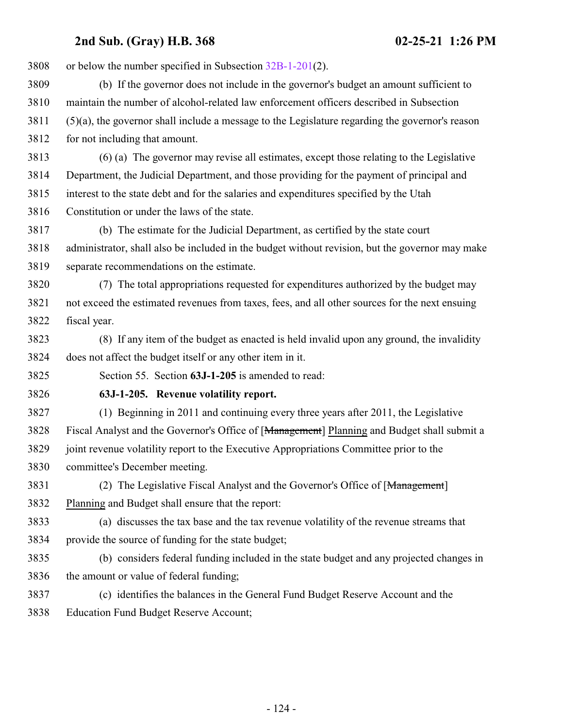| 3808 | or below the number specified in Subsection $32B-1-201(2)$ .                                       |
|------|----------------------------------------------------------------------------------------------------|
| 3809 | (b) If the governor does not include in the governor's budget an amount sufficient to              |
| 3810 | maintain the number of alcohol-related law enforcement officers described in Subsection            |
| 3811 | $(5)(a)$ , the governor shall include a message to the Legislature regarding the governor's reason |
| 3812 | for not including that amount.                                                                     |
| 3813 | (6) (a) The governor may revise all estimates, except those relating to the Legislative            |
| 3814 | Department, the Judicial Department, and those providing for the payment of principal and          |
| 3815 | interest to the state debt and for the salaries and expenditures specified by the Utah             |
| 3816 | Constitution or under the laws of the state.                                                       |
| 3817 | (b) The estimate for the Judicial Department, as certified by the state court                      |
| 3818 | administrator, shall also be included in the budget without revision, but the governor may make    |
| 3819 | separate recommendations on the estimate.                                                          |
| 3820 | (7) The total appropriations requested for expenditures authorized by the budget may               |
| 3821 | not exceed the estimated revenues from taxes, fees, and all other sources for the next ensuing     |
| 3822 | fiscal year.                                                                                       |
| 3823 | (8) If any item of the budget as enacted is held invalid upon any ground, the invalidity           |
| 3824 | does not affect the budget itself or any other item in it.                                         |
| 3825 | Section 55. Section 63J-1-205 is amended to read:                                                  |
| 3826 | 63J-1-205. Revenue volatility report.                                                              |
| 3827 | (1) Beginning in 2011 and continuing every three years after 2011, the Legislative                 |
| 3828 | Fiscal Analyst and the Governor's Office of [Management] Planning and Budget shall submit a        |
| 3829 | joint revenue volatility report to the Executive Appropriations Committee prior to the             |
| 3830 | committee's December meeting.                                                                      |
| 3831 | (2) The Legislative Fiscal Analyst and the Governor's Office of [Management]                       |
| 3832 | Planning and Budget shall ensure that the report:                                                  |
| 3833 | (a) discusses the tax base and the tax revenue volatility of the revenue streams that              |
| 3834 | provide the source of funding for the state budget;                                                |
| 3835 | (b) considers federal funding included in the state budget and any projected changes in            |
| 3836 | the amount or value of federal funding;                                                            |

 (c) identifies the balances in the General Fund Budget Reserve Account and the Education Fund Budget Reserve Account;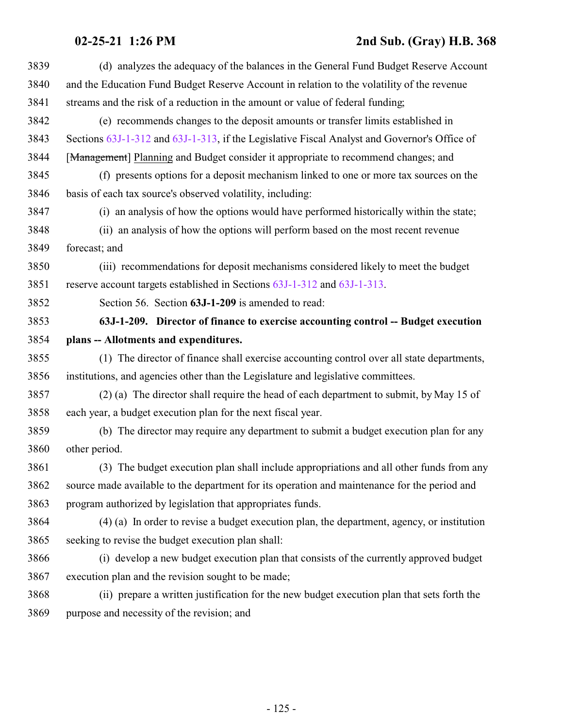## <span id="page-124-0"></span>**02-25-21 1:26 PM 2nd Sub. (Gray) H.B. 368**

| 3839 | (d) analyzes the adequacy of the balances in the General Fund Budget Reserve Account         |
|------|----------------------------------------------------------------------------------------------|
| 3840 | and the Education Fund Budget Reserve Account in relation to the volatility of the revenue   |
| 3841 | streams and the risk of a reduction in the amount or value of federal funding;               |
| 3842 | (e) recommends changes to the deposit amounts or transfer limits established in              |
| 3843 | Sections 63J-1-312 and 63J-1-313, if the Legislative Fiscal Analyst and Governor's Office of |
| 3844 | [Management] Planning and Budget consider it appropriate to recommend changes; and           |
| 3845 | (f) presents options for a deposit mechanism linked to one or more tax sources on the        |
| 3846 | basis of each tax source's observed volatility, including:                                   |
| 3847 | (i) an analysis of how the options would have performed historically within the state;       |
| 3848 | (ii) an analysis of how the options will perform based on the most recent revenue            |
| 3849 | forecast; and                                                                                |
| 3850 | (iii) recommendations for deposit mechanisms considered likely to meet the budget            |
| 3851 | reserve account targets established in Sections 63J-1-312 and 63J-1-313.                     |
| 3852 | Section 56. Section 63J-1-209 is amended to read:                                            |
| 3853 | 63J-1-209. Director of finance to exercise accounting control -- Budget execution            |
| 3854 | plans -- Allotments and expenditures.                                                        |
| 3855 | (1) The director of finance shall exercise accounting control over all state departments,    |
| 3856 | institutions, and agencies other than the Legislature and legislative committees.            |
| 3857 | (2) (a) The director shall require the head of each department to submit, by May 15 of       |
| 3858 | each year, a budget execution plan for the next fiscal year.                                 |
| 3859 | (b) The director may require any department to submit a budget execution plan for any        |
| 3860 | other period.                                                                                |
| 3861 | (3) The budget execution plan shall include appropriations and all other funds from any      |
| 3862 | source made available to the department for its operation and maintenance for the period and |
| 3863 | program authorized by legislation that appropriates funds.                                   |
| 3864 | (4) (a) In order to revise a budget execution plan, the department, agency, or institution   |
| 3865 | seeking to revise the budget execution plan shall:                                           |
| 3866 | (i) develop a new budget execution plan that consists of the currently approved budget       |
| 3867 | execution plan and the revision sought to be made;                                           |
| 3868 | (ii) prepare a written justification for the new budget execution plan that sets forth the   |
| 3869 | purpose and necessity of the revision; and                                                   |
|      |                                                                                              |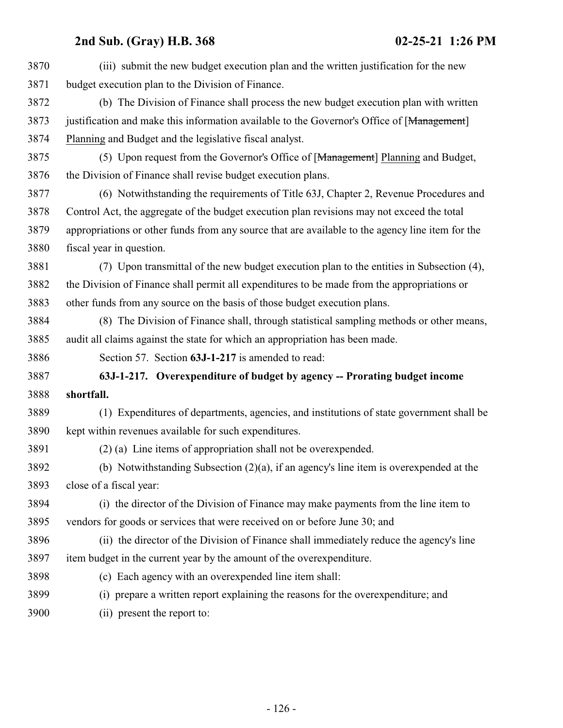| 3870 | (iii) submit the new budget execution plan and the written justification for the new             |
|------|--------------------------------------------------------------------------------------------------|
| 3871 | budget execution plan to the Division of Finance.                                                |
| 3872 | (b) The Division of Finance shall process the new budget execution plan with written             |
| 3873 | justification and make this information available to the Governor's Office of [Management]       |
| 3874 | Planning and Budget and the legislative fiscal analyst.                                          |
| 3875 | (5) Upon request from the Governor's Office of [Management] Planning and Budget,                 |
| 3876 | the Division of Finance shall revise budget execution plans.                                     |
| 3877 | (6) Notwithstanding the requirements of Title 63J, Chapter 2, Revenue Procedures and             |
| 3878 | Control Act, the aggregate of the budget execution plan revisions may not exceed the total       |
| 3879 | appropriations or other funds from any source that are available to the agency line item for the |
| 3880 | fiscal year in question.                                                                         |
| 3881 | (7) Upon transmittal of the new budget execution plan to the entities in Subsection (4),         |
| 3882 | the Division of Finance shall permit all expenditures to be made from the appropriations or      |
| 3883 | other funds from any source on the basis of those budget execution plans.                        |
| 3884 | (8) The Division of Finance shall, through statistical sampling methods or other means,          |
| 3885 | audit all claims against the state for which an appropriation has been made.                     |
| 3886 | Section 57. Section 63J-1-217 is amended to read:                                                |
| 3887 | 63J-1-217. Overexpenditure of budget by agency -- Prorating budget income                        |
| 3888 | shortfall.                                                                                       |
| 3889 | (1) Expenditures of departments, agencies, and institutions of state government shall be         |
| 3890 | kept within revenues available for such expenditures.                                            |
| 3891 | $(2)$ (a) Line items of appropriation shall not be overexpended.                                 |
| 3892 | (b) Notwithstanding Subsection $(2)(a)$ , if an agency's line item is overexpended at the        |
| 3893 | close of a fiscal year:                                                                          |
| 3894 | (i) the director of the Division of Finance may make payments from the line item to              |
| 3895 | vendors for goods or services that were received on or before June 30; and                       |
| 3896 | (ii) the director of the Division of Finance shall immediately reduce the agency's line          |
| 3897 | item budget in the current year by the amount of the overexpenditure.                            |
| 3898 | (c) Each agency with an overexpended line item shall:                                            |
| 3899 | (i) prepare a written report explaining the reasons for the overexpenditure; and                 |
| 3900 | (ii) present the report to:                                                                      |
|      |                                                                                                  |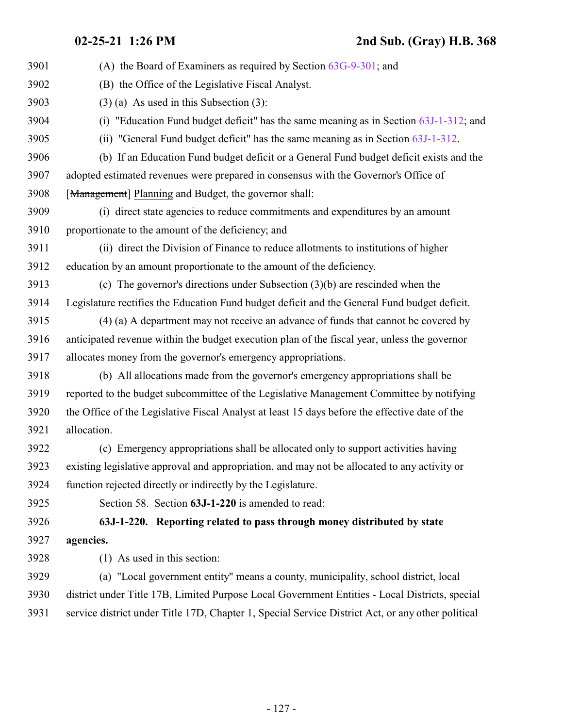| 3901 | (A) the Board of Examiners as required by Section $63G-9-301$ ; and                            |
|------|------------------------------------------------------------------------------------------------|
| 3902 | (B) the Office of the Legislative Fiscal Analyst.                                              |
| 3903 | $(3)$ (a) As used in this Subsection (3):                                                      |
| 3904 | (i) "Education Fund budget deficit" has the same meaning as in Section $63J-1-312$ ; and       |
| 3905 | (ii) "General Fund budget deficit" has the same meaning as in Section 63J-1-312.               |
| 3906 | (b) If an Education Fund budget deficit or a General Fund budget deficit exists and the        |
| 3907 | adopted estimated revenues were prepared in consensus with the Governor's Office of            |
| 3908 | [Management] Planning and Budget, the governor shall:                                          |
| 3909 | (i) direct state agencies to reduce commitments and expenditures by an amount                  |
| 3910 | proportionate to the amount of the deficiency; and                                             |
| 3911 | (ii) direct the Division of Finance to reduce allotments to institutions of higher             |
| 3912 | education by an amount proportionate to the amount of the deficiency.                          |
| 3913 | (c) The governor's directions under Subsection $(3)(b)$ are rescinded when the                 |
| 3914 | Legislature rectifies the Education Fund budget deficit and the General Fund budget deficit.   |
| 3915 | (4) (a) A department may not receive an advance of funds that cannot be covered by             |
| 3916 | anticipated revenue within the budget execution plan of the fiscal year, unless the governor   |
| 3917 | allocates money from the governor's emergency appropriations.                                  |
| 3918 | (b) All allocations made from the governor's emergency appropriations shall be                 |
| 3919 | reported to the budget subcommittee of the Legislative Management Committee by notifying       |
| 3920 | the Office of the Legislative Fiscal Analyst at least 15 days before the effective date of the |
| 3921 | allocation.                                                                                    |
| 3922 | (c) Emergency appropriations shall be allocated only to support activities having              |
| 3923 | existing legislative approval and appropriation, and may not be allocated to any activity or   |
| 3924 | function rejected directly or indirectly by the Legislature.                                   |
| 3925 | Section 58. Section 63J-1-220 is amended to read:                                              |
| 3926 | 63J-1-220. Reporting related to pass through money distributed by state                        |
| 3927 | agencies.                                                                                      |
| 3928 | $(1)$ As used in this section:                                                                 |
| 3929 | (a) "Local government entity" means a county, municipality, school district, local             |
| 3930 | district under Title 17B, Limited Purpose Local Government Entities - Local Districts, special |

<span id="page-126-0"></span>service district under Title 17D, Chapter 1, Special Service District Act, or any other political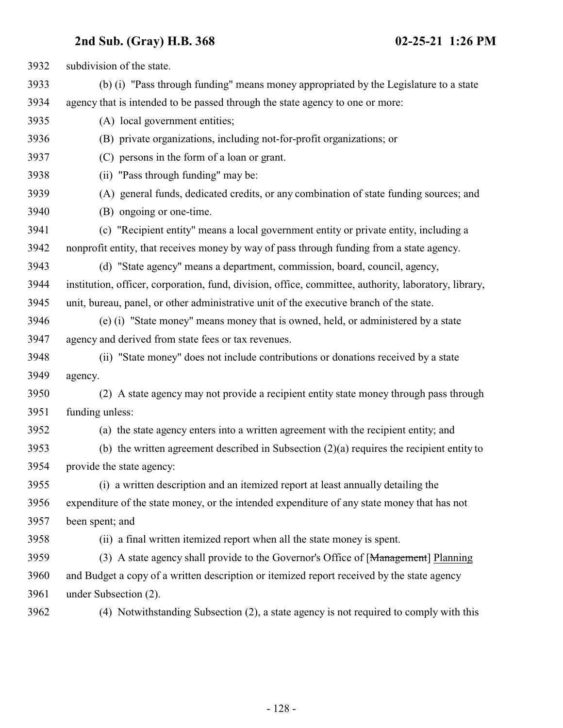| 3932 | subdivision of the state.                                                                             |
|------|-------------------------------------------------------------------------------------------------------|
| 3933 | (b) (i) "Pass through funding" means money appropriated by the Legislature to a state                 |
| 3934 | agency that is intended to be passed through the state agency to one or more:                         |
| 3935 | (A) local government entities;                                                                        |
| 3936 | (B) private organizations, including not-for-profit organizations; or                                 |
| 3937 | (C) persons in the form of a loan or grant.                                                           |
| 3938 | (ii) "Pass through funding" may be:                                                                   |
| 3939 | (A) general funds, dedicated credits, or any combination of state funding sources; and                |
| 3940 | (B) ongoing or one-time.                                                                              |
| 3941 | (c) "Recipient entity" means a local government entity or private entity, including a                 |
| 3942 | nonprofit entity, that receives money by way of pass through funding from a state agency.             |
| 3943 | (d) "State agency" means a department, commission, board, council, agency,                            |
| 3944 | institution, officer, corporation, fund, division, office, committee, authority, laboratory, library, |
| 3945 | unit, bureau, panel, or other administrative unit of the executive branch of the state.               |
| 3946 | (e) (i) "State money" means money that is owned, held, or administered by a state                     |
| 3947 | agency and derived from state fees or tax revenues.                                                   |
| 3948 | (ii) "State money" does not include contributions or donations received by a state                    |
| 3949 | agency.                                                                                               |
| 3950 | (2) A state agency may not provide a recipient entity state money through pass through                |
| 3951 | funding unless:                                                                                       |
| 3952 | (a) the state agency enters into a written agreement with the recipient entity; and                   |
| 3953 | (b) the written agreement described in Subsection $(2)(a)$ requires the recipient entity to           |
| 3954 | provide the state agency:                                                                             |
| 3955 | (i) a written description and an itemized report at least annually detailing the                      |
| 3956 | expenditure of the state money, or the intended expenditure of any state money that has not           |
| 3957 | been spent; and                                                                                       |
| 3958 | (ii) a final written itemized report when all the state money is spent.                               |
| 3959 | (3) A state agency shall provide to the Governor's Office of [Management] Planning                    |
| 3960 | and Budget a copy of a written description or itemized report received by the state agency            |
| 3961 | under Subsection (2).                                                                                 |
| 3962 | (4) Notwithstanding Subsection (2), a state agency is not required to comply with this                |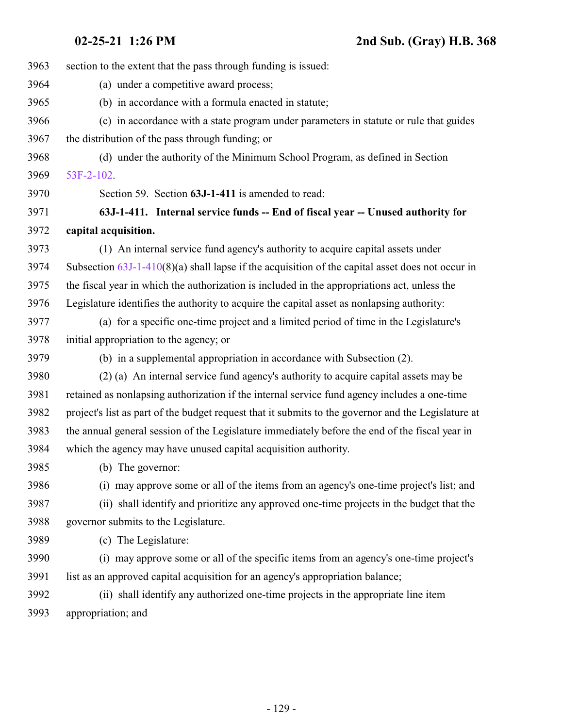| 3963 | section to the extent that the pass through funding is issued:                                      |
|------|-----------------------------------------------------------------------------------------------------|
| 3964 | (a) under a competitive award process;                                                              |
| 3965 | (b) in accordance with a formula enacted in statute;                                                |
| 3966 | (c) in accordance with a state program under parameters in statute or rule that guides              |
| 3967 | the distribution of the pass through funding; or                                                    |
| 3968 | (d) under the authority of the Minimum School Program, as defined in Section                        |
| 3969 | $53F-2-102$ .                                                                                       |
| 3970 | Section 59. Section 63J-1-411 is amended to read:                                                   |
| 3971 | 63J-1-411. Internal service funds -- End of fiscal year -- Unused authority for                     |
| 3972 | capital acquisition.                                                                                |
| 3973 | (1) An internal service fund agency's authority to acquire capital assets under                     |
| 3974 | Subsection $63J-1-410(8)(a)$ shall lapse if the acquisition of the capital asset does not occur in  |
| 3975 | the fiscal year in which the authorization is included in the appropriations act, unless the        |
| 3976 | Legislature identifies the authority to acquire the capital asset as nonlapsing authority:          |
| 3977 | (a) for a specific one-time project and a limited period of time in the Legislature's               |
| 3978 | initial appropriation to the agency; or                                                             |
| 3979 | (b) in a supplemental appropriation in accordance with Subsection (2).                              |
| 3980 | (2) (a) An internal service fund agency's authority to acquire capital assets may be                |
| 3981 | retained as nonlapsing authorization if the internal service fund agency includes a one-time        |
| 3982 | project's list as part of the budget request that it submits to the governor and the Legislature at |
| 3983 | the annual general session of the Legislature immediately before the end of the fiscal year in      |
| 3984 | which the agency may have unused capital acquisition authority.                                     |
| 3985 | (b) The governor:                                                                                   |
| 3986 | (i) may approve some or all of the items from an agency's one-time project's list; and              |
| 3987 | (ii) shall identify and prioritize any approved one-time projects in the budget that the            |
| 3988 | governor submits to the Legislature.                                                                |
| 3989 | (c) The Legislature:                                                                                |
| 3990 | (i) may approve some or all of the specific items from an agency's one-time project's               |
| 3991 | list as an approved capital acquisition for an agency's appropriation balance;                      |
| 3992 | (ii) shall identify any authorized one-time projects in the appropriate line item                   |
| 3993 | appropriation; and                                                                                  |
|      |                                                                                                     |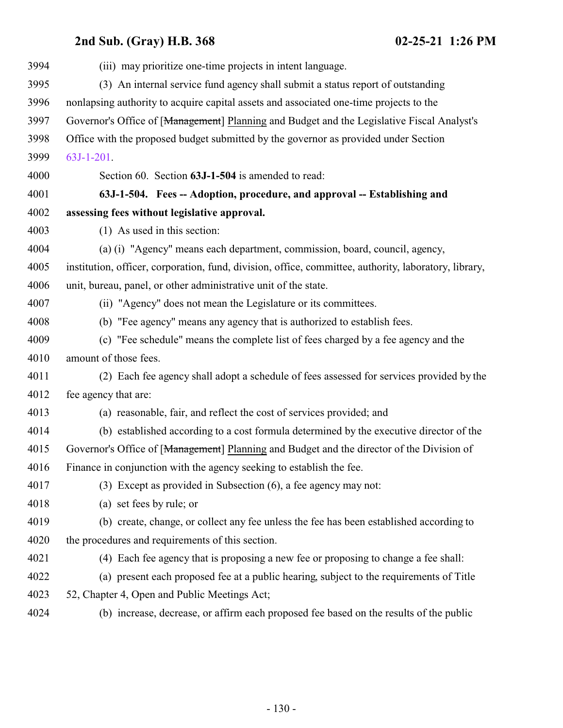<span id="page-129-0"></span>

| 3994 | (iii) may prioritize one-time projects in intent language.                                            |
|------|-------------------------------------------------------------------------------------------------------|
| 3995 | (3) An internal service fund agency shall submit a status report of outstanding                       |
| 3996 | nonlapsing authority to acquire capital assets and associated one-time projects to the                |
| 3997 | Governor's Office of [Management] Planning and Budget and the Legislative Fiscal Analyst's            |
| 3998 | Office with the proposed budget submitted by the governor as provided under Section                   |
| 3999 | $63J-1-201$ .                                                                                         |
| 4000 | Section 60. Section 63J-1-504 is amended to read:                                                     |
| 4001 | 63J-1-504. Fees -- Adoption, procedure, and approval -- Establishing and                              |
| 4002 | assessing fees without legislative approval.                                                          |
| 4003 | (1) As used in this section:                                                                          |
| 4004 | (a) (i) "Agency" means each department, commission, board, council, agency,                           |
| 4005 | institution, officer, corporation, fund, division, office, committee, authority, laboratory, library, |
| 4006 | unit, bureau, panel, or other administrative unit of the state.                                       |
| 4007 | (ii) "Agency" does not mean the Legislature or its committees.                                        |
| 4008 | (b) "Fee agency" means any agency that is authorized to establish fees.                               |
| 4009 | (c) "Fee schedule" means the complete list of fees charged by a fee agency and the                    |
| 4010 | amount of those fees.                                                                                 |
| 4011 | (2) Each fee agency shall adopt a schedule of fees assessed for services provided by the              |
| 4012 | fee agency that are:                                                                                  |
| 4013 | (a) reasonable, fair, and reflect the cost of services provided; and                                  |
| 4014 | (b) established according to a cost formula determined by the executive director of the               |
| 4015 | Governor's Office of [Management] Planning and Budget and the director of the Division of             |
| 4016 | Finance in conjunction with the agency seeking to establish the fee.                                  |
| 4017 | (3) Except as provided in Subsection (6), a fee agency may not:                                       |
| 4018 | (a) set fees by rule; or                                                                              |
| 4019 | (b) create, change, or collect any fee unless the fee has been established according to               |
| 4020 | the procedures and requirements of this section.                                                      |
| 4021 | (4) Each fee agency that is proposing a new fee or proposing to change a fee shall:                   |
| 4022 | (a) present each proposed fee at a public hearing, subject to the requirements of Title               |
| 4023 | 52, Chapter 4, Open and Public Meetings Act;                                                          |
| 4024 | (b) increase, decrease, or affirm each proposed fee based on the results of the public                |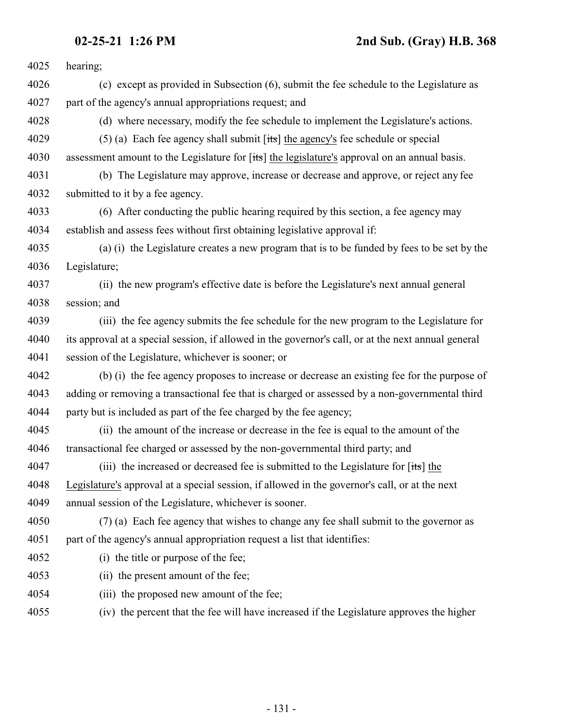| 4025 | hearing;                                                                                            |
|------|-----------------------------------------------------------------------------------------------------|
| 4026 | (c) except as provided in Subsection (6), submit the fee schedule to the Legislature as             |
| 4027 | part of the agency's annual appropriations request; and                                             |
| 4028 | (d) where necessary, modify the fee schedule to implement the Legislature's actions.                |
| 4029 | (5) (a) Each fee agency shall submit $[tts]$ the agency's fee schedule or special                   |
| 4030 | assessment amount to the Legislature for [its] the legislature's approval on an annual basis.       |
| 4031 | (b) The Legislature may approve, increase or decrease and approve, or reject any fee                |
| 4032 | submitted to it by a fee agency.                                                                    |
| 4033 | (6) After conducting the public hearing required by this section, a fee agency may                  |
| 4034 | establish and assess fees without first obtaining legislative approval if:                          |
| 4035 | (a) (i) the Legislature creates a new program that is to be funded by fees to be set by the         |
| 4036 | Legislature;                                                                                        |
| 4037 | (ii) the new program's effective date is before the Legislature's next annual general               |
| 4038 | session; and                                                                                        |
| 4039 | (iii) the fee agency submits the fee schedule for the new program to the Legislature for            |
| 4040 | its approval at a special session, if allowed in the governor's call, or at the next annual general |
| 4041 | session of the Legislature, whichever is sooner; or                                                 |
| 4042 | (b) (i) the fee agency proposes to increase or decrease an existing fee for the purpose of          |
| 4043 | adding or removing a transactional fee that is charged or assessed by a non-governmental third      |
| 4044 | party but is included as part of the fee charged by the fee agency;                                 |
| 4045 | (ii) the amount of the increase or decrease in the fee is equal to the amount of the                |
| 4046 | transactional fee charged or assessed by the non-governmental third party; and                      |
| 4047 | (iii) the increased or decreased fee is submitted to the Legislature for [its] the                  |
| 4048 | Legislature's approval at a special session, if allowed in the governor's call, or at the next      |
| 4049 | annual session of the Legislature, whichever is sooner.                                             |
| 4050 | (7) (a) Each fee agency that wishes to change any fee shall submit to the governor as               |
| 4051 | part of the agency's annual appropriation request a list that identifies:                           |
| 4052 | (i) the title or purpose of the fee;                                                                |
| 4053 | (ii) the present amount of the fee;                                                                 |
| 4054 | (iii) the proposed new amount of the fee;                                                           |
| 4055 | (iv) the percent that the fee will have increased if the Legislature approves the higher            |
|      |                                                                                                     |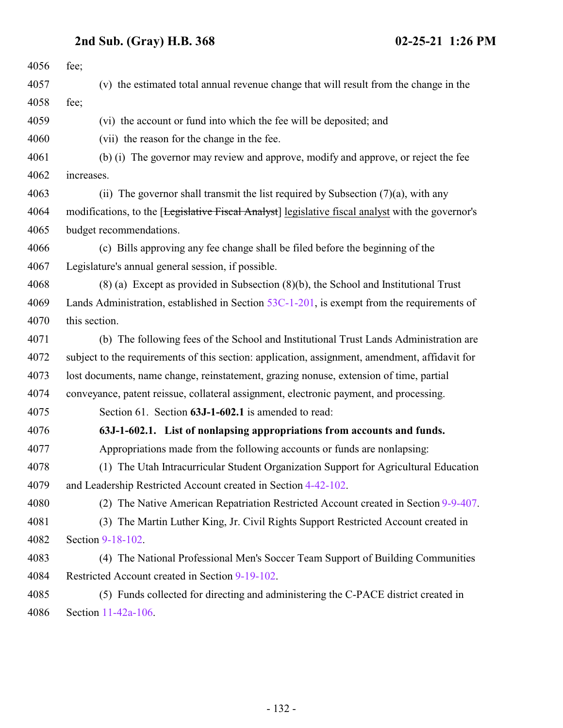**2nd Sub. (Gray) H.B. 368 02-25-21 1:26 PM**

<span id="page-131-0"></span>

| 4056 | fee;                                                                                              |
|------|---------------------------------------------------------------------------------------------------|
| 4057 | (v) the estimated total annual revenue change that will result from the change in the             |
| 4058 | fee;                                                                                              |
| 4059 | (vi) the account or fund into which the fee will be deposited; and                                |
| 4060 | (vii) the reason for the change in the fee.                                                       |
| 4061 | (b) (i) The governor may review and approve, modify and approve, or reject the fee                |
| 4062 | increases.                                                                                        |
| 4063 | (ii) The governor shall transmit the list required by Subsection $(7)(a)$ , with any              |
| 4064 | modifications, to the [Legislative Fiscal Analyst] legislative fiscal analyst with the governor's |
| 4065 | budget recommendations.                                                                           |
| 4066 | (c) Bills approving any fee change shall be filed before the beginning of the                     |
| 4067 | Legislature's annual general session, if possible.                                                |
| 4068 | $(8)$ (a) Except as provided in Subsection $(8)(b)$ , the School and Institutional Trust          |
| 4069 | Lands Administration, established in Section $53C-1-201$ , is exempt from the requirements of     |
| 4070 | this section.                                                                                     |
| 4071 | (b) The following fees of the School and Institutional Trust Lands Administration are             |
| 4072 | subject to the requirements of this section: application, assignment, amendment, affidavit for    |
| 4073 | lost documents, name change, reinstatement, grazing nonuse, extension of time, partial            |
| 4074 | conveyance, patent reissue, collateral assignment, electronic payment, and processing.            |
| 4075 | Section 61. Section 63J-1-602.1 is amended to read:                                               |
| 4076 | 63J-1-602.1. List of nonlapsing appropriations from accounts and funds.                           |
| 4077 | Appropriations made from the following accounts or funds are nonlapsing:                          |
| 4078 | (1) The Utah Intracurricular Student Organization Support for Agricultural Education              |
| 4079 | and Leadership Restricted Account created in Section 4-42-102.                                    |
| 4080 | (2) The Native American Repatriation Restricted Account created in Section 9-9-407.               |
| 4081 | (3) The Martin Luther King, Jr. Civil Rights Support Restricted Account created in                |
| 4082 | Section 9-18-102.                                                                                 |
| 4083 | (4) The National Professional Men's Soccer Team Support of Building Communities                   |
| 4084 | Restricted Account created in Section 9-19-102.                                                   |
| 4085 | (5) Funds collected for directing and administering the C-PACE district created in                |
| 4086 | Section 11-42a-106.                                                                               |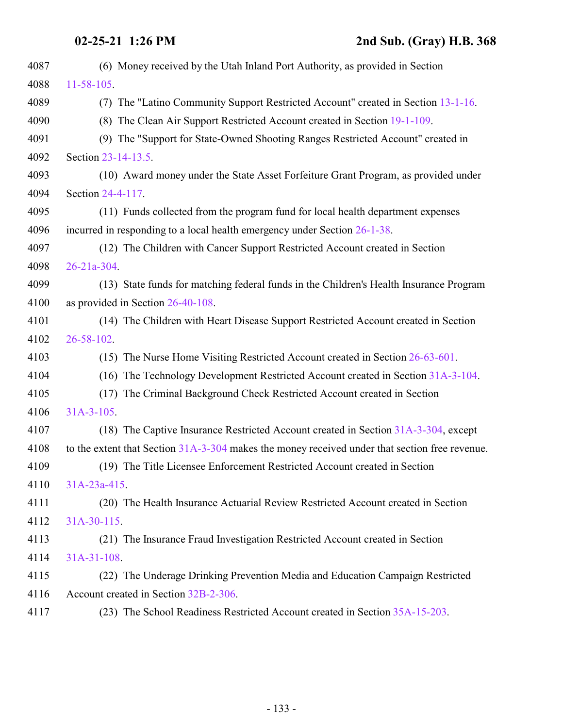**02-25-21 1:26 PM 2nd Sub. (Gray) H.B. 368**

| 4087 | (6) Money received by the Utah Inland Port Authority, as provided in Section                   |
|------|------------------------------------------------------------------------------------------------|
| 4088 | $11 - 58 - 105$ .                                                                              |
| 4089 | (7) The "Latino Community Support Restricted Account" created in Section 13-1-16.              |
| 4090 | (8) The Clean Air Support Restricted Account created in Section 19-1-109.                      |
| 4091 | (9) The "Support for State-Owned Shooting Ranges Restricted Account" created in                |
| 4092 | Section 23-14-13.5.                                                                            |
| 4093 | (10) Award money under the State Asset Forfeiture Grant Program, as provided under             |
| 4094 | Section 24-4-117.                                                                              |
| 4095 | (11) Funds collected from the program fund for local health department expenses                |
| 4096 | incurred in responding to a local health emergency under Section $26-1-38$ .                   |
| 4097 | (12) The Children with Cancer Support Restricted Account created in Section                    |
| 4098 | $26 - 21a - 304$ .                                                                             |
| 4099 | (13) State funds for matching federal funds in the Children's Health Insurance Program         |
| 4100 | as provided in Section 26-40-108.                                                              |
| 4101 | (14) The Children with Heart Disease Support Restricted Account created in Section             |
| 4102 | 26-58-102.                                                                                     |
| 4103 | (15) The Nurse Home Visiting Restricted Account created in Section 26-63-601.                  |
| 4104 | (16) The Technology Development Restricted Account created in Section 31A-3-104.               |
| 4105 | (17) The Criminal Background Check Restricted Account created in Section                       |
| 4106 | $31A-3-105$ .                                                                                  |
| 4107 | (18) The Captive Insurance Restricted Account created in Section 31A-3-304, except             |
| 4108 | to the extent that Section 31A-3-304 makes the money received under that section free revenue. |
| 4109 | (19) The Title Licensee Enforcement Restricted Account created in Section                      |
| 4110 | $31A-23a-415$ .                                                                                |
| 4111 | (20) The Health Insurance Actuarial Review Restricted Account created in Section               |
| 4112 | $31A-30-115$                                                                                   |
| 4113 | (21) The Insurance Fraud Investigation Restricted Account created in Section                   |
| 4114 | $31A-31-108$ .                                                                                 |
| 4115 | (22) The Underage Drinking Prevention Media and Education Campaign Restricted                  |
| 4116 | Account created in Section 32B-2-306.                                                          |
| 4117 | (23) The School Readiness Restricted Account created in Section 35A-15-203.                    |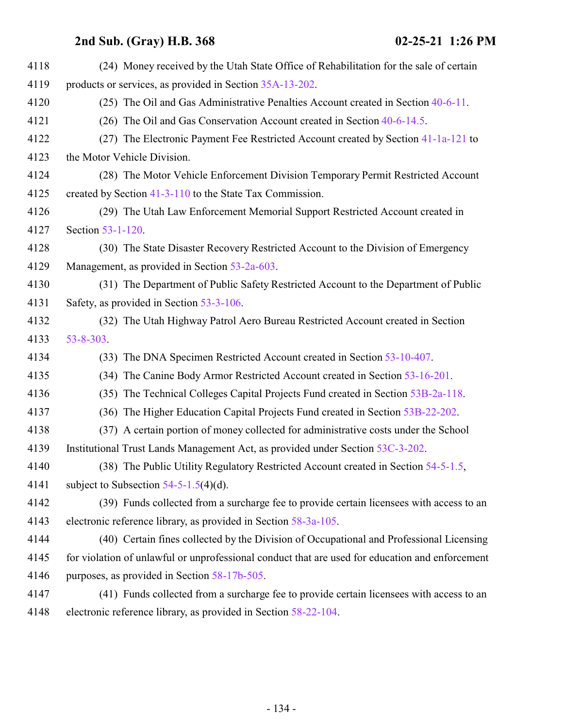| 4118 | (24) Money received by the Utah State Office of Rehabilitation for the sale of certain          |
|------|-------------------------------------------------------------------------------------------------|
| 4119 | products or services, as provided in Section 35A-13-202.                                        |
| 4120 | (25) The Oil and Gas Administrative Penalties Account created in Section 40-6-11.               |
| 4121 | (26) The Oil and Gas Conservation Account created in Section 40-6-14.5.                         |
| 4122 | (27) The Electronic Payment Fee Restricted Account created by Section 41-1a-121 to              |
| 4123 | the Motor Vehicle Division.                                                                     |
| 4124 | (28) The Motor Vehicle Enforcement Division Temporary Permit Restricted Account                 |
| 4125 | created by Section 41-3-110 to the State Tax Commission.                                        |
| 4126 | (29) The Utah Law Enforcement Memorial Support Restricted Account created in                    |
| 4127 | Section 53-1-120.                                                                               |
| 4128 | (30) The State Disaster Recovery Restricted Account to the Division of Emergency                |
| 4129 | Management, as provided in Section 53-2a-603.                                                   |
| 4130 | (31) The Department of Public Safety Restricted Account to the Department of Public             |
| 4131 | Safety, as provided in Section 53-3-106.                                                        |
| 4132 | (32) The Utah Highway Patrol Aero Bureau Restricted Account created in Section                  |
| 4133 | 53-8-303.                                                                                       |
| 4134 | (33) The DNA Specimen Restricted Account created in Section 53-10-407.                          |
| 4135 | (34) The Canine Body Armor Restricted Account created in Section 53-16-201.                     |
| 4136 | The Technical Colleges Capital Projects Fund created in Section 53B-2a-118.<br>(35)             |
| 4137 | (36) The Higher Education Capital Projects Fund created in Section 53B-22-202.                  |
| 4138 | (37) A certain portion of money collected for administrative costs under the School             |
| 4139 | Institutional Trust Lands Management Act, as provided under Section 53C-3-202.                  |
| 4140 | (38) The Public Utility Regulatory Restricted Account created in Section 54-5-1.5,              |
| 4141 | subject to Subsection $54-5-1.5(4)(d)$ .                                                        |
| 4142 | (39) Funds collected from a surcharge fee to provide certain licensees with access to an        |
| 4143 | electronic reference library, as provided in Section 58-3a-105.                                 |
| 4144 | (40) Certain fines collected by the Division of Occupational and Professional Licensing         |
| 4145 | for violation of unlawful or unprofessional conduct that are used for education and enforcement |
| 4146 | purposes, as provided in Section 58-17b-505.                                                    |
| 4147 | (41) Funds collected from a surcharge fee to provide certain licensees with access to an        |
| 4148 | electronic reference library, as provided in Section 58-22-104.                                 |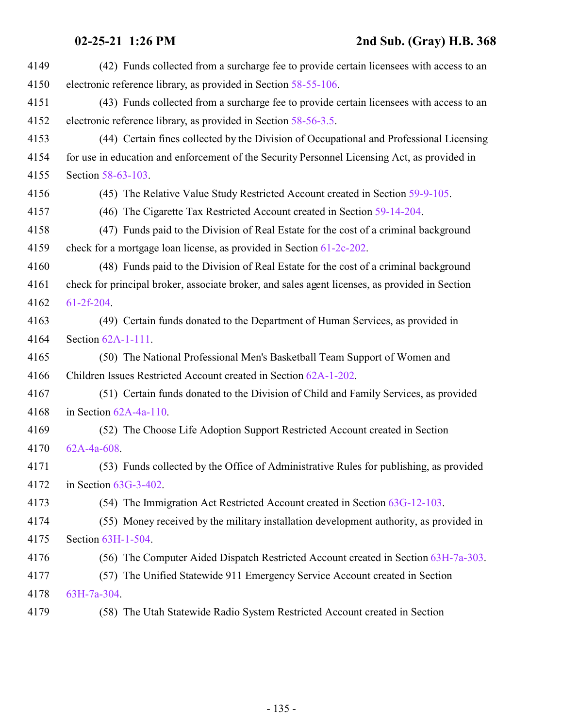| 4149 | (42) Funds collected from a surcharge fee to provide certain licensees with access to an       |
|------|------------------------------------------------------------------------------------------------|
| 4150 | electronic reference library, as provided in Section 58-55-106.                                |
| 4151 | (43) Funds collected from a surcharge fee to provide certain licensees with access to an       |
| 4152 | electronic reference library, as provided in Section 58-56-3.5.                                |
| 4153 | (44) Certain fines collected by the Division of Occupational and Professional Licensing        |
| 4154 | for use in education and enforcement of the Security Personnel Licensing Act, as provided in   |
| 4155 | Section 58-63-103.                                                                             |
| 4156 | (45) The Relative Value Study Restricted Account created in Section 59-9-105.                  |
| 4157 | (46) The Cigarette Tax Restricted Account created in Section 59-14-204.                        |
| 4158 | (47) Funds paid to the Division of Real Estate for the cost of a criminal background           |
| 4159 | check for a mortgage loan license, as provided in Section 61-2c-202.                           |
| 4160 | (48) Funds paid to the Division of Real Estate for the cost of a criminal background           |
| 4161 | check for principal broker, associate broker, and sales agent licenses, as provided in Section |
| 4162 | $61-2f-204$ .                                                                                  |
| 4163 | (49) Certain funds donated to the Department of Human Services, as provided in                 |
| 4164 | Section $62A-1-111$ .                                                                          |
| 4165 | (50) The National Professional Men's Basketball Team Support of Women and                      |
| 4166 | Children Issues Restricted Account created in Section 62A-1-202.                               |
| 4167 | (51) Certain funds donated to the Division of Child and Family Services, as provided           |
| 4168 | in Section $62A-4a-110$ .                                                                      |
| 4169 | (52) The Choose Life Adoption Support Restricted Account created in Section                    |
| 4170 | $62A-4a-608$                                                                                   |
| 4171 | (53) Funds collected by the Office of Administrative Rules for publishing, as provided         |
| 4172 | in Section $63G-3-402$ .                                                                       |
| 4173 | (54) The Immigration Act Restricted Account created in Section 63G-12-103.                     |
| 4174 | (55) Money received by the military installation development authority, as provided in         |
| 4175 | Section 63H-1-504.                                                                             |
| 4176 | (56) The Computer Aided Dispatch Restricted Account created in Section 63H-7a-303.             |
| 4177 | (57) The Unified Statewide 911 Emergency Service Account created in Section                    |
| 4178 | 63H-7a-304.                                                                                    |
| 4179 | (58) The Utah Statewide Radio System Restricted Account created in Section                     |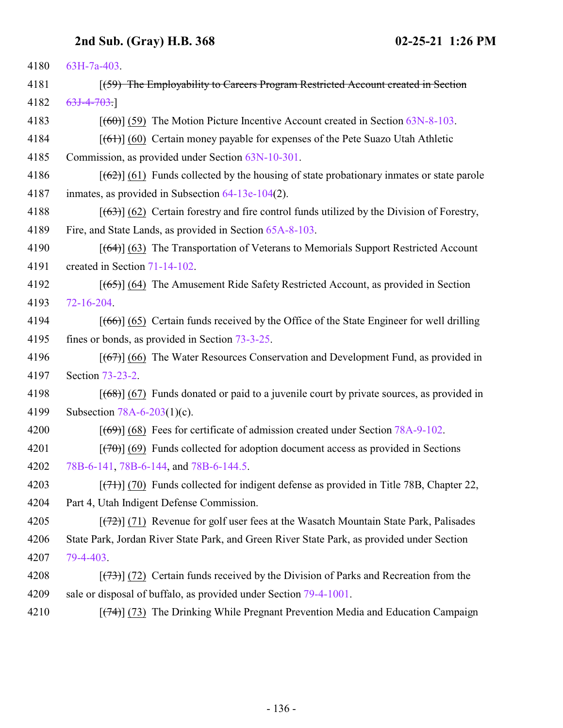| 4180 | 63H-7a-403.                                                                                                   |
|------|---------------------------------------------------------------------------------------------------------------|
| 4181 | [(59) The Employability to Careers Program Restricted Account created in Section                              |
| 4182 | $63J-4-703.$                                                                                                  |
| 4183 | $[669]$ (59) The Motion Picture Incentive Account created in Section 63N-8-103.                               |
| 4184 | $[66]$ (60) Certain money payable for expenses of the Pete Suazo Utah Athletic                                |
| 4185 | Commission, as provided under Section 63N-10-301.                                                             |
| 4186 | $[62]$ (61) Funds collected by the housing of state probationary inmates or state parole                      |
| 4187 | inmates, as provided in Subsection $64-13e-104(2)$ .                                                          |
| 4188 | $[ (63) ]$ (62) Certain forestry and fire control funds utilized by the Division of Forestry,                 |
| 4189 | Fire, and State Lands, as provided in Section 65A-8-103.                                                      |
| 4190 | $[$ (64)] (63) The Transportation of Veterans to Memorials Support Restricted Account                         |
| 4191 | created in Section 71-14-102.                                                                                 |
| 4192 | $[ (65) ]$ (64) The Amusement Ride Safety Restricted Account, as provided in Section                          |
| 4193 | $72 - 16 - 204$                                                                                               |
| 4194 | $[ (66) ] (65)$ Certain funds received by the Office of the State Engineer for well drilling                  |
| 4195 | fines or bonds, as provided in Section 73-3-25.                                                               |
| 4196 | $[ (67) ]$ (66) The Water Resources Conservation and Development Fund, as provided in                         |
| 4197 | Section 73-23-2.                                                                                              |
| 4198 | $[ (68) ] (67)$ Funds donated or paid to a juvenile court by private sources, as provided in                  |
| 4199 | Subsection $78A-6-203(1)(c)$ .                                                                                |
| 4200 | $[ (69) ] (68)$ Fees for certificate of admission created under Section 78A-9-102.                            |
| 4201 | $[\overline{(70)}]$ (69) Funds collected for adoption document access as provided in Sections                 |
| 4202 | 78B-6-141, 78B-6-144, and 78B-6-144.5.                                                                        |
| 4203 | $[ (71) ]$ (70) Funds collected for indigent defense as provided in Title 78B, Chapter 22,                    |
| 4204 | Part 4, Utah Indigent Defense Commission.                                                                     |
| 4205 | $[72]$ (71) Revenue for golf user fees at the Wasatch Mountain State Park, Palisades                          |
| 4206 | State Park, Jordan River State Park, and Green River State Park, as provided under Section                    |
| 4207 | 79-4-403.                                                                                                     |
| 4208 | $\left[\frac{(73)}{(73)}\right]$ (72) Certain funds received by the Division of Parks and Recreation from the |
| 4209 | sale or disposal of buffalo, as provided under Section 79-4-1001.                                             |
| 4210 | $[$ (74) (73) The Drinking While Pregnant Prevention Media and Education Campaign                             |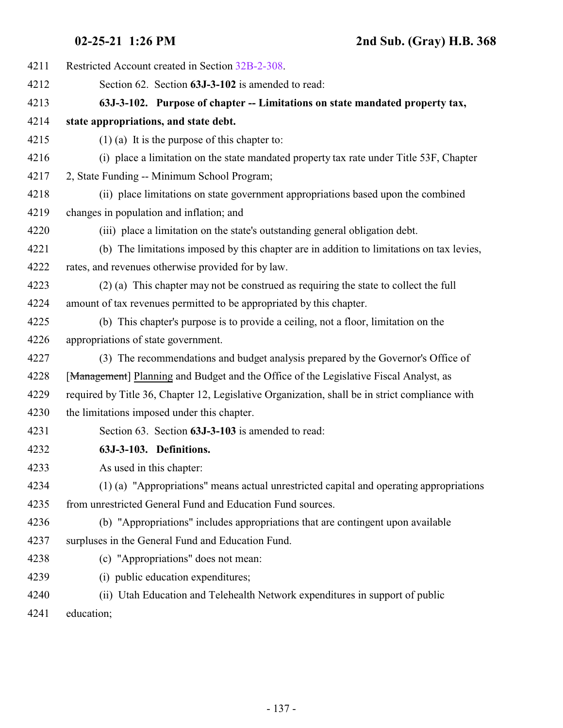| 4211 | Restricted Account created in Section 32B-2-308.                                               |
|------|------------------------------------------------------------------------------------------------|
| 4212 | Section 62. Section 63J-3-102 is amended to read:                                              |
| 4213 | 63J-3-102. Purpose of chapter -- Limitations on state mandated property tax,                   |
| 4214 | state appropriations, and state debt.                                                          |
| 4215 | $(1)$ (a) It is the purpose of this chapter to:                                                |
| 4216 | (i) place a limitation on the state mandated property tax rate under Title 53F, Chapter        |
| 4217 | 2, State Funding -- Minimum School Program;                                                    |
| 4218 | (ii) place limitations on state government appropriations based upon the combined              |
| 4219 | changes in population and inflation; and                                                       |
| 4220 | (iii) place a limitation on the state's outstanding general obligation debt.                   |
| 4221 | (b) The limitations imposed by this chapter are in addition to limitations on tax levies,      |
| 4222 | rates, and revenues otherwise provided for by law.                                             |
| 4223 | (2) (a) This chapter may not be construed as requiring the state to collect the full           |
| 4224 | amount of tax revenues permitted to be appropriated by this chapter.                           |
| 4225 | (b) This chapter's purpose is to provide a ceiling, not a floor, limitation on the             |
| 4226 | appropriations of state government.                                                            |
| 4227 | (3) The recommendations and budget analysis prepared by the Governor's Office of               |
| 4228 | [Management] Planning and Budget and the Office of the Legislative Fiscal Analyst, as          |
| 4229 | required by Title 36, Chapter 12, Legislative Organization, shall be in strict compliance with |
| 4230 | the limitations imposed under this chapter.                                                    |
| 4231 | Section 63. Section 63J-3-103 is amended to read:                                              |
| 4232 | 63J-3-103. Definitions.                                                                        |
| 4233 | As used in this chapter:                                                                       |
| 4234 | (1) (a) "Appropriations" means actual unrestricted capital and operating appropriations        |
| 4235 | from unrestricted General Fund and Education Fund sources.                                     |
| 4236 | (b) "Appropriations" includes appropriations that are contingent upon available                |
| 4237 | surpluses in the General Fund and Education Fund.                                              |
| 4238 | (c) "Appropriations" does not mean:                                                            |
| 4239 | (i) public education expenditures;                                                             |
| 4240 | (ii) Utah Education and Telehealth Network expenditures in support of public                   |
|      |                                                                                                |

education;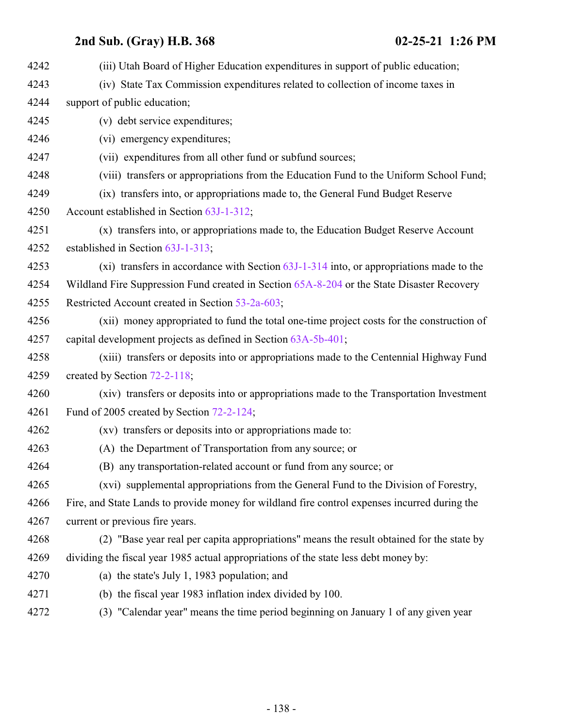| 4242 | (iii) Utah Board of Higher Education expenditures in support of public education;             |
|------|-----------------------------------------------------------------------------------------------|
| 4243 | (iv) State Tax Commission expenditures related to collection of income taxes in               |
| 4244 | support of public education;                                                                  |
| 4245 | (v) debt service expenditures;                                                                |
| 4246 | (vi) emergency expenditures;                                                                  |
| 4247 | (vii) expenditures from all other fund or subfund sources;                                    |
| 4248 | (viii) transfers or appropriations from the Education Fund to the Uniform School Fund;        |
| 4249 | (ix) transfers into, or appropriations made to, the General Fund Budget Reserve               |
| 4250 | Account established in Section 63J-1-312;                                                     |
| 4251 | (x) transfers into, or appropriations made to, the Education Budget Reserve Account           |
| 4252 | established in Section 63J-1-313;                                                             |
| 4253 | (xi) transfers in accordance with Section $63J-1-314$ into, or appropriations made to the     |
| 4254 | Wildland Fire Suppression Fund created in Section 65A-8-204 or the State Disaster Recovery    |
| 4255 | Restricted Account created in Section 53-2a-603;                                              |
| 4256 | (xii) money appropriated to fund the total one-time project costs for the construction of     |
| 4257 | capital development projects as defined in Section 63A-5b-401;                                |
| 4258 | (xiii) transfers or deposits into or appropriations made to the Centennial Highway Fund       |
| 4259 | created by Section 72-2-118;                                                                  |
| 4260 | (xiv) transfers or deposits into or appropriations made to the Transportation Investment      |
| 4261 | Fund of 2005 created by Section 72-2-124;                                                     |
| 4262 | (xv) transfers or deposits into or appropriations made to:                                    |
| 4263 | (A) the Department of Transportation from any source; or                                      |
| 4264 | (B) any transportation-related account or fund from any source; or                            |
| 4265 | (xvi) supplemental appropriations from the General Fund to the Division of Forestry,          |
| 4266 | Fire, and State Lands to provide money for wildland fire control expenses incurred during the |
| 4267 | current or previous fire years.                                                               |
| 4268 | (2) "Base year real per capita appropriations" means the result obtained for the state by     |
| 4269 | dividing the fiscal year 1985 actual appropriations of the state less debt money by:          |
| 4270 | (a) the state's July 1, 1983 population; and                                                  |
| 4271 | (b) the fiscal year 1983 inflation index divided by 100.                                      |
| 4272 | (3) "Calendar year" means the time period beginning on January 1 of any given year            |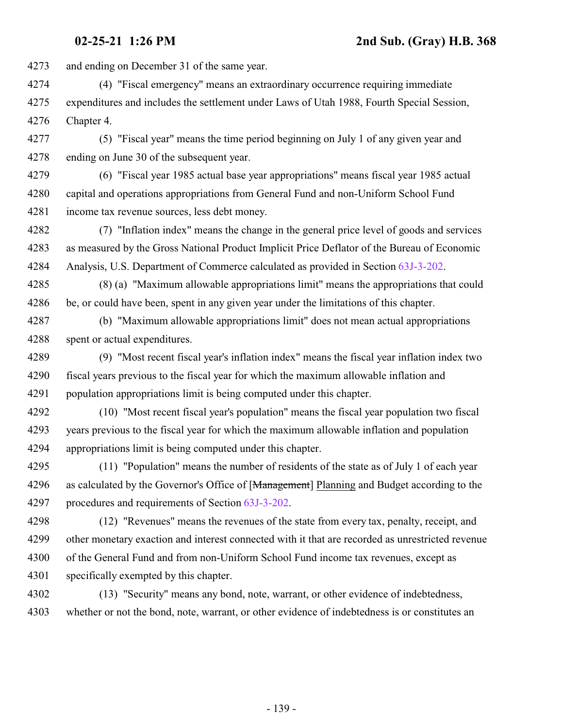and ending on December 31 of the same year.

 (4) "Fiscal emergency" means an extraordinary occurrence requiring immediate expenditures and includes the settlement under Laws of Utah 1988, Fourth Special Session, Chapter 4.

 (5) "Fiscal year" means the time period beginning on July 1 of any given year and ending on June 30 of the subsequent year.

 (6) "Fiscal year 1985 actual base year appropriations" means fiscal year 1985 actual capital and operations appropriations from General Fund and non-Uniform School Fund income tax revenue sources, less debt money.

 (7) "Inflation index" means the change in the general price level of goods and services as measured by the Gross National Product Implicit Price Deflator of the Bureau of Economic Analysis, U.S. Department of Commerce calculated as provided in Section [63J-3-202](#page-139-0).

 (8) (a) "Maximum allowable appropriations limit" means the appropriations that could be, or could have been, spent in any given year under the limitations of this chapter.

 (b) "Maximum allowable appropriations limit" does not mean actual appropriations spent or actual expenditures.

 (9) "Most recent fiscal year's inflation index" means the fiscal year inflation index two fiscal years previous to the fiscal year for which the maximum allowable inflation and population appropriations limit is being computed under this chapter.

 (10) "Most recent fiscal year's population" means the fiscal year population two fiscal years previous to the fiscal year for which the maximum allowable inflation and population appropriations limit is being computed under this chapter.

 (11) "Population" means the number of residents of the state as of July 1 of each year 4296 as calculated by the Governor's Office of [Management] Planning and Budget according to the procedures and requirements of Section [63J-3-202](#page-139-0).

 (12) "Revenues" means the revenues of the state from every tax, penalty, receipt, and other monetary exaction and interest connected with it that are recorded as unrestricted revenue of the General Fund and from non-Uniform School Fund income tax revenues, except as specifically exempted by this chapter.

 (13) "Security" means any bond, note, warrant, or other evidence of indebtedness, whether or not the bond, note, warrant, or other evidence of indebtedness is or constitutes an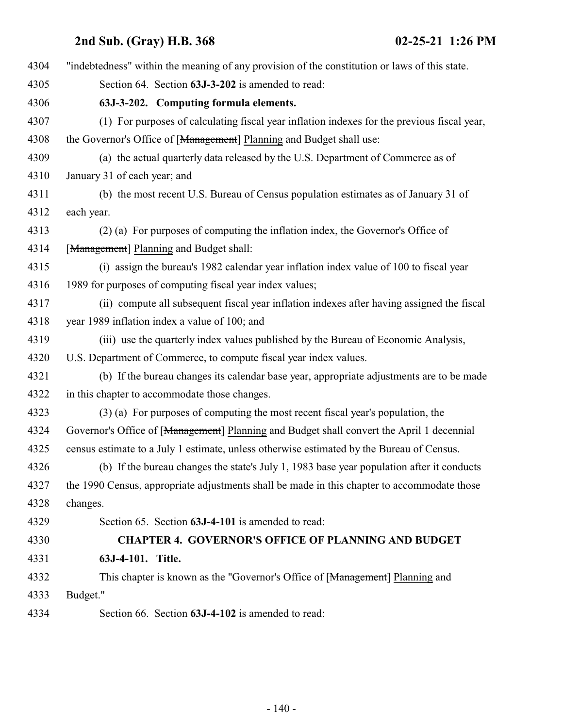<span id="page-139-0"></span>

| 4304 | "indebtedness" within the meaning of any provision of the constitution or laws of this state. |
|------|-----------------------------------------------------------------------------------------------|
| 4305 | Section 64. Section 63J-3-202 is amended to read:                                             |
| 4306 | 63J-3-202. Computing formula elements.                                                        |
| 4307 | (1) For purposes of calculating fiscal year inflation indexes for the previous fiscal year,   |
| 4308 | the Governor's Office of [Management] Planning and Budget shall use:                          |
| 4309 | (a) the actual quarterly data released by the U.S. Department of Commerce as of               |
| 4310 | January 31 of each year; and                                                                  |
| 4311 | (b) the most recent U.S. Bureau of Census population estimates as of January 31 of            |
| 4312 | each year.                                                                                    |
| 4313 | (2) (a) For purposes of computing the inflation index, the Governor's Office of               |
| 4314 | [Management] Planning and Budget shall:                                                       |
| 4315 | (i) assign the bureau's 1982 calendar year inflation index value of 100 to fiscal year        |
| 4316 | 1989 for purposes of computing fiscal year index values;                                      |
| 4317 | (ii) compute all subsequent fiscal year inflation indexes after having assigned the fiscal    |
| 4318 | year 1989 inflation index a value of 100; and                                                 |
| 4319 | (iii) use the quarterly index values published by the Bureau of Economic Analysis,            |
| 4320 | U.S. Department of Commerce, to compute fiscal year index values.                             |
| 4321 | (b) If the bureau changes its calendar base year, appropriate adjustments are to be made      |
| 4322 | in this chapter to accommodate those changes.                                                 |
| 4323 | (3) (a) For purposes of computing the most recent fiscal year's population, the               |
| 4324 | Governor's Office of [Management] Planning and Budget shall convert the April 1 decennial     |
| 4325 | census estimate to a July 1 estimate, unless otherwise estimated by the Bureau of Census.     |
| 4326 | (b) If the bureau changes the state's July 1, 1983 base year population after it conducts     |
| 4327 | the 1990 Census, appropriate adjustments shall be made in this chapter to accommodate those   |
| 4328 | changes.                                                                                      |
| 4329 | Section 65. Section 63J-4-101 is amended to read:                                             |
| 4330 | <b>CHAPTER 4. GOVERNOR'S OFFICE OF PLANNING AND BUDGET</b>                                    |
| 4331 | 63J-4-101. Title.                                                                             |
| 4332 | This chapter is known as the "Governor's Office of [Management] Planning and                  |
| 4333 | Budget."                                                                                      |
| 4334 | Section 66. Section 63J-4-102 is amended to read:                                             |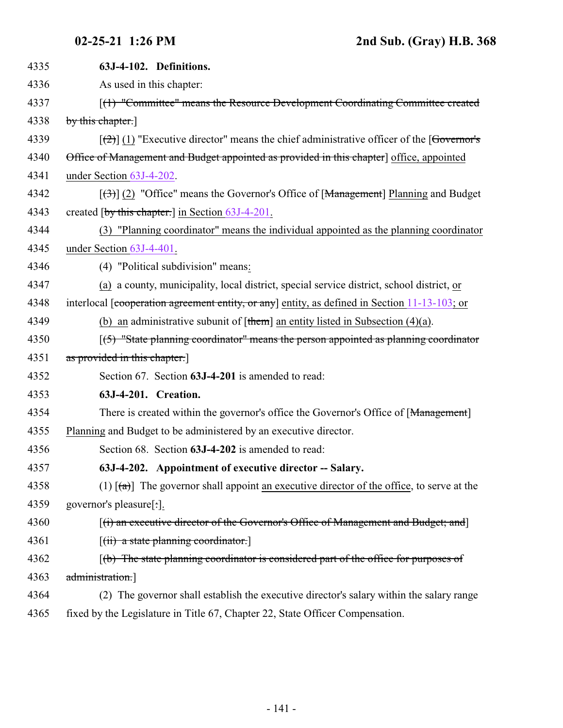<span id="page-140-1"></span><span id="page-140-0"></span>

| 4335 | 63J-4-102. Definitions.                                                                                 |
|------|---------------------------------------------------------------------------------------------------------|
| 4336 | As used in this chapter:                                                                                |
| 4337 | [(1) "Committee" means the Resource Development Coordinating Committee created                          |
| 4338 | by this chapter.                                                                                        |
| 4339 | $[\frac{1}{2}]$ (1) "Executive director" means the chief administrative officer of the [Governor's      |
| 4340 | Office of Management and Budget appointed as provided in this chapter] office, appointed                |
| 4341 | under Section 63J-4-202.                                                                                |
| 4342 | $[\langle 3\rangle]$ (2) "Office" means the Governor's Office of [Management] Planning and Budget       |
| 4343 | created $\lceil$ by this chapter. $\rceil$ in Section 63J-4-201.                                        |
| 4344 | (3) "Planning coordinator" means the individual appointed as the planning coordinator                   |
| 4345 | under Section 63J-4-401.                                                                                |
| 4346 | (4) "Political subdivision" means:                                                                      |
| 4347 | (a) a county, municipality, local district, special service district, school district, or               |
| 4348 | interlocal [cooperation agreement entity, or any] entity, as defined in Section 11-13-103; or           |
| 4349 | (b) an administrative subunit of $[\text{them}]$ an entity listed in Subsection (4)(a).                 |
| 4350 | $(5)$ "State planning coordinator" means the person appointed as planning coordinator                   |
| 4351 | as provided in this chapter.                                                                            |
| 4352 | Section 67. Section 63J-4-201 is amended to read:                                                       |
| 4353 | 63J-4-201. Creation.                                                                                    |
| 4354 | There is created within the governor's office the Governor's Office of [Management]                     |
| 4355 | Planning and Budget to be administered by an executive director.                                        |
| 4356 | Section 68. Section 63J-4-202 is amended to read:                                                       |
| 4357 | 63J-4-202. Appointment of executive director -- Salary.                                                 |
| 4358 | (1) $\lceil (a) \rceil$ The governor shall appoint an executive director of the office, to serve at the |
| 4359 | governor's pleasure[:].                                                                                 |
| 4360 | $[(i)$ an executive director of the Governor's Office of Management and Budget; and $]$                 |
| 4361 | $[(ii)$ a state planning coordinator.                                                                   |
| 4362 | $(t)$ The state planning coordinator is considered part of the office for purposes of                   |
| 4363 | administration.]                                                                                        |
| 4364 | (2) The governor shall establish the executive director's salary within the salary range                |
| 4365 | fixed by the Legislature in Title 67, Chapter 22, State Officer Compensation.                           |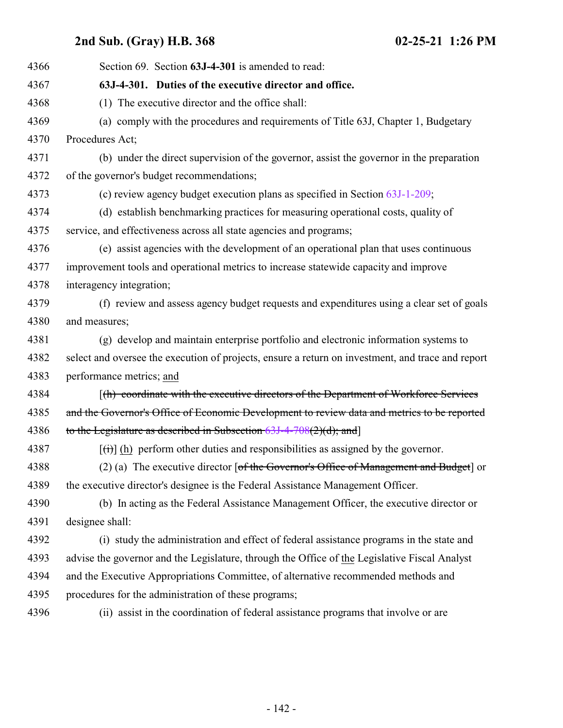<span id="page-141-0"></span>

| 4366 | Section 69. Section 63J-4-301 is amended to read:                                                        |
|------|----------------------------------------------------------------------------------------------------------|
| 4367 | 63J-4-301. Duties of the executive director and office.                                                  |
| 4368 | (1) The executive director and the office shall:                                                         |
| 4369 | (a) comply with the procedures and requirements of Title 63J, Chapter 1, Budgetary                       |
| 4370 | Procedures Act;                                                                                          |
| 4371 | (b) under the direct supervision of the governor, assist the governor in the preparation                 |
| 4372 | of the governor's budget recommendations;                                                                |
| 4373 | (c) review agency budget execution plans as specified in Section $63J-1-209$ ;                           |
| 4374 | (d) establish benchmarking practices for measuring operational costs, quality of                         |
| 4375 | service, and effectiveness across all state agencies and programs;                                       |
| 4376 | (e) assist agencies with the development of an operational plan that uses continuous                     |
| 4377 | improvement tools and operational metrics to increase statewide capacity and improve                     |
| 4378 | interagency integration;                                                                                 |
| 4379 | (f) review and assess agency budget requests and expenditures using a clear set of goals                 |
| 4380 | and measures;                                                                                            |
| 4381 | (g) develop and maintain enterprise portfolio and electronic information systems to                      |
| 4382 | select and oversee the execution of projects, ensure a return on investment, and trace and report        |
| 4383 | performance metrics; and                                                                                 |
| 4384 | [(h) coordinate with the executive directors of the Department of Workforce Services                     |
| 4385 | and the Governor's Office of Economic Development to review data and metrics to be reported              |
| 4386 | to the Legislature as described in Subsection $63J-4-708(2)(d)$ ; and                                    |
| 4387 | $\left[\frac{f(t)}{h}\right]$ (h) perform other duties and responsibilities as assigned by the governor. |
| 4388 | (2) (a) The executive director $\lceil$ of the Governor's Office of Management and Budget $\rceil$ or    |
| 4389 | the executive director's designee is the Federal Assistance Management Officer.                          |
| 4390 | (b) In acting as the Federal Assistance Management Officer, the executive director or                    |
| 4391 | designee shall:                                                                                          |
| 4392 | (i) study the administration and effect of federal assistance programs in the state and                  |
| 4393 | advise the governor and the Legislature, through the Office of the Legislative Fiscal Analyst            |
| 4394 | and the Executive Appropriations Committee, of alternative recommended methods and                       |
| 4395 | procedures for the administration of these programs;                                                     |
| 4396 | (ii) assist in the coordination of federal assistance programs that involve or are                       |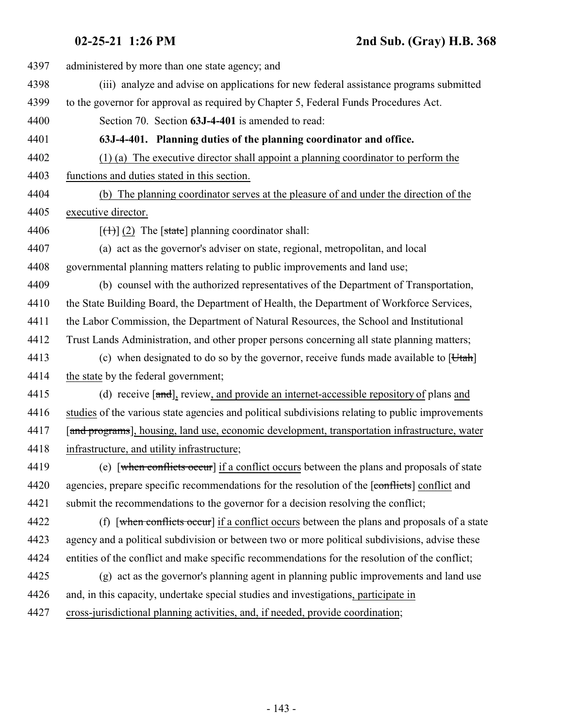<span id="page-142-0"></span>**02-25-21 1:26 PM 2nd Sub. (Gray) H.B. 368**

| 4397 | administered by more than one state agency; and                                                  |
|------|--------------------------------------------------------------------------------------------------|
| 4398 | (iii) analyze and advise on applications for new federal assistance programs submitted           |
| 4399 | to the governor for approval as required by Chapter 5, Federal Funds Procedures Act.             |
| 4400 | Section 70. Section 63J-4-401 is amended to read:                                                |
| 4401 | 63J-4-401. Planning duties of the planning coordinator and office.                               |
| 4402 | $(1)$ (a) The executive director shall appoint a planning coordinator to perform the             |
| 4403 | functions and duties stated in this section.                                                     |
| 4404 | (b) The planning coordinator serves at the pleasure of and under the direction of the            |
| 4405 | executive director.                                                                              |
| 4406 | $[\text{(+)}]$ (2) The [state] planning coordinator shall:                                       |
| 4407 | (a) act as the governor's adviser on state, regional, metropolitan, and local                    |
| 4408 | governmental planning matters relating to public improvements and land use;                      |
| 4409 | (b) counsel with the authorized representatives of the Department of Transportation,             |
| 4410 | the State Building Board, the Department of Health, the Department of Workforce Services,        |
| 4411 | the Labor Commission, the Department of Natural Resources, the School and Institutional          |
| 4412 | Trust Lands Administration, and other proper persons concerning all state planning matters;      |
| 4413 | (c) when designated to do so by the governor, receive funds made available to $[Utah]$           |
| 4414 | the state by the federal government;                                                             |
| 4415 | (d) receive [and], review, and provide an internet-accessible repository of plans and            |
| 4416 | studies of the various state agencies and political subdivisions relating to public improvements |
| 4417 | [and programs], housing, land use, economic development, transportation infrastructure, water    |
| 4418 | infrastructure, and utility infrastructure;                                                      |
| 4419 | (e) [when conflicts occur] if a conflict occurs between the plans and proposals of state         |
| 4420 | agencies, prepare specific recommendations for the resolution of the [conflicts] conflict and    |
| 4421 | submit the recommendations to the governor for a decision resolving the conflict;                |
| 4422 | (f) [when conflicts occur] if a conflict occurs between the plans and proposals of a state       |
| 4423 | agency and a political subdivision or between two or more political subdivisions, advise these   |
| 4424 | entities of the conflict and make specific recommendations for the resolution of the conflict;   |
| 4425 | (g) act as the governor's planning agent in planning public improvements and land use            |
| 4426 | and, in this capacity, undertake special studies and investigations, participate in              |
| 4427 | cross-jurisdictional planning activities, and, if needed, provide coordination;                  |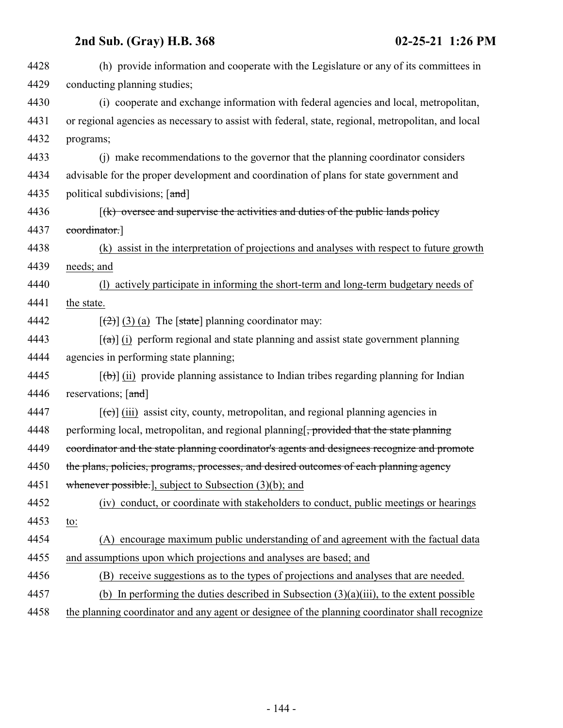| 4428 | (h) provide information and cooperate with the Legislature or any of its committees in                  |
|------|---------------------------------------------------------------------------------------------------------|
| 4429 | conducting planning studies;                                                                            |
| 4430 | (i) cooperate and exchange information with federal agencies and local, metropolitan,                   |
| 4431 | or regional agencies as necessary to assist with federal, state, regional, metropolitan, and local      |
| 4432 | programs;                                                                                               |
| 4433 | (i) make recommendations to the governor that the planning coordinator considers                        |
| 4434 | advisable for the proper development and coordination of plans for state government and                 |
| 4435 | political subdivisions; [and]                                                                           |
| 4436 | $f(k)$ oversee and supervise the activities and duties of the public lands policy                       |
| 4437 | coordinator.]                                                                                           |
| 4438 | (k) assist in the interpretation of projections and analyses with respect to future growth              |
| 4439 | needs; and                                                                                              |
| 4440 | actively participate in informing the short-term and long-term budgetary needs of<br>(1)                |
| 4441 | the state.                                                                                              |
| 4442 | $[\frac{1}{2}](3)$ (a) The [state] planning coordinator may:                                            |
| 4443 | $\left[\frac{1}{2}\right]$ (i) perform regional and state planning and assist state government planning |
| 4444 | agencies in performing state planning;                                                                  |
| 4445 | $[\theta$ ) (ii) provide planning assistance to Indian tribes regarding planning for Indian             |
| 4446 | reservations; [and]                                                                                     |
| 4447 | $[\text{e}^{-}]$ (iii) assist city, county, metropolitan, and regional planning agencies in             |
| 4448 | performing local, metropolitan, and regional planning <del>, provided that the state planning</del>     |
| 4449 | coordinator and the state planning coordinator's agents and designees recognize and promote             |
| 4450 | the plans, policies, programs, processes, and desired outcomes of each planning agency                  |
| 4451 | whenever possible.], subject to Subsection (3)(b); and                                                  |
| 4452 | (iv) conduct, or coordinate with stakeholders to conduct, public meetings or hearings                   |
| 4453 | to:                                                                                                     |
| 4454 | (A) encourage maximum public understanding of and agreement with the factual data                       |
| 4455 | and assumptions upon which projections and analyses are based; and                                      |
| 4456 | (B) receive suggestions as to the types of projections and analyses that are needed.                    |
| 4457 | In performing the duties described in Subsection $(3)(a)(iii)$ , to the extent possible<br>(b)          |
| 4458 | the planning coordinator and any agent or designee of the planning coordinator shall recognize          |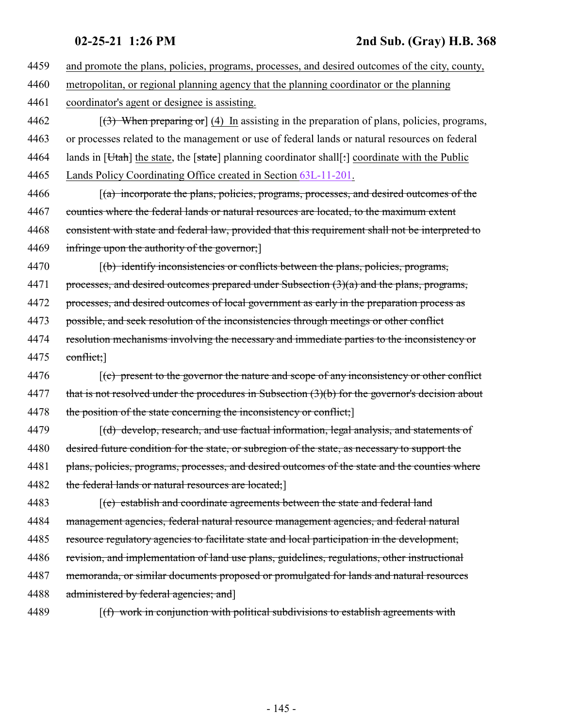4459 and promote the plans, policies, programs, processes, and desired outcomes of the city, county, 4460 metropolitan, or regional planning agency that the planning coordinator or the planning 4461 coordinator's agent or designee is assisting. 4462  $\left[\frac{3}{3}\right]$  When preparing or  $(4)$  In assisting in the preparation of plans, policies, programs, 4463 or processes related to the management or use of federal lands or natural resources on federal 4464 lands in [Utah] the state, the [state] planning coordinator shall[: coordinate with the Public 4465 Lands Policy Coordinating Office created in Section [63L-11-201](#page-222-0). 4466 *(a) incorporate the plans, policies, programs, processes, and desired outcomes of the* 4467 counties where the federal lands or natural resources are located, to the maximum extent 4468 consistent with state and federal law, provided that this requirement shall not be interpreted to 4469 infringe upon the authority of the governor; 4470 [(b) identify inconsistencies or conflicts between the plans, policies, programs, 4471 processes, and desired outcomes prepared under Subsection  $(3)(a)$  and the plans, programs, 4472 processes, and desired outcomes of local government as early in the preparation process as 4473 possible, and seek resolution of the inconsistencies through meetings or other conflict 4474 resolution mechanisms involving the necessary and immediate parties to the inconsistency or 4475 conflict; 4476 [(c) present to the governor the nature and scope of any inconsistency or other conflict 4477 that is not resolved under the procedures in Subsection (3)(b) for the governor's decision about 4478 the position of the state concerning the inconsistency or conflict; 4479 [(d) develop, research, and use factual information, legal analysis, and statements of 4480 desired future condition for the state, or subregion of the state, as necessary to support the 4481 plans, policies, programs, processes, and desired outcomes of the state and the counties where 4482 the federal lands or natural resources are located;] 4483 [(e) establish and coordinate agreements between the state and federal land 4484 management agencies, federal natural resource management agencies, and federal natural 4485 resource regulatory agencies to facilitate state and local participation in the development, 4486 revision, and implementation of land use plans, guidelines, regulations, other instructional 4487 memoranda, or similar documents proposed or promulgated for lands and natural resources 4488 administered by federal agencies; and 4489 [(f) work in conjunction with political subdivisions to establish agreements with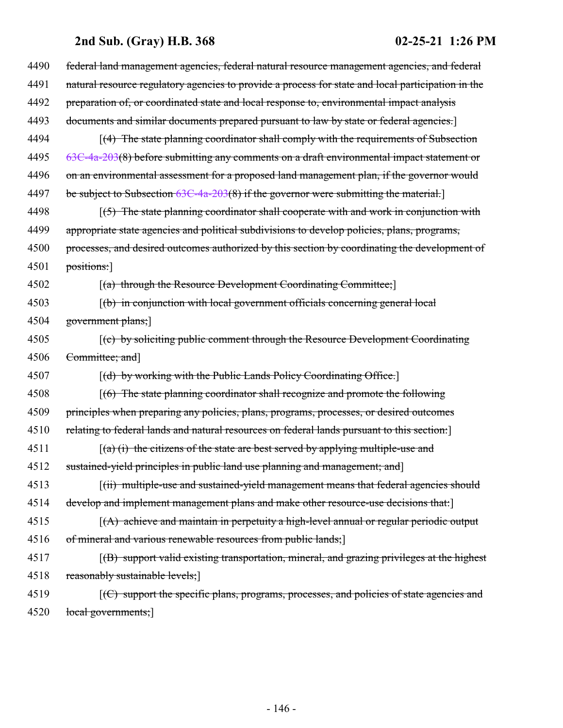| 4490 | federal land management agencies, federal natural resource management agencies, and federal        |
|------|----------------------------------------------------------------------------------------------------|
| 4491 | natural resource regulatory agencies to provide a process for state and local participation in the |
| 4492 | preparation of, or coordinated state and local response to, environmental impact analysis          |
| 4493 | documents and similar documents prepared pursuant to law by state or federal agencies.             |
| 4494 | $\lceil$ (4) The state planning coordinator shall comply with the requirements of Subsection       |
| 4495 | $63C-4a-203(8)$ before submitting any comments on a draft environmental impact statement or        |
| 4496 | on an environmental assessment for a proposed land management plan, if the governor would          |
| 4497 | be subject to Subsection 63C-4a-203(8) if the governor were submitting the material.               |
| 4498 | $(5)$ The state planning coordinator shall cooperate with and work in conjunction with             |
| 4499 | appropriate state agencies and political subdivisions to develop policies, plans, programs,        |
| 4500 | processes, and desired outcomes authorized by this section by coordinating the development of      |
| 4501 | positions:                                                                                         |
| 4502 | [(a) through the Resource Development Coordinating Committee;]                                     |
| 4503 | $(6)$ in conjunction with local government officials concerning general local                      |
| 4504 | government plans;]                                                                                 |
| 4505 | [(c) by soliciting public comment through the Resource Development Coordinating                    |
| 4506 | Committee; and]                                                                                    |
| 4507 | [(d) by working with the Public Lands Policy Coordinating Office.]                                 |
| 4508 | $(6)$ The state planning coordinator shall recognize and promote the following                     |
| 4509 | principles when preparing any policies, plans, programs, processes, or desired outcomes            |
| 4510 | relating to federal lands and natural resources on federal lands pursuant to this section.]        |
| 4511 | $(a)$ (i) the citizens of the state are best served by applying multiple-use and                   |
| 4512 | sustained-yield principles in public land use planning and management; and                         |
| 4513 | (ii) multiple-use and sustained-yield management means that federal agencies should                |
| 4514 | develop and implement management plans and make other resource-use decisions that:                 |
| 4515 | $(A)$ achieve and maintain in perpetuity a high-level annual or regular periodic output            |
| 4516 | of mineral and various renewable resources from public lands;                                      |
| 4517 | $(6)$ support valid existing transportation, mineral, and grazing privileges at the highest        |
| 4518 | reasonably sustainable levels;                                                                     |
| 4519 | $[ (C)$ support the specific plans, programs, processes, and policies of state agencies and        |
| 4520 | local governments;]                                                                                |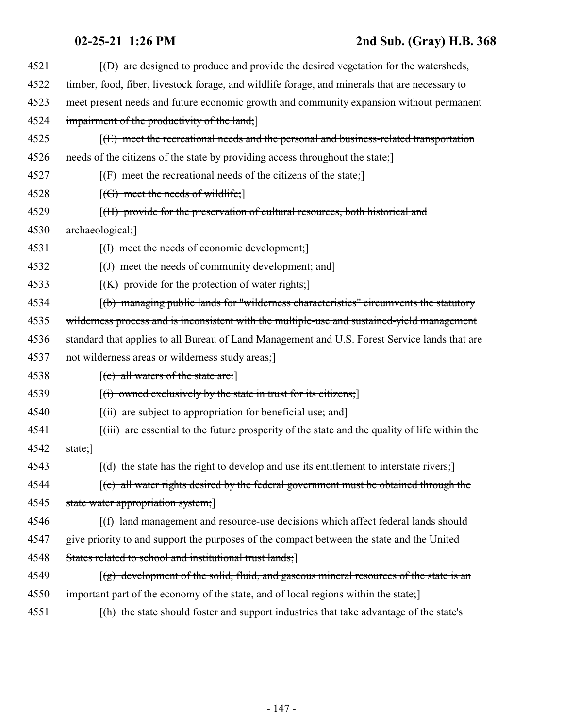| 4521 | $(6)$ are designed to produce and provide the desired vegetation for the watersheds,                                 |
|------|----------------------------------------------------------------------------------------------------------------------|
| 4522 | timber, food, fiber, livestock forage, and wildlife forage, and minerals that are necessary to                       |
| 4523 | meet present needs and future economic growth and community expansion without permanent                              |
| 4524 | impairment of the productivity of the land;                                                                          |
| 4525 | $f(E)$ meet the recreational needs and the personal and business-related transportation                              |
| 4526 | needs of the citizens of the state by providing access throughout the state;                                         |
| 4527 | $[f]$ meet the recreational needs of the citizens of the state;                                                      |
| 4528 | $[(G)$ meet the needs of wildlife;                                                                                   |
| 4529 | [(H) provide for the preservation of cultural resources, both historical and                                         |
| 4530 | archaeological;                                                                                                      |
| 4531 | $[(1)$ meet the needs of economic development;                                                                       |
| 4532 | $[(J)$ meet the needs of community development; and                                                                  |
| 4533 | $[(K)$ provide for the protection of water rights;                                                                   |
| 4534 | (b) managing public lands for "wilderness characteristics" circumvents the statutory                                 |
| 4535 | wilderness process and is inconsistent with the multiple-use and sustained-yield management                          |
| 4536 | standard that applies to all Bureau of Land Management and U.S. Forest Service lands that are                        |
| 4537 | not wilderness areas or wilderness study areas;                                                                      |
| 4538 | $[$ (c) all waters of the state are:                                                                                 |
| 4539 | $[(i)$ owned exclusively by the state in trust for its citizens;                                                     |
| 4540 | $[(ii)$ are subject to appropriation for beneficial use; and                                                         |
| 4541 | $\left[\left(i\right)\right]$ are essential to the future prosperity of the state and the quality of life within the |
| 4542 | $state;$ ]                                                                                                           |
| 4543 | $(d)$ the state has the right to develop and use its entitlement to interstate rivers;                               |
| 4544 | $\left[\text{(e)}\right]$ all water rights desired by the federal government must be obtained through the            |
| 4545 | state water appropriation system;                                                                                    |
| 4546 | [(f) land management and resource-use decisions which affect federal lands should                                    |
| 4547 | give priority to and support the purposes of the compact between the state and the United                            |
| 4548 | States related to school and institutional trust lands;                                                              |
| 4549 | $[(g)$ development of the solid, fluid, and gaseous mineral resources of the state is an                             |
| 4550 | important part of the economy of the state, and of local regions within the state;                                   |
| 4551 | [(h) the state should foster and support industries that take advantage of the state's                               |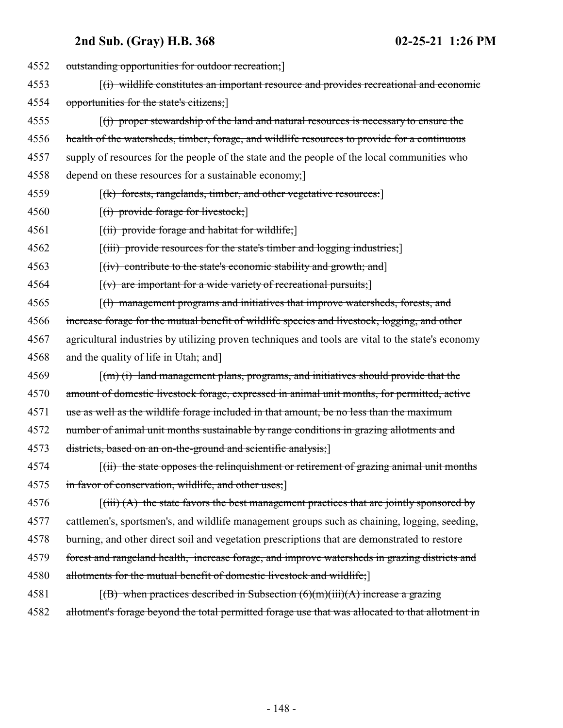| 4552 | outstanding opportunities for outdoor recreation;                                                                         |
|------|---------------------------------------------------------------------------------------------------------------------------|
| 4553 | [(i) wildlife constitutes an important resource and provides recreational and economic                                    |
| 4554 | opportunities for the state's citizens;                                                                                   |
| 4555 | $f(t)$ proper stewardship of the land and natural resources is necessary to ensure the                                    |
| 4556 | health of the watersheds, timber, forage, and wildlife resources to provide for a continuous                              |
| 4557 | supply of resources for the people of the state and the people of the local communities who                               |
| 4558 | depend on these resources for a sustainable economy;                                                                      |
| 4559 | [(k) forests, rangelands, timber, and other vegetative resources:]                                                        |
| 4560 | $[(i)$ provide forage for livestock;                                                                                      |
| 4561 | $[(ii)$ provide forage and habitat for wildlife;                                                                          |
| 4562 | $[(iii)$ provide resources for the state's timber and logging industries;                                                 |
| 4563 | $[(iv)$ contribute to the state's economic stability and growth; and                                                      |
| 4564 | $\left[\left(v\right)$ are important for a wide variety of recreational pursuits;                                         |
| 4565 | [(1) management programs and initiatives that improve watersheds, forests, and                                            |
| 4566 | increase forage for the mutual benefit of wildlife species and livestock, logging, and other                              |
| 4567 | agricultural industries by utilizing proven techniques and tools are vital to the state's economy                         |
| 4568 | and the quality of life in Utah; and]                                                                                     |
| 4569 | $\lceil (m) (i) \rceil$ land management plans, programs, and initiatives should provide that the                          |
| 4570 | amount of domestic livestock forage, expressed in animal unit months, for permitted, active                               |
| 4571 | use as well as the wildlife forage included in that amount, be no less than the maximum                                   |
| 4572 | number of animal unit months sustainable by range conditions in grazing allotments and                                    |
| 4573 | districts, based on an on-the-ground and scientific analysis;                                                             |
| 4574 | $(iii)$ the state opposes the relinquishment or retirement of grazing animal unit months                                  |
| 4575 | in favor of conservation, wildlife, and other uses;                                                                       |
| 4576 | $\left[\left(\frac{1}{111}\right)(A)\right]$ the state favors the best management practices that are jointly sponsored by |
| 4577 | cattlemen's, sportsmen's, and wildlife management groups such as chaining, logging, seeding,                              |
| 4578 | burning, and other direct soil and vegetation prescriptions that are demonstrated to restore                              |
| 4579 | forest and rangeland health, increase forage, and improve watersheds in grazing districts and                             |
| 4580 | allotments for the mutual benefit of domestic livestock and wildlife;]                                                    |
| 4581 | $[(B)$ when practices described in Subsection $(6)(m)(iii)(A)$ increase a grazing                                         |
| 4582 | allotment's forage beyond the total permitted forage use that was allocated to that allotment in                          |
|      |                                                                                                                           |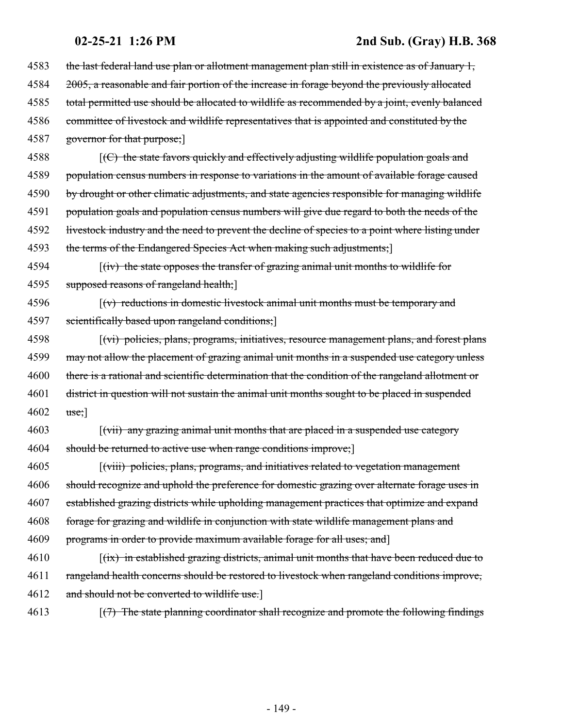the last federal land use plan or allotment management plan still in existence as of January 1, 2005, a reasonable and fair portion of the increase in forage beyond the previously allocated total permitted use should be allocated to wildlife as recommended by a joint, evenly balanced committee of livestock and wildlife representatives that is appointed and constituted by the 4587 governor for that purpose;  $\left\{\left(\frac{C}{C}\right)\right\}$  the state favors quickly and effectively adjusting wildlife population goals and population census numbers in response to variations in the amount of available forage caused 4590 by drought or other climatic adjustments, and state agencies responsible for managing wildlife population goals and population census numbers will give due regard to both the needs of the 4592 livestock industry and the need to prevent the decline of species to a point where listing under 4593 the terms of the Endangered Species Act when making such adjustments;] 4594 [(iv) the state opposes the transfer of grazing animal unit months to wildlife for 4595 supposed reasons of rangeland health;  $\lceil (v) \rceil$  reductions in domestic livestock animal unit months must be temporary and scientifically based upon rangeland conditions;] [(vi) policies, plans, programs, initiatives, resource management plans, and forest plans 4599 may not allow the placement of grazing animal unit months in a suspended use category unless there is a rational and scientific determination that the condition of the rangeland allotment or district in question will not sustain the animal unit months sought to be placed in suspended  $4602 \text{ use;}$  [(vii) any grazing animal unit months that are placed in a suspended use category 4604 should be returned to active use when range conditions improve; [(viii) policies, plans, programs, and initiatives related to vegetation management should recognize and uphold the preference for domestic grazing over alternate forage uses in established grazing districts while upholding management practices that optimize and expand forage for grazing and wildlife in conjunction with state wildlife management plans and programs in order to provide maximum available forage for all uses; and] 4610 [(ix) in established grazing districts, animal unit months that have been reduced due to rangeland health concerns should be restored to livestock when rangeland conditions improve, 4612 and should not be converted to wildlife use.] 4613 [(7) The state planning coordinator shall recognize and promote the following findings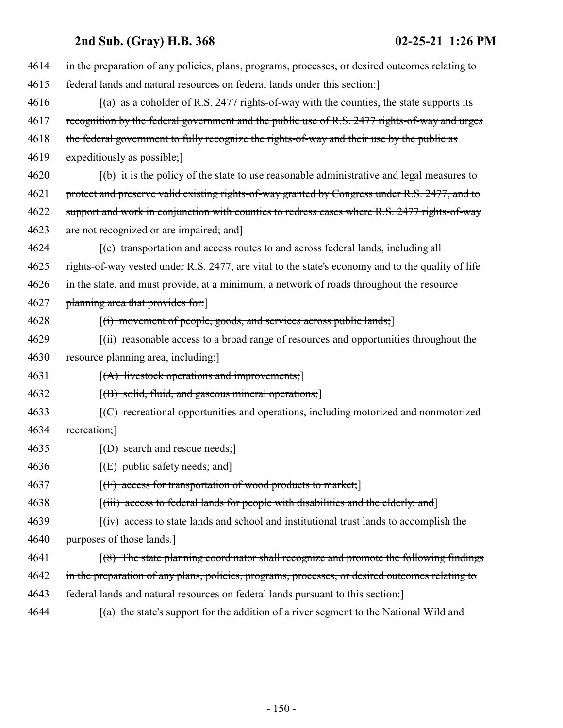| 4614 | in the preparation of any policies, plans, programs, processes, or desired outcomes relating to                 |
|------|-----------------------------------------------------------------------------------------------------------------|
| 4615 | federal lands and natural resources on federal lands under this section:                                        |
| 4616 | $(a)$ as a coholder of R.S. 2477 rights-of-way with the counties, the state supports its                        |
| 4617 | recognition by the federal government and the public use of R.S. 2477 rights-of-way and urges                   |
| 4618 | the federal government to fully recognize the rights-of-way and their use by the public as                      |
| 4619 | expeditiously as possible;                                                                                      |
| 4620 | $\left[\frac{b}{b}\right]$ it is the policy of the state to use reasonable administrative and legal measures to |
| 4621 | protect and preserve valid existing rights-of-way granted by Congress under R.S. 2477, and to                   |
| 4622 | support and work in conjunction with counties to redress cases where R.S. 2477 rights-of-way                    |
| 4623 | are not recognized or are impaired; and                                                                         |
| 4624 | $(c)$ transportation and access routes to and across federal lands, including all                               |
| 4625 | rights-of-way vested under R.S. 2477, are vital to the state's economy and to the quality of life               |
| 4626 | in the state, and must provide, at a minimum, a network of roads throughout the resource                        |
| 4627 | planning area that provides for:                                                                                |
| 4628 | $[(i)$ movement of people, goods, and services across public lands;                                             |
| 4629 | [(ii) reasonable access to a broad range of resources and opportunities throughout the                          |
| 4630 | resource planning area, including:                                                                              |
| 4631 | $[(A)$ livestock operations and improvements;                                                                   |
| 4632 | $[(B)$ solid, fluid, and gaseous mineral operations;                                                            |
| 4633 | $[$ (C) recreational opportunities and operations, including motorized and nonmotorized                         |
| 4634 | recreation;]                                                                                                    |
| 4635 | $[$ (D) search and rescue needs; $]$                                                                            |
| 4636 | [ <del>(E) public safety needs; and</del> ]                                                                     |
| 4637 | $[f]$ access for transportation of wood products to market;                                                     |
| 4638 | [(iii) access to federal lands for people with disabilities and the elderly; and]                               |
| 4639 | $f(iv)$ access to state lands and school and institutional trust lands to accomplish the                        |
| 4640 | purposes of those lands.                                                                                        |
| 4641 | $(8)$ The state planning coordinator shall recognize and promote the following findings                         |
| 4642 | in the preparation of any plans, policies, programs, processes, or desired outcomes relating to                 |
| 4643 | federal lands and natural resources on federal lands pursuant to this section.                                  |
| 4644 | [(a) the state's support for the addition of a river segment to the National Wild and                           |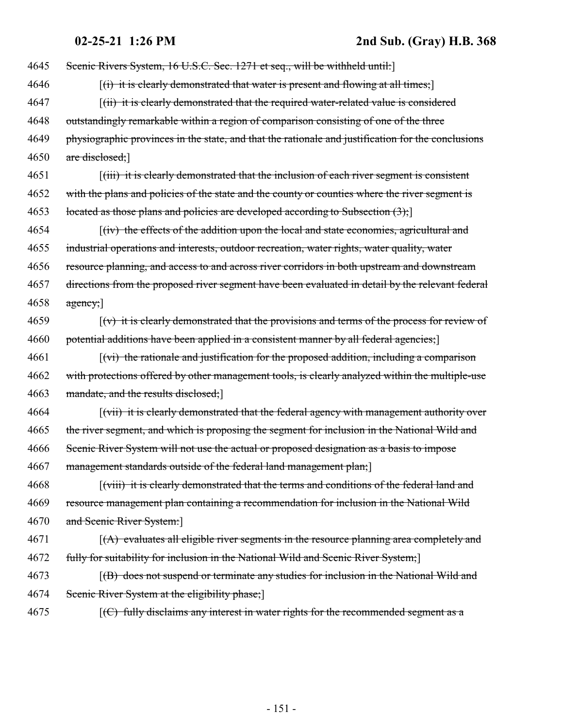4645 Scenic Rivers System, 16 U.S.C. Sec. 1271 et seq., will be withheld until: 4646 [(i) it is clearly demonstrated that water is present and flowing at all times; 4647 [(ii) it is clearly demonstrated that the required water-related value is considered 4648 outstandingly remarkable within a region of comparison consisting of one of the three 4649 physiographic provinces in the state, and that the rationale and justification for the conclusions 4650 are disclosed; 4651 [(iii) it is clearly demonstrated that the inclusion of each river segment is consistent 4652 with the plans and policies of the state and the county or counties where the river segment is 4653 located as those plans and policies are developed according to Subsection  $(3)$ ; 4654 [(iv) the effects of the addition upon the local and state economies, agricultural and 4655 industrial operations and interests, outdoor recreation, water rights, water quality, water 4656 resource planning, and access to and across river corridors in both upstream and downstream 4657 directions from the proposed river segment have been evaluated in detail by the relevant federal  $4658$  agency;  $4659$  [(v) it is clearly demonstrated that the provisions and terms of the process for review of 4660 potential additions have been applied in a consistent manner by all federal agencies;  $4661$  [(vi) the rationale and justification for the proposed addition, including a comparison 4662 with protections offered by other management tools, is clearly analyzed within the multiple-use 4663 mandate, and the results disclosed; 4664 *(vii) it is clearly demonstrated that the federal agency with management authority over* 4665 the river segment, and which is proposing the segment for inclusion in the National Wild and 4666 Scenic River System will not use the actual or proposed designation as a basis to impose 4667 management standards outside of the federal land management plan; 4668 [(viii) it is clearly demonstrated that the terms and conditions of the federal land and 4669 resource management plan containing a recommendation for inclusion in the National Wild 4670 and Scenic River System:]  $(4671$  [ $(A)$  evaluates all eligible river segments in the resource planning area completely and 4672 fully for suitability for inclusion in the National Wild and Scenic River System;] 4673 [(B) does not suspend or terminate any studies for inclusion in the National Wild and 4674 Scenic River System at the eligibility phase; 4675 [(C) fully disclaims any interest in water rights for the recommended segment as a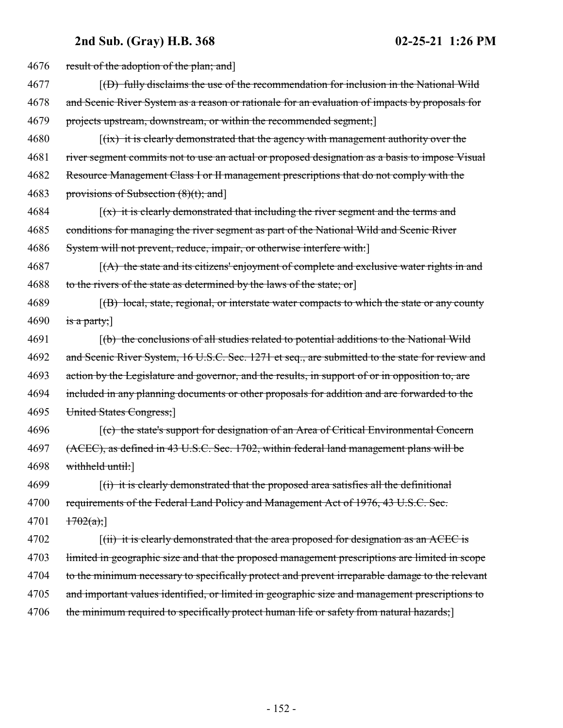| 4676 | result of the adoption of the plan; and                                                                              |
|------|----------------------------------------------------------------------------------------------------------------------|
| 4677 | $(6)$ fully disclaims the use of the recommendation for inclusion in the National Wild                               |
| 4678 | and Scenic River System as a reason or rationale for an evaluation of impacts by proposals for                       |
| 4679 | projects upstream, downstream, or within the recommended segment;                                                    |
| 4680 | $\left[\frac{f\{tx\}}{f\{tx\}}\right]$ it is clearly demonstrated that the agency with management authority over the |
| 4681 | river segment commits not to use an actual or proposed designation as a basis to impose Visual                       |
| 4682 | Resource Management Class I or II management prescriptions that do not comply with the                               |
| 4683 | provisions of Subsection $(8)(t)$ ; and                                                                              |
| 4684 | $(x)$ it is clearly demonstrated that including the river segment and the terms and                                  |
| 4685 | conditions for managing the river segment as part of the National Wild and Scenic River                              |
| 4686 | System will not prevent, reduce, impair, or otherwise interfere with:                                                |
| 4687 | $(A)$ the state and its citizens' enjoyment of complete and exclusive water rights in and                            |
| 4688 | to the rivers of the state as determined by the laws of the state; or                                                |
| 4689 | [(B) local, state, regional, or interstate water compacts to which the state or any county                           |
| 4690 | is a party;                                                                                                          |
| 4691 | (b) the conclusions of all studies related to potential additions to the National Wild                               |
| 4692 | and Scenic River System, 16 U.S.C. Sec. 1271 et seq., are submitted to the state for review and                      |
| 4693 | action by the Legislature and governor, and the results, in support of or in opposition to, are                      |
| 4694 | included in any planning documents or other proposals for addition and are forwarded to the                          |
| 4695 | United States Congress;                                                                                              |
| 4696 | [(c) the state's support for designation of an Area of Critical Environmental Concern                                |
| 4697 | (ACEC), as defined in 43 U.S.C. Sec. 1702, within federal land management plans will be                              |
| 4698 | withheld until:                                                                                                      |
| 4699 | $(i)$ it is clearly demonstrated that the proposed area satisfies all the definitional                               |
| 4700 | requirements of the Federal Land Policy and Management Act of 1976, 43 U.S.C. Sec.                                   |
| 4701 | 1702(a);                                                                                                             |
| 4702 | $\lceil$ (ii) it is clearly demonstrated that the area proposed for designation as an ACEC is                        |
| 4703 | limited in geographic size and that the proposed management prescriptions are limited in scope                       |
| 4704 | to the minimum necessary to specifically protect and prevent irreparable damage to the relevant                      |
| 4705 | and important values identified, or limited in geographic size and management prescriptions to                       |
| 4706 | the minimum required to specifically protect human life or safety from natural hazards;                              |
|      |                                                                                                                      |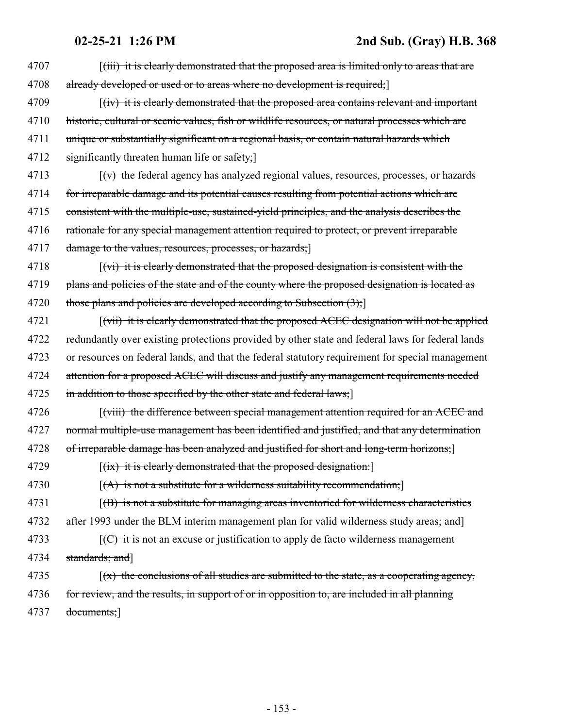| 4707 | [ <i>(iii)</i> it is clearly demonstrated that the proposed area is limited only to areas that are              |
|------|-----------------------------------------------------------------------------------------------------------------|
| 4708 | already developed or used or to areas where no development is required;                                         |
| 4709 | [(iv) it is clearly demonstrated that the proposed area contains relevant and important                         |
| 4710 | historic, cultural or scenic values, fish or wildlife resources, or natural processes which are                 |
| 4711 | unique or substantially significant on a regional basis, or contain natural hazards which                       |
| 4712 | significantly threaten human life or safety;                                                                    |
| 4713 | $\left[\left(v\right)\right]$ the federal agency has analyzed regional values, resources, processes, or hazards |
| 4714 | for irreparable damage and its potential causes resulting from potential actions which are                      |
| 4715 | consistent with the multiple-use, sustained-yield principles, and the analysis describes the                    |
| 4716 | rationale for any special management attention required to protect, or prevent irreparable                      |
| 4717 | damage to the values, resources, processes, or hazards;                                                         |
| 4718 | $\lceil$ (vi) it is clearly demonstrated that the proposed designation is consistent with the                   |
| 4719 | plans and policies of the state and of the county where the proposed designation is located as                  |
| 4720 | those plans and policies are developed according to Subsection $(3)$ ;                                          |
| 4721 | [(vii) it is clearly demonstrated that the proposed ACEC designation will not be applied                        |
| 4722 | redundantly over existing protections provided by other state and federal laws for federal lands                |
| 4723 | or resources on federal lands, and that the federal statutory requirement for special management                |
| 4724 | attention for a proposed ACEC will discuss and justify any management requirements needed                       |
| 4725 | in addition to those specified by the other state and federal laws;                                             |
| 4726 | [(viii) the difference between special management attention required for an ACEC and                            |
| 4727 | normal multiple-use management has been identified and justified, and that any determination                    |
| 4728 | of irreparable damage has been analyzed and justified for short and long-term horizons;]                        |
| 4729 | $[(ix)$ it is clearly demonstrated that the proposed designation:                                               |
| 4730 | $[(A)$ is not a substitute for a wilderness suitability recommendation;                                         |
| 4731 | $f(B)$ is not a substitute for managing areas inventoried for wilderness characteristics                        |
| 4732 | after 1993 under the BLM interim management plan for valid wilderness study areas; and                          |
| 4733 | $f(C)$ it is not an excuse or justification to apply de facto wilderness management                             |
| 4734 | standards; and]                                                                                                 |
| 4735 | $(x)$ the conclusions of all studies are submitted to the state, as a cooperating agency,                       |
| 4736 | for review, and the results, in support of or in opposition to, are included in all planning                    |
| 4737 | documents;                                                                                                      |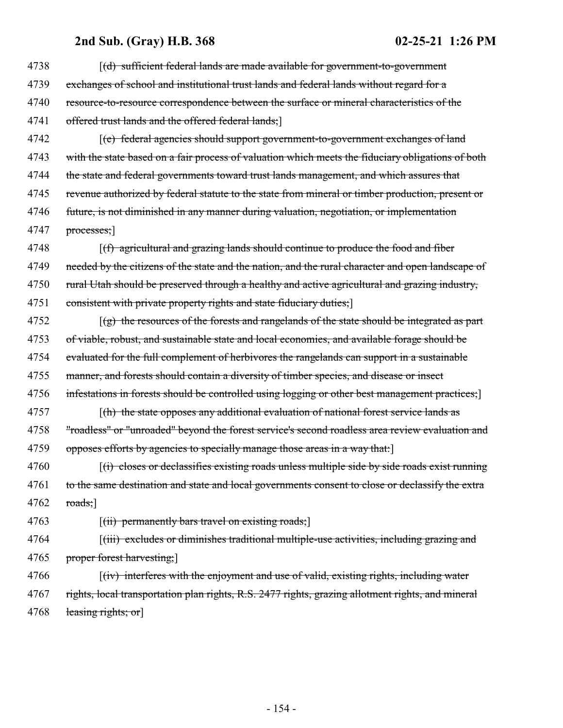| 4738 | [(d) sufficient federal lands are made available for government-to-government                        |
|------|------------------------------------------------------------------------------------------------------|
| 4739 | exchanges of school and institutional trust lands and federal lands without regard for a             |
| 4740 | resource-to-resource correspondence between the surface or mineral characteristics of the            |
| 4741 | offered trust lands and the offered federal lands;                                                   |
| 4742 | $\left[\text{(e)}\right]$ federal agencies should support government-to-government exchanges of land |
| 4743 | with the state based on a fair process of valuation which meets the fiduciary obligations of both    |
| 4744 | the state and federal governments toward trust lands management, and which assures that              |
| 4745 | revenue authorized by federal statute to the state from mineral or timber production, present or     |
| 4746 | future, is not diminished in any manner during valuation, negotiation, or implementation             |
| 4747 | $processes$ ;                                                                                        |
| 4748 | $(f)$ agricultural and grazing lands should continue to produce the food and fiber                   |
| 4749 | needed by the citizens of the state and the nation, and the rural character and open landscape of    |
| 4750 | rural Utah should be preserved through a healthy and active agricultural and grazing industry,       |
| 4751 | consistent with private property rights and state fiduciary duties;                                  |
| 4752 | $\lceil$ (g) the resources of the forests and rangelands of the state should be integrated as part   |
| 4753 | of viable, robust, and sustainable state and local economies, and available forage should be         |
| 4754 | evaluated for the full complement of herbivores the rangelands can support in a sustainable          |
| 4755 | manner, and forests should contain a diversity of timber species, and disease or insect              |
| 4756 | infestations in forests should be controlled using logging or other best management practices;       |
| 4757 | $\lceil$ (h) the state opposes any additional evaluation of national forest service lands as         |
| 4758 | "roadless" or "unroaded" beyond the forest service's second roadless area review evaluation and      |
| 4759 | opposes efforts by agencies to specially manage those areas in a way that:                           |
| 4760 | $f(t)$ closes or declassifies existing roads unless multiple side by side roads exist running        |
| 4761 | to the same destination and state and local governments consent to close or declassify the extra     |
| 4762 | $\text{roads;}$                                                                                      |
| 4763 | $\left[\left(\text{iii}\right)$ permanently bars travel on existing roads;                           |
| 4764 | [(iii) excludes or diminishes traditional multiple-use activities, including grazing and             |
| 4765 | proper forest harvesting;                                                                            |
| 4766 | $f(iv)$ interferes with the enjoyment and use of valid, existing rights, including water             |
| 4767 | rights, local transportation plan rights, R.S. 2477 rights, grazing allotment rights, and mineral    |
| 4768 | leasing rights; or                                                                                   |
|      |                                                                                                      |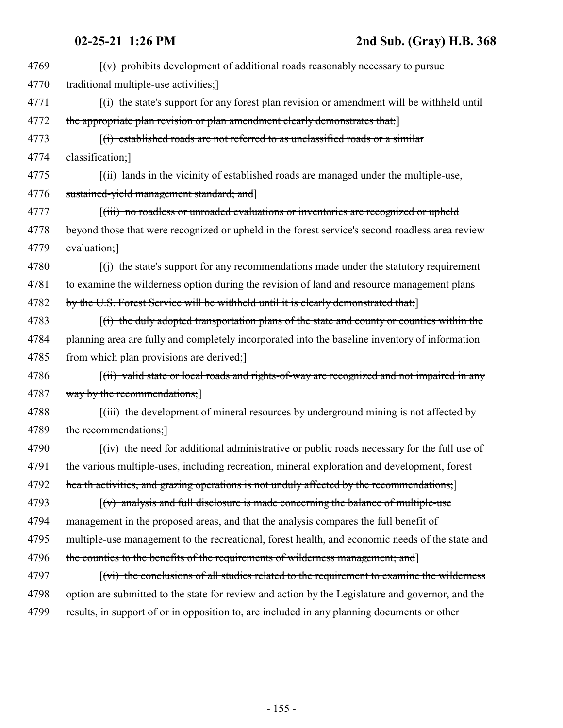| 4769 | $\left[\left(v\right)$ prohibits development of additional roads reasonably necessary to pursue                    |
|------|--------------------------------------------------------------------------------------------------------------------|
| 4770 | traditional multiple-use activities;                                                                               |
| 4771 | $(i)$ the state's support for any forest plan revision or amendment will be withheld until                         |
| 4772 | the appropriate plan revision or plan amendment clearly demonstrates that:                                         |
| 4773 | $(i)$ established roads are not referred to as unclassified roads or a similar                                     |
| 4774 | classification;]                                                                                                   |
| 4775 | $(iii)$ lands in the vicinity of established roads are managed under the multiple-use,                             |
| 4776 | sustained-yield management standard; and]                                                                          |
| 4777 | [(iii) no roadless or unroaded evaluations or inventories are recognized or upheld                                 |
| 4778 | beyond those that were recognized or upheld in the forest service's second roadless area review                    |
| 4779 | evaluation;]                                                                                                       |
| 4780 | $(f)$ the state's support for any recommendations made under the statutory requirement                             |
| 4781 | to examine the wilderness option during the revision of land and resource management plans                         |
| 4782 | by the U.S. Forest Service will be withheld until it is clearly demonstrated that:                                 |
| 4783 | $\left[\right(\mathbf{r})$ the duly adopted transportation plans of the state and county or counties within the    |
| 4784 | planning area are fully and completely incorporated into the baseline inventory of information                     |
| 4785 | from which plan provisions are derived;                                                                            |
| 4786 | $f(ii)$ valid state or local roads and rights-of-way are recognized and not impaired in any                        |
| 4787 | way by the recommendations;                                                                                        |
| 4788 | $\left[\left(i\right)\right]$ the development of mineral resources by underground mining is not affected by        |
| 4789 | the recommendations;]                                                                                              |
| 4790 | $f(iv)$ the need for additional administrative or public roads necessary for the full use of                       |
| 4791 | the various multiple-uses, including recreation, mineral exploration and development, forest                       |
| 4792 | health activities, and grazing operations is not unduly affected by the recommendations;                           |
| 4793 | $\lceil (v) \rceil$ analysis and full disclosure is made concerning the balance of multiple-use                    |
| 4794 | management in the proposed areas, and that the analysis compares the full benefit of                               |
| 4795 | multiple-use management to the recreational, forest health, and economic needs of the state and                    |
| 4796 | the counties to the benefits of the requirements of wilderness management; and                                     |
| 4797 | $\left[\frac{v_i}{v_i}\right]$ the conclusions of all studies related to the requirement to examine the wilderness |
| 4798 | option are submitted to the state for review and action by the Legislature and governor, and the                   |
| 4799 | results, in support of or in opposition to, are included in any planning documents or other                        |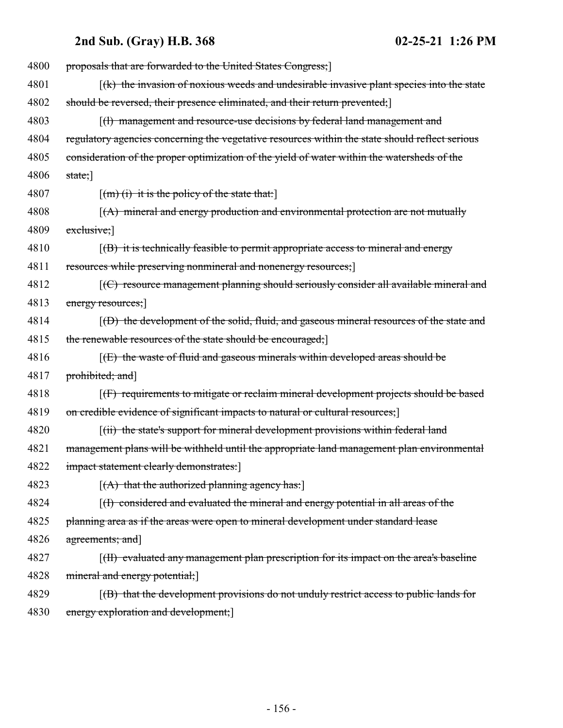| 4800 | proposals that are forwarded to the United States Congress;                                            |
|------|--------------------------------------------------------------------------------------------------------|
| 4801 | $f(k)$ the invasion of noxious weeds and undesirable invasive plant species into the state             |
| 4802 | should be reversed, their presence eliminated, and their return prevented;                             |
| 4803 | $\left  \frac{1}{1} \right $ management and resource-use decisions by federal land management and      |
| 4804 | regulatory agencies concerning the vegetative resources within the state should reflect serious        |
| 4805 | consideration of the proper optimization of the yield of water within the watersheds of the            |
| 4806 | $stat$ ;                                                                                               |
| 4807 | $\lceil (m)$ (i) it is the policy of the state that:                                                   |
| 4808 | $\left[\right(A)\right]$ mineral and energy production and environmental protection are not mutually   |
| 4809 | $ext{ext{tusive}}$                                                                                     |
| 4810 | $\left[\right(\text{B})$ it is technically feasible to permit appropriate access to mineral and energy |
| 4811 | resources while preserving nonmineral and nonenergy resources;                                         |
| 4812 | $[$ (C) resource management planning should seriously consider all available mineral and               |
| 4813 | energy resources;                                                                                      |
| 4814 | $(6)$ the development of the solid, fluid, and gaseous mineral resources of the state and              |
| 4815 | the renewable resources of the state should be encouraged;                                             |
| 4816 | $[1]$ (E) the waste of fluid and gaseous minerals within developed areas should be                     |
| 4817 | prohibited; and]                                                                                       |
| 4818 | [(F) requirements to mitigate or reclaim mineral development projects should be based                  |
| 4819 | on credible evidence of significant impacts to natural or cultural resources;]                         |
| 4820 | [(ii) the state's support for mineral development provisions within federal land                       |
| 4821 | management plans will be withheld until the appropriate land management plan environmental             |
| 4822 | impact statement clearly demonstrates:                                                                 |
| 4823 | $[(A)$ that the authorized planning agency has:                                                        |
| 4824 | $(f)$ considered and evaluated the mineral and energy potential in all areas of the                    |
| 4825 | planning area as if the areas were open to mineral development under standard lease                    |
| 4826 | agreements; and]                                                                                       |
| 4827 | [(H) evaluated any management plan prescription for its impact on the area's baseline                  |
| 4828 | mineral and energy potential;                                                                          |
| 4829 | $f(B)$ that the development provisions do not unduly restrict access to public lands for               |
| 4830 | energy exploration and development;                                                                    |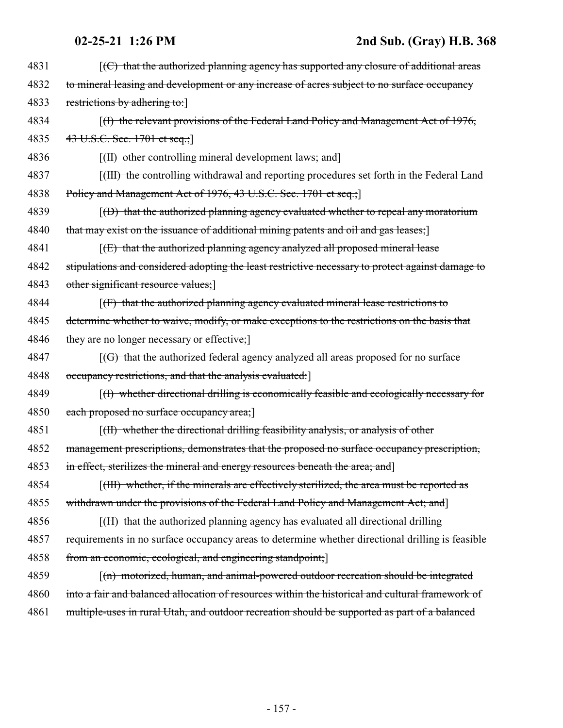| 4831 | $\left[\left(\frac{C}{C}\right)$ that the authorized planning agency has supported any closure of additional areas |
|------|--------------------------------------------------------------------------------------------------------------------|
| 4832 | to mineral leasing and development or any increase of acres subject to no surface occupancy                        |
| 4833 | restrictions by adhering to:                                                                                       |
| 4834 | $(1)$ the relevant provisions of the Federal Land Policy and Management Act of 1976,                               |
| 4835 | 43 U.S.C. Sec. 1701 et seq.;                                                                                       |
| 4836 | [(II) other controlling mineral development laws; and]                                                             |
| 4837 | [(III) the controlling withdrawal and reporting procedures set forth in the Federal Land                           |
| 4838 | Policy and Management Act of 1976, 43 U.S.C. Sec. 1701 et seq.;                                                    |
| 4839 | $(6)$ that the authorized planning agency evaluated whether to repeal any moratorium                               |
| 4840 | that may exist on the issuance of additional mining patents and oil and gas leases;                                |
| 4841 | $f(E)$ that the authorized planning agency analyzed all proposed mineral lease                                     |
| 4842 | stipulations and considered adopting the least restrictive necessary to protect against damage to                  |
| 4843 | other significant resource values;                                                                                 |
| 4844 | $[f]$ that the authorized planning agency evaluated mineral lease restrictions to                                  |
| 4845 | determine whether to waive, modify, or make exceptions to the restrictions on the basis that                       |
| 4846 | they are no longer necessary or effective;                                                                         |
| 4847 | $\left[\left(\text{G}\right)$ that the authorized federal agency analyzed all areas proposed for no surface        |
| 4848 | occupancy restrictions, and that the analysis evaluated:                                                           |
| 4849 | $(f)$ whether directional drilling is economically feasible and ecologically necessary for                         |
| 4850 | each proposed no surface occupancy area;                                                                           |
| 4851 | $\left[\right(H\right)$ whether the directional drilling feasibility analysis, or analysis of other                |
| 4852 | management prescriptions, demonstrates that the proposed no surface occupancy prescription,                        |
| 4853 | in effect, sterilizes the mineral and energy resources beneath the area; and]                                      |
| 4854 | [(HI) whether, if the minerals are effectively sterilized, the area must be reported as                            |
| 4855 | withdrawn under the provisions of the Federal Land Policy and Management Act; and                                  |
| 4856 | [(II) that the authorized planning agency has evaluated all directional drilling                                   |
| 4857 | requirements in no surface occupancy areas to determine whether directional drilling is feasible                   |
| 4858 | from an economic, ecological, and engineering standpoint;                                                          |
| 4859 | $\lceil$ (n) motorized, human, and animal-powered outdoor recreation should be integrated                          |
| 4860 | into a fair and balanced allocation of resources within the historical and cultural framework of                   |
| 4861 | multiple-uses in rural Utah, and outdoor recreation should be supported as part of a balanced                      |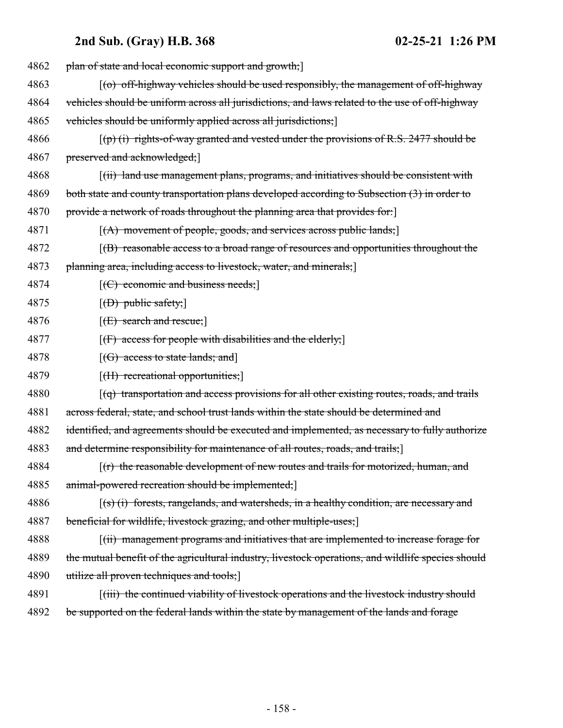| 4862 | plan of state and local economic support and growth;                                               |
|------|----------------------------------------------------------------------------------------------------|
| 4863 | [(o) off-highway vehicles should be used responsibly, the management of off-highway                |
| 4864 | vehicles should be uniform across all jurisdictions, and laws related to the use of off-highway    |
| 4865 | vehicles should be uniformly applied across all jurisdictions;                                     |
| 4866 | $\lceil$ (p) (i) rights-of-way granted and vested under the provisions of R.S. 2477 should be      |
| 4867 | preserved and acknowledged;                                                                        |
| 4868 | [(ii) land use management plans, programs, and initiatives should be consistent with               |
| 4869 | both state and county transportation plans developed according to Subsection (3) in order to       |
| 4870 | provide a network of roads throughout the planning area that provides for:                         |
| 4871 | $[(A)$ movement of people, goods, and services across public lands;                                |
| 4872 | $f(B)$ reasonable access to a broad range of resources and opportunities throughout the            |
| 4873 | planning area, including access to livestock, water, and minerals;                                 |
| 4874 | $[ (C)$ economic and business needs;                                                               |
| 4875 | $[$ ( <del>D)</del> public safety;                                                                 |
| 4876 | $[1]$ search and rescue;                                                                           |
| 4877 | $[f]$ access for people with disabilities and the elderly;                                         |
| 4878 | $[(G)$ access to state lands; and                                                                  |
| 4879 | [ <del>(II) recreational opportunities;</del> ]                                                    |
| 4880 | $\lceil$ (q) transportation and access provisions for all other existing routes, roads, and trails |
| 4881 | across federal, state, and school trust lands within the state should be determined and            |
| 4882 | identified, and agreements should be executed and implemented, as necessary to fully authorize     |
| 4883 | and determine responsibility for maintenance of all routes, roads, and trails;                     |
| 4884 | $(r)$ the reasonable development of new routes and trails for motorized, human, and                |
| 4885 | animal-powered recreation should be implemented;                                                   |
| 4886 | $(s)$ (i) forests, rangelands, and watersheds, in a healthy condition, are necessary and           |
| 4887 | beneficial for wildlife, livestock grazing, and other multiple-uses;                               |
| 4888 | [(ii) management programs and initiatives that are implemented to increase forage for              |
| 4889 | the mutual benefit of the agricultural industry, livestock operations, and wildlife species should |
| 4890 | utilize all proven techniques and tools;                                                           |
| 4891 | ((iii) the continued viability of livestock operations and the livestock industry should           |
| 4892 | be supported on the federal lands within the state by management of the lands and forage           |
|      |                                                                                                    |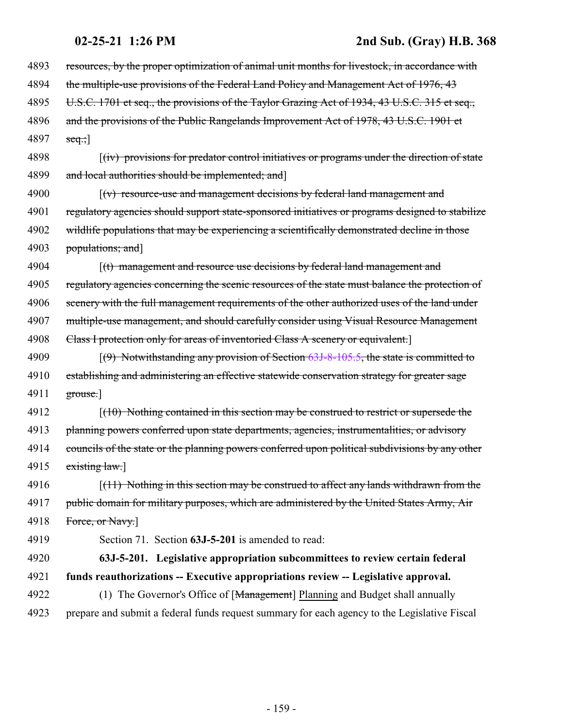| 4893 | resources, by the proper optimization of animal unit months for livestock, in accordance with                 |
|------|---------------------------------------------------------------------------------------------------------------|
| 4894 | the multiple-use provisions of the Federal Land Policy and Management Act of 1976, 43                         |
| 4895 | U.S.C. 1701 et seq., the provisions of the Taylor Grazing Act of 1934, 43 U.S.C. 315 et seq.,                 |
| 4896 | and the provisions of the Public Rangelands Improvement Act of 1978, 43 U.S.C. 1901 et                        |
| 4897 | $seq$ ;                                                                                                       |
| 4898 | $f(iv)$ provisions for predator control initiatives or programs under the direction of state                  |
| 4899 | and local authorities should be implemented; and                                                              |
| 4900 | $\left[\left(v\right)$ resource-use and management decisions by federal land management and                   |
| 4901 | regulatory agencies should support state-sponsored initiatives or programs designed to stabilize              |
| 4902 | wildlife populations that may be experiencing a scientifically demonstrated decline in those                  |
| 4903 | populations; and]                                                                                             |
| 4904 | $\left\lceil\left(t\right) \right\rceil$ management and resource use decisions by federal land management and |
| 4905 | regulatory agencies concerning the scenic resources of the state must balance the protection of               |
| 4906 | scenery with the full management requirements of the other authorized uses of the land under                  |
| 4907 | multiple-use management, and should carefully consider using Visual Resource Management                       |
| 4908 | Class I protection only for areas of inventoried Class A scenery or equivalent.]                              |
| 4909 | $(9)$ Notwithstanding any provision of Section 63J-8-105.5, the state is committed to                         |
| 4910 | establishing and administering an effective statewide conservation strategy for greater sage                  |
| 4911 | $\left[\frac{\text{grouse.}}{\text{grouse.}}\right]$                                                          |
| 4912 | $(10)$ Nothing contained in this section may be construed to restrict or supersede the                        |
| 4913 | planning powers conferred upon state departments, agencies, instrumentalities, or advisory                    |
| 4914 | councils of the state or the planning powers conferred upon political subdivisions by any other               |
| 4915 | extting law.]                                                                                                 |
| 4916 | $(11)$ Nothing in this section may be construed to affect any lands withdrawn from the                        |
| 4917 | public domain for military purposes, which are administered by the United States Army, Air                    |
| 4918 | Force, or Navy.]                                                                                              |
| 4919 | Section 71. Section 63J-5-201 is amended to read:                                                             |
| 4920 | 63J-5-201. Legislative appropriation subcommittees to review certain federal                                  |
| 4921 | funds reauthorizations -- Executive appropriations review -- Legislative approval.                            |
| 4922 | (1) The Governor's Office of [Management] Planning and Budget shall annually                                  |
| 4923 | prepare and submit a federal funds request summary for each agency to the Legislative Fiscal                  |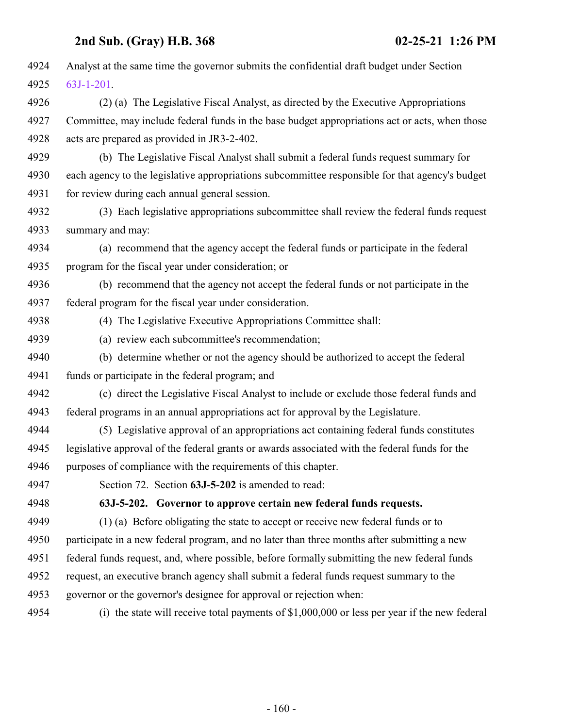| 4924 | Analyst at the same time the governor submits the confidential draft budget under Section       |
|------|-------------------------------------------------------------------------------------------------|
| 4925 | $63J-1-201$ .                                                                                   |
| 4926 | (2) (a) The Legislative Fiscal Analyst, as directed by the Executive Appropriations             |
| 4927 | Committee, may include federal funds in the base budget appropriations act or acts, when those  |
| 4928 | acts are prepared as provided in JR3-2-402.                                                     |
| 4929 | (b) The Legislative Fiscal Analyst shall submit a federal funds request summary for             |
| 4930 | each agency to the legislative appropriations subcommittee responsible for that agency's budget |
| 4931 | for review during each annual general session.                                                  |
| 4932 | (3) Each legislative appropriations subcommittee shall review the federal funds request         |
| 4933 | summary and may:                                                                                |
| 4934 | (a) recommend that the agency accept the federal funds or participate in the federal            |
| 4935 | program for the fiscal year under consideration; or                                             |
| 4936 | (b) recommend that the agency not accept the federal funds or not participate in the            |
| 4937 | federal program for the fiscal year under consideration.                                        |
| 4938 | (4) The Legislative Executive Appropriations Committee shall:                                   |
| 4939 | (a) review each subcommittee's recommendation;                                                  |
| 4940 | (b) determine whether or not the agency should be authorized to accept the federal              |
| 4941 | funds or participate in the federal program; and                                                |
| 4942 | (c) direct the Legislative Fiscal Analyst to include or exclude those federal funds and         |
| 4943 | federal programs in an annual appropriations act for approval by the Legislature.               |
| 4944 | (5) Legislative approval of an appropriations act containing federal funds constitutes          |
| 4945 | legislative approval of the federal grants or awards associated with the federal funds for the  |
| 4946 | purposes of compliance with the requirements of this chapter.                                   |
| 4947 | Section 72. Section 63J-5-202 is amended to read:                                               |
| 4948 | 63J-5-202. Governor to approve certain new federal funds requests.                              |
| 4949 | (1) (a) Before obligating the state to accept or receive new federal funds or to                |
| 4950 | participate in a new federal program, and no later than three months after submitting a new     |
| 4951 | federal funds request, and, where possible, before formally submitting the new federal funds    |
| 4952 | request, an executive branch agency shall submit a federal funds request summary to the         |
| 4953 | governor or the governor's designee for approval or rejection when:                             |
| 4954 | (i) the state will receive total payments of $$1,000,000$ or less per year if the new federal   |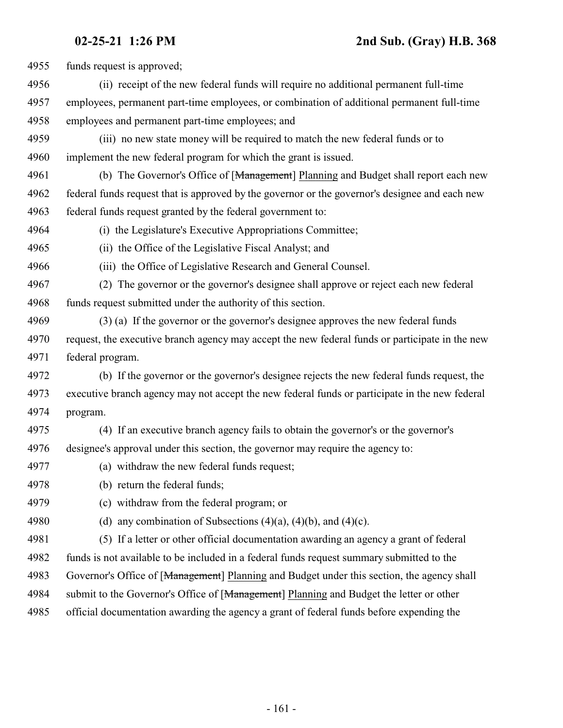| 4955 | funds request is approved;                                                                      |
|------|-------------------------------------------------------------------------------------------------|
| 4956 | (ii) receipt of the new federal funds will require no additional permanent full-time            |
| 4957 | employees, permanent part-time employees, or combination of additional permanent full-time      |
| 4958 | employees and permanent part-time employees; and                                                |
| 4959 | (iii) no new state money will be required to match the new federal funds or to                  |
| 4960 | implement the new federal program for which the grant is issued.                                |
| 4961 | (b) The Governor's Office of [Management] Planning and Budget shall report each new             |
| 4962 | federal funds request that is approved by the governor or the governor's designee and each new  |
| 4963 | federal funds request granted by the federal government to:                                     |
| 4964 | (i) the Legislature's Executive Appropriations Committee;                                       |
| 4965 | (ii) the Office of the Legislative Fiscal Analyst; and                                          |
| 4966 | (iii) the Office of Legislative Research and General Counsel.                                   |
| 4967 | (2) The governor or the governor's designee shall approve or reject each new federal            |
| 4968 | funds request submitted under the authority of this section.                                    |
| 4969 | (3) (a) If the governor or the governor's designee approves the new federal funds               |
| 4970 | request, the executive branch agency may accept the new federal funds or participate in the new |
| 4971 | federal program.                                                                                |
| 4972 | (b) If the governor or the governor's designee rejects the new federal funds request, the       |
| 4973 | executive branch agency may not accept the new federal funds or participate in the new federal  |
| 4974 | program.                                                                                        |
| 4975 | (4) If an executive branch agency fails to obtain the governor's or the governor's              |
| 4976 | designee's approval under this section, the governor may require the agency to:                 |
| 4977 | (a) withdraw the new federal funds request;                                                     |
| 4978 | (b) return the federal funds;                                                                   |
| 4979 | (c) withdraw from the federal program; or                                                       |
| 4980 | (d) any combination of Subsections $(4)(a)$ , $(4)(b)$ , and $(4)(c)$ .                         |
| 4981 | (5) If a letter or other official documentation awarding an agency a grant of federal           |
| 4982 | funds is not available to be included in a federal funds request summary submitted to the       |
| 4983 | Governor's Office of [Management] Planning and Budget under this section, the agency shall      |
| 4984 | submit to the Governor's Office of [Management] Planning and Budget the letter or other         |
| 4985 | official documentation awarding the agency a grant of federal funds before expending the        |
|      |                                                                                                 |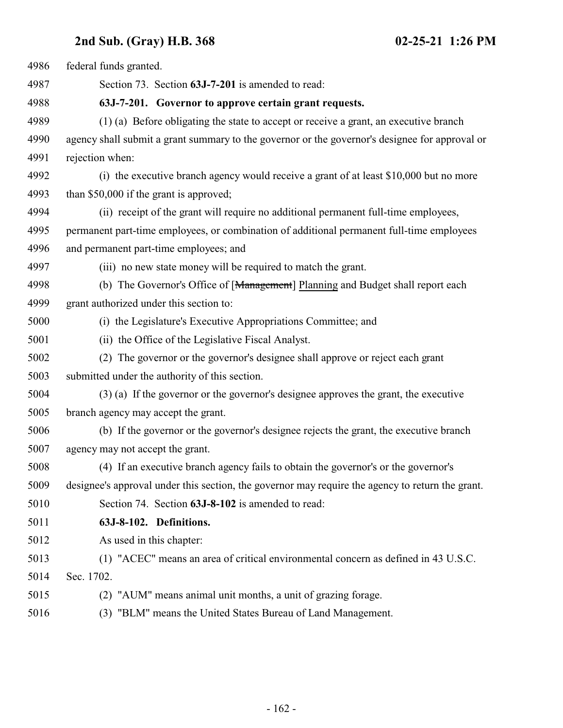| 4986 | federal funds granted.                                                                           |
|------|--------------------------------------------------------------------------------------------------|
| 4987 | Section 73. Section 63J-7-201 is amended to read:                                                |
| 4988 | 63J-7-201. Governor to approve certain grant requests.                                           |
| 4989 | (1) (a) Before obligating the state to accept or receive a grant, an executive branch            |
| 4990 | agency shall submit a grant summary to the governor or the governor's designee for approval or   |
| 4991 | rejection when:                                                                                  |
| 4992 | (i) the executive branch agency would receive a grant of at least \$10,000 but no more           |
| 4993 | than \$50,000 if the grant is approved;                                                          |
| 4994 | (ii) receipt of the grant will require no additional permanent full-time employees,              |
| 4995 | permanent part-time employees, or combination of additional permanent full-time employees        |
| 4996 | and permanent part-time employees; and                                                           |
| 4997 | (iii) no new state money will be required to match the grant.                                    |
| 4998 | (b) The Governor's Office of [Management] Planning and Budget shall report each                  |
| 4999 | grant authorized under this section to:                                                          |
| 5000 | (i) the Legislature's Executive Appropriations Committee; and                                    |
| 5001 | (ii) the Office of the Legislative Fiscal Analyst.                                               |
| 5002 | (2) The governor or the governor's designee shall approve or reject each grant                   |
| 5003 | submitted under the authority of this section.                                                   |
| 5004 | (3) (a) If the governor or the governor's designee approves the grant, the executive             |
| 5005 | branch agency may accept the grant.                                                              |
| 5006 | (b) If the governor or the governor's designee rejects the grant, the executive branch           |
| 5007 | agency may not accept the grant.                                                                 |
| 5008 | (4) If an executive branch agency fails to obtain the governor's or the governor's               |
| 5009 | designee's approval under this section, the governor may require the agency to return the grant. |
| 5010 | Section 74. Section 63J-8-102 is amended to read:                                                |
| 5011 | 63J-8-102. Definitions.                                                                          |
| 5012 | As used in this chapter:                                                                         |
| 5013 | (1) "ACEC" means an area of critical environmental concern as defined in 43 U.S.C.               |
| 5014 | Sec. 1702.                                                                                       |
| 5015 | (2) "AUM" means animal unit months, a unit of grazing forage.                                    |
| 5016 | (3) "BLM" means the United States Bureau of Land Management.                                     |
|      |                                                                                                  |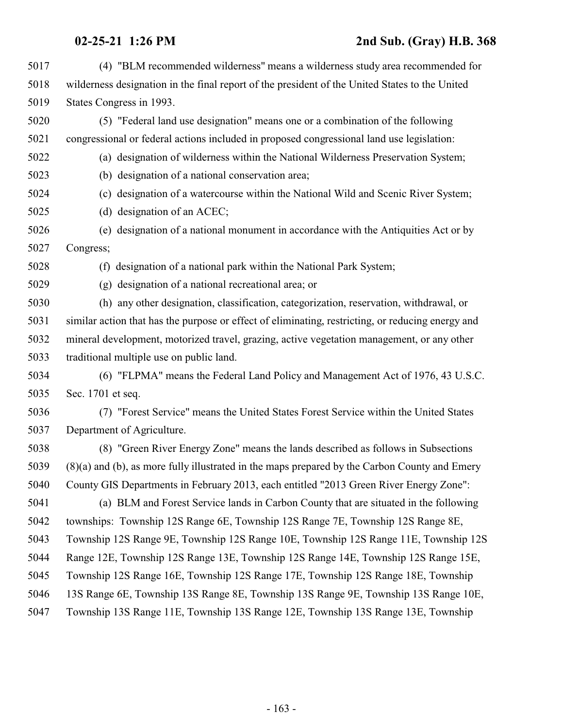- (4) "BLM recommended wilderness" means a wilderness study area recommended for wilderness designation in the final report of the president of the United States to the United States Congress in 1993.
- (5) "Federal land use designation" means one or a combination of the following congressional or federal actions included in proposed congressional land use legislation:
- (a) designation of wilderness within the National Wilderness Preservation System;
- (b) designation of a national conservation area;
- (c) designation of a watercourse within the National Wild and Scenic River System;
- (d) designation of an ACEC;
- (e) designation of a national monument in accordance with the Antiquities Act or by Congress;
- (f) designation of a national park within the National Park System;
- (g) designation of a national recreational area; or
- (h) any other designation, classification, categorization, reservation, withdrawal, or similar action that has the purpose or effect of eliminating, restricting, or reducing energy and mineral development, motorized travel, grazing, active vegetation management, or any other traditional multiple use on public land.
- (6) "FLPMA" means the Federal Land Policy and Management Act of 1976, 43 U.S.C. Sec. 1701 et seq.
- (7) "Forest Service" means the United States Forest Service within the United States Department of Agriculture.
- (8) "Green River Energy Zone" means the lands described as follows in Subsections (8)(a) and (b), as more fully illustrated in the maps prepared by the Carbon County and Emery County GIS Departments in February 2013, each entitled "2013 Green River Energy Zone":
- (a) BLM and Forest Service lands in Carbon County that are situated in the following townships: Township 12S Range 6E, Township 12S Range 7E, Township 12S Range 8E, Township 12S Range 9E, Township 12S Range 10E, Township 12S Range 11E, Township 12S Range 12E, Township 12S Range 13E, Township 12S Range 14E, Township 12S Range 15E, Township 12S Range 16E, Township 12S Range 17E, Township 12S Range 18E, Township 13S Range 6E, Township 13S Range 8E, Township 13S Range 9E, Township 13S Range 10E, Township 13S Range 11E, Township 13S Range 12E, Township 13S Range 13E, Township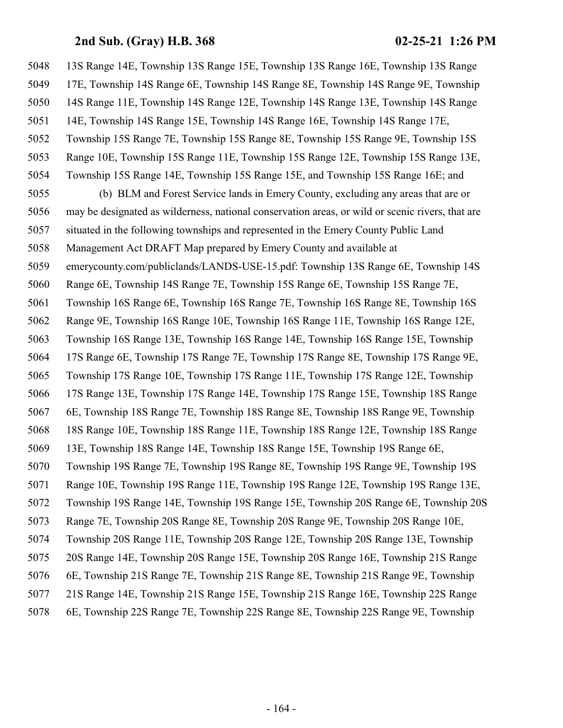13S Range 14E, Township 13S Range 15E, Township 13S Range 16E, Township 13S Range 17E, Township 14S Range 6E, Township 14S Range 8E, Township 14S Range 9E, Township 14S Range 11E, Township 14S Range 12E, Township 14S Range 13E, Township 14S Range 14E, Township 14S Range 15E, Township 14S Range 16E, Township 14S Range 17E, Township 15S Range 7E, Township 15S Range 8E, Township 15S Range 9E, Township 15S Range 10E, Township 15S Range 11E, Township 15S Range 12E, Township 15S Range 13E, Township 15S Range 14E, Township 15S Range 15E, and Township 15S Range 16E; and (b) BLM and Forest Service lands in Emery County, excluding any areas that are or may be designated as wilderness, national conservation areas, or wild or scenic rivers, that are situated in the following townships and represented in the Emery County Public Land Management Act DRAFT Map prepared by Emery County and available at emerycounty.com/publiclands/LANDS-USE-15.pdf: Township 13S Range 6E, Township 14S Range 6E, Township 14S Range 7E, Township 15S Range 6E, Township 15S Range 7E, Township 16S Range 6E, Township 16S Range 7E, Township 16S Range 8E, Township 16S Range 9E, Township 16S Range 10E, Township 16S Range 11E, Township 16S Range 12E, Township 16S Range 13E, Township 16S Range 14E, Township 16S Range 15E, Township 17S Range 6E, Township 17S Range 7E, Township 17S Range 8E, Township 17S Range 9E, Township 17S Range 10E, Township 17S Range 11E, Township 17S Range 12E, Township 17S Range 13E, Township 17S Range 14E, Township 17S Range 15E, Township 18S Range 6E, Township 18S Range 7E, Township 18S Range 8E, Township 18S Range 9E, Township 18S Range 10E, Township 18S Range 11E, Township 18S Range 12E, Township 18S Range 13E, Township 18S Range 14E, Township 18S Range 15E, Township 19S Range 6E, Township 19S Range 7E, Township 19S Range 8E, Township 19S Range 9E, Township 19S Range 10E, Township 19S Range 11E, Township 19S Range 12E, Township 19S Range 13E, Township 19S Range 14E, Township 19S Range 15E, Township 20S Range 6E, Township 20S Range 7E, Township 20S Range 8E, Township 20S Range 9E, Township 20S Range 10E, Township 20S Range 11E, Township 20S Range 12E, Township 20S Range 13E, Township 20S Range 14E, Township 20S Range 15E, Township 20S Range 16E, Township 21S Range 6E, Township 21S Range 7E, Township 21S Range 8E, Township 21S Range 9E, Township 21S Range 14E, Township 21S Range 15E, Township 21S Range 16E, Township 22S Range 6E, Township 22S Range 7E, Township 22S Range 8E, Township 22S Range 9E, Township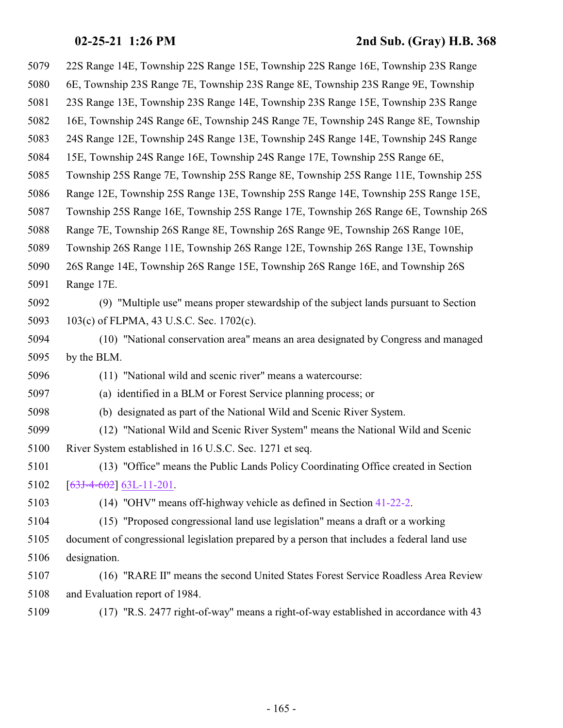| 5079 | 22S Range 14E, Township 22S Range 15E, Township 22S Range 16E, Township 23S Range           |
|------|---------------------------------------------------------------------------------------------|
| 5080 | 6E, Township 23S Range 7E, Township 23S Range 8E, Township 23S Range 9E, Township           |
| 5081 | 23S Range 13E, Township 23S Range 14E, Township 23S Range 15E, Township 23S Range           |
| 5082 | 16E, Township 24S Range 6E, Township 24S Range 7E, Township 24S Range 8E, Township          |
| 5083 | 24S Range 12E, Township 24S Range 13E, Township 24S Range 14E, Township 24S Range           |
| 5084 | 15E, Township 24S Range 16E, Township 24S Range 17E, Township 25S Range 6E,                 |
| 5085 | Township 25S Range 7E, Township 25S Range 8E, Township 25S Range 11E, Township 25S          |
| 5086 | Range 12E, Township 25S Range 13E, Township 25S Range 14E, Township 25S Range 15E,          |
| 5087 | Township 25S Range 16E, Township 25S Range 17E, Township 26S Range 6E, Township 26S         |
| 5088 | Range 7E, Township 26S Range 8E, Township 26S Range 9E, Township 26S Range 10E,             |
| 5089 | Township 26S Range 11E, Township 26S Range 12E, Township 26S Range 13E, Township            |
| 5090 | 26S Range 14E, Township 26S Range 15E, Township 26S Range 16E, and Township 26S             |
| 5091 | Range 17E.                                                                                  |
| 5092 | (9) "Multiple use" means proper stewardship of the subject lands pursuant to Section        |
| 5093 | 103(c) of FLPMA, 43 U.S.C. Sec. 1702(c).                                                    |
| 5094 | (10) "National conservation area" means an area designated by Congress and managed          |
| 5095 | by the BLM.                                                                                 |
| 5096 | (11) "National wild and scenic river" means a watercourse:                                  |
| 5097 | (a) identified in a BLM or Forest Service planning process; or                              |
| 5098 | (b) designated as part of the National Wild and Scenic River System.                        |
| 5099 | (12) "National Wild and Scenic River System" means the National Wild and Scenic             |
| 5100 | River System established in 16 U.S.C. Sec. 1271 et seq.                                     |
| 5101 | (13) "Office" means the Public Lands Policy Coordinating Office created in Section          |
| 5102 | $[63J-4-602] 63L-11-201.$                                                                   |
| 5103 | $(14)$ "OHV" means off-highway vehicle as defined in Section 41-22-2.                       |
| 5104 | (15) "Proposed congressional land use legislation" means a draft or a working               |
| 5105 | document of congressional legislation prepared by a person that includes a federal land use |
| 5106 | designation.                                                                                |
| 5107 | (16) "RARE II" means the second United States Forest Service Roadless Area Review           |
| 5108 | and Evaluation report of 1984.                                                              |
| 5109 | (17) "R.S. 2477 right-of-way" means a right-of-way established in accordance with 43        |
|      |                                                                                             |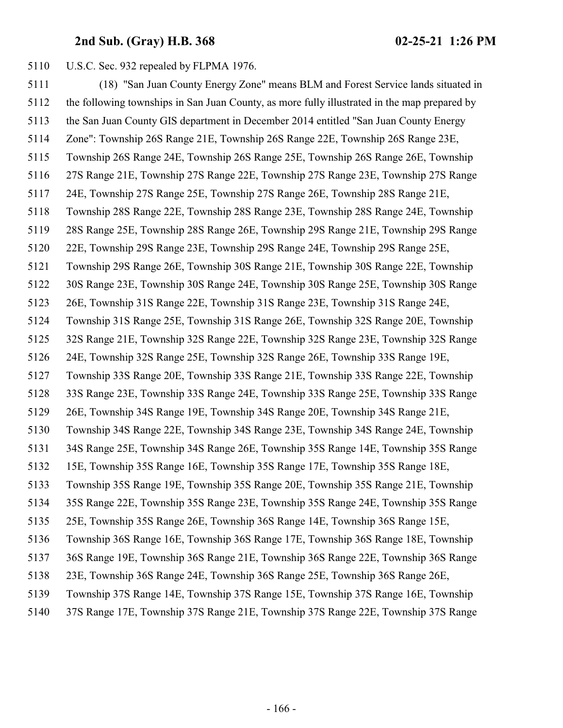U.S.C. Sec. 932 repealed by FLPMA 1976.

 (18) "San Juan County Energy Zone" means BLM and Forest Service lands situated in the following townships in San Juan County, as more fully illustrated in the map prepared by the San Juan County GIS department in December 2014 entitled "San Juan County Energy Zone": Township 26S Range 21E, Township 26S Range 22E, Township 26S Range 23E, Township 26S Range 24E, Township 26S Range 25E, Township 26S Range 26E, Township 27S Range 21E, Township 27S Range 22E, Township 27S Range 23E, Township 27S Range 24E, Township 27S Range 25E, Township 27S Range 26E, Township 28S Range 21E, Township 28S Range 22E, Township 28S Range 23E, Township 28S Range 24E, Township 28S Range 25E, Township 28S Range 26E, Township 29S Range 21E, Township 29S Range 22E, Township 29S Range 23E, Township 29S Range 24E, Township 29S Range 25E, Township 29S Range 26E, Township 30S Range 21E, Township 30S Range 22E, Township 30S Range 23E, Township 30S Range 24E, Township 30S Range 25E, Township 30S Range 26E, Township 31S Range 22E, Township 31S Range 23E, Township 31S Range 24E, Township 31S Range 25E, Township 31S Range 26E, Township 32S Range 20E, Township 32S Range 21E, Township 32S Range 22E, Township 32S Range 23E, Township 32S Range 24E, Township 32S Range 25E, Township 32S Range 26E, Township 33S Range 19E, Township 33S Range 20E, Township 33S Range 21E, Township 33S Range 22E, Township 33S Range 23E, Township 33S Range 24E, Township 33S Range 25E, Township 33S Range 26E, Township 34S Range 19E, Township 34S Range 20E, Township 34S Range 21E, Township 34S Range 22E, Township 34S Range 23E, Township 34S Range 24E, Township 34S Range 25E, Township 34S Range 26E, Township 35S Range 14E, Township 35S Range 15E, Township 35S Range 16E, Township 35S Range 17E, Township 35S Range 18E, Township 35S Range 19E, Township 35S Range 20E, Township 35S Range 21E, Township 35S Range 22E, Township 35S Range 23E, Township 35S Range 24E, Township 35S Range 25E, Township 35S Range 26E, Township 36S Range 14E, Township 36S Range 15E, Township 36S Range 16E, Township 36S Range 17E, Township 36S Range 18E, Township 36S Range 19E, Township 36S Range 21E, Township 36S Range 22E, Township 36S Range 23E, Township 36S Range 24E, Township 36S Range 25E, Township 36S Range 26E, Township 37S Range 14E, Township 37S Range 15E, Township 37S Range 16E, Township 37S Range 17E, Township 37S Range 21E, Township 37S Range 22E, Township 37S Range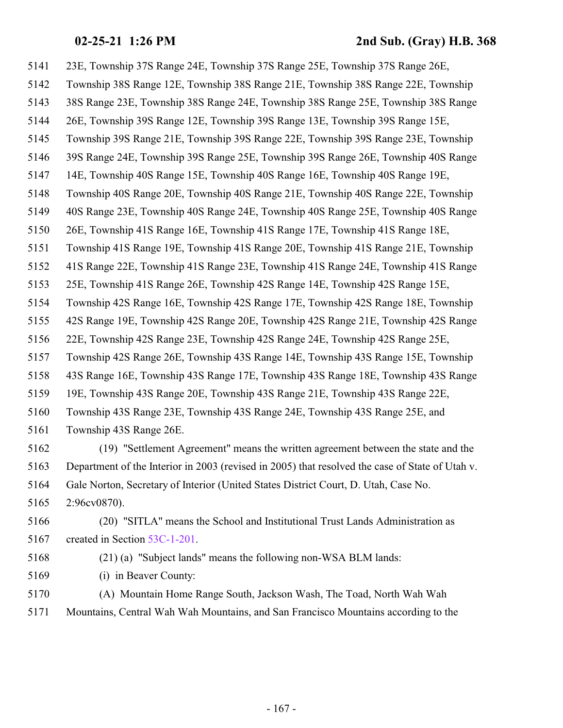23E, Township 37S Range 24E, Township 37S Range 25E, Township 37S Range 26E, Township 38S Range 12E, Township 38S Range 21E, Township 38S Range 22E, Township 38S Range 23E, Township 38S Range 24E, Township 38S Range 25E, Township 38S Range 26E, Township 39S Range 12E, Township 39S Range 13E, Township 39S Range 15E, Township 39S Range 21E, Township 39S Range 22E, Township 39S Range 23E, Township 39S Range 24E, Township 39S Range 25E, Township 39S Range 26E, Township 40S Range 14E, Township 40S Range 15E, Township 40S Range 16E, Township 40S Range 19E, Township 40S Range 20E, Township 40S Range 21E, Township 40S Range 22E, Township 40S Range 23E, Township 40S Range 24E, Township 40S Range 25E, Township 40S Range 26E, Township 41S Range 16E, Township 41S Range 17E, Township 41S Range 18E, Township 41S Range 19E, Township 41S Range 20E, Township 41S Range 21E, Township 41S Range 22E, Township 41S Range 23E, Township 41S Range 24E, Township 41S Range 25E, Township 41S Range 26E, Township 42S Range 14E, Township 42S Range 15E, Township 42S Range 16E, Township 42S Range 17E, Township 42S Range 18E, Township 42S Range 19E, Township 42S Range 20E, Township 42S Range 21E, Township 42S Range 22E, Township 42S Range 23E, Township 42S Range 24E, Township 42S Range 25E, Township 42S Range 26E, Township 43S Range 14E, Township 43S Range 15E, Township 43S Range 16E, Township 43S Range 17E, Township 43S Range 18E, Township 43S Range 19E, Township 43S Range 20E, Township 43S Range 21E, Township 43S Range 22E, Township 43S Range 23E, Township 43S Range 24E, Township 43S Range 25E, and Township 43S Range 26E. (19) "Settlement Agreement" means the written agreement between the state and the Department of the Interior in 2003 (revised in 2005) that resolved the case of State of Utah v. Gale Norton, Secretary of Interior (United States District Court, D. Utah, Case No. 2:96cv0870).

 (20) "SITLA" means the School and Institutional Trust Lands Administration as 5167 created in Section [53C-1-201](http://le.utah.gov/UtahCode/SectionLookup.jsp?section=53c-1-201&session=2021GS).

(21) (a) "Subject lands" means the following non-WSA BLM lands:

(i) in Beaver County:

 (A) Mountain Home Range South, Jackson Wash, The Toad, North Wah Wah Mountains, Central Wah Wah Mountains, and San Francisco Mountains according to the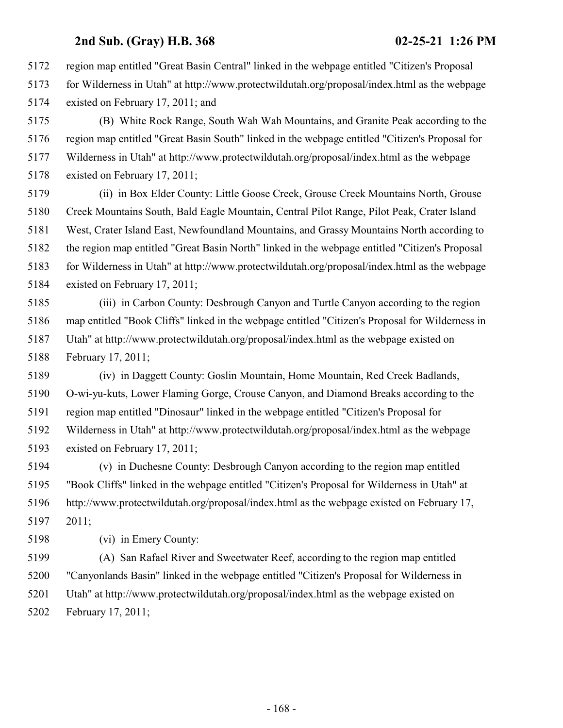region map entitled "Great Basin Central" linked in the webpage entitled "Citizen's Proposal

 for Wilderness in Utah" at http://www.protectwildutah.org/proposal/index.html as the webpage existed on February 17, 2011; and

 (B) White Rock Range, South Wah Wah Mountains, and Granite Peak according to the region map entitled "Great Basin South" linked in the webpage entitled "Citizen's Proposal for Wilderness in Utah" at http://www.protectwildutah.org/proposal/index.html as the webpage existed on February 17, 2011;

 (ii) in Box Elder County: Little Goose Creek, Grouse Creek Mountains North, Grouse Creek Mountains South, Bald Eagle Mountain, Central Pilot Range, Pilot Peak, Crater Island West, Crater Island East, Newfoundland Mountains, and Grassy Mountains North according to the region map entitled "Great Basin North" linked in the webpage entitled "Citizen's Proposal for Wilderness in Utah" at http://www.protectwildutah.org/proposal/index.html as the webpage existed on February 17, 2011;

 (iii) in Carbon County: Desbrough Canyon and Turtle Canyon according to the region map entitled "Book Cliffs" linked in the webpage entitled "Citizen's Proposal for Wilderness in Utah" at http://www.protectwildutah.org/proposal/index.html as the webpage existed on February 17, 2011;

 (iv) in Daggett County: Goslin Mountain, Home Mountain, Red Creek Badlands, O-wi-yu-kuts, Lower Flaming Gorge, Crouse Canyon, and Diamond Breaks according to the region map entitled "Dinosaur" linked in the webpage entitled "Citizen's Proposal for Wilderness in Utah" at http://www.protectwildutah.org/proposal/index.html as the webpage existed on February 17, 2011;

 (v) in Duchesne County: Desbrough Canyon according to the region map entitled "Book Cliffs" linked in the webpage entitled "Citizen's Proposal for Wilderness in Utah" at http://www.protectwildutah.org/proposal/index.html as the webpage existed on February 17, 2011;

(vi) in Emery County:

 (A) San Rafael River and Sweetwater Reef, according to the region map entitled "Canyonlands Basin" linked in the webpage entitled "Citizen's Proposal for Wilderness in Utah" at http://www.protectwildutah.org/proposal/index.html as the webpage existed on February 17, 2011;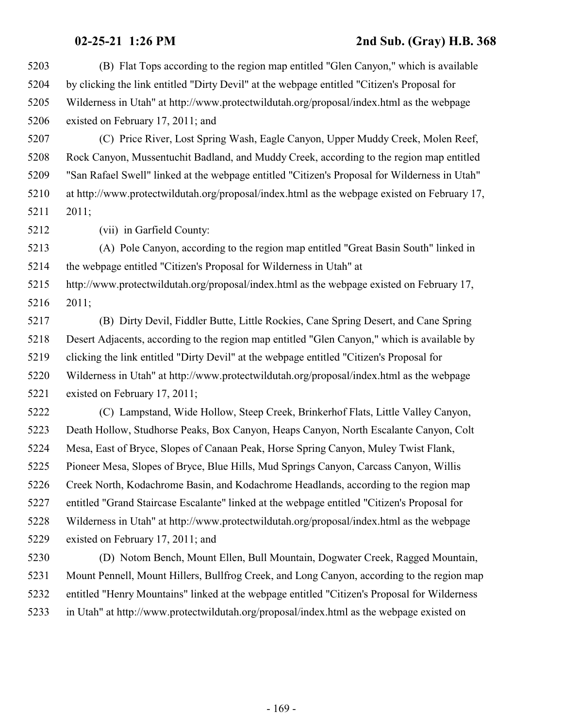| 5203 | (B) Flat Tops according to the region map entitled "Glen Canyon," which is available          |
|------|-----------------------------------------------------------------------------------------------|
| 5204 | by clicking the link entitled "Dirty Devil" at the webpage entitled "Citizen's Proposal for   |
| 5205 | Wilderness in Utah" at http://www.protectwildutah.org/proposal/index.html as the webpage      |
| 5206 | existed on February 17, 2011; and                                                             |
| 5207 | (C) Price River, Lost Spring Wash, Eagle Canyon, Upper Muddy Creek, Molen Reef,               |
| 5208 | Rock Canyon, Mussentuchit Badland, and Muddy Creek, according to the region map entitled      |
| 5209 | "San Rafael Swell" linked at the webpage entitled "Citizen's Proposal for Wilderness in Utah" |
| 5210 | at http://www.protectwildutah.org/proposal/index.html as the webpage existed on February 17,  |
| 5211 | 2011;                                                                                         |
| 5212 | (vii) in Garfield County:                                                                     |
| 5213 | (A) Pole Canyon, according to the region map entitled "Great Basin South" linked in           |
| 5214 | the webpage entitled "Citizen's Proposal for Wilderness in Utah" at                           |
| 5215 | http://www.protectwildutah.org/proposal/index.html as the webpage existed on February 17,     |
| 5216 | 2011;                                                                                         |
| 5217 | (B) Dirty Devil, Fiddler Butte, Little Rockies, Cane Spring Desert, and Cane Spring           |
| 5218 | Desert Adjacents, according to the region map entitled "Glen Canyon," which is available by   |
| 5219 | clicking the link entitled "Dirty Devil" at the webpage entitled "Citizen's Proposal for      |
| 5220 | Wilderness in Utah" at http://www.protectwildutah.org/proposal/index.html as the webpage      |
| 5221 | existed on February 17, 2011;                                                                 |
| 5222 | (C) Lampstand, Wide Hollow, Steep Creek, Brinkerhof Flats, Little Valley Canyon,              |
| 5223 | Death Hollow, Studhorse Peaks, Box Canyon, Heaps Canyon, North Escalante Canyon, Colt         |
| 5224 | Mesa, East of Bryce, Slopes of Canaan Peak, Horse Spring Canyon, Muley Twist Flank,           |
| 5225 | Pioneer Mesa, Slopes of Bryce, Blue Hills, Mud Springs Canyon, Carcass Canyon, Willis         |
| 5226 | Creek North, Kodachrome Basin, and Kodachrome Headlands, according to the region map          |
| 5227 | entitled "Grand Staircase Escalante" linked at the webpage entitled "Citizen's Proposal for   |
| 5228 | Wilderness in Utah" at http://www.protectwildutah.org/proposal/index.html as the webpage      |
| 5229 | existed on February 17, 2011; and                                                             |
| 5230 | (D) Notom Bench, Mount Ellen, Bull Mountain, Dogwater Creek, Ragged Mountain,                 |
| 5231 | Mount Pennell, Mount Hillers, Bullfrog Creek, and Long Canyon, according to the region map    |
| 5232 | entitled "Henry Mountains" linked at the webpage entitled "Citizen's Proposal for Wilderness  |
| 5233 | in Utah" at http://www.protectwildutah.org/proposal/index.html as the webpage existed on      |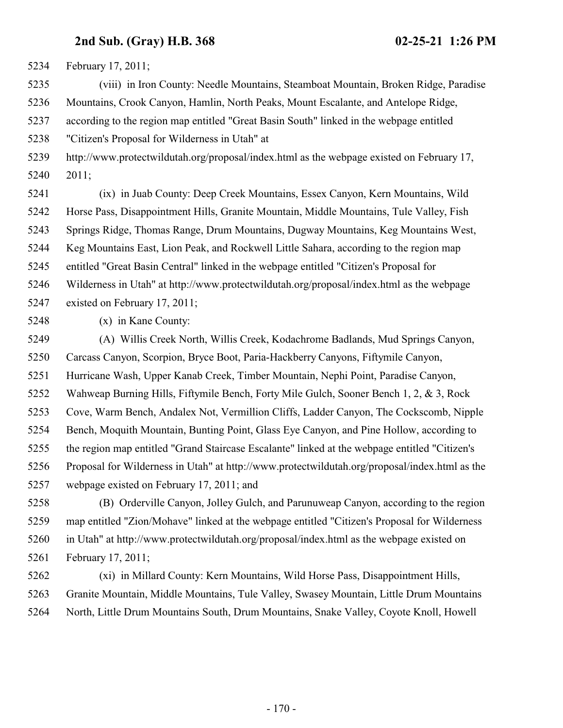February 17, 2011;

 (viii) in Iron County: Needle Mountains, Steamboat Mountain, Broken Ridge, Paradise Mountains, Crook Canyon, Hamlin, North Peaks, Mount Escalante, and Antelope Ridge,

according to the region map entitled "Great Basin South" linked in the webpage entitled

"Citizen's Proposal for Wilderness in Utah" at

 http://www.protectwildutah.org/proposal/index.html as the webpage existed on February 17, 2011;

 (ix) in Juab County: Deep Creek Mountains, Essex Canyon, Kern Mountains, Wild Horse Pass, Disappointment Hills, Granite Mountain, Middle Mountains, Tule Valley, Fish Springs Ridge, Thomas Range, Drum Mountains, Dugway Mountains, Keg Mountains West, Keg Mountains East, Lion Peak, and Rockwell Little Sahara, according to the region map entitled "Great Basin Central" linked in the webpage entitled "Citizen's Proposal for Wilderness in Utah" at http://www.protectwildutah.org/proposal/index.html as the webpage existed on February 17, 2011;

(x) in Kane County:

 (A) Willis Creek North, Willis Creek, Kodachrome Badlands, Mud Springs Canyon, Carcass Canyon, Scorpion, Bryce Boot, Paria-Hackberry Canyons, Fiftymile Canyon, Hurricane Wash, Upper Kanab Creek, Timber Mountain, Nephi Point, Paradise Canyon, Wahweap Burning Hills, Fiftymile Bench, Forty Mile Gulch, Sooner Bench 1, 2, & 3, Rock Cove, Warm Bench, Andalex Not, Vermillion Cliffs, Ladder Canyon, The Cockscomb, Nipple Bench, Moquith Mountain, Bunting Point, Glass Eye Canyon, and Pine Hollow, according to the region map entitled "Grand Staircase Escalante" linked at the webpage entitled "Citizen's Proposal for Wilderness in Utah" at http://www.protectwildutah.org/proposal/index.html as the webpage existed on February 17, 2011; and

 (B) Orderville Canyon, Jolley Gulch, and Parunuweap Canyon, according to the region map entitled "Zion/Mohave" linked at the webpage entitled "Citizen's Proposal for Wilderness in Utah" at http://www.protectwildutah.org/proposal/index.html as the webpage existed on February 17, 2011;

 (xi) in Millard County: Kern Mountains, Wild Horse Pass, Disappointment Hills, Granite Mountain, Middle Mountains, Tule Valley, Swasey Mountain, Little Drum Mountains North, Little Drum Mountains South, Drum Mountains, Snake Valley, Coyote Knoll, Howell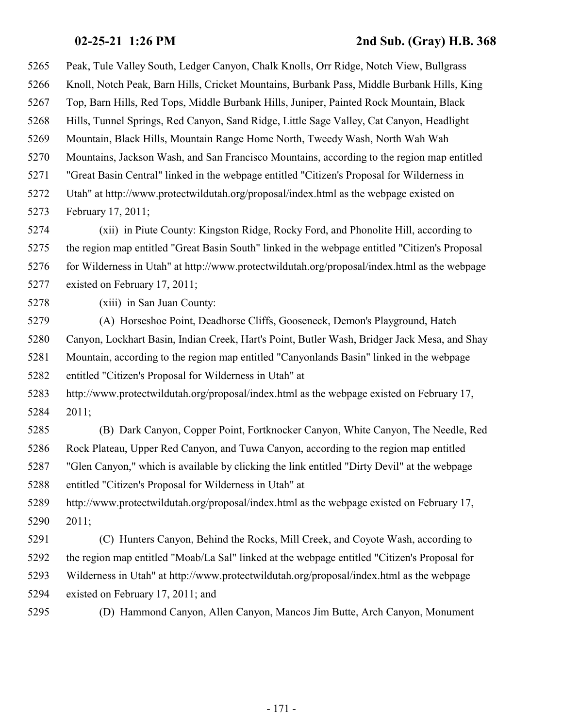Peak, Tule Valley South, Ledger Canyon, Chalk Knolls, Orr Ridge, Notch View, Bullgrass Knoll, Notch Peak, Barn Hills, Cricket Mountains, Burbank Pass, Middle Burbank Hills, King Top, Barn Hills, Red Tops, Middle Burbank Hills, Juniper, Painted Rock Mountain, Black Hills, Tunnel Springs, Red Canyon, Sand Ridge, Little Sage Valley, Cat Canyon, Headlight Mountain, Black Hills, Mountain Range Home North, Tweedy Wash, North Wah Wah Mountains, Jackson Wash, and San Francisco Mountains, according to the region map entitled "Great Basin Central" linked in the webpage entitled "Citizen's Proposal for Wilderness in Utah" at http://www.protectwildutah.org/proposal/index.html as the webpage existed on February 17, 2011; (xii) in Piute County: Kingston Ridge, Rocky Ford, and Phonolite Hill, according to the region map entitled "Great Basin South" linked in the webpage entitled "Citizen's Proposal for Wilderness in Utah" at http://www.protectwildutah.org/proposal/index.html as the webpage existed on February 17, 2011; (xiii) in San Juan County: (A) Horseshoe Point, Deadhorse Cliffs, Gooseneck, Demon's Playground, Hatch Canyon, Lockhart Basin, Indian Creek, Hart's Point, Butler Wash, Bridger Jack Mesa, and Shay Mountain, according to the region map entitled "Canyonlands Basin" linked in the webpage entitled "Citizen's Proposal for Wilderness in Utah" at http://www.protectwildutah.org/proposal/index.html as the webpage existed on February 17, 2011; (B) Dark Canyon, Copper Point, Fortknocker Canyon, White Canyon, The Needle, Red Rock Plateau, Upper Red Canyon, and Tuwa Canyon, according to the region map entitled "Glen Canyon," which is available by clicking the link entitled "Dirty Devil" at the webpage entitled "Citizen's Proposal for Wilderness in Utah" at http://www.protectwildutah.org/proposal/index.html as the webpage existed on February 17, 2011; (C) Hunters Canyon, Behind the Rocks, Mill Creek, and Coyote Wash, according to the region map entitled "Moab/La Sal" linked at the webpage entitled "Citizen's Proposal for Wilderness in Utah" at http://www.protectwildutah.org/proposal/index.html as the webpage existed on February 17, 2011; and (D) Hammond Canyon, Allen Canyon, Mancos Jim Butte, Arch Canyon, Monument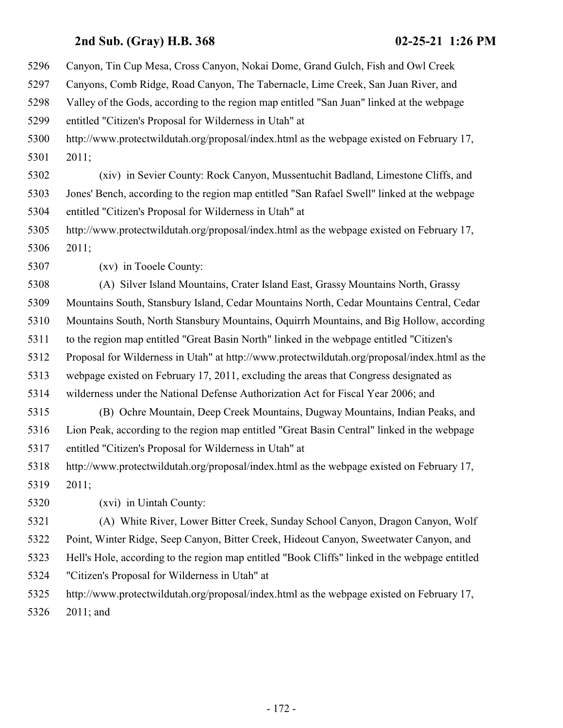Canyon, Tin Cup Mesa, Cross Canyon, Nokai Dome, Grand Gulch, Fish and Owl Creek

- Canyons, Comb Ridge, Road Canyon, The Tabernacle, Lime Creek, San Juan River, and
- Valley of the Gods, according to the region map entitled "San Juan" linked at the webpage

entitled "Citizen's Proposal for Wilderness in Utah" at

 http://www.protectwildutah.org/proposal/index.html as the webpage existed on February 17, 2011;

 (xiv) in Sevier County: Rock Canyon, Mussentuchit Badland, Limestone Cliffs, and Jones' Bench, according to the region map entitled "San Rafael Swell" linked at the webpage entitled "Citizen's Proposal for Wilderness in Utah" at

 http://www.protectwildutah.org/proposal/index.html as the webpage existed on February 17, 2011;

(xv) in Tooele County:

 (A) Silver Island Mountains, Crater Island East, Grassy Mountains North, Grassy Mountains South, Stansbury Island, Cedar Mountains North, Cedar Mountains Central, Cedar Mountains South, North Stansbury Mountains, Oquirrh Mountains, and Big Hollow, according to the region map entitled "Great Basin North" linked in the webpage entitled "Citizen's Proposal for Wilderness in Utah" at http://www.protectwildutah.org/proposal/index.html as the webpage existed on February 17, 2011, excluding the areas that Congress designated as wilderness under the National Defense Authorization Act for Fiscal Year 2006; and

 (B) Ochre Mountain, Deep Creek Mountains, Dugway Mountains, Indian Peaks, and Lion Peak, according to the region map entitled "Great Basin Central" linked in the webpage entitled "Citizen's Proposal for Wilderness in Utah" at

 http://www.protectwildutah.org/proposal/index.html as the webpage existed on February 17, 2011;

(xvi) in Uintah County:

 (A) White River, Lower Bitter Creek, Sunday School Canyon, Dragon Canyon, Wolf Point, Winter Ridge, Seep Canyon, Bitter Creek, Hideout Canyon, Sweetwater Canyon, and Hell's Hole, according to the region map entitled "Book Cliffs" linked in the webpage entitled "Citizen's Proposal for Wilderness in Utah" at

http://www.protectwildutah.org/proposal/index.html as the webpage existed on February 17,

2011; and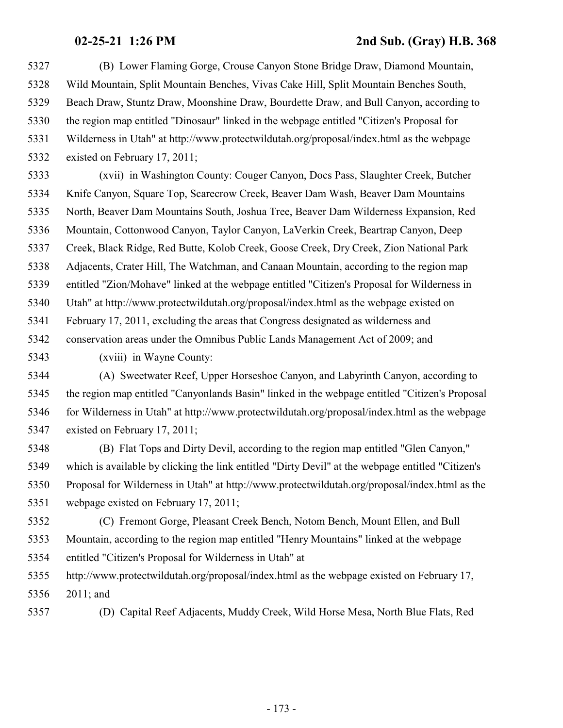(B) Lower Flaming Gorge, Crouse Canyon Stone Bridge Draw, Diamond Mountain, Wild Mountain, Split Mountain Benches, Vivas Cake Hill, Split Mountain Benches South, Beach Draw, Stuntz Draw, Moonshine Draw, Bourdette Draw, and Bull Canyon, according to the region map entitled "Dinosaur" linked in the webpage entitled "Citizen's Proposal for Wilderness in Utah" at http://www.protectwildutah.org/proposal/index.html as the webpage existed on February 17, 2011;

 (xvii) in Washington County: Couger Canyon, Docs Pass, Slaughter Creek, Butcher Knife Canyon, Square Top, Scarecrow Creek, Beaver Dam Wash, Beaver Dam Mountains North, Beaver Dam Mountains South, Joshua Tree, Beaver Dam Wilderness Expansion, Red Mountain, Cottonwood Canyon, Taylor Canyon, LaVerkin Creek, Beartrap Canyon, Deep Creek, Black Ridge, Red Butte, Kolob Creek, Goose Creek, Dry Creek, Zion National Park Adjacents, Crater Hill, The Watchman, and Canaan Mountain, according to the region map entitled "Zion/Mohave" linked at the webpage entitled "Citizen's Proposal for Wilderness in Utah" at http://www.protectwildutah.org/proposal/index.html as the webpage existed on February 17, 2011, excluding the areas that Congress designated as wilderness and conservation areas under the Omnibus Public Lands Management Act of 2009; and

(xviii) in Wayne County:

 (A) Sweetwater Reef, Upper Horseshoe Canyon, and Labyrinth Canyon, according to the region map entitled "Canyonlands Basin" linked in the webpage entitled "Citizen's Proposal for Wilderness in Utah" at http://www.protectwildutah.org/proposal/index.html as the webpage existed on February 17, 2011;

 (B) Flat Tops and Dirty Devil, according to the region map entitled "Glen Canyon," which is available by clicking the link entitled "Dirty Devil" at the webpage entitled "Citizen's Proposal for Wilderness in Utah" at http://www.protectwildutah.org/proposal/index.html as the webpage existed on February 17, 2011;

 (C) Fremont Gorge, Pleasant Creek Bench, Notom Bench, Mount Ellen, and Bull Mountain, according to the region map entitled "Henry Mountains" linked at the webpage entitled "Citizen's Proposal for Wilderness in Utah" at

 http://www.protectwildutah.org/proposal/index.html as the webpage existed on February 17, 2011; and

(D) Capital Reef Adjacents, Muddy Creek, Wild Horse Mesa, North Blue Flats, Red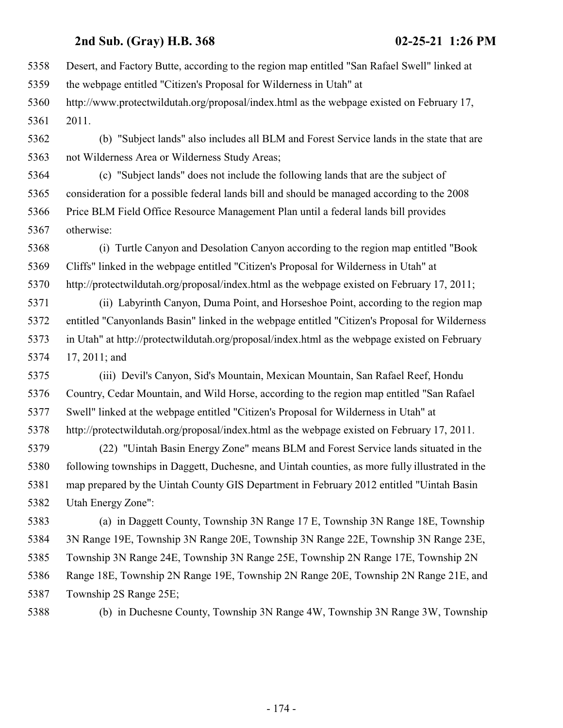Desert, and Factory Butte, according to the region map entitled "San Rafael Swell" linked at the webpage entitled "Citizen's Proposal for Wilderness in Utah" at http://www.protectwildutah.org/proposal/index.html as the webpage existed on February 17, 2011. (b) "Subject lands" also includes all BLM and Forest Service lands in the state that are not Wilderness Area or Wilderness Study Areas; (c) "Subject lands" does not include the following lands that are the subject of consideration for a possible federal lands bill and should be managed according to the 2008 Price BLM Field Office Resource Management Plan until a federal lands bill provides otherwise: (i) Turtle Canyon and Desolation Canyon according to the region map entitled "Book Cliffs" linked in the webpage entitled "Citizen's Proposal for Wilderness in Utah" at http://protectwildutah.org/proposal/index.html as the webpage existed on February 17, 2011; (ii) Labyrinth Canyon, Duma Point, and Horseshoe Point, according to the region map entitled "Canyonlands Basin" linked in the webpage entitled "Citizen's Proposal for Wilderness in Utah" at http://protectwildutah.org/proposal/index.html as the webpage existed on February 17, 2011; and (iii) Devil's Canyon, Sid's Mountain, Mexican Mountain, San Rafael Reef, Hondu Country, Cedar Mountain, and Wild Horse, according to the region map entitled "San Rafael Swell" linked at the webpage entitled "Citizen's Proposal for Wilderness in Utah" at http://protectwildutah.org/proposal/index.html as the webpage existed on February 17, 2011. (22) "Uintah Basin Energy Zone" means BLM and Forest Service lands situated in the following townships in Daggett, Duchesne, and Uintah counties, as more fully illustrated in the map prepared by the Uintah County GIS Department in February 2012 entitled "Uintah Basin Utah Energy Zone": (a) in Daggett County, Township 3N Range 17 E, Township 3N Range 18E, Township 3N Range 19E, Township 3N Range 20E, Township 3N Range 22E, Township 3N Range 23E, Township 3N Range 24E, Township 3N Range 25E, Township 2N Range 17E, Township 2N Range 18E, Township 2N Range 19E, Township 2N Range 20E, Township 2N Range 21E, and Township 2S Range 25E;

(b) in Duchesne County, Township 3N Range 4W, Township 3N Range 3W, Township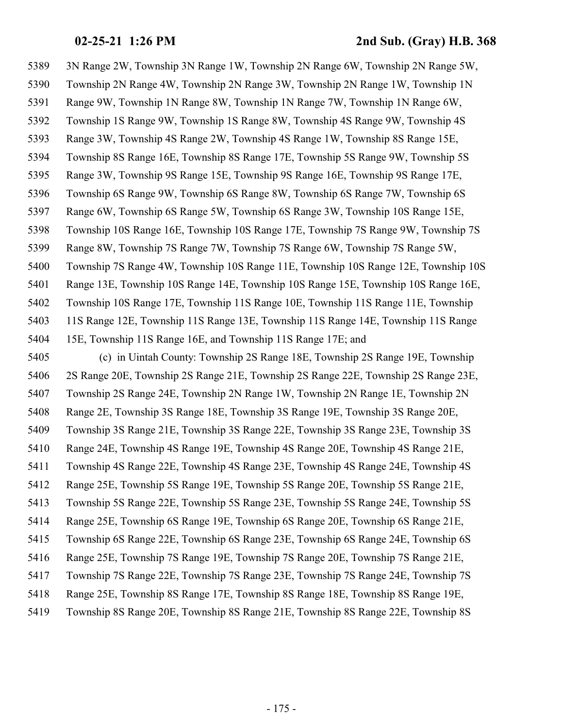3N Range 2W, Township 3N Range 1W, Township 2N Range 6W, Township 2N Range 5W, Township 2N Range 4W, Township 2N Range 3W, Township 2N Range 1W, Township 1N Range 9W, Township 1N Range 8W, Township 1N Range 7W, Township 1N Range 6W, Township 1S Range 9W, Township 1S Range 8W, Township 4S Range 9W, Township 4S Range 3W, Township 4S Range 2W, Township 4S Range 1W, Township 8S Range 15E, Township 8S Range 16E, Township 8S Range 17E, Township 5S Range 9W, Township 5S Range 3W, Township 9S Range 15E, Township 9S Range 16E, Township 9S Range 17E, Township 6S Range 9W, Township 6S Range 8W, Township 6S Range 7W, Township 6S Range 6W, Township 6S Range 5W, Township 6S Range 3W, Township 10S Range 15E, Township 10S Range 16E, Township 10S Range 17E, Township 7S Range 9W, Township 7S Range 8W, Township 7S Range 7W, Township 7S Range 6W, Township 7S Range 5W, Township 7S Range 4W, Township 10S Range 11E, Township 10S Range 12E, Township 10S Range 13E, Township 10S Range 14E, Township 10S Range 15E, Township 10S Range 16E, Township 10S Range 17E, Township 11S Range 10E, Township 11S Range 11E, Township 11S Range 12E, Township 11S Range 13E, Township 11S Range 14E, Township 11S Range 15E, Township 11S Range 16E, and Township 11S Range 17E; and (c) in Uintah County: Township 2S Range 18E, Township 2S Range 19E, Township 2S Range 20E, Township 2S Range 21E, Township 2S Range 22E, Township 2S Range 23E, Township 2S Range 24E, Township 2N Range 1W, Township 2N Range 1E, Township 2N Range 2E, Township 3S Range 18E, Township 3S Range 19E, Township 3S Range 20E, Township 3S Range 21E, Township 3S Range 22E, Township 3S Range 23E, Township 3S Range 24E, Township 4S Range 19E, Township 4S Range 20E, Township 4S Range 21E, Township 4S Range 22E, Township 4S Range 23E, Township 4S Range 24E, Township 4S Range 25E, Township 5S Range 19E, Township 5S Range 20E, Township 5S Range 21E, Township 5S Range 22E, Township 5S Range 23E, Township 5S Range 24E, Township 5S Range 25E, Township 6S Range 19E, Township 6S Range 20E, Township 6S Range 21E, Township 6S Range 22E, Township 6S Range 23E, Township 6S Range 24E, Township 6S Range 25E, Township 7S Range 19E, Township 7S Range 20E, Township 7S Range 21E, Township 7S Range 22E, Township 7S Range 23E, Township 7S Range 24E, Township 7S Range 25E, Township 8S Range 17E, Township 8S Range 18E, Township 8S Range 19E,

Township 8S Range 20E, Township 8S Range 21E, Township 8S Range 22E, Township 8S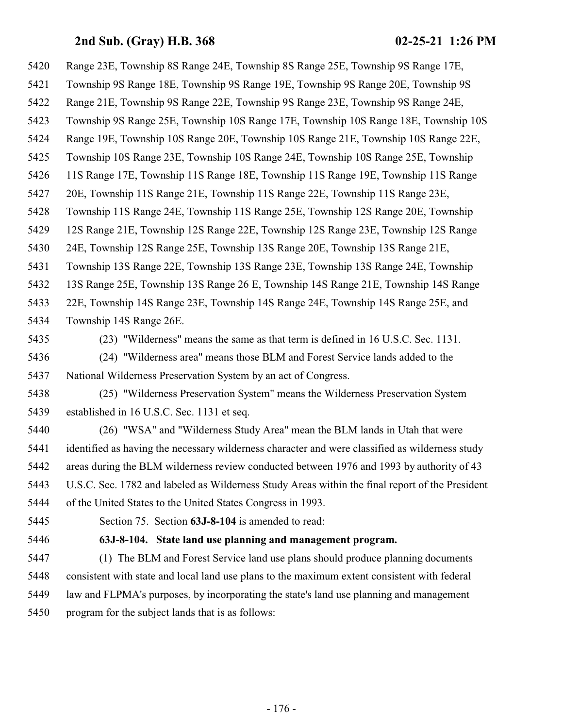Range 23E, Township 8S Range 24E, Township 8S Range 25E, Township 9S Range 17E,

- Township 9S Range 18E, Township 9S Range 19E, Township 9S Range 20E, Township 9S
- Range 21E, Township 9S Range 22E, Township 9S Range 23E, Township 9S Range 24E,
- Township 9S Range 25E, Township 10S Range 17E, Township 10S Range 18E, Township 10S
- Range 19E, Township 10S Range 20E, Township 10S Range 21E, Township 10S Range 22E,
- Township 10S Range 23E, Township 10S Range 24E, Township 10S Range 25E, Township
- 11S Range 17E, Township 11S Range 18E, Township 11S Range 19E, Township 11S Range
- 20E, Township 11S Range 21E, Township 11S Range 22E, Township 11S Range 23E,
- Township 11S Range 24E, Township 11S Range 25E, Township 12S Range 20E, Township
- 12S Range 21E, Township 12S Range 22E, Township 12S Range 23E, Township 12S Range
- 24E, Township 12S Range 25E, Township 13S Range 20E, Township 13S Range 21E,
- Township 13S Range 22E, Township 13S Range 23E, Township 13S Range 24E, Township
- 13S Range 25E, Township 13S Range 26 E, Township 14S Range 21E, Township 14S Range
- 22E, Township 14S Range 23E, Township 14S Range 24E, Township 14S Range 25E, and Township 14S Range 26E.
- 

(23) "Wilderness" means the same as that term is defined in 16 U.S.C. Sec. 1131.

- (24) "Wilderness area" means those BLM and Forest Service lands added to the National Wilderness Preservation System by an act of Congress.
- (25) "Wilderness Preservation System" means the Wilderness Preservation System established in 16 U.S.C. Sec. 1131 et seq.
- (26) "WSA" and "Wilderness Study Area" mean the BLM lands in Utah that were identified as having the necessary wilderness character and were classified as wilderness study areas during the BLM wilderness review conducted between 1976 and 1993 by authority of 43 U.S.C. Sec. 1782 and labeled as Wilderness Study Areas within the final report of the President of the United States to the United States Congress in 1993.
- 

Section 75. Section **63J-8-104** is amended to read:

## **63J-8-104. State land use planning and management program.**

 (1) The BLM and Forest Service land use plans should produce planning documents consistent with state and local land use plans to the maximum extent consistent with federal law and FLPMA's purposes, by incorporating the state's land use planning and management program for the subject lands that is as follows: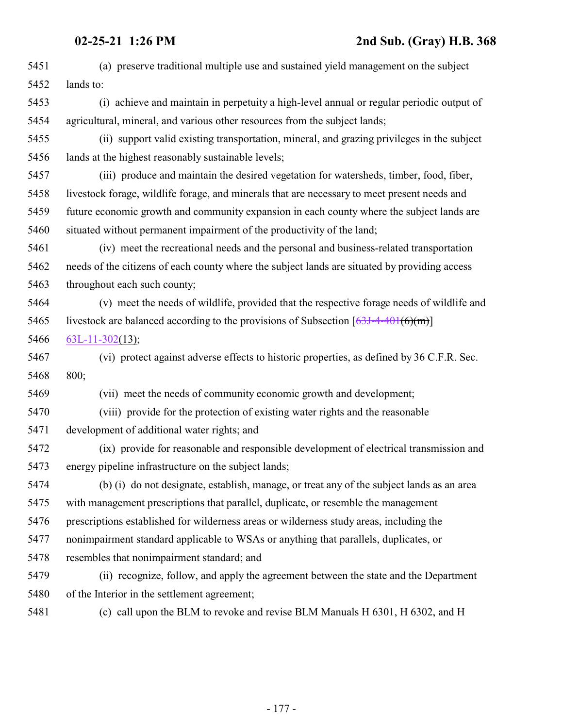| 5451 | (a) preserve traditional multiple use and sustained yield management on the subject           |
|------|-----------------------------------------------------------------------------------------------|
| 5452 | lands to:                                                                                     |
| 5453 | (i) achieve and maintain in perpetuity a high-level annual or regular periodic output of      |
| 5454 | agricultural, mineral, and various other resources from the subject lands;                    |
| 5455 | (ii) support valid existing transportation, mineral, and grazing privileges in the subject    |
| 5456 | lands at the highest reasonably sustainable levels;                                           |
| 5457 | (iii) produce and maintain the desired vegetation for watersheds, timber, food, fiber,        |
| 5458 | livestock forage, wildlife forage, and minerals that are necessary to meet present needs and  |
| 5459 | future economic growth and community expansion in each county where the subject lands are     |
| 5460 | situated without permanent impairment of the productivity of the land;                        |
| 5461 | (iv) meet the recreational needs and the personal and business-related transportation         |
| 5462 | needs of the citizens of each county where the subject lands are situated by providing access |
| 5463 | throughout each such county;                                                                  |
| 5464 | (v) meet the needs of wildlife, provided that the respective forage needs of wildlife and     |
| 5465 | livestock are balanced according to the provisions of Subsection $[63J-4-401(6)(m)]$          |
| 5466 | $63L-11-302(13);$                                                                             |
| 5467 | (vi) protect against adverse effects to historic properties, as defined by 36 C.F.R. Sec.     |
| 5468 | 800;                                                                                          |
| 5469 | (vii) meet the needs of community economic growth and development;                            |
| 5470 | (viii) provide for the protection of existing water rights and the reasonable                 |
| 5471 | development of additional water rights; and                                                   |
| 5472 | (ix) provide for reasonable and responsible development of electrical transmission and        |
| 5473 | energy pipeline infrastructure on the subject lands;                                          |
| 5474 | (b) (i) do not designate, establish, manage, or treat any of the subject lands as an area     |
| 5475 | with management prescriptions that parallel, duplicate, or resemble the management            |
| 5476 | prescriptions established for wilderness areas or wilderness study areas, including the       |
| 5477 | nonimpairment standard applicable to WSAs or anything that parallels, duplicates, or          |
| 5478 | resembles that nonimpairment standard; and                                                    |
| 5479 | (ii) recognize, follow, and apply the agreement between the state and the Department          |
| 5480 | of the Interior in the settlement agreement;                                                  |
| 5481 | (c) call upon the BLM to revoke and revise BLM Manuals H 6301, H 6302, and H                  |
|      |                                                                                               |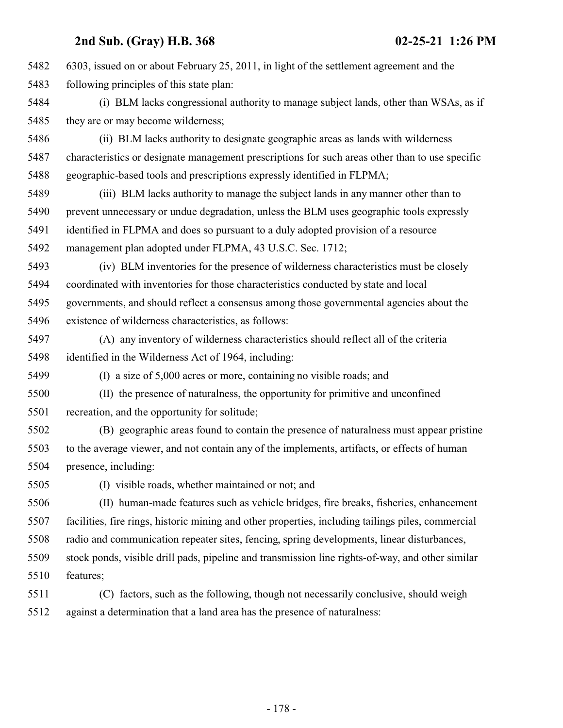6303, issued on or about February 25, 2011, in light of the settlement agreement and the following principles of this state plan: (i) BLM lacks congressional authority to manage subject lands, other than WSAs, as if 5485 they are or may become wilderness; (ii) BLM lacks authority to designate geographic areas as lands with wilderness characteristics or designate management prescriptions for such areas other than to use specific geographic-based tools and prescriptions expressly identified in FLPMA; (iii) BLM lacks authority to manage the subject lands in any manner other than to prevent unnecessary or undue degradation, unless the BLM uses geographic tools expressly identified in FLPMA and does so pursuant to a duly adopted provision of a resource management plan adopted under FLPMA, 43 U.S.C. Sec. 1712; (iv) BLM inventories for the presence of wilderness characteristics must be closely coordinated with inventories for those characteristics conducted by state and local governments, and should reflect a consensus among those governmental agencies about the existence of wilderness characteristics, as follows: (A) any inventory of wilderness characteristics should reflect all of the criteria identified in the Wilderness Act of 1964, including: (I) a size of 5,000 acres or more, containing no visible roads; and (II) the presence of naturalness, the opportunity for primitive and unconfined recreation, and the opportunity for solitude; (B) geographic areas found to contain the presence of naturalness must appear pristine to the average viewer, and not contain any of the implements, artifacts, or effects of human presence, including: (I) visible roads, whether maintained or not; and (II) human-made features such as vehicle bridges, fire breaks, fisheries, enhancement facilities, fire rings, historic mining and other properties, including tailings piles, commercial radio and communication repeater sites, fencing, spring developments, linear disturbances, stock ponds, visible drill pads, pipeline and transmission line rights-of-way, and other similar features; (C) factors, such as the following, though not necessarily conclusive, should weigh against a determination that a land area has the presence of naturalness: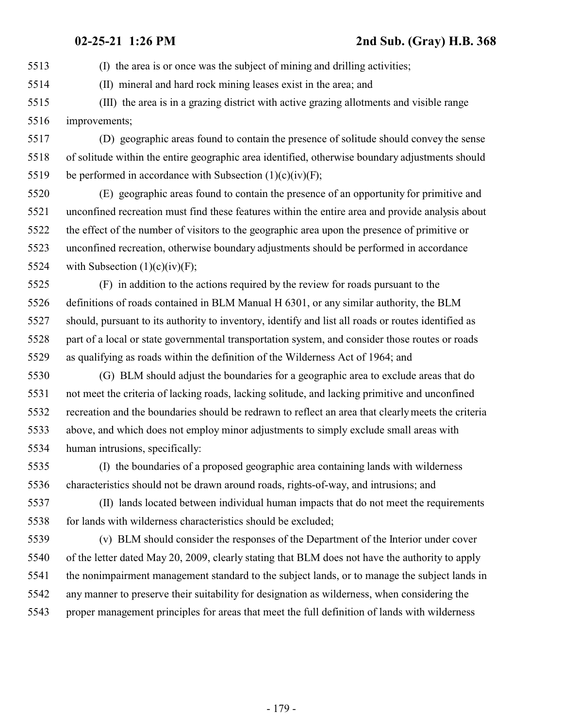(I) the area is or once was the subject of mining and drilling activities;

(II) mineral and hard rock mining leases exist in the area; and

 (III) the area is in a grazing district with active grazing allotments and visible range improvements;

 (D) geographic areas found to contain the presence of solitude should convey the sense of solitude within the entire geographic area identified, otherwise boundary adjustments should 5519 be performed in accordance with Subsection  $(1)(c)(iv)(F)$ ;

 (E) geographic areas found to contain the presence of an opportunity for primitive and unconfined recreation must find these features within the entire area and provide analysis about the effect of the number of visitors to the geographic area upon the presence of primitive or unconfined recreation, otherwise boundary adjustments should be performed in accordance 5524 with Subsection  $(1)(c)(iv)(F);$ 

 (F) in addition to the actions required by the review for roads pursuant to the definitions of roads contained in BLM Manual H 6301, or any similar authority, the BLM should, pursuant to its authority to inventory, identify and list all roads or routes identified as part of a local or state governmental transportation system, and consider those routes or roads as qualifying as roads within the definition of the Wilderness Act of 1964; and

 (G) BLM should adjust the boundaries for a geographic area to exclude areas that do not meet the criteria of lacking roads, lacking solitude, and lacking primitive and unconfined recreation and the boundaries should be redrawn to reflect an area that clearly meets the criteria above, and which does not employ minor adjustments to simply exclude small areas with human intrusions, specifically:

 (I) the boundaries of a proposed geographic area containing lands with wilderness characteristics should not be drawn around roads, rights-of-way, and intrusions; and

 (II) lands located between individual human impacts that do not meet the requirements for lands with wilderness characteristics should be excluded;

 (v) BLM should consider the responses of the Department of the Interior under cover of the letter dated May 20, 2009, clearly stating that BLM does not have the authority to apply the nonimpairment management standard to the subject lands, or to manage the subject lands in any manner to preserve their suitability for designation as wilderness, when considering the proper management principles for areas that meet the full definition of lands with wilderness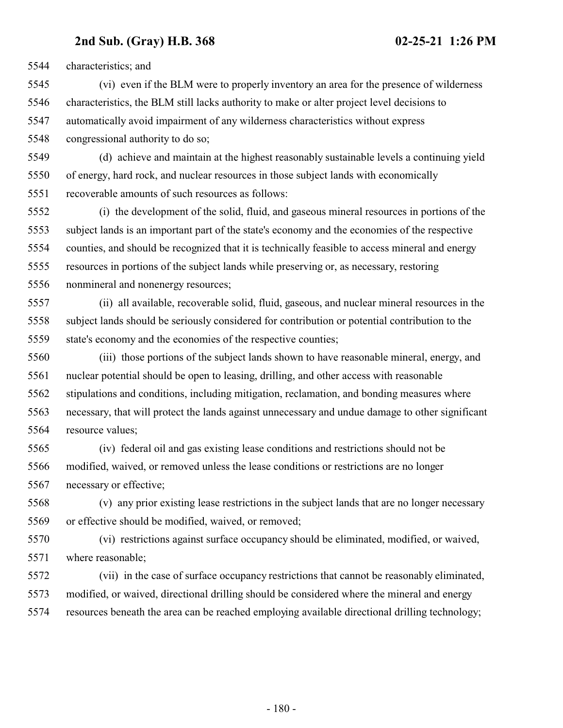characteristics; and

 (vi) even if the BLM were to properly inventory an area for the presence of wilderness characteristics, the BLM still lacks authority to make or alter project level decisions to automatically avoid impairment of any wilderness characteristics without express

congressional authority to do so;

 (d) achieve and maintain at the highest reasonably sustainable levels a continuing yield of energy, hard rock, and nuclear resources in those subject lands with economically recoverable amounts of such resources as follows:

 (i) the development of the solid, fluid, and gaseous mineral resources in portions of the subject lands is an important part of the state's economy and the economies of the respective counties, and should be recognized that it is technically feasible to access mineral and energy resources in portions of the subject lands while preserving or, as necessary, restoring nonmineral and nonenergy resources;

 (ii) all available, recoverable solid, fluid, gaseous, and nuclear mineral resources in the subject lands should be seriously considered for contribution or potential contribution to the state's economy and the economies of the respective counties;

 (iii) those portions of the subject lands shown to have reasonable mineral, energy, and nuclear potential should be open to leasing, drilling, and other access with reasonable stipulations and conditions, including mitigation, reclamation, and bonding measures where necessary, that will protect the lands against unnecessary and undue damage to other significant resource values;

 (iv) federal oil and gas existing lease conditions and restrictions should not be modified, waived, or removed unless the lease conditions or restrictions are no longer necessary or effective;

 (v) any prior existing lease restrictions in the subject lands that are no longer necessary or effective should be modified, waived, or removed;

 (vi) restrictions against surface occupancy should be eliminated, modified, or waived, where reasonable;

 (vii) in the case of surface occupancy restrictions that cannot be reasonably eliminated, modified, or waived, directional drilling should be considered where the mineral and energy resources beneath the area can be reached employing available directional drilling technology;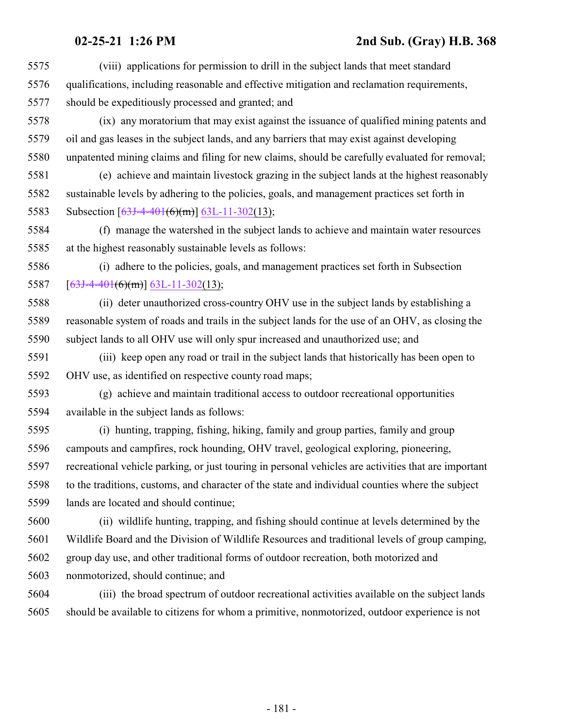(viii) applications for permission to drill in the subject lands that meet standard qualifications, including reasonable and effective mitigation and reclamation requirements, should be expeditiously processed and granted; and

 (ix) any moratorium that may exist against the issuance of qualified mining patents and oil and gas leases in the subject lands, and any barriers that may exist against developing unpatented mining claims and filing for new claims, should be carefully evaluated for removal;

 (e) achieve and maintain livestock grazing in the subject lands at the highest reasonably sustainable levels by adhering to the policies, goals, and management practices set forth in 5583 Subsection  $[63J-4-401(6)(m)]$  $[63J-4-401(6)(m)]$  [63L-11-302](#page-229-0)(13);

 (f) manage the watershed in the subject lands to achieve and maintain water resources at the highest reasonably sustainable levels as follows:

 (i) adhere to the policies, goals, and management practices set forth in Subsection 5587  $[63J-4-401(6)(m)]$  $[63J-4-401(6)(m)]$  $[63J-4-401(6)(m)]$  [63L-11-302](#page-229-0)(13);

 (ii) deter unauthorized cross-country OHV use in the subject lands by establishing a reasonable system of roads and trails in the subject lands for the use of an OHV, as closing the subject lands to all OHV use will only spur increased and unauthorized use; and

 (iii) keep open any road or trail in the subject lands that historically has been open to OHV use, as identified on respective county road maps;

 (g) achieve and maintain traditional access to outdoor recreational opportunities available in the subject lands as follows:

 (i) hunting, trapping, fishing, hiking, family and group parties, family and group campouts and campfires, rock hounding, OHV travel, geological exploring, pioneering, recreational vehicle parking, or just touring in personal vehicles are activities that are important to the traditions, customs, and character of the state and individual counties where the subject lands are located and should continue;

 (ii) wildlife hunting, trapping, and fishing should continue at levels determined by the Wildlife Board and the Division of Wildlife Resources and traditional levels of group camping, group day use, and other traditional forms of outdoor recreation, both motorized and nonmotorized, should continue; and

 (iii) the broad spectrum of outdoor recreational activities available on the subject lands should be available to citizens for whom a primitive, nonmotorized, outdoor experience is not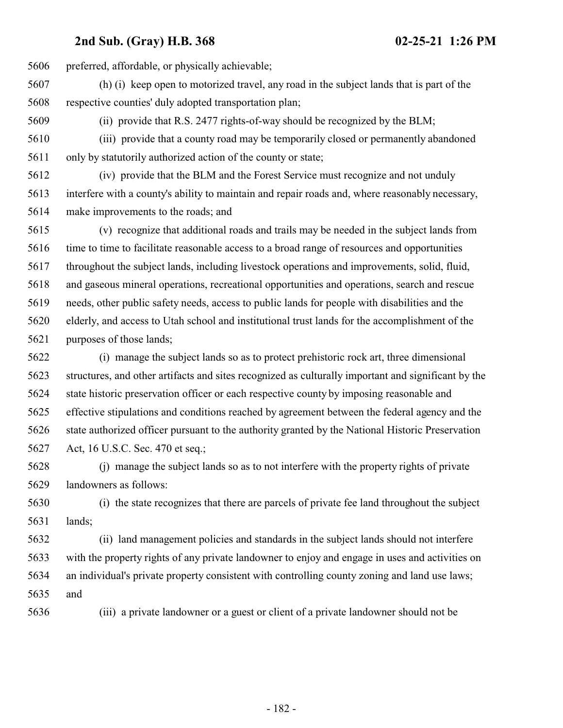preferred, affordable, or physically achievable; (h) (i) keep open to motorized travel, any road in the subject lands that is part of the respective counties' duly adopted transportation plan; (ii) provide that R.S. 2477 rights-of-way should be recognized by the BLM; (iii) provide that a county road may be temporarily closed or permanently abandoned only by statutorily authorized action of the county or state; (iv) provide that the BLM and the Forest Service must recognize and not unduly interfere with a county's ability to maintain and repair roads and, where reasonably necessary, make improvements to the roads; and (v) recognize that additional roads and trails may be needed in the subject lands from time to time to facilitate reasonable access to a broad range of resources and opportunities throughout the subject lands, including livestock operations and improvements, solid, fluid, and gaseous mineral operations, recreational opportunities and operations, search and rescue needs, other public safety needs, access to public lands for people with disabilities and the elderly, and access to Utah school and institutional trust lands for the accomplishment of the purposes of those lands; (i) manage the subject lands so as to protect prehistoric rock art, three dimensional structures, and other artifacts and sites recognized as culturally important and significant by the state historic preservation officer or each respective county by imposing reasonable and effective stipulations and conditions reached by agreement between the federal agency and the

 state authorized officer pursuant to the authority granted by the National Historic Preservation Act, 16 U.S.C. Sec. 470 et seq.;

 (j) manage the subject lands so as to not interfere with the property rights of private landowners as follows:

 (i) the state recognizes that there are parcels of private fee land throughout the subject lands;

 (ii) land management policies and standards in the subject lands should not interfere with the property rights of any private landowner to enjoy and engage in uses and activities on an individual's private property consistent with controlling county zoning and land use laws; and

(iii) a private landowner or a guest or client of a private landowner should not be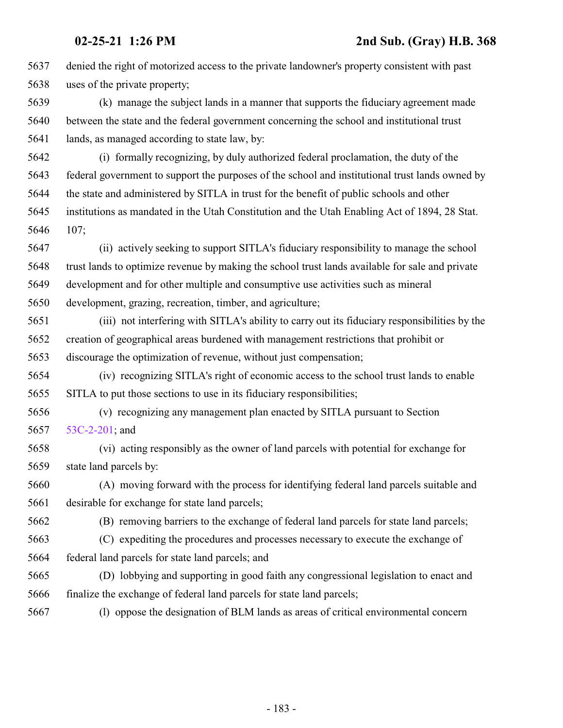| 5637 | denied the right of motorized access to the private landowner's property consistent with past   |
|------|-------------------------------------------------------------------------------------------------|
| 5638 | uses of the private property;                                                                   |
| 5639 | (k) manage the subject lands in a manner that supports the fiduciary agreement made             |
| 5640 | between the state and the federal government concerning the school and institutional trust      |
| 5641 | lands, as managed according to state law, by:                                                   |
| 5642 | (i) formally recognizing, by duly authorized federal proclamation, the duty of the              |
| 5643 | federal government to support the purposes of the school and institutional trust lands owned by |
| 5644 | the state and administered by SITLA in trust for the benefit of public schools and other        |
| 5645 | institutions as mandated in the Utah Constitution and the Utah Enabling Act of 1894, 28 Stat.   |
| 5646 | 107;                                                                                            |
| 5647 | (ii) actively seeking to support SITLA's fiduciary responsibility to manage the school          |
| 5648 | trust lands to optimize revenue by making the school trust lands available for sale and private |
| 5649 | development and for other multiple and consumptive use activities such as mineral               |
| 5650 | development, grazing, recreation, timber, and agriculture;                                      |
| 5651 | (iii) not interfering with SITLA's ability to carry out its fiduciary responsibilities by the   |
| 5652 | creation of geographical areas burdened with management restrictions that prohibit or           |
| 5653 | discourage the optimization of revenue, without just compensation;                              |
| 5654 | (iv) recognizing SITLA's right of economic access to the school trust lands to enable           |
| 5655 | SITLA to put those sections to use in its fiduciary responsibilities;                           |
| 5656 | (v) recognizing any management plan enacted by SITLA pursuant to Section                        |
| 5657 | 53C-2-201; and                                                                                  |
| 5658 | (vi) acting responsibly as the owner of land parcels with potential for exchange for            |
| 5659 | state land parcels by:                                                                          |
| 5660 | (A) moving forward with the process for identifying federal land parcels suitable and           |
| 5661 | desirable for exchange for state land parcels;                                                  |
| 5662 | (B) removing barriers to the exchange of federal land parcels for state land parcels;           |
| 5663 | (C) expediting the procedures and processes necessary to execute the exchange of                |
| 5664 | federal land parcels for state land parcels; and                                                |
| 5665 | (D) lobbying and supporting in good faith any congressional legislation to enact and            |
| 5666 | finalize the exchange of federal land parcels for state land parcels;                           |
| 5667 | (1) oppose the designation of BLM lands as areas of critical environmental concern              |
|      |                                                                                                 |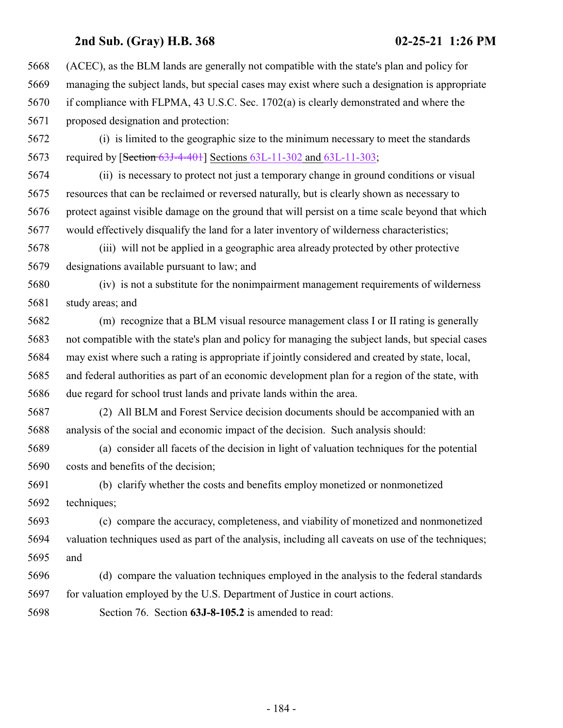(ACEC), as the BLM lands are generally not compatible with the state's plan and policy for managing the subject lands, but special cases may exist where such a designation is appropriate if compliance with FLPMA, 43 U.S.C. Sec. 1702(a) is clearly demonstrated and where the proposed designation and protection:

 (i) is limited to the geographic size to the minimum necessary to meet the standards required by [Section [63J-4-401](#page-142-0)] Sections [63L-11-302](#page-229-0) and [63L-11-303](#page-232-0);

 (ii) is necessary to protect not just a temporary change in ground conditions or visual resources that can be reclaimed or reversed naturally, but is clearly shown as necessary to protect against visible damage on the ground that will persist on a time scale beyond that which would effectively disqualify the land for a later inventory of wilderness characteristics;

 (iii) will not be applied in a geographic area already protected by other protective designations available pursuant to law; and

 (iv) is not a substitute for the nonimpairment management requirements of wilderness study areas; and

 (m) recognize that a BLM visual resource management class I or II rating is generally not compatible with the state's plan and policy for managing the subject lands, but special cases may exist where such a rating is appropriate if jointly considered and created by state, local, and federal authorities as part of an economic development plan for a region of the state, with due regard for school trust lands and private lands within the area.

 (2) All BLM and Forest Service decision documents should be accompanied with an analysis of the social and economic impact of the decision. Such analysis should:

 (a) consider all facets of the decision in light of valuation techniques for the potential costs and benefits of the decision;

 (b) clarify whether the costs and benefits employ monetized or nonmonetized techniques;

 (c) compare the accuracy, completeness, and viability of monetized and nonmonetized valuation techniques used as part of the analysis, including all caveats on use of the techniques; and

 (d) compare the valuation techniques employed in the analysis to the federal standards for valuation employed by the U.S. Department of Justice in court actions.

Section 76. Section **63J-8-105.2** is amended to read: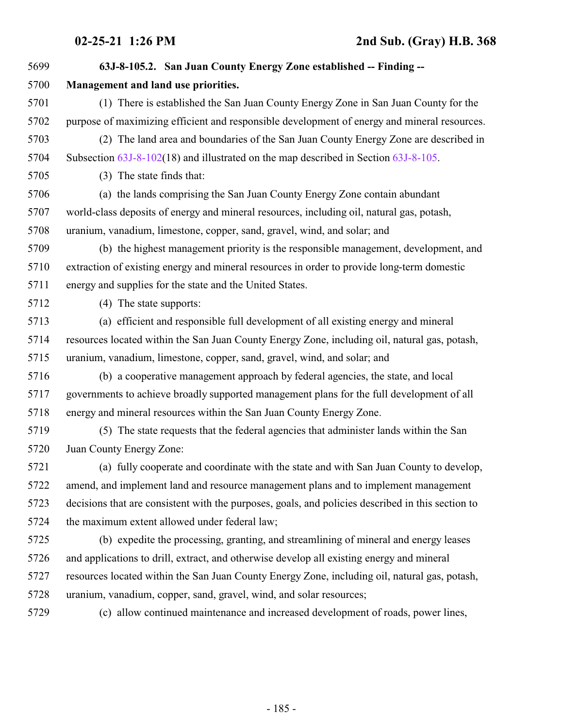**63J-8-105.2. San Juan County Energy Zone established -- Finding -- Management and land use priorities.** (1) There is established the San Juan County Energy Zone in San Juan County for the purpose of maximizing efficient and responsible development of energy and mineral resources. (2) The land area and boundaries of the San Juan County Energy Zone are described in Subsection [63J-8-102](#page-161-0)(18) and illustrated on the map described in Section [63J-8-105](http://le.utah.gov/UtahCode/SectionLookup.jsp?section=63j-8-105&session=2021GS). (3) The state finds that: (a) the lands comprising the San Juan County Energy Zone contain abundant world-class deposits of energy and mineral resources, including oil, natural gas, potash, uranium, vanadium, limestone, copper, sand, gravel, wind, and solar; and (b) the highest management priority is the responsible management, development, and extraction of existing energy and mineral resources in order to provide long-term domestic energy and supplies for the state and the United States. (4) The state supports: (a) efficient and responsible full development of all existing energy and mineral resources located within the San Juan County Energy Zone, including oil, natural gas, potash, uranium, vanadium, limestone, copper, sand, gravel, wind, and solar; and (b) a cooperative management approach by federal agencies, the state, and local governments to achieve broadly supported management plans for the full development of all energy and mineral resources within the San Juan County Energy Zone. (5) The state requests that the federal agencies that administer lands within the San Juan County Energy Zone: (a) fully cooperate and coordinate with the state and with San Juan County to develop, amend, and implement land and resource management plans and to implement management decisions that are consistent with the purposes, goals, and policies described in this section to the maximum extent allowed under federal law; (b) expedite the processing, granting, and streamlining of mineral and energy leases and applications to drill, extract, and otherwise develop all existing energy and mineral resources located within the San Juan County Energy Zone, including oil, natural gas, potash, uranium, vanadium, copper, sand, gravel, wind, and solar resources; (c) allow continued maintenance and increased development of roads, power lines,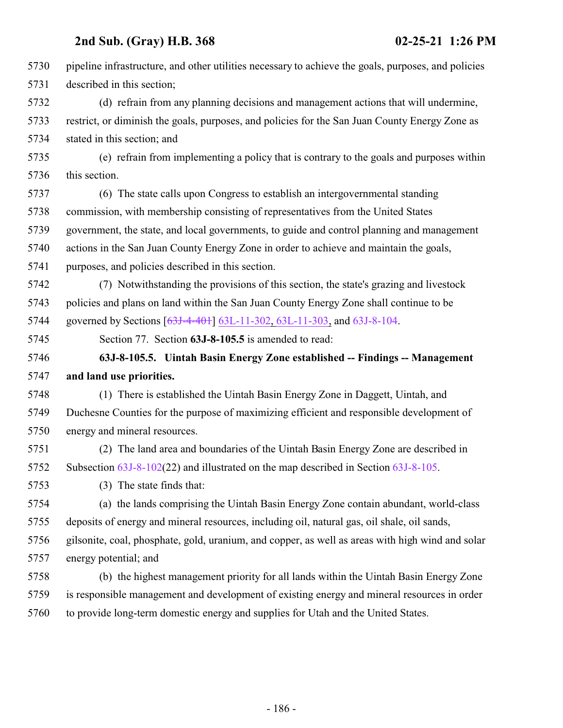| 5730 | pipeline infrastructure, and other utilities necessary to achieve the goals, purposes, and policies |
|------|-----------------------------------------------------------------------------------------------------|
| 5731 | described in this section;                                                                          |
| 5732 | (d) refrain from any planning decisions and management actions that will undermine,                 |
| 5733 | restrict, or diminish the goals, purposes, and policies for the San Juan County Energy Zone as      |
| 5734 | stated in this section; and                                                                         |
| 5735 | (e) refrain from implementing a policy that is contrary to the goals and purposes within            |
| 5736 | this section.                                                                                       |
| 5737 | (6) The state calls upon Congress to establish an intergovernmental standing                        |
| 5738 | commission, with membership consisting of representatives from the United States                    |
| 5739 | government, the state, and local governments, to guide and control planning and management          |
| 5740 | actions in the San Juan County Energy Zone in order to achieve and maintain the goals,              |
| 5741 | purposes, and policies described in this section.                                                   |
| 5742 | (7) Notwithstanding the provisions of this section, the state's grazing and livestock               |
| 5743 | policies and plans on land within the San Juan County Energy Zone shall continue to be              |
| 5744 | governed by Sections [63J-4-401] 63L-11-302, 63L-11-303, and 63J-8-104.                             |
| 5745 | Section 77. Section 63J-8-105.5 is amended to read:                                                 |
|      |                                                                                                     |
| 5746 | 63J-8-105.5. Uintah Basin Energy Zone established -- Findings -- Management                         |
| 5747 | and land use priorities.                                                                            |
| 5748 | (1) There is established the Uintah Basin Energy Zone in Daggett, Uintah, and                       |
| 5749 | Duchesne Counties for the purpose of maximizing efficient and responsible development of            |
| 5750 | energy and mineral resources.                                                                       |
| 5751 | (2) The land area and boundaries of the Uintah Basin Energy Zone are described in                   |
| 5752 | Subsection $63J-8-102(22)$ and illustrated on the map described in Section $63J-8-105$ .            |
| 5753 | (3) The state finds that:                                                                           |
| 5754 | (a) the lands comprising the Uintah Basin Energy Zone contain abundant, world-class                 |
| 5755 | deposits of energy and mineral resources, including oil, natural gas, oil shale, oil sands,         |
| 5756 | gilsonite, coal, phosphate, gold, uranium, and copper, as well as areas with high wind and solar    |
| 5757 | energy potential; and                                                                               |
| 5758 | (b) the highest management priority for all lands within the Uintah Basin Energy Zone               |
| 5759 | is responsible management and development of existing energy and mineral resources in order         |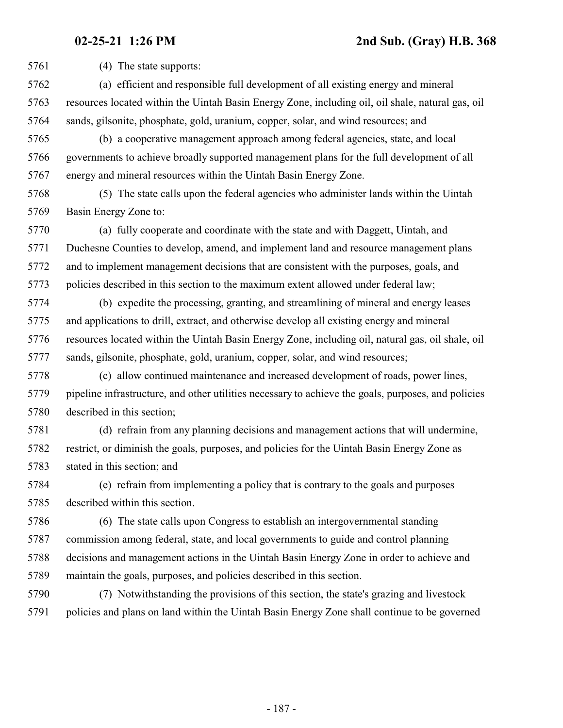(4) The state supports:

- (a) efficient and responsible full development of all existing energy and mineral resources located within the Uintah Basin Energy Zone, including oil, oil shale, natural gas, oil sands, gilsonite, phosphate, gold, uranium, copper, solar, and wind resources; and
- (b) a cooperative management approach among federal agencies, state, and local governments to achieve broadly supported management plans for the full development of all energy and mineral resources within the Uintah Basin Energy Zone.
- (5) The state calls upon the federal agencies who administer lands within the Uintah Basin Energy Zone to:
- (a) fully cooperate and coordinate with the state and with Daggett, Uintah, and Duchesne Counties to develop, amend, and implement land and resource management plans and to implement management decisions that are consistent with the purposes, goals, and policies described in this section to the maximum extent allowed under federal law;
- (b) expedite the processing, granting, and streamlining of mineral and energy leases and applications to drill, extract, and otherwise develop all existing energy and mineral resources located within the Uintah Basin Energy Zone, including oil, natural gas, oil shale, oil sands, gilsonite, phosphate, gold, uranium, copper, solar, and wind resources;
- (c) allow continued maintenance and increased development of roads, power lines, pipeline infrastructure, and other utilities necessary to achieve the goals, purposes, and policies described in this section;
- (d) refrain from any planning decisions and management actions that will undermine, restrict, or diminish the goals, purposes, and policies for the Uintah Basin Energy Zone as stated in this section; and
- (e) refrain from implementing a policy that is contrary to the goals and purposes described within this section.
- (6) The state calls upon Congress to establish an intergovernmental standing commission among federal, state, and local governments to guide and control planning decisions and management actions in the Uintah Basin Energy Zone in order to achieve and maintain the goals, purposes, and policies described in this section.
- (7) Notwithstanding the provisions of this section, the state's grazing and livestock policies and plans on land within the Uintah Basin Energy Zone shall continue to be governed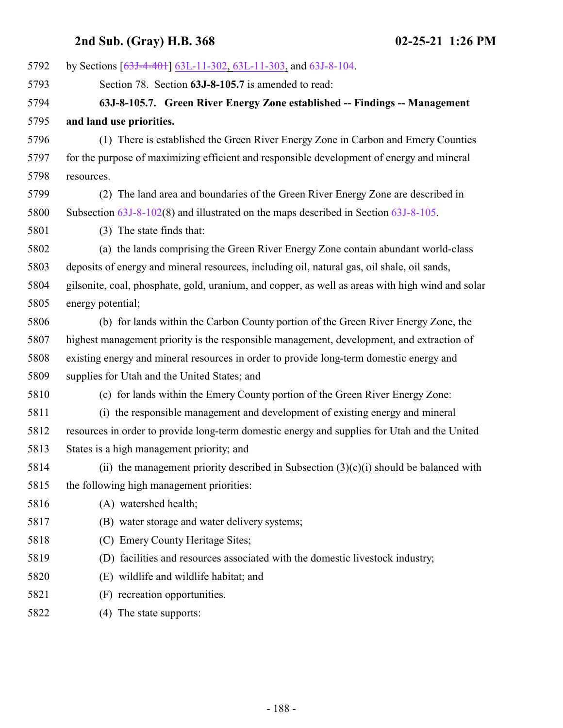| 5792 | by Sections [63J-4-401] 63L-11-302, 63L-11-303, and 63J-8-104.                                   |
|------|--------------------------------------------------------------------------------------------------|
| 5793 | Section 78. Section 63J-8-105.7 is amended to read:                                              |
| 5794 | 63J-8-105.7. Green River Energy Zone established -- Findings -- Management                       |
| 5795 | and land use priorities.                                                                         |
| 5796 | (1) There is established the Green River Energy Zone in Carbon and Emery Counties                |
| 5797 | for the purpose of maximizing efficient and responsible development of energy and mineral        |
| 5798 | resources.                                                                                       |
| 5799 | The land area and boundaries of the Green River Energy Zone are described in<br>(2)              |
| 5800 | Subsection $63J-8-102(8)$ and illustrated on the maps described in Section $63J-8-105$ .         |
| 5801 | (3) The state finds that:                                                                        |
| 5802 | (a) the lands comprising the Green River Energy Zone contain abundant world-class                |
| 5803 | deposits of energy and mineral resources, including oil, natural gas, oil shale, oil sands,      |
| 5804 | gilsonite, coal, phosphate, gold, uranium, and copper, as well as areas with high wind and solar |
| 5805 | energy potential;                                                                                |
| 5806 | (b) for lands within the Carbon County portion of the Green River Energy Zone, the               |
| 5807 | highest management priority is the responsible management, development, and extraction of        |
| 5808 | existing energy and mineral resources in order to provide long-term domestic energy and          |
| 5809 | supplies for Utah and the United States; and                                                     |
| 5810 | (c) for lands within the Emery County portion of the Green River Energy Zone:                    |
| 5811 | (i) the responsible management and development of existing energy and mineral                    |
| 5812 | resources in order to provide long-term domestic energy and supplies for Utah and the United     |
| 5813 | States is a high management priority; and                                                        |
| 5814 | (ii) the management priority described in Subsection $(3)(c)(i)$ should be balanced with         |
| 5815 | the following high management priorities:                                                        |
| 5816 | (A) watershed health;                                                                            |
| 5817 | (B) water storage and water delivery systems;                                                    |
| 5818 | (C) Emery County Heritage Sites;                                                                 |
| 5819 | (D) facilities and resources associated with the domestic livestock industry;                    |
| 5820 | (E) wildlife and wildlife habitat; and                                                           |
| 5821 | (F) recreation opportunities.                                                                    |
| 5822 | (4) The state supports:                                                                          |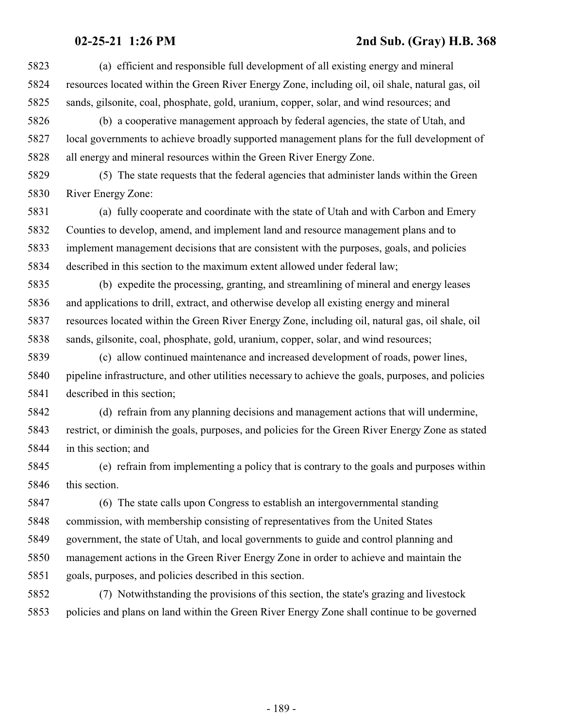(a) efficient and responsible full development of all existing energy and mineral resources located within the Green River Energy Zone, including oil, oil shale, natural gas, oil sands, gilsonite, coal, phosphate, gold, uranium, copper, solar, and wind resources; and (b) a cooperative management approach by federal agencies, the state of Utah, and local governments to achieve broadly supported management plans for the full development of all energy and mineral resources within the Green River Energy Zone. (5) The state requests that the federal agencies that administer lands within the Green River Energy Zone: (a) fully cooperate and coordinate with the state of Utah and with Carbon and Emery Counties to develop, amend, and implement land and resource management plans and to implement management decisions that are consistent with the purposes, goals, and policies described in this section to the maximum extent allowed under federal law; (b) expedite the processing, granting, and streamlining of mineral and energy leases and applications to drill, extract, and otherwise develop all existing energy and mineral resources located within the Green River Energy Zone, including oil, natural gas, oil shale, oil sands, gilsonite, coal, phosphate, gold, uranium, copper, solar, and wind resources; (c) allow continued maintenance and increased development of roads, power lines, pipeline infrastructure, and other utilities necessary to achieve the goals, purposes, and policies described in this section; (d) refrain from any planning decisions and management actions that will undermine, restrict, or diminish the goals, purposes, and policies for the Green River Energy Zone as stated in this section; and (e) refrain from implementing a policy that is contrary to the goals and purposes within 5846 this section.

 (6) The state calls upon Congress to establish an intergovernmental standing commission, with membership consisting of representatives from the United States government, the state of Utah, and local governments to guide and control planning and management actions in the Green River Energy Zone in order to achieve and maintain the goals, purposes, and policies described in this section.

 (7) Notwithstanding the provisions of this section, the state's grazing and livestock policies and plans on land within the Green River Energy Zone shall continue to be governed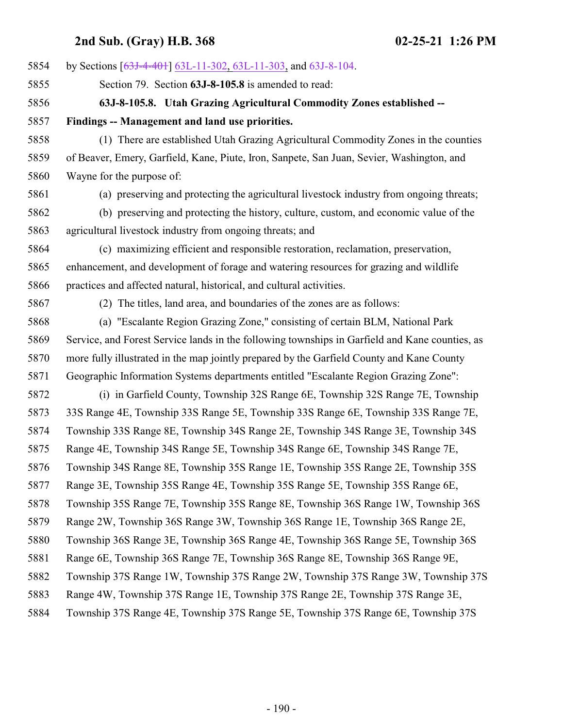| 5854 | by Sections [63J-4-401] 63L-11-302, 63L-11-303, and 63J-8-104.                                 |
|------|------------------------------------------------------------------------------------------------|
| 5855 | Section 79. Section 63J-8-105.8 is amended to read:                                            |
| 5856 | 63J-8-105.8. Utah Grazing Agricultural Commodity Zones established --                          |
| 5857 | Findings -- Management and land use priorities.                                                |
| 5858 | (1) There are established Utah Grazing Agricultural Commodity Zones in the counties            |
| 5859 | of Beaver, Emery, Garfield, Kane, Piute, Iron, Sanpete, San Juan, Sevier, Washington, and      |
| 5860 | Wayne for the purpose of:                                                                      |
| 5861 | (a) preserving and protecting the agricultural livestock industry from ongoing threats;        |
| 5862 | (b) preserving and protecting the history, culture, custom, and economic value of the          |
| 5863 | agricultural livestock industry from ongoing threats; and                                      |
| 5864 | (c) maximizing efficient and responsible restoration, reclamation, preservation,               |
| 5865 | enhancement, and development of forage and watering resources for grazing and wildlife         |
| 5866 | practices and affected natural, historical, and cultural activities.                           |
| 5867 | (2) The titles, land area, and boundaries of the zones are as follows:                         |
| 5868 | (a) "Escalante Region Grazing Zone," consisting of certain BLM, National Park                  |
| 5869 | Service, and Forest Service lands in the following townships in Garfield and Kane counties, as |
| 5870 | more fully illustrated in the map jointly prepared by the Garfield County and Kane County      |
| 5871 | Geographic Information Systems departments entitled "Escalante Region Grazing Zone":           |
| 5872 | (i) in Garfield County, Township 32S Range 6E, Township 32S Range 7E, Township                 |
| 5873 | 33S Range 4E, Township 33S Range 5E, Township 33S Range 6E, Township 33S Range 7E,             |
| 5874 | Township 33S Range 8E, Township 34S Range 2E, Township 34S Range 3E, Township 34S              |
| 5875 | Range 4E, Township 34S Range 5E, Township 34S Range 6E, Township 34S Range 7E,                 |
| 5876 | Township 34S Range 8E, Township 35S Range 1E, Township 35S Range 2E, Township 35S              |
| 5877 | Range 3E, Township 35S Range 4E, Township 35S Range 5E, Township 35S Range 6E,                 |
| 5878 | Township 35S Range 7E, Township 35S Range 8E, Township 36S Range 1W, Township 36S              |
| 5879 | Range 2W, Township 36S Range 3W, Township 36S Range 1E, Township 36S Range 2E,                 |
| 5880 | Township 36S Range 3E, Township 36S Range 4E, Township 36S Range 5E, Township 36S              |
| 5881 | Range 6E, Township 36S Range 7E, Township 36S Range 8E, Township 36S Range 9E,                 |
| 5882 | Township 37S Range 1W, Township 37S Range 2W, Township 37S Range 3W, Township 37S              |
| 5883 | Range 4W, Township 37S Range 1E, Township 37S Range 2E, Township 37S Range 3E,                 |
| 5884 | Township 37S Range 4E, Township 37S Range 5E, Township 37S Range 6E, Township 37S              |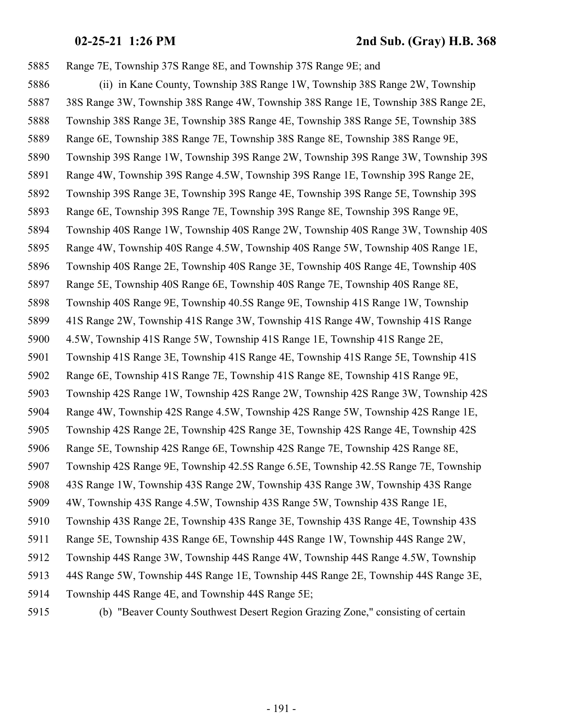Range 7E, Township 37S Range 8E, and Township 37S Range 9E; and (ii) in Kane County, Township 38S Range 1W, Township 38S Range 2W, Township 38S Range 3W, Township 38S Range 4W, Township 38S Range 1E, Township 38S Range 2E, Township 38S Range 3E, Township 38S Range 4E, Township 38S Range 5E, Township 38S Range 6E, Township 38S Range 7E, Township 38S Range 8E, Township 38S Range 9E, Township 39S Range 1W, Township 39S Range 2W, Township 39S Range 3W, Township 39S Range 4W, Township 39S Range 4.5W, Township 39S Range 1E, Township 39S Range 2E, Township 39S Range 3E, Township 39S Range 4E, Township 39S Range 5E, Township 39S Range 6E, Township 39S Range 7E, Township 39S Range 8E, Township 39S Range 9E, Township 40S Range 1W, Township 40S Range 2W, Township 40S Range 3W, Township 40S Range 4W, Township 40S Range 4.5W, Township 40S Range 5W, Township 40S Range 1E, Township 40S Range 2E, Township 40S Range 3E, Township 40S Range 4E, Township 40S Range 5E, Township 40S Range 6E, Township 40S Range 7E, Township 40S Range 8E, Township 40S Range 9E, Township 40.5S Range 9E, Township 41S Range 1W, Township 41S Range 2W, Township 41S Range 3W, Township 41S Range 4W, Township 41S Range 4.5W, Township 41S Range 5W, Township 41S Range 1E, Township 41S Range 2E, Township 41S Range 3E, Township 41S Range 4E, Township 41S Range 5E, Township 41S Range 6E, Township 41S Range 7E, Township 41S Range 8E, Township 41S Range 9E, Township 42S Range 1W, Township 42S Range 2W, Township 42S Range 3W, Township 42S Range 4W, Township 42S Range 4.5W, Township 42S Range 5W, Township 42S Range 1E, Township 42S Range 2E, Township 42S Range 3E, Township 42S Range 4E, Township 42S Range 5E, Township 42S Range 6E, Township 42S Range 7E, Township 42S Range 8E, Township 42S Range 9E, Township 42.5S Range 6.5E, Township 42.5S Range 7E, Township 43S Range 1W, Township 43S Range 2W, Township 43S Range 3W, Township 43S Range 4W, Township 43S Range 4.5W, Township 43S Range 5W, Township 43S Range 1E, Township 43S Range 2E, Township 43S Range 3E, Township 43S Range 4E, Township 43S Range 5E, Township 43S Range 6E, Township 44S Range 1W, Township 44S Range 2W, Township 44S Range 3W, Township 44S Range 4W, Township 44S Range 4.5W, Township 44S Range 5W, Township 44S Range 1E, Township 44S Range 2E, Township 44S Range 3E, Township 44S Range 4E, and Township 44S Range 5E;

- 
- (b) "Beaver County Southwest Desert Region Grazing Zone," consisting of certain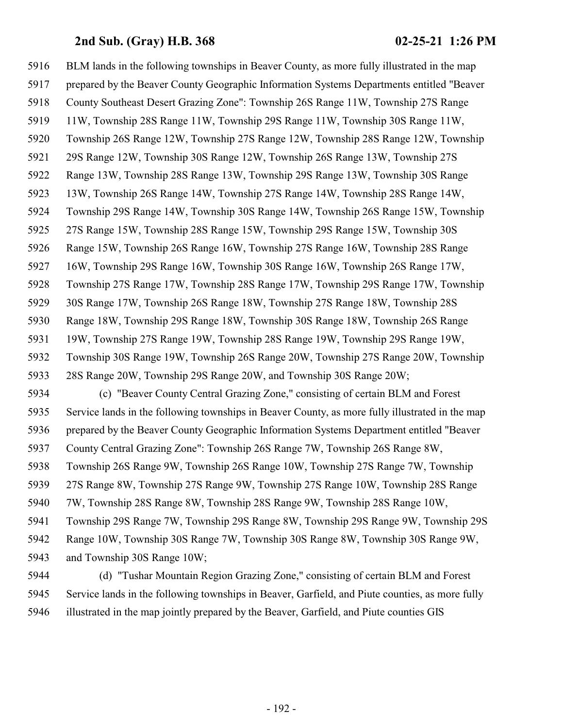BLM lands in the following townships in Beaver County, as more fully illustrated in the map prepared by the Beaver County Geographic Information Systems Departments entitled "Beaver County Southeast Desert Grazing Zone": Township 26S Range 11W, Township 27S Range 11W, Township 28S Range 11W, Township 29S Range 11W, Township 30S Range 11W, Township 26S Range 12W, Township 27S Range 12W, Township 28S Range 12W, Township 29S Range 12W, Township 30S Range 12W, Township 26S Range 13W, Township 27S Range 13W, Township 28S Range 13W, Township 29S Range 13W, Township 30S Range 13W, Township 26S Range 14W, Township 27S Range 14W, Township 28S Range 14W, Township 29S Range 14W, Township 30S Range 14W, Township 26S Range 15W, Township 27S Range 15W, Township 28S Range 15W, Township 29S Range 15W, Township 30S Range 15W, Township 26S Range 16W, Township 27S Range 16W, Township 28S Range 16W, Township 29S Range 16W, Township 30S Range 16W, Township 26S Range 17W, Township 27S Range 17W, Township 28S Range 17W, Township 29S Range 17W, Township 30S Range 17W, Township 26S Range 18W, Township 27S Range 18W, Township 28S Range 18W, Township 29S Range 18W, Township 30S Range 18W, Township 26S Range 19W, Township 27S Range 19W, Township 28S Range 19W, Township 29S Range 19W, Township 30S Range 19W, Township 26S Range 20W, Township 27S Range 20W, Township 28S Range 20W, Township 29S Range 20W, and Township 30S Range 20W; (c) "Beaver County Central Grazing Zone," consisting of certain BLM and Forest Service lands in the following townships in Beaver County, as more fully illustrated in the map prepared by the Beaver County Geographic Information Systems Department entitled "Beaver County Central Grazing Zone": Township 26S Range 7W, Township 26S Range 8W, Township 26S Range 9W, Township 26S Range 10W, Township 27S Range 7W, Township 27S Range 8W, Township 27S Range 9W, Township 27S Range 10W, Township 28S Range 7W, Township 28S Range 8W, Township 28S Range 9W, Township 28S Range 10W, Township 29S Range 7W, Township 29S Range 8W, Township 29S Range 9W, Township 29S Range 10W, Township 30S Range 7W, Township 30S Range 8W, Township 30S Range 9W, and Township 30S Range 10W; (d) "Tushar Mountain Region Grazing Zone," consisting of certain BLM and Forest

 Service lands in the following townships in Beaver, Garfield, and Piute counties, as more fully illustrated in the map jointly prepared by the Beaver, Garfield, and Piute counties GIS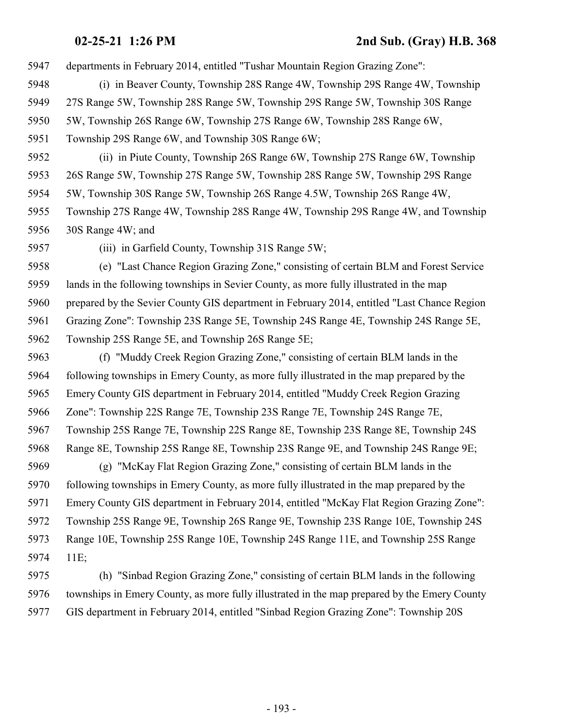- departments in February 2014, entitled "Tushar Mountain Region Grazing Zone":
- (i) in Beaver County, Township 28S Range 4W, Township 29S Range 4W, Township
- 27S Range 5W, Township 28S Range 5W, Township 29S Range 5W, Township 30S Range
- 5W, Township 26S Range 6W, Township 27S Range 6W, Township 28S Range 6W,
- Township 29S Range 6W, and Township 30S Range 6W;
- (ii) in Piute County, Township 26S Range 6W, Township 27S Range 6W, Township 26S Range 5W, Township 27S Range 5W, Township 28S Range 5W, Township 29S Range 5W, Township 30S Range 5W, Township 26S Range 4.5W, Township 26S Range 4W,
- Township 27S Range 4W, Township 28S Range 4W, Township 29S Range 4W, and Township 30S Range 4W; and
- 

(iii) in Garfield County, Township 31S Range 5W;

 (e) "Last Chance Region Grazing Zone," consisting of certain BLM and Forest Service lands in the following townships in Sevier County, as more fully illustrated in the map prepared by the Sevier County GIS department in February 2014, entitled "Last Chance Region Grazing Zone": Township 23S Range 5E, Township 24S Range 4E, Township 24S Range 5E, Township 25S Range 5E, and Township 26S Range 5E;

 (f) "Muddy Creek Region Grazing Zone," consisting of certain BLM lands in the following townships in Emery County, as more fully illustrated in the map prepared by the Emery County GIS department in February 2014, entitled "Muddy Creek Region Grazing Zone": Township 22S Range 7E, Township 23S Range 7E, Township 24S Range 7E, Township 25S Range 7E, Township 22S Range 8E, Township 23S Range 8E, Township 24S Range 8E, Township 25S Range 8E, Township 23S Range 9E, and Township 24S Range 9E; (g) "McKay Flat Region Grazing Zone," consisting of certain BLM lands in the following townships in Emery County, as more fully illustrated in the map prepared by the Emery County GIS department in February 2014, entitled "McKay Flat Region Grazing Zone": Township 25S Range 9E, Township 26S Range 9E, Township 23S Range 10E, Township 24S Range 10E, Township 25S Range 10E, Township 24S Range 11E, and Township 25S Range 11E;

 (h) "Sinbad Region Grazing Zone," consisting of certain BLM lands in the following townships in Emery County, as more fully illustrated in the map prepared by the Emery County GIS department in February 2014, entitled "Sinbad Region Grazing Zone": Township 20S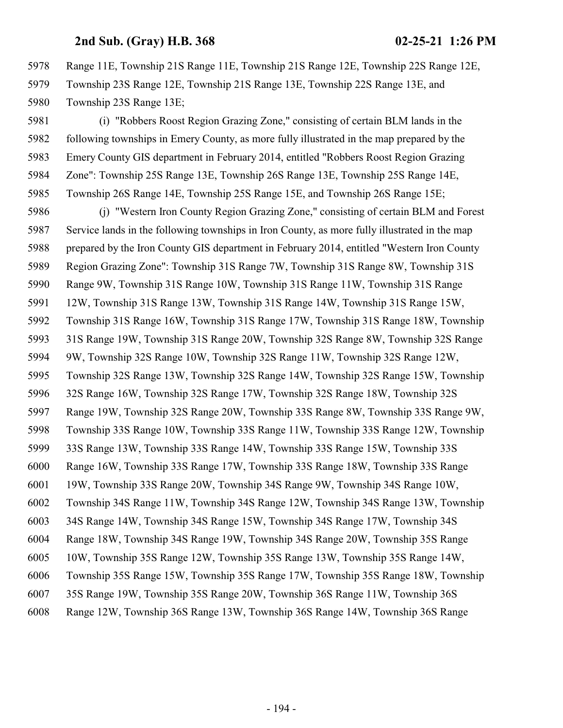Range 11E, Township 21S Range 11E, Township 21S Range 12E, Township 22S Range 12E, Township 23S Range 12E, Township 21S Range 13E, Township 22S Range 13E, and Township 23S Range 13E;

 (i) "Robbers Roost Region Grazing Zone," consisting of certain BLM lands in the following townships in Emery County, as more fully illustrated in the map prepared by the Emery County GIS department in February 2014, entitled "Robbers Roost Region Grazing Zone": Township 25S Range 13E, Township 26S Range 13E, Township 25S Range 14E, Township 26S Range 14E, Township 25S Range 15E, and Township 26S Range 15E;

 (j) "Western Iron County Region Grazing Zone," consisting of certain BLM and Forest Service lands in the following townships in Iron County, as more fully illustrated in the map prepared by the Iron County GIS department in February 2014, entitled "Western Iron County Region Grazing Zone": Township 31S Range 7W, Township 31S Range 8W, Township 31S Range 9W, Township 31S Range 10W, Township 31S Range 11W, Township 31S Range 12W, Township 31S Range 13W, Township 31S Range 14W, Township 31S Range 15W, Township 31S Range 16W, Township 31S Range 17W, Township 31S Range 18W, Township 31S Range 19W, Township 31S Range 20W, Township 32S Range 8W, Township 32S Range 9W, Township 32S Range 10W, Township 32S Range 11W, Township 32S Range 12W, Township 32S Range 13W, Township 32S Range 14W, Township 32S Range 15W, Township 32S Range 16W, Township 32S Range 17W, Township 32S Range 18W, Township 32S Range 19W, Township 32S Range 20W, Township 33S Range 8W, Township 33S Range 9W, Township 33S Range 10W, Township 33S Range 11W, Township 33S Range 12W, Township 33S Range 13W, Township 33S Range 14W, Township 33S Range 15W, Township 33S Range 16W, Township 33S Range 17W, Township 33S Range 18W, Township 33S Range 19W, Township 33S Range 20W, Township 34S Range 9W, Township 34S Range 10W, Township 34S Range 11W, Township 34S Range 12W, Township 34S Range 13W, Township 34S Range 14W, Township 34S Range 15W, Township 34S Range 17W, Township 34S Range 18W, Township 34S Range 19W, Township 34S Range 20W, Township 35S Range 10W, Township 35S Range 12W, Township 35S Range 13W, Township 35S Range 14W, Township 35S Range 15W, Township 35S Range 17W, Township 35S Range 18W, Township 35S Range 19W, Township 35S Range 20W, Township 36S Range 11W, Township 36S Range 12W, Township 36S Range 13W, Township 36S Range 14W, Township 36S Range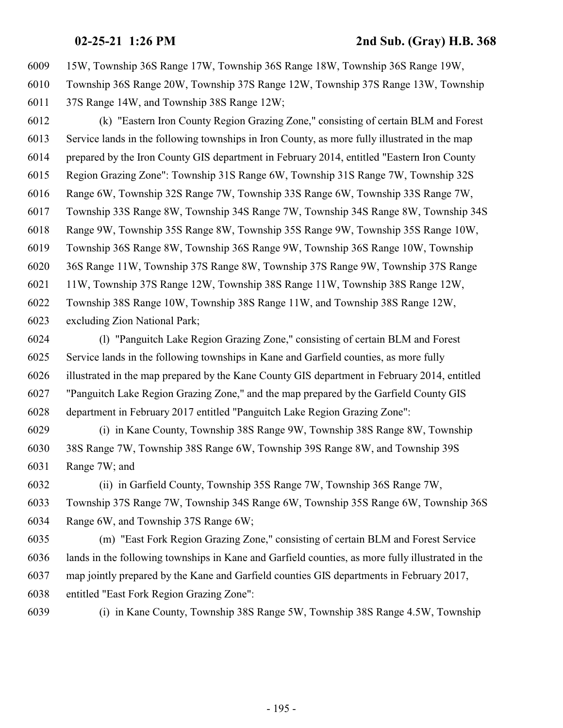15W, Township 36S Range 17W, Township 36S Range 18W, Township 36S Range 19W,

 Township 36S Range 20W, Township 37S Range 12W, Township 37S Range 13W, Township 37S Range 14W, and Township 38S Range 12W;

 (k) "Eastern Iron County Region Grazing Zone," consisting of certain BLM and Forest Service lands in the following townships in Iron County, as more fully illustrated in the map prepared by the Iron County GIS department in February 2014, entitled "Eastern Iron County Region Grazing Zone": Township 31S Range 6W, Township 31S Range 7W, Township 32S Range 6W, Township 32S Range 7W, Township 33S Range 6W, Township 33S Range 7W, Township 33S Range 8W, Township 34S Range 7W, Township 34S Range 8W, Township 34S Range 9W, Township 35S Range 8W, Township 35S Range 9W, Township 35S Range 10W, Township 36S Range 8W, Township 36S Range 9W, Township 36S Range 10W, Township 36S Range 11W, Township 37S Range 8W, Township 37S Range 9W, Township 37S Range 11W, Township 37S Range 12W, Township 38S Range 11W, Township 38S Range 12W, Township 38S Range 10W, Township 38S Range 11W, and Township 38S Range 12W, excluding Zion National Park;

 (l) "Panguitch Lake Region Grazing Zone," consisting of certain BLM and Forest Service lands in the following townships in Kane and Garfield counties, as more fully illustrated in the map prepared by the Kane County GIS department in February 2014, entitled "Panguitch Lake Region Grazing Zone," and the map prepared by the Garfield County GIS department in February 2017 entitled "Panguitch Lake Region Grazing Zone":

 (i) in Kane County, Township 38S Range 9W, Township 38S Range 8W, Township 38S Range 7W, Township 38S Range 6W, Township 39S Range 8W, and Township 39S Range 7W; and

 (ii) in Garfield County, Township 35S Range 7W, Township 36S Range 7W, Township 37S Range 7W, Township 34S Range 6W, Township 35S Range 6W, Township 36S Range 6W, and Township 37S Range 6W;

 (m) "East Fork Region Grazing Zone," consisting of certain BLM and Forest Service lands in the following townships in Kane and Garfield counties, as more fully illustrated in the map jointly prepared by the Kane and Garfield counties GIS departments in February 2017, entitled "East Fork Region Grazing Zone":

(i) in Kane County, Township 38S Range 5W, Township 38S Range 4.5W, Township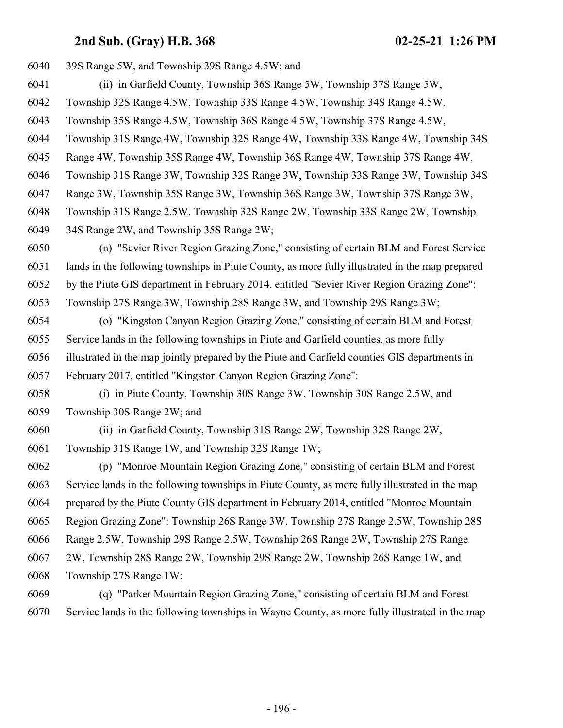| 6040     | 39S Range 5W, and Township 39S Range 4.5W; and                                                  |
|----------|-------------------------------------------------------------------------------------------------|
| 6041     | (ii) in Garfield County, Township 36S Range 5W, Township 37S Range 5W,                          |
| 6042     | Township 32S Range 4.5W, Township 33S Range 4.5W, Township 34S Range 4.5W,                      |
| 6043     | Township 35S Range 4.5W, Township 36S Range 4.5W, Township 37S Range 4.5W,                      |
| 6044     | Township 31S Range 4W, Township 32S Range 4W, Township 33S Range 4W, Township 34S               |
| 6045     | Range 4W, Township 35S Range 4W, Township 36S Range 4W, Township 37S Range 4W,                  |
| 6046     | Township 31S Range 3W, Township 32S Range 3W, Township 33S Range 3W, Township 34S               |
| 6047     | Range 3W, Township 35S Range 3W, Township 36S Range 3W, Township 37S Range 3W,                  |
| 6048     | Township 31S Range 2.5W, Township 32S Range 2W, Township 33S Range 2W, Township                 |
| 6049     | 34S Range 2W, and Township 35S Range 2W;                                                        |
| 6050     | (n) "Sevier River Region Grazing Zone," consisting of certain BLM and Forest Service            |
| 6051     | lands in the following townships in Piute County, as more fully illustrated in the map prepared |
| 6052     | by the Piute GIS department in February 2014, entitled "Sevier River Region Grazing Zone":      |
| 6053     | Township 27S Range 3W, Township 28S Range 3W, and Township 29S Range 3W;                        |
| 6054     | (o) "Kingston Canyon Region Grazing Zone," consisting of certain BLM and Forest                 |
| 6055     | Service lands in the following townships in Piute and Garfield counties, as more fully          |
| 6056     | illustrated in the map jointly prepared by the Piute and Garfield counties GIS departments in   |
| 6057     | February 2017, entitled "Kingston Canyon Region Grazing Zone":                                  |
| 6058     | (i) in Piute County, Township 30S Range 3W, Township 30S Range 2.5W, and                        |
| 6059     | Township 30S Range 2W; and                                                                      |
| 6060     | (ii) in Garfield County, Township 31S Range 2W, Township 32S Range 2W,                          |
| 6061     | Township 31S Range 1W, and Township 32S Range 1W;                                               |
| 6062     | (p) "Monroe Mountain Region Grazing Zone," consisting of certain BLM and Forest                 |
| 6063     | Service lands in the following townships in Piute County, as more fully illustrated in the map  |
| 6064     | prepared by the Piute County GIS department in February 2014, entitled "Monroe Mountain         |
| 6065     | Region Grazing Zone": Township 26S Range 3W, Township 27S Range 2.5W, Township 28S              |
| 6066     | Range 2.5W, Township 29S Range 2.5W, Township 26S Range 2W, Township 27S Range                  |
| 6067     | 2W, Township 28S Range 2W, Township 29S Range 2W, Township 26S Range 1W, and                    |
| 6068     | Township 27S Range 1W;                                                                          |
| $\alpha$ |                                                                                                 |

 (q) "Parker Mountain Region Grazing Zone," consisting of certain BLM and Forest Service lands in the following townships in Wayne County, as more fully illustrated in the map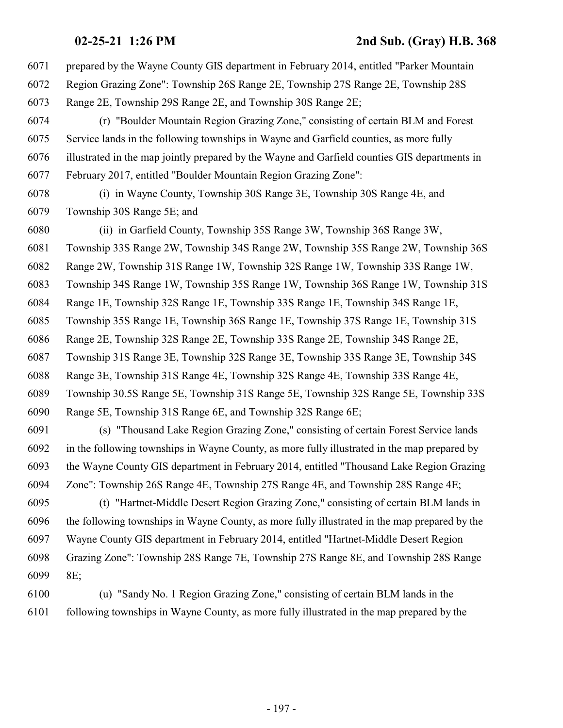prepared by the Wayne County GIS department in February 2014, entitled "Parker Mountain Region Grazing Zone": Township 26S Range 2E, Township 27S Range 2E, Township 28S Range 2E, Township 29S Range 2E, and Township 30S Range 2E; (r) "Boulder Mountain Region Grazing Zone," consisting of certain BLM and Forest Service lands in the following townships in Wayne and Garfield counties, as more fully illustrated in the map jointly prepared by the Wayne and Garfield counties GIS departments in February 2017, entitled "Boulder Mountain Region Grazing Zone": (i) in Wayne County, Township 30S Range 3E, Township 30S Range 4E, and Township 30S Range 5E; and (ii) in Garfield County, Township 35S Range 3W, Township 36S Range 3W, Township 33S Range 2W, Township 34S Range 2W, Township 35S Range 2W, Township 36S Range 2W, Township 31S Range 1W, Township 32S Range 1W, Township 33S Range 1W, Township 34S Range 1W, Township 35S Range 1W, Township 36S Range 1W, Township 31S Range 1E, Township 32S Range 1E, Township 33S Range 1E, Township 34S Range 1E, Township 35S Range 1E, Township 36S Range 1E, Township 37S Range 1E, Township 31S Range 2E, Township 32S Range 2E, Township 33S Range 2E, Township 34S Range 2E, Township 31S Range 3E, Township 32S Range 3E, Township 33S Range 3E, Township 34S Range 3E, Township 31S Range 4E, Township 32S Range 4E, Township 33S Range 4E, Township 30.5S Range 5E, Township 31S Range 5E, Township 32S Range 5E, Township 33S Range 5E, Township 31S Range 6E, and Township 32S Range 6E; (s) "Thousand Lake Region Grazing Zone," consisting of certain Forest Service lands in the following townships in Wayne County, as more fully illustrated in the map prepared by the Wayne County GIS department in February 2014, entitled "Thousand Lake Region Grazing Zone": Township 26S Range 4E, Township 27S Range 4E, and Township 28S Range 4E; (t) "Hartnet-Middle Desert Region Grazing Zone," consisting of certain BLM lands in the following townships in Wayne County, as more fully illustrated in the map prepared by the Wayne County GIS department in February 2014, entitled "Hartnet-Middle Desert Region Grazing Zone": Township 28S Range 7E, Township 27S Range 8E, and Township 28S Range 8E; (u) "Sandy No. 1 Region Grazing Zone," consisting of certain BLM lands in the following townships in Wayne County, as more fully illustrated in the map prepared by the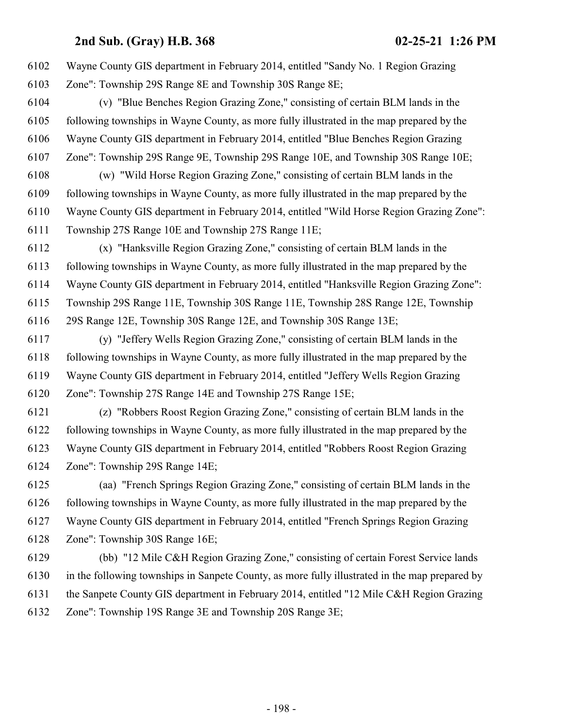Wayne County GIS department in February 2014, entitled "Sandy No. 1 Region Grazing Zone": Township 29S Range 8E and Township 30S Range 8E;

 (v) "Blue Benches Region Grazing Zone," consisting of certain BLM lands in the following townships in Wayne County, as more fully illustrated in the map prepared by the Wayne County GIS department in February 2014, entitled "Blue Benches Region Grazing Zone": Township 29S Range 9E, Township 29S Range 10E, and Township 30S Range 10E;

 (w) "Wild Horse Region Grazing Zone," consisting of certain BLM lands in the following townships in Wayne County, as more fully illustrated in the map prepared by the Wayne County GIS department in February 2014, entitled "Wild Horse Region Grazing Zone": Township 27S Range 10E and Township 27S Range 11E;

 (x) "Hanksville Region Grazing Zone," consisting of certain BLM lands in the following townships in Wayne County, as more fully illustrated in the map prepared by the Wayne County GIS department in February 2014, entitled "Hanksville Region Grazing Zone": Township 29S Range 11E, Township 30S Range 11E, Township 28S Range 12E, Township 29S Range 12E, Township 30S Range 12E, and Township 30S Range 13E;

 (y) "Jeffery Wells Region Grazing Zone," consisting of certain BLM lands in the following townships in Wayne County, as more fully illustrated in the map prepared by the Wayne County GIS department in February 2014, entitled "Jeffery Wells Region Grazing Zone": Township 27S Range 14E and Township 27S Range 15E;

 (z) "Robbers Roost Region Grazing Zone," consisting of certain BLM lands in the following townships in Wayne County, as more fully illustrated in the map prepared by the Wayne County GIS department in February 2014, entitled "Robbers Roost Region Grazing Zone": Township 29S Range 14E;

 (aa) "French Springs Region Grazing Zone," consisting of certain BLM lands in the following townships in Wayne County, as more fully illustrated in the map prepared by the Wayne County GIS department in February 2014, entitled "French Springs Region Grazing Zone": Township 30S Range 16E;

 (bb) "12 Mile C&H Region Grazing Zone," consisting of certain Forest Service lands in the following townships in Sanpete County, as more fully illustrated in the map prepared by the Sanpete County GIS department in February 2014, entitled "12 Mile C&H Region Grazing Zone": Township 19S Range 3E and Township 20S Range 3E;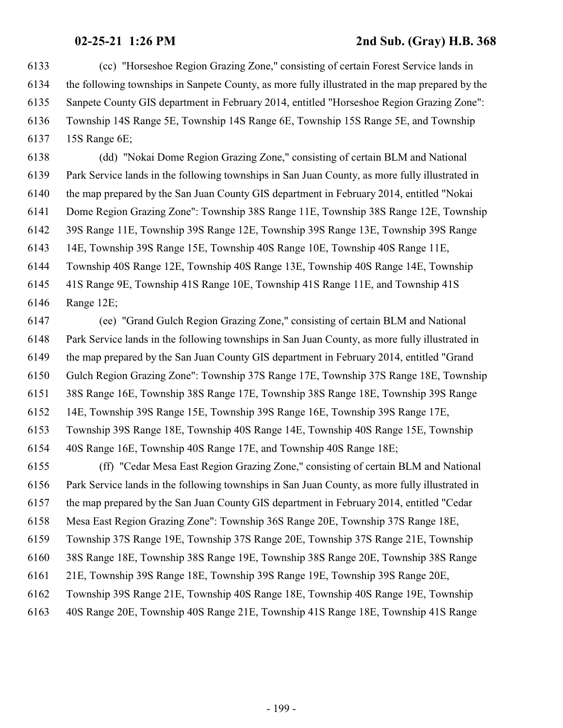(cc) "Horseshoe Region Grazing Zone," consisting of certain Forest Service lands in the following townships in Sanpete County, as more fully illustrated in the map prepared by the Sanpete County GIS department in February 2014, entitled "Horseshoe Region Grazing Zone": Township 14S Range 5E, Township 14S Range 6E, Township 15S Range 5E, and Township 15S Range 6E;

 (dd) "Nokai Dome Region Grazing Zone," consisting of certain BLM and National Park Service lands in the following townships in San Juan County, as more fully illustrated in the map prepared by the San Juan County GIS department in February 2014, entitled "Nokai Dome Region Grazing Zone": Township 38S Range 11E, Township 38S Range 12E, Township 39S Range 11E, Township 39S Range 12E, Township 39S Range 13E, Township 39S Range 14E, Township 39S Range 15E, Township 40S Range 10E, Township 40S Range 11E, Township 40S Range 12E, Township 40S Range 13E, Township 40S Range 14E, Township 41S Range 9E, Township 41S Range 10E, Township 41S Range 11E, and Township 41S Range 12E;

 (ee) "Grand Gulch Region Grazing Zone," consisting of certain BLM and National Park Service lands in the following townships in San Juan County, as more fully illustrated in the map prepared by the San Juan County GIS department in February 2014, entitled "Grand Gulch Region Grazing Zone": Township 37S Range 17E, Township 37S Range 18E, Township 38S Range 16E, Township 38S Range 17E, Township 38S Range 18E, Township 39S Range 14E, Township 39S Range 15E, Township 39S Range 16E, Township 39S Range 17E, Township 39S Range 18E, Township 40S Range 14E, Township 40S Range 15E, Township 40S Range 16E, Township 40S Range 17E, and Township 40S Range 18E;

 (ff) "Cedar Mesa East Region Grazing Zone," consisting of certain BLM and National Park Service lands in the following townships in San Juan County, as more fully illustrated in the map prepared by the San Juan County GIS department in February 2014, entitled "Cedar Mesa East Region Grazing Zone": Township 36S Range 20E, Township 37S Range 18E, Township 37S Range 19E, Township 37S Range 20E, Township 37S Range 21E, Township 38S Range 18E, Township 38S Range 19E, Township 38S Range 20E, Township 38S Range 21E, Township 39S Range 18E, Township 39S Range 19E, Township 39S Range 20E, Township 39S Range 21E, Township 40S Range 18E, Township 40S Range 19E, Township 40S Range 20E, Township 40S Range 21E, Township 41S Range 18E, Township 41S Range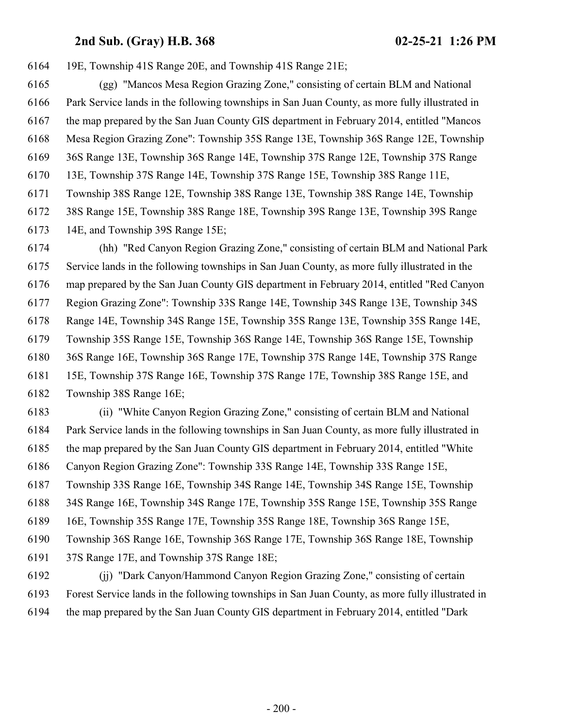19E, Township 41S Range 20E, and Township 41S Range 21E;

 (gg) "Mancos Mesa Region Grazing Zone," consisting of certain BLM and National Park Service lands in the following townships in San Juan County, as more fully illustrated in the map prepared by the San Juan County GIS department in February 2014, entitled "Mancos Mesa Region Grazing Zone": Township 35S Range 13E, Township 36S Range 12E, Township 36S Range 13E, Township 36S Range 14E, Township 37S Range 12E, Township 37S Range 13E, Township 37S Range 14E, Township 37S Range 15E, Township 38S Range 11E, Township 38S Range 12E, Township 38S Range 13E, Township 38S Range 14E, Township 38S Range 15E, Township 38S Range 18E, Township 39S Range 13E, Township 39S Range 14E, and Township 39S Range 15E;

 (hh) "Red Canyon Region Grazing Zone," consisting of certain BLM and National Park Service lands in the following townships in San Juan County, as more fully illustrated in the map prepared by the San Juan County GIS department in February 2014, entitled "Red Canyon Region Grazing Zone": Township 33S Range 14E, Township 34S Range 13E, Township 34S Range 14E, Township 34S Range 15E, Township 35S Range 13E, Township 35S Range 14E, Township 35S Range 15E, Township 36S Range 14E, Township 36S Range 15E, Township 36S Range 16E, Township 36S Range 17E, Township 37S Range 14E, Township 37S Range 15E, Township 37S Range 16E, Township 37S Range 17E, Township 38S Range 15E, and Township 38S Range 16E;

 (ii) "White Canyon Region Grazing Zone," consisting of certain BLM and National Park Service lands in the following townships in San Juan County, as more fully illustrated in the map prepared by the San Juan County GIS department in February 2014, entitled "White Canyon Region Grazing Zone": Township 33S Range 14E, Township 33S Range 15E, Township 33S Range 16E, Township 34S Range 14E, Township 34S Range 15E, Township 34S Range 16E, Township 34S Range 17E, Township 35S Range 15E, Township 35S Range 16E, Township 35S Range 17E, Township 35S Range 18E, Township 36S Range 15E, Township 36S Range 16E, Township 36S Range 17E, Township 36S Range 18E, Township 37S Range 17E, and Township 37S Range 18E;

 (jj) "Dark Canyon/Hammond Canyon Region Grazing Zone," consisting of certain Forest Service lands in the following townships in San Juan County, as more fully illustrated in the map prepared by the San Juan County GIS department in February 2014, entitled "Dark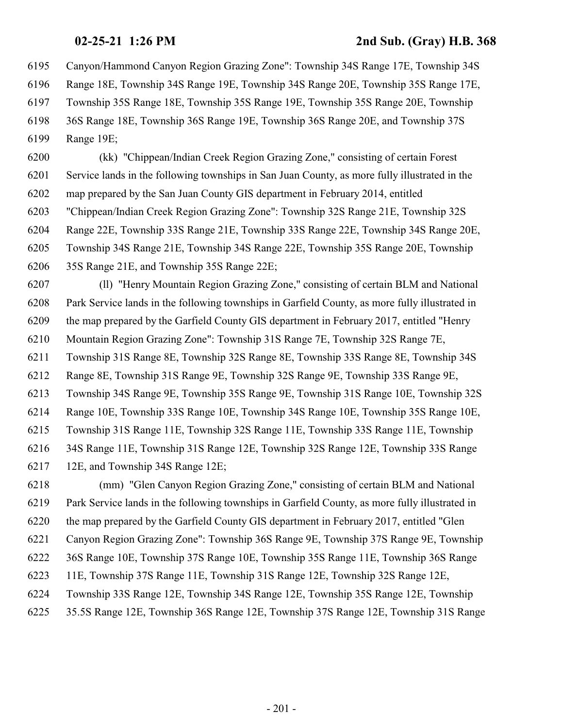Canyon/Hammond Canyon Region Grazing Zone": Township 34S Range 17E, Township 34S

Range 18E, Township 34S Range 19E, Township 34S Range 20E, Township 35S Range 17E,

Township 35S Range 18E, Township 35S Range 19E, Township 35S Range 20E, Township

36S Range 18E, Township 36S Range 19E, Township 36S Range 20E, and Township 37S

Range 19E;

 (kk) "Chippean/Indian Creek Region Grazing Zone," consisting of certain Forest Service lands in the following townships in San Juan County, as more fully illustrated in the map prepared by the San Juan County GIS department in February 2014, entitled "Chippean/Indian Creek Region Grazing Zone": Township 32S Range 21E, Township 32S Range 22E, Township 33S Range 21E, Township 33S Range 22E, Township 34S Range 20E, Township 34S Range 21E, Township 34S Range 22E, Township 35S Range 20E, Township 35S Range 21E, and Township 35S Range 22E;

 (ll) "Henry Mountain Region Grazing Zone," consisting of certain BLM and National Park Service lands in the following townships in Garfield County, as more fully illustrated in the map prepared by the Garfield County GIS department in February 2017, entitled "Henry Mountain Region Grazing Zone": Township 31S Range 7E, Township 32S Range 7E,

Township 31S Range 8E, Township 32S Range 8E, Township 33S Range 8E, Township 34S

Range 8E, Township 31S Range 9E, Township 32S Range 9E, Township 33S Range 9E,

Township 34S Range 9E, Township 35S Range 9E, Township 31S Range 10E, Township 32S

Range 10E, Township 33S Range 10E, Township 34S Range 10E, Township 35S Range 10E,

Township 31S Range 11E, Township 32S Range 11E, Township 33S Range 11E, Township

34S Range 11E, Township 31S Range 12E, Township 32S Range 12E, Township 33S Range

12E, and Township 34S Range 12E;

 (mm) "Glen Canyon Region Grazing Zone," consisting of certain BLM and National Park Service lands in the following townships in Garfield County, as more fully illustrated in the map prepared by the Garfield County GIS department in February 2017, entitled "Glen Canyon Region Grazing Zone": Township 36S Range 9E, Township 37S Range 9E, Township 36S Range 10E, Township 37S Range 10E, Township 35S Range 11E, Township 36S Range 11E, Township 37S Range 11E, Township 31S Range 12E, Township 32S Range 12E, Township 33S Range 12E, Township 34S Range 12E, Township 35S Range 12E, Township 35.5S Range 12E, Township 36S Range 12E, Township 37S Range 12E, Township 31S Range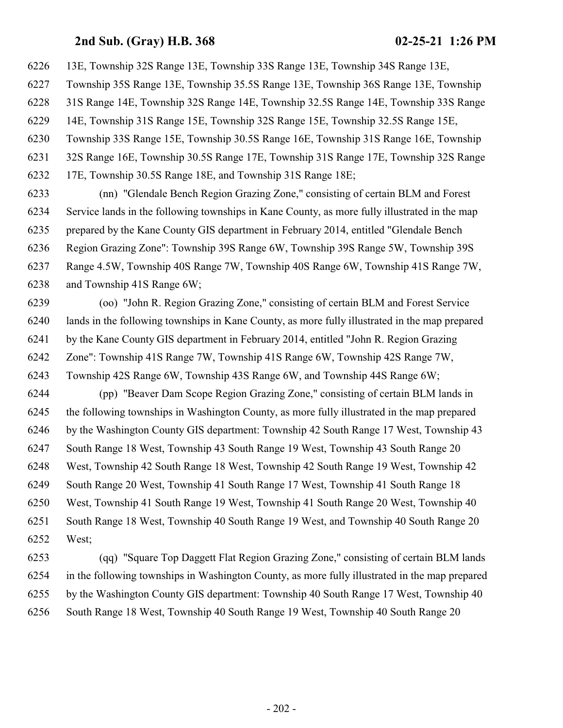13E, Township 32S Range 13E, Township 33S Range 13E, Township 34S Range 13E, Township 35S Range 13E, Township 35.5S Range 13E, Township 36S Range 13E, Township 31S Range 14E, Township 32S Range 14E, Township 32.5S Range 14E, Township 33S Range 14E, Township 31S Range 15E, Township 32S Range 15E, Township 32.5S Range 15E, Township 33S Range 15E, Township 30.5S Range 16E, Township 31S Range 16E, Township 32S Range 16E, Township 30.5S Range 17E, Township 31S Range 17E, Township 32S Range 17E, Township 30.5S Range 18E, and Township 31S Range 18E;

 (nn) "Glendale Bench Region Grazing Zone," consisting of certain BLM and Forest Service lands in the following townships in Kane County, as more fully illustrated in the map prepared by the Kane County GIS department in February 2014, entitled "Glendale Bench Region Grazing Zone": Township 39S Range 6W, Township 39S Range 5W, Township 39S Range 4.5W, Township 40S Range 7W, Township 40S Range 6W, Township 41S Range 7W, and Township 41S Range 6W;

 (oo) "John R. Region Grazing Zone," consisting of certain BLM and Forest Service lands in the following townships in Kane County, as more fully illustrated in the map prepared by the Kane County GIS department in February 2014, entitled "John R. Region Grazing Zone": Township 41S Range 7W, Township 41S Range 6W, Township 42S Range 7W, Township 42S Range 6W, Township 43S Range 6W, and Township 44S Range 6W;

 (pp) "Beaver Dam Scope Region Grazing Zone," consisting of certain BLM lands in the following townships in Washington County, as more fully illustrated in the map prepared by the Washington County GIS department: Township 42 South Range 17 West, Township 43 South Range 18 West, Township 43 South Range 19 West, Township 43 South Range 20 West, Township 42 South Range 18 West, Township 42 South Range 19 West, Township 42 South Range 20 West, Township 41 South Range 17 West, Township 41 South Range 18 West, Township 41 South Range 19 West, Township 41 South Range 20 West, Township 40 South Range 18 West, Township 40 South Range 19 West, and Township 40 South Range 20 West;

 (qq) "Square Top Daggett Flat Region Grazing Zone," consisting of certain BLM lands in the following townships in Washington County, as more fully illustrated in the map prepared by the Washington County GIS department: Township 40 South Range 17 West, Township 40 South Range 18 West, Township 40 South Range 19 West, Township 40 South Range 20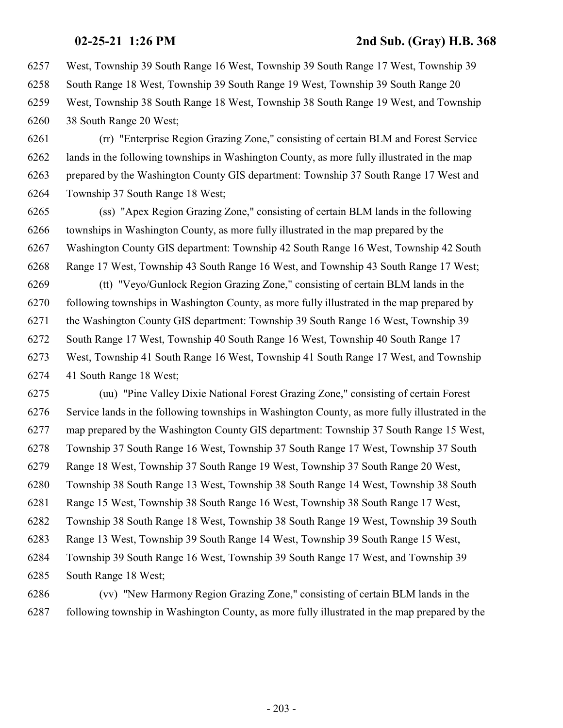West, Township 39 South Range 16 West, Township 39 South Range 17 West, Township 39

South Range 18 West, Township 39 South Range 19 West, Township 39 South Range 20

 West, Township 38 South Range 18 West, Township 38 South Range 19 West, and Township 38 South Range 20 West;

 (rr) "Enterprise Region Grazing Zone," consisting of certain BLM and Forest Service lands in the following townships in Washington County, as more fully illustrated in the map prepared by the Washington County GIS department: Township 37 South Range 17 West and Township 37 South Range 18 West;

 (ss) "Apex Region Grazing Zone," consisting of certain BLM lands in the following townships in Washington County, as more fully illustrated in the map prepared by the Washington County GIS department: Township 42 South Range 16 West, Township 42 South Range 17 West, Township 43 South Range 16 West, and Township 43 South Range 17 West;

 (tt) "Veyo/Gunlock Region Grazing Zone," consisting of certain BLM lands in the following townships in Washington County, as more fully illustrated in the map prepared by the Washington County GIS department: Township 39 South Range 16 West, Township 39 South Range 17 West, Township 40 South Range 16 West, Township 40 South Range 17 West, Township 41 South Range 16 West, Township 41 South Range 17 West, and Township 41 South Range 18 West;

 (uu) "Pine Valley Dixie National Forest Grazing Zone," consisting of certain Forest Service lands in the following townships in Washington County, as more fully illustrated in the map prepared by the Washington County GIS department: Township 37 South Range 15 West, Township 37 South Range 16 West, Township 37 South Range 17 West, Township 37 South Range 18 West, Township 37 South Range 19 West, Township 37 South Range 20 West, Township 38 South Range 13 West, Township 38 South Range 14 West, Township 38 South Range 15 West, Township 38 South Range 16 West, Township 38 South Range 17 West, Township 38 South Range 18 West, Township 38 South Range 19 West, Township 39 South Range 13 West, Township 39 South Range 14 West, Township 39 South Range 15 West, Township 39 South Range 16 West, Township 39 South Range 17 West, and Township 39 South Range 18 West;

 (vv) "New Harmony Region Grazing Zone," consisting of certain BLM lands in the following township in Washington County, as more fully illustrated in the map prepared by the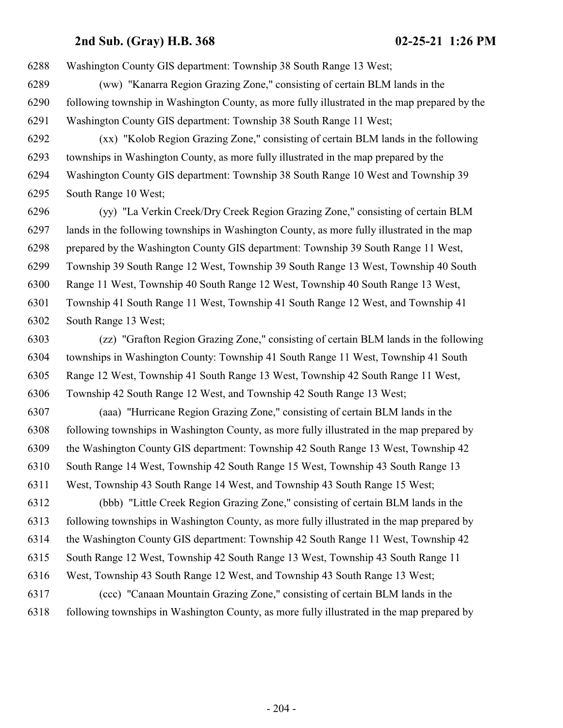Washington County GIS department: Township 38 South Range 13 West;

- (ww) "Kanarra Region Grazing Zone," consisting of certain BLM lands in the following township in Washington County, as more fully illustrated in the map prepared by the Washington County GIS department: Township 38 South Range 11 West;
- (xx) "Kolob Region Grazing Zone," consisting of certain BLM lands in the following townships in Washington County, as more fully illustrated in the map prepared by the Washington County GIS department: Township 38 South Range 10 West and Township 39 South Range 10 West;

 (yy) "La Verkin Creek/Dry Creek Region Grazing Zone," consisting of certain BLM lands in the following townships in Washington County, as more fully illustrated in the map prepared by the Washington County GIS department: Township 39 South Range 11 West, Township 39 South Range 12 West, Township 39 South Range 13 West, Township 40 South Range 11 West, Township 40 South Range 12 West, Township 40 South Range 13 West, Township 41 South Range 11 West, Township 41 South Range 12 West, and Township 41 South Range 13 West;

 (zz) "Grafton Region Grazing Zone," consisting of certain BLM lands in the following townships in Washington County: Township 41 South Range 11 West, Township 41 South Range 12 West, Township 41 South Range 13 West, Township 42 South Range 11 West, Township 42 South Range 12 West, and Township 42 South Range 13 West;

 (aaa) "Hurricane Region Grazing Zone," consisting of certain BLM lands in the following townships in Washington County, as more fully illustrated in the map prepared by the Washington County GIS department: Township 42 South Range 13 West, Township 42 South Range 14 West, Township 42 South Range 15 West, Township 43 South Range 13

West, Township 43 South Range 14 West, and Township 43 South Range 15 West;

 (bbb) "Little Creek Region Grazing Zone," consisting of certain BLM lands in the following townships in Washington County, as more fully illustrated in the map prepared by the Washington County GIS department: Township 42 South Range 11 West, Township 42 South Range 12 West, Township 42 South Range 13 West, Township 43 South Range 11 West, Township 43 South Range 12 West, and Township 43 South Range 13 West; (ccc) "Canaan Mountain Grazing Zone," consisting of certain BLM lands in the

following townships in Washington County, as more fully illustrated in the map prepared by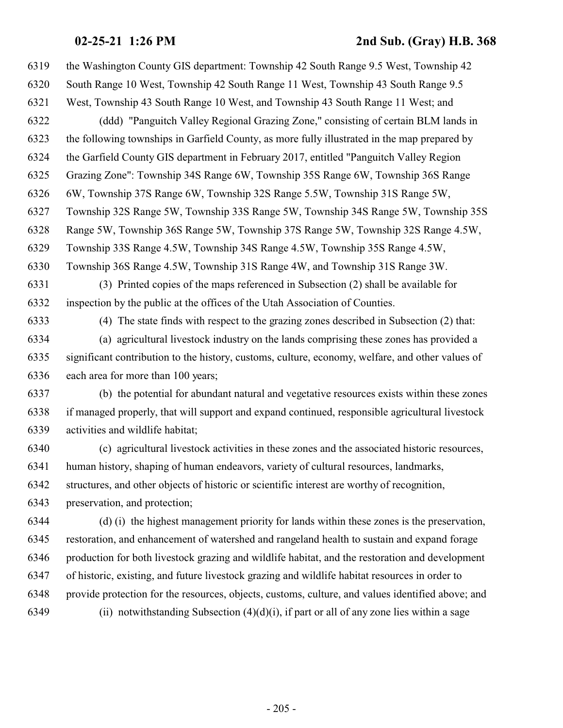the Washington County GIS department: Township 42 South Range 9.5 West, Township 42 South Range 10 West, Township 42 South Range 11 West, Township 43 South Range 9.5 West, Township 43 South Range 10 West, and Township 43 South Range 11 West; and (ddd) "Panguitch Valley Regional Grazing Zone," consisting of certain BLM lands in the following townships in Garfield County, as more fully illustrated in the map prepared by the Garfield County GIS department in February 2017, entitled "Panguitch Valley Region Grazing Zone": Township 34S Range 6W, Township 35S Range 6W, Township 36S Range 6W, Township 37S Range 6W, Township 32S Range 5.5W, Township 31S Range 5W, Township 32S Range 5W, Township 33S Range 5W, Township 34S Range 5W, Township 35S Range 5W, Township 36S Range 5W, Township 37S Range 5W, Township 32S Range 4.5W, Township 33S Range 4.5W, Township 34S Range 4.5W, Township 35S Range 4.5W, Township 36S Range 4.5W, Township 31S Range 4W, and Township 31S Range 3W. (3) Printed copies of the maps referenced in Subsection (2) shall be available for inspection by the public at the offices of the Utah Association of Counties. (4) The state finds with respect to the grazing zones described in Subsection (2) that: (a) agricultural livestock industry on the lands comprising these zones has provided a significant contribution to the history, customs, culture, economy, welfare, and other values of each area for more than 100 years; (b) the potential for abundant natural and vegetative resources exists within these zones if managed properly, that will support and expand continued, responsible agricultural livestock activities and wildlife habitat; (c) agricultural livestock activities in these zones and the associated historic resources, human history, shaping of human endeavors, variety of cultural resources, landmarks, structures, and other objects of historic or scientific interest are worthy of recognition, preservation, and protection; (d) (i) the highest management priority for lands within these zones is the preservation, restoration, and enhancement of watershed and rangeland health to sustain and expand forage production for both livestock grazing and wildlife habitat, and the restoration and development of historic, existing, and future livestock grazing and wildlife habitat resources in order to provide protection for the resources, objects, customs, culture, and values identified above; and 6349 (ii) notwithstanding Subsection  $(4)(d)(i)$ , if part or all of any zone lies within a sage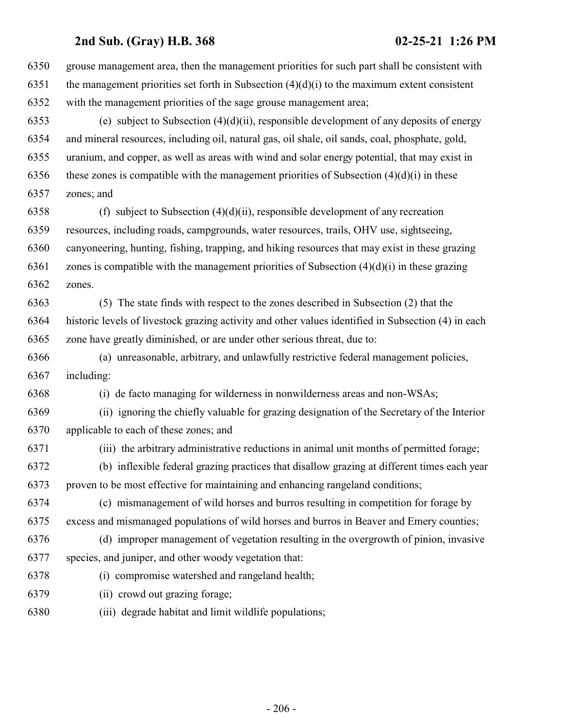| 6350 | grouse management area, then the management priorities for such part shall be consistent with       |
|------|-----------------------------------------------------------------------------------------------------|
| 6351 | the management priorities set forth in Subsection $(4)(d)(i)$ to the maximum extent consistent      |
| 6352 | with the management priorities of the sage grouse management area;                                  |
| 6353 | (e) subject to Subsection $(4)(d)(ii)$ , responsible development of any deposits of energy          |
| 6354 | and mineral resources, including oil, natural gas, oil shale, oil sands, coal, phosphate, gold,     |
| 6355 | uranium, and copper, as well as areas with wind and solar energy potential, that may exist in       |
| 6356 | these zones is compatible with the management priorities of Subsection $(4)(d)(i)$ in these         |
| 6357 | zones; and                                                                                          |
| 6358 | (f) subject to Subsection $(4)(d)(ii)$ , responsible development of any recreation                  |
| 6359 | resources, including roads, campgrounds, water resources, trails, OHV use, sightseeing,             |
| 6360 | canyoneering, hunting, fishing, trapping, and hiking resources that may exist in these grazing      |
| 6361 | zones is compatible with the management priorities of Subsection $(4)(d)(i)$ in these grazing       |
| 6362 | zones.                                                                                              |
| 6363 | (5) The state finds with respect to the zones described in Subsection (2) that the                  |
| 6364 | historic levels of livestock grazing activity and other values identified in Subsection (4) in each |
| 6365 | zone have greatly diminished, or are under other serious threat, due to:                            |
| 6366 | (a) unreasonable, arbitrary, and unlawfully restrictive federal management policies,                |
| 6367 | including:                                                                                          |
| 6368 | (i) de facto managing for wilderness in nonwilderness areas and non-WSAs;                           |
| 6369 | (ii) ignoring the chiefly valuable for grazing designation of the Secretary of the Interior         |
| 6370 | applicable to each of these zones; and                                                              |
| 6371 | (iii) the arbitrary administrative reductions in animal unit months of permitted forage;            |
| 6372 | (b) inflexible federal grazing practices that disallow grazing at different times each year         |
| 6373 | proven to be most effective for maintaining and enhancing rangeland conditions;                     |
| 6374 | (c) mismanagement of wild horses and burros resulting in competition for forage by                  |
| 6375 | excess and mismanaged populations of wild horses and burros in Beaver and Emery counties;           |
| 6376 | (d) improper management of vegetation resulting in the overgrowth of pinion, invasive               |
| 6377 | species, and juniper, and other woody vegetation that:                                              |
| 6378 | (i) compromise watershed and rangeland health;                                                      |
| 6379 | (ii) crowd out grazing forage;                                                                      |
| 6380 | (iii) degrade habitat and limit wildlife populations;                                               |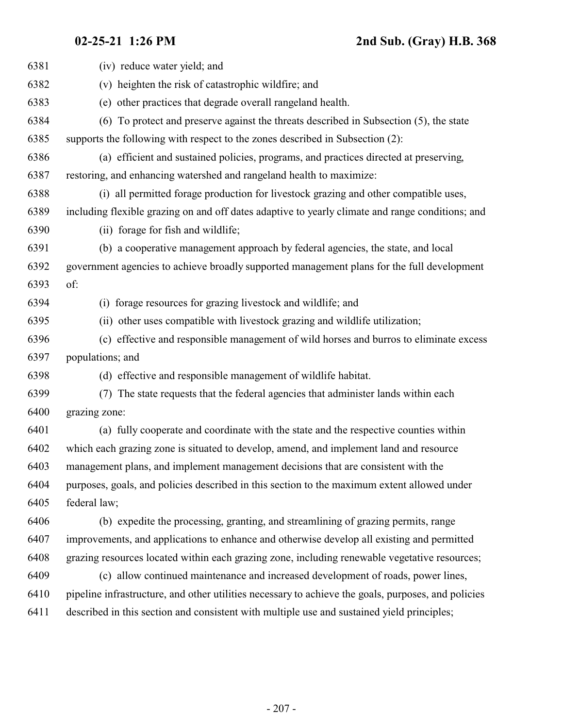(iv) reduce water yield; and (v) heighten the risk of catastrophic wildfire; and (e) other practices that degrade overall rangeland health. (6) To protect and preserve against the threats described in Subsection (5), the state supports the following with respect to the zones described in Subsection (2): (a) efficient and sustained policies, programs, and practices directed at preserving, restoring, and enhancing watershed and rangeland health to maximize: (i) all permitted forage production for livestock grazing and other compatible uses, including flexible grazing on and off dates adaptive to yearly climate and range conditions; and (ii) forage for fish and wildlife; (b) a cooperative management approach by federal agencies, the state, and local government agencies to achieve broadly supported management plans for the full development of: (i) forage resources for grazing livestock and wildlife; and (ii) other uses compatible with livestock grazing and wildlife utilization; (c) effective and responsible management of wild horses and burros to eliminate excess populations; and (d) effective and responsible management of wildlife habitat. (7) The state requests that the federal agencies that administer lands within each grazing zone: (a) fully cooperate and coordinate with the state and the respective counties within which each grazing zone is situated to develop, amend, and implement land and resource management plans, and implement management decisions that are consistent with the purposes, goals, and policies described in this section to the maximum extent allowed under federal law; (b) expedite the processing, granting, and streamlining of grazing permits, range improvements, and applications to enhance and otherwise develop all existing and permitted grazing resources located within each grazing zone, including renewable vegetative resources; (c) allow continued maintenance and increased development of roads, power lines, pipeline infrastructure, and other utilities necessary to achieve the goals, purposes, and policies described in this section and consistent with multiple use and sustained yield principles;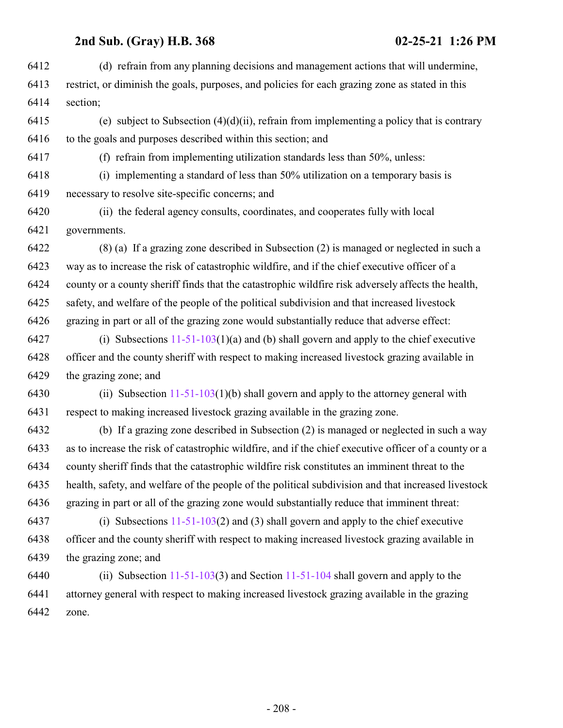| 6412 | (d) refrain from any planning decisions and management actions that will undermine,                   |
|------|-------------------------------------------------------------------------------------------------------|
| 6413 | restrict, or diminish the goals, purposes, and policies for each grazing zone as stated in this       |
| 6414 | section;                                                                                              |
| 6415 | (e) subject to Subsection $(4)(d)(ii)$ , refrain from implementing a policy that is contrary          |
| 6416 | to the goals and purposes described within this section; and                                          |
| 6417 | (f) refrain from implementing utilization standards less than 50%, unless:                            |
| 6418 | (i) implementing a standard of less than 50% utilization on a temporary basis is                      |
| 6419 | necessary to resolve site-specific concerns; and                                                      |
| 6420 | (ii) the federal agency consults, coordinates, and cooperates fully with local                        |
| 6421 | governments.                                                                                          |
| 6422 | (8) (a) If a grazing zone described in Subsection (2) is managed or neglected in such a               |
| 6423 | way as to increase the risk of catastrophic wildfire, and if the chief executive officer of a         |
| 6424 | county or a county sheriff finds that the catastrophic wildfire risk adversely affects the health,    |
| 6425 | safety, and welfare of the people of the political subdivision and that increased livestock           |
| 6426 | grazing in part or all of the grazing zone would substantially reduce that adverse effect:            |
| 6427 | (i) Subsections $11-51-103(1)(a)$ and (b) shall govern and apply to the chief executive               |
| 6428 | officer and the county sheriff with respect to making increased livestock grazing available in        |
| 6429 | the grazing zone; and                                                                                 |
| 6430 | (ii) Subsection $11-51-103(1)(b)$ shall govern and apply to the attorney general with                 |
| 6431 | respect to making increased livestock grazing available in the grazing zone.                          |
| 6432 | (b) If a grazing zone described in Subsection (2) is managed or neglected in such a way               |
| 6433 | as to increase the risk of catastrophic wildfire, and if the chief executive officer of a county or a |
| 6434 | county sheriff finds that the catastrophic wildfire risk constitutes an imminent threat to the        |
| 6435 | health, safety, and welfare of the people of the political subdivision and that increased livestock   |
| 6436 | grazing in part or all of the grazing zone would substantially reduce that imminent threat:           |
| 6437 | (i) Subsections $11-51-103(2)$ and (3) shall govern and apply to the chief executive                  |
| 6438 | officer and the county sheriff with respect to making increased livestock grazing available in        |
| 6439 | the grazing zone; and                                                                                 |
| 6440 | (ii) Subsection $11-51-103(3)$ and Section $11-51-104$ shall govern and apply to the                  |
| 6441 | attorney general with respect to making increased livestock grazing available in the grazing          |
| 6442 | zone.                                                                                                 |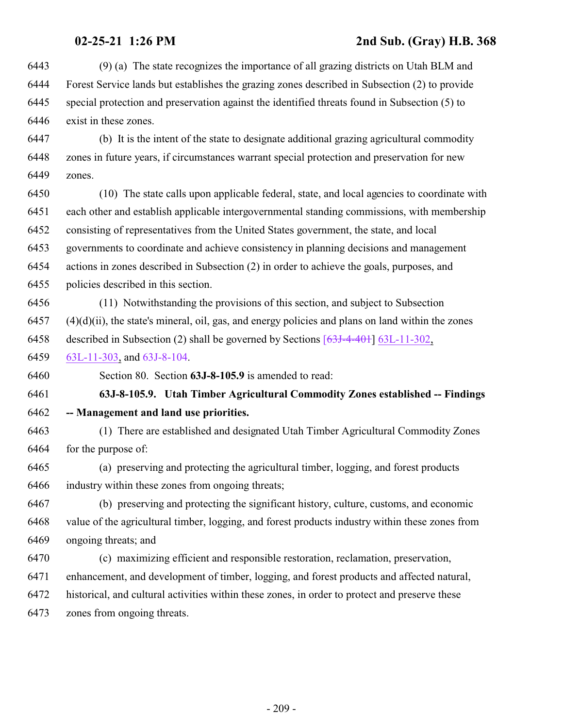(9) (a) The state recognizes the importance of all grazing districts on Utah BLM and Forest Service lands but establishes the grazing zones described in Subsection (2) to provide special protection and preservation against the identified threats found in Subsection (5) to exist in these zones.

 (b) It is the intent of the state to designate additional grazing agricultural commodity zones in future years, if circumstances warrant special protection and preservation for new zones.

 (10) The state calls upon applicable federal, state, and local agencies to coordinate with each other and establish applicable intergovernmental standing commissions, with membership consisting of representatives from the United States government, the state, and local governments to coordinate and achieve consistency in planning decisions and management actions in zones described in Subsection (2) in order to achieve the goals, purposes, and policies described in this section.

 (11) Notwithstanding the provisions of this section, and subject to Subsection  $(4)(d)(ii)$ , the state's mineral, oil, gas, and energy policies and plans on land within the zones

described in Subsection (2) shall be governed by Sections [\[63J-4-401](http://le.utah.gov/UtahCode/SectionLookup.jsp?section=[63j-4-401&session=2021GS)] [63L-11-302](#page-229-0),

[63L-11-303](#page-232-0), and [63J-8-104](#page-175-0).

Section 80. Section **63J-8-105.9** is amended to read:

 **63J-8-105.9. Utah Timber Agricultural Commodity Zones established -- Findings -- Management and land use priorities.**

 (1) There are established and designated Utah Timber Agricultural Commodity Zones for the purpose of:

 (a) preserving and protecting the agricultural timber, logging, and forest products industry within these zones from ongoing threats;

 (b) preserving and protecting the significant history, culture, customs, and economic value of the agricultural timber, logging, and forest products industry within these zones from ongoing threats; and

 (c) maximizing efficient and responsible restoration, reclamation, preservation, enhancement, and development of timber, logging, and forest products and affected natural, historical, and cultural activities within these zones, in order to protect and preserve these zones from ongoing threats.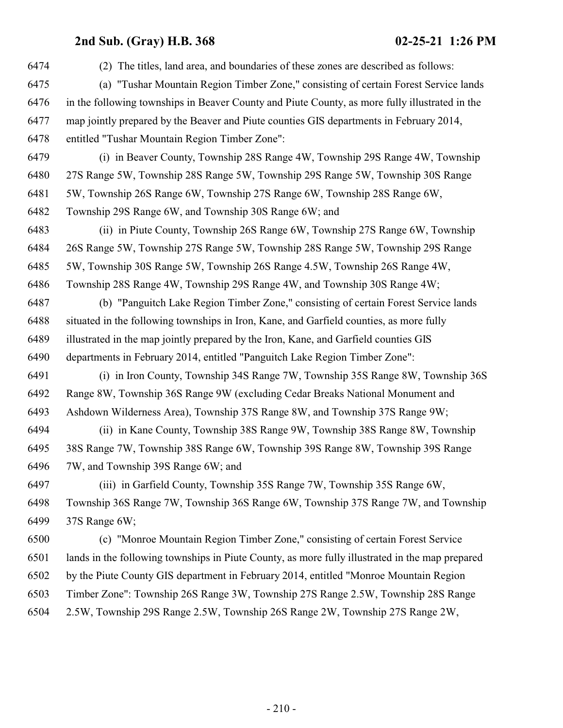| 6474 | (2) The titles, land area, and boundaries of these zones are described as follows:              |
|------|-------------------------------------------------------------------------------------------------|
| 6475 | (a) "Tushar Mountain Region Timber Zone," consisting of certain Forest Service lands            |
| 6476 | in the following townships in Beaver County and Piute County, as more fully illustrated in the  |
| 6477 | map jointly prepared by the Beaver and Piute counties GIS departments in February 2014,         |
| 6478 | entitled "Tushar Mountain Region Timber Zone":                                                  |
| 6479 | (i) in Beaver County, Township 28S Range 4W, Township 29S Range 4W, Township                    |
| 6480 | 27S Range 5W, Township 28S Range 5W, Township 29S Range 5W, Township 30S Range                  |
| 6481 | 5W, Township 26S Range 6W, Township 27S Range 6W, Township 28S Range 6W,                        |
| 6482 | Township 29S Range 6W, and Township 30S Range 6W; and                                           |
| 6483 | (ii) in Piute County, Township 26S Range 6W, Township 27S Range 6W, Township                    |
| 6484 | 26S Range 5W, Township 27S Range 5W, Township 28S Range 5W, Township 29S Range                  |
| 6485 | 5W, Township 30S Range 5W, Township 26S Range 4.5W, Township 26S Range 4W,                      |
| 6486 | Township 28S Range 4W, Township 29S Range 4W, and Township 30S Range 4W;                        |
| 6487 | (b) "Panguitch Lake Region Timber Zone," consisting of certain Forest Service lands             |
| 6488 | situated in the following townships in Iron, Kane, and Garfield counties, as more fully         |
| 6489 | illustrated in the map jointly prepared by the Iron, Kane, and Garfield counties GIS            |
| 6490 | departments in February 2014, entitled "Panguitch Lake Region Timber Zone":                     |
| 6491 | (i) in Iron County, Township 34S Range 7W, Township 35S Range 8W, Township 36S                  |
| 6492 | Range 8W, Township 36S Range 9W (excluding Cedar Breaks National Monument and                   |
| 6493 | Ashdown Wilderness Area), Township 37S Range 8W, and Township 37S Range 9W;                     |
| 6494 | (ii) in Kane County, Township 38S Range 9W, Township 38S Range 8W, Township                     |
| 6495 | 38S Range 7W, Township 38S Range 6W, Township 39S Range 8W, Township 39S Range                  |
| 6496 | 7W, and Township 39S Range 6W; and                                                              |
| 6497 | (iii) in Garfield County, Township 35S Range 7W, Township 35S Range 6W,                         |
| 6498 | Township 36S Range 7W, Township 36S Range 6W, Township 37S Range 7W, and Township               |
| 6499 | 37S Range 6W;                                                                                   |
| 6500 | (c) "Monroe Mountain Region Timber Zone," consisting of certain Forest Service                  |
| 6501 | lands in the following townships in Piute County, as more fully illustrated in the map prepared |
| 6502 | by the Piute County GIS department in February 2014, entitled "Monroe Mountain Region           |
| 6503 | Timber Zone": Township 26S Range 3W, Township 27S Range 2.5W, Township 28S Range                |
| 6504 | 2.5W, Township 29S Range 2.5W, Township 26S Range 2W, Township 27S Range 2W,                    |
|      |                                                                                                 |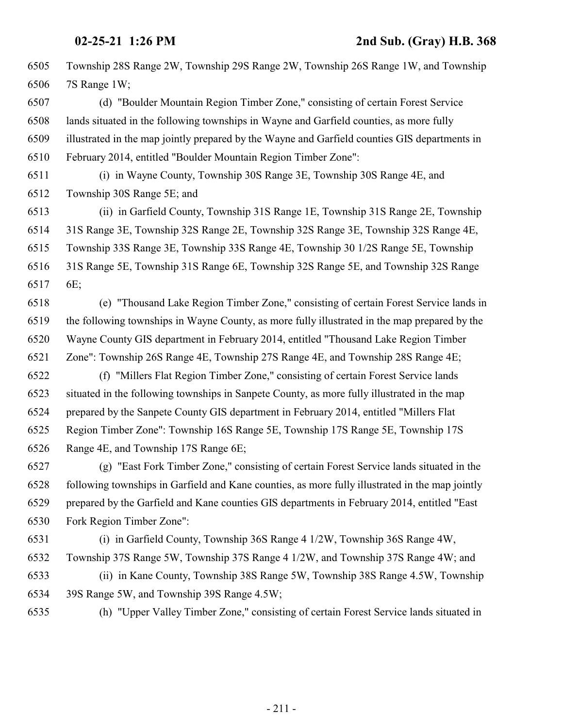Township 28S Range 2W, Township 29S Range 2W, Township 26S Range 1W, and Township 7S Range 1W;

 (d) "Boulder Mountain Region Timber Zone," consisting of certain Forest Service lands situated in the following townships in Wayne and Garfield counties, as more fully illustrated in the map jointly prepared by the Wayne and Garfield counties GIS departments in February 2014, entitled "Boulder Mountain Region Timber Zone":

 (i) in Wayne County, Township 30S Range 3E, Township 30S Range 4E, and Township 30S Range 5E; and

 (ii) in Garfield County, Township 31S Range 1E, Township 31S Range 2E, Township 31S Range 3E, Township 32S Range 2E, Township 32S Range 3E, Township 32S Range 4E, Township 33S Range 3E, Township 33S Range 4E, Township 30 1/2S Range 5E, Township 31S Range 5E, Township 31S Range 6E, Township 32S Range 5E, and Township 32S Range 6E;

 (e) "Thousand Lake Region Timber Zone," consisting of certain Forest Service lands in the following townships in Wayne County, as more fully illustrated in the map prepared by the Wayne County GIS department in February 2014, entitled "Thousand Lake Region Timber Zone": Township 26S Range 4E, Township 27S Range 4E, and Township 28S Range 4E;

 (f) "Millers Flat Region Timber Zone," consisting of certain Forest Service lands situated in the following townships in Sanpete County, as more fully illustrated in the map prepared by the Sanpete County GIS department in February 2014, entitled "Millers Flat Region Timber Zone": Township 16S Range 5E, Township 17S Range 5E, Township 17S Range 4E, and Township 17S Range 6E;

 (g) "East Fork Timber Zone," consisting of certain Forest Service lands situated in the following townships in Garfield and Kane counties, as more fully illustrated in the map jointly prepared by the Garfield and Kane counties GIS departments in February 2014, entitled "East Fork Region Timber Zone":

 (i) in Garfield County, Township 36S Range 4 1/2W, Township 36S Range 4W, Township 37S Range 5W, Township 37S Range 4 1/2W, and Township 37S Range 4W; and (ii) in Kane County, Township 38S Range 5W, Township 38S Range 4.5W, Township 39S Range 5W, and Township 39S Range 4.5W;

(h) "Upper Valley Timber Zone," consisting of certain Forest Service lands situated in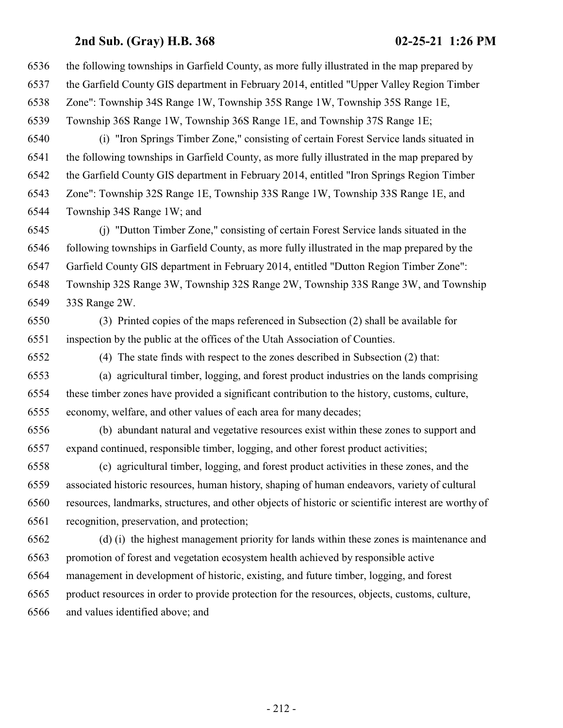| 6536 | the following townships in Garfield County, as more fully illustrated in the map prepared by         |
|------|------------------------------------------------------------------------------------------------------|
| 6537 | the Garfield County GIS department in February 2014, entitled "Upper Valley Region Timber            |
| 6538 | Zone": Township 34S Range 1W, Township 35S Range 1W, Township 35S Range 1E,                          |
| 6539 | Township 36S Range 1W, Township 36S Range 1E, and Township 37S Range 1E;                             |
| 6540 | (i) "Iron Springs Timber Zone," consisting of certain Forest Service lands situated in               |
| 6541 | the following townships in Garfield County, as more fully illustrated in the map prepared by         |
| 6542 | the Garfield County GIS department in February 2014, entitled "Iron Springs Region Timber            |
| 6543 | Zone": Township 32S Range 1E, Township 33S Range 1W, Township 33S Range 1E, and                      |
| 6544 | Township 34S Range 1W; and                                                                           |
| 6545 | (j) "Dutton Timber Zone," consisting of certain Forest Service lands situated in the                 |
| 6546 | following townships in Garfield County, as more fully illustrated in the map prepared by the         |
| 6547 | Garfield County GIS department in February 2014, entitled "Dutton Region Timber Zone":               |
| 6548 | Township 32S Range 3W, Township 32S Range 2W, Township 33S Range 3W, and Township                    |
| 6549 | 33S Range 2W.                                                                                        |
| 6550 | (3) Printed copies of the maps referenced in Subsection (2) shall be available for                   |
| 6551 | inspection by the public at the offices of the Utah Association of Counties.                         |
| 6552 | (4) The state finds with respect to the zones described in Subsection (2) that:                      |
| 6553 | (a) agricultural timber, logging, and forest product industries on the lands comprising              |
| 6554 | these timber zones have provided a significant contribution to the history, customs, culture,        |
| 6555 | economy, welfare, and other values of each area for many decades;                                    |
| 6556 | (b) abundant natural and vegetative resources exist within these zones to support and                |
| 6557 | expand continued, responsible timber, logging, and other forest product activities;                  |
| 6558 | (c) agricultural timber, logging, and forest product activities in these zones, and the              |
| 6559 | associated historic resources, human history, shaping of human endeavors, variety of cultural        |
| 6560 | resources, landmarks, structures, and other objects of historic or scientific interest are worthy of |
| 6561 | recognition, preservation, and protection;                                                           |
| 6562 | (d) (i) the highest management priority for lands within these zones is maintenance and              |
| 6563 | promotion of forest and vegetation ecosystem health achieved by responsible active                   |
| 6564 | management in development of historic, existing, and future timber, logging, and forest              |
| 6565 | product resources in order to provide protection for the resources, objects, customs, culture,       |
| 6566 | bertha to the Bitted charge and                                                                      |

and values identified above; and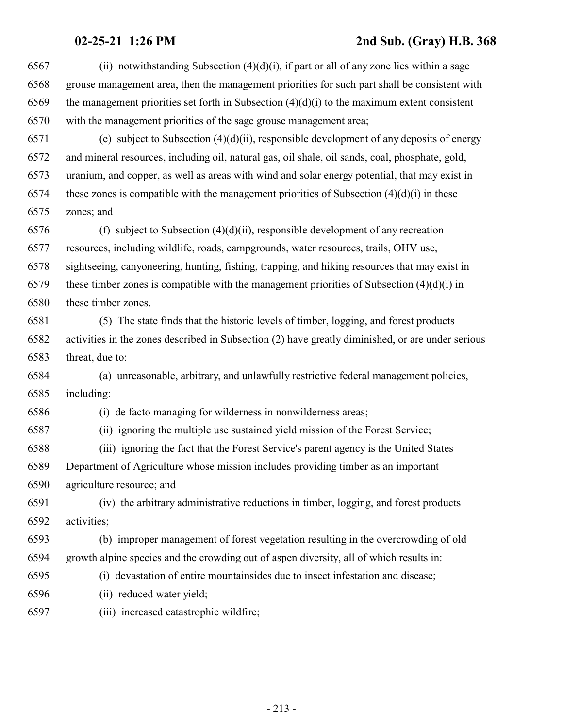| 6567 | (ii) notwithstanding Subsection $(4)(d)(i)$ , if part or all of any zone lies within a sage       |
|------|---------------------------------------------------------------------------------------------------|
| 6568 | grouse management area, then the management priorities for such part shall be consistent with     |
| 6569 | the management priorities set forth in Subsection $(4)(d)(i)$ to the maximum extent consistent    |
| 6570 | with the management priorities of the sage grouse management area;                                |
| 6571 | (e) subject to Subsection $(4)(d)(ii)$ , responsible development of any deposits of energy        |
| 6572 | and mineral resources, including oil, natural gas, oil shale, oil sands, coal, phosphate, gold,   |
| 6573 | uranium, and copper, as well as areas with wind and solar energy potential, that may exist in     |
| 6574 | these zones is compatible with the management priorities of Subsection $(4)(d)(i)$ in these       |
| 6575 | zones; and                                                                                        |
| 6576 | (f) subject to Subsection $(4)(d)(ii)$ , responsible development of any recreation                |
| 6577 | resources, including wildlife, roads, campgrounds, water resources, trails, OHV use,              |
| 6578 | sightseeing, canyoneering, hunting, fishing, trapping, and hiking resources that may exist in     |
| 6579 | these timber zones is compatible with the management priorities of Subsection $(4)(d)(i)$ in      |
| 6580 | these timber zones.                                                                               |
| 6581 | (5) The state finds that the historic levels of timber, logging, and forest products              |
| 6582 | activities in the zones described in Subsection (2) have greatly diminished, or are under serious |
| 6583 | threat, due to:                                                                                   |
| 6584 | (a) unreasonable, arbitrary, and unlawfully restrictive federal management policies,              |
| 6585 | including:                                                                                        |
| 6586 | (i) de facto managing for wilderness in nonwilderness areas;                                      |
| 6587 | (ii) ignoring the multiple use sustained yield mission of the Forest Service;                     |
| 6588 | (iii) ignoring the fact that the Forest Service's parent agency is the United States              |
| 6589 | Department of Agriculture whose mission includes providing timber as an important                 |
| 6590 | agriculture resource; and                                                                         |
| 6591 | (iv) the arbitrary administrative reductions in timber, logging, and forest products              |
| 6592 | activities;                                                                                       |
| 6593 | (b) improper management of forest vegetation resulting in the overcrowding of old                 |
| 6594 | growth alpine species and the crowding out of aspen diversity, all of which results in:           |
| 6595 | (i) devastation of entire mountainsides due to insect infestation and disease;                    |
| 6596 | (ii) reduced water yield;                                                                         |
| 6597 | (iii) increased catastrophic wildfire;                                                            |
|      |                                                                                                   |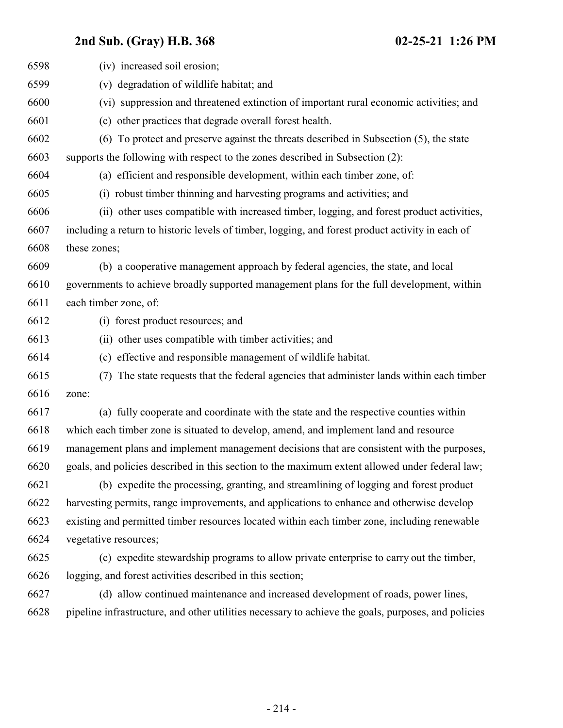| 6598 | (iv) increased soil erosion;                                                                        |
|------|-----------------------------------------------------------------------------------------------------|
| 6599 | (v) degradation of wildlife habitat; and                                                            |
| 6600 | (vi) suppression and threatened extinction of important rural economic activities; and              |
| 6601 | (c) other practices that degrade overall forest health.                                             |
| 6602 | To protect and preserve against the threats described in Subsection (5), the state<br>(6)           |
| 6603 | supports the following with respect to the zones described in Subsection (2):                       |
| 6604 | (a) efficient and responsible development, within each timber zone, of:                             |
| 6605 | (i) robust timber thinning and harvesting programs and activities; and                              |
| 6606 | (ii) other uses compatible with increased timber, logging, and forest product activities,           |
| 6607 | including a return to historic levels of timber, logging, and forest product activity in each of    |
| 6608 | these zones;                                                                                        |
| 6609 | (b) a cooperative management approach by federal agencies, the state, and local                     |
| 6610 | governments to achieve broadly supported management plans for the full development, within          |
| 6611 | each timber zone, of:                                                                               |
| 6612 | (i) forest product resources; and                                                                   |
| 6613 | (ii) other uses compatible with timber activities; and                                              |
| 6614 | (c) effective and responsible management of wildlife habitat.                                       |
| 6615 | The state requests that the federal agencies that administer lands within each timber<br>(7)        |
| 6616 | zone:                                                                                               |
| 6617 | (a) fully cooperate and coordinate with the state and the respective counties within                |
| 6618 | which each timber zone is situated to develop, amend, and implement land and resource               |
| 6619 | management plans and implement management decisions that are consistent with the purposes,          |
| 6620 | goals, and policies described in this section to the maximum extent allowed under federal law;      |
| 6621 | (b) expedite the processing, granting, and streamlining of logging and forest product               |
| 6622 | harvesting permits, range improvements, and applications to enhance and otherwise develop           |
| 6623 | existing and permitted timber resources located within each timber zone, including renewable        |
| 6624 | vegetative resources;                                                                               |
| 6625 | (c) expedite stewardship programs to allow private enterprise to carry out the timber,              |
| 6626 | logging, and forest activities described in this section;                                           |
| 6627 | (d) allow continued maintenance and increased development of roads, power lines,                    |
| 6628 | pipeline infrastructure, and other utilities necessary to achieve the goals, purposes, and policies |
|      |                                                                                                     |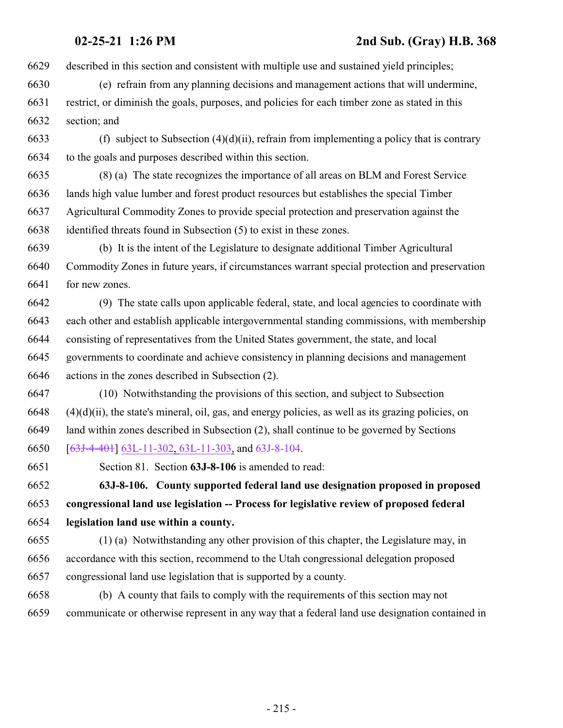described in this section and consistent with multiple use and sustained yield principles;

- (e) refrain from any planning decisions and management actions that will undermine, restrict, or diminish the goals, purposes, and policies for each timber zone as stated in this section; and
- 6633 (f) subject to Subsection  $(4)(d)(ii)$ , refrain from implementing a policy that is contrary to the goals and purposes described within this section.
- (8) (a) The state recognizes the importance of all areas on BLM and Forest Service lands high value lumber and forest product resources but establishes the special Timber Agricultural Commodity Zones to provide special protection and preservation against the identified threats found in Subsection (5) to exist in these zones.
- (b) It is the intent of the Legislature to designate additional Timber Agricultural Commodity Zones in future years, if circumstances warrant special protection and preservation for new zones.
- (9) The state calls upon applicable federal, state, and local agencies to coordinate with each other and establish applicable intergovernmental standing commissions, with membership consisting of representatives from the United States government, the state, and local governments to coordinate and achieve consistency in planning decisions and management actions in the zones described in Subsection (2).
- (10) Notwithstanding the provisions of this section, and subject to Subsection (4)(d)(ii), the state's mineral, oil, gas, and energy policies, as well as its grazing policies, on land within zones described in Subsection (2), shall continue to be governed by Sections [[63J-4-401](#page-142-0)] [63L-11-302](#page-229-0), [63L-11-303](#page-232-0), and [63J-8-104](#page-175-0).
- 

Section 81. Section **63J-8-106** is amended to read:

 **63J-8-106. County supported federal land use designation proposed in proposed congressional land use legislation -- Process for legislative review of proposed federal legislation land use within a county.**

- (1) (a) Notwithstanding any other provision of this chapter, the Legislature may, in accordance with this section, recommend to the Utah congressional delegation proposed congressional land use legislation that is supported by a county.
- (b) A county that fails to comply with the requirements of this section may not communicate or otherwise represent in any way that a federal land use designation contained in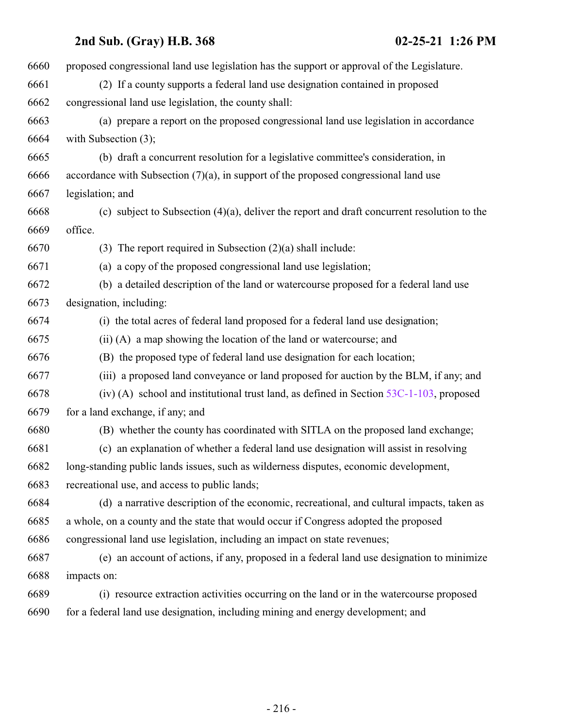| 6660 | proposed congressional land use legislation has the support or approval of the Legislature.    |
|------|------------------------------------------------------------------------------------------------|
| 6661 | (2) If a county supports a federal land use designation contained in proposed                  |
| 6662 | congressional land use legislation, the county shall:                                          |
| 6663 | (a) prepare a report on the proposed congressional land use legislation in accordance          |
| 6664 | with Subsection $(3)$ ;                                                                        |
| 6665 | (b) draft a concurrent resolution for a legislative committee's consideration, in              |
| 6666 | accordance with Subsection $(7)(a)$ , in support of the proposed congressional land use        |
| 6667 | legislation; and                                                                               |
| 6668 | (c) subject to Subsection $(4)(a)$ , deliver the report and draft concurrent resolution to the |
| 6669 | office.                                                                                        |
| 6670 | (3) The report required in Subsection $(2)(a)$ shall include:                                  |
| 6671 | (a) a copy of the proposed congressional land use legislation;                                 |
| 6672 | (b) a detailed description of the land or watercourse proposed for a federal land use          |
| 6673 | designation, including:                                                                        |
| 6674 | (i) the total acres of federal land proposed for a federal land use designation;               |
| 6675 | (ii) (A) a map showing the location of the land or watercourse; and                            |
| 6676 | (B) the proposed type of federal land use designation for each location;                       |
| 6677 | (iii) a proposed land conveyance or land proposed for auction by the BLM, if any; and          |
| 6678 | (iv) (A) school and institutional trust land, as defined in Section $53C-1-103$ , proposed     |
| 6679 | for a land exchange, if any; and                                                               |
| 6680 | (B) whether the county has coordinated with SITLA on the proposed land exchange;               |
| 6681 | (c) an explanation of whether a federal land use designation will assist in resolving          |
| 6682 | long-standing public lands issues, such as wilderness disputes, economic development,          |
| 6683 | recreational use, and access to public lands;                                                  |
| 6684 | (d) a narrative description of the economic, recreational, and cultural impacts, taken as      |
| 6685 | a whole, on a county and the state that would occur if Congress adopted the proposed           |
| 6686 | congressional land use legislation, including an impact on state revenues;                     |
| 6687 | (e) an account of actions, if any, proposed in a federal land use designation to minimize      |
| 6688 | impacts on:                                                                                    |
| 6689 | (i) resource extraction activities occurring on the land or in the watercourse proposed        |
| 6690 | for a federal land use designation, including mining and energy development; and               |
|      |                                                                                                |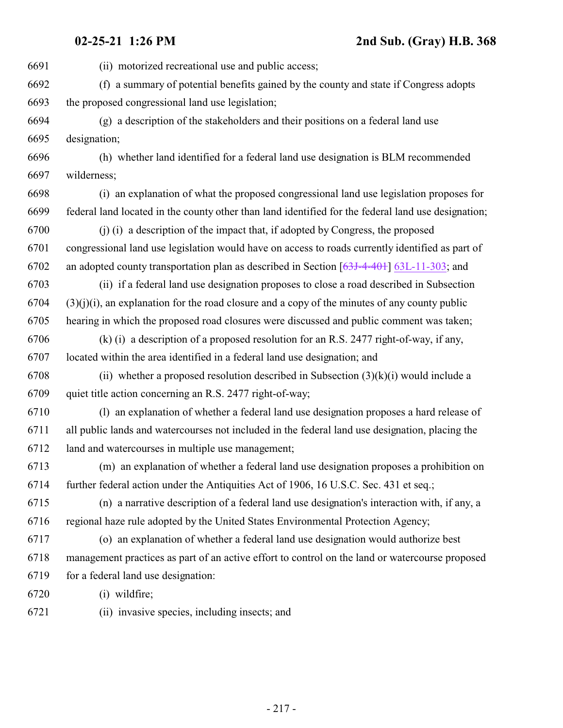(ii) motorized recreational use and public access; (f) a summary of potential benefits gained by the county and state if Congress adopts the proposed congressional land use legislation; (g) a description of the stakeholders and their positions on a federal land use designation; (h) whether land identified for a federal land use designation is BLM recommended wilderness; (i) an explanation of what the proposed congressional land use legislation proposes for federal land located in the county other than land identified for the federal land use designation; (j) (i) a description of the impact that, if adopted by Congress, the proposed congressional land use legislation would have on access to roads currently identified as part of an adopted county transportation plan as described in Section [\[63J-4-401](#page-142-0)] [63L-11-303](#page-232-0); and (ii) if a federal land use designation proposes to close a road described in Subsection  $(3)(i)(i)$ , an explanation for the road closure and a copy of the minutes of any county public hearing in which the proposed road closures were discussed and public comment was taken; (k) (i) a description of a proposed resolution for an R.S. 2477 right-of-way, if any, located within the area identified in a federal land use designation; and 6708 (ii) whether a proposed resolution described in Subsection  $(3)(k)(i)$  would include a quiet title action concerning an R.S. 2477 right-of-way; (l) an explanation of whether a federal land use designation proposes a hard release of all public lands and watercourses not included in the federal land use designation, placing the land and watercourses in multiple use management; (m) an explanation of whether a federal land use designation proposes a prohibition on further federal action under the Antiquities Act of 1906, 16 U.S.C. Sec. 431 et seq.; (n) a narrative description of a federal land use designation's interaction with, if any, a regional haze rule adopted by the United States Environmental Protection Agency; (o) an explanation of whether a federal land use designation would authorize best management practices as part of an active effort to control on the land or watercourse proposed for a federal land use designation: (i) wildfire; (ii) invasive species, including insects; and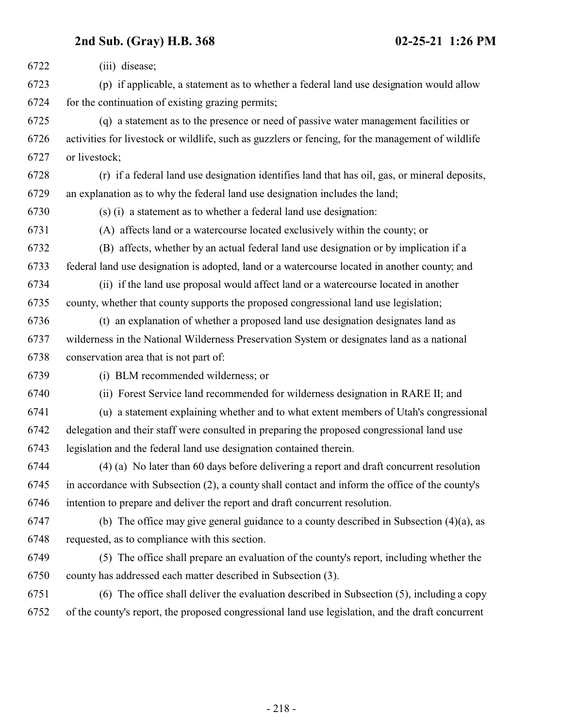**2nd Sub. (Gray) H.B. 368 02-25-21 1:26 PM** (iii) disease; (p) if applicable, a statement as to whether a federal land use designation would allow for the continuation of existing grazing permits; (q) a statement as to the presence or need of passive water management facilities or activities for livestock or wildlife, such as guzzlers or fencing, for the management of wildlife or livestock; (r) if a federal land use designation identifies land that has oil, gas, or mineral deposits, an explanation as to why the federal land use designation includes the land; (s) (i) a statement as to whether a federal land use designation: (A) affects land or a watercourse located exclusively within the county; or (B) affects, whether by an actual federal land use designation or by implication if a federal land use designation is adopted, land or a watercourse located in another county; and (ii) if the land use proposal would affect land or a watercourse located in another county, whether that county supports the proposed congressional land use legislation; (t) an explanation of whether a proposed land use designation designates land as wilderness in the National Wilderness Preservation System or designates land as a national conservation area that is not part of: (i) BLM recommended wilderness; or (ii) Forest Service land recommended for wilderness designation in RARE II; and (u) a statement explaining whether and to what extent members of Utah's congressional delegation and their staff were consulted in preparing the proposed congressional land use legislation and the federal land use designation contained therein. (4) (a) No later than 60 days before delivering a report and draft concurrent resolution in accordance with Subsection (2), a county shall contact and inform the office of the county's intention to prepare and deliver the report and draft concurrent resolution. (b) The office may give general guidance to a county described in Subsection (4)(a), as requested, as to compliance with this section. (5) The office shall prepare an evaluation of the county's report, including whether the county has addressed each matter described in Subsection (3). (6) The office shall deliver the evaluation described in Subsection (5), including a copy of the county's report, the proposed congressional land use legislation, and the draft concurrent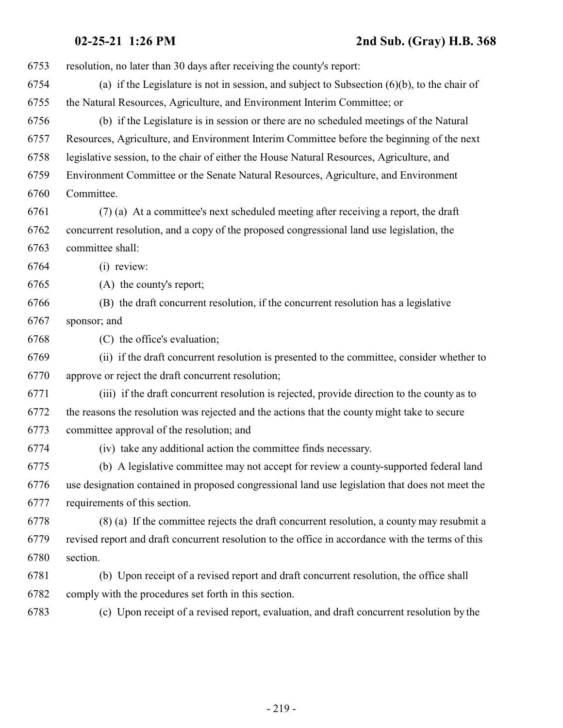| 6753 | resolution, no later than 30 days after receiving the county's report:                            |
|------|---------------------------------------------------------------------------------------------------|
| 6754 | (a) if the Legislature is not in session, and subject to Subsection $(6)(b)$ , to the chair of    |
| 6755 | the Natural Resources, Agriculture, and Environment Interim Committee; or                         |
| 6756 | (b) if the Legislature is in session or there are no scheduled meetings of the Natural            |
| 6757 | Resources, Agriculture, and Environment Interim Committee before the beginning of the next        |
| 6758 | legislative session, to the chair of either the House Natural Resources, Agriculture, and         |
| 6759 | Environment Committee or the Senate Natural Resources, Agriculture, and Environment               |
| 6760 | Committee.                                                                                        |
| 6761 | (7) (a) At a committee's next scheduled meeting after receiving a report, the draft               |
| 6762 | concurrent resolution, and a copy of the proposed congressional land use legislation, the         |
| 6763 | committee shall:                                                                                  |
| 6764 | (i) review:                                                                                       |
| 6765 | (A) the county's report;                                                                          |
| 6766 | (B) the draft concurrent resolution, if the concurrent resolution has a legislative               |
| 6767 | sponsor; and                                                                                      |
| 6768 | (C) the office's evaluation;                                                                      |
| 6769 | (ii) if the draft concurrent resolution is presented to the committee, consider whether to        |
| 6770 | approve or reject the draft concurrent resolution;                                                |
| 6771 | (iii) if the draft concurrent resolution is rejected, provide direction to the county as to       |
| 6772 | the reasons the resolution was rejected and the actions that the county might take to secure      |
| 6773 | committee approval of the resolution; and                                                         |
| 6774 | (iv) take any additional action the committee finds necessary.                                    |
| 6775 | (b) A legislative committee may not accept for review a county-supported federal land             |
| 6776 | use designation contained in proposed congressional land use legislation that does not meet the   |
| 6777 | requirements of this section.                                                                     |
| 6778 | (8) (a) If the committee rejects the draft concurrent resolution, a county may resubmit a         |
| 6779 | revised report and draft concurrent resolution to the office in accordance with the terms of this |
| 6780 | section.                                                                                          |
| 6781 | (b) Upon receipt of a revised report and draft concurrent resolution, the office shall            |
| 6782 | comply with the procedures set forth in this section.                                             |
| 6783 | (c) Upon receipt of a revised report, evaluation, and draft concurrent resolution by the          |
|      |                                                                                                   |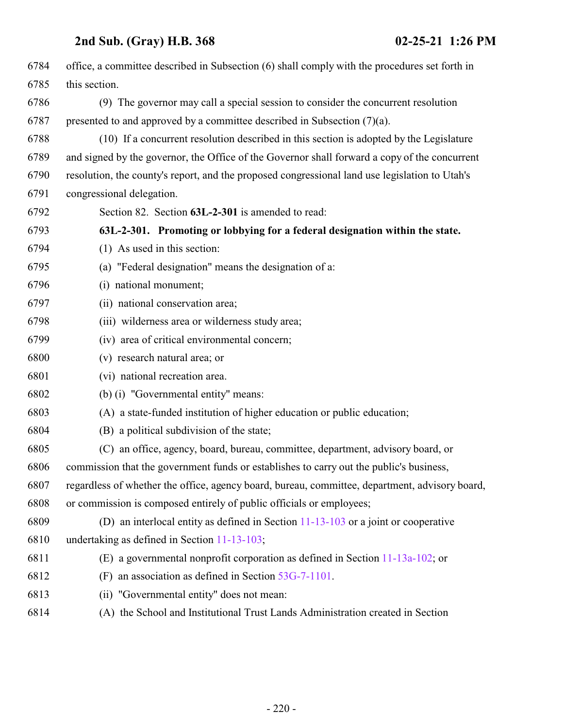| 6784 | office, a committee described in Subsection (6) shall comply with the procedures set forth in  |
|------|------------------------------------------------------------------------------------------------|
| 6785 | this section.                                                                                  |
| 6786 | (9) The governor may call a special session to consider the concurrent resolution              |
| 6787 | presented to and approved by a committee described in Subsection $(7)(a)$ .                    |
| 6788 | (10) If a concurrent resolution described in this section is adopted by the Legislature        |
| 6789 | and signed by the governor, the Office of the Governor shall forward a copy of the concurrent  |
| 6790 | resolution, the county's report, and the proposed congressional land use legislation to Utah's |
| 6791 | congressional delegation.                                                                      |
| 6792 | Section 82. Section 63L-2-301 is amended to read:                                              |
| 6793 | 63L-2-301. Promoting or lobbying for a federal designation within the state.                   |
| 6794 | $(1)$ As used in this section:                                                                 |
| 6795 | (a) "Federal designation" means the designation of a:                                          |
| 6796 | (i) national monument;                                                                         |
| 6797 | (ii) national conservation area;                                                               |
| 6798 | (iii) wilderness area or wilderness study area;                                                |
| 6799 | (iv) area of critical environmental concern;                                                   |
| 6800 | (v) research natural area; or                                                                  |
| 6801 | (vi) national recreation area.                                                                 |
| 6802 | (b) (i) "Governmental entity" means:                                                           |
| 6803 | (A) a state-funded institution of higher education or public education;                        |
| 6804 | (B) a political subdivision of the state;                                                      |
| 6805 | (C) an office, agency, board, bureau, committee, department, advisory board, or                |
| 6806 | commission that the government funds or establishes to carry out the public's business,        |
| 6807 | regardless of whether the office, agency board, bureau, committee, department, advisory board, |
| 6808 | or commission is composed entirely of public officials or employees;                           |
| 6809 | (D) an interlocal entity as defined in Section $11-13-103$ or a joint or cooperative           |
| 6810 | undertaking as defined in Section 11-13-103;                                                   |
| 6811 | (E) a governmental nonprofit corporation as defined in Section $11-13a-102$ ; or               |
| 6812 | (F) an association as defined in Section $53G-7-1101$ .                                        |
| 6813 | (ii) "Governmental entity" does not mean:                                                      |
| 6814 | (A) the School and Institutional Trust Lands Administration created in Section                 |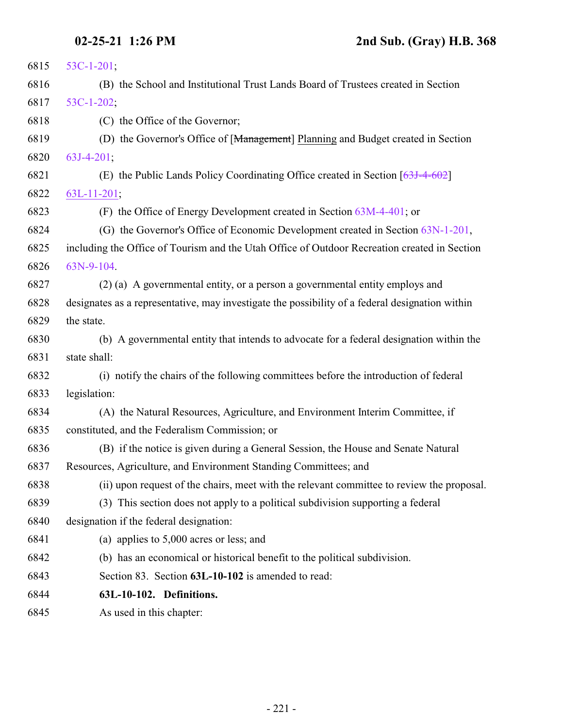| 6815 | $53C-1-201;$                                                                                    |
|------|-------------------------------------------------------------------------------------------------|
| 6816 | (B) the School and Institutional Trust Lands Board of Trustees created in Section               |
| 6817 | $53C-1-202$ ;                                                                                   |
| 6818 | (C) the Office of the Governor;                                                                 |
| 6819 | (D) the Governor's Office of [Management] Planning and Budget created in Section                |
| 6820 | $63J-4-201$ ;                                                                                   |
| 6821 | (E) the Public Lands Policy Coordinating Office created in Section $[63J-4-602]$                |
| 6822 | $63L-11-201$ ;                                                                                  |
| 6823 | (F) the Office of Energy Development created in Section $63M-4-401$ ; or                        |
| 6824 | (G) the Governor's Office of Economic Development created in Section 63N-1-201,                 |
| 6825 | including the Office of Tourism and the Utah Office of Outdoor Recreation created in Section    |
| 6826 | 63N-9-104.                                                                                      |
| 6827 | (2) (a) A governmental entity, or a person a governmental entity employs and                    |
| 6828 | designates as a representative, may investigate the possibility of a federal designation within |
| 6829 | the state.                                                                                      |
| 6830 | (b) A governmental entity that intends to advocate for a federal designation within the         |
| 6831 | state shall:                                                                                    |
| 6832 | (i) notify the chairs of the following committees before the introduction of federal            |
| 6833 | legislation:                                                                                    |
| 6834 | (A) the Natural Resources, Agriculture, and Environment Interim Committee, if                   |
| 6835 | constituted, and the Federalism Commission; or                                                  |
| 6836 | (B) if the notice is given during a General Session, the House and Senate Natural               |
| 6837 | Resources, Agriculture, and Environment Standing Committees; and                                |
| 6838 | (ii) upon request of the chairs, meet with the relevant committee to review the proposal.       |
| 6839 | (3) This section does not apply to a political subdivision supporting a federal                 |
| 6840 | designation if the federal designation:                                                         |
| 6841 | (a) applies to $5,000$ acres or less; and                                                       |
| 6842 | (b) has an economical or historical benefit to the political subdivision.                       |
| 6843 | Section 83. Section 63L-10-102 is amended to read:                                              |
| 6844 | 63L-10-102. Definitions.                                                                        |
| 6845 | As used in this chapter:                                                                        |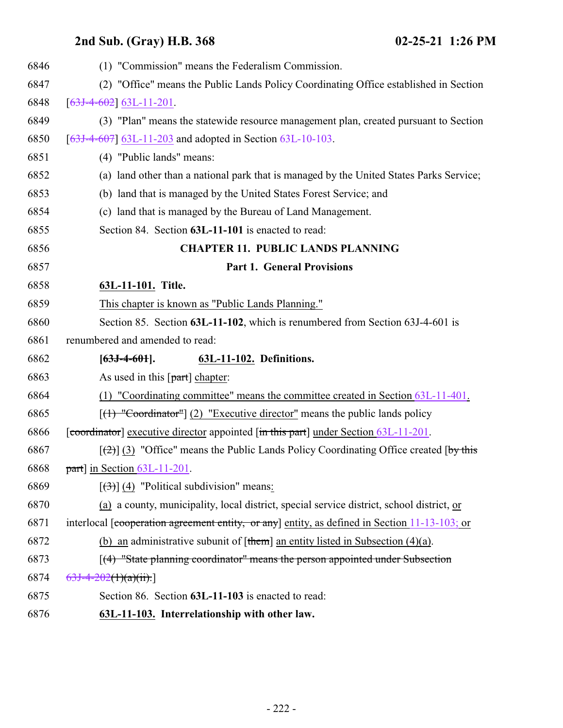| 6846 | (1) "Commission" means the Federalism Commission.                                               |
|------|-------------------------------------------------------------------------------------------------|
| 6847 | (2) "Office" means the Public Lands Policy Coordinating Office established in Section           |
| 6848 | $[63J-4-602]$ 63L-11-201.                                                                       |
| 6849 | (3) "Plan" means the statewide resource management plan, created pursuant to Section            |
| 6850 | $[63J-4-607]$ 63L-11-203 and adopted in Section 63L-10-103.                                     |
| 6851 | (4) "Public lands" means:                                                                       |
| 6852 | (a) land other than a national park that is managed by the United States Parks Service;         |
| 6853 | (b) land that is managed by the United States Forest Service; and                               |
| 6854 | (c) land that is managed by the Bureau of Land Management.                                      |
| 6855 | Section 84. Section 63L-11-101 is enacted to read:                                              |
| 6856 | <b>CHAPTER 11. PUBLIC LANDS PLANNING</b>                                                        |
| 6857 | <b>Part 1. General Provisions</b>                                                               |
| 6858 | 63L-11-101. Title.                                                                              |
| 6859 | This chapter is known as "Public Lands Planning."                                               |
| 6860 | Section 85. Section 63L-11-102, which is renumbered from Section 63J-4-601 is                   |
| 6861 | renumbered and amended to read:                                                                 |
| 6862 | $[63J-4-601]$ .<br>63L-11-102. Definitions.                                                     |
| 6863 | As used in this $[part]$ chapter:                                                               |
| 6864 | (1) "Coordinating committee" means the committee created in Section 63L-11-401.                 |
| 6865 | $[(1)$ "Coordinator"] (2) "Executive director" means the public lands policy                    |
| 6866 | [coordinator] executive director appointed $[\text{in this part}]$ under Section $63L-11-201$ . |
| 6867 | $[\frac{1}{2}]$ (3) "Office" means the Public Lands Policy Coordinating Office created [by this |
| 6868 | part] in Section 63L-11-201.                                                                    |
| 6869 | $[\langle 3\rangle]$ (4) "Political subdivision" means:                                         |
| 6870 | (a) a county, municipality, local district, special service district, school district, or       |
| 6871 | interlocal [cooperation agreement entity, or any] entity, as defined in Section 11-13-103; or   |
| 6872 | (b) an administrative subunit of $[\t{them}]$ an entity listed in Subsection (4)(a).            |
| 6873 | $\lceil$ (4) "State planning coordinator" means the person appointed under Subsection           |
| 6874 | $63J-4-202(1)(a)(ii).$                                                                          |
| 6875 | Section 86. Section 63L-11-103 is enacted to read:                                              |
| 6876 | 63L-11-103. Interrelationship with other law.                                                   |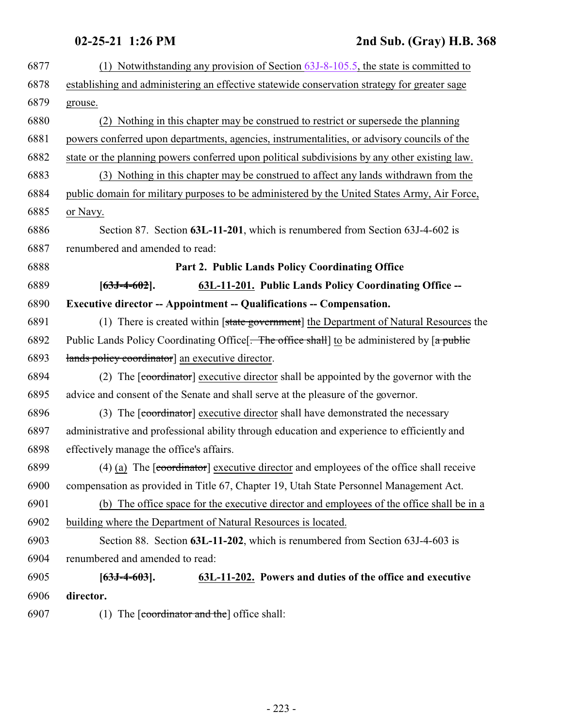## <span id="page-222-0"></span>**02-25-21 1:26 PM 2nd Sub. (Gray) H.B. 368**

| 6877 | (1) Notwithstanding any provision of Section $63J-8-105.5$ , the state is committed to                              |
|------|---------------------------------------------------------------------------------------------------------------------|
| 6878 | establishing and administering an effective statewide conservation strategy for greater sage                        |
| 6879 | grouse.                                                                                                             |
| 6880 | (2) Nothing in this chapter may be construed to restrict or supersede the planning                                  |
| 6881 | powers conferred upon departments, agencies, instrumentalities, or advisory councils of the                         |
| 6882 | state or the planning powers conferred upon political subdivisions by any other existing law.                       |
| 6883 | (3) Nothing in this chapter may be construed to affect any lands withdrawn from the                                 |
| 6884 | public domain for military purposes to be administered by the United States Army, Air Force,                        |
| 6885 | or Navy.                                                                                                            |
| 6886 | Section 87. Section 63L-11-201, which is renumbered from Section 63J-4-602 is                                       |
| 6887 | renumbered and amended to read:                                                                                     |
| 6888 | Part 2. Public Lands Policy Coordinating Office                                                                     |
| 6889 | 63L-11-201. Public Lands Policy Coordinating Office --<br>$[63J-4-602]$ .                                           |
| 6890 | <b>Executive director -- Appointment -- Qualifications -- Compensation.</b>                                         |
| 6891 | (1) There is created within [state government] the Department of Natural Resources the                              |
| 6892 | Public Lands Policy Coordinating Office $\frac{1}{2}$ . The office shall to be administered by $\frac{1}{2}$ public |
| 6893 | lands policy coordinator] an executive director.                                                                    |
| 6894 | (2) The [coordinator] executive director shall be appointed by the governor with the                                |
| 6895 | advice and consent of the Senate and shall serve at the pleasure of the governor.                                   |
| 6896 | (3) The [coordinator] executive director shall have demonstrated the necessary                                      |
| 6897 | administrative and professional ability through education and experience to efficiently and                         |
| 6898 | effectively manage the office's affairs.                                                                            |
| 6899 | $(4)$ (a) The [coordinator] executive director and employees of the office shall receive                            |
| 6900 | compensation as provided in Title 67, Chapter 19, Utah State Personnel Management Act.                              |
| 6901 | (b) The office space for the executive director and employees of the office shall be in a                           |
| 6902 | building where the Department of Natural Resources is located.                                                      |
| 6903 | Section 88. Section 63L-11-202, which is renumbered from Section 63J-4-603 is                                       |
| 6904 | renumbered and amended to read:                                                                                     |
| 6905 | 63L-11-202. Powers and duties of the office and executive<br>$[63J-4-603]$ .                                        |
| 6906 | director.                                                                                                           |
| 6907 | (1) The $\lceil$ coordinator and the $\lceil$ office shall:                                                         |
|      |                                                                                                                     |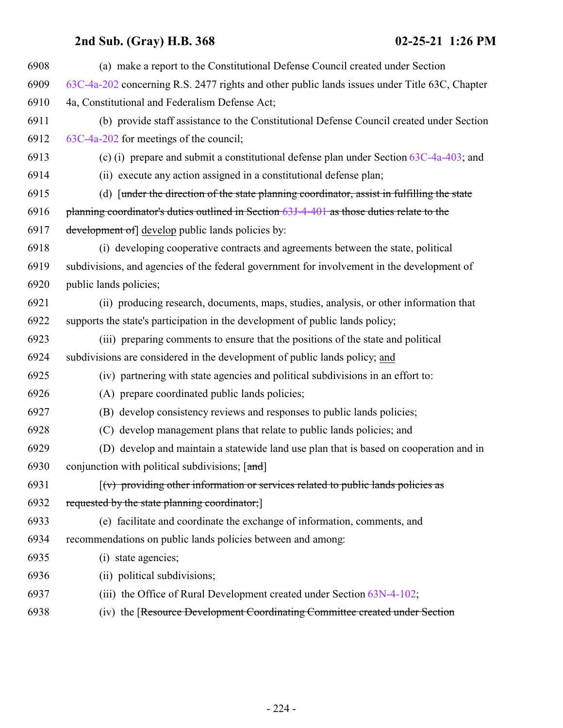| (a) make a report to the Constitutional Defense Council created under Section                      |
|----------------------------------------------------------------------------------------------------|
| 63C-4a-202 concerning R.S. 2477 rights and other public lands issues under Title 63C, Chapter      |
| 4a, Constitutional and Federalism Defense Act;                                                     |
| (b) provide staff assistance to the Constitutional Defense Council created under Section           |
| 63C-4a-202 for meetings of the council;                                                            |
| (c) (i) prepare and submit a constitutional defense plan under Section $63C-4a-403$ ; and          |
| (ii) execute any action assigned in a constitutional defense plan;                                 |
| (d) [under the direction of the state planning coordinator, assist in fulfilling the state         |
| planning coordinator's duties outlined in Section 63J-4-401 as those duties relate to the          |
| development of develop public lands policies by:                                                   |
| (i) developing cooperative contracts and agreements between the state, political                   |
| subdivisions, and agencies of the federal government for involvement in the development of         |
| public lands policies;                                                                             |
| (ii) producing research, documents, maps, studies, analysis, or other information that             |
| supports the state's participation in the development of public lands policy;                      |
| (iii) preparing comments to ensure that the positions of the state and political                   |
| subdivisions are considered in the development of public lands policy; and                         |
| (iv) partnering with state agencies and political subdivisions in an effort to:                    |
| (A) prepare coordinated public lands policies;                                                     |
| (B) develop consistency reviews and responses to public lands policies;                            |
| (C) develop management plans that relate to public lands policies; and                             |
| (D) develop and maintain a statewide land use plan that is based on cooperation and in             |
| conjunction with political subdivisions; [and]                                                     |
| $\left[\left(v\right)$ providing other information or services related to public lands policies as |
| requested by the state planning coordinator;                                                       |
| (e) facilitate and coordinate the exchange of information, comments, and                           |
| recommendations on public lands policies between and among:                                        |
| (i) state agencies;                                                                                |
| (ii) political subdivisions;                                                                       |
| (iii) the Office of Rural Development created under Section 63N-4-102;                             |
| (iv) the [Resource Development Coordinating Committee created under Section                        |
|                                                                                                    |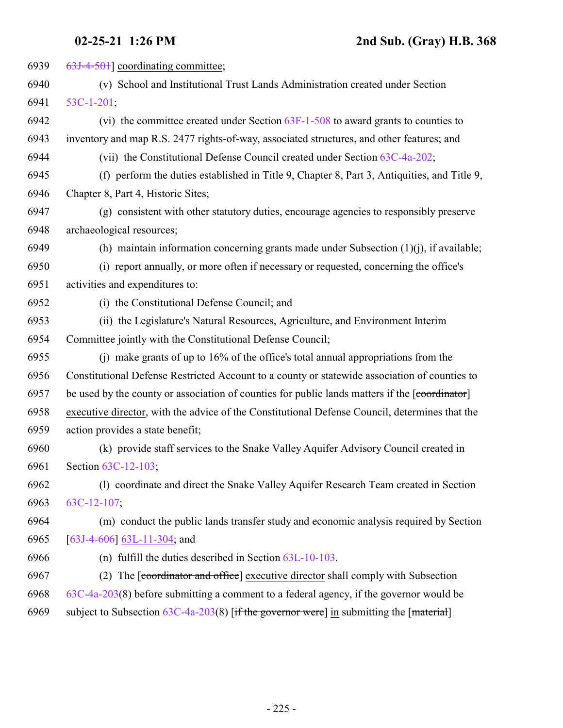| 63J-4-501] coordinating committee;                                                             |
|------------------------------------------------------------------------------------------------|
| (v) School and Institutional Trust Lands Administration created under Section                  |
| $53C-1-201$ ;                                                                                  |
| (vi) the committee created under Section 63F-1-508 to award grants to counties to              |
| inventory and map R.S. 2477 rights-of-way, associated structures, and other features; and      |
| (vii) the Constitutional Defense Council created under Section 63C-4a-202;                     |
| (f) perform the duties established in Title 9, Chapter 8, Part 3, Antiquities, and Title 9,    |
| Chapter 8, Part 4, Historic Sites;                                                             |
| (g) consistent with other statutory duties, encourage agencies to responsibly preserve         |
| archaeological resources;                                                                      |
| (h) maintain information concerning grants made under Subsection $(1)(j)$ , if available;      |
| (i) report annually, or more often if necessary or requested, concerning the office's          |
| activities and expenditures to:                                                                |
| (i) the Constitutional Defense Council; and                                                    |
| (ii) the Legislature's Natural Resources, Agriculture, and Environment Interim                 |
| Committee jointly with the Constitutional Defense Council;                                     |
| (i) make grants of up to $16\%$ of the office's total annual appropriations from the           |
| Constitutional Defense Restricted Account to a county or statewide association of counties to  |
| be used by the county or association of counties for public lands matters if the [coordinator] |
| executive director, with the advice of the Constitutional Defense Council, determines that the |
| action provides a state benefit;                                                               |
| (k) provide staff services to the Snake Valley Aquifer Advisory Council created in             |
| Section 63C-12-103;                                                                            |
| (1) coordinate and direct the Snake Valley Aquifer Research Team created in Section            |
| $63C-12-107$ ;                                                                                 |
| (m) conduct the public lands transfer study and economic analysis required by Section          |
| $[63J-4-606]$ 63L-11-304; and                                                                  |
| (n) fulfill the duties described in Section $63L-10-103$ .                                     |
| The [coordinator and office] executive director shall comply with Subsection<br>(2)            |
| $63C-4a-203(8)$ before submitting a comment to a federal agency, if the governor would be      |
|                                                                                                |
|                                                                                                |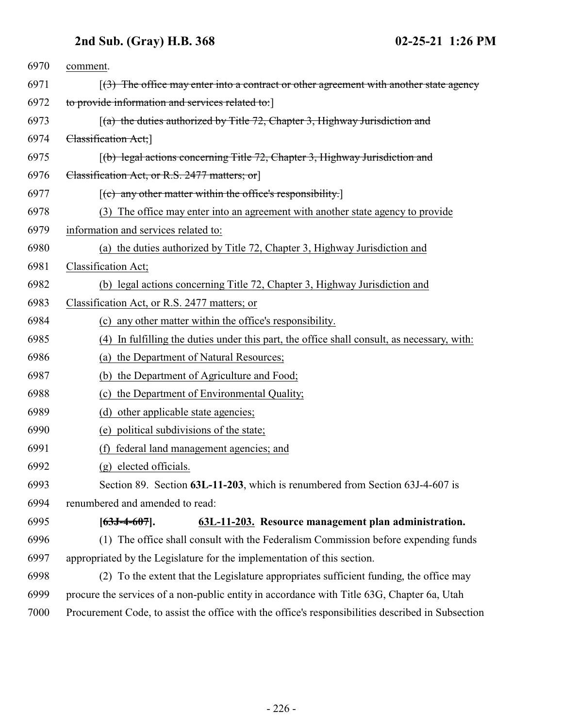<span id="page-225-0"></span>

| 6970 | comment.                                                                                          |
|------|---------------------------------------------------------------------------------------------------|
| 6971 | $(3)$ The office may enter into a contract or other agreement with another state agency           |
| 6972 | to provide information and services related to:                                                   |
| 6973 | $[(a)$ the duties authorized by Title 72, Chapter 3, Highway Jurisdiction and                     |
| 6974 | Classification Act;                                                                               |
| 6975 | (b) legal actions concerning Title 72, Chapter 3, Highway Jurisdiction and                        |
| 6976 | Classification Act, or R.S. 2477 matters; or                                                      |
| 6977 | $[$ (c) any other matter within the office's responsibility.]                                     |
| 6978 | (3) The office may enter into an agreement with another state agency to provide                   |
| 6979 | information and services related to:                                                              |
| 6980 | (a) the duties authorized by Title 72, Chapter 3, Highway Jurisdiction and                        |
| 6981 | Classification Act;                                                                               |
| 6982 | (b) legal actions concerning Title 72, Chapter 3, Highway Jurisdiction and                        |
| 6983 | Classification Act, or R.S. 2477 matters; or                                                      |
| 6984 | (c) any other matter within the office's responsibility.                                          |
| 6985 | (4) In fulfilling the duties under this part, the office shall consult, as necessary, with:       |
| 6986 | (a) the Department of Natural Resources;                                                          |
| 6987 | (b) the Department of Agriculture and Food;                                                       |
| 6988 | (c) the Department of Environmental Quality;                                                      |
| 6989 | (d) other applicable state agencies;                                                              |
| 6990 | (e) political subdivisions of the state;                                                          |
| 6991 | federal land management agencies; and<br>(f)                                                      |
| 6992 | (g) elected officials.                                                                            |
| 6993 | Section 89. Section 63L-11-203, which is renumbered from Section 63J-4-607 is                     |
| 6994 | renumbered and amended to read:                                                                   |
| 6995 | $[63J-4-607]$ .<br>63L-11-203. Resource management plan administration.                           |
| 6996 | (1) The office shall consult with the Federalism Commission before expending funds                |
| 6997 | appropriated by the Legislature for the implementation of this section.                           |
| 6998 | (2) To the extent that the Legislature appropriates sufficient funding, the office may            |
| 6999 | procure the services of a non-public entity in accordance with Title 63G, Chapter 6a, Utah        |
| 7000 | Procurement Code, to assist the office with the office's responsibilities described in Subsection |
|      |                                                                                                   |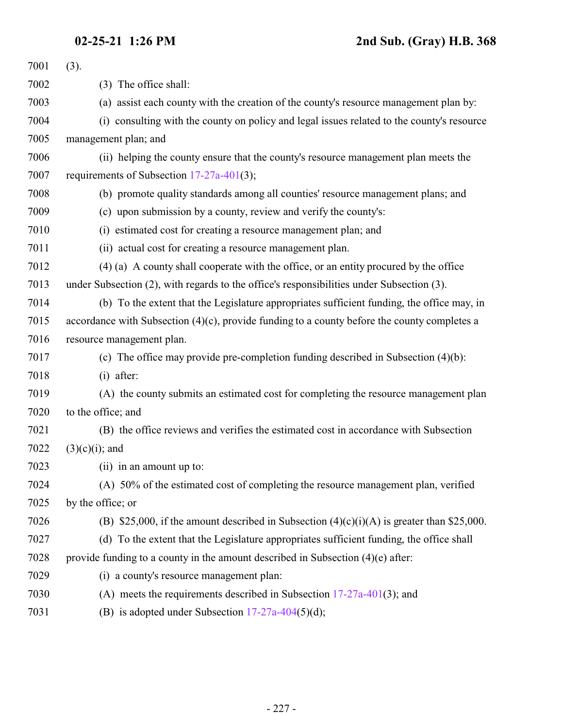| 7001 | (3).                                                                                            |
|------|-------------------------------------------------------------------------------------------------|
| 7002 | (3) The office shall:                                                                           |
| 7003 | (a) assist each county with the creation of the county's resource management plan by:           |
| 7004 | (i) consulting with the county on policy and legal issues related to the county's resource      |
| 7005 | management plan; and                                                                            |
| 7006 | (ii) helping the county ensure that the county's resource management plan meets the             |
| 7007 | requirements of Subsection $17-27a-401(3)$ ;                                                    |
| 7008 | (b) promote quality standards among all counties' resource management plans; and                |
| 7009 | (c) upon submission by a county, review and verify the county's:                                |
| 7010 | (i) estimated cost for creating a resource management plan; and                                 |
| 7011 | (ii) actual cost for creating a resource management plan.                                       |
| 7012 | (4) (a) A county shall cooperate with the office, or an entity procured by the office           |
| 7013 | under Subsection (2), with regards to the office's responsibilities under Subsection (3).       |
| 7014 | (b) To the extent that the Legislature appropriates sufficient funding, the office may, in      |
| 7015 | accordance with Subsection $(4)(c)$ , provide funding to a county before the county completes a |
| 7016 | resource management plan.                                                                       |
| 7017 | (c) The office may provide pre-completion funding described in Subsection $(4)(b)$ :            |
| 7018 | $(i)$ after:                                                                                    |
| 7019 | (A) the county submits an estimated cost for completing the resource management plan            |
| 7020 | to the office; and                                                                              |
| 7021 | (B) the office reviews and verifies the estimated cost in accordance with Subsection            |
| 7022 | $(3)(c)(i)$ ; and                                                                               |
| 7023 | (ii) in an amount up to:                                                                        |
| 7024 | (A) 50% of the estimated cost of completing the resource management plan, verified              |
| 7025 | by the office; or                                                                               |
| 7026 | (B) \$25,000, if the amount described in Subsection $(4)(c)(i)(A)$ is greater than \$25,000.    |
| 7027 | (d) To the extent that the Legislature appropriates sufficient funding, the office shall        |
| 7028 | provide funding to a county in the amount described in Subsection $(4)(e)$ after:               |
| 7029 | (i) a county's resource management plan:                                                        |
| 7030 | (A) meets the requirements described in Subsection $17-27a-401(3)$ ; and                        |
| 7021 | $\frac{1}{2}$ adopted under Culagation 17.07. $404(5)(3)$ .                                     |

7031 (B) is adopted under Subsection [17-27a-404](http://le.utah.gov/UtahCode/SectionLookup.jsp?section=17-27a-404&session=2021GS)(5)(d);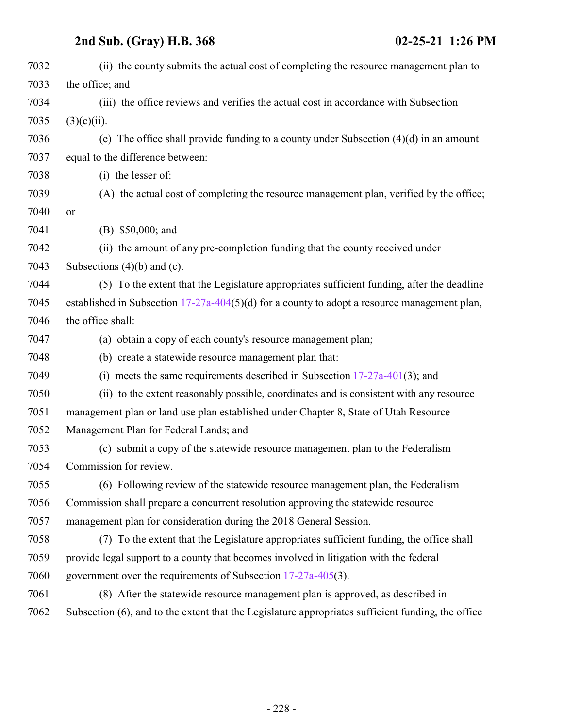| 7033<br>the office; and<br>7034<br>(iii) the office reviews and verifies the actual cost in accordance with Subsection<br>7035<br>$(3)(c)(ii)$ .<br>7036<br>(e) The office shall provide funding to a county under Subsection $(4)(d)$ in an amount<br>7037<br>equal to the difference between:<br>7038<br>(i) the lesser of:<br>7039<br>(A) the actual cost of completing the resource management plan, verified by the office;<br>7040<br>or<br>7041<br>(B) $$50,000$ ; and<br>7042<br>(ii) the amount of any pre-completion funding that the county received under<br>7043<br>Subsections $(4)(b)$ and $(c)$ .<br>7044<br>(5) To the extent that the Legislature appropriates sufficient funding, after the deadline<br>7045<br>established in Subsection $17-27a-404(5)(d)$ for a county to adopt a resource management plan,<br>7046<br>the office shall:<br>7047<br>(a) obtain a copy of each county's resource management plan;<br>7048<br>(b) create a statewide resource management plan that:<br>7049<br>(i) meets the same requirements described in Subsection $17-27a-401(3)$ ; and<br>7050<br>(ii) to the extent reasonably possible, coordinates and is consistent with any resource<br>7051<br>management plan or land use plan established under Chapter 8, State of Utah Resource<br>7052<br>Management Plan for Federal Lands; and<br>7053<br>(c) submit a copy of the statewide resource management plan to the Federalism<br>7054<br>Commission for review.<br>7055<br>(6) Following review of the statewide resource management plan, the Federalism<br>7056<br>Commission shall prepare a concurrent resolution approving the statewide resource<br>management plan for consideration during the 2018 General Session.<br>7057<br>7058<br>(7) To the extent that the Legislature appropriates sufficient funding, the office shall<br>7059<br>provide legal support to a county that becomes involved in litigation with the federal<br>7060<br>government over the requirements of Subsection $17-27a-405(3)$ .<br>7061<br>(8) After the statewide resource management plan is approved, as described in<br>7062<br>Subsection (6), and to the extent that the Legislature appropriates sufficient funding, the office | 7032 | (ii) the county submits the actual cost of completing the resource management plan to |
|------------------------------------------------------------------------------------------------------------------------------------------------------------------------------------------------------------------------------------------------------------------------------------------------------------------------------------------------------------------------------------------------------------------------------------------------------------------------------------------------------------------------------------------------------------------------------------------------------------------------------------------------------------------------------------------------------------------------------------------------------------------------------------------------------------------------------------------------------------------------------------------------------------------------------------------------------------------------------------------------------------------------------------------------------------------------------------------------------------------------------------------------------------------------------------------------------------------------------------------------------------------------------------------------------------------------------------------------------------------------------------------------------------------------------------------------------------------------------------------------------------------------------------------------------------------------------------------------------------------------------------------------------------------------------------------------------------------------------------------------------------------------------------------------------------------------------------------------------------------------------------------------------------------------------------------------------------------------------------------------------------------------------------------------------------------------------------------------------------------------------------------------------------------------------------------------------------------------------------------------|------|---------------------------------------------------------------------------------------|
|                                                                                                                                                                                                                                                                                                                                                                                                                                                                                                                                                                                                                                                                                                                                                                                                                                                                                                                                                                                                                                                                                                                                                                                                                                                                                                                                                                                                                                                                                                                                                                                                                                                                                                                                                                                                                                                                                                                                                                                                                                                                                                                                                                                                                                                |      |                                                                                       |
|                                                                                                                                                                                                                                                                                                                                                                                                                                                                                                                                                                                                                                                                                                                                                                                                                                                                                                                                                                                                                                                                                                                                                                                                                                                                                                                                                                                                                                                                                                                                                                                                                                                                                                                                                                                                                                                                                                                                                                                                                                                                                                                                                                                                                                                |      |                                                                                       |
|                                                                                                                                                                                                                                                                                                                                                                                                                                                                                                                                                                                                                                                                                                                                                                                                                                                                                                                                                                                                                                                                                                                                                                                                                                                                                                                                                                                                                                                                                                                                                                                                                                                                                                                                                                                                                                                                                                                                                                                                                                                                                                                                                                                                                                                |      |                                                                                       |
|                                                                                                                                                                                                                                                                                                                                                                                                                                                                                                                                                                                                                                                                                                                                                                                                                                                                                                                                                                                                                                                                                                                                                                                                                                                                                                                                                                                                                                                                                                                                                                                                                                                                                                                                                                                                                                                                                                                                                                                                                                                                                                                                                                                                                                                |      |                                                                                       |
|                                                                                                                                                                                                                                                                                                                                                                                                                                                                                                                                                                                                                                                                                                                                                                                                                                                                                                                                                                                                                                                                                                                                                                                                                                                                                                                                                                                                                                                                                                                                                                                                                                                                                                                                                                                                                                                                                                                                                                                                                                                                                                                                                                                                                                                |      |                                                                                       |
|                                                                                                                                                                                                                                                                                                                                                                                                                                                                                                                                                                                                                                                                                                                                                                                                                                                                                                                                                                                                                                                                                                                                                                                                                                                                                                                                                                                                                                                                                                                                                                                                                                                                                                                                                                                                                                                                                                                                                                                                                                                                                                                                                                                                                                                |      |                                                                                       |
|                                                                                                                                                                                                                                                                                                                                                                                                                                                                                                                                                                                                                                                                                                                                                                                                                                                                                                                                                                                                                                                                                                                                                                                                                                                                                                                                                                                                                                                                                                                                                                                                                                                                                                                                                                                                                                                                                                                                                                                                                                                                                                                                                                                                                                                |      |                                                                                       |
|                                                                                                                                                                                                                                                                                                                                                                                                                                                                                                                                                                                                                                                                                                                                                                                                                                                                                                                                                                                                                                                                                                                                                                                                                                                                                                                                                                                                                                                                                                                                                                                                                                                                                                                                                                                                                                                                                                                                                                                                                                                                                                                                                                                                                                                |      |                                                                                       |
|                                                                                                                                                                                                                                                                                                                                                                                                                                                                                                                                                                                                                                                                                                                                                                                                                                                                                                                                                                                                                                                                                                                                                                                                                                                                                                                                                                                                                                                                                                                                                                                                                                                                                                                                                                                                                                                                                                                                                                                                                                                                                                                                                                                                                                                |      |                                                                                       |
|                                                                                                                                                                                                                                                                                                                                                                                                                                                                                                                                                                                                                                                                                                                                                                                                                                                                                                                                                                                                                                                                                                                                                                                                                                                                                                                                                                                                                                                                                                                                                                                                                                                                                                                                                                                                                                                                                                                                                                                                                                                                                                                                                                                                                                                |      |                                                                                       |
|                                                                                                                                                                                                                                                                                                                                                                                                                                                                                                                                                                                                                                                                                                                                                                                                                                                                                                                                                                                                                                                                                                                                                                                                                                                                                                                                                                                                                                                                                                                                                                                                                                                                                                                                                                                                                                                                                                                                                                                                                                                                                                                                                                                                                                                |      |                                                                                       |
|                                                                                                                                                                                                                                                                                                                                                                                                                                                                                                                                                                                                                                                                                                                                                                                                                                                                                                                                                                                                                                                                                                                                                                                                                                                                                                                                                                                                                                                                                                                                                                                                                                                                                                                                                                                                                                                                                                                                                                                                                                                                                                                                                                                                                                                |      |                                                                                       |
|                                                                                                                                                                                                                                                                                                                                                                                                                                                                                                                                                                                                                                                                                                                                                                                                                                                                                                                                                                                                                                                                                                                                                                                                                                                                                                                                                                                                                                                                                                                                                                                                                                                                                                                                                                                                                                                                                                                                                                                                                                                                                                                                                                                                                                                |      |                                                                                       |
|                                                                                                                                                                                                                                                                                                                                                                                                                                                                                                                                                                                                                                                                                                                                                                                                                                                                                                                                                                                                                                                                                                                                                                                                                                                                                                                                                                                                                                                                                                                                                                                                                                                                                                                                                                                                                                                                                                                                                                                                                                                                                                                                                                                                                                                |      |                                                                                       |
|                                                                                                                                                                                                                                                                                                                                                                                                                                                                                                                                                                                                                                                                                                                                                                                                                                                                                                                                                                                                                                                                                                                                                                                                                                                                                                                                                                                                                                                                                                                                                                                                                                                                                                                                                                                                                                                                                                                                                                                                                                                                                                                                                                                                                                                |      |                                                                                       |
|                                                                                                                                                                                                                                                                                                                                                                                                                                                                                                                                                                                                                                                                                                                                                                                                                                                                                                                                                                                                                                                                                                                                                                                                                                                                                                                                                                                                                                                                                                                                                                                                                                                                                                                                                                                                                                                                                                                                                                                                                                                                                                                                                                                                                                                |      |                                                                                       |
|                                                                                                                                                                                                                                                                                                                                                                                                                                                                                                                                                                                                                                                                                                                                                                                                                                                                                                                                                                                                                                                                                                                                                                                                                                                                                                                                                                                                                                                                                                                                                                                                                                                                                                                                                                                                                                                                                                                                                                                                                                                                                                                                                                                                                                                |      |                                                                                       |
|                                                                                                                                                                                                                                                                                                                                                                                                                                                                                                                                                                                                                                                                                                                                                                                                                                                                                                                                                                                                                                                                                                                                                                                                                                                                                                                                                                                                                                                                                                                                                                                                                                                                                                                                                                                                                                                                                                                                                                                                                                                                                                                                                                                                                                                |      |                                                                                       |
|                                                                                                                                                                                                                                                                                                                                                                                                                                                                                                                                                                                                                                                                                                                                                                                                                                                                                                                                                                                                                                                                                                                                                                                                                                                                                                                                                                                                                                                                                                                                                                                                                                                                                                                                                                                                                                                                                                                                                                                                                                                                                                                                                                                                                                                |      |                                                                                       |
|                                                                                                                                                                                                                                                                                                                                                                                                                                                                                                                                                                                                                                                                                                                                                                                                                                                                                                                                                                                                                                                                                                                                                                                                                                                                                                                                                                                                                                                                                                                                                                                                                                                                                                                                                                                                                                                                                                                                                                                                                                                                                                                                                                                                                                                |      |                                                                                       |
|                                                                                                                                                                                                                                                                                                                                                                                                                                                                                                                                                                                                                                                                                                                                                                                                                                                                                                                                                                                                                                                                                                                                                                                                                                                                                                                                                                                                                                                                                                                                                                                                                                                                                                                                                                                                                                                                                                                                                                                                                                                                                                                                                                                                                                                |      |                                                                                       |
|                                                                                                                                                                                                                                                                                                                                                                                                                                                                                                                                                                                                                                                                                                                                                                                                                                                                                                                                                                                                                                                                                                                                                                                                                                                                                                                                                                                                                                                                                                                                                                                                                                                                                                                                                                                                                                                                                                                                                                                                                                                                                                                                                                                                                                                |      |                                                                                       |
|                                                                                                                                                                                                                                                                                                                                                                                                                                                                                                                                                                                                                                                                                                                                                                                                                                                                                                                                                                                                                                                                                                                                                                                                                                                                                                                                                                                                                                                                                                                                                                                                                                                                                                                                                                                                                                                                                                                                                                                                                                                                                                                                                                                                                                                |      |                                                                                       |
|                                                                                                                                                                                                                                                                                                                                                                                                                                                                                                                                                                                                                                                                                                                                                                                                                                                                                                                                                                                                                                                                                                                                                                                                                                                                                                                                                                                                                                                                                                                                                                                                                                                                                                                                                                                                                                                                                                                                                                                                                                                                                                                                                                                                                                                |      |                                                                                       |
|                                                                                                                                                                                                                                                                                                                                                                                                                                                                                                                                                                                                                                                                                                                                                                                                                                                                                                                                                                                                                                                                                                                                                                                                                                                                                                                                                                                                                                                                                                                                                                                                                                                                                                                                                                                                                                                                                                                                                                                                                                                                                                                                                                                                                                                |      |                                                                                       |
|                                                                                                                                                                                                                                                                                                                                                                                                                                                                                                                                                                                                                                                                                                                                                                                                                                                                                                                                                                                                                                                                                                                                                                                                                                                                                                                                                                                                                                                                                                                                                                                                                                                                                                                                                                                                                                                                                                                                                                                                                                                                                                                                                                                                                                                |      |                                                                                       |
|                                                                                                                                                                                                                                                                                                                                                                                                                                                                                                                                                                                                                                                                                                                                                                                                                                                                                                                                                                                                                                                                                                                                                                                                                                                                                                                                                                                                                                                                                                                                                                                                                                                                                                                                                                                                                                                                                                                                                                                                                                                                                                                                                                                                                                                |      |                                                                                       |
|                                                                                                                                                                                                                                                                                                                                                                                                                                                                                                                                                                                                                                                                                                                                                                                                                                                                                                                                                                                                                                                                                                                                                                                                                                                                                                                                                                                                                                                                                                                                                                                                                                                                                                                                                                                                                                                                                                                                                                                                                                                                                                                                                                                                                                                |      |                                                                                       |
|                                                                                                                                                                                                                                                                                                                                                                                                                                                                                                                                                                                                                                                                                                                                                                                                                                                                                                                                                                                                                                                                                                                                                                                                                                                                                                                                                                                                                                                                                                                                                                                                                                                                                                                                                                                                                                                                                                                                                                                                                                                                                                                                                                                                                                                |      |                                                                                       |
|                                                                                                                                                                                                                                                                                                                                                                                                                                                                                                                                                                                                                                                                                                                                                                                                                                                                                                                                                                                                                                                                                                                                                                                                                                                                                                                                                                                                                                                                                                                                                                                                                                                                                                                                                                                                                                                                                                                                                                                                                                                                                                                                                                                                                                                |      |                                                                                       |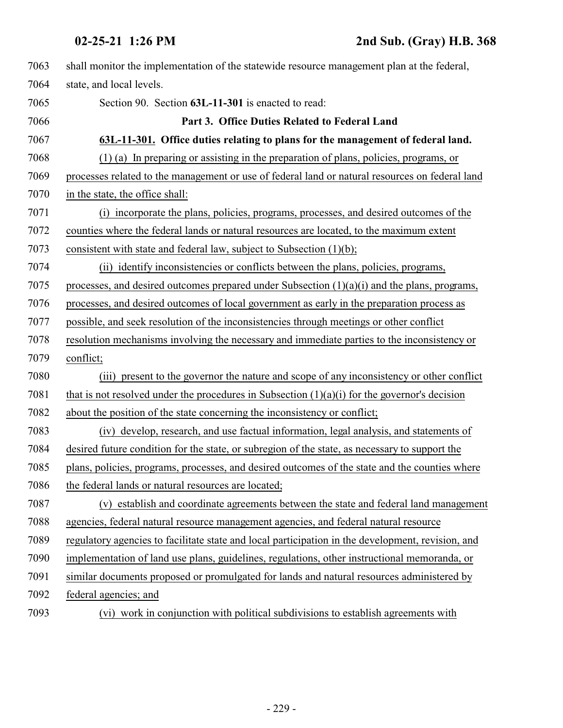<span id="page-228-0"></span>

| 7063 | shall monitor the implementation of the statewide resource management plan at the federal,        |
|------|---------------------------------------------------------------------------------------------------|
| 7064 | state, and local levels.                                                                          |
| 7065 | Section 90. Section 63L-11-301 is enacted to read:                                                |
| 7066 | Part 3. Office Duties Related to Federal Land                                                     |
| 7067 | 63L-11-301. Office duties relating to plans for the management of federal land.                   |
| 7068 | (1) (a) In preparing or assisting in the preparation of plans, policies, programs, or             |
| 7069 | processes related to the management or use of federal land or natural resources on federal land   |
| 7070 | in the state, the office shall:                                                                   |
| 7071 | (i) incorporate the plans, policies, programs, processes, and desired outcomes of the             |
| 7072 | counties where the federal lands or natural resources are located, to the maximum extent          |
| 7073 | consistent with state and federal law, subject to Subsection (1)(b);                              |
| 7074 | (ii) identify inconsistencies or conflicts between the plans, policies, programs,                 |
| 7075 | processes, and desired outcomes prepared under Subsection $(1)(a)(i)$ and the plans, programs,    |
| 7076 | processes, and desired outcomes of local government as early in the preparation process as        |
| 7077 | possible, and seek resolution of the inconsistencies through meetings or other conflict           |
| 7078 | resolution mechanisms involving the necessary and immediate parties to the inconsistency or       |
| 7079 | conflict;                                                                                         |
| 7080 | (iii) present to the governor the nature and scope of any inconsistency or other conflict         |
| 7081 | that is not resolved under the procedures in Subsection $(1)(a)(i)$ for the governor's decision   |
| 7082 | about the position of the state concerning the inconsistency or conflict;                         |
| 7083 | (iv) develop, research, and use factual information, legal analysis, and statements of            |
| 7084 | desired future condition for the state, or subregion of the state, as necessary to support the    |
| 7085 | plans, policies, programs, processes, and desired outcomes of the state and the counties where    |
| 7086 | the federal lands or natural resources are located;                                               |
| 7087 | (v) establish and coordinate agreements between the state and federal land management             |
| 7088 | agencies, federal natural resource management agencies, and federal natural resource              |
| 7089 | regulatory agencies to facilitate state and local participation in the development, revision, and |
| 7090 | implementation of land use plans, guidelines, regulations, other instructional memoranda, or      |
| 7091 | similar documents proposed or promulgated for lands and natural resources administered by         |
| 7092 | federal agencies; and                                                                             |
| 7093 | (vi) work in conjunction with political subdivisions to establish agreements with                 |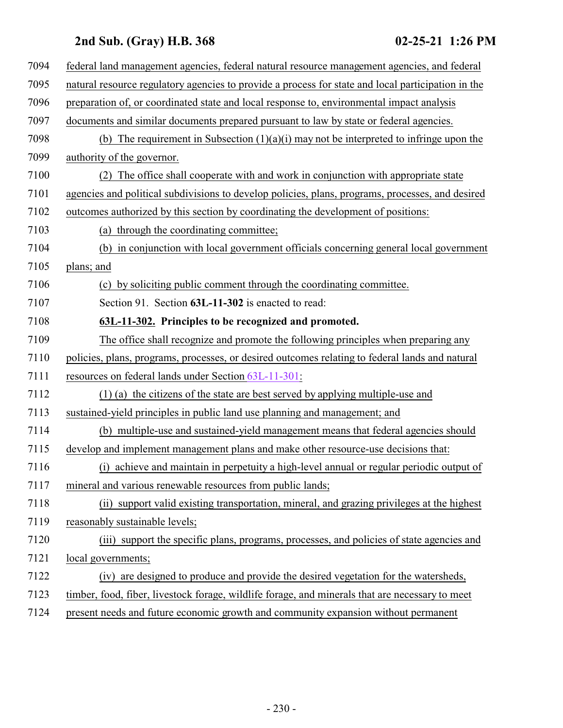| 7094 | federal land management agencies, federal natural resource management agencies, and federal        |
|------|----------------------------------------------------------------------------------------------------|
| 7095 | natural resource regulatory agencies to provide a process for state and local participation in the |
| 7096 | preparation of, or coordinated state and local response to, environmental impact analysis          |
| 7097 | documents and similar documents prepared pursuant to law by state or federal agencies.             |
| 7098 | (b) The requirement in Subsection $(1)(a)(i)$ may not be interpreted to infringe upon the          |
| 7099 | authority of the governor.                                                                         |
| 7100 | The office shall cooperate with and work in conjunction with appropriate state                     |
| 7101 | agencies and political subdivisions to develop policies, plans, programs, processes, and desired   |
| 7102 | outcomes authorized by this section by coordinating the development of positions:                  |
| 7103 | (a) through the coordinating committee;                                                            |
| 7104 | (b) in conjunction with local government officials concerning general local government             |
| 7105 | plans; and                                                                                         |
| 7106 | (c) by soliciting public comment through the coordinating committee.                               |
| 7107 | Section 91. Section 63L-11-302 is enacted to read:                                                 |
| 7108 | 63L-11-302. Principles to be recognized and promoted.                                              |
| 7109 | The office shall recognize and promote the following principles when preparing any                 |
| 7110 | policies, plans, programs, processes, or desired outcomes relating to federal lands and natural    |
| 7111 | resources on federal lands under Section 63L-11-301:                                               |
| 7112 | (1) (a) the citizens of the state are best served by applying multiple-use and                     |
| 7113 | sustained-yield principles in public land use planning and management; and                         |
| 7114 | (b) multiple-use and sustained-yield management means that federal agencies should                 |
| 7115 | develop and implement management plans and make other resource-use decisions that:                 |
| 7116 | (i) achieve and maintain in perpetuity a high-level annual or regular periodic output of           |
| 7117 | mineral and various renewable resources from public lands;                                         |
| 7118 | (ii) support valid existing transportation, mineral, and grazing privileges at the highest         |
| 7119 | reasonably sustainable levels;                                                                     |
| 7120 | (iii) support the specific plans, programs, processes, and policies of state agencies and          |
| 7121 | local governments;                                                                                 |
| 7122 | (iv) are designed to produce and provide the desired vegetation for the watersheds,                |
| 7123 | timber, food, fiber, livestock forage, wildlife forage, and minerals that are necessary to meet    |
| 7124 | present needs and future economic growth and community expansion without permanent                 |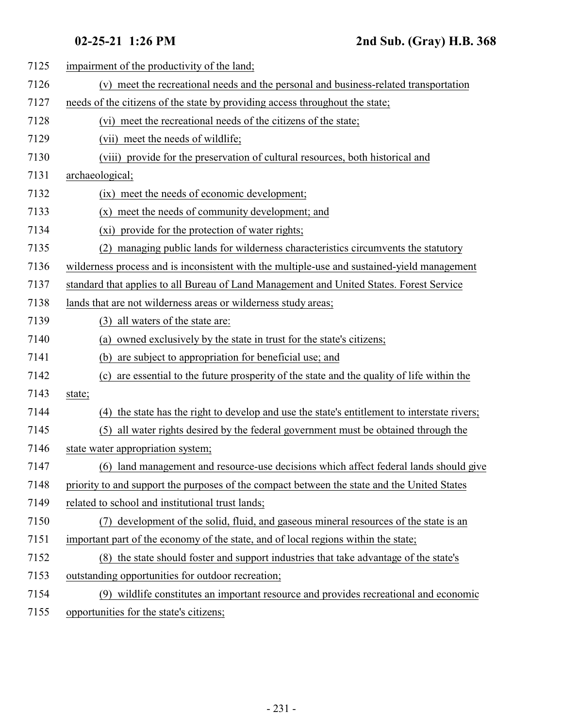| 7125 | impairment of the productivity of the land;                                                     |
|------|-------------------------------------------------------------------------------------------------|
| 7126 | (v) meet the recreational needs and the personal and business-related transportation            |
| 7127 | needs of the citizens of the state by providing access throughout the state;                    |
| 7128 | (vi) meet the recreational needs of the citizens of the state;                                  |
| 7129 | (vii) meet the needs of wildlife;                                                               |
| 7130 | (viii) provide for the preservation of cultural resources, both historical and                  |
| 7131 | archaeological;                                                                                 |
| 7132 | (ix) meet the needs of economic development;                                                    |
| 7133 | (x) meet the needs of community development; and                                                |
| 7134 | (xi) provide for the protection of water rights;                                                |
| 7135 | managing public lands for wilderness characteristics circumvents the statutory<br>(2)           |
| 7136 | wilderness process and is inconsistent with the multiple-use and sustained-yield management     |
| 7137 | standard that applies to all Bureau of Land Management and United States. Forest Service        |
| 7138 | lands that are not wilderness areas or wilderness study areas;                                  |
| 7139 | all waters of the state are:<br>(3)                                                             |
| 7140 | owned exclusively by the state in trust for the state's citizens;<br>(a)                        |
| 7141 | (b) are subject to appropriation for beneficial use; and                                        |
| 7142 | are essential to the future prosperity of the state and the quality of life within the<br>(c)   |
| 7143 | state;                                                                                          |
| 7144 | the state has the right to develop and use the state's entitlement to interstate rivers;<br>(4) |
| 7145 | all water rights desired by the federal government must be obtained through the<br>(5)          |
| 7146 | state water appropriation system;                                                               |
| 7147 | (6) land management and resource-use decisions which affect federal lands should give           |
| 7148 | priority to and support the purposes of the compact between the state and the United States     |
| 7149 | related to school and institutional trust lands;                                                |
| 7150 | development of the solid, fluid, and gaseous mineral resources of the state is an<br>(7)        |
| 7151 | important part of the economy of the state, and of local regions within the state;              |
| 7152 | (8) the state should foster and support industries that take advantage of the state's           |
| 7153 | outstanding opportunities for outdoor recreation;                                               |
| 7154 | (9) wildlife constitutes an important resource and provides recreational and economic           |
| 7155 | opportunities for the state's citizens;                                                         |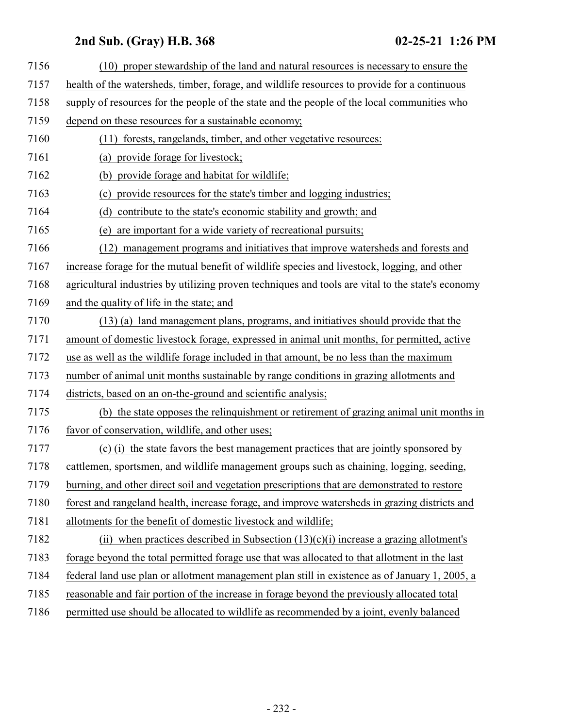| 7156 | (10) proper stewardship of the land and natural resources is necessary to ensure the              |
|------|---------------------------------------------------------------------------------------------------|
| 7157 | health of the watersheds, timber, forage, and wildlife resources to provide for a continuous      |
| 7158 | supply of resources for the people of the state and the people of the local communities who       |
| 7159 | depend on these resources for a sustainable economy;                                              |
| 7160 | (11) forests, rangelands, timber, and other vegetative resources:                                 |
| 7161 | (a) provide forage for livestock;                                                                 |
| 7162 | provide forage and habitat for wildlife;<br>(b)                                                   |
| 7163 | provide resources for the state's timber and logging industries;<br>(c)                           |
| 7164 | contribute to the state's economic stability and growth; and<br>(d)                               |
| 7165 | are important for a wide variety of recreational pursuits;<br>(e)                                 |
| 7166 | (12) management programs and initiatives that improve watersheds and forests and                  |
| 7167 | increase forage for the mutual benefit of wildlife species and livestock, logging, and other      |
| 7168 | agricultural industries by utilizing proven techniques and tools are vital to the state's economy |
| 7169 | and the quality of life in the state; and                                                         |
| 7170 | (13) (a) land management plans, programs, and initiatives should provide that the                 |
| 7171 | amount of domestic livestock forage, expressed in animal unit months, for permitted, active       |
| 7172 | use as well as the wildlife forage included in that amount, be no less than the maximum           |
| 7173 | number of animal unit months sustainable by range conditions in grazing allotments and            |
| 7174 | districts, based on an on-the-ground and scientific analysis;                                     |
| 7175 | (b) the state opposes the relinquishment or retirement of grazing animal unit months in           |
| 7176 | favor of conservation, wildlife, and other uses;                                                  |
| 7177 | (c) (i) the state favors the best management practices that are jointly sponsored by              |
| 7178 | cattlemen, sportsmen, and wildlife management groups such as chaining, logging, seeding,          |
| 7179 | burning, and other direct soil and vegetation prescriptions that are demonstrated to restore      |
| 7180 | forest and rangeland health, increase forage, and improve watersheds in grazing districts and     |
| 7181 | allotments for the benefit of domestic livestock and wildlife;                                    |
| 7182 | (ii) when practices described in Subsection $(13)(c)(i)$ increase a grazing allotment's           |
| 7183 | forage beyond the total permitted forage use that was allocated to that allotment in the last     |
| 7184 | federal land use plan or allotment management plan still in existence as of January 1, 2005, a    |
| 7185 | reasonable and fair portion of the increase in forage beyond the previously allocated total       |
| 7186 | permitted use should be allocated to wildlife as recommended by a joint, evenly balanced          |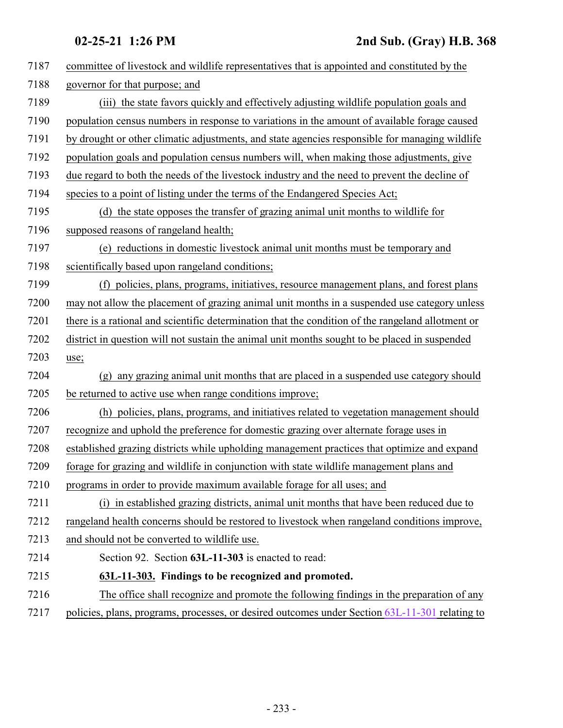<span id="page-232-0"></span>

| 7187 | committee of livestock and wildlife representatives that is appointed and constituted by the      |
|------|---------------------------------------------------------------------------------------------------|
| 7188 | governor for that purpose; and                                                                    |
| 7189 | (iii) the state favors quickly and effectively adjusting wildlife population goals and            |
| 7190 | population census numbers in response to variations in the amount of available forage caused      |
| 7191 | by drought or other climatic adjustments, and state agencies responsible for managing wildlife    |
| 7192 | population goals and population census numbers will, when making those adjustments, give          |
| 7193 | due regard to both the needs of the livestock industry and the need to prevent the decline of     |
| 7194 | species to a point of listing under the terms of the Endangered Species Act;                      |
| 7195 | (d) the state opposes the transfer of grazing animal unit months to wildlife for                  |
| 7196 | supposed reasons of rangeland health;                                                             |
| 7197 | (e) reductions in domestic livestock animal unit months must be temporary and                     |
| 7198 | scientifically based upon rangeland conditions;                                                   |
| 7199 | (f) policies, plans, programs, initiatives, resource management plans, and forest plans           |
| 7200 | may not allow the placement of grazing animal unit months in a suspended use category unless      |
| 7201 | there is a rational and scientific determination that the condition of the rangeland allotment or |
| 7202 | district in question will not sustain the animal unit months sought to be placed in suspended     |
| 7203 | use;                                                                                              |
| 7204 | any grazing animal unit months that are placed in a suspended use category should<br>(g)          |
| 7205 | be returned to active use when range conditions improve;                                          |
| 7206 | (h) policies, plans, programs, and initiatives related to vegetation management should            |
| 7207 | recognize and uphold the preference for domestic grazing over alternate forage uses in            |
| 7208 | established grazing districts while upholding management practices that optimize and expand       |
| 7209 | forage for grazing and wildlife in conjunction with state wildlife management plans and           |
| 7210 | programs in order to provide maximum available forage for all uses; and                           |
| 7211 | (i) in established grazing districts, animal unit months that have been reduced due to            |
| 7212 | rangeland health concerns should be restored to livestock when rangeland conditions improve,      |
| 7213 | and should not be converted to wildlife use.                                                      |
| 7214 | Section 92. Section 63L-11-303 is enacted to read:                                                |
| 7215 | 63L-11-303. Findings to be recognized and promoted.                                               |
| 7216 | The office shall recognize and promote the following findings in the preparation of any           |
| 7217 | policies, plans, programs, processes, or desired outcomes under Section 63L-11-301 relating to    |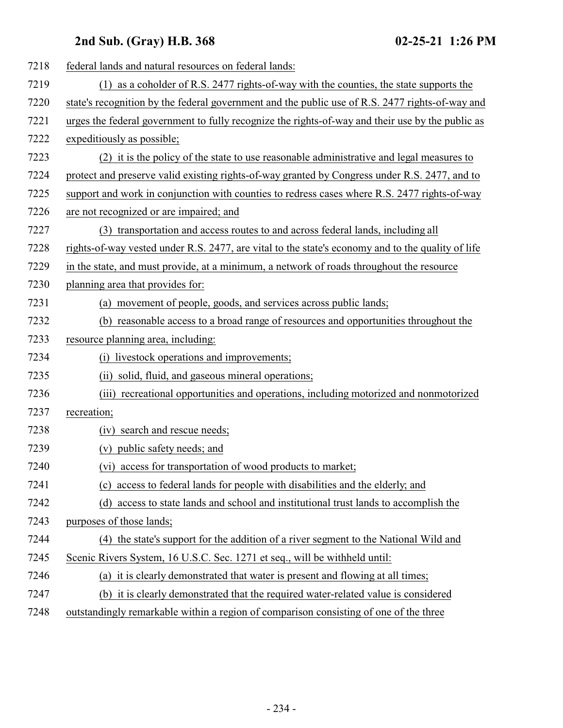| 7218 | federal lands and natural resources on federal lands:                                             |
|------|---------------------------------------------------------------------------------------------------|
| 7219 | (1) as a coholder of R.S. 2477 rights-of-way with the counties, the state supports the            |
| 7220 | state's recognition by the federal government and the public use of R.S. 2477 rights-of-way and   |
| 7221 | urges the federal government to fully recognize the rights-of-way and their use by the public as  |
| 7222 | expeditiously as possible;                                                                        |
| 7223 | (2) it is the policy of the state to use reasonable administrative and legal measures to          |
| 7224 | protect and preserve valid existing rights-of-way granted by Congress under R.S. 2477, and to     |
| 7225 | support and work in conjunction with counties to redress cases where R.S. 2477 rights-of-way      |
| 7226 | are not recognized or are impaired; and                                                           |
| 7227 | (3) transportation and access routes to and across federal lands, including all                   |
| 7228 | rights-of-way vested under R.S. 2477, are vital to the state's economy and to the quality of life |
| 7229 | in the state, and must provide, at a minimum, a network of roads throughout the resource          |
| 7230 | planning area that provides for:                                                                  |
| 7231 | movement of people, goods, and services across public lands;<br>(a)                               |
| 7232 | (b) reasonable access to a broad range of resources and opportunities throughout the              |
| 7233 | resource planning area, including:                                                                |
| 7234 | (i) livestock operations and improvements;                                                        |
| 7235 | (ii) solid, fluid, and gaseous mineral operations;                                                |
| 7236 | (iii) recreational opportunities and operations, including motorized and nonmotorized             |
| 7237 | recreation;                                                                                       |
| 7238 | search and rescue needs;<br>(iv)                                                                  |
| 7239 | (v) public safety needs; and                                                                      |
| 7240 | (vi) access for transportation of wood products to market;                                        |
| 7241 | access to federal lands for people with disabilities and the elderly; and<br>(c)                  |
| 7242 | access to state lands and school and institutional trust lands to accomplish the<br>(d)           |
| 7243 | purposes of those lands;                                                                          |
| 7244 | (4) the state's support for the addition of a river segment to the National Wild and              |
| 7245 | Scenic Rivers System, 16 U.S.C. Sec. 1271 et seq., will be withheld until:                        |
| 7246 | (a) it is clearly demonstrated that water is present and flowing at all times;                    |
| 7247 | (b) it is clearly demonstrated that the required water-related value is considered                |
| 7248 | outstandingly remarkable within a region of comparison consisting of one of the three             |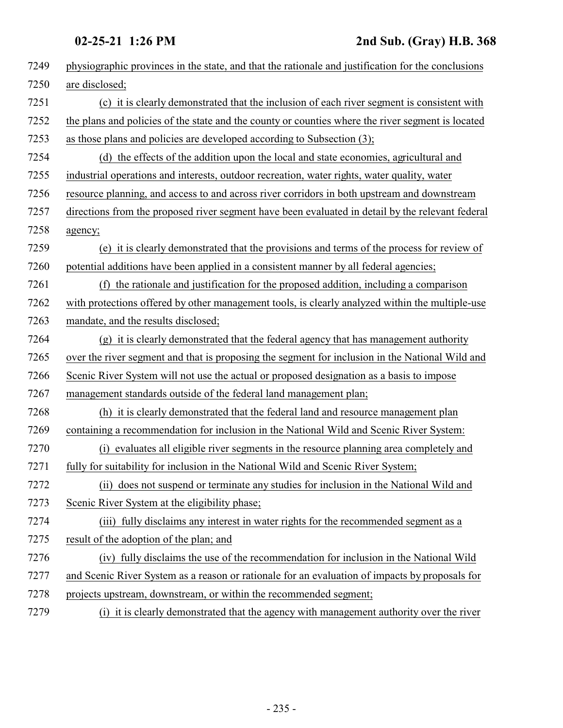| 7249 | physiographic provinces in the state, and that the rationale and justification for the conclusions |
|------|----------------------------------------------------------------------------------------------------|
| 7250 | are disclosed;                                                                                     |
| 7251 | (c) it is clearly demonstrated that the inclusion of each river segment is consistent with         |
| 7252 | the plans and policies of the state and the county or counties where the river segment is located  |
| 7253 | as those plans and policies are developed according to Subsection (3);                             |
| 7254 | (d) the effects of the addition upon the local and state economies, agricultural and               |
| 7255 | industrial operations and interests, outdoor recreation, water rights, water quality, water        |
| 7256 | resource planning, and access to and across river corridors in both upstream and downstream        |
| 7257 | directions from the proposed river segment have been evaluated in detail by the relevant federal   |
| 7258 | agency;                                                                                            |
| 7259 | (e) it is clearly demonstrated that the provisions and terms of the process for review of          |
| 7260 | potential additions have been applied in a consistent manner by all federal agencies;              |
| 7261 | the rationale and justification for the proposed addition, including a comparison<br>(f)           |
| 7262 | with protections offered by other management tools, is clearly analyzed within the multiple-use    |
| 7263 | mandate, and the results disclosed;                                                                |
| 7264 | (g) it is clearly demonstrated that the federal agency that has management authority               |
| 7265 | over the river segment and that is proposing the segment for inclusion in the National Wild and    |
| 7266 | Scenic River System will not use the actual or proposed designation as a basis to impose           |
| 7267 | management standards outside of the federal land management plan;                                  |
| 7268 | (h) it is clearly demonstrated that the federal land and resource management plan                  |
| 7269 | containing a recommendation for inclusion in the National Wild and Scenic River System:            |
| 7270 | (i) evaluates all eligible river segments in the resource planning area completely and             |
| 7271 | fully for suitability for inclusion in the National Wild and Scenic River System;                  |
| 7272 | (ii) does not suspend or terminate any studies for inclusion in the National Wild and              |
| 7273 | Scenic River System at the eligibility phase;                                                      |
| 7274 | (iii) fully disclaims any interest in water rights for the recommended segment as a                |
| 7275 | result of the adoption of the plan; and                                                            |
| 7276 | (iv) fully disclaims the use of the recommendation for inclusion in the National Wild              |
| 7277 | and Scenic River System as a reason or rationale for an evaluation of impacts by proposals for     |
| 7278 | projects upstream, downstream, or within the recommended segment;                                  |
| 7279 | (i) it is clearly demonstrated that the agency with management authority over the river            |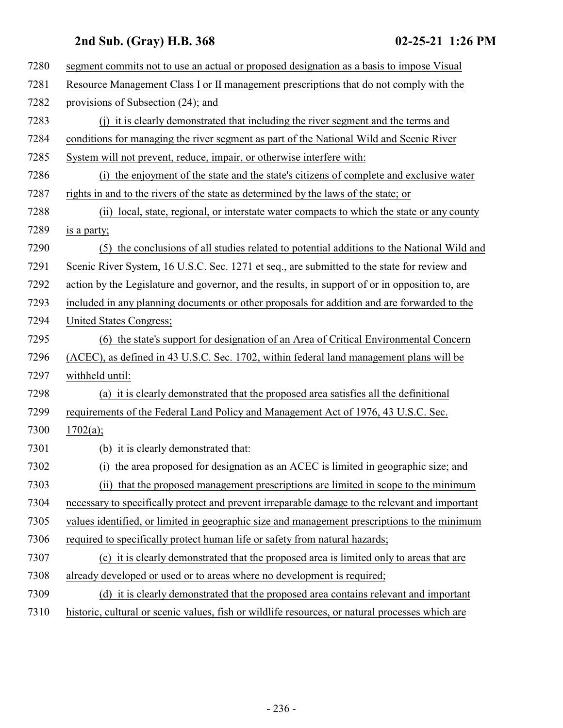| 7280 | segment commits not to use an actual or proposed designation as a basis to impose Visual        |
|------|-------------------------------------------------------------------------------------------------|
| 7281 | Resource Management Class I or II management prescriptions that do not comply with the          |
| 7282 | provisions of Subsection (24); and                                                              |
| 7283 | (i) it is clearly demonstrated that including the river segment and the terms and               |
| 7284 | conditions for managing the river segment as part of the National Wild and Scenic River         |
| 7285 | System will not prevent, reduce, impair, or otherwise interfere with:                           |
| 7286 | the enjoyment of the state and the state's citizens of complete and exclusive water<br>(i)      |
| 7287 | rights in and to the rivers of the state as determined by the laws of the state; or             |
| 7288 | local, state, regional, or interstate water compacts to which the state or any county<br>(ii)   |
| 7289 | is a party;                                                                                     |
| 7290 | (5) the conclusions of all studies related to potential additions to the National Wild and      |
| 7291 | Scenic River System, 16 U.S.C. Sec. 1271 et seq., are submitted to the state for review and     |
| 7292 | action by the Legislature and governor, and the results, in support of or in opposition to, are |
| 7293 | included in any planning documents or other proposals for addition and are forwarded to the     |
| 7294 | United States Congress;                                                                         |
| 7295 | (6) the state's support for designation of an Area of Critical Environmental Concern            |
| 7296 | (ACEC), as defined in 43 U.S.C. Sec. 1702, within federal land management plans will be         |
| 7297 | withheld until:                                                                                 |
| 7298 | (a) it is clearly demonstrated that the proposed area satisfies all the definitional            |
| 7299 | requirements of the Federal Land Policy and Management Act of 1976, 43 U.S.C. Sec.              |
| 7300 | 1702(a);                                                                                        |
| 7301 | (b) it is clearly demonstrated that:                                                            |
| 7302 | (i) the area proposed for designation as an ACEC is limited in geographic size; and             |
| 7303 | (ii) that the proposed management prescriptions are limited in scope to the minimum             |
| 7304 | necessary to specifically protect and prevent irreparable damage to the relevant and important  |
| 7305 | values identified, or limited in geographic size and management prescriptions to the minimum    |
| 7306 | required to specifically protect human life or safety from natural hazards;                     |
| 7307 | (c) it is clearly demonstrated that the proposed area is limited only to areas that are         |
| 7308 | already developed or used or to areas where no development is required;                         |
| 7309 | (d) it is clearly demonstrated that the proposed area contains relevant and important           |
| 7310 | historic, cultural or scenic values, fish or wildlife resources, or natural processes which are |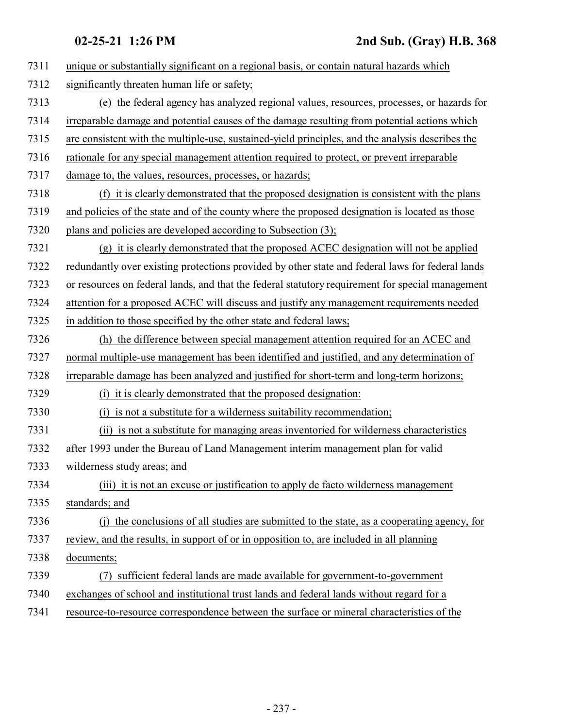| 7311 | unique or substantially significant on a regional basis, or contain natural hazards which        |
|------|--------------------------------------------------------------------------------------------------|
| 7312 | significantly threaten human life or safety;                                                     |
| 7313 | (e) the federal agency has analyzed regional values, resources, processes, or hazards for        |
| 7314 | irreparable damage and potential causes of the damage resulting from potential actions which     |
| 7315 | are consistent with the multiple-use, sustained-yield principles, and the analysis describes the |
| 7316 | rationale for any special management attention required to protect, or prevent irreparable       |
| 7317 | damage to, the values, resources, processes, or hazards;                                         |
| 7318 | (f) it is clearly demonstrated that the proposed designation is consistent with the plans        |
| 7319 | and policies of the state and of the county where the proposed designation is located as those   |
| 7320 | plans and policies are developed according to Subsection (3);                                    |
| 7321 | $(g)$ it is clearly demonstrated that the proposed ACEC designation will not be applied          |
| 7322 | redundantly over existing protections provided by other state and federal laws for federal lands |
| 7323 | or resources on federal lands, and that the federal statutory requirement for special management |
| 7324 | attention for a proposed ACEC will discuss and justify any management requirements needed        |
| 7325 | in addition to those specified by the other state and federal laws;                              |
| 7326 | (h) the difference between special management attention required for an ACEC and                 |
| 7327 | normal multiple-use management has been identified and justified, and any determination of       |
| 7328 | irreparable damage has been analyzed and justified for short-term and long-term horizons;        |
| 7329 | (i) it is clearly demonstrated that the proposed designation:                                    |
| 7330 | (i) is not a substitute for a wilderness suitability recommendation;                             |
| 7331 | (ii) is not a substitute for managing areas inventoried for wilderness characteristics           |
| 7332 | after 1993 under the Bureau of Land Management interim management plan for valid                 |
| 7333 | wilderness study areas; and                                                                      |
| 7334 | (iii) it is not an excuse or justification to apply de facto wilderness management               |
| 7335 | standards; and                                                                                   |
| 7336 | (j) the conclusions of all studies are submitted to the state, as a cooperating agency, for      |
| 7337 | review, and the results, in support of or in opposition to, are included in all planning         |
| 7338 | documents;                                                                                       |
| 7339 | sufficient federal lands are made available for government-to-government<br>(7)                  |
| 7340 | exchanges of school and institutional trust lands and federal lands without regard for a         |
| 7341 | resource-to-resource correspondence between the surface or mineral characteristics of the        |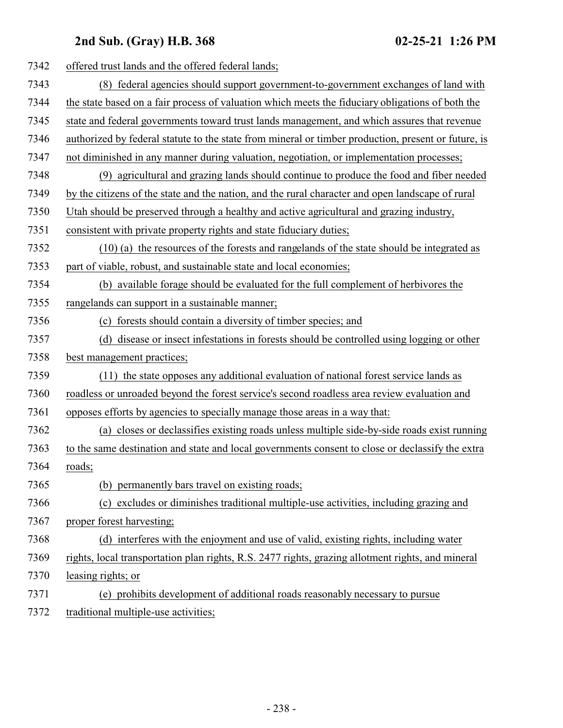| 7342 | offered trust lands and the offered federal lands;                                                  |
|------|-----------------------------------------------------------------------------------------------------|
| 7343 | (8) federal agencies should support government-to-government exchanges of land with                 |
| 7344 | the state based on a fair process of valuation which meets the fiduciary obligations of both the    |
| 7345 | state and federal governments toward trust lands management, and which assures that revenue         |
| 7346 | authorized by federal statute to the state from mineral or timber production, present or future, is |
| 7347 | not diminished in any manner during valuation, negotiation, or implementation processes;            |
| 7348 | (9) agricultural and grazing lands should continue to produce the food and fiber needed             |
| 7349 | by the citizens of the state and the nation, and the rural character and open landscape of rural    |
| 7350 | Utah should be preserved through a healthy and active agricultural and grazing industry,            |
| 7351 | consistent with private property rights and state fiduciary duties;                                 |
| 7352 | (10) (a) the resources of the forests and rangelands of the state should be integrated as           |
| 7353 | part of viable, robust, and sustainable state and local economies;                                  |
| 7354 | (b) available forage should be evaluated for the full complement of herbivores the                  |
| 7355 | rangelands can support in a sustainable manner;                                                     |
| 7356 | forests should contain a diversity of timber species; and<br>(c)                                    |
| 7357 | (d) disease or insect infestations in forests should be controlled using logging or other           |
| 7358 | best management practices;                                                                          |
| 7359 | (11) the state opposes any additional evaluation of national forest service lands as                |
| 7360 | roadless or unroaded beyond the forest service's second roadless area review evaluation and         |
| 7361 | opposes efforts by agencies to specially manage those areas in a way that:                          |
| 7362 | (a) closes or declassifies existing roads unless multiple side-by-side roads exist running          |
| 7363 | to the same destination and state and local governments consent to close or declassify the extra    |
| 7364 | roads;                                                                                              |
| 7365 | (b) permanently bars travel on existing roads;                                                      |
| 7366 | (c) excludes or diminishes traditional multiple-use activities, including grazing and               |
| 7367 | proper forest harvesting;                                                                           |
| 7368 | (d) interferes with the enjoyment and use of valid, existing rights, including water                |
| 7369 | rights, local transportation plan rights, R.S. 2477 rights, grazing allotment rights, and mineral   |
| 7370 | leasing rights; or                                                                                  |
| 7371 | (e) prohibits development of additional roads reasonably necessary to pursue                        |
| 7372 | traditional multiple-use activities;                                                                |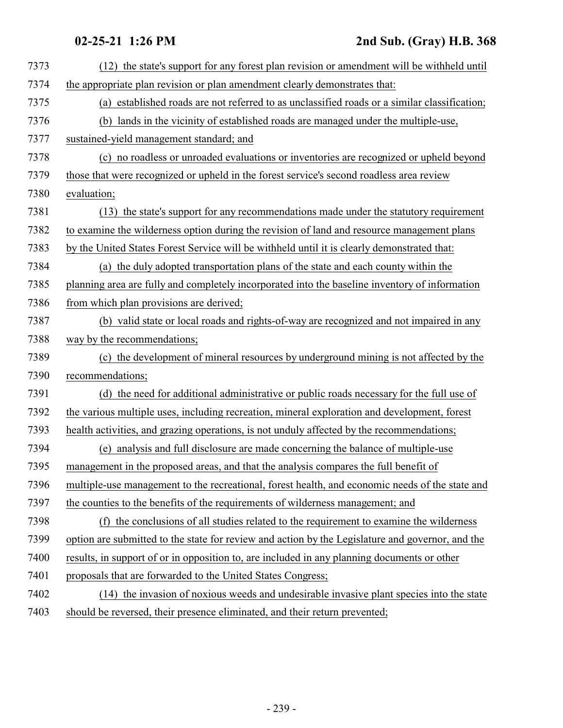## **02-25-21 1:26 PM 2nd Sub. (Gray) H.B. 368**

| 7373 | (12) the state's support for any forest plan revision or amendment will be withheld until        |
|------|--------------------------------------------------------------------------------------------------|
| 7374 | the appropriate plan revision or plan amendment clearly demonstrates that:                       |
| 7375 | (a) established roads are not referred to as unclassified roads or a similar classification;     |
| 7376 | (b) lands in the vicinity of established roads are managed under the multiple-use,               |
| 7377 | sustained-yield management standard; and                                                         |
| 7378 | (c) no roadless or unroaded evaluations or inventories are recognized or upheld beyond           |
| 7379 | those that were recognized or upheld in the forest service's second roadless area review         |
| 7380 | evaluation;                                                                                      |
| 7381 | (13) the state's support for any recommendations made under the statutory requirement            |
| 7382 | to examine the wilderness option during the revision of land and resource management plans       |
| 7383 | by the United States Forest Service will be withheld until it is clearly demonstrated that:      |
| 7384 | (a) the duly adopted transportation plans of the state and each county within the                |
| 7385 | planning area are fully and completely incorporated into the baseline inventory of information   |
| 7386 | from which plan provisions are derived;                                                          |
| 7387 | (b) valid state or local roads and rights-of-way are recognized and not impaired in any          |
| 7388 | way by the recommendations;                                                                      |
| 7389 | (c) the development of mineral resources by underground mining is not affected by the            |
| 7390 | recommendations;                                                                                 |
| 7391 | (d) the need for additional administrative or public roads necessary for the full use of         |
| 7392 | the various multiple uses, including recreation, mineral exploration and development, forest     |
| 7393 | health activities, and grazing operations, is not unduly affected by the recommendations;        |
| 7394 | (e) analysis and full disclosure are made concerning the balance of multiple-use                 |
| 7395 | management in the proposed areas, and that the analysis compares the full benefit of             |
| 7396 | multiple-use management to the recreational, forest health, and economic needs of the state and  |
| 7397 | the counties to the benefits of the requirements of wilderness management; and                   |
| 7398 | (f) the conclusions of all studies related to the requirement to examine the wilderness          |
| 7399 | option are submitted to the state for review and action by the Legislature and governor, and the |
| 7400 | results, in support of or in opposition to, are included in any planning documents or other      |
| 7401 | proposals that are forwarded to the United States Congress;                                      |
| 7402 | (14) the invasion of noxious weeds and undesirable invasive plant species into the state         |
| 7403 | should be reversed, their presence eliminated, and their return prevented;                       |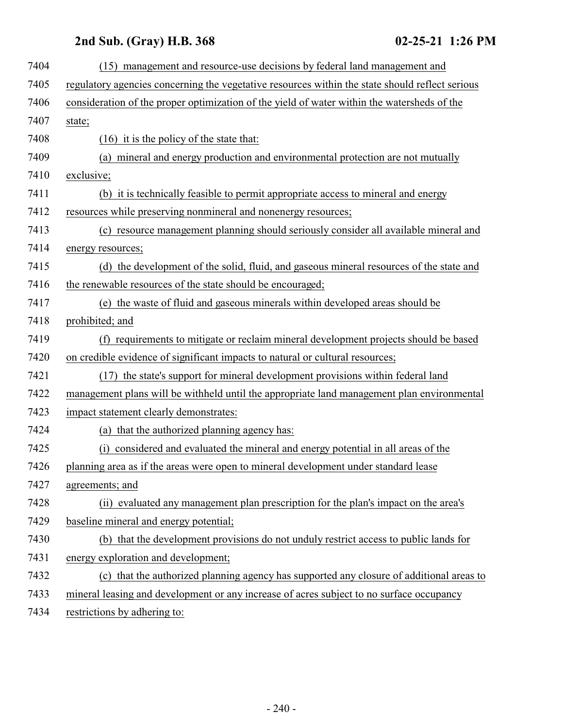| 7404 | (15) management and resource-use decisions by federal land management and                       |
|------|-------------------------------------------------------------------------------------------------|
| 7405 | regulatory agencies concerning the vegetative resources within the state should reflect serious |
| 7406 | consideration of the proper optimization of the yield of water within the watersheds of the     |
| 7407 | state;                                                                                          |
| 7408 | $(16)$ it is the policy of the state that:                                                      |
| 7409 | (a) mineral and energy production and environmental protection are not mutually                 |
| 7410 | exclusive;                                                                                      |
| 7411 | (b) it is technically feasible to permit appropriate access to mineral and energy               |
| 7412 | resources while preserving nonmineral and nonenergy resources;                                  |
| 7413 | (c) resource management planning should seriously consider all available mineral and            |
| 7414 | energy resources;                                                                               |
| 7415 | (d) the development of the solid, fluid, and gaseous mineral resources of the state and         |
| 7416 | the renewable resources of the state should be encouraged;                                      |
| 7417 | (e) the waste of fluid and gaseous minerals within developed areas should be                    |
| 7418 | prohibited; and                                                                                 |
| 7419 | (f) requirements to mitigate or reclaim mineral development projects should be based            |
| 7420 | on credible evidence of significant impacts to natural or cultural resources;                   |
| 7421 | (17) the state's support for mineral development provisions within federal land                 |
| 7422 | management plans will be withheld until the appropriate land management plan environmental      |
| 7423 | impact statement clearly demonstrates:                                                          |
| 7424 | that the authorized planning agency has:<br>(a)                                                 |
| 7425 | considered and evaluated the mineral and energy potential in all areas of the<br>(i)            |
| 7426 | planning area as if the areas were open to mineral development under standard lease             |
| 7427 | agreements; and                                                                                 |
| 7428 | (ii) evaluated any management plan prescription for the plan's impact on the area's             |
| 7429 | baseline mineral and energy potential;                                                          |
| 7430 | (b) that the development provisions do not unduly restrict access to public lands for           |
| 7431 | energy exploration and development;                                                             |
| 7432 | (c) that the authorized planning agency has supported any closure of additional areas to        |
| 7433 | mineral leasing and development or any increase of acres subject to no surface occupancy        |
| 7434 | restrictions by adhering to:                                                                    |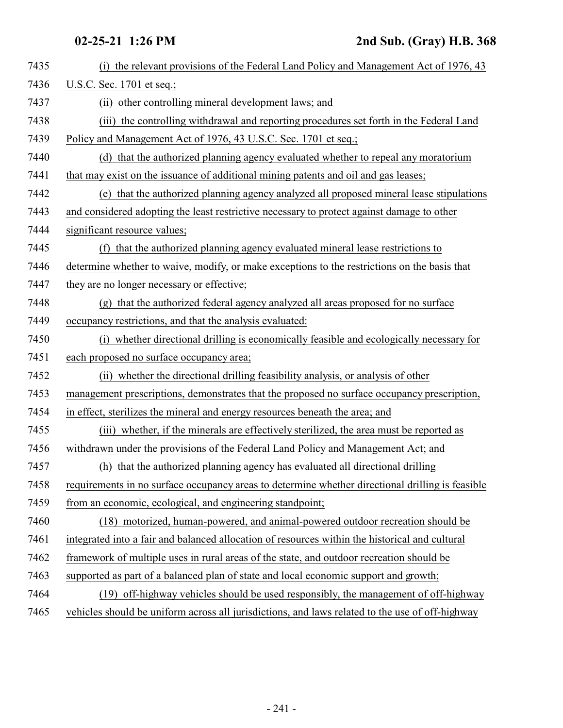| 7435 | (i) the relevant provisions of the Federal Land Policy and Management Act of 1976, 43            |
|------|--------------------------------------------------------------------------------------------------|
| 7436 | U.S.C. Sec. 1701 et seq.;                                                                        |
| 7437 | (ii) other controlling mineral development laws; and                                             |
| 7438 | (iii) the controlling withdrawal and reporting procedures set forth in the Federal Land          |
| 7439 | Policy and Management Act of 1976, 43 U.S.C. Sec. 1701 et seq.;                                  |
| 7440 | (d) that the authorized planning agency evaluated whether to repeal any moratorium               |
| 7441 | that may exist on the issuance of additional mining patents and oil and gas leases;              |
| 7442 | (e) that the authorized planning agency analyzed all proposed mineral lease stipulations         |
| 7443 | and considered adopting the least restrictive necessary to protect against damage to other       |
| 7444 | significant resource values;                                                                     |
| 7445 | (f) that the authorized planning agency evaluated mineral lease restrictions to                  |
| 7446 | determine whether to waive, modify, or make exceptions to the restrictions on the basis that     |
| 7447 | they are no longer necessary or effective;                                                       |
| 7448 | (g) that the authorized federal agency analyzed all areas proposed for no surface                |
| 7449 | occupancy restrictions, and that the analysis evaluated:                                         |
| 7450 | (i) whether directional drilling is economically feasible and ecologically necessary for         |
| 7451 | each proposed no surface occupancy area;                                                         |
| 7452 | (ii) whether the directional drilling feasibility analysis, or analysis of other                 |
| 7453 | management prescriptions, demonstrates that the proposed no surface occupancy prescription,      |
| 7454 | in effect, sterilizes the mineral and energy resources beneath the area; and                     |
| 7455 | (iii) whether, if the minerals are effectively sterilized, the area must be reported as          |
| 7456 | withdrawn under the provisions of the Federal Land Policy and Management Act; and                |
| 7457 | (h) that the authorized planning agency has evaluated all directional drilling                   |
| 7458 | requirements in no surface occupancy areas to determine whether directional drilling is feasible |
| 7459 | from an economic, ecological, and engineering standpoint;                                        |
| 7460 | (18) motorized, human-powered, and animal-powered outdoor recreation should be                   |
| 7461 | integrated into a fair and balanced allocation of resources within the historical and cultural   |
| 7462 | framework of multiple uses in rural areas of the state, and outdoor recreation should be         |
| 7463 | supported as part of a balanced plan of state and local economic support and growth;             |
| 7464 | (19) off-highway vehicles should be used responsibly, the management of off-highway              |
| 7465 | vehicles should be uniform across all jurisdictions, and laws related to the use of off-highway  |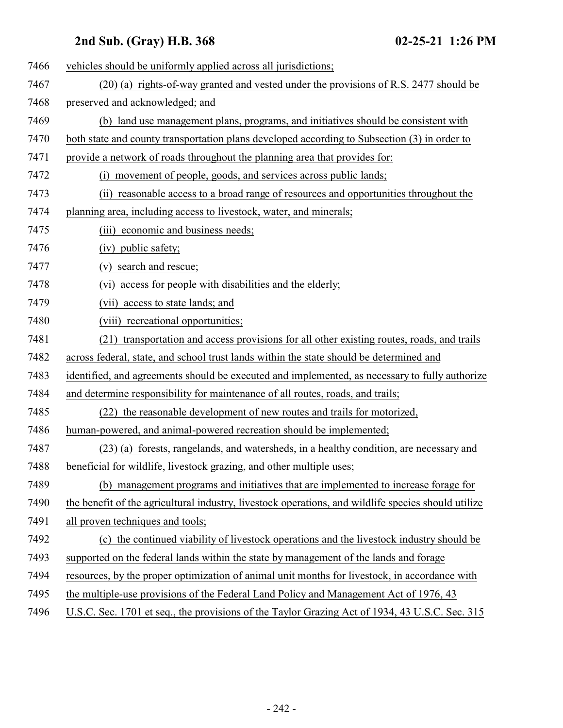| 7466 | vehicles should be uniformly applied across all jurisdictions;                                      |
|------|-----------------------------------------------------------------------------------------------------|
| 7467 | (20) (a) rights-of-way granted and vested under the provisions of R.S. 2477 should be               |
| 7468 | preserved and acknowledged; and                                                                     |
| 7469 | (b) land use management plans, programs, and initiatives should be consistent with                  |
| 7470 | both state and county transportation plans developed according to Subsection (3) in order to        |
| 7471 | provide a network of roads throughout the planning area that provides for:                          |
| 7472 | movement of people, goods, and services across public lands;<br>(i)                                 |
| 7473 | (ii) reasonable access to a broad range of resources and opportunities throughout the               |
| 7474 | planning area, including access to livestock, water, and minerals;                                  |
| 7475 | (iii) economic and business needs;                                                                  |
| 7476 | (iv) public safety;                                                                                 |
| 7477 | (v) search and rescue;                                                                              |
| 7478 | (vi) access for people with disabilities and the elderly;                                           |
| 7479 | (vii) access to state lands; and                                                                    |
| 7480 | (viii) recreational opportunities;                                                                  |
| 7481 | (21) transportation and access provisions for all other existing routes, roads, and trails          |
| 7482 | across federal, state, and school trust lands within the state should be determined and             |
| 7483 | identified, and agreements should be executed and implemented, as necessary to fully authorize      |
| 7484 | and determine responsibility for maintenance of all routes, roads, and trails;                      |
| 7485 | (22) the reasonable development of new routes and trails for motorized,                             |
| 7486 | human-powered, and animal-powered recreation should be implemented;                                 |
| 7487 | (23) (a) forests, rangelands, and watersheds, in a healthy condition, are necessary and             |
| 7488 | beneficial for wildlife, livestock grazing, and other multiple uses;                                |
| 7489 | (b) management programs and initiatives that are implemented to increase forage for                 |
| 7490 | the benefit of the agricultural industry, livestock operations, and wildlife species should utilize |
| 7491 | all proven techniques and tools;                                                                    |
| 7492 | (c) the continued viability of livestock operations and the livestock industry should be            |
| 7493 | supported on the federal lands within the state by management of the lands and forage               |
| 7494 | resources, by the proper optimization of animal unit months for livestock, in accordance with       |
| 7495 | the multiple-use provisions of the Federal Land Policy and Management Act of 1976, 43               |
| 7496 | U.S.C. Sec. 1701 et seq., the provisions of the Taylor Grazing Act of 1934, 43 U.S.C. Sec. 315      |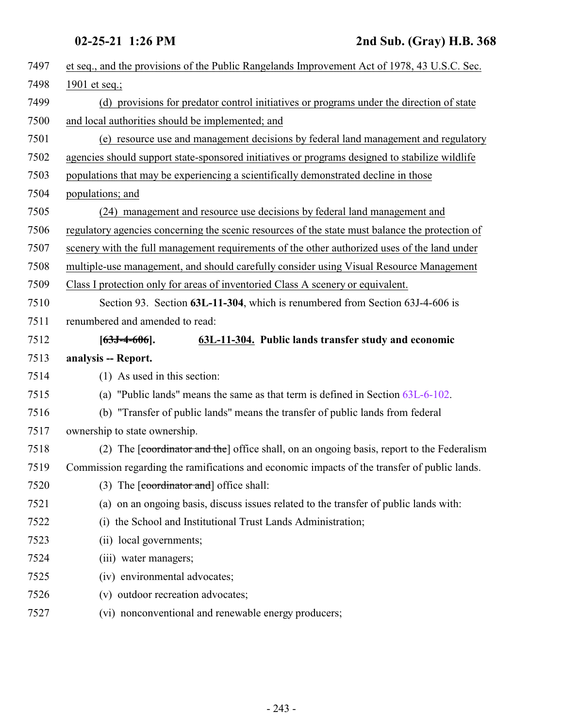<span id="page-242-0"></span>

| 7497 | et seq., and the provisions of the Public Rangelands Improvement Act of 1978, 43 U.S.C. Sec.    |
|------|-------------------------------------------------------------------------------------------------|
| 7498 | 1901 et seq.;                                                                                   |
| 7499 | (d) provisions for predator control initiatives or programs under the direction of state        |
| 7500 | and local authorities should be implemented; and                                                |
| 7501 | (e) resource use and management decisions by federal land management and regulatory             |
| 7502 | agencies should support state-sponsored initiatives or programs designed to stabilize wildlife  |
| 7503 | populations that may be experiencing a scientifically demonstrated decline in those             |
| 7504 | populations; and                                                                                |
| 7505 | (24) management and resource use decisions by federal land management and                       |
| 7506 | regulatory agencies concerning the scenic resources of the state must balance the protection of |
| 7507 | scenery with the full management requirements of the other authorized uses of the land under    |
| 7508 | multiple-use management, and should carefully consider using Visual Resource Management         |
| 7509 | Class I protection only for areas of inventoried Class A scenery or equivalent.                 |
| 7510 | Section 93. Section 63L-11-304, which is renumbered from Section 63J-4-606 is                   |
| 7511 | renumbered and amended to read:                                                                 |
| 7512 | 63L-11-304. Public lands transfer study and economic<br>$[63J-4-606]$ .                         |
| 7513 | analysis -- Report.                                                                             |
| 7514 | (1) As used in this section:                                                                    |
| 7515 | (a) "Public lands" means the same as that term is defined in Section 63L-6-102.                 |
| 7516 | (b) "Transfer of public lands" means the transfer of public lands from federal                  |
| 7517 | ownership to state ownership.                                                                   |
| 7518 | (2) The [coordinator and the] office shall, on an ongoing basis, report to the Federalism       |
| 7519 | Commission regarding the ramifications and economic impacts of the transfer of public lands.    |
| 7520 |                                                                                                 |
|      | (3) The $\lceil$ coordinator and $\rceil$ office shall:                                         |
| 7521 | (a) on an ongoing basis, discuss issues related to the transfer of public lands with:           |
| 7522 | (i) the School and Institutional Trust Lands Administration;                                    |
| 7523 | (ii) local governments;                                                                         |
| 7524 | (iii) water managers;                                                                           |
| 7525 | (iv) environmental advocates;                                                                   |
| 7526 | (v) outdoor recreation advocates;                                                               |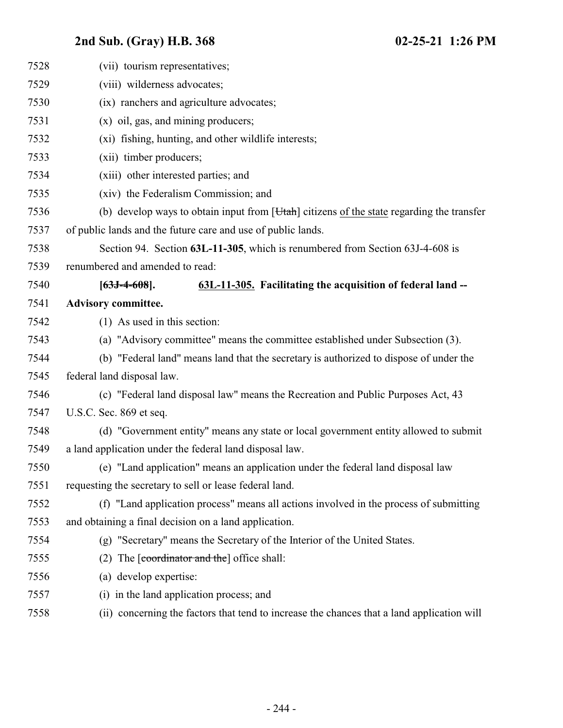| 7528 | (vii) tourism representatives;                                                                     |
|------|----------------------------------------------------------------------------------------------------|
| 7529 | (viii) wilderness advocates;                                                                       |
| 7530 | (ix) ranchers and agriculture advocates;                                                           |
| 7531 | $(x)$ oil, gas, and mining producers;                                                              |
| 7532 | (xi) fishing, hunting, and other wildlife interests;                                               |
| 7533 | (xii) timber producers;                                                                            |
| 7534 | (xiii) other interested parties; and                                                               |
| 7535 | (xiv) the Federalism Commission; and                                                               |
| 7536 | (b) develop ways to obtain input from [ <i>Utah</i> ] citizens of the state regarding the transfer |
| 7537 | of public lands and the future care and use of public lands.                                       |
| 7538 | Section 94. Section 63L-11-305, which is renumbered from Section 63J-4-608 is                      |
| 7539 | renumbered and amended to read:                                                                    |
| 7540 | 63L-11-305. Facilitating the acquisition of federal land --<br>$[63J-4-608]$ .                     |
| 7541 | <b>Advisory committee.</b>                                                                         |
| 7542 | $(1)$ As used in this section:                                                                     |
| 7543 | (a) "Advisory committee" means the committee established under Subsection (3).                     |
| 7544 | (b) "Federal land" means land that the secretary is authorized to dispose of under the             |
| 7545 | federal land disposal law.                                                                         |
| 7546 | (c) "Federal land disposal law" means the Recreation and Public Purposes Act, 43                   |
| 7547 | U.S.C. Sec. 869 et seq.                                                                            |
| 7548 | (d) "Government entity" means any state or local government entity allowed to submit               |
| 7549 | a land application under the federal land disposal law.                                            |
| 7550 | (e) "Land application" means an application under the federal land disposal law                    |
| 7551 | requesting the secretary to sell or lease federal land.                                            |
| 7552 | (f) "Land application process" means all actions involved in the process of submitting             |
| 7553 | and obtaining a final decision on a land application.                                              |
| 7554 | (g) "Secretary" means the Secretary of the Interior of the United States.                          |
| 7555 | The [coordinator and the] office shall:<br>(2)                                                     |
| 7556 | (a) develop expertise:                                                                             |
| 7557 | (i) in the land application process; and                                                           |
| 7558 | (ii) concerning the factors that tend to increase the chances that a land application will         |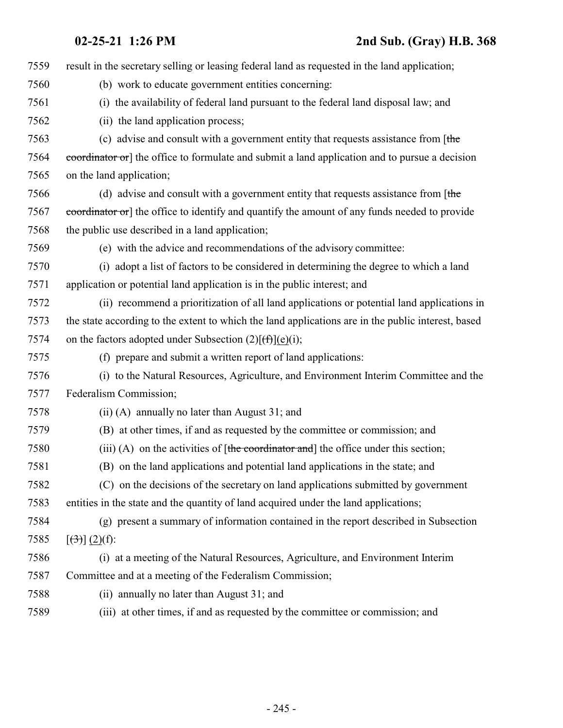| 7559 | result in the secretary selling or leasing federal land as requested in the land application;      |
|------|----------------------------------------------------------------------------------------------------|
| 7560 | (b) work to educate government entities concerning:                                                |
| 7561 | (i) the availability of federal land pursuant to the federal land disposal law; and                |
| 7562 | (ii) the land application process;                                                                 |
| 7563 | (c) advise and consult with a government entity that requests assistance from [the                 |
| 7564 | coordinator or] the office to formulate and submit a land application and to pursue a decision     |
| 7565 | on the land application;                                                                           |
| 7566 | (d) advise and consult with a government entity that requests assistance from $[$ the              |
| 7567 | coordinator or] the office to identify and quantify the amount of any funds needed to provide      |
| 7568 | the public use described in a land application;                                                    |
| 7569 | (e) with the advice and recommendations of the advisory committee:                                 |
| 7570 | (i) adopt a list of factors to be considered in determining the degree to which a land             |
| 7571 | application or potential land application is in the public interest; and                           |
| 7572 | (ii) recommend a prioritization of all land applications or potential land applications in         |
| 7573 | the state according to the extent to which the land applications are in the public interest, based |
| 7574 | on the factors adopted under Subsection $(2)[(f)](e)(i);$                                          |
| 7575 | (f) prepare and submit a written report of land applications:                                      |
| 7576 | (i) to the Natural Resources, Agriculture, and Environment Interim Committee and the               |
| 7577 | Federalism Commission;                                                                             |
| 7578 | (ii) (A) annually no later than August 31; and                                                     |
| 7579 | (B) at other times, if and as requested by the committee or commission; and                        |
| 7580 | (iii) (A) on the activities of $[the$ coordinator and the office under this section;               |
| 7581 | (B) on the land applications and potential land applications in the state; and                     |
| 7582 | (C) on the decisions of the secretary on land applications submitted by government                 |
| 7583 | entities in the state and the quantity of land acquired under the land applications;               |
| 7584 | (g) present a summary of information contained in the report described in Subsection               |
| 7585 | $[\left(3\right)]\left(2\right)(f)$ :                                                              |
| 7586 | (i) at a meeting of the Natural Resources, Agriculture, and Environment Interim                    |
| 7587 | Committee and at a meeting of the Federalism Commission;                                           |
| 7588 | (ii) annually no later than August 31; and                                                         |
| 7589 | (iii) at other times, if and as requested by the committee or commission; and                      |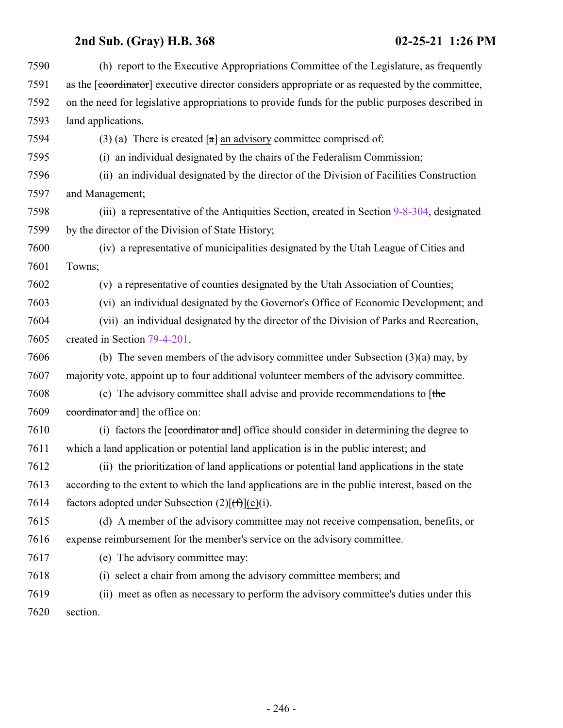| 7590 | (h) report to the Executive Appropriations Committee of the Legislature, as frequently           |
|------|--------------------------------------------------------------------------------------------------|
| 7591 | as the [coordinator] executive director considers appropriate or as requested by the committee,  |
| 7592 | on the need for legislative appropriations to provide funds for the public purposes described in |
| 7593 | land applications.                                                                               |
| 7594 | (3) (a) There is created $\lceil a \rceil$ an advisory committee comprised of:                   |
| 7595 | (i) an individual designated by the chairs of the Federalism Commission;                         |
| 7596 | (ii) an individual designated by the director of the Division of Facilities Construction         |
| 7597 | and Management;                                                                                  |
| 7598 | (iii) a representative of the Antiquities Section, created in Section 9-8-304, designated        |
| 7599 | by the director of the Division of State History;                                                |
| 7600 | (iv) a representative of municipalities designated by the Utah League of Cities and              |
| 7601 | Towns;                                                                                           |
| 7602 | (v) a representative of counties designated by the Utah Association of Counties;                 |
| 7603 | (vi) an individual designated by the Governor's Office of Economic Development; and              |
| 7604 | (vii) an individual designated by the director of the Division of Parks and Recreation,          |
| 7605 | created in Section 79-4-201.                                                                     |
| 7606 | (b) The seven members of the advisory committee under Subsection $(3)(a)$ may, by                |
| 7607 | majority vote, appoint up to four additional volunteer members of the advisory committee.        |
| 7608 | (c) The advisory committee shall advise and provide recommendations to $[$ the                   |
| 7609 | coordinator and the office on:                                                                   |
| 7610 | (i) factors the [coordinator and] office should consider in determining the degree to            |
| 7611 | which a land application or potential land application is in the public interest; and            |
| 7612 | (ii) the prioritization of land applications or potential land applications in the state         |
| 7613 | according to the extent to which the land applications are in the public interest, based on the  |
| 7614 | factors adopted under Subsection $(2)[(f\uparrow)(e)(i)]$ .                                      |
| 7615 | (d) A member of the advisory committee may not receive compensation, benefits, or                |
| 7616 | expense reimbursement for the member's service on the advisory committee.                        |
| 7617 | (e) The advisory committee may:                                                                  |
| 7618 | (i) select a chair from among the advisory committee members; and                                |
| 7619 | (ii) meet as often as necessary to perform the advisory committee's duties under this            |
| 7620 | section.                                                                                         |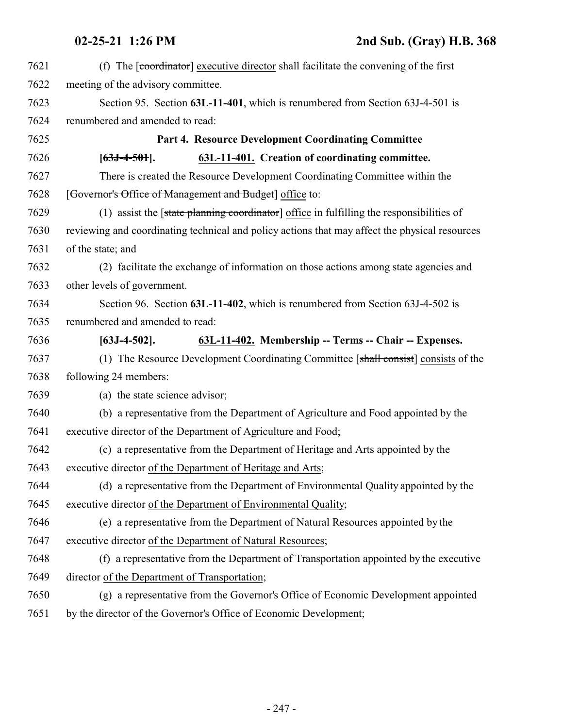<span id="page-246-0"></span>

| 7621 | (f) The [coordinator] executive director shall facilitate the convening of the first           |
|------|------------------------------------------------------------------------------------------------|
| 7622 | meeting of the advisory committee.                                                             |
| 7623 | Section 95. Section 63L-11-401, which is renumbered from Section 63J-4-501 is                  |
| 7624 | renumbered and amended to read:                                                                |
| 7625 | Part 4. Resource Development Coordinating Committee                                            |
| 7626 | 63L-11-401. Creation of coordinating committee.<br>$[63J-4-501]$ .                             |
| 7627 | There is created the Resource Development Coordinating Committee within the                    |
| 7628 | [Governor's Office of Management and Budget] office to:                                        |
| 7629 | (1) assist the [state planning coordinator] office in fulfilling the responsibilities of       |
| 7630 | reviewing and coordinating technical and policy actions that may affect the physical resources |
| 7631 | of the state; and                                                                              |
| 7632 | (2) facilitate the exchange of information on those actions among state agencies and           |
| 7633 | other levels of government.                                                                    |
| 7634 | Section 96. Section 63L-11-402, which is renumbered from Section 63J-4-502 is                  |
| 7635 | renumbered and amended to read:                                                                |
| 7636 | 63L-11-402. Membership -- Terms -- Chair -- Expenses.<br>$[63J-4-502]$ .                       |
| 7637 | (1) The Resource Development Coordinating Committee [shall consist] consists of the            |
| 7638 | following 24 members:                                                                          |
| 7639 | (a) the state science advisor;                                                                 |
| 7640 | (b) a representative from the Department of Agriculture and Food appointed by the              |
| 7641 | executive director of the Department of Agriculture and Food;                                  |
| 7642 | (c) a representative from the Department of Heritage and Arts appointed by the                 |
| 7643 | executive director of the Department of Heritage and Arts;                                     |
| 7644 | (d) a representative from the Department of Environmental Quality appointed by the             |
| 7645 | executive director of the Department of Environmental Quality;                                 |
| 7646 | (e) a representative from the Department of Natural Resources appointed by the                 |
| 7647 | executive director of the Department of Natural Resources;                                     |
| 7648 | (f) a representative from the Department of Transportation appointed by the executive          |
| 7649 | director of the Department of Transportation;                                                  |
| 7650 | (g) a representative from the Governor's Office of Economic Development appointed              |
| 7651 | by the director of the Governor's Office of Economic Development;                              |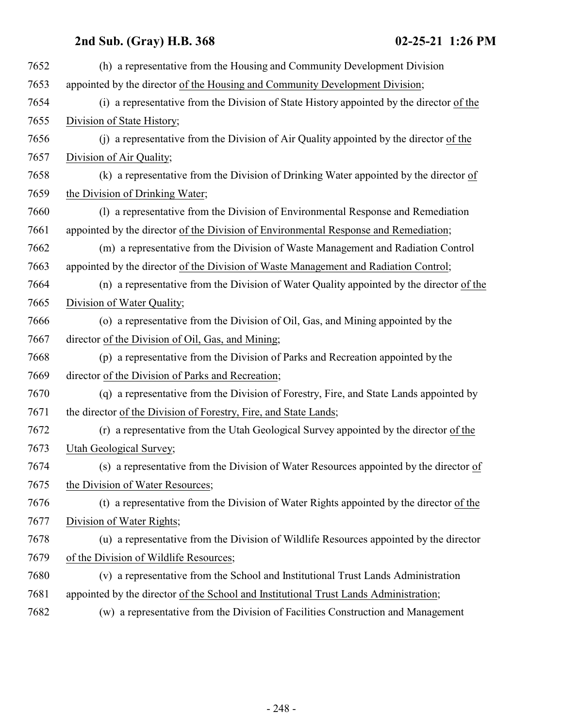| 7652 | (h) a representative from the Housing and Community Development Division                 |
|------|------------------------------------------------------------------------------------------|
| 7653 | appointed by the director of the Housing and Community Development Division;             |
| 7654 | (i) a representative from the Division of State History appointed by the director of the |
| 7655 | Division of State History;                                                               |
| 7656 | (i) a representative from the Division of Air Quality appointed by the director of the   |
| 7657 | Division of Air Quality;                                                                 |
| 7658 | (k) a representative from the Division of Drinking Water appointed by the director of    |
| 7659 | the Division of Drinking Water;                                                          |
| 7660 | (1) a representative from the Division of Environmental Response and Remediation         |
| 7661 | appointed by the director of the Division of Environmental Response and Remediation;     |
| 7662 | (m) a representative from the Division of Waste Management and Radiation Control         |
| 7663 | appointed by the director of the Division of Waste Management and Radiation Control;     |
| 7664 | (n) a representative from the Division of Water Quality appointed by the director of the |
| 7665 | Division of Water Quality;                                                               |
| 7666 | (o) a representative from the Division of Oil, Gas, and Mining appointed by the          |
| 7667 | director of the Division of Oil, Gas, and Mining;                                        |
| 7668 | (p) a representative from the Division of Parks and Recreation appointed by the          |
| 7669 | director of the Division of Parks and Recreation;                                        |
| 7670 | (q) a representative from the Division of Forestry, Fire, and State Lands appointed by   |
| 7671 | the director of the Division of Forestry, Fire, and State Lands;                         |
| 7672 | (r) a representative from the Utah Geological Survey appointed by the director of the    |
| 7673 | Utah Geological Survey;                                                                  |
| 7674 | (s) a representative from the Division of Water Resources appointed by the director of   |
| 7675 | the Division of Water Resources;                                                         |
| 7676 | (t) a representative from the Division of Water Rights appointed by the director of the  |
| 7677 | Division of Water Rights;                                                                |
| 7678 | (u) a representative from the Division of Wildlife Resources appointed by the director   |
| 7679 | of the Division of Wildlife Resources;                                                   |
| 7680 | (v) a representative from the School and Institutional Trust Lands Administration        |
| 7681 | appointed by the director of the School and Institutional Trust Lands Administration;    |
| 7682 | (w) a representative from the Division of Facilities Construction and Management         |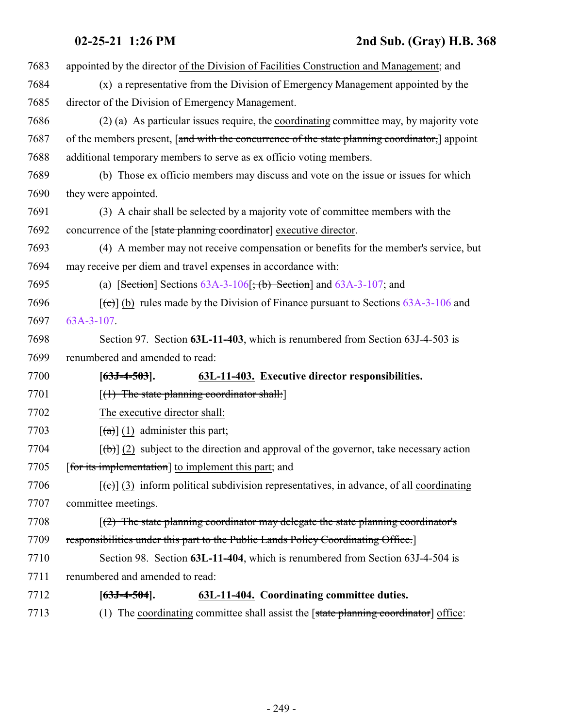| 7683 | appointed by the director of the Division of Facilities Construction and Management; and                 |
|------|----------------------------------------------------------------------------------------------------------|
| 7684 | (x) a representative from the Division of Emergency Management appointed by the                          |
| 7685 | director of the Division of Emergency Management.                                                        |
| 7686 | (2) (a) As particular issues require, the coordinating committee may, by majority vote                   |
| 7687 | of the members present, [and with the concurrence of the state planning coordinator,] appoint            |
| 7688 | additional temporary members to serve as ex officio voting members.                                      |
| 7689 | (b) Those ex officio members may discuss and vote on the issue or issues for which                       |
| 7690 | they were appointed.                                                                                     |
| 7691 | (3) A chair shall be selected by a majority vote of committee members with the                           |
| 7692 | concurrence of the [state planning coordinator] executive director.                                      |
| 7693 | (4) A member may not receive compensation or benefits for the member's service, but                      |
| 7694 | may receive per diem and travel expenses in accordance with:                                             |
| 7695 | (a) [Section] Sections $63A-3-106$ ; (b) Section] and $63A-3-107$ ; and                                  |
| 7696 | $[\text{et}]$ (b) rules made by the Division of Finance pursuant to Sections 63A-3-106 and               |
| 7697 | 63A-3-107.                                                                                               |
| 7698 | Section 97. Section 63L-11-403, which is renumbered from Section 63J-4-503 is                            |
| 7699 | renumbered and amended to read:                                                                          |
| 7700 | 63L-11-403. Executive director responsibilities.<br>$[63J-4-503]$ .                                      |
| 7701 | [(1) The state planning coordinator shall:]                                                              |
| 7702 | The executive director shall:                                                                            |
| 7703 | $\left[\frac{a}{a}\right]$ (1) administer this part;                                                     |
| 7704 | $[\text{(+)}]$ (2) subject to the direction and approval of the governor, take necessary action          |
| 7705 | [for its implementation] to implement this part; and                                                     |
| 7706 | $[\text{e}(\epsilon)]$ (3) inform political subdivision representatives, in advance, of all coordinating |
| 7707 | committee meetings.                                                                                      |
| 7708 | $(2)$ The state planning coordinator may delegate the state planning coordinator's                       |
| 7709 | responsibilities under this part to the Public Lands Policy Coordinating Office.                         |
| 7710 | Section 98. Section 63L-11-404, which is renumbered from Section 63J-4-504 is                            |
| 7711 | renumbered and amended to read:                                                                          |
| 7712 | 63L-11-404. Coordinating committee duties.<br>$[63J-4-504]$ .                                            |
| 7713 | The coordinating committee shall assist the [state planning coordinator] office:<br>(1)                  |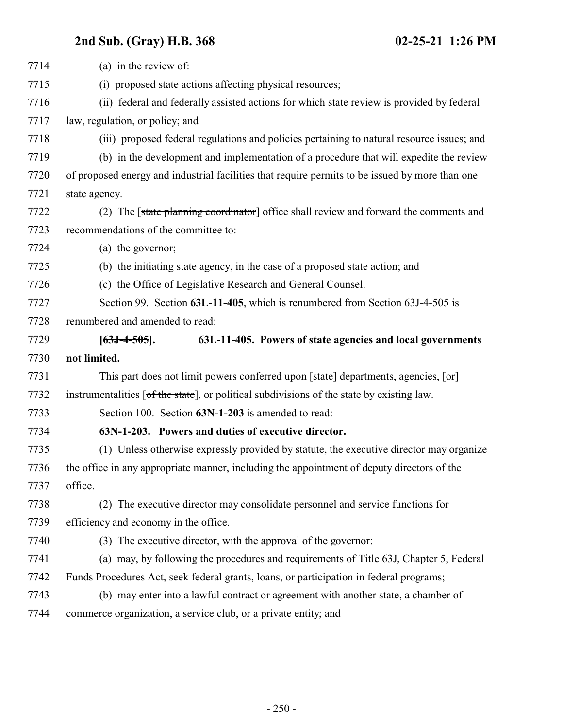| 7714 | (a) in the review of:                                                                           |
|------|-------------------------------------------------------------------------------------------------|
| 7715 | (i) proposed state actions affecting physical resources;                                        |
| 7716 | (ii) federal and federally assisted actions for which state review is provided by federal       |
| 7717 | law, regulation, or policy; and                                                                 |
| 7718 | (iii) proposed federal regulations and policies pertaining to natural resource issues; and      |
| 7719 | (b) in the development and implementation of a procedure that will expedite the review          |
| 7720 | of proposed energy and industrial facilities that require permits to be issued by more than one |
| 7721 | state agency.                                                                                   |
| 7722 | (2) The [state planning coordinator] office shall review and forward the comments and           |
| 7723 | recommendations of the committee to:                                                            |
| 7724 | (a) the governor;                                                                               |
| 7725 | (b) the initiating state agency, in the case of a proposed state action; and                    |
| 7726 | (c) the Office of Legislative Research and General Counsel.                                     |
| 7727 | Section 99. Section 63L-11-405, which is renumbered from Section 63J-4-505 is                   |
| 7728 | renumbered and amended to read:                                                                 |
| 7729 | 63L-11-405. Powers of state agencies and local governments<br>$[63J-4-505]$ .                   |
| 7730 | not limited.                                                                                    |
| 7731 | This part does not limit powers conferred upon [state] departments, agencies, [or]              |
| 7732 | instrumentalities [of the state], or political subdivisions of the state by existing law.       |
| 7733 | Section 100. Section 63N-1-203 is amended to read:                                              |
| 7734 | 63N-1-203. Powers and duties of executive director.                                             |
| 7735 | (1) Unless otherwise expressly provided by statute, the executive director may organize         |
| 7736 | the office in any appropriate manner, including the appointment of deputy directors of the      |
| 7737 | office.                                                                                         |
| 7738 | The executive director may consolidate personnel and service functions for<br>(2)               |
| 7739 | efficiency and economy in the office.                                                           |
| 7740 | (3) The executive director, with the approval of the governor:                                  |
| 7741 | (a) may, by following the procedures and requirements of Title 63J, Chapter 5, Federal          |
| 7742 | Funds Procedures Act, seek federal grants, loans, or participation in federal programs;         |
| 7743 | (b) may enter into a lawful contract or agreement with another state, a chamber of              |
| 7744 | commerce organization, a service club, or a private entity; and                                 |
|      |                                                                                                 |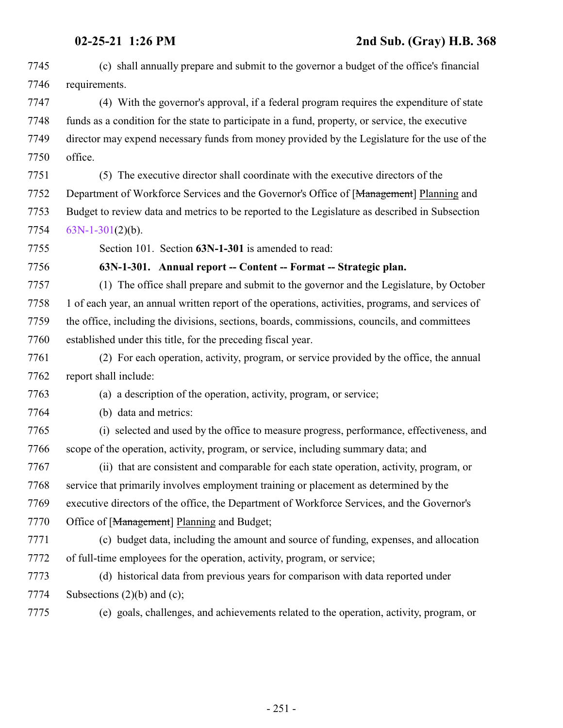<span id="page-250-0"></span>

| 7745 | (c) shall annually prepare and submit to the governor a budget of the office's financial          |
|------|---------------------------------------------------------------------------------------------------|
| 7746 | requirements.                                                                                     |
| 7747 | (4) With the governor's approval, if a federal program requires the expenditure of state          |
| 7748 | funds as a condition for the state to participate in a fund, property, or service, the executive  |
| 7749 | director may expend necessary funds from money provided by the Legislature for the use of the     |
| 7750 | office.                                                                                           |
| 7751 | (5) The executive director shall coordinate with the executive directors of the                   |
| 7752 | Department of Workforce Services and the Governor's Office of [Management] Planning and           |
| 7753 | Budget to review data and metrics to be reported to the Legislature as described in Subsection    |
| 7754 | $63N-1-301(2)(b)$ .                                                                               |
| 7755 | Section 101. Section 63N-1-301 is amended to read:                                                |
| 7756 | 63N-1-301. Annual report -- Content -- Format -- Strategic plan.                                  |
| 7757 | (1) The office shall prepare and submit to the governor and the Legislature, by October           |
| 7758 | 1 of each year, an annual written report of the operations, activities, programs, and services of |
| 7759 | the office, including the divisions, sections, boards, commissions, councils, and committees      |
| 7760 | established under this title, for the preceding fiscal year.                                      |
| 7761 | (2) For each operation, activity, program, or service provided by the office, the annual          |
| 7762 | report shall include:                                                                             |
| 7763 | (a) a description of the operation, activity, program, or service;                                |
| 7764 | (b) data and metrics:                                                                             |
| 7765 | (i) selected and used by the office to measure progress, performance, effectiveness, and          |
| 7766 | scope of the operation, activity, program, or service, including summary data; and                |
| 7767 | (ii) that are consistent and comparable for each state operation, activity, program, or           |
| 7768 | service that primarily involves employment training or placement as determined by the             |
| 7769 | executive directors of the office, the Department of Workforce Services, and the Governor's       |
| 7770 | Office of [Management] Planning and Budget;                                                       |
| 7771 | (c) budget data, including the amount and source of funding, expenses, and allocation             |
| 7772 | of full-time employees for the operation, activity, program, or service;                          |
| 7773 | (d) historical data from previous years for comparison with data reported under                   |
| 7774 | Subsections $(2)(b)$ and $(c)$ ;                                                                  |
| 7775 | (e) goals, challenges, and achievements related to the operation, activity, program, or           |
|      |                                                                                                   |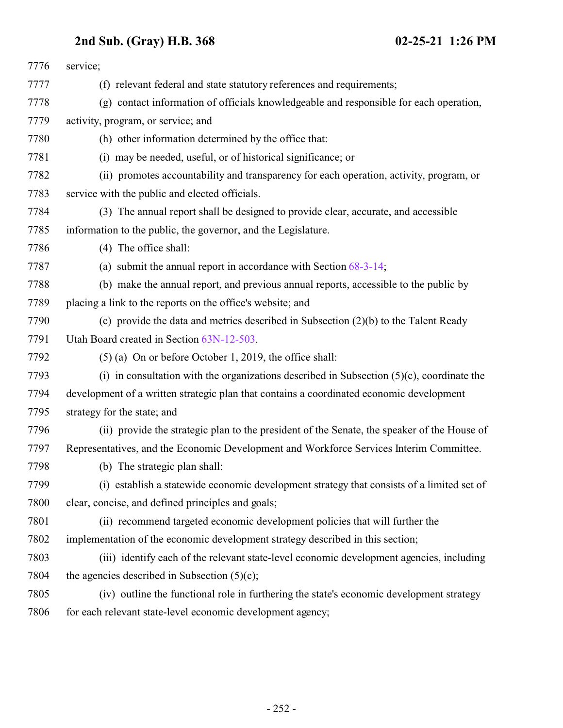| 7776 | service;                                                                                     |
|------|----------------------------------------------------------------------------------------------|
| 7777 | (f) relevant federal and state statutory references and requirements;                        |
| 7778 | (g) contact information of officials knowledgeable and responsible for each operation,       |
| 7779 | activity, program, or service; and                                                           |
| 7780 | (h) other information determined by the office that:                                         |
| 7781 | (i) may be needed, useful, or of historical significance; or                                 |
| 7782 | (ii) promotes accountability and transparency for each operation, activity, program, or      |
| 7783 | service with the public and elected officials.                                               |
| 7784 | (3) The annual report shall be designed to provide clear, accurate, and accessible           |
| 7785 | information to the public, the governor, and the Legislature.                                |
| 7786 | (4) The office shall:                                                                        |
| 7787 | (a) submit the annual report in accordance with Section $68-3-14$ ;                          |
| 7788 | (b) make the annual report, and previous annual reports, accessible to the public by         |
| 7789 | placing a link to the reports on the office's website; and                                   |
| 7790 | (c) provide the data and metrics described in Subsection $(2)(b)$ to the Talent Ready        |
| 7791 | Utah Board created in Section 63N-12-503.                                                    |
| 7792 | $(5)$ (a) On or before October 1, 2019, the office shall:                                    |
| 7793 | (i) in consultation with the organizations described in Subsection $(5)(c)$ , coordinate the |
| 7794 | development of a written strategic plan that contains a coordinated economic development     |
| 7795 | strategy for the state; and                                                                  |
| 7796 | (ii) provide the strategic plan to the president of the Senate, the speaker of the House of  |
| 7797 | Representatives, and the Economic Development and Workforce Services Interim Committee.      |
| 7798 | (b) The strategic plan shall:                                                                |
| 7799 | (i) establish a statewide economic development strategy that consists of a limited set of    |
| 7800 | clear, concise, and defined principles and goals;                                            |
| 7801 | (ii) recommend targeted economic development policies that will further the                  |
| 7802 | implementation of the economic development strategy described in this section;               |
| 7803 | (iii) identify each of the relevant state-level economic development agencies, including     |
| 7804 | the agencies described in Subsection $(5)(c)$ ;                                              |
| 7805 | (iv) outline the functional role in furthering the state's economic development strategy     |
| 7806 | for each relevant state-level economic development agency;                                   |
|      |                                                                                              |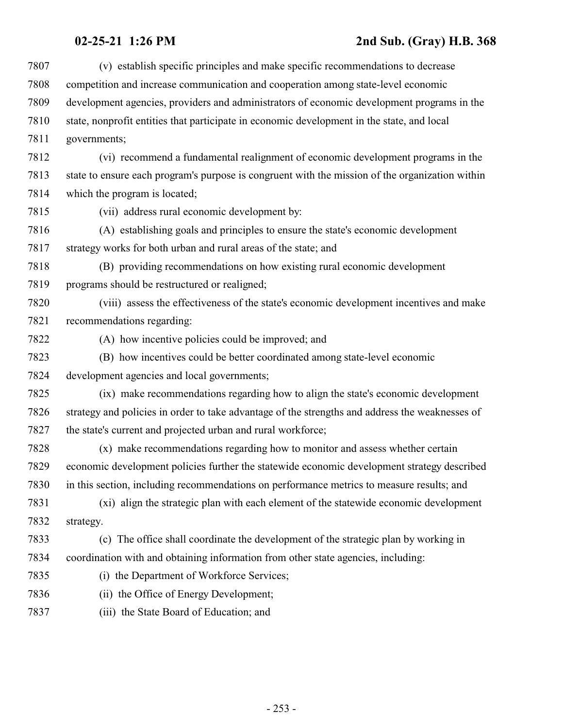## **02-25-21 1:26 PM 2nd Sub. (Gray) H.B. 368**

| 7807 | (v) establish specific principles and make specific recommendations to decrease                 |
|------|-------------------------------------------------------------------------------------------------|
| 7808 | competition and increase communication and cooperation among state-level economic               |
| 7809 | development agencies, providers and administrators of economic development programs in the      |
| 7810 | state, nonprofit entities that participate in economic development in the state, and local      |
| 7811 | governments;                                                                                    |
| 7812 | (vi) recommend a fundamental realignment of economic development programs in the                |
| 7813 | state to ensure each program's purpose is congruent with the mission of the organization within |
| 7814 | which the program is located;                                                                   |
| 7815 | (vii) address rural economic development by:                                                    |
| 7816 | (A) establishing goals and principles to ensure the state's economic development                |
| 7817 | strategy works for both urban and rural areas of the state; and                                 |
| 7818 | (B) providing recommendations on how existing rural economic development                        |
| 7819 | programs should be restructured or realigned;                                                   |
| 7820 | (viii) assess the effectiveness of the state's economic development incentives and make         |
| 7821 | recommendations regarding:                                                                      |
| 7822 | (A) how incentive policies could be improved; and                                               |
| 7823 | (B) how incentives could be better coordinated among state-level economic                       |
| 7824 | development agencies and local governments;                                                     |
| 7825 | (ix) make recommendations regarding how to align the state's economic development               |
| 7826 | strategy and policies in order to take advantage of the strengths and address the weaknesses of |
| 7827 | the state's current and projected urban and rural workforce;                                    |
| 7828 | (x) make recommendations regarding how to monitor and assess whether certain                    |
| 7829 | economic development policies further the statewide economic development strategy described     |
| 7830 | in this section, including recommendations on performance metrics to measure results; and       |
| 7831 | (xi) align the strategic plan with each element of the statewide economic development           |
| 7832 | strategy.                                                                                       |
| 7833 | (c) The office shall coordinate the development of the strategic plan by working in             |
| 7834 | coordination with and obtaining information from other state agencies, including:               |
| 7835 | (i) the Department of Workforce Services;                                                       |
| 7836 | (ii) the Office of Energy Development;                                                          |
| 7837 | (iii) the State Board of Education; and                                                         |
|      |                                                                                                 |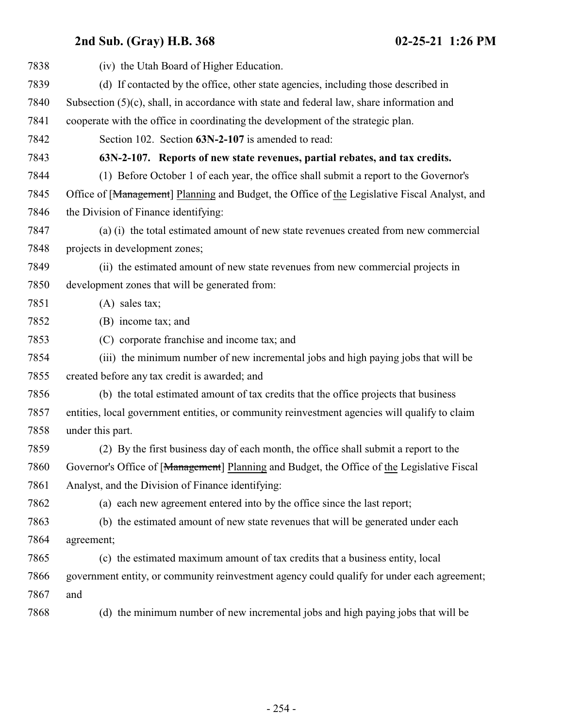| 7838 | (iv) the Utah Board of Higher Education.                                                      |
|------|-----------------------------------------------------------------------------------------------|
| 7839 | (d) If contacted by the office, other state agencies, including those described in            |
| 7840 | Subsection $(5)(c)$ , shall, in accordance with state and federal law, share information and  |
| 7841 | cooperate with the office in coordinating the development of the strategic plan.              |
| 7842 | Section 102. Section 63N-2-107 is amended to read:                                            |
| 7843 | 63N-2-107. Reports of new state revenues, partial rebates, and tax credits.                   |
| 7844 | (1) Before October 1 of each year, the office shall submit a report to the Governor's         |
| 7845 | Office of [Management] Planning and Budget, the Office of the Legislative Fiscal Analyst, and |
| 7846 | the Division of Finance identifying:                                                          |
| 7847 | (a) (i) the total estimated amount of new state revenues created from new commercial          |
| 7848 | projects in development zones;                                                                |
| 7849 | (ii) the estimated amount of new state revenues from new commercial projects in               |
| 7850 | development zones that will be generated from:                                                |
| 7851 | $(A)$ sales tax;                                                                              |
| 7852 | (B) income tax; and                                                                           |
| 7853 | (C) corporate franchise and income tax; and                                                   |
| 7854 | (iii) the minimum number of new incremental jobs and high paying jobs that will be            |
| 7855 | created before any tax credit is awarded; and                                                 |
| 7856 | (b) the total estimated amount of tax credits that the office projects that business          |
| 7857 | entities, local government entities, or community reinvestment agencies will qualify to claim |
| 7858 | under this part.                                                                              |
| 7859 | (2) By the first business day of each month, the office shall submit a report to the          |
| 7860 | Governor's Office of [Management] Planning and Budget, the Office of the Legislative Fiscal   |
| 7861 | Analyst, and the Division of Finance identifying:                                             |
| 7862 | (a) each new agreement entered into by the office since the last report;                      |
| 7863 | (b) the estimated amount of new state revenues that will be generated under each              |
| 7864 | agreement;                                                                                    |
| 7865 | (c) the estimated maximum amount of tax credits that a business entity, local                 |
| 7866 | government entity, or community reinvestment agency could qualify for under each agreement;   |
| 7867 | and                                                                                           |
| 7868 | (d) the minimum number of new incremental jobs and high paying jobs that will be              |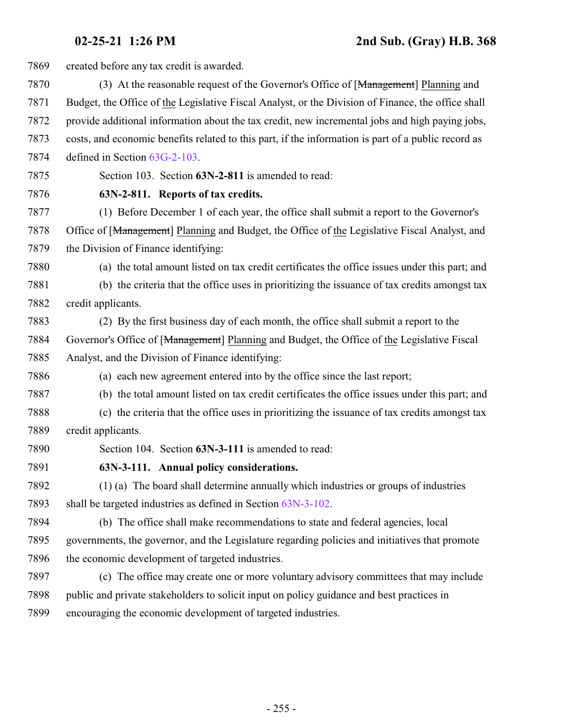created before any tax credit is awarded. 7870 (3) At the reasonable request of the Governor's Office of [<del>Management</del>] Planning and Budget, the Office of the Legislative Fiscal Analyst, or the Division of Finance, the office shall provide additional information about the tax credit, new incremental jobs and high paying jobs, costs, and economic benefits related to this part, if the information is part of a public record as defined in Section [63G-2-103](http://le.utah.gov/UtahCode/SectionLookup.jsp?section=63g-2-103&session=2021GS). Section 103. Section **63N-2-811** is amended to read: **63N-2-811. Reports of tax credits.** (1) Before December 1 of each year, the office shall submit a report to the Governor's 7878 Office of [Management] Planning and Budget, the Office of the Legislative Fiscal Analyst, and the Division of Finance identifying: (a) the total amount listed on tax credit certificates the office issues under this part; and (b) the criteria that the office uses in prioritizing the issuance of tax credits amongst tax credit applicants. (2) By the first business day of each month, the office shall submit a report to the Governor's Office of [Management] Planning and Budget, the Office of the Legislative Fiscal Analyst, and the Division of Finance identifying: (a) each new agreement entered into by the office since the last report; (b) the total amount listed on tax credit certificates the office issues under this part; and (c) the criteria that the office uses in prioritizing the issuance of tax credits amongst tax credit applicants. Section 104. Section **63N-3-111** is amended to read: **63N-3-111. Annual policy considerations.** (1) (a) The board shall determine annually which industries or groups of industries shall be targeted industries as defined in Section [63N-3-102](http://le.utah.gov/UtahCode/SectionLookup.jsp?section=63n-3-102&session=2021GS). (b) The office shall make recommendations to state and federal agencies, local governments, the governor, and the Legislature regarding policies and initiatives that promote the economic development of targeted industries. (c) The office may create one or more voluntary advisory committees that may include public and private stakeholders to solicit input on policy guidance and best practices in encouraging the economic development of targeted industries.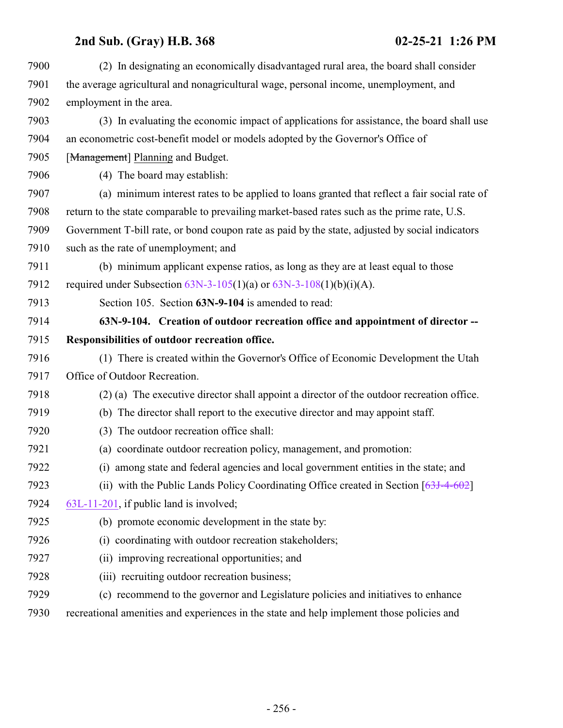| 7900 | (2) In designating an economically disadvantaged rural area, the board shall consider           |
|------|-------------------------------------------------------------------------------------------------|
| 7901 | the average agricultural and nonagricultural wage, personal income, unemployment, and           |
| 7902 | employment in the area.                                                                         |
| 7903 | (3) In evaluating the economic impact of applications for assistance, the board shall use       |
| 7904 | an econometric cost-benefit model or models adopted by the Governor's Office of                 |
| 7905 | [Management] Planning and Budget.                                                               |
| 7906 | (4) The board may establish:                                                                    |
| 7907 | (a) minimum interest rates to be applied to loans granted that reflect a fair social rate of    |
| 7908 | return to the state comparable to prevailing market-based rates such as the prime rate, U.S.    |
| 7909 | Government T-bill rate, or bond coupon rate as paid by the state, adjusted by social indicators |
| 7910 | such as the rate of unemployment; and                                                           |
| 7911 | (b) minimum applicant expense ratios, as long as they are at least equal to those               |
| 7912 | required under Subsection $63N-3-105(1)(a)$ or $63N-3-108(1)(b)(i)(A)$ .                        |
| 7913 | Section 105. Section 63N-9-104 is amended to read:                                              |
| 7914 | 63N-9-104. Creation of outdoor recreation office and appointment of director --                 |
| 7915 | Responsibilities of outdoor recreation office.                                                  |
| 7916 | (1) There is created within the Governor's Office of Economic Development the Utah              |
| 7917 | Office of Outdoor Recreation.                                                                   |
| 7918 | (2) (a) The executive director shall appoint a director of the outdoor recreation office.       |
| 7919 | (b) The director shall report to the executive director and may appoint staff.                  |
| 7920 | The outdoor recreation office shall:<br>(3)                                                     |
| 7921 | (a) coordinate outdoor recreation policy, management, and promotion:                            |
| 7922 | (i) among state and federal agencies and local government entities in the state; and            |
| 7923 | (ii) with the Public Lands Policy Coordinating Office created in Section $[63J-4-602]$          |
| 7924 | 63L-11-201, if public land is involved;                                                         |
| 7925 | (b) promote economic development in the state by:                                               |
| 7926 | (i) coordinating with outdoor recreation stakeholders;                                          |
| 7927 | (ii) improving recreational opportunities; and                                                  |
| 7928 | (iii) recruiting outdoor recreation business;                                                   |
| 7929 | (c) recommend to the governor and Legislature policies and initiatives to enhance               |
| 7930 | recreational amenities and experiences in the state and help implement those policies and       |
|      |                                                                                                 |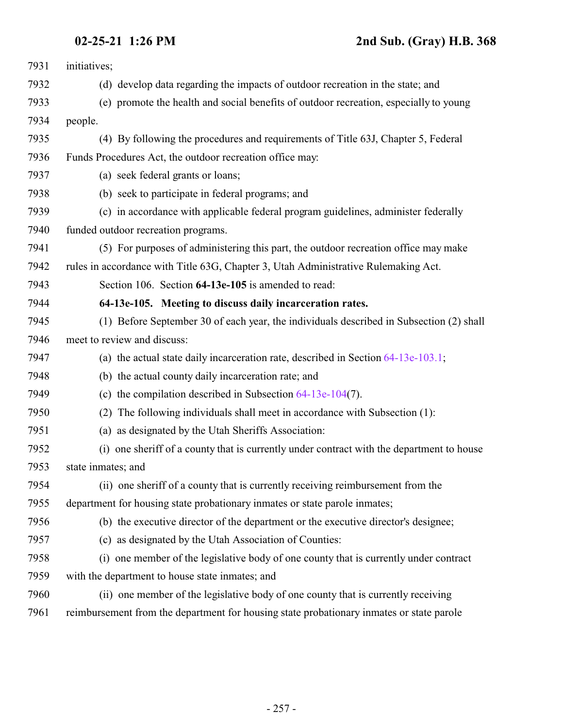## **02-25-21 1:26 PM 2nd Sub. (Gray) H.B. 368**

| 7931 | initiatives;                                                                              |
|------|-------------------------------------------------------------------------------------------|
| 7932 | (d) develop data regarding the impacts of outdoor recreation in the state; and            |
| 7933 | (e) promote the health and social benefits of outdoor recreation, especially to young     |
| 7934 | people.                                                                                   |
| 7935 | (4) By following the procedures and requirements of Title 63J, Chapter 5, Federal         |
| 7936 | Funds Procedures Act, the outdoor recreation office may:                                  |
| 7937 | (a) seek federal grants or loans;                                                         |
| 7938 | (b) seek to participate in federal programs; and                                          |
| 7939 | (c) in accordance with applicable federal program guidelines, administer federally        |
| 7940 | funded outdoor recreation programs.                                                       |
| 7941 | (5) For purposes of administering this part, the outdoor recreation office may make       |
| 7942 | rules in accordance with Title 63G, Chapter 3, Utah Administrative Rulemaking Act.        |
| 7943 | Section 106. Section 64-13e-105 is amended to read:                                       |
| 7944 | 64-13e-105. Meeting to discuss daily incarceration rates.                                 |
| 7945 | (1) Before September 30 of each year, the individuals described in Subsection (2) shall   |
| 7946 | meet to review and discuss:                                                               |
| 7947 | (a) the actual state daily incarceration rate, described in Section $64-13e-103.1$ ;      |
| 7948 | (b) the actual county daily incarceration rate; and                                       |
| 7949 | (c) the compilation described in Subsection $64-13e-104(7)$ .                             |
| 7950 | The following individuals shall meet in accordance with Subsection (1):<br>(2)            |
| 7951 | (a) as designated by the Utah Sheriffs Association:                                       |
| 7952 | (i) one sheriff of a county that is currently under contract with the department to house |
| 7953 | state inmates; and                                                                        |
| 7954 | (ii) one sheriff of a county that is currently receiving reimbursement from the           |
| 7955 | department for housing state probationary inmates or state parole inmates;                |
| 7956 | (b) the executive director of the department or the executive director's designee;        |
| 7957 | (c) as designated by the Utah Association of Counties:                                    |
| 7958 | (i) one member of the legislative body of one county that is currently under contract     |
| 7959 | with the department to house state inmates; and                                           |
| 7960 | (ii) one member of the legislative body of one county that is currently receiving         |
| 7961 | reimbursement from the department for housing state probationary inmates or state parole  |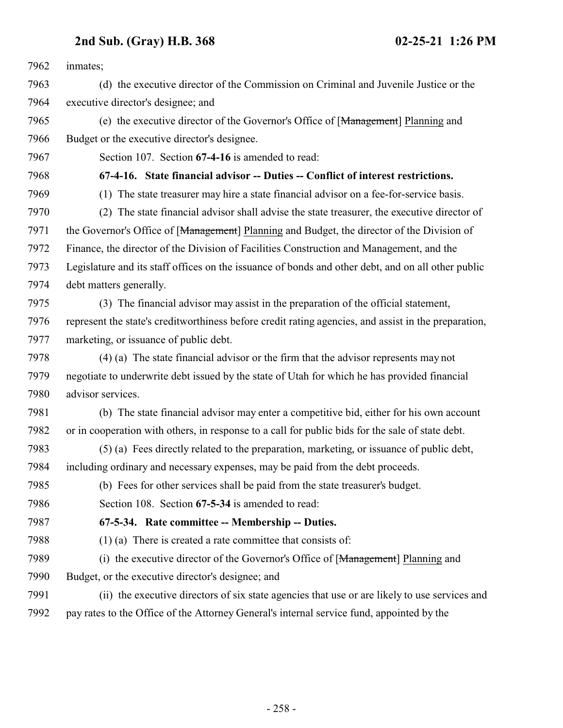inmates;

- (d) the executive director of the Commission on Criminal and Juvenile Justice or the executive director's designee; and
- (e) the executive director of the Governor's Office of [Management] Planning and Budget or the executive director's designee.

Section 107. Section **67-4-16** is amended to read:

- **67-4-16. State financial advisor -- Duties -- Conflict of interest restrictions.**
- 

(1) The state treasurer may hire a state financial advisor on a fee-for-service basis.

- (2) The state financial advisor shall advise the state treasurer, the executive director of 7971 the Governor's Office of [Management] Planning and Budget, the director of the Division of Finance, the director of the Division of Facilities Construction and Management, and the Legislature and its staff offices on the issuance of bonds and other debt, and on all other public debt matters generally.
- (3) The financial advisor may assist in the preparation of the official statement, represent the state's creditworthiness before credit rating agencies, and assist in the preparation, marketing, or issuance of public debt.
- (4) (a) The state financial advisor or the firm that the advisor represents may not negotiate to underwrite debt issued by the state of Utah for which he has provided financial advisor services.
- (b) The state financial advisor may enter a competitive bid, either for his own account or in cooperation with others, in response to a call for public bids for the sale of state debt.
- (5) (a) Fees directly related to the preparation, marketing, or issuance of public debt, including ordinary and necessary expenses, may be paid from the debt proceeds.
- (b) Fees for other services shall be paid from the state treasurer's budget.
- Section 108. Section **67-5-34** is amended to read:

## **67-5-34. Rate committee -- Membership -- Duties.**

- (1) (a) There is created a rate committee that consists of:
- 7989 (i) the executive director of the Governor's Office of [Management] Planning and
- Budget, or the executive director's designee; and
- (ii) the executive directors of six state agencies that use or are likely to use services and pay rates to the Office of the Attorney General's internal service fund, appointed by the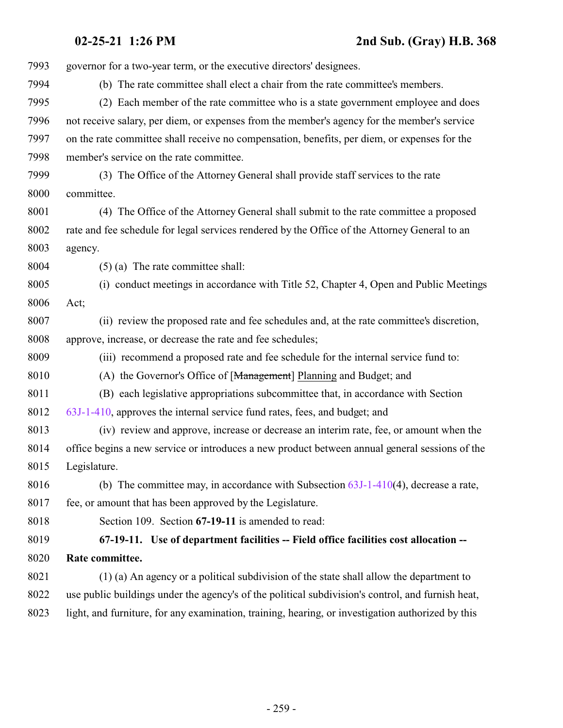**02-25-21 1:26 PM 2nd Sub. (Gray) H.B. 368**

 governor for a two-year term, or the executive directors' designees. (b) The rate committee shall elect a chair from the rate committee's members. (2) Each member of the rate committee who is a state government employee and does not receive salary, per diem, or expenses from the member's agency for the member's service on the rate committee shall receive no compensation, benefits, per diem, or expenses for the member's service on the rate committee. (3) The Office of the Attorney General shall provide staff services to the rate committee. (4) The Office of the Attorney General shall submit to the rate committee a proposed rate and fee schedule for legal services rendered by the Office of the Attorney General to an agency. (5) (a) The rate committee shall: (i) conduct meetings in accordance with Title 52, Chapter 4, Open and Public Meetings Act; (ii) review the proposed rate and fee schedules and, at the rate committee's discretion, approve, increase, or decrease the rate and fee schedules; (iii) recommend a proposed rate and fee schedule for the internal service fund to: (A) the Governor's Office of [Management] Planning and Budget; and (B) each legislative appropriations subcommittee that, in accordance with Section [63J-1-410](http://le.utah.gov/UtahCode/SectionLookup.jsp?section=63j-1-410&session=2021GS), approves the internal service fund rates, fees, and budget; and (iv) review and approve, increase or decrease an interim rate, fee, or amount when the office begins a new service or introduces a new product between annual general sessions of the Legislature. 8016 (b) The committee may, in accordance with Subsection  $63J-1-410(4)$ , decrease a rate, 8017 fee, or amount that has been approved by the Legislature. Section 109. Section **67-19-11** is amended to read: **67-19-11. Use of department facilities -- Field office facilities cost allocation -- Rate committee.** (1) (a) An agency or a political subdivision of the state shall allow the department to use public buildings under the agency's of the political subdivision's control, and furnish heat, light, and furniture, for any examination, training, hearing, or investigation authorized by this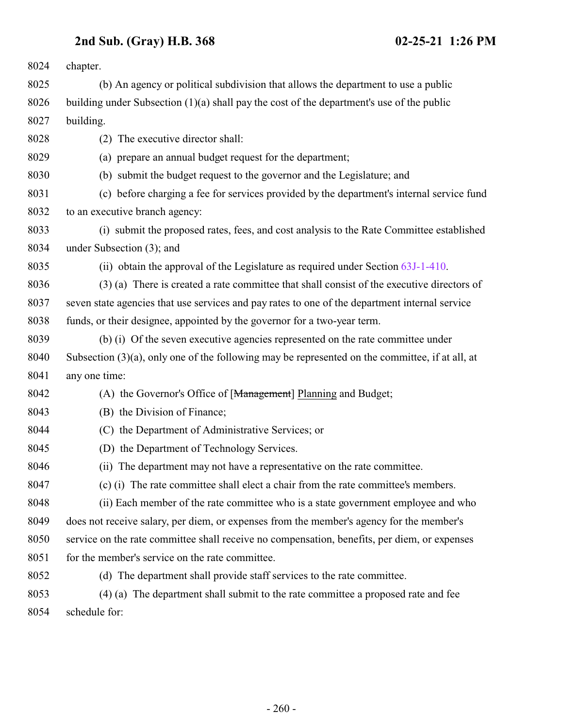| 8024 | chapter.                                                                                           |
|------|----------------------------------------------------------------------------------------------------|
| 8025 | (b) An agency or political subdivision that allows the department to use a public                  |
| 8026 | building under Subsection $(1)(a)$ shall pay the cost of the department's use of the public        |
| 8027 | building.                                                                                          |
| 8028 | The executive director shall:<br>(2)                                                               |
| 8029 | (a) prepare an annual budget request for the department;                                           |
| 8030 | (b) submit the budget request to the governor and the Legislature; and                             |
| 8031 | (c) before charging a fee for services provided by the department's internal service fund          |
| 8032 | to an executive branch agency:                                                                     |
| 8033 | (i) submit the proposed rates, fees, and cost analysis to the Rate Committee established           |
| 8034 | under Subsection (3); and                                                                          |
| 8035 | (ii) obtain the approval of the Legislature as required under Section 63J-1-410.                   |
| 8036 | (3) (a) There is created a rate committee that shall consist of the executive directors of         |
| 8037 | seven state agencies that use services and pay rates to one of the department internal service     |
| 8038 | funds, or their designee, appointed by the governor for a two-year term.                           |
| 8039 | (b) (i) Of the seven executive agencies represented on the rate committee under                    |
| 8040 | Subsection $(3)(a)$ , only one of the following may be represented on the committee, if at all, at |
| 8041 | any one time:                                                                                      |
| 8042 | (A) the Governor's Office of [Management] Planning and Budget;                                     |
| 8043 | (B) the Division of Finance;                                                                       |
| 8044 | (C) the Department of Administrative Services; or                                                  |
| 8045 | (D) the Department of Technology Services.                                                         |
| 8046 | (ii) The department may not have a representative on the rate committee.                           |
| 8047 | (c) (i) The rate committee shall elect a chair from the rate committee's members.                  |
| 8048 | (ii) Each member of the rate committee who is a state government employee and who                  |
| 8049 | does not receive salary, per diem, or expenses from the member's agency for the member's           |
| 8050 | service on the rate committee shall receive no compensation, benefits, per diem, or expenses       |
| 8051 | for the member's service on the rate committee.                                                    |
| 8052 | (d) The department shall provide staff services to the rate committee.                             |
| 8053 | (4) (a) The department shall submit to the rate committee a proposed rate and fee                  |
| 8054 | schedule for:                                                                                      |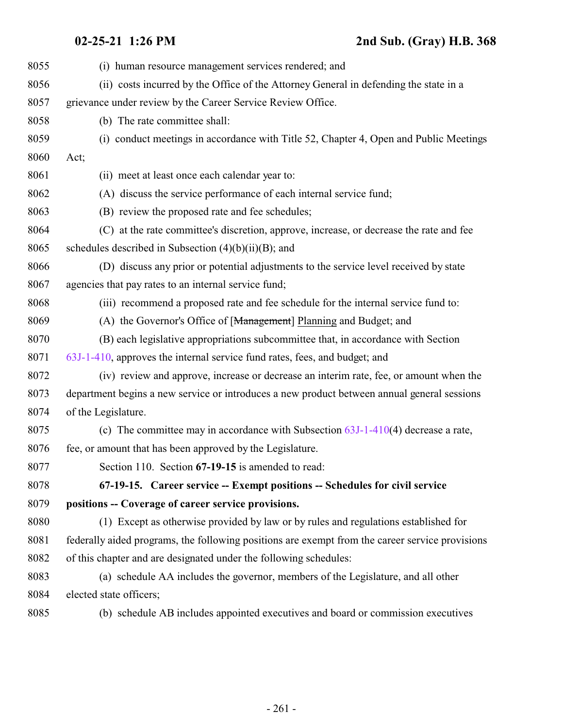| 8055 | (i) human resource management services rendered; and                                            |
|------|-------------------------------------------------------------------------------------------------|
| 8056 | (ii) costs incurred by the Office of the Attorney General in defending the state in a           |
| 8057 | grievance under review by the Career Service Review Office.                                     |
| 8058 | (b) The rate committee shall:                                                                   |
| 8059 | (i) conduct meetings in accordance with Title 52, Chapter 4, Open and Public Meetings           |
| 8060 | Act;                                                                                            |
| 8061 | (ii) meet at least once each calendar year to:                                                  |
| 8062 | (A) discuss the service performance of each internal service fund;                              |
| 8063 | (B) review the proposed rate and fee schedules;                                                 |
| 8064 | (C) at the rate committee's discretion, approve, increase, or decrease the rate and fee         |
| 8065 | schedules described in Subsection $(4)(b)(ii)(B)$ ; and                                         |
| 8066 | (D) discuss any prior or potential adjustments to the service level received by state           |
| 8067 | agencies that pay rates to an internal service fund;                                            |
| 8068 | (iii) recommend a proposed rate and fee schedule for the internal service fund to:              |
| 8069 | (A) the Governor's Office of [Management] Planning and Budget; and                              |
| 8070 | (B) each legislative appropriations subcommittee that, in accordance with Section               |
| 8071 | 63J-1-410, approves the internal service fund rates, fees, and budget; and                      |
| 8072 | (iv) review and approve, increase or decrease an interim rate, fee, or amount when the          |
| 8073 | department begins a new service or introduces a new product between annual general sessions     |
| 8074 | of the Legislature.                                                                             |
| 8075 | (c) The committee may in accordance with Subsection $63J-1-410(4)$ decrease a rate,             |
| 8076 | fee, or amount that has been approved by the Legislature.                                       |
| 8077 | Section 110. Section 67-19-15 is amended to read:                                               |
| 8078 | 67-19-15. Career service -- Exempt positions -- Schedules for civil service                     |
| 8079 | positions -- Coverage of career service provisions.                                             |
| 8080 | (1) Except as otherwise provided by law or by rules and regulations established for             |
| 8081 | federally aided programs, the following positions are exempt from the career service provisions |
| 8082 | of this chapter and are designated under the following schedules:                               |
| 8083 | (a) schedule AA includes the governor, members of the Legislature, and all other                |
| 8084 | elected state officers;                                                                         |
|      |                                                                                                 |

<span id="page-260-0"></span>(b) schedule AB includes appointed executives and board or commission executives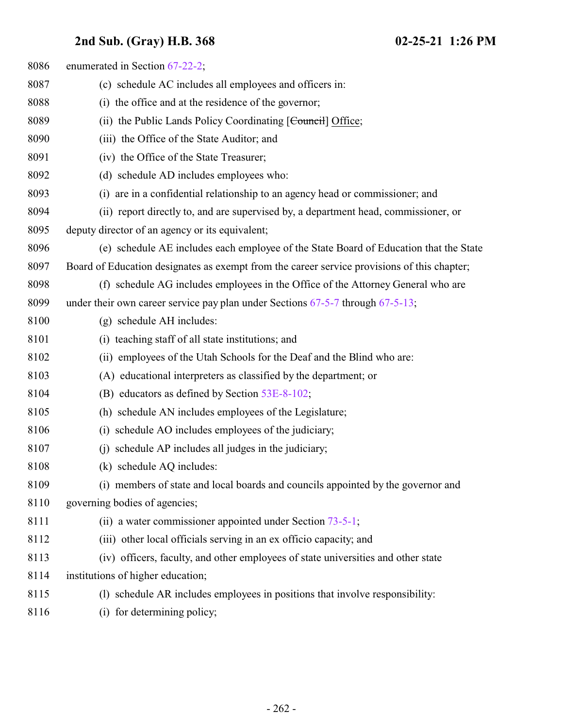| 8086 | enumerated in Section 67-22-2;                                                              |
|------|---------------------------------------------------------------------------------------------|
| 8087 | (c) schedule AC includes all employees and officers in:                                     |
| 8088 | (i) the office and at the residence of the governor;                                        |
| 8089 | (ii) the Public Lands Policy Coordinating [Council] Office;                                 |
| 8090 | (iii) the Office of the State Auditor; and                                                  |
| 8091 | (iv) the Office of the State Treasurer;                                                     |
| 8092 | (d) schedule AD includes employees who:                                                     |
| 8093 | (i) are in a confidential relationship to an agency head or commissioner; and               |
| 8094 | (ii) report directly to, and are supervised by, a department head, commissioner, or         |
| 8095 | deputy director of an agency or its equivalent;                                             |
| 8096 | (e) schedule AE includes each employee of the State Board of Education that the State       |
| 8097 | Board of Education designates as exempt from the career service provisions of this chapter; |
| 8098 | (f) schedule AG includes employees in the Office of the Attorney General who are            |
| 8099 | under their own career service pay plan under Sections $67-5-7$ through $67-5-13$ ;         |
| 8100 | (g) schedule AH includes:                                                                   |
| 8101 | (i) teaching staff of all state institutions; and                                           |
| 8102 | (ii) employees of the Utah Schools for the Deaf and the Blind who are:                      |
| 8103 | (A) educational interpreters as classified by the department; or                            |
| 8104 | (B) educators as defined by Section 53E-8-102;                                              |
| 8105 | (h) schedule AN includes employees of the Legislature;                                      |
| 8106 | schedule AO includes employees of the judiciary;<br>(i)                                     |
| 8107 | schedule AP includes all judges in the judiciary;<br>(i)                                    |
| 8108 | (k) schedule AQ includes:                                                                   |
| 8109 | (i) members of state and local boards and councils appointed by the governor and            |
| 8110 | governing bodies of agencies;                                                               |
| 8111 | (ii) a water commissioner appointed under Section $73-5-1$ ;                                |
| 8112 | (iii) other local officials serving in an ex officio capacity; and                          |
| 8113 | (iv) officers, faculty, and other employees of state universities and other state           |
| 8114 | institutions of higher education;                                                           |
| 8115 | (1) schedule AR includes employees in positions that involve responsibility:                |
| 8116 | (i) for determining policy;                                                                 |
|      |                                                                                             |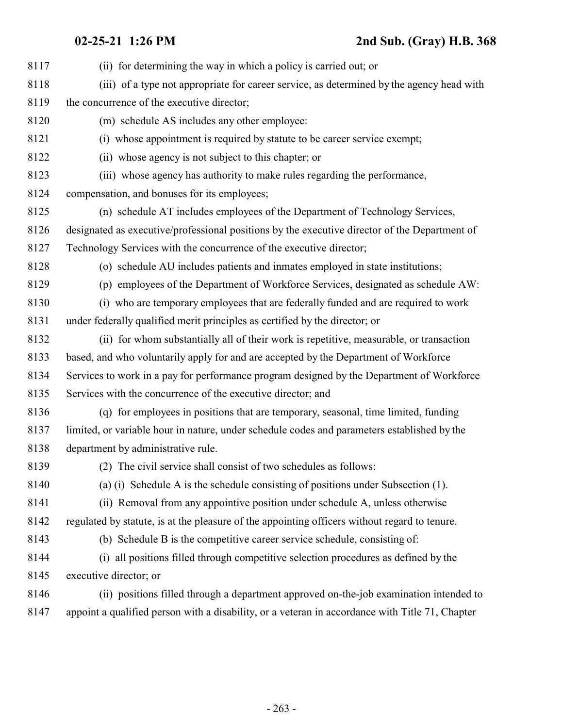| 8117 | (ii) for determining the way in which a policy is carried out; or                               |
|------|-------------------------------------------------------------------------------------------------|
| 8118 | (iii) of a type not appropriate for career service, as determined by the agency head with       |
| 8119 | the concurrence of the executive director;                                                      |
| 8120 | (m) schedule AS includes any other employee:                                                    |
| 8121 | (i) whose appointment is required by statute to be career service exempt;                       |
| 8122 | (ii) whose agency is not subject to this chapter; or                                            |
| 8123 | (iii) whose agency has authority to make rules regarding the performance,                       |
| 8124 | compensation, and bonuses for its employees;                                                    |
| 8125 | (n) schedule AT includes employees of the Department of Technology Services,                    |
| 8126 | designated as executive/professional positions by the executive director of the Department of   |
| 8127 | Technology Services with the concurrence of the executive director;                             |
| 8128 | (o) schedule AU includes patients and inmates employed in state institutions;                   |
| 8129 | (p) employees of the Department of Workforce Services, designated as schedule AW:               |
| 8130 | (i) who are temporary employees that are federally funded and are required to work              |
| 8131 | under federally qualified merit principles as certified by the director; or                     |
| 8132 | (ii) for whom substantially all of their work is repetitive, measurable, or transaction         |
| 8133 | based, and who voluntarily apply for and are accepted by the Department of Workforce            |
| 8134 | Services to work in a pay for performance program designed by the Department of Workforce       |
| 8135 | Services with the concurrence of the executive director; and                                    |
| 8136 | (q) for employees in positions that are temporary, seasonal, time limited, funding              |
| 8137 | limited, or variable hour in nature, under schedule codes and parameters established by the     |
| 8138 | department by administrative rule.                                                              |
| 8139 | (2) The civil service shall consist of two schedules as follows:                                |
| 8140 | (a) (i) Schedule A is the schedule consisting of positions under Subsection $(1)$ .             |
| 8141 | (ii) Removal from any appointive position under schedule A, unless otherwise                    |
| 8142 | regulated by statute, is at the pleasure of the appointing officers without regard to tenure.   |
| 8143 | (b) Schedule B is the competitive career service schedule, consisting of:                       |
| 8144 | all positions filled through competitive selection procedures as defined by the<br>(i)          |
| 8145 | executive director; or                                                                          |
| 8146 | (ii) positions filled through a department approved on-the-job examination intended to          |
| 8147 | appoint a qualified person with a disability, or a veteran in accordance with Title 71, Chapter |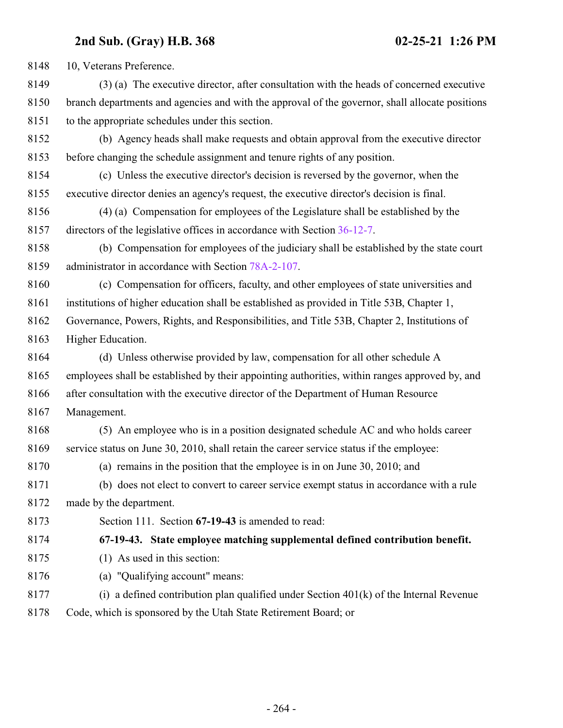10, Veterans Preference.

 (3) (a) The executive director, after consultation with the heads of concerned executive branch departments and agencies and with the approval of the governor, shall allocate positions to the appropriate schedules under this section.

- (b) Agency heads shall make requests and obtain approval from the executive director before changing the schedule assignment and tenure rights of any position.
- (c) Unless the executive director's decision is reversed by the governor, when the executive director denies an agency's request, the executive director's decision is final.
- (4) (a) Compensation for employees of the Legislature shall be established by the directors of the legislative offices in accordance with Section [36-12-7](http://le.utah.gov/UtahCode/SectionLookup.jsp?section=36-12-7&session=2021GS).
- (b) Compensation for employees of the judiciary shall be established by the state court administrator in accordance with Section [78A-2-107](http://le.utah.gov/UtahCode/SectionLookup.jsp?section=78a-2-107&session=2021GS).
- (c) Compensation for officers, faculty, and other employees of state universities and
- institutions of higher education shall be established as provided in Title 53B, Chapter 1,
- Governance, Powers, Rights, and Responsibilities, and Title 53B, Chapter 2, Institutions of Higher Education.
- (d) Unless otherwise provided by law, compensation for all other schedule A employees shall be established by their appointing authorities, within ranges approved by, and after consultation with the executive director of the Department of Human Resource
- Management.
- (5) An employee who is in a position designated schedule AC and who holds career service status on June 30, 2010, shall retain the career service status if the employee:
- (a) remains in the position that the employee is in on June 30, 2010; and
- (b) does not elect to convert to career service exempt status in accordance with a rule made by the department.
- Section 111. Section **67-19-43** is amended to read:

**67-19-43. State employee matching supplemental defined contribution benefit.**

- (1) As used in this section:
- (a) "Qualifying account" means:
- 8177 (i) a defined contribution plan qualified under Section  $401(k)$  of the Internal Revenue Code, which is sponsored by the Utah State Retirement Board; or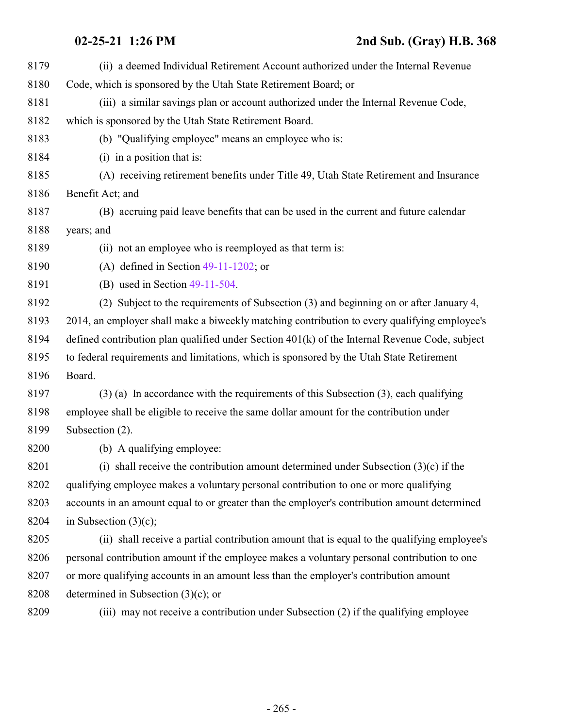| 8179 | (ii) a deemed Individual Retirement Account authorized under the Internal Revenue                |
|------|--------------------------------------------------------------------------------------------------|
| 8180 | Code, which is sponsored by the Utah State Retirement Board; or                                  |
| 8181 | (iii) a similar savings plan or account authorized under the Internal Revenue Code,              |
| 8182 | which is sponsored by the Utah State Retirement Board.                                           |
| 8183 | (b) "Qualifying employee" means an employee who is:                                              |
| 8184 | $(i)$ in a position that is:                                                                     |
| 8185 | (A) receiving retirement benefits under Title 49, Utah State Retirement and Insurance            |
| 8186 | Benefit Act; and                                                                                 |
| 8187 | (B) accruing paid leave benefits that can be used in the current and future calendar             |
| 8188 | years; and                                                                                       |
| 8189 | (ii) not an employee who is reemployed as that term is:                                          |
| 8190 | (A) defined in Section $49-11-1202$ ; or                                                         |
| 8191 | (B) used in Section $49-11-504$ .                                                                |
| 8192 | (2) Subject to the requirements of Subsection (3) and beginning on or after January 4,           |
| 8193 | 2014, an employer shall make a biweekly matching contribution to every qualifying employee's     |
| 8194 | defined contribution plan qualified under Section $401(k)$ of the Internal Revenue Code, subject |
| 8195 | to federal requirements and limitations, which is sponsored by the Utah State Retirement         |
| 8196 | Board.                                                                                           |
| 8197 | $(3)$ (a) In accordance with the requirements of this Subsection $(3)$ , each qualifying         |
| 8198 | employee shall be eligible to receive the same dollar amount for the contribution under          |
| 8199 | Subsection (2).                                                                                  |
| 8200 | (b) A qualifying employee:                                                                       |
| 8201 | (i) shall receive the contribution amount determined under Subsection $(3)(c)$ if the            |
| 8202 | qualifying employee makes a voluntary personal contribution to one or more qualifying            |
| 8203 | accounts in an amount equal to or greater than the employer's contribution amount determined     |
| 8204 | in Subsection $(3)(c)$ ;                                                                         |
| 8205 | (ii) shall receive a partial contribution amount that is equal to the qualifying employee's      |
| 8206 | personal contribution amount if the employee makes a voluntary personal contribution to one      |
| 8207 | or more qualifying accounts in an amount less than the employer's contribution amount            |
| 8208 | determined in Subsection $(3)(c)$ ; or                                                           |
| 8209 | (iii) may not receive a contribution under Subsection (2) if the qualifying employee             |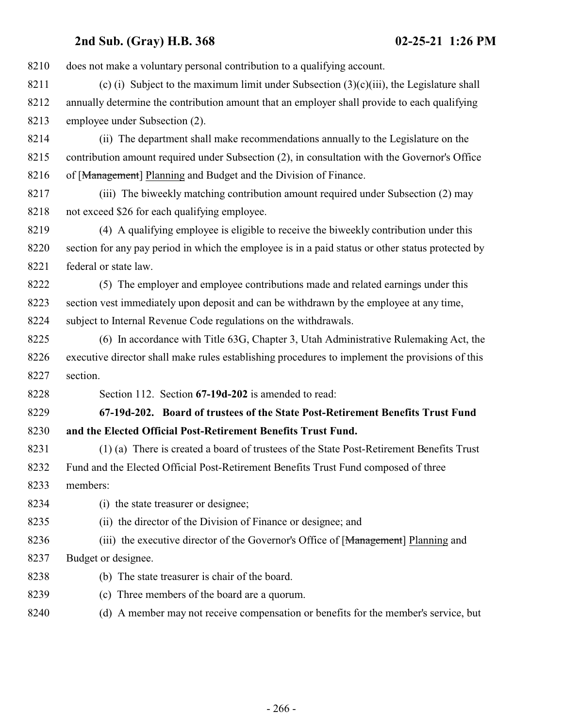| 8210 | does not make a voluntary personal contribution to a qualifying account.                          |
|------|---------------------------------------------------------------------------------------------------|
| 8211 | (c) (i) Subject to the maximum limit under Subsection $(3)(c)(iii)$ , the Legislature shall       |
| 8212 | annually determine the contribution amount that an employer shall provide to each qualifying      |
| 8213 | employee under Subsection (2).                                                                    |
| 8214 | (ii) The department shall make recommendations annually to the Legislature on the                 |
| 8215 | contribution amount required under Subsection (2), in consultation with the Governor's Office     |
| 8216 | of [Management] Planning and Budget and the Division of Finance.                                  |
| 8217 | (iii) The biweekly matching contribution amount required under Subsection (2) may                 |
| 8218 | not exceed \$26 for each qualifying employee.                                                     |
| 8219 | (4) A qualifying employee is eligible to receive the biweekly contribution under this             |
| 8220 | section for any pay period in which the employee is in a paid status or other status protected by |
| 8221 | federal or state law.                                                                             |
| 8222 | (5) The employer and employee contributions made and related earnings under this                  |
| 8223 | section vest immediately upon deposit and can be withdrawn by the employee at any time,           |
| 8224 | subject to Internal Revenue Code regulations on the withdrawals.                                  |
| 8225 | (6) In accordance with Title 63G, Chapter 3, Utah Administrative Rulemaking Act, the              |
| 8226 | executive director shall make rules establishing procedures to implement the provisions of this   |
| 8227 | section.                                                                                          |
| 8228 | Section 112. Section 67-19d-202 is amended to read:                                               |
| 8229 | 67-19d-202. Board of trustees of the State Post-Retirement Benefits Trust Fund                    |
| 8230 | and the Elected Official Post-Retirement Benefits Trust Fund.                                     |
| 8231 | (1) (a) There is created a board of trustees of the State Post-Retirement Benefits Trust          |
| 8232 | Fund and the Elected Official Post-Retirement Benefits Trust Fund composed of three               |
| 8233 | members:                                                                                          |
| 8234 | (i) the state treasurer or designee;                                                              |
| 8235 | (ii) the director of the Division of Finance or designee; and                                     |
| 8236 | (iii) the executive director of the Governor's Office of [Management] Planning and                |
| 8237 | Budget or designee.                                                                               |
| 8238 | (b) The state treasurer is chair of the board.                                                    |
| 8239 | (c) Three members of the board are a quorum.                                                      |
| 8240 | (d) A member may not receive compensation or benefits for the member's service, but               |
|      |                                                                                                   |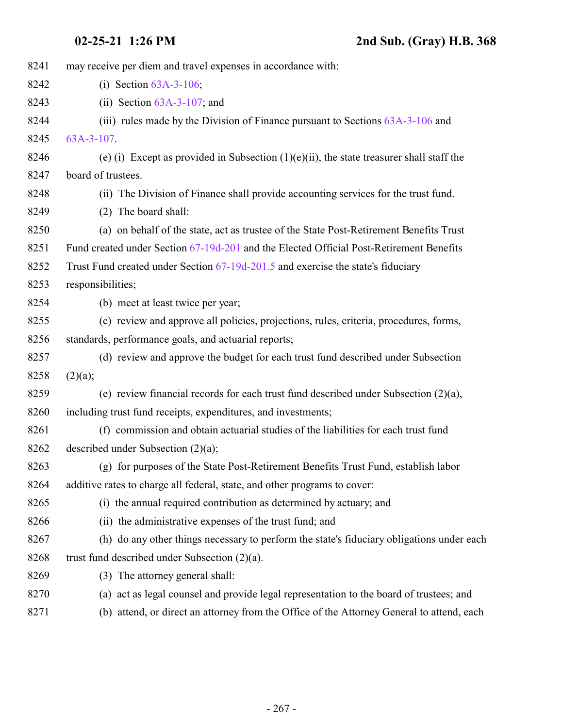| 8241 | may receive per diem and travel expenses in accordance with:                                |
|------|---------------------------------------------------------------------------------------------|
| 8242 | (i) Section $63A-3-106$ ;                                                                   |
| 8243 | (ii) Section $63A-3-107$ ; and                                                              |
| 8244 | (iii) rules made by the Division of Finance pursuant to Sections $63A-3-106$ and            |
| 8245 | $63A-3-107$ .                                                                               |
| 8246 | (e) (i) Except as provided in Subsection $(1)(e)(ii)$ , the state treasurer shall staff the |
| 8247 | board of trustees.                                                                          |
| 8248 | (ii) The Division of Finance shall provide accounting services for the trust fund.          |
| 8249 | The board shall:<br>(2)                                                                     |
| 8250 | (a) on behalf of the state, act as trustee of the State Post-Retirement Benefits Trust      |
| 8251 | Fund created under Section 67-19d-201 and the Elected Official Post-Retirement Benefits     |
| 8252 | Trust Fund created under Section 67-19d-201.5 and exercise the state's fiduciary            |
| 8253 | responsibilities;                                                                           |
| 8254 | (b) meet at least twice per year;                                                           |
| 8255 | (c) review and approve all policies, projections, rules, criteria, procedures, forms,       |
| 8256 | standards, performance goals, and actuarial reports;                                        |
| 8257 | (d) review and approve the budget for each trust fund described under Subsection            |
| 8258 | (2)(a);                                                                                     |
| 8259 | (e) review financial records for each trust fund described under Subsection $(2)(a)$ ,      |
| 8260 | including trust fund receipts, expenditures, and investments;                               |
| 8261 | (f) commission and obtain actuarial studies of the liabilities for each trust fund          |
| 8262 | described under Subsection $(2)(a)$ ;                                                       |
| 8263 | (g) for purposes of the State Post-Retirement Benefits Trust Fund, establish labor          |
| 8264 | additive rates to charge all federal, state, and other programs to cover:                   |
| 8265 | (i) the annual required contribution as determined by actuary; and                          |
| 8266 | (ii) the administrative expenses of the trust fund; and                                     |
| 8267 | (h) do any other things necessary to perform the state's fiduciary obligations under each   |
| 8268 | trust fund described under Subsection $(2)(a)$ .                                            |
| 8269 | (3) The attorney general shall:                                                             |
| 8270 | (a) act as legal counsel and provide legal representation to the board of trustees; and     |
| 8271 | (b) attend, or direct an attorney from the Office of the Attorney General to attend, each   |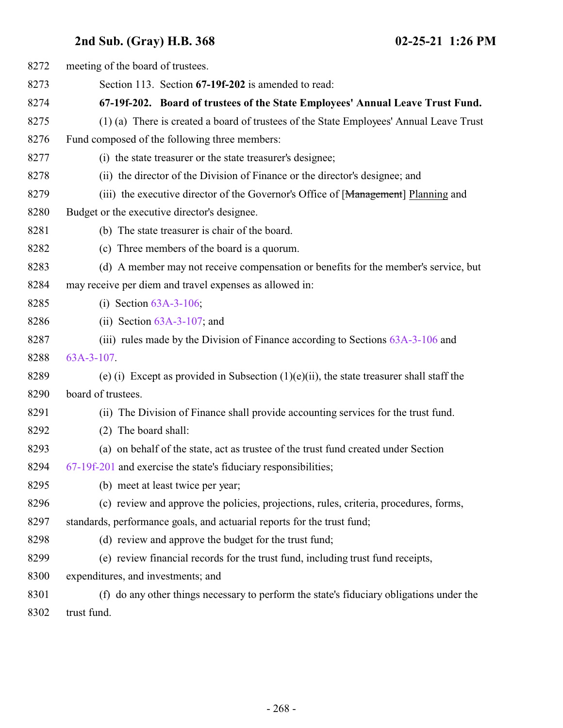| 8272 | meeting of the board of trustees.                                                           |
|------|---------------------------------------------------------------------------------------------|
| 8273 | Section 113. Section 67-19f-202 is amended to read:                                         |
| 8274 | 67-19f-202. Board of trustees of the State Employees' Annual Leave Trust Fund.              |
| 8275 | (1) (a) There is created a board of trustees of the State Employees' Annual Leave Trust     |
| 8276 | Fund composed of the following three members:                                               |
| 8277 | (i) the state treasurer or the state treasurer's designee;                                  |
| 8278 | (ii) the director of the Division of Finance or the director's designee; and                |
| 8279 | (iii) the executive director of the Governor's Office of [Management] Planning and          |
| 8280 | Budget or the executive director's designee.                                                |
| 8281 | (b) The state treasurer is chair of the board.                                              |
| 8282 | (c) Three members of the board is a quorum.                                                 |
| 8283 | (d) A member may not receive compensation or benefits for the member's service, but         |
| 8284 | may receive per diem and travel expenses as allowed in:                                     |
| 8285 | (i) Section $63A-3-106$ ;                                                                   |
| 8286 | (ii) Section $63A-3-107$ ; and                                                              |
| 8287 | (iii) rules made by the Division of Finance according to Sections $63A-3-106$ and           |
| 8288 | 63A-3-107.                                                                                  |
| 8289 | (e) (i) Except as provided in Subsection $(1)(e)(ii)$ , the state treasurer shall staff the |
| 8290 | board of trustees.                                                                          |
| 8291 | (ii) The Division of Finance shall provide accounting services for the trust fund.          |
| 8292 | (2) The board shall:                                                                        |
| 8293 | (a) on behalf of the state, act as trustee of the trust fund created under Section          |
| 8294 | $67-19f-201$ and exercise the state's fiduciary responsibilities;                           |
| 8295 | (b) meet at least twice per year;                                                           |
| 8296 | (c) review and approve the policies, projections, rules, criteria, procedures, forms,       |
| 8297 | standards, performance goals, and actuarial reports for the trust fund;                     |
| 8298 | (d) review and approve the budget for the trust fund;                                       |
| 8299 | (e) review financial records for the trust fund, including trust fund receipts,             |
| 8300 | expenditures, and investments; and                                                          |
| 8301 | (f) do any other things necessary to perform the state's fiduciary obligations under the    |
| 8302 | trust fund.                                                                                 |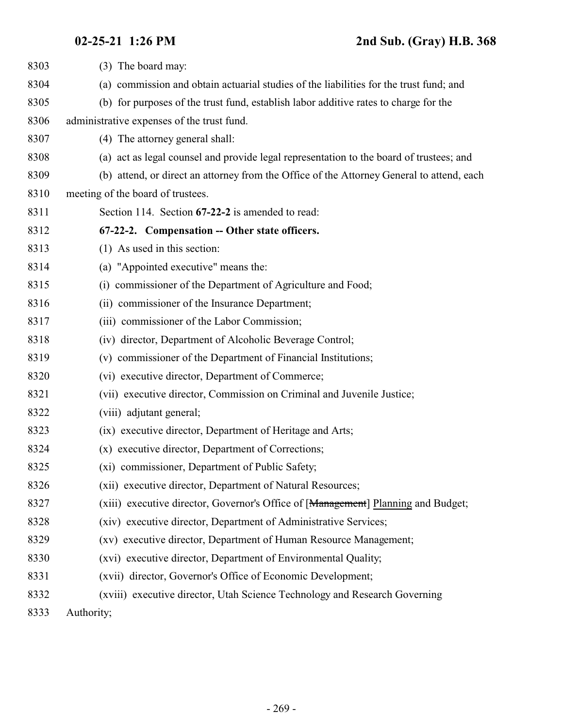<span id="page-268-0"></span>

| 8303 | (3) The board may:                                                                        |
|------|-------------------------------------------------------------------------------------------|
| 8304 | (a) commission and obtain actuarial studies of the liabilities for the trust fund; and    |
| 8305 | (b) for purposes of the trust fund, establish labor additive rates to charge for the      |
| 8306 | administrative expenses of the trust fund.                                                |
| 8307 | (4) The attorney general shall:                                                           |
| 8308 | (a) act as legal counsel and provide legal representation to the board of trustees; and   |
| 8309 | (b) attend, or direct an attorney from the Office of the Attorney General to attend, each |
| 8310 | meeting of the board of trustees.                                                         |
| 8311 | Section 114. Section 67-22-2 is amended to read:                                          |
| 8312 | 67-22-2. Compensation -- Other state officers.                                            |
| 8313 | $(1)$ As used in this section:                                                            |
| 8314 | (a) "Appointed executive" means the:                                                      |
| 8315 | (i) commissioner of the Department of Agriculture and Food;                               |
| 8316 | (ii) commissioner of the Insurance Department;                                            |
| 8317 | (iii) commissioner of the Labor Commission;                                               |
| 8318 | (iv) director, Department of Alcoholic Beverage Control;                                  |
| 8319 | (v) commissioner of the Department of Financial Institutions;                             |
| 8320 | (vi) executive director, Department of Commerce;                                          |
| 8321 | (vii) executive director, Commission on Criminal and Juvenile Justice;                    |
| 8322 | (viii) adjutant general;                                                                  |
| 8323 | (ix) executive director, Department of Heritage and Arts;                                 |
| 8324 | (x) executive director, Department of Corrections;                                        |
| 8325 | (xi) commissioner, Department of Public Safety;                                           |
| 8326 | (xii) executive director, Department of Natural Resources;                                |
| 8327 | (xiii) executive director, Governor's Office of [Management] Planning and Budget;         |
| 8328 | (xiv) executive director, Department of Administrative Services;                          |
| 8329 | (xv) executive director, Department of Human Resource Management;                         |
| 8330 | (xvi) executive director, Department of Environmental Quality;                            |
| 8331 | (xvii) director, Governor's Office of Economic Development;                               |
| 8332 | (xviii) executive director, Utah Science Technology and Research Governing                |
| 8333 | Authority;                                                                                |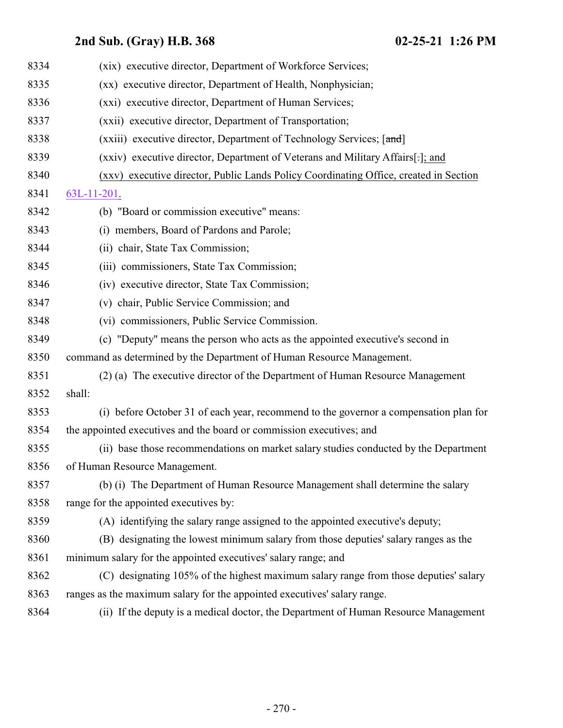| 8334 | (xix) executive director, Department of Workforce Services;                           |
|------|---------------------------------------------------------------------------------------|
| 8335 | (xx) executive director, Department of Health, Nonphysician;                          |
| 8336 | (xxi) executive director, Department of Human Services;                               |
| 8337 | (xxii) executive director, Department of Transportation;                              |
| 8338 | (xxiii) executive director, Department of Technology Services; [and]                  |
| 8339 | (xxiv) executive director, Department of Veterans and Military Affairs[.]; and        |
| 8340 | (xxv) executive director, Public Lands Policy Coordinating Office, created in Section |
| 8341 | $63L-11-201$ .                                                                        |
| 8342 | (b) "Board or commission executive" means:                                            |
| 8343 | (i) members, Board of Pardons and Parole;                                             |
| 8344 | (ii) chair, State Tax Commission;                                                     |
| 8345 | (iii) commissioners, State Tax Commission;                                            |
| 8346 | (iv) executive director, State Tax Commission;                                        |
| 8347 | (v) chair, Public Service Commission; and                                             |
| 8348 | (vi) commissioners, Public Service Commission.                                        |
| 8349 | (c) "Deputy" means the person who acts as the appointed executive's second in         |
| 8350 | command as determined by the Department of Human Resource Management.                 |
| 8351 | (2) (a) The executive director of the Department of Human Resource Management         |
| 8352 | shall:                                                                                |
| 8353 | (i) before October 31 of each year, recommend to the governor a compensation plan for |
| 8354 | the appointed executives and the board or commission executives; and                  |
| 8355 | (ii) base those recommendations on market salary studies conducted by the Department  |
| 8356 | of Human Resource Management.                                                         |
| 8357 | (b) (i) The Department of Human Resource Management shall determine the salary        |
| 8358 | range for the appointed executives by:                                                |
| 8359 | (A) identifying the salary range assigned to the appointed executive's deputy;        |
| 8360 | (B) designating the lowest minimum salary from those deputies' salary ranges as the   |
| 8361 | minimum salary for the appointed executives' salary range; and                        |
| 8362 | (C) designating 105% of the highest maximum salary range from those deputies' salary  |
| 8363 | ranges as the maximum salary for the appointed executives' salary range.              |
| 8364 | (ii) If the deputy is a medical doctor, the Department of Human Resource Management   |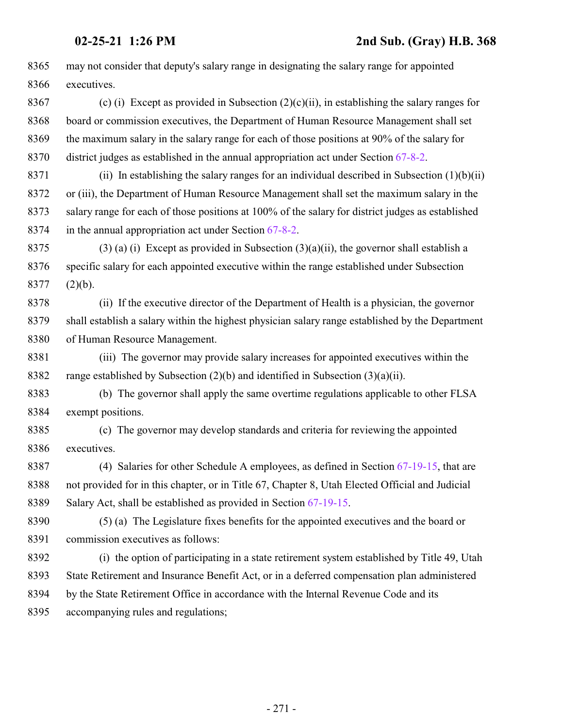may not consider that deputy's salary range in designating the salary range for appointed executives. 8367 (c) (i) Except as provided in Subsection  $(2)(c)(ii)$ , in establishing the salary ranges for board or commission executives, the Department of Human Resource Management shall set the maximum salary in the salary range for each of those positions at 90% of the salary for district judges as established in the annual appropriation act under Section [67-8-2](http://le.utah.gov/UtahCode/SectionLookup.jsp?section=67-8-2&session=2021GS). 8371 (ii) In establishing the salary ranges for an individual described in Subsection  $(1)(b)(ii)$  or (iii), the Department of Human Resource Management shall set the maximum salary in the salary range for each of those positions at 100% of the salary for district judges as established in the annual appropriation act under Section [67-8-2](http://le.utah.gov/UtahCode/SectionLookup.jsp?section=67-8-2&session=2021GS). 8375 (3) (a) (i) Except as provided in Subsection  $(3)(a)(ii)$ , the governor shall establish a specific salary for each appointed executive within the range established under Subsection (2)(b). (ii) If the executive director of the Department of Health is a physician, the governor shall establish a salary within the highest physician salary range established by the Department of Human Resource Management. (iii) The governor may provide salary increases for appointed executives within the range established by Subsection (2)(b) and identified in Subsection (3)(a)(ii). (b) The governor shall apply the same overtime regulations applicable to other FLSA exempt positions. (c) The governor may develop standards and criteria for reviewing the appointed executives. (4) Salaries for other Schedule A employees, as defined in Section [67-19-15](#page-260-0), that are not provided for in this chapter, or in Title 67, Chapter 8, Utah Elected Official and Judicial Salary Act, shall be established as provided in Section [67-19-15](#page-260-0). (5) (a) The Legislature fixes benefits for the appointed executives and the board or commission executives as follows: (i) the option of participating in a state retirement system established by Title 49, Utah State Retirement and Insurance Benefit Act, or in a deferred compensation plan administered by the State Retirement Office in accordance with the Internal Revenue Code and its accompanying rules and regulations;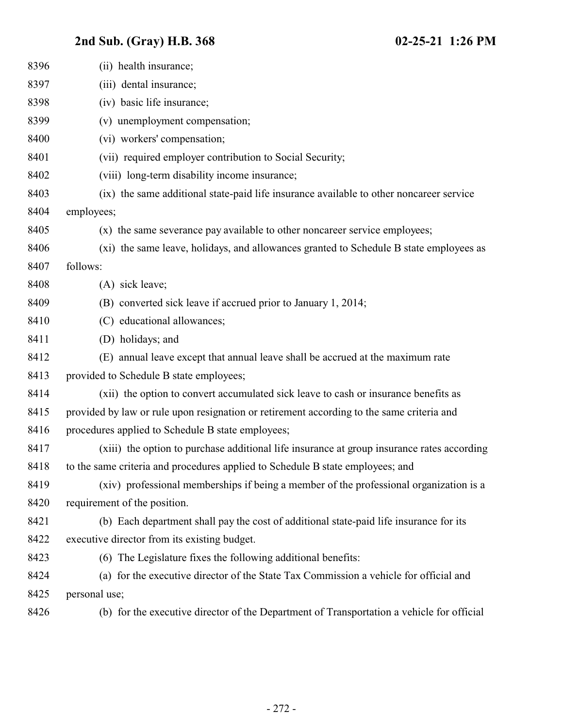| 8396 | (ii) health insurance;                                                                     |
|------|--------------------------------------------------------------------------------------------|
| 8397 | (iii) dental insurance;                                                                    |
| 8398 | (iv) basic life insurance;                                                                 |
| 8399 | (v) unemployment compensation;                                                             |
| 8400 | (vi) workers' compensation;                                                                |
| 8401 | (vii) required employer contribution to Social Security;                                   |
| 8402 | (viii) long-term disability income insurance;                                              |
| 8403 | (ix) the same additional state-paid life insurance available to other noncareer service    |
| 8404 | employees;                                                                                 |
| 8405 | (x) the same severance pay available to other noncareer service employees;                 |
| 8406 | (xi) the same leave, holidays, and allowances granted to Schedule B state employees as     |
| 8407 | follows:                                                                                   |
| 8408 | (A) sick leave;                                                                            |
| 8409 | (B) converted sick leave if accrued prior to January 1, 2014;                              |
| 8410 | (C) educational allowances;                                                                |
| 8411 | (D) holidays; and                                                                          |
| 8412 | (E) annual leave except that annual leave shall be accrued at the maximum rate             |
| 8413 | provided to Schedule B state employees;                                                    |
| 8414 | (xii) the option to convert accumulated sick leave to cash or insurance benefits as        |
| 8415 | provided by law or rule upon resignation or retirement according to the same criteria and  |
| 8416 | procedures applied to Schedule B state employees;                                          |
| 8417 | (xiii) the option to purchase additional life insurance at group insurance rates according |
| 8418 | to the same criteria and procedures applied to Schedule B state employees; and             |
| 8419 | (xiv) professional memberships if being a member of the professional organization is a     |
| 8420 | requirement of the position.                                                               |
| 8421 | (b) Each department shall pay the cost of additional state-paid life insurance for its     |
| 8422 | executive director from its existing budget.                                               |
| 8423 | (6) The Legislature fixes the following additional benefits:                               |
| 8424 | (a) for the executive director of the State Tax Commission a vehicle for official and      |
| 8425 | personal use;                                                                              |
| 8426 | (b) for the executive director of the Department of Transportation a vehicle for official  |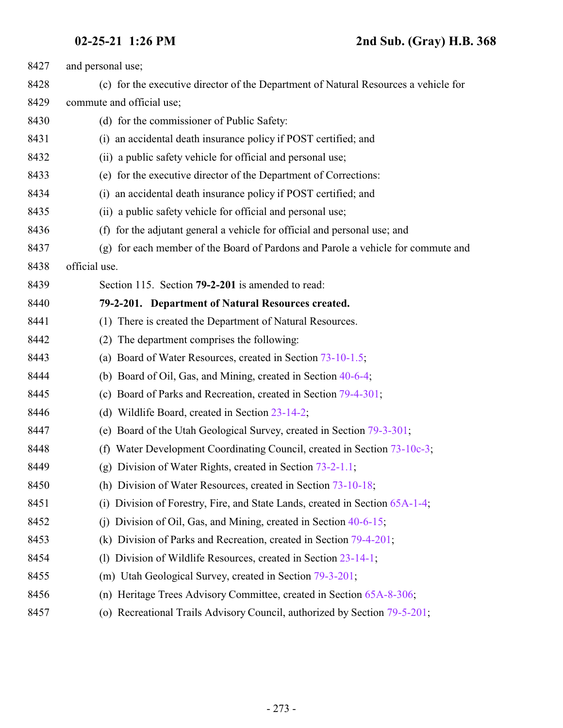| 8427 | and personal use;                                                                   |
|------|-------------------------------------------------------------------------------------|
| 8428 | (c) for the executive director of the Department of Natural Resources a vehicle for |
| 8429 | commute and official use;                                                           |
| 8430 | (d) for the commissioner of Public Safety:                                          |
| 8431 | an accidental death insurance policy if POST certified; and<br>(i)                  |
| 8432 | (ii) a public safety vehicle for official and personal use;                         |
| 8433 | (e) for the executive director of the Department of Corrections:                    |
| 8434 | an accidental death insurance policy if POST certified; and<br>(i)                  |
| 8435 | (ii) a public safety vehicle for official and personal use;                         |
| 8436 | for the adjutant general a vehicle for official and personal use; and<br>(f)        |
| 8437 | (g) for each member of the Board of Pardons and Parole a vehicle for commute and    |
| 8438 | official use.                                                                       |
| 8439 | Section 115. Section 79-2-201 is amended to read:                                   |
| 8440 | 79-2-201. Department of Natural Resources created.                                  |
| 8441 | (1) There is created the Department of Natural Resources.                           |
| 8442 | The department comprises the following:<br>(2)                                      |
| 8443 | (a) Board of Water Resources, created in Section 73-10-1.5;                         |
| 8444 | (b) Board of Oil, Gas, and Mining, created in Section 40-6-4;                       |
| 8445 | (c) Board of Parks and Recreation, created in Section 79-4-301;                     |
| 8446 | (d) Wildlife Board, created in Section 23-14-2;                                     |
| 8447 | (e) Board of the Utah Geological Survey, created in Section 79-3-301;               |
| 8448 | Water Development Coordinating Council, created in Section 73-10c-3;<br>(f)         |
| 8449 | (g) Division of Water Rights, created in Section 73-2-1.1;                          |
| 8450 | (h) Division of Water Resources, created in Section 73-10-18;                       |
| 8451 | Division of Forestry, Fire, and State Lands, created in Section 65A-1-4;<br>(i)     |
| 8452 | Division of Oil, Gas, and Mining, created in Section 40-6-15;<br>(1)                |
| 8453 | (k) Division of Parks and Recreation, created in Section 79-4-201;                  |
| 8454 | Division of Wildlife Resources, created in Section 23-14-1;<br>(1)                  |
| 8455 | (m) Utah Geological Survey, created in Section 79-3-201;                            |
| 8456 | (n) Heritage Trees Advisory Committee, created in Section 65A-8-306;                |
| 8457 | (o) Recreational Trails Advisory Council, authorized by Section 79-5-201;           |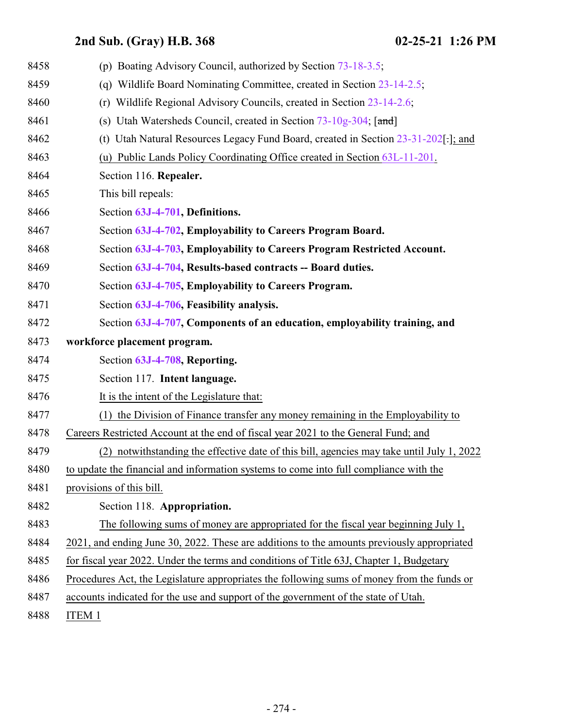| 8458 | (p) Boating Advisory Council, authorized by Section 73-18-3.5;                             |
|------|--------------------------------------------------------------------------------------------|
| 8459 | Wildlife Board Nominating Committee, created in Section 23-14-2.5;<br>(q)                  |
| 8460 | Wildlife Regional Advisory Councils, created in Section 23-14-2.6;<br>(r)                  |
| 8461 | (s) Utah Watersheds Council, created in Section 73-10g-304; [and]                          |
| 8462 | (t) Utah Natural Resources Legacy Fund Board, created in Section 23-31-202[.]; and         |
| 8463 | (u) Public Lands Policy Coordinating Office created in Section 63L-11-201.                 |
| 8464 | Section 116. Repealer.                                                                     |
| 8465 | This bill repeals:                                                                         |
| 8466 | Section 63J-4-701, Definitions.                                                            |
| 8467 | Section 63J-4-702, Employability to Careers Program Board.                                 |
| 8468 | Section 63J-4-703, Employability to Careers Program Restricted Account.                    |
| 8469 | Section 63J-4-704, Results-based contracts -- Board duties.                                |
| 8470 | Section 63J-4-705, Employability to Careers Program.                                       |
| 8471 | Section 63J-4-706, Feasibility analysis.                                                   |
| 8472 | Section 63J-4-707, Components of an education, employability training, and                 |
| 8473 | workforce placement program.                                                               |
| 8474 | Section 63J-4-708, Reporting.                                                              |
| 8475 | Section 117. Intent language.                                                              |
| 8476 | It is the intent of the Legislature that:                                                  |
| 8477 | the Division of Finance transfer any money remaining in the Employability to<br>(1)        |
| 8478 | Careers Restricted Account at the end of fiscal year 2021 to the General Fund; and         |
| 8479 | (2) notwithstanding the effective date of this bill, agencies may take until July 1, 2022  |
| 8480 | to update the financial and information systems to come into full compliance with the      |
| 8481 | provisions of this bill.                                                                   |
| 8482 | Section 118. Appropriation.                                                                |
| 8483 | The following sums of money are appropriated for the fiscal year beginning July 1,         |
| 8484 | 2021, and ending June 30, 2022. These are additions to the amounts previously appropriated |
| 8485 | for fiscal year 2022. Under the terms and conditions of Title 63J, Chapter 1, Budgetary    |
| 8486 | Procedures Act, the Legislature appropriates the following sums of money from the funds or |
| 8487 | accounts indicated for the use and support of the government of the state of Utah.         |
| 8488 | ITEM 1                                                                                     |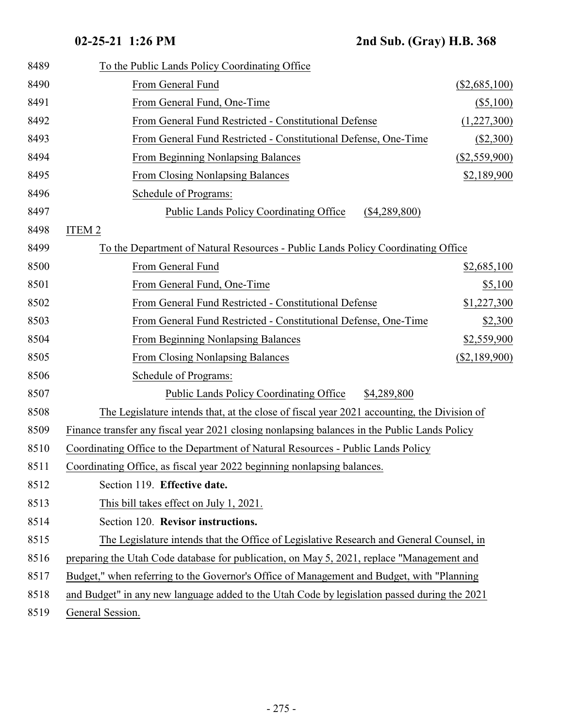| To the Public Lands Policy Coordinating Office                                               |                 |
|----------------------------------------------------------------------------------------------|-----------------|
| From General Fund                                                                            | $(\$2,685,100)$ |
| From General Fund, One-Time                                                                  | $($ \$5,100)    |
| From General Fund Restricted - Constitutional Defense                                        | (1,227,300)     |
| From General Fund Restricted - Constitutional Defense, One-Time                              | ( \$2,300)      |
| <b>From Beginning Nonlapsing Balances</b>                                                    | $(\$2,559,900)$ |
| <b>From Closing Nonlapsing Balances</b>                                                      | \$2,189,900     |
| Schedule of Programs:                                                                        |                 |
| <b>Public Lands Policy Coordinating Office</b><br>$(\$4,289,800)$                            |                 |
| ITEM <sub>2</sub>                                                                            |                 |
| To the Department of Natural Resources - Public Lands Policy Coordinating Office             |                 |
| From General Fund                                                                            | \$2,685,100     |
| From General Fund, One-Time                                                                  | \$5,100         |
| From General Fund Restricted - Constitutional Defense                                        | \$1,227,300     |
| From General Fund Restricted - Constitutional Defense, One-Time                              | \$2,300         |
| From Beginning Nonlapsing Balances                                                           | \$2,559,900     |
| <b>From Closing Nonlapsing Balances</b>                                                      | $(\$2,189,900)$ |
| Schedule of Programs:                                                                        |                 |
| <b>Public Lands Policy Coordinating Office</b><br>\$4,289,800                                |                 |
| The Legislature intends that, at the close of fiscal year 2021 accounting, the Division of   |                 |
| Finance transfer any fiscal year 2021 closing nonlapsing balances in the Public Lands Policy |                 |
| Coordinating Office to the Department of Natural Resources - Public Lands Policy             |                 |
| Coordinating Office, as fiscal year 2022 beginning nonlapsing balances.                      |                 |
| Section 119. Effective date.                                                                 |                 |
| This bill takes effect on July 1, 2021.                                                      |                 |
| Section 120. Revisor instructions.                                                           |                 |
| The Legislature intends that the Office of Legislative Research and General Counsel, in      |                 |
| preparing the Utah Code database for publication, on May 5, 2021, replace "Management and    |                 |
| Budget," when referring to the Governor's Office of Management and Budget, with "Planning"   |                 |
| and Budget" in any new language added to the Utah Code by legislation passed during the 2021 |                 |
| General Session.                                                                             |                 |
|                                                                                              |                 |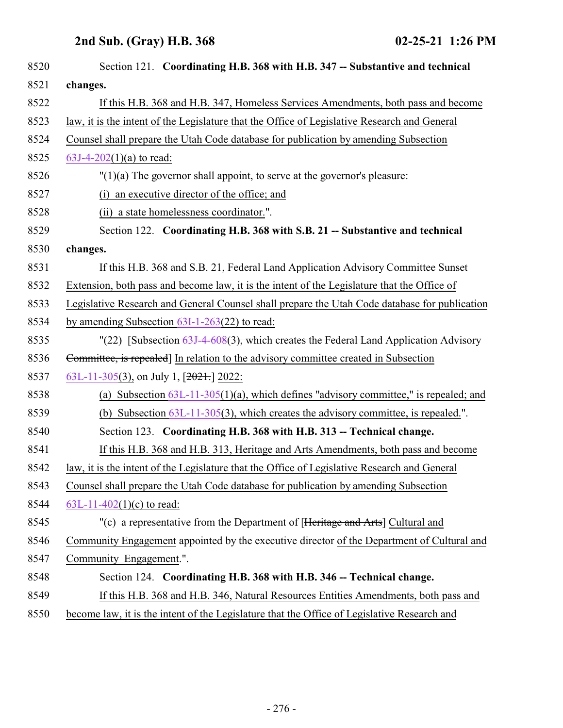| 8520 | Section 121. Coordinating H.B. 368 with H.B. 347 -- Substantive and technical                 |
|------|-----------------------------------------------------------------------------------------------|
| 8521 | changes.                                                                                      |
| 8522 | If this H.B. 368 and H.B. 347, Homeless Services Amendments, both pass and become             |
| 8523 | law, it is the intent of the Legislature that the Office of Legislative Research and General  |
| 8524 | Counsel shall prepare the Utah Code database for publication by amending Subsection           |
| 8525 | $63J-4-202(1)(a)$ to read:                                                                    |
| 8526 | $''(1)(a)$ The governor shall appoint, to serve at the governor's pleasure:                   |
| 8527 | (i) an executive director of the office; and                                                  |
| 8528 | (ii) a state homelessness coordinator.".                                                      |
| 8529 | Section 122. Coordinating H.B. 368 with S.B. 21 -- Substantive and technical                  |
| 8530 | changes.                                                                                      |
| 8531 | If this H.B. 368 and S.B. 21, Federal Land Application Advisory Committee Sunset              |
| 8532 | Extension, both pass and become law, it is the intent of the Legislature that the Office of   |
| 8533 | Legislative Research and General Counsel shall prepare the Utah Code database for publication |
| 8534 | by amending Subsection $63I-1-263(22)$ to read:                                               |
| 8535 | "(22) [Subsection 63J-4-608(3), which creates the Federal Land Application Advisory           |
| 8536 | Committee, is repealed] In relation to the advisory committee created in Subsection           |
| 8537 | 63L-11-305(3), on July 1, [2021.] 2022:                                                       |
| 8538 | (a) Subsection $63L-11-305(1)(a)$ , which defines "advisory committee," is repealed; and      |
| 8539 | (b) Subsection $63L-11-305(3)$ , which creates the advisory committee, is repealed.".         |
| 8540 | Section 123. Coordinating H.B. 368 with H.B. 313 -- Technical change.                         |
| 8541 | If this H.B. 368 and H.B. 313, Heritage and Arts Amendments, both pass and become             |
| 8542 | law, it is the intent of the Legislature that the Office of Legislative Research and General  |
| 8543 | Counsel shall prepare the Utah Code database for publication by amending Subsection           |
| 8544 | 63L-11-402(1)(c) to read:                                                                     |
| 8545 | "(c) a representative from the Department of [Heritage and Arts] Cultural and                 |
| 8546 | Community Engagement appointed by the executive director of the Department of Cultural and    |
| 8547 | Community Engagement.".                                                                       |
| 8548 | Section 124. Coordinating H.B. 368 with H.B. 346 -- Technical change.                         |
| 8549 | If this H.B. 368 and H.B. 346, Natural Resources Entities Amendments, both pass and           |
|      |                                                                                               |

8550 become law, it is the intent of the Legislature that the Office of Legislative Research and